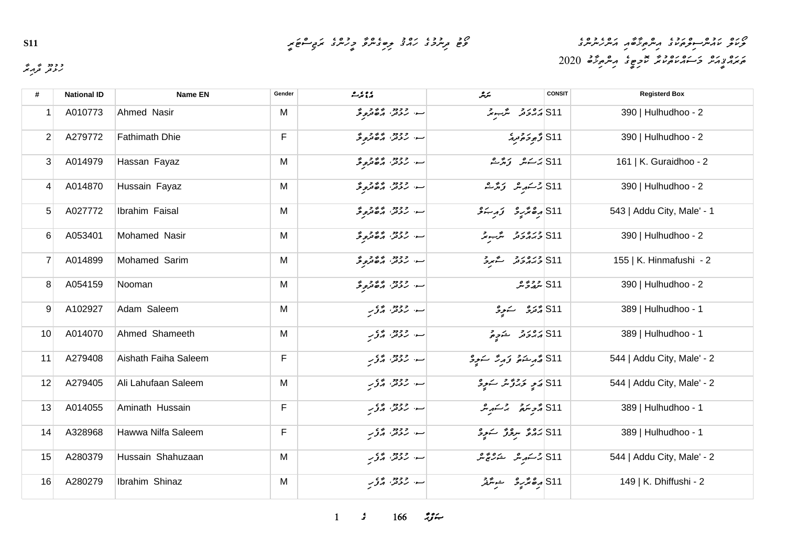*sCw7q7s5w7m< o<n9nOoAw7o< sCq;mAwBoEw7q<m; wBm;vB* م من المرة المرة المرة المرجع المرجع في المركبة 2020<br>مجم*د المريض المربوط المربع المرجع في المراجع المركبة* 

|  | s s n n       |
|--|---------------|
|  | أزاد فرار بحر |
|  |               |

| #               | <b>National ID</b> | Name EN               | Gender      | بروبره              | ىترىش                                                                                               | <b>CONSIT</b> | <b>Registerd Box</b>       |
|-----------------|--------------------|-----------------------|-------------|---------------------|-----------------------------------------------------------------------------------------------------|---------------|----------------------------|
|                 | A010773            | Ahmed Nasir           | M           | سه رودو په په درونځ | S11 <i>ەندۇقە</i> شەيھ                                                                              |               | 390   Hulhudhoo - 2        |
| $\mathbf{2}$    | A279772            | <b>Fathimath Dhie</b> | F           | سورد وه دور         | S11 ژ <sub>مو</sub> ځونورمز                                                                         |               | 390   Hulhudhoo - 2        |
| 3               | A014979            | Hassan Fayaz          | M           | ب رودو وه وروځ      | S11 ټريمبر ترټريثه                                                                                  |               | 161   K. Guraidhoo - 2     |
| 4               | A014870            | Hussain Fayaz         | M           | - رودو وه وره و     | S11 پرکته میں توک <i>ڑ</i> ہے۔                                                                      |               | 390   Hulhudhoo - 2        |
| 5 <sup>1</sup>  | A027772            | Ibrahim Faisal        | M           | در دود دود وی       | S11 مەھەرىپى تەم يىكى                                                                               |               | 543   Addu City, Male' - 1 |
| 6               | A053401            | Mohamed Nasir         | M           | - رودو پورو په      | S11 <i>\$ ئەۋەقە</i> مەسبەتمە                                                                       |               | 390   Hulhudhoo - 2        |
|                 | A014899            | Mohamed Sarim         | M           |                     | S11 <i>دېزونو ش</i> ېرو                                                                             |               | 155   K. Hinmafushi - 2    |
| 8               | A054159            | Nooman                | M           | - رودو مصروفر       | S11 ىندۇپر                                                                                          |               | 390   Hulhudhoo - 2        |
| 9               | A102927            | Adam Saleem           | M           | ے رحوفز، اروپ       | S11 مٌترَدُ سَم <i>وِدْ</i>                                                                         |               | 389   Hulhudhoo - 1        |
| 10 <sup>1</sup> | A014070            | Ahmed Shameeth        | M           | سه رودو په پور      |                                                                                                     |               | 389   Hulhudhoo - 1        |
| 11              | A279408            | Aishath Faiha Saleem  | $\mathsf F$ | ے۔ رووو ہے۔         | S11 مەم شەھ   تەم ئە سىموۋ                                                                          |               | 544   Addu City, Male' - 2 |
| 12              | A279405            | Ali Lahufaan Saleem   | M           | سە رودو دى          | S11 كەي تۇرۇش س <i>ەي</i> رۇ                                                                        |               | 544   Addu City, Male' - 2 |
| 13              | A014055            | Aminath Hussain       | $\mathsf F$ | سە رودوم ئوي        | S11 مَّ <i>جِسَمَۃُ</i> بِرْسَہِ بِرْ                                                               |               | 389   Hulhudhoo - 1        |
| 14              | A328968            | Hawwa Nilfa Saleem    | $\mathsf F$ | سە رودو دى          | S11  يَرْدُوَّ سِرْدَوَّ سَوِدْ                                                                     |               | 389   Hulhudhoo - 1        |
| 15              | A280379            | Hussain Shahuzaan     | M           | ے رودو دی گھر       | S11 يُرْسَمَ مِيْتَ مِيْتَ مِيْتَ مِيْتَ مِيْتَ مِيْتَ مِيْتَ مِيْتِ مِيْتِ مِيْتِ مِيْتِ مِيْتِ مِ |               | 544   Addu City, Male' - 2 |
| 16              | A280279            | Ibrahim Shinaz        | M           | سە رودۇر ئەتىر      | S11 م <i>وڭ ئۇرۇ</i> ھوشتىر                                                                         |               | 149   K. Dhiffushi - 2     |

 $1$  *s*  $166$  *n***<sub>s</sub>** $\frac{2}{5}$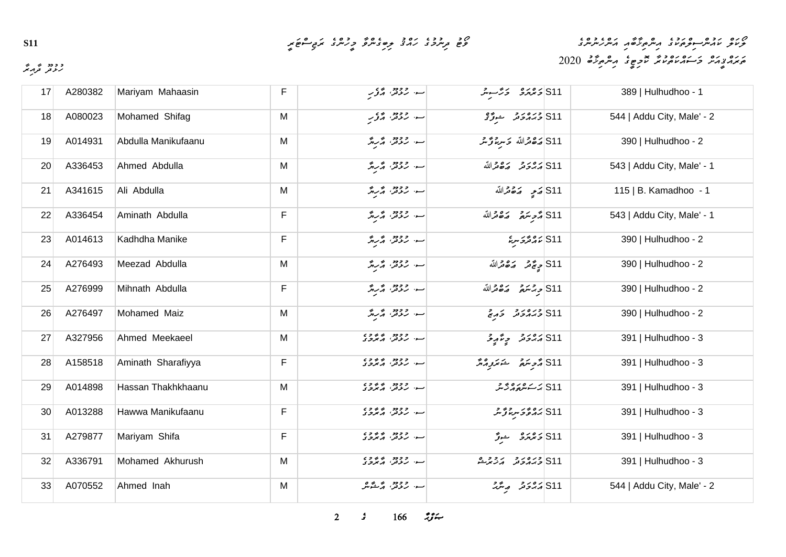*sCw7q7s5w7m< o<n9nOoAw7o< sCq;mAwBoEw7q<m; wBm;vB* م من المرة المرة المرة المرجع المرجع في المركبة 2020<br>مجم*د المريض المربوط المربع المرجع في المراجع المركبة* 

| د دود به پر<br>رنز تر ترمه تر |  |  |
|-------------------------------|--|--|
|                               |  |  |

| 17 | A280382 | Mariyam Mahaasin    | F            | ے رودو وی                                    | S11 كەبەدى كەرسىتى                                 | 389   Hulhudhoo - 1        |
|----|---------|---------------------|--------------|----------------------------------------------|----------------------------------------------------|----------------------------|
| 18 | A080023 | Mohamed Shifag      | M            | ے رحوفز، مروب                                | S11  <i>وټرونو جوگ</i> و                           | 544   Addu City, Male' - 2 |
| 19 | A014931 | Abdulla Manikufaanu | M            | ے رودوں تر ہٹر                               | S11 كەھەراللە ك <i>ەمبەۋىت</i> ر                   | 390   Hulhudhoo - 2        |
| 20 | A336453 | Ahmed Abdulla       | M            | سە رودو، ئەرىگە                              | S11 يَرْمِرُوْ بِهِ صَوْرَاللّهِ                   | 543   Addu City, Male' - 1 |
| 21 | A341615 | Ali Abdulla         | M            | سە رودو، ئەرىر                               | S11 <i>ھَ۔ جِھ قوم</i> الله                        | 115   B. Kamadhoo - 1      |
| 22 | A336454 | Aminath Abdulla     | $\mathsf F$  | ے رودوں تر ہٹر                               | S11 أَمَّ <i>حِ سَمَّةَ لَ</i> مَّا هُ مِّدَاللَّه | 543   Addu City, Male' - 1 |
| 23 | A014613 | Kadhdha Manike      | $\mathsf F$  | سە - روۋە - ئەرىگە                           | S11 ئەۋرىتىرىتىر                                   | 390   Hulhudhoo - 2        |
| 24 | A276493 | Meezad Abdulla      | M            | سە رودو، ئەرىر                               | S11 ح <i>ي عُمْرٍ حَ</i> صُرَّاللَّه               | 390   Hulhudhoo - 2        |
| 25 | A276999 | Mihnath Abdulla     | F            | ے۔ رودی پر رنگر                              | S11 <i>ج بر شرق مركان</i> د                        | 390   Hulhudhoo - 2        |
| 26 | A276497 | Mohamed Maiz        | M            | سە رودو، ئەرىر                               | S11 دېرونو د دي                                    | 390   Hulhudhoo - 2        |
| 27 | A327956 | Ahmed Meekaeel      | M            | ر د دود. پوره<br>سه رون په در                | S11   كەردى بەر بەرگە                              | 391   Hulhudhoo - 3        |
| 28 | A158518 | Aminath Sharafiyya  | F            | د د دود. پروازه<br>سه روتر، م <i>رترو</i> ی  | S11 مَّ حِ سَمَّدَ مَسَمَّدِ مِنْ مَّ              | 391   Hulhudhoo - 3        |
| 29 | A014898 | Hassan Thakhkhaanu  | M            | ر د دود. پوره<br>سه روند، پرتروی             | S11 ئەس <i>تەھۇ</i> ر تەش                          | 391   Hulhudhoo - 3        |
| 30 | A013288 | Hawwa Manikufaanu   | $\mathsf F$  | د و ووو .<br>سه ارتزادگر، ارتزا <i>و</i> ی   | S11 ئەۋرۇ ئەس <i>رىق ۋە</i>                        | 391   Hulhudhoo - 3        |
| 31 | A279877 | Mariyam Shifa       | $\mathsf{F}$ | د د دود.<br>سه روتر، ترتروی                  | S11 كەممەر ئى ھەرگە                                | 391   Hulhudhoo - 3        |
| 32 | A336791 | Mohamed Akhurush    | M            | ر د دوه د د د د .<br>سه روتو، م <i>رتو</i> د | S11 دېرورو پروبو د                                 | 391   Hulhudhoo - 3        |
| 33 | A070552 | Ahmed Inah          | M            | ر۔ رودو مجھش ک                               | S11   كەندى كەر مەمىگەنى                           | 544   Addu City, Male' - 2 |

 $2$  *s*  $166$   $23$   $\div$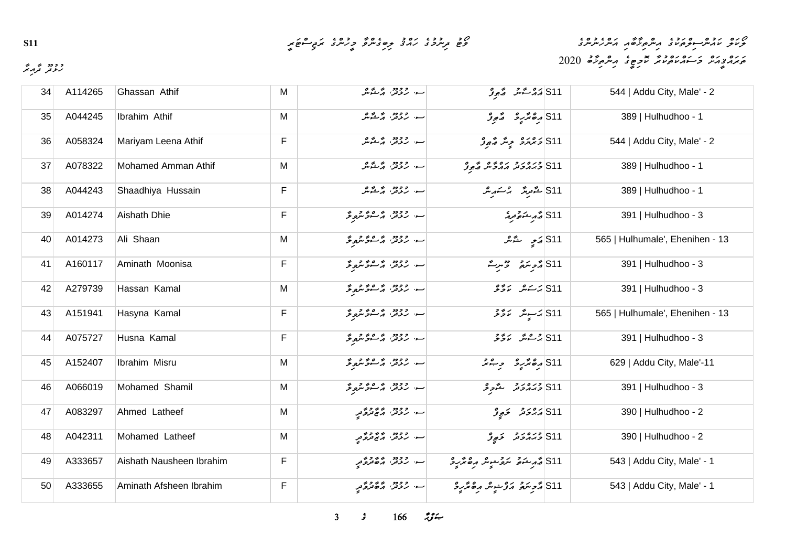*sCw7q7s5w7m< o<n9nOoAw7o< sCq;mAwBoEw7q<m; wBm;vB 2020*<br>*په ټومن د سوم پوره پورې پر سوم د سره پره و*لا

| 34 | A114265 | Ghassan Athif              | M            | ے۔ رودو محمد محمد                    | S11 زېر شعر گرېږينې                               | 544   Addu City, Male' - 2      |
|----|---------|----------------------------|--------------|--------------------------------------|---------------------------------------------------|---------------------------------|
| 35 | A044245 | Ibrahim Athif              | M            | ے دودہ پڑھے گ                        | S11 <sub>م</sub> ەمگرى <sub>د</sub> ۇ گەبور       | 389   Hulhudhoo - 1             |
| 36 | A058324 | Mariyam Leena Athif        | F            | ے۔ رودہ پڑھے میں                     | S11 <i>' دَبْرْدَدْ بِ</i> سَّ مُّهِ رُ           | 544   Addu City, Male' - 2      |
| 37 | A078322 | <b>Mohamed Amman Athif</b> | M            | ے۔ رودہ پڑھے میں                     | S11 <i>בبەم</i> رو رەپەھ مەر                      | 389   Hulhudhoo - 1             |
| 38 | A044243 | Shaadhiya Hussain          | F            | ے۔ رودو پڑھے میں                     | S11 ڪوبرن <i>گ برڪوب</i> ئر                       | 389   Hulhudhoo - 1             |
| 39 | A014274 | Aishath Dhie               | F            | ب رودو می موشود                      | S11 مۇم شەمۇمەر                                   | 391   Hulhudhoo - 3             |
| 40 | A014273 | Ali Shaan                  | M            | ے رودو و مورخ شہر                    | S11  کی می مشک                                    | 565   Hulhumale', Ehenihen - 13 |
| 41 | A160117 | Aminath Moonisa            | F            | سە رودە بۇ مەم بۇ ئو                 | S11 مَّ مِ سَمَّى مِ حَسِبٌ                       | 391   Hulhudhoo - 3             |
| 42 | A279739 | Hassan Kamal               | M            | سە رودە بۇ مەم بۇ ئو                 | S11 پرىكى ئەۋى                                    | 391   Hulhudhoo - 3             |
| 43 | A151941 | Hasyna Kamal               | F            | ر. دود په ۱۳۶۵ کې د                  | S11   پرسپس کار نامح                              | 565   Hulhumale', Ehenihen - 13 |
| 44 | A075727 | Husna Kamal                | F            | سە رودە ئەسۇئىروگە                   | S11 پر مشتر مذمونز                                | 391   Hulhudhoo - 3             |
| 45 | A152407 | Ibrahim Misru              | M            | سە رودە بۇ مۇشۇرۇ                    | S11 مەھەرىپ <sup>ى م</sup> ەبىقى                  | 629   Addu City, Male'-11       |
| 46 | A066019 | Mohamed Shamil             | M            | ب رودو می ده د و گو                  | S11 <i>\$نەۋەتى</i> ش <i>ەب</i> ۇ                 | 391   Hulhudhoo - 3             |
| 47 | A083297 | Ahmed Latheef              | M            | ر د دود. په دوم<br>سه روند، همڅنرونږ | S11   كەش <sup>ى</sup> قىرىقى ئىچە ئىچە ئى        | 390   Hulhudhoo - 2             |
| 48 | A042311 | Mohamed Latheef            | M            | ر د دود د د د د د .<br>پ             | S11 <i>دېزون</i> و نوپوژ                          | 390   Hulhudhoo - 2             |
| 49 | A333657 | Aishath Nausheen Ibrahim   | $\mathsf{F}$ | در دود دود در د                      | S11 مَّ مِـ شَوَّر مَرْحَمْ مِهْ مِنْ مَرْكَبِ وَ | 543   Addu City, Male' - 1      |
| 50 | A333655 | Aminath Afsheen Ibrahim    | $\mathsf F$  |                                      | S11 مَ <i>جِسَمَ مِ مَوْ</i> حْبِسْ مِعْ مَرْبِ   | 543   Addu City, Male' - 1      |

*3 <i>s s* **166** *<i>z*<sub>*s*</sub><sup>2</sup>

و و دوره محرم *برگ*ر<br>مرغو محرم محرم برگر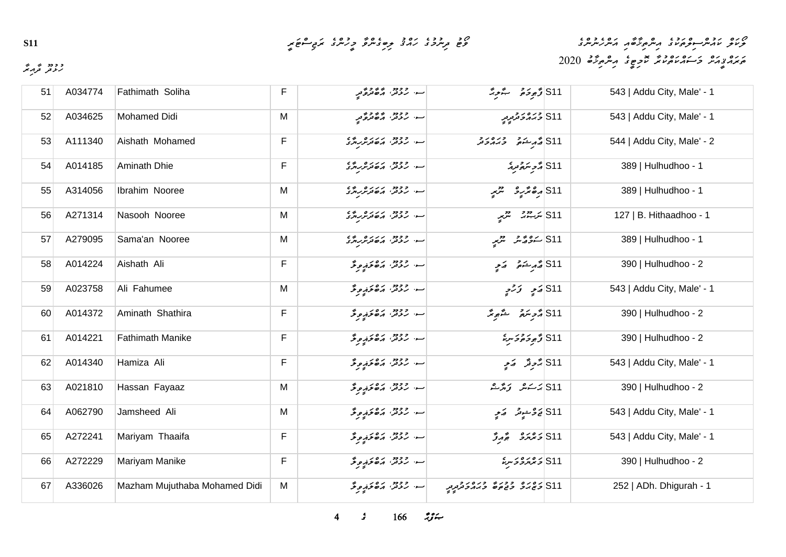*sCw7q7s5w7m< o<n9nOoAw7o< sCq;mAwBoEw7q<m; wBm;vB* م من المرة المرة المرة المرجع المرجع في المركبة 2020<br>مجم*د المريض المربوط المربع المرجع في المراجع المركبة* 

|  | $\rightarrow$ $\rightarrow$ $\rightarrow$ $\rightarrow$ $\rightarrow$ |
|--|-----------------------------------------------------------------------|
|  | برتر مرتز مر                                                          |
|  |                                                                       |

| 51 | A034774 | Fathimath Soliha              | $\mathsf F$  | ر د دود د د د د .<br>پ رس بر د ه تره تر              | S11 ژ <sub>ن</sub> ج دَمْ مَسْ بِرْتَهِ مَ                   | 543   Addu City, Male' - 1 |
|----|---------|-------------------------------|--------------|------------------------------------------------------|--------------------------------------------------------------|----------------------------|
| 52 | A034625 | Mohamed Didi                  | M            |                                                      | S11 <i>ڈ ټر گر قر</i> مرِ مر                                 | 543   Addu City, Male' - 1 |
| 53 | A111340 | Aishath Mohamed               | $\mathsf F$  |                                                      | S11 مەم شەھ ھەدەر د                                          | 544   Addu City, Male' - 2 |
| 54 | A014185 | Aminath Dhie                  | F            | ر و و دو در دره ده و د                               | S11 أُمَّ حِ سَمَعُ مِرِ مَّ                                 | 389   Hulhudhoo - 1        |
| 55 | A314056 | Ibrahim Nooree                | M            | ر در دور در دره در د                                 | S11 م <i>وڭ ئۇرۇ تىزىر</i>                                   | 389   Hulhudhoo - 1        |
| 56 | A271314 | Nasooh Nooree                 | M            | ر د ودو دردره و د و<br>ر د رونو، م <i>ه تومر</i> مرد | S11 س <i>رجين</i> شمېر                                       | 127   B. Hithaadhoo - 1    |
| 57 | A279095 | Sama'an Nooree                | M            | ر در دور در دره در د                                 | S11 سَتَرْهُ شَرْ مَهْتِ                                     | 389   Hulhudhoo - 1        |
| 58 | A014224 | Aishath Ali                   | $\mathsf F$  | ب رودو رەم ئورۇگ                                     | S11 مَگْرِسْتَمْ مَرَمْ                                      | 390   Hulhudhoo - 2        |
| 59 | A023758 | Ali Fahumee                   | M            | - رودو رەۋزەۋ                                        | S11  رَمٍ ک <sup>و</sup> رتم و                               | 543   Addu City, Male' - 1 |
| 60 | A014372 | Aminath Shathira              | $\mathsf{F}$ | ب رودو رەم ئورۇگ                                     | S11 مَرْحِبَنَ مِنْ مُنْ مِنَّةً مِنْ                        | 390   Hulhudhoo - 2        |
| 61 | A014221 | <b>Fathimath Manike</b>       | $\mathsf F$  | ب رودو رەم ئورۇگ                                     | S11 ۇ <sub>جو</sub> رۇمۇسى <i>با</i>                         | 390   Hulhudhoo - 2        |
| 62 | A014340 | Hamiza Ali                    | F            | ب رودو رەر دۆلەر                                     | S11 تَرْمِتَرُ کَمَعٍ                                        | 543   Addu City, Male' - 1 |
| 63 | A021810 | Hassan Fayaaz                 | M            | ب رودو رەم ئورۇ ئ                                    | S11 بزشکر <b>تر</b> گرشہ                                     | 390   Hulhudhoo - 2        |
| 64 | A062790 | Jamsheed Ali                  | M            | - رودو رەئزوق                                        | S11  تے 5 ش <sub>و</sub> تر ۔ <sub>م</sub> رم ی <sub>ہ</sub> | 543   Addu City, Male' - 1 |
| 65 | A272241 | Mariyam Thaaifa               | F            | ب رودو رەئ دېگر                                      | S11 ئ <i>ەيمەدى پۇم</i> ور                                   | 543   Addu City, Male' - 1 |
| 66 | A272229 | Mariyam Manike                | $\mathsf F$  | - رودو رەئزوق                                        | S11 ئۈچر <i>ۈ ئەترى</i> م                                    | 390   Hulhudhoo - 2        |
| 67 | A336026 | Mazham Mujuthaba Mohamed Didi | M            | سەر 232°، مەھ 34 و 3                                 | S11 كرەبرە بودىرە بورەبرىرىر                                 | 252   ADh. Dhigurah - 1    |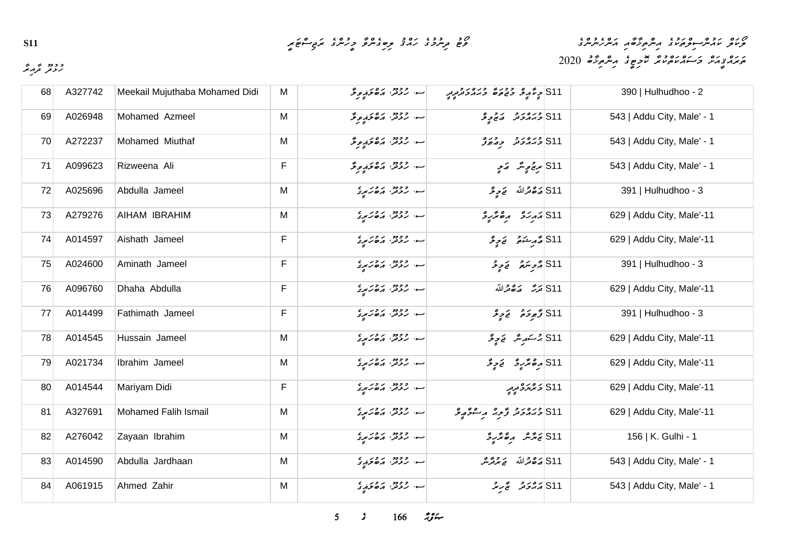*sCw7q7s5w7m< o<n9nOoAw7o< sCq;mAwBoEw7q<m; wBm;vB 2020<sup>, م</sup>وسر حسوم موجود بعروفة وسرمونية (202*0

543 | Addu City, Male' - 1

| 68 | A327742 | Meekail Mujuthaba Mohamed Didi | M | سەر 232°، مەھكەر بەرگە                                                                                                                                                             | S11   وِ تَأْمِرُ قَرْبِ قَامَ صَ حَرَبُ مِرْدَ مِرْسِرِ مِرْ | 390   Hulhudhoo - 2        |
|----|---------|--------------------------------|---|------------------------------------------------------------------------------------------------------------------------------------------------------------------------------------|---------------------------------------------------------------|----------------------------|
| 69 | A026948 | Mohamed Azmeel                 | M | سە رودو، رەۋزە ئ                                                                                                                                                                   | S11 <i>ڈبزونز میڈو</i> ٹر                                     | 543   Addu City, Male' - 1 |
| 70 | A272237 | Mohamed Miuthaf                | M | ب رودو رەم ئوروگ                                                                                                                                                                   | S11 <i>ڈیزون فی فی</i> فرق                                    | 543   Addu City, Male' - 1 |
| 71 | A099623 | Rizweena Ali                   | F | ب رودو رەم ئوروگ                                                                                                                                                                   | S11 مریج م <sub>و</sub> یٹر ۔ م <i>زم</i> ح                   | 543   Addu City, Male' - 1 |
| 72 | A025696 | Abdulla Jameel                 | M |                                                                                                                                                                                    | S11 كەھەر اللە سى ئىچە ئى                                     | 391   Hulhudhoo - 3        |
| 73 | A279276 | AIHAM IBRAHIM                  | M | سه رودو روز ر                                                                                                                                                                      | S11 <i>הَدְرَدْ دِهْتَرِدْ</i>                                | 629   Addu City, Male'-11  |
| 74 | A014597 | Aishath Jameel                 | F | سه رودو روز ر                                                                                                                                                                      | S11 مَگْرِسْتَمْ کَمْ وِگْرُ                                  | 629   Addu City, Male'-11  |
| 75 | A024600 | Aminath Jameel                 | F | سه دود روز د                                                                                                                                                                       | S11 مٌ <i>جِسَمٌ ۔ ف</i> َ <i>ج</i> ِ تَح                     | 391   Hulhudhoo - 3        |
| 76 | A096760 | Dhaha Abdulla                  | F |                                                                                                                                                                                    | S11 مَرَدَّ كَمَدَّدْ اللَّه                                  | 629   Addu City, Male'-11  |
| 77 | A014499 | Fathimath Jameel               | F |                                                                                                                                                                                    | S11 وَجِءَمُ نَحْ وِعْر                                       | 391   Hulhudhoo - 3        |
| 78 | A014545 | Hussain Jameel                 | M |                                                                                                                                                                                    | S11 پر کے <sub>م</sub> ربائی سے <i>ج</i> وی کی                | 629   Addu City, Male'-11  |
| 79 | A021734 | Ibrahim Jameel                 | M | سه دودو روزنده                                                                                                                                                                     | S11  م <i>وڭ بگرى قىچ</i> ى                                   | 629   Addu City, Male'-11  |
| 80 | A014544 | Mariyam Didi                   | F |                                                                                                                                                                                    | S11  5يرټر3مړمړ                                               | 629   Addu City, Male'-11  |
| 81 | A327691 | <b>Mohamed Falih Ismail</b>    | M | ر در دور در در در در میبرد.<br>اسه اردوس ارتصار بود                                                                                                                                | S11 <i>دېمگ</i> ونه ر <sub>گ</sub> وبر م <sup>ر</sup> مگهونه  | 629   Addu City, Male'-11  |
| 82 | A276042 | Zayaan Ibrahim                 | M |                                                                                                                                                                                    | S11 ئ <sub>ى</sub> رگىر م <i>ەمگرى</i> ۋ                      | 156   K. Gulhi - 1         |
| 83 | A014590 | Abdulla Jardhaan               | M | ر در دور در در در در این است. از شده است. از شده است. از شده است.<br>مستقیمات است که از مصر به در است که است. از شده است که است که است که با است که است که است که است که از دیگر د | S11 كەھەتراللە <i>ق بىرىترىتر</i>                             | 543   Addu City, Male' - 1 |

84 A061915 Ahmed Zahir M *egIGwlubwa ,UduLuh .s urihWz udwmcHwa* S11

د دود محر*م*گر<br>رنز قرم گر

 $5$   $5$   $166$   $\frac{2}{3}$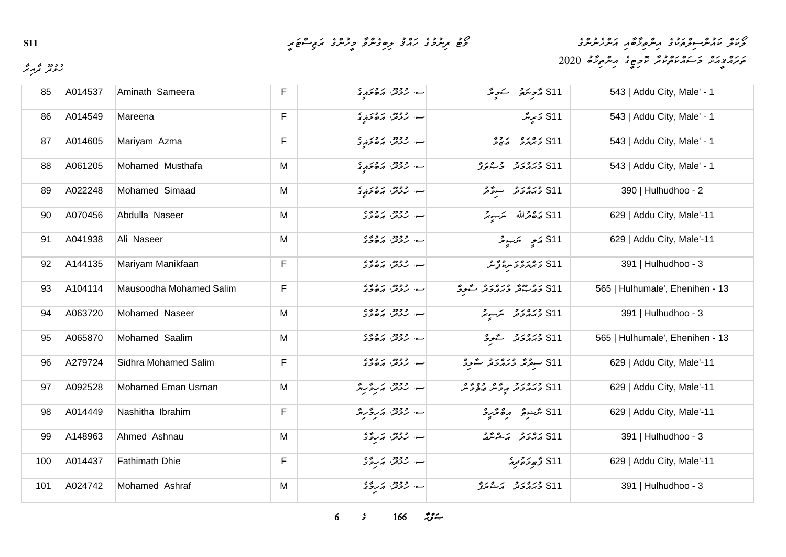*sCw7q7s5w7m< o<n9nOoAw7o< sCq;mAwBoEw7q<m; wBm;vB* م من المرة المرة المرة المرجع المرجع في المركبة 2020<br>مجم*د المريض المربوط المربع المرجع في المراجع المركبة* 

| 85  | A014537 | Aminath Sameera         | $\mathsf F$ | - رودو رور د                          | S11 مٌ <i>جِي مَبْرِيمْ سَوِيرٌ</i>                    | 543   Addu City, Male' - 1      |
|-----|---------|-------------------------|-------------|---------------------------------------|--------------------------------------------------------|---------------------------------|
| 86  | A014549 | Mareena                 | F           | ر دودو رور د<br>سه روس م <i>ن فرد</i> | S11  دَمپرسَّر                                         | 543   Addu City, Male' - 1      |
| 87  | A014605 | Mariyam Azma            | $\mathsf F$ | سه رودو رور و                         | S11 كەبىر بىر ئەيدىنى ئى                               | 543   Addu City, Male' - 1      |
| 88  | A061205 | Mohamed Musthafa        | M           | سه رودو رور د                         | S11 ژبر در و دره<br>S11 ژبر درو د                      | 543   Addu City, Male' - 1      |
| 89  | A022248 | Mohamed Simaad          | M           | - رودو رور و                          | S11  <i>وټرونوتر ب</i> وتر                             | 390   Hulhudhoo - 2             |
| 90  | A070456 | Abdulla Naseer          | M           | د دود روم،<br> - رومن اړه دی          | S11 مَەھْتَراللە سَرَىبْدىمْ                           | 629   Addu City, Male'-11       |
| 91  | A041938 | Ali Naseer              | M           | ر در دود.<br>سه روتر، م <i>ن</i> صور  | S11  رَمِ - سَرَجِيرٌ -                                | 629   Addu City, Male'-11       |
| 92  | A144135 | Mariyam Manikfaan       | $\mathsf F$ | د د دود. د د ده د<br>سه روز، د ه و د  | S11 ئ <i>ۇيرۇ ئەبرىدۇ</i> ئىر                          | 391   Hulhudhoo - 3             |
| 93  | A104114 | Mausoodha Mohamed Salim | F           | ر د دوه د ده و د                      | S11 زو دو وره دو گرو                                   | 565   Hulhumale', Ehenihen - 13 |
| 94  | A063720 | Mohamed Naseer          | M           | ر در دود.<br>سه روتر، م <i>ن</i> صور  | S11 <i>ڈیزور بن مترجین</i>                             | 391   Hulhudhoo - 3             |
| 95  | A065870 | Mohamed Saalim          | M           | سه ووده دوده<br>سه رون                | S11 <i>دېزونو شو</i> و                                 | 565   Hulhumale', Ehenihen - 13 |
| 96  | A279724 | Sidhra Mohamed Salim    | F           | د دود.<br>سه روتر، پره وي             | S11 سە <i>نگەنگە 3 ئەنگە 5 مەنگەن</i> ى                | 629   Addu City, Male'-11       |
| 97  | A092528 | Mohamed Eman Usman      | M           | ے رودو بربرڈید                        | S11 <i>دېرو دو په دوون</i> د کارونک                    | 629   Addu City, Male'-11       |
| 98  | A014449 | Nashitha Ibrahim        | $\mathsf F$ | ر در دوده کردگردگر                    | S11 مَرْج <sub>وج</sub> َ <sub>م</sub> ِ صَخَّرِ وَ    | 629   Addu City, Male'-11       |
| 99  | A148963 | Ahmed Ashnau            | M           | سه رودون برگروی                       | S11 كەبروتىر كەشىھەتتىكە                               | 391   Hulhudhoo - 3             |
| 100 | A014437 | <b>Fathimath Dhie</b>   | $\mathsf F$ | در دوده کار وی                        | S11 ۇ <sub>جو</sub> رَ <sub>ح</sub> ۇم <sub>رى</sub> ز | 629   Addu City, Male'-11       |
| 101 | A024742 | Mohamed Ashraf          | M           | ر د دود. د روه<br>سه روند، ډروی       | S11 ۋىرەرو كەشىر <i>ۇ</i>                              | 391   Hulhudhoo - 3             |

 $6$   $\frac{1}{2}$   $166$   $\frac{1}{2}$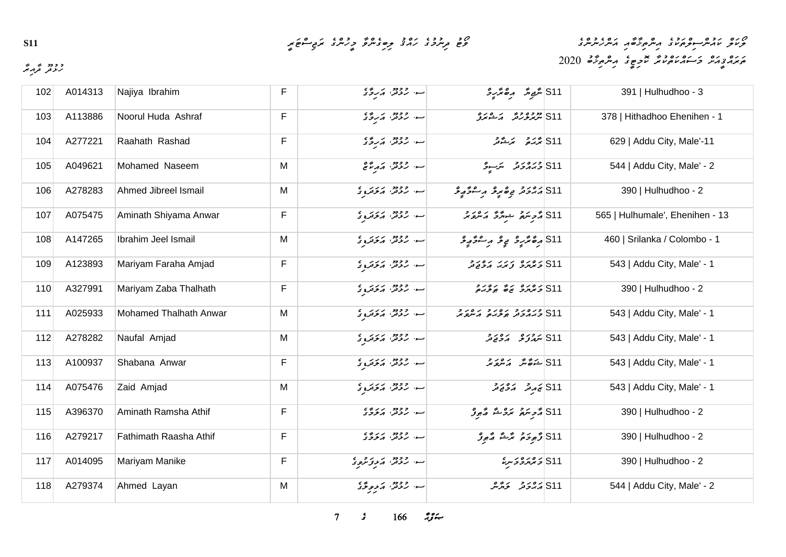*sCw7q7s5w7m< o<n9nOoAw7o< sCq;mAwBoEw7q<m; wBm;vB 2020*<br>*په ټومن د سوم پوره پورې پر سوم د سره پره و*لا

| 102 | A014313 | Najiya Ibrahim                | F           | سه رودون وروی                                  | S11 مَّتِيمَ مِنْ مِنْ لِهِ وَ                             | 391   Hulhudhoo - 3             |
|-----|---------|-------------------------------|-------------|------------------------------------------------|------------------------------------------------------------|---------------------------------|
| 103 | A113886 | Noorul Huda Ashraf            | F           | سە زىرىش كەردى                                 | S11 يېزورنگر برش <sub>م</sub> رو                           | 378   Hithadhoo Ehenihen - 1    |
| 104 | A277221 | Raahath Rashad                | $\mathsf F$ | سە زىرىش كەرگەمى                               | S11 بَرْبَرْمْ     بَرْشَوْتْر                             | 629   Addu City, Male'-11       |
| 105 | A049621 | Mohamed Naseem                | M           | ر در دور در در در باشی<br>سود ارزون اوراد کالج | S11  <i>وُرَهُ دُوْ</i> سَ <i>رَ-و</i> وْ                  | 544   Addu City, Male' - 2      |
| 106 | A278283 | Ahmed Jibreel Ismail          | M           | سەر رودوە كەنى تەنىج ئى                        | S11 كەبروتر ب <sub>و</sub> ھىرو م <sup>ە</sup> مۇمبۇ       | 390   Hulhudhoo - 2             |
| 107 | A075475 | Aminath Shiyama Anwar         | F           | سەس رىمى ئەتەتكە ئ                             | S11 أَرُّم سَمَّرَ مَسْتَرَكَّةً أَرْسُرُهُ مَرْ           | 565   Hulhumale', Ehenihen - 13 |
| 108 | A147265 | Ibrahim Jeel Ismail           | M           | سەس رىمى كەنتىرە ئ                             | S11 مەھەرىپى بېرى مەش <i>ۇم</i> بۇ                         | 460   Srilanka / Colombo - 1    |
| 109 | A123893 | Mariyam Faraha Amjad          | F           | - رودو پروتره و                                | S11 كەبىر بىر بىر بەر بەر بىر                              | 543   Addu City, Male' - 1      |
| 110 | A327991 | Mariyam Zaba Thalhath         | F           | ر در دود.<br>سه روتر، پرتوتره و                | S11 كەبەر ئەن بەھ بەھەر ئ                                  | 390   Hulhudhoo - 2             |
| 111 | A025933 | <b>Mohamed Thalhath Anwar</b> | M           | سەس رىمى ئەتەتكە ئ                             | S11  ورورو بروبرو بروبرو                                   | 543   Addu City, Male' - 1      |
| 112 | A278282 | Naufal Amjad                  | M           | سه رودو کروگره و                               | S11 يتر <i>وز و برون</i> ور                                | 543   Addu City, Male' - 1      |
| 113 | A100937 | Shabana Anwar                 | F           | ر در دود.<br>سوا روتو، مرکزی و                 | S11 شۇڭر ئ <i>ېرون</i> ر                                   | 543   Addu City, Male' - 1      |
| 114 | A075476 | Zaid Amjad                    | M           | ر در دود.<br>سوا روتو، مرکزی و                 | S11 تج م <sub>ی</sub> فر کم دی فر                          | 543   Addu City, Male' - 1      |
| 115 | A396370 | Aminath Ramsha Athif          | F           | ر در دود.<br>سه روتر، مرکزدی                   | S11 مٌ <i>وِ سَهْءُ مَدْوَ</i> مُشَرِّدُ مُ <i>مُ</i> وِرْ | 390   Hulhudhoo - 2             |
| 116 | A279217 | Fathimath Raasha Athif        | F           | د دود.<br>سه روتر، پروژه                       | S11 <i>وَّجِودَة</i> يُرْحَدُ رُّج <i>ودْ</i>              | 390   Hulhudhoo - 2             |
| 117 | A014095 | Mariyam Manike                | F           | ے رودو بروز تروی                               | S11 ئ <i>ۇيۇدۇ ئەبەت</i>                                   | 390   Hulhudhoo - 2             |
| 118 | A279374 | Ahmed Layan                   | M           | ے رودو کرویوٹی                                 | S11 كەبر <i>وتى خەڭ</i> ىر                                 | 544   Addu City, Male' - 2      |

*7 sC 166 nNw?mS*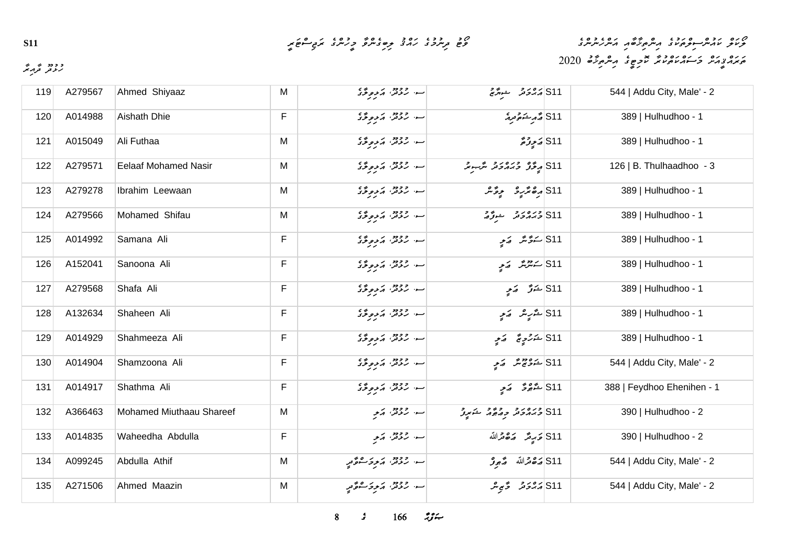*sCw7q7s5w7m< o<n9nOoAw7o< sCq;mAwBoEw7q<m; wBm;vB* م من المرة المرة المرة المرجع المرجع في المركبة 2020<br>مجم*د المريض المربوط المربع المرجع في المراجع المركبة* 

|  | $\begin{array}{cccccccccc} \circ & \circ & \circ & \circ & \circ & \circ \end{array}$ |  |
|--|---------------------------------------------------------------------------------------|--|
|  | ترغض فرمزيمه                                                                          |  |

| 119 | A279567 | Ahmed Shiyaaz               | M           | ے رودہ پرووٹری              | S11 كەشكەتمە ھەم <i>گەن</i> ج                           | 544   Addu City, Male' - 2 |
|-----|---------|-----------------------------|-------------|-----------------------------|---------------------------------------------------------|----------------------------|
| 120 | A014988 | Aishath Dhie                | F           | سە رودو كەرەپچى             | S11 مۇم شەھ <sup>و</sup> رەتكە                          | 389   Hulhudhoo - 1        |
| 121 | A015049 | Ali Futhaa                  | M           | سه دودو کرده وی             | S11 كەمب <i>وۋ</i> گە                                   | 389   Hulhudhoo - 1        |
| 122 | A279571 | <b>Eelaaf Mohamed Nasir</b> | M           | ۔۔ رودو، رَمِہوری           | S11 <sub>م</sub> ِعْرُوْ حَ <i>مْدُودُو مُرْجَ</i> مْہِ | 126   B. Thulhaadhoo - 3   |
| 123 | A279278 | Ibrahim Leewaan             | M           | ے رودوں برعب وی             | S11 <sub>م</sub> ەھ <i>ئۇر</i> ۇ ب <sub>و</sub> ۇ ئى    | 389   Hulhudhoo - 1        |
| 124 | A279566 | Mohamed Shifau              | M           | ے رودو ترووٹور              | S11 <i>دېزونو خوگ</i> ړ                                 | 389   Hulhudhoo - 1        |
| 125 | A014992 | Samana Ali                  | F           | ے رودو ترووٹور              | S11 سَوَّسَ <sub>مَ</sub> رِ                            | 389   Hulhudhoo - 1        |
| 126 | A152041 | Sanoona Ali                 | $\mathsf F$ | ے رودو ترووٹور              | S11 سَتَرْتَثَر مَ <b>َرِ</b>                           | 389   Hulhudhoo - 1        |
| 127 | A279568 | Shafa Ali                   | $\mathsf F$ | سە رودو كەرەپى              | S11 ڪر <i>ڙ چ</i> َ پِ                                  | 389   Hulhudhoo - 1        |
| 128 | A132634 | Shaheen Ali                 | F           | ر د دود.<br>سر روتر، مروج د | S11 ڪرپائر ک <i>ي پ</i>                                 | 389   Hulhudhoo - 1        |
| 129 | A014929 | Shahmeeza Ali               | $\mathsf F$ | ے رودو ترووٹور              | S11  ڪر <i>چي چي</i>                                    | 389   Hulhudhoo - 1        |
| 130 | A014904 | Shamzoona Ali               | F           | ے رودہ پرووٹری              | S11 ڪوچي پر په په                                       | 544   Addu City, Male' - 2 |
| 131 | A014917 | Shathma Ali                 | $\mathsf F$ | ے رودوں کے عروفی کی         | S11 څخهڅ کمنو                                           | 388   Feydhoo Ehenihen - 1 |
| 132 | A366463 | Mohamed Miuthaau Shareef    | M           | سه رحوفز، وترم              | S11 ديرورو چه وو شمېرو                                  | 390   Hulhudhoo - 2        |
| 133 | A014835 | Waheedha Abdulla            | $\mathsf F$ | سە رودىن كەير               | S11 <i>قەبىغ مەھى</i> راللە                             | 390   Hulhudhoo - 2        |
| 134 | A099245 | Abdulla Athif               | M           | ے رودو پروکرے مو            | S11 كەھىراللە گ <i>ەبو</i> ر                            | 544   Addu City, Male' - 2 |
| 135 | A271506 | Ahmed Maazin                | M           | ب. رودو، مَعِدَ سُوَمِدِ    | S11   كەش <sup>ى</sup> تىر قىلى ئىلى ئىل                | 544   Addu City, Male' - 2 |

**8** *s* **166** *z s*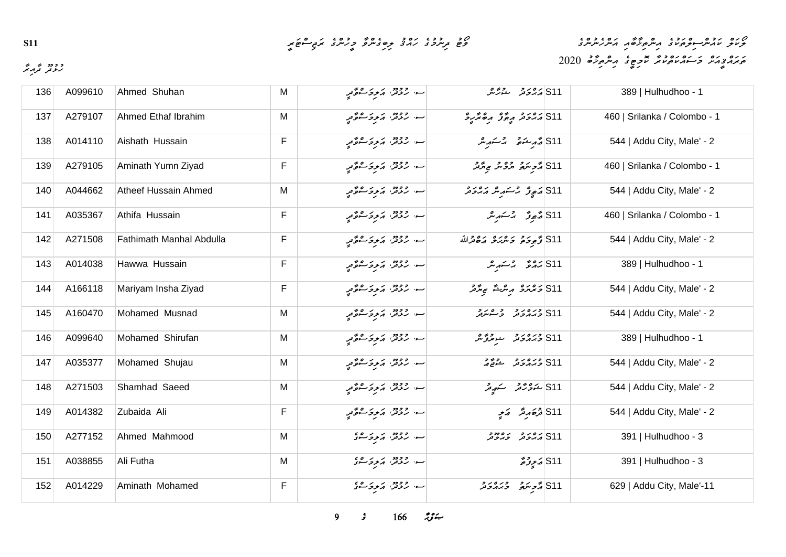*sCw7q7s5w7m< o<n9nOoAw7o< sCq;mAwBoEw7q<m; wBm;vB* م من المرة المرة المرة المرجع المرجع في المركبة 2020<br>مجم*د المريض المربوط المربع المرجع في المراجع المركبة* 

| 136 | A099610 | Ahmed Shuhan               | M | ے رودہ پروکرے گور | S11 كەبروت <sub>ىر</sub> ھەر بىر                          | 389   Hulhudhoo - 1          |
|-----|---------|----------------------------|---|-------------------|-----------------------------------------------------------|------------------------------|
| 137 | A279107 | <b>Ahmed Ethaf Ibrahim</b> | M | ے رودو تروکرے ویر | S11 كەندىخە رېمۇق م <i>ەھترى</i> دۇ                       | 460   Srilanka / Colombo - 1 |
| 138 | A014110 | Aishath Hussain            | F | ے رودو تروکرے و   | S11 مَگْرِسْتَمْ كُرْسَورِسْر                             | 544   Addu City, Male' - 2   |
| 139 | A279105 | Aminath Yumn Ziyad         | F | ے رودو پروکرے مور | S11 مُ <i>جِسَمَ مِرْدُ مَنْ بِهِ مُ</i> قَرَّ            | 460   Srilanka / Colombo - 1 |
| 140 | A044662 | Atheef Hussain Ahmed       | M | ے رودو تروکرے ویر | S11 <sub>مَب</sub> وِرْ بْرَ سَ <sub>مَ</sub> رِ مَدَومَر | 544   Addu City, Male' - 2   |
| 141 | A035367 | Athifa Hussain             | F | ے رودو پروکرے مور | S11 مَّ مِوتَرِ بِمُ سَنَ مِرْ مِرْ                       | 460   Srilanka / Colombo - 1 |
| 142 | A271508 | Fathimath Manhal Abdulla   | F | ے رودو تروکرے مور | S11 تُرجوحَمُ وَسَرَىٰوْ مَ <b>صْرَ</b> اللّه             | 544   Addu City, Male' - 2   |
| 143 | A014038 | Hawwa Hussain              | F | ے رودو تروکرے و   | S11 بَرْدُوَّ بِرْسَهِ بِرْ                               | 389   Hulhudhoo - 1          |
| 144 | A166118 | Mariyam Insha Ziyad        | F | ے رودو تروکرے مور | S11 كەنگە <i>نگە بەينگە بې</i> رگەنگە                     | 544   Addu City, Male' - 2   |
| 145 | A160470 | Mohamed Musnad             | M | ے رودو پروکرے مور | S11 <i>ۋېرو دو و</i> شترې <i>ز</i>                        | 544   Addu City, Male' - 2   |
| 146 | A099640 | Mohamed Shirufan           | M | ے رودو تروکرے میں | S11 <i>ۋېرەر دە</i> سې <i>روش</i>                         | 389   Hulhudhoo - 1          |
| 147 | A035377 | Mohamed Shujau             | M | ب رودو مرور مقرم  | S11 <i>ۋېرو دو</i> شو <i>ق پ</i>                          | 544   Addu City, Male' - 2   |
| 148 | A271503 | Shamhad Saeed              | M | ے رودو تروکرے و   | S11 شۇرگى <sup>ت</sup> ر س <i>ەپەت</i> ر                  | 544   Addu City, Male' - 2   |
| 149 | A014382 | Zubaida Ali                | F | ے رودو تروکھور    | S11 فَ <i>رْھَ مِ</i> رْمَدِ مَدَمٍ                       | 544   Addu City, Male' - 2   |
| 150 | A277152 | Ahmed Mahmood              | M | سه رودو پروژمره   | S11 كەبرو بەھ بەھ                                         | 391   Hulhudhoo - 3          |
| 151 | A038855 | Ali Futha                  | M | سه رودو پروژمو    | S11 ړ <i>نون</i> و                                        | 391   Hulhudhoo - 3          |
| 152 | A014229 | Aminath Mohamed            | F | سه روده پروژمن    | S11 أَمُّ حِسَمَةٌ حَمَدَ مَعَرَ مَ                       | 629   Addu City, Male'-11    |

*n8o<n@ r@q:q5*

*9 s* 166 *z*<sub>*s*<sup>2</sup> *i*</sub>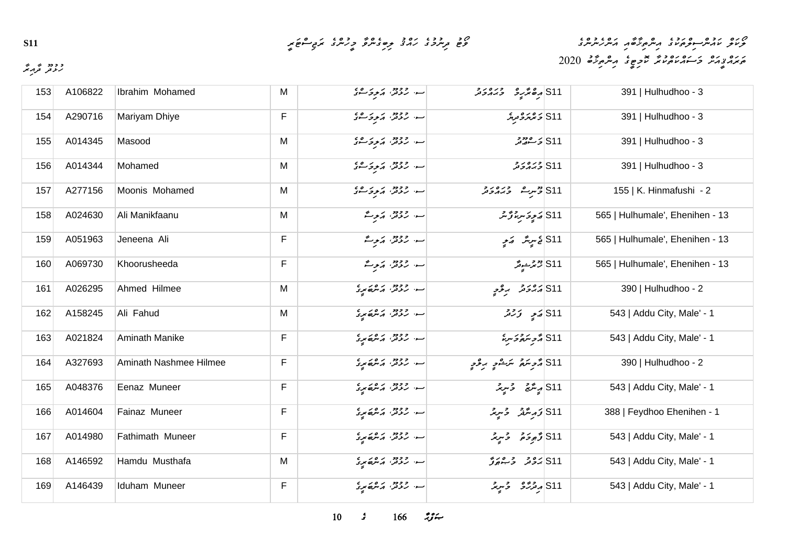*sCw7q7s5w7m< o<n9nOoAw7o< sCq;mAwBoEw7q<m; wBm;vB* م من المرة المرة المرة المرجع المرجع في المركبة 2020<br>مجم*د المريض المربوط المربع المرجع في المراجع المركبة* 

| د دود به پر<br>رنز تر ترمه تر |  |  |
|-------------------------------|--|--|
|                               |  |  |

| 153 | A106822 | Ibrahim Mohamed        | M           | ے رودو پروٹرو                          | S11 مەھرىپرى ئەممەدىر                                    | 391   Hulhudhoo - 3             |
|-----|---------|------------------------|-------------|----------------------------------------|----------------------------------------------------------|---------------------------------|
| 154 | A290716 | Mariyam Dhiye          | $\mathsf F$ | سه رودو پروژمره                        | S11 كەبۇرگە تەرىگە                                       | 391   Hulhudhoo - 3             |
| 155 | A014345 | Masood                 | M           |                                        | S11 كەشقەتتە                                             | 391   Hulhudhoo - 3             |
| 156 | A014344 | Mohamed                | M           | سه رودو رکور ده د                      | S11 دېږدونر                                              | 391   Hulhudhoo - 3             |
| 157 | A277156 | Moonis Mohamed         | M           | سه رودو کروی ده پ                      | S11 تۇسرىش ئ <i>ەزەرە</i> ر                              | 155   K. Hinmafushi - 2         |
| 158 | A024630 | Ali Manikfaanu         | M           | ے اروژہ کروٹ                           | S11 كەمەپە <i>كەبىر تۈ</i> تتىر                          | 565   Hulhumale', Ehenihen - 13 |
| 159 | A051963 | Jeneena Ali            | F           | سە رودى ئەرگ                           | S11 کے سریگر ک <i>ے م</i> ج                              | 565   Hulhumale', Ehenihen - 13 |
| 160 | A069730 | Khoorusheeda           | $\mathsf F$ | ے دودہ کروٹ                            | S11 لِزْمِرْشِيرَ گَ                                     | 565   Hulhumale', Ehenihen - 13 |
| 161 | A026295 | Ahmed Hilmee           | M           | سه دوده ره ده                          | S11 كەندى بىر بىر بىر بىر بىر <i>بى</i>                  | 390   Hulhudhoo - 2             |
| 162 | A158245 | Ali Fahud              | M           | ر در دور در در در د                    | S11 كەير   تەرقىر                                        | 543   Addu City, Male' - 1      |
| 163 | A021824 | Aminath Manike         | $\mathsf F$ | د د دود د ۵ د د پ                      | S11 مَّ مِ سَهْرَ مَ سِرْءَ                              | 543   Addu City, Male' - 1      |
| 164 | A327693 | Aminath Nashmee Hilmee | $\mathsf F$ | د د دود د ه د د د .<br>پ روس ترسمه برد | S11  مَّرِسَمْ سَ <sup>مِي</sup> ْرٍ ب <sub>ُ</sub> وْرٍ | 390   Hulhudhoo - 2             |
| 165 | A048376 | Eenaz Muneer           | F           | سه دوده ره ده                          | S11 م <sub>ی</sub> سَمَّ تَی تَی تَیْرِ مُتَر            | 543   Addu City, Male' - 1      |
| 166 | A014604 | Fainaz Muneer          | $\mathsf F$ | سه دود رور                             | S11 تزم شَمْرٌ ۔ <sub>خ</sub> سمِ تَر                    | 388   Feydhoo Ehenihen - 1      |
| 167 | A014980 | Fathimath Muneer       | $\mathsf F$ | ر در دور بر در در د                    | S11 <i>ؤُھِ وَمَعْ</i> فَسِيمُ                           | 543   Addu City, Male' - 1      |
| 168 | A146592 | Hamdu Musthafa         | M           | سه دود رور                             | S11 برور وبد <sub>و</sub> ر                              | 543   Addu City, Male' - 1      |
| 169 | A146439 | Iduham Muneer          | F           | د د دود د ده د د د                     | S11  م <i>ونڈڈڈ ڈ</i> سپٹر                               | 543   Addu City, Male' - 1      |

 $10$  *s*  $166$  *z***<sub>3</sub>** $\approx$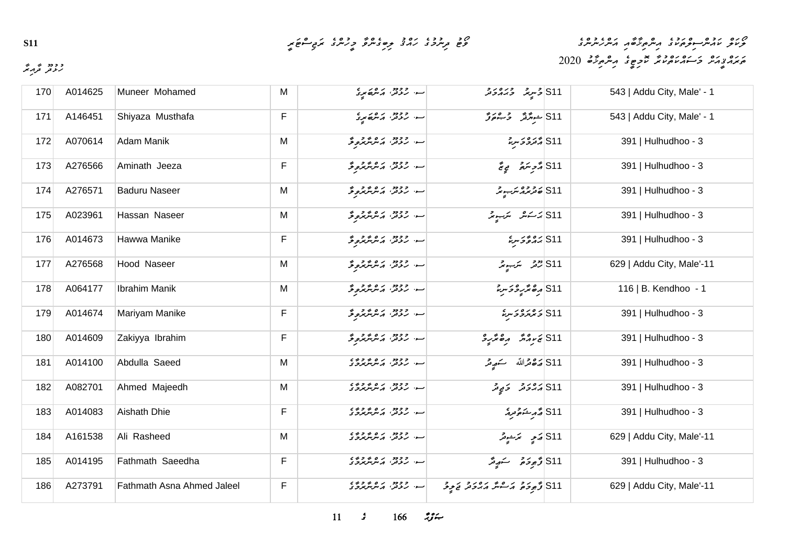*sCw7q7s5w7m< o<n9nOoAw7o< sCq;mAwBoEw7q<m; wBm;vB* م من المرة المرة المرة المرجع المرجع في المركبة 2020<br>مجم*د المريض المربوط المربع المرجع في المراجع المركبة* 

|  | د دود به پر<br>رنز تر ترمه |  |
|--|----------------------------|--|

| 170 | A014625 | Muneer Mohamed             | M           | ر در دود در در در در در این کنید و به در این کنید و به در این کنید و به در این کنید و به دست کنید و بر دست کنی<br>مسیر است کنید و بر دست کنید و برای کنید و برای کنید و برای کنید و برای کنید و برای کنید و برای کنید و برای کنی | S11  3ىرى <i>گە 3، 25% ق</i>             | 543   Addu City, Male' - 1 |
|-----|---------|----------------------------|-------------|----------------------------------------------------------------------------------------------------------------------------------------------------------------------------------------------------------------------------------|------------------------------------------|----------------------------|
| 171 | A146451 | Shiyaza Musthafa           | F           | سه رودو کره در د                                                                                                                                                                                                                 | S11 سوپرتر كربه دورگر                    | 543   Addu City, Male' - 1 |
| 172 | A070614 | Adam Manik                 | M           | ے رودہ رہ دی گھر                                                                                                                                                                                                                 | S11 مەمرىرى ئىرىد                        | 391   Hulhudhoo - 3        |
| 173 | A276566 | Aminath Jeeza              | $\mathsf F$ | ب رودو رەپرىگروگ                                                                                                                                                                                                                 | S11 مَّ مِ سَمَّى مِيَّ                  | 391   Hulhudhoo - 3        |
| 174 | A276571 | <b>Baduru Naseer</b>       | M           | سە رودە رەپرىگەدى                                                                                                                                                                                                                | S11 <i>ھۇندۇ. مىڭ بىر</i>                | 391   Hulhudhoo - 3        |
| 175 | A023961 | Hassan Naseer              | M           | ب رودو رو دو دو                                                                                                                                                                                                                  | S11 پرستانئر - مترسومر                   | 391   Hulhudhoo - 3        |
| 176 | A014673 | Hawwa Manike               | $\mathsf F$ | سە رودە رەپرىگەدى                                                                                                                                                                                                                | S11 ئەرمۇ ئەس <sup>رى</sup>              | 391   Hulhudhoo - 3        |
| 177 | A276568 | Hood Naseer                | M           | ے رودہ رہ مرمر کرنے                                                                                                                                                                                                              | S11  خۇر سىبولىمە                        | 629   Addu City, Male'-11  |
| 178 | A064177 | <b>Ibrahim Manik</b>       | M           | ب رودو رەپرىگروگر                                                                                                                                                                                                                | S11 <sub>مەھ</sub> مگەرچى تىرى <i>ت</i>  | 116   B. Kendhoo - 1       |
| 179 | A014674 | Mariyam Manike             | $\mathsf F$ | ر دارد در دارد در در گردد کرد.<br>سه گرفتن از سرسر <i>پرو</i> نژ                                                                                                                                                                 | S11 كەبر <i>مەركى كەبەتك</i>             | 391   Hulhudhoo - 3        |
| 180 | A014609 | Zakiyya Ibrahim            | $\mathsf F$ | ب رودو رەپرىگروگر                                                                                                                                                                                                                | S11 ئ <i>ې ب</i> رم <sup>و</sup> مەھترىپ | 391   Hulhudhoo - 3        |
| 181 | A014100 | Abdulla Saeed              | M           | ر د دوه د ره پورو د د<br>سه رنوتو، پرسرسربرو د                                                                                                                                                                                   | S11 كەڭقىراللە كى <i>م</i> وتتر          | 391   Hulhudhoo - 3        |
| 182 | A082701 | Ahmed Majeedh              | M           | ر د دوه ار ۵ و ۶۵ وي.<br>سه ارتونس ارسرسرپرواز                                                                                                                                                                                   | S11 كەبۇر قىم ئىقىلىرى ئى                | 391   Hulhudhoo - 3        |
| 183 | A014083 | Aishath Dhie               | F           | ر د دوه د ره پورو د د<br>سه رنوتو، پرسرسربرو د                                                                                                                                                                                   | S11 مُدْمِسْتَعْوَمِدِهُ                 | 391   Hulhudhoo - 3        |
| 184 | A161538 | Ali Rasheed                | M           | ر در دور دره بر دره د<br>سه رونو، پرسرسربرد د                                                                                                                                                                                    | S11 کھ پر مگر میں پر مقرر ا              | 629   Addu City, Male'-11  |
| 185 | A014195 | Fathmath Saeedha           | $\mathsf F$ | ر در دوه از ده بوده و در د<br>سه ارتونس از سرسربرو د                                                                                                                                                                             | S11 ژَ <i>ّجِ دَمْ شَهِ</i> تْر          | 391   Hulhudhoo - 3        |
| 186 | A273791 | Fathmath Asna Ahmed Jaleel | F           | در ۱۳۶۶ د ۱۳۶۶ ور                                                                                                                                                                                                                | S11 ۇي <i>وخۇ مەسىر مەدەر ق</i> ويۇ      | 629   Addu City, Male'-11  |

 $11$  *s*  $166$  *n***<sub>y</sub>**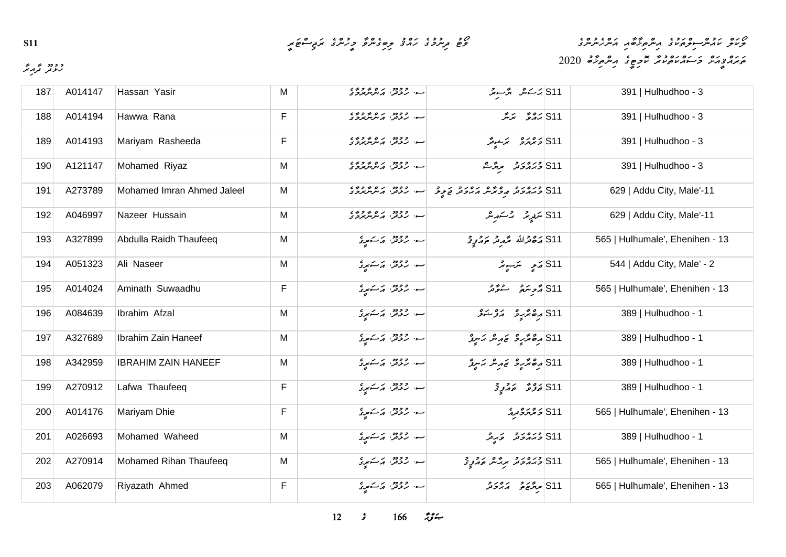*sCw7q7s5w7m< o<n9nOoAw7o< sCq;mAwBoEw7q<m; wBm;vB* م من المرة المرة المرة المرجع المرجع في المركبة 2020<br>مجم*د المريض المربوط المربع المرجع في المراجع المركبة* 

| 187 | A014147 | Hassan Yasir               | M | ر د دود د ه د ده د<br>سه رنوتو، پرسربروی                                                                                                                                                                                         | S11  پرسٹر پڑے گر                             | 391   Hulhudhoo - 3             |
|-----|---------|----------------------------|---|----------------------------------------------------------------------------------------------------------------------------------------------------------------------------------------------------------------------------------|-----------------------------------------------|---------------------------------|
| 188 | A014194 | Hawwa Rana                 | F | ر در دوه از ده بوده و در دارد.<br>سه ارتونو، اوسرس                                                                                                                                                                               | S11 ئەبۇر ئەتە                                | 391   Hulhudhoo - 3             |
| 189 | A014193 | Mariyam Rasheeda           | F | د دود ده ده ده.<br>سه روتر، پرسربروی                                                                                                                                                                                             | S11  <i>وَبُرْبِرُوْ بَرَحْبِيْرُ</i>         | 391   Hulhudhoo - 3             |
| 190 | A121147 | Mohamed Riyaz              | M | د د دود. د ه د د ده د<br>سه رنونو، پرسربربرد د                                                                                                                                                                                   | S11 <i>ۋېزونز پرو</i> شه                      | 391   Hulhudhoo - 3             |
| 191 | A273789 | Mohamed Imran Ahmed Jaleel | M |                                                                                                                                                                                                                                  | S11 دره د د و پژو برود د رو د کسه دود د ه ووی | 629   Addu City, Male'-11       |
| 192 | A046997 | Nazeer Hussain             | M | ر در دور دره دوره در در در در باشد و برای کنید و در این استاد استاده کنید و از کار در این کار در این کار در ای<br>مسائل کنید به مرکز این کار کردند و این کار در این کار در این کار در این کار در این کار در این کار در این کار ک | S11 سَمْدِيْرَ - پِرْسَهِ سِرْ                | 629   Addu City, Male'-11       |
| 193 | A327899 | Abdulla Raidh Thaufeeq     | M | ے، رودہ پڑے پری                                                                                                                                                                                                                  | S11 كەھەتراللە م <i>ەتبەتر مۇمۇ</i> تو        | 565   Hulhumale', Ehenihen - 13 |
| 194 | A051323 | Ali Naseer                 | M | سه رودو کاستمبری                                                                                                                                                                                                                 | S11  رَمِ سَرَسِيمُ                           | 544   Addu City, Male' - 2      |
| 195 | A014024 | Aminath Suwaadhu           | F | ے رودوں پر کے برو                                                                                                                                                                                                                | S11 مَّ حِ سَمَّ مَعَ مَّدَّ                  | 565   Hulhumale', Ehenihen - 13 |
| 196 | A084639 | Ibrahim Afzal              | M | سه رودو کاسکانوی                                                                                                                                                                                                                 | S11 <sub>مەھ</sub> ترىپ مۇشۇ                  | 389   Hulhudhoo - 1             |
| 197 | A327689 | Ibrahim Zain Haneef        | M | ے رودوں پر کے برو                                                                                                                                                                                                                | S11 مەھەرىپە ت <sub>ى مە</sub> شر ئەبىرو      | 389   Hulhudhoo - 1             |
| 198 | A342959 | <b>IBRAHIM ZAIN HANEEF</b> | M | سه اردود کاستمبری                                                                                                                                                                                                                | S11 مەھەرىپ ئەمەمە ئەيرى                      | 389   Hulhudhoo - 1             |
| 199 | A270912 | Lafwa Thaufeeq             | F | ر در دوده از کرد د کار د با به ایرانی است.<br>مستقیم از کار کار کردند که با ایرانی که ایرانی که ایرانی که با ایرانی که ایرانی که ایرانی که ایرانی که ایرانی                                                                      | S11 <i>خۇڭ خەربى</i> تى                       | 389   Hulhudhoo - 1             |
| 200 | A014176 | Mariyam Dhie               | F | ے رودوں برےمیری                                                                                                                                                                                                                  | S11 كەبىر بىر ئەرگە                           | 565   Hulhumale', Ehenihen - 13 |
| 201 | A026693 | Mohamed Waheed             | M | سە زودە كەسكەپى                                                                                                                                                                                                                  | S11 <i>وبرووتر   وَب</i> ِتْر                 | 389   Hulhudhoo - 1             |
| 202 | A270914 | Mohamed Rihan Thaufeeq     | M | سه روده برسهوی                                                                                                                                                                                                                   | S11 <i>ڈبزو کو برگر تو گورو</i> تو            | 565   Hulhumale', Ehenihen - 13 |
| 203 | A062079 | Riyazath Ahmed             | F | سە، رىزىق، ئەسكەپرى                                                                                                                                                                                                              | S11 <sub>موہ</sub> ریج <sub>پر</sub> محمد حمد | 565   Hulhumale', Ehenihen - 13 |

 $12$  *s*  $166$  *n***<sub>3</sub>** *n* 

و و *ه به بر*<br>رنو تر <sub>م</sub>ر بر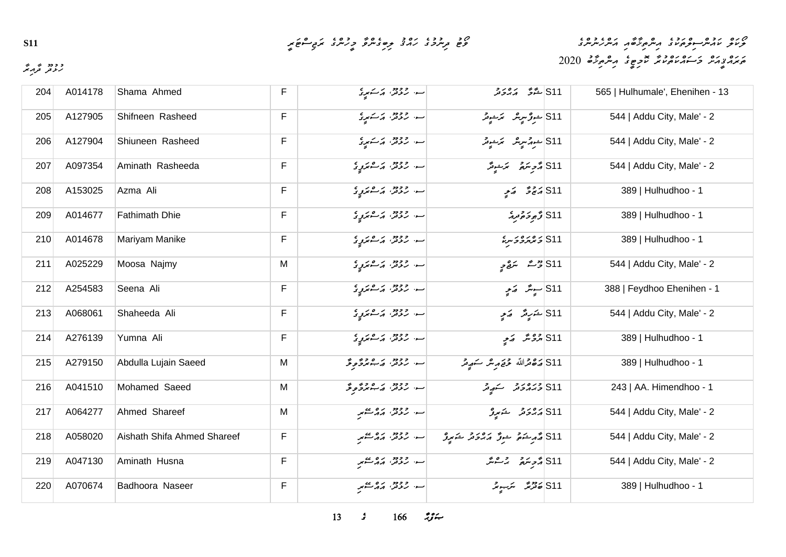*sCw7q7s5w7m< o<n9nOoAw7o< sCq;mAwBoEw7q<m; wBm;vB* م من المرة المرة المرة المرجع المرجع في المركبة 2020<br>مجم*د المريض المربوط المربع المرجع في المراجع المركبة* 

| 204 | A014178 | Shama Ahmed                 | $\mathsf F$ | سه د دوده برستهوی                                        | S11 حُتَّرَ     پروتر                                 | 565   Hulhumale', Ehenihen - 13 |
|-----|---------|-----------------------------|-------------|----------------------------------------------------------|-------------------------------------------------------|---------------------------------|
| 205 | A127905 | Shifneen Rasheed            | $\mathsf F$ | ب - رودون برکستمبری                                      | S11  سور°سرینر کرسوٹر                                 | 544   Addu City, Male' - 2      |
| 206 | A127904 | Shiuneen Rasheed            | $\mathsf F$ | سە زودە كەسكەپى                                          | S11 حوثر سریٹر کرجوئر                                 | 544   Addu City, Male' - 2      |
| 207 | A097354 | Aminath Rasheeda            | $\mathsf F$ | ب دوده پره د و                                           | S11 مُرْحِ سَمْرٍ مَرْسُوِمَّر                        | 544   Addu City, Male' - 2      |
| 208 | A153025 | Azma Ali                    | F           | ر در دوده در کار در در در ایران<br>سه ارتزایل اور شهرو د |                                                       | 389   Hulhudhoo - 1             |
| 209 | A014677 | <b>Fathimath Dhie</b>       | $\mathsf F$ | سە رودو كەسىمكى ئ                                        | S11 ژ <sub>مو</sub> ځ م <sub>و</sub> موم <sup>ر</sup> | 389   Hulhudhoo - 1             |
| 210 | A014678 | Mariyam Manike              | $\mathsf F$ | سە رودو كەسىمكى ئ                                        | S11 ئ <i>ۇيترۇ ئەبەت</i>                              | 389   Hulhudhoo - 1             |
| 211 | A025229 | Moosa Najmy                 | M           | سە رودو كەسىمكى ئ                                        | S11 تخریج شقامی                                       | 544   Addu City, Male' - 2      |
| 212 | A254583 | Seena Ali                   | F           | ( د د دود از ۲۵ د د د )<br>( سه ارتزاد کار استانوری      | S11 سویٹر کی پر                                       | 388   Feydhoo Ehenihen - 1      |
| 213 | A068061 | Shaheeda Ali                | $\mathsf F$ | ر در دوده از ۲۵ در دی.<br>سه ارتزایل اوکسته بودنی        | S11  ڪ <sub>يم</sub> ير کي په                         | 544   Addu City, Male' - 2      |
| 214 | A276139 | Yumna Ali                   | $\mathsf F$ | ( د د دود د کار د د )<br>( د د کار کار کار د کارو کار    | S11 پروتر ک <i>ے ی</i>                                | 389   Hulhudhoo - 1             |
| 215 | A279150 | Abdulla Lujain Saeed        | M           | ب رودو ره دوور                                           | S11 كَمَصْعَدْاللَّهُ خَفَيْرَ مِسْرٌ سَمَدٍ مِّرْ    | 389   Hulhudhoo - 1             |
| 216 | A041510 | Mohamed Saeed               | M           | ب رودو ره دوم و                                          | S11 <i>, 2222 كەم</i> ەتر                             | 243   AA. Himendhoo - 1         |
| 217 | A064277 | Ahmed Shareef               | M           | سه دودو ره ده ب                                          | S11 كەش <sup>ى</sup> قىرىق سىتەمب <i>و</i> گ          | 544   Addu City, Male' - 2      |
| 218 | A058020 | Aishath Shifa Ahmed Shareef | $\mathsf F$ | سه روود بره علم                                          | S11 مەم شەم ھىر <i>ۇ مەدەن</i> ھەمرۇ                  | 544   Addu City, Male' - 2      |
| 219 | A047130 | Aminath Husna               | F           | ے رودہ رومنیں                                            | S11 <sub>م</sub> ُّر <i>َ بِيهُ بِي</i> مُشَرَّ       | 544   Addu City, Male' - 2      |
| 220 | A070674 | Badhoora Naseer             | F           | سە زودە ئەھمىشىمە                                        | S11 <i>کانگریمہ</i> سرسومر                            | 389   Hulhudhoo - 1             |

 $13$  *s*  $166$  *n***<sub>3</sub>** *n*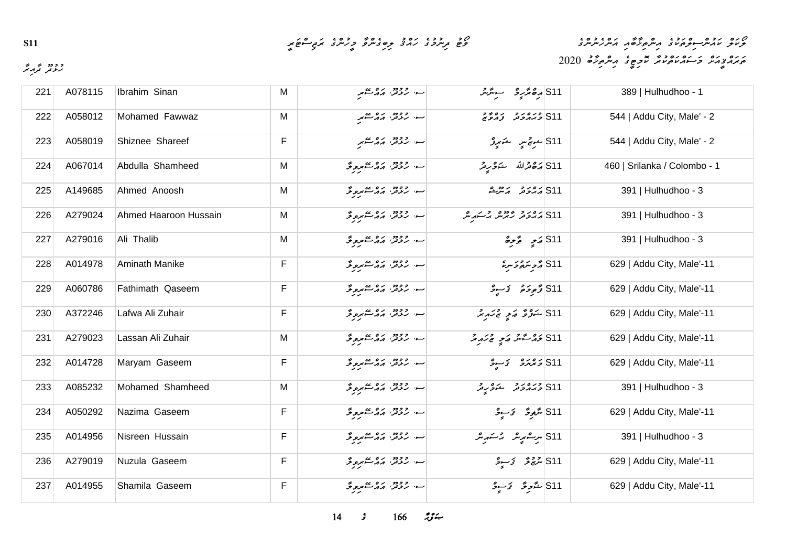*sCw7q7s5w7m< o<n9nOoAw7o< sCq;mAwBoEw7q<m; wBm;vB* م من المرة المرة المرة المرجع المرجع في المركبة 2020<br>مجم*د المريض المربوط المربع المرجع في المراجع المركبة* 

| $\rightarrow$ $\rightarrow$ $\rightarrow$ $\rightarrow$ $\rightarrow$ |  |
|-----------------------------------------------------------------------|--|
| رؤثر فرمه                                                             |  |
|                                                                       |  |

| 221 | A078115 | Ibrahim Sinan         | M            | سە رىزىق، مەم شىمر   | S11 م <i>وڭ ئۇر</i> بۇ سويى <i>گەن</i> گە              | 389   Hulhudhoo - 1          |
|-----|---------|-----------------------|--------------|----------------------|--------------------------------------------------------|------------------------------|
| 222 | A058012 | Mohamed Fawwaz        | M            | ے رودوں دہ سکامر     | S11 <i>32023</i> زەھ بى                                | 544   Addu City, Male' - 2   |
| 223 | A058019 | Shiznee Shareef       | F            | سه رودو رو ده بر     | S11  ھوچم سي مڪمر <i>پ</i> و                           | 544   Addu City, Male' - 2   |
| 224 | A067014 | Abdulla Shamheed      | M            | ب رودو ره عصروته     | S11 مَەھْتَراللە خەرىب <sup>ىر</sup>                   | 460   Srilanka / Colombo - 1 |
| 225 | A149685 | Ahmed Anoosh          | M            | ب رودو ره عمرونگ     | S11 كەبروتر كەنترىش                                    | 391   Hulhudhoo - 3          |
| 226 | A279024 | Ahmed Haaroon Hussain | M            | ب رودو ره په جرون    | S11 كەبرو بولۇپ بەسكەنلەش                              | 391   Hulhudhoo - 3          |
| 227 | A279016 | Ali Thalib            | M            | سە رودو رە شىرو ئى   | S11 کړې گ <sub>ی</sub> ون <i>ې</i>                     | 391   Hulhudhoo - 3          |
| 228 | A014978 | Aminath Manike        | F            | سە رودو رە شىرو ئى   | S11 مَّ مِ سَعْرَ حَ سِرْءَ                            | 629   Addu City, Male'-11    |
| 229 | A060786 | Fathimath Qaseem      | F            | ب رودو ره په عرونځ   | S11 تۇم <sub>ب</sub> وڭمۇ تۆسۈ <i>گ</i> ە              | 629   Addu City, Male'-11    |
| 230 | A372246 | Lafwa Ali Zuhair      | $\mathsf F$  | ب دودو ره علموځ      | S11 سَوْءٌ <sub>صَ</sub> عِ يَحْرَ <sub>م</sub> ِ يَرْ | 629   Addu City, Male'-11    |
| 231 | A279023 | Lassan Ali Zuhair     | M            | - رودو رە مەسورە ئە  | S11 ئۇرگەش <sub>م</sub> ىرىم ئى <i>ئى</i> رىد          | 629   Addu City, Male'-11    |
| 232 | A014728 | Maryam Gaseem         | F            | سە رودو رە شىرو ئى   | S11 <i>5 پروژ</i> تخ سوژ                               | 629   Addu City, Male'-11    |
| 233 | A085232 | Mohamed Shamheed      | M            | سە رودو رە شىرو ئى   | S11 <i>\$نەۋەتە</i> خۇرى <i>ت</i> ە                    | 391   Hulhudhoo - 3          |
| 234 | A050292 | Nazima Gaseem         | $\mathsf F$  | ب رودو ره په موږگ    | S11 سَمْعِ تَقْ تَوْسِوْ                               | 629   Addu City, Male'-11    |
| 235 | A014956 | Nisreen Hussain       | F            | سە رودو رە شىروگ     | S11 سرے پریڈ کے کہ بھر                                 | 391   Hulhudhoo - 3          |
| 236 | A279019 | Nuzula Gaseem         | $\mathsf{F}$ | ب رودو ره په دوغ     | S11 برچ تخ تخ سوڤر ا                                   | 629   Addu City, Male'-11    |
| 237 | A014955 | Shamila Gaseem        | F            | ب رودو ره په عمومونځ | S11 ڪروگر تخ <sup>م</sup> وگر                          | 629   Addu City, Male'-11    |

 $14$  *s*  $166$  *z*  $\frac{2}{3}$  *k*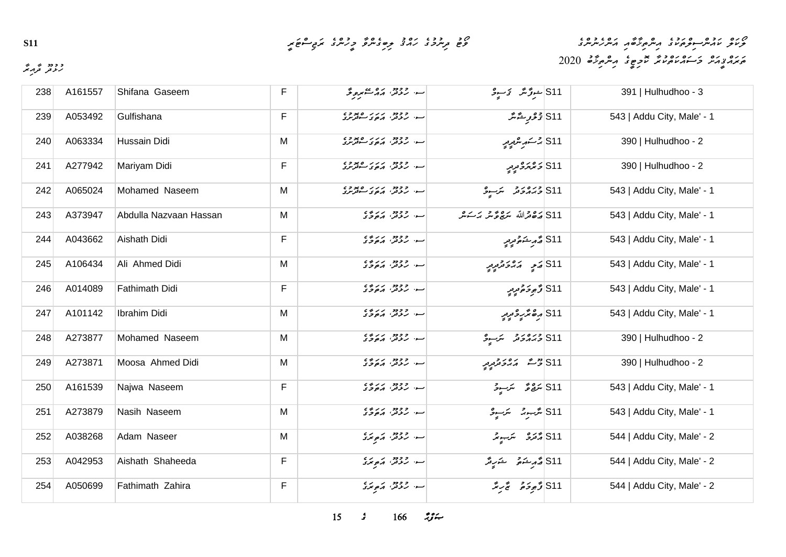*sCw7q7s5w7m< o<n9nOoAw7o< sCq;mAwBoEw7q<m; wBm;vB* م من المرة المرة المرة المرجع المرجع في المركبة 2020<br>مجم*د المريض المربوط المربع المرجع في المراجع المركبة* 

|  | $\begin{array}{ccccc} \circ & \circ & \circ & \circ \end{array}$ |
|--|------------------------------------------------------------------|
|  | نرعرفر اقرمرته                                                   |
|  |                                                                  |

| 238 | A161557 | Shifana Gaseem         | F           | سە رودو رە بەسىرە ئ                                 | S11 حو <i>ڙنگ ت</i> خ سور                                | 391   Hulhudhoo - 3        |
|-----|---------|------------------------|-------------|-----------------------------------------------------|----------------------------------------------------------|----------------------------|
| 239 | A053492 | Gulfishana             | F           | ر د ووه در در دره ده<br>سه رنوش پره د ستورن         | S11  تۇتۇپەيشىر                                          | 543   Addu City, Male' - 1 |
| 240 | A063334 | Hussain Didi           | M           | و وود. در بر در ور.<br>سه رنوش اړه د سوترن          | S11  پُرڪ <i>مپرنگوپ</i> رِ                              | 390   Hulhudhoo - 2        |
| 241 | A277942 | Mariyam Didi           | $\mathsf F$ | ر د ووه اربر د در ده ور<br>سه اربوتو، اردوی ستوربوی | S11  تر چربر <sup>9</sup> میر                            | 390   Hulhudhoo - 2        |
| 242 | A065024 | Mohamed Naseem         | M           | د و دود. در در در ده در د<br>سه رنوش اړه د سوترن    | S11 <i>\$ پروونز</i> ترجو                                | 543   Addu City, Male' - 1 |
| 243 | A373947 | Abdulla Nazvaan Hassan | M           | ر د وود درده د                                      | S11 كَمْگُوْتْرَاللَّهُ عَرَيْكُمْ تَرْكُمْ بَرَسَكُمْرً | 543   Addu City, Male' - 1 |
| 244 | A043662 | Aishath Didi           | F           | د دودو.<br>سه روتر، پرکوری                          | S11 مَگْرِ شَکُونِرِ مِرِ                                | 543   Addu City, Male' - 1 |
| 245 | A106434 | Ali Ahmed Didi         | M           | د دودو.<br>سه روتر، من ور                           | S11  كەمچە - كەنگە <i>قەتەپەي</i> ر                      | 543   Addu City, Male' - 1 |
| 246 | A014089 | <b>Fathimath Didi</b>  | $\mathsf F$ | ر د وود درده د<br>سه روش مورد                       | S11 تُرْجِوحَ مُرْمِرِ                                   | 543   Addu City, Male' - 1 |
| 247 | A101142 | Ibrahim Didi           | M           | د دودو.<br>سه روتر، مکون د                          | S11 <sub>مر</sub> چ پڑر <sub>گ</sub> ورمر                | 543   Addu City, Male' - 1 |
| 248 | A273877 | Mohamed Naseem         | M           | ر د دود. درد د د                                    | S11  <i>وټرونوتر پرسې</i> و                              | 390   Hulhudhoo - 2        |
| 249 | A273871 | Moosa Ahmed Didi       | M           | د دودو در ده د<br>سه روتن پرکوری                    | S11  تۆس <sup>ىتە</sup> كەنگە <i>قەتەپەي</i> ر           | 390   Hulhudhoo - 2        |
| 250 | A161539 | Najwa Naseem           | F           | د د دود. درد د د.<br>سه روفر، مص                    | S11 يَرْدُجْ مَنْ سَرْسِرْتْر                            | 543   Addu City, Male' - 1 |
| 251 | A273879 | Nasih Naseem           | M           | ر د وود درده د<br>سه روش مورد                       | S11 مگرسوپر - مگرسوپر                                    | 543   Addu City, Male' - 1 |
| 252 | A038268 | Adam Naseer            | M           | سه رودود. مرمونزی                                   | S11  مُرْمَرْدُ - سَرَسِيشْ                              | 544   Addu City, Male' - 2 |
| 253 | A042953 | Aishath Shaheeda       | $\mathsf F$ | سه دودو. زم ده                                      | S11 مَ <i>ذْمِ حَذَمْ</i> حَدَيْثَر                      | 544   Addu City, Male' - 2 |
| 254 | A050699 | Fathimath Zahira       | F           | سه رودود. مرمونزی                                   | S11 <i>وُّهِ دَء</i> ْ ت <sub>َح</sub> مَّ سِمَّ         | 544   Addu City, Male' - 2 |

 $15$  *s*  $166$  *z***<sub>3</sub>**  $\frac{2}{3}$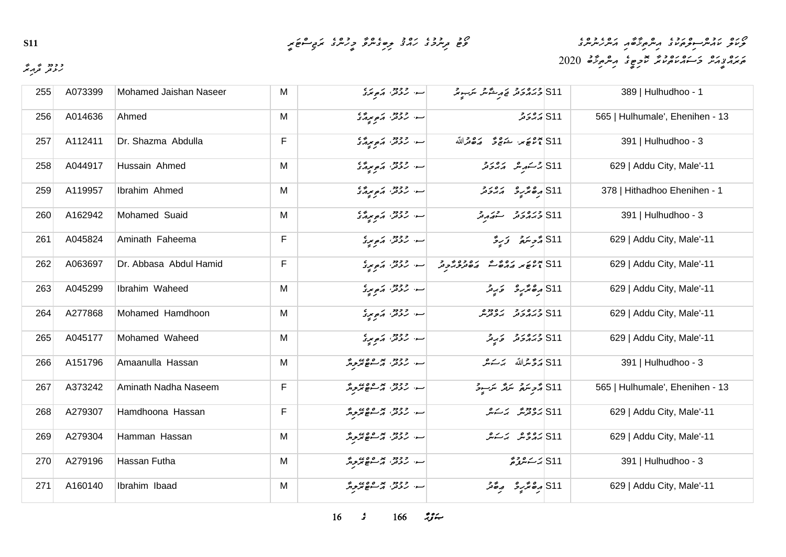*sCw7q7s5w7m< o<n9nOoAw7o< sCq;mAwBoEw7q<m; wBm;vB* م من المرة المرة المرة المرجع المرجع في المركبة 2020<br>مجم*د المريض المربوط المربع المرجع في المراجع المركبة* 

|  | د دود به پر<br>رنز تر ترمه |
|--|----------------------------|
|  |                            |

| 255 | A073399 | Mohamed Jaishan Naseer | M           | سه رودو کرم دی                             | S11 تر پروتر تے پر ش <sup>ہ</sup> شریب پر     | 389   Hulhudhoo - 1             |
|-----|---------|------------------------|-------------|--------------------------------------------|-----------------------------------------------|---------------------------------|
| 256 | A014636 | Ahmed                  | M           | ے رودو کے مرکز                             | S11 كەبرى قىر                                 | 565   Hulhumale', Ehenihen - 13 |
| 257 | A112411 | Dr. Shazma Abdulla     | F           | - دودو رکم مرد د                           | S11 يوم يوم سنومج تر كام كالله                | 391   Hulhudhoo - 3             |
| 258 | A044917 | Hussain Ahmed          | M           | - دودو که دیدگا                            | S11 برسەمبەش ئەجرىتىر                         | 629   Addu City, Male'-11       |
| 259 | A119957 | Ibrahim Ahmed          | M           | - دودو رکه برده                            | S11 مەھمەر قىم ئەمەد قىر                      | 378   Hithadhoo Ehenihen - 1    |
| 260 | A162942 | Mohamed Suaid          | M           | - دودو رکم مرد د                           | S11 <i>ۋېرو دو مشتر م</i> قر                  | 391   Hulhudhoo - 3             |
| 261 | A045824 | Aminath Faheema        | $\mathsf F$ | ب د دودن م کم مرد کا                       | S11 مَّ مِ سَمَّى وَرِدَّ                     | 629   Addu City, Male'-11       |
| 262 | A063697 | Dr. Abbasa Abdul Hamid | F           |                                            | S11 برەيم رەپ مەدەبەر جەمئالىق دەھەر ئەمبىرى  | 629   Addu City, Male'-11       |
| 263 | A045299 | Ibrahim Waheed         | M           | سه رحمد به کار محمد برد که                 | S11 م <i>وڭ ئۇر</i> ۇ ق <i>اي</i> وتر         | 629   Addu City, Male'-11       |
| 264 | A277868 | Mohamed Hamdhoon       | M           | سەر 1322، ئەھجەسىرى                        | S11 دره رو برودوه                             | 629   Addu City, Male'-11       |
| 265 | A045177 | Mohamed Waheed         | M           | سه د دود. که دیدی                          | S11 <i>ډېرونو وې</i> تر                       | 629   Addu City, Male'-11       |
| 266 | A151796 | Amaanulla Hassan       | M           | سه دوده بر ۵۵۵ و.                          | S11 كەڭ شراللە بەسكەنلە                       | 391   Hulhudhoo - 3             |
| 267 | A373242 | Aminath Nadha Naseem   | $\mathsf F$ | ر در دور بر دوه بر درگر<br>روز بر سرکار در | S11 مٌ <i>وِ سَمَّةَ</i> سَرَبَّرَ سَرَسِوتَر | 565   Hulhumale', Ehenihen - 13 |
| 268 | A279307 | Hamdhoona Hassan       | $\mathsf F$ | ے رودو بوت 2000 م                          | S11 ټرونرنگ - ټرېنگر                          | 629   Addu City, Male'-11       |
| 269 | A279304 | Hamman Hassan          | M           | ر در دور بر ده ده در د                     | S11 <i>ټرونگر برسکر</i>                       | 629   Addu City, Male'-11       |
| 270 | A279196 | Hassan Futha           | M           | ر در دور بر ده در در د                     | S11 ئەسەئىدۇ ئىچ                              | 391   Hulhudhoo - 3             |
| 271 | A160140 | Ibrahim Ibaad          | M           | ر در دور بر ده ده در د                     | S11 مەھ <i>مگىر ئىسمى ھەق</i> ر               | 629   Addu City, Male'-11       |

 $16$  *s*  $166$  *z*  $\frac{2}{3}$  *k*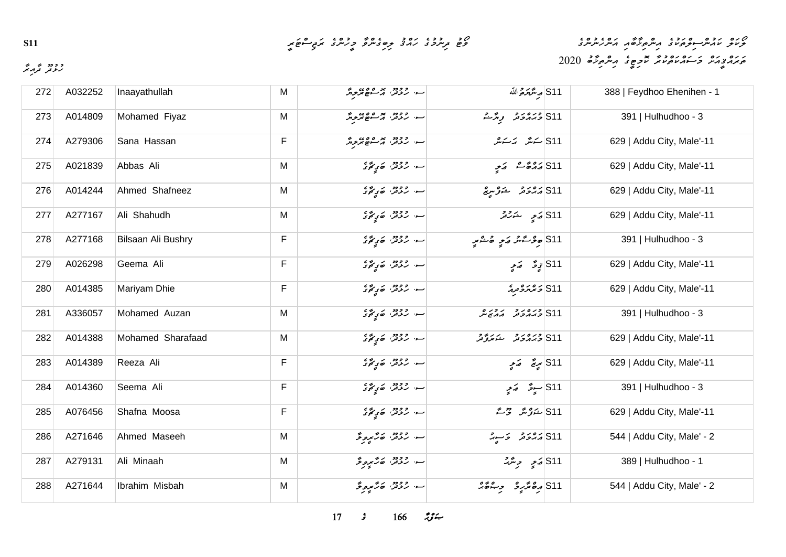*sCw7q7s5w7m< o<n9nOoAw7o< sCq;mAwBoEw7q<m; wBm;vB* م من المرة المرة المرة المرجع المرجع في المركبة 2020<br>مجم*د المريض المربوط المربع المرجع في المراجع المركبة* 

|  | 彡 彡 ≫ >>    |
|--|-------------|
|  | زؤفر قرمرته |
|  |             |

| 272 | A032252 | Inaayathullah      | M           | ( - مردود بر ۵۵۵ و.<br>( - مردود ابر سوھ بربر ابر | S11 صِتَعَمَّعَهُ اللَّه           | 388   Feydhoo Ehenihen - 1 |
|-----|---------|--------------------|-------------|---------------------------------------------------|------------------------------------|----------------------------|
| 273 | A014809 | Mohamed Fiyaz      | M           | سه دوده بر ۵۵۵۰ و.                                | S11 <i>دېم</i> روتر پ <i>ر</i> گت  | 391   Hulhudhoo - 3        |
| 274 | A279306 | Sana Hassan        | F           | سه دوده بر ۵۵۵۰ و.                                | S11  سَتَرَ - پَرسَتَر             | 629   Addu City, Male'-11  |
| 275 | A021839 | Abbas Ali          | M           | سه دودد. که په کار                                | S11 <i>ەيۋە</i> م مەم              | 629   Addu City, Male'-11  |
| 276 | A014244 | Ahmed Shafneez     | M           | سه دودد. ځونو                                     | S11 كەبرى قىر سىرگە بىرى ئى        | 629   Addu City, Male'-11  |
| 277 | A277167 | Ali Shahudh        | M           | سه دودد. ځونو                                     | S11  رَمِ شَ <sup>3</sup> رُتْرُ   | 629   Addu City, Male'-11  |
| 278 | A277168 | Bilsaan Ali Bushry | F           | سه دودد. ځونو                                     | S11 ھوگ مگر <sub>مگ</sub> ر ھڪر    | 391   Hulhudhoo - 3        |
| 279 | A026298 | Geema Ali          | F           | سه دودو. ځونو                                     | S11  ت <sub>و</sub> تَر کمیم ِ     | 629   Addu City, Male'-11  |
| 280 | A014385 | Mariyam Dhie       | $\mathsf F$ | سه دودد. ځونو                                     | S11 كەبىر بىر ئەرگە                | 629   Addu City, Male'-11  |
| 281 | A336057 | Mohamed Auzan      | M           | سه دودد. ځونون                                    | S11 دېرمونو پروبره                 | 391   Hulhudhoo - 3        |
| 282 | A014388 | Mohamed Sharafaad  | M           | ر د دود.<br>سه رنزنس کارگان                       | S11 <i>دېم دو.</i> شمر <i>ون</i> و | 629   Addu City, Male'-11  |
| 283 | A014389 | Reeza Ali          | F           | سە رودو، ئەرگەر                                   | S11 مربح ک <i>ے م</i>              | 629   Addu City, Male'-11  |
| 284 | A014360 | Seema Ali          | F           | سه دوده کاروی                                     | S11 سوتھ - م <i>ک</i> حیہ          | 391   Hulhudhoo - 3        |
| 285 | A076456 | Shafna Moosa       | F           | سه دودد. ځونو                                     | S11 ينۇنگە تۇش                     | 629   Addu City, Male'-11  |
| 286 | A271646 | Ahmed Maseeh       | M           | - رودو کارموه تر                                  | S11 كەندى قىرىد                    | 544   Addu City, Male' - 2 |
| 287 | A279131 | Ali Minaah         | M           | ب دودو کارمونو گ                                  | S11  رَمِ <sub>حِ</sub> سَّرٌ      | 389   Hulhudhoo - 1        |
| 288 | A271644 | Ibrahim Misbah     | M           | ب دودو کارمرو ت                                   | S11 رەتمەر ئوسىۋە                  | 544   Addu City, Male' - 2 |

 $17$  *s*  $166$   $23$   $\div$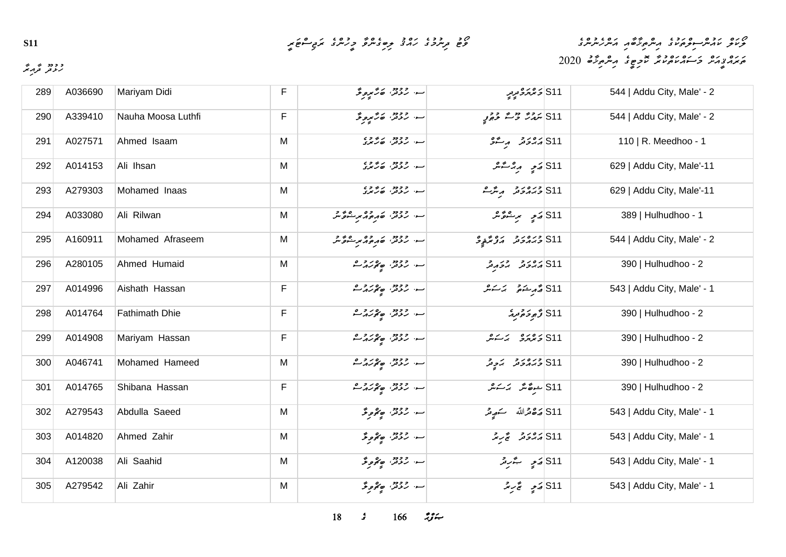*sCw7q7s5w7m< o<n9nOoAw7o< sCq;mAwBoEw7q<m; wBm;vB* م من المرة المرة المرة المرجع المرجع في المركبة 2020<br>مجم*د المريض المربوط المربع المرجع في المراجع المركبة* 

| 289 | A036690 | Mariyam Didi          | F | ب رودو کارمولو ش                    | S11 كەچرىك <sub>ۇ توپ</sub> ىر        | 544   Addu City, Male' - 2 |
|-----|---------|-----------------------|---|-------------------------------------|---------------------------------------|----------------------------|
| 290 | A339410 | Nauha Moosa Luthfi    | F | - رودو ەرمرو ئ                      | S11 سَمَدُرٌ وَ" وَجَوَرٍ             | 544   Addu City, Male' - 2 |
| 291 | A027571 | Ahmed Isaam           | M | ر دودو. دووه                        | S11 كەبرى قىر مەسىمى                  | 110   R. Meedhoo - 1       |
| 292 | A014153 | Ali Ihsan             | M | ر د دود. ده ده د<br>سه روتر، کاربود | S11 كەمچە بەيرىشىشەر                  | 629   Addu City, Male'-11  |
| 293 | A279303 | Mohamed Inaas         | M | ر در دود. ده ده د                   | S11 <i>جەنگە جۇ مەم</i> گەشە          | 629   Addu City, Male'-11  |
| 294 | A033080 | Ali Rilwan            | M | ٢٠٠ - ١٢٥ - ٢٥ م م وارم بر شور مر   | S11 كەمچە موشۇمىگە                    | 389   Hulhudhoo - 1        |
| 295 | A160911 | Mohamed Afraseem      | M | سه دودد، ځه موه مرسوموس             | S11 <i>ۋېرەدىن مۇ</i> بۇيۇ            | 544   Addu City, Male' - 2 |
| 296 | A280105 | Ahmed Humaid          | M | سه رودو په مخر کرم ک                | S11 كەبرى بىر بەر ئىرىدىگە            | 390   Hulhudhoo - 2        |
| 297 | A014996 | Aishath Hassan        | F | - رودو ھورو ھ                       | S11 م <i>مَّ مِ</i> حَسَنَ مَ سَسَر   | 543   Addu City, Male' - 1 |
| 298 | A014764 | <b>Fathimath Dhie</b> | F | - رودو ھەردو                        | S11 ۇ <sub>م</sub> و ئەۋىرە ئە        | 390   Hulhudhoo - 2        |
| 299 | A014908 | Mariyam Hassan        | F | - رودو ھورو ھ                       | S11 ئ <i>ۇيرۇ بەش</i> كە              | 390   Hulhudhoo - 2        |
| 300 | A046741 | Mohamed Hameed        | M | - رودو ھەركەت                       | S11 <i>\$ پروونز بر<sub>و</sub>نز</i> | 390   Hulhudhoo - 2        |
| 301 | A014765 | Shibana Hassan        | F | - رودو ھی دورہ                      | S11 ش <sub>و</sub> ڭتر كەشر           | 390   Hulhudhoo - 2        |
| 302 | A279543 | Abdulla Saeed         | M | ب رودون ھائور گھ                    | S11 #چىقىقراللە كىھ <i>پى</i> قر      | 543   Addu City, Male' - 1 |
| 303 | A014820 | Ahmed Zahir           | M | ب رودون ھاموش                       | S11 كەنزى قىلى ئىق بىر ئىقىن ئىق      | 543   Addu City, Male' - 1 |
| 304 | A120038 | Ali Saahid            | M | ب رودون ھاموش                       | S11  رَمِ جُرِثَرُ                    | 543   Addu City, Male' - 1 |
| 305 | A279542 | Ali Zahir             | M | ب رودون ھگور گ                      | S11 <i>ھَ جِي چُرى</i> تَر            | 543   Addu City, Male' - 1 |

 $18$  *s*  $166$  *n***<sub>3</sub>** *n*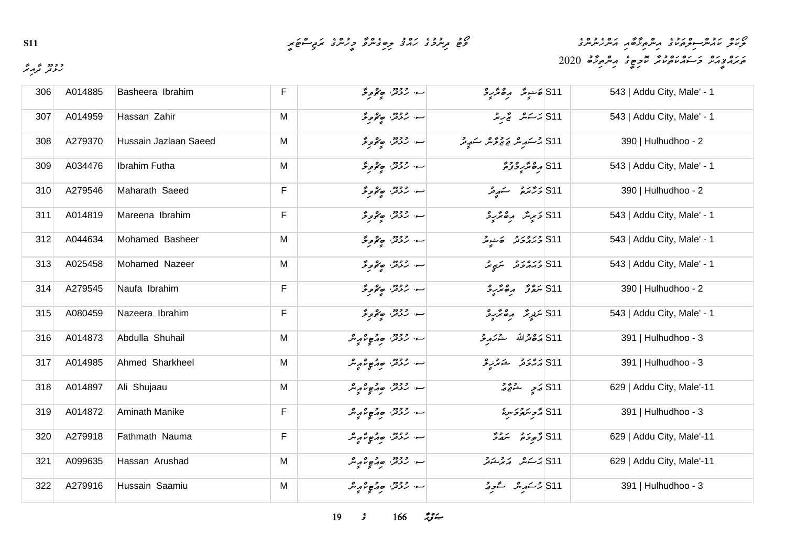*sCw7q7s5w7m< o<n9nOoAw7o< sCq;mAwBoEw7q<m; wBm;vB* م من المرة المرة المرة المرجع المرجع في المركبة 2020<br>مجم*د المريض المربوط المربع المرجع في المراجع المركبة* 

| 306 | A014885 | Basheera Ibrahim      | F | ب رودون ھائوقہ                                                                                                                                                                                                                                                                                                            | S11 ھَشِيمٌ پرھُمَّر <sub>ُبُ</sub> وْ                                                               | 543   Addu City, Male' - 1 |
|-----|---------|-----------------------|---|---------------------------------------------------------------------------------------------------------------------------------------------------------------------------------------------------------------------------------------------------------------------------------------------------------------------------|------------------------------------------------------------------------------------------------------|----------------------------|
| 307 | A014959 | Hassan Zahir          | M | سه رودون ھائوو مح                                                                                                                                                                                                                                                                                                         | S11 ئەسىھ ئ <sub>ە</sub> ئەرىتى                                                                      | 543   Addu City, Male' - 1 |
| 308 | A279370 | Hussain Jazlaan Saeed | M | سه رودو، ھاڻھوتھ                                                                                                                                                                                                                                                                                                          | S11 بر سَمبر شرح پر عَز مَشْرِ مِسْرِ بِرْ مِسْرِ بِرْ مِسْرِ بِرْ مِسْرِ بِرْ مِسْرِ بِرْ مِسْرِ بِ | 390   Hulhudhoo - 2        |
| 309 | A034476 | Ibrahim Futha         | M | - رودرم ھاجو محمد                                                                                                                                                                                                                                                                                                         | S11 <sub>مر</sub> ھ ئر پ <sub>ر</sub> و زند                                                          | 543   Addu City, Male' - 1 |
| 310 | A279546 | Maharath Saeed        | F | ب رودون ھائوقہ                                                                                                                                                                                                                                                                                                            | S11 <i>5 ترىمى ئىم يى</i> تر                                                                         | 390   Hulhudhoo - 2        |
| 311 | A014819 | Mareena Ibrahim       | F | سه رودون ھاڻھويو                                                                                                                                                                                                                                                                                                          | S11  5ىرىگە ب <i>وھ<sup>ى</sup>گەرچ</i>                                                              | 543   Addu City, Male' - 1 |
| 312 | A044634 | Mohamed Basheer       | M | سه رودون ھائوو مح                                                                                                                                                                                                                                                                                                         | S11 <i>وُبَرُهُ وَبَدْ</i> صَنوِيْرَ                                                                 | 543   Addu City, Male' - 1 |
| 313 | A025458 | Mohamed Nazeer        | M | سه رودون ھائور تھ                                                                                                                                                                                                                                                                                                         | S11 <i>ڈیزوگوٹر سر<sub>ک</sub>ے بڑ</i>                                                               | 543   Addu City, Male' - 1 |
| 314 | A279545 | Naufa Ibrahim         | F | ب رودون ھائور گھ                                                                                                                                                                                                                                                                                                          | S11 يتروز م <i>و م</i> ثرب <sub>و</sub> د                                                            | 390   Hulhudhoo - 2        |
| 315 | A080459 | Nazeera Ibrahim       | F | ب رودون ھائوقہ                                                                                                                                                                                                                                                                                                            | S11 ىترن <sub>ىر</sub> ىگە مەھ <i>مگرى</i> ئ                                                         | 543   Addu City, Male' - 1 |
| 316 | A014873 | Abdulla Shuhail       | M | سور رودو موری مورید                                                                                                                                                                                                                                                                                                       | S11 كەھەراللە مە <i>تەم</i> ۇ                                                                        | 391   Hulhudhoo - 3        |
| 317 | A014985 | Ahmed Sharkheel       | M | $\begin{vmatrix} 0 & 0 & 0 & 0 & 0 & 0 \\ 0 & 0 & 0 & 0 & 0 & 0 \\ 0 & 0 & 0 & 0 & 0 & 0 \\ 0 & 0 & 0 & 0 & 0 & 0 \\ 0 & 0 & 0 & 0 & 0 & 0 \\ 0 & 0 & 0 & 0 & 0 & 0 \\ 0 & 0 & 0 & 0 & 0 & 0 \\ 0 & 0 & 0 & 0 & 0 & 0 \\ 0 & 0 & 0 & 0 & 0 & 0 \\ 0 & 0 & 0 & 0 & 0 & 0 & 0 \\ 0 & 0 & 0 & 0 & 0 & 0 & 0 \\ 0 & 0 & 0 & $ | S11 كەردى ئىقىرىپ                                                                                    | 391   Hulhudhoo - 3        |
| 318 | A014897 | Ali Shujaau           | M | - دود مركز موري                                                                                                                                                                                                                                                                                                           | S11 <i>جَمْعٍ</i> شَقَ <i>مَّةً</i>                                                                  | 629   Addu City, Male'-11  |
| 319 | A014872 | Aminath Manike        | F | - رود مركز مور                                                                                                                                                                                                                                                                                                            | S11 مَّ مِ سَهْرَ مَ سِرْءَ                                                                          | 391   Hulhudhoo - 3        |
| 320 | A279918 | Fathmath Nauma        | F | - مردس مارج مار مر                                                                                                                                                                                                                                                                                                        | S11 <i>ؤوخۇ ئىم</i> ۇ                                                                                | 629   Addu City, Male'-11  |
| 321 | A099635 | Hassan Arushad        | M | $\left  \begin{array}{cc} \mathcal{L}_{11} & \mathcal{L}_{22} & \mathcal{L}_{23} & \mathcal{L}_{24} \\ \mathcal{L}_{21} & \mathcal{L}_{22} & \mathcal{L}_{23} & \mathcal{L}_{24} \end{array} \right $                                                                                                                     | S11 ئەسەھەر كەيمەيھەتەر                                                                              | 629   Addu City, Male'-11  |
| 322 | A279916 | Hussain Saamiu        | M | سه رودو مورکو عامرینگر                                                                                                                                                                                                                                                                                                    | S11 بڑے پر شرور محمد پر م                                                                            | 391   Hulhudhoo - 3        |

و و *ه به به*<br>روتر ت*ور*یم

*19 sC 166 nNw?mS*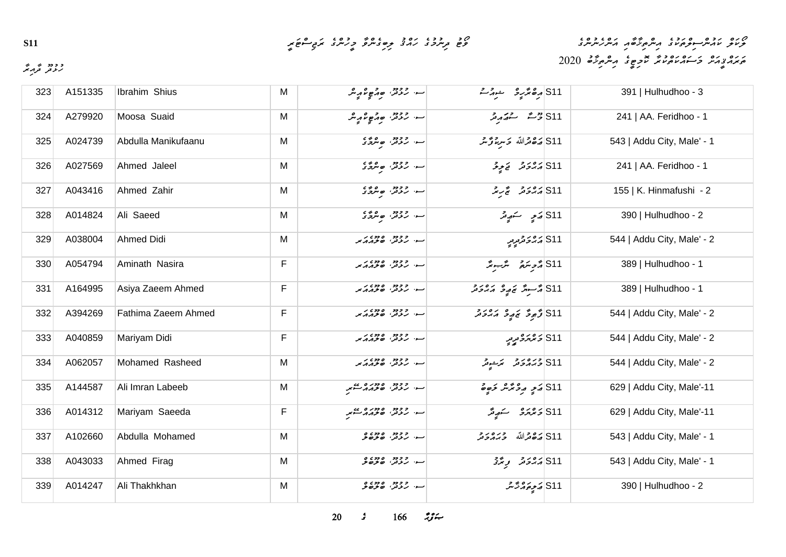*sCw7q7s5w7m< o<n9nOoAw7o< sCq;mAwBoEw7q<m; wBm;vB 2020*<br>*په پوهر و حسور سور انگر سوره د میگرمورده* 2020

| 323 | A151335 | Ibrahim Shius       | M | ے رودو صدی مرکب                                  | S11 م <i>وڭ ئۇرۇ ھەم شە</i>                     | 391   Hulhudhoo - 3        |
|-----|---------|---------------------|---|--------------------------------------------------|-------------------------------------------------|----------------------------|
| 324 | A279920 | Moosa Suaid         | M | ۔ رود مرکب اللہ                                  | S11 تۇشە ئىقدىرىتىر                             | 241   AA. Feridhoo - 1     |
| 325 | A024739 | Abdulla Manikufaanu | M | سه دودو.<br>سه رونو، صروری                       | S11 #چىقىراللە ئ <i>ەس<sup>ىرى</sup> ئى</i> ر   | 543   Addu City, Male' - 1 |
| 326 | A027569 | Ahmed Jaleel        | M | ر دودو.<br>سه روتو، صرور                         | S11   پَرْدُوَسْ کَے مِوْتَح                    | 241   AA. Feridhoo - 1     |
| 327 | A043416 | Ahmed Zahir         | M | د دودو.<br>سه رنوش صروری                         | S11 كەبرى قىلى قىلىدى ئىس                       | 155   K. Hinmafushi - 2    |
| 328 | A014824 | Ali Saeed           | M | ر دودو.<br>سه روتو، صرور                         | S11  پَرمٍ کمپیٹر                               | 390   Hulhudhoo - 2        |
| 329 | A038004 | <b>Ahmed Didi</b>   | M | د دود دوره در<br>سه روتر، هودرمر                 | S11  ترثر 5 ترورٍ مر                            | 544   Addu City, Male' - 2 |
| 330 | A054794 | Aminath Nasira      | F | ر د د ده د ده د د د کار<br>سو، رکونس ن گروه کار  | S11 مُرْحِبَنَ مِنْ مَرْسِوِيْر                 | 389   Hulhudhoo - 1        |
| 331 | A164995 | Asiya Zaeem Ahmed   | F | د د دود د د د د د کر<br>سه روتر کافرارانو        | S11 م <sup>ج سو</sup> سر نم <i>م</i> وقر مردونر | 389   Hulhudhoo - 1        |
| 332 | A394269 | Fathima Zaeem Ahmed | F | د د د ده د ده د د د کرد.<br>سو، رکوتر، صوبربر تر | S11  <i>دَّوِدُ <sub>نَم</sub>ود م</i> َدَدَر   | 544   Addu City, Male' - 2 |
| 333 | A040859 | Mariyam Didi        | F | ر د د ده د د د د د کار<br>سه روتر، ه و د د کر    | S11 5پر پرو <sub>مومو</sub>                     | 544   Addu City, Male' - 2 |
| 334 | A062057 | Mohamed Rasheed     | M |                                                  | S11  <i>وبروروتر برَحيوتر</i>                   | 544   Addu City, Male' - 2 |
| 335 | A144587 | Ali Imran Labeeb    | M | ر د د دو ۵۶۶۵ وي.<br>ر د رونو، ۱۳۶۵ وي.          | S11 <i>ړن<sub>ې</sub> و</i> وټر کوه و           | 629   Addu City, Male'-11  |
| 336 | A014312 | Mariyam Saeeda      | F | ر د دود ۵۶۶۵ مند د .<br>د رون هواراد شور         | S11 كەنگەنى سىھەتىر                             | 629   Addu City, Male'-11  |
| 337 | A102660 | Abdulla Mohamed     | M | د دود ودوه ود<br>سه روتر، هڅه د                  | S11 كەھەراللە <i>دېم</i> ەرىر                   | 543   Addu City, Male' - 1 |
| 338 | A043033 | Ahmed Firag         | M | د دود. ۵۷۶۵<br>سه روتر، ۱۳۵۴                     | S11 كەنزى قىرىمىتى ئى                           | 543   Addu City, Male' - 1 |
| 339 | A014247 | Ali Thakhkhan       | M | و و دو.<br>سو، رنوتو، ن عربی م                   | S11 <sub>مَتْجِع</sub> َة مِرَّتْمَة مِنْ       | 390   Hulhudhoo - 2        |

 $20$  *s*  $166$  *z***<sub>3</sub>** $\approx$ 

و د « <sub>م</sub> »<br>رنز <sub>قرا</sub>ر پژ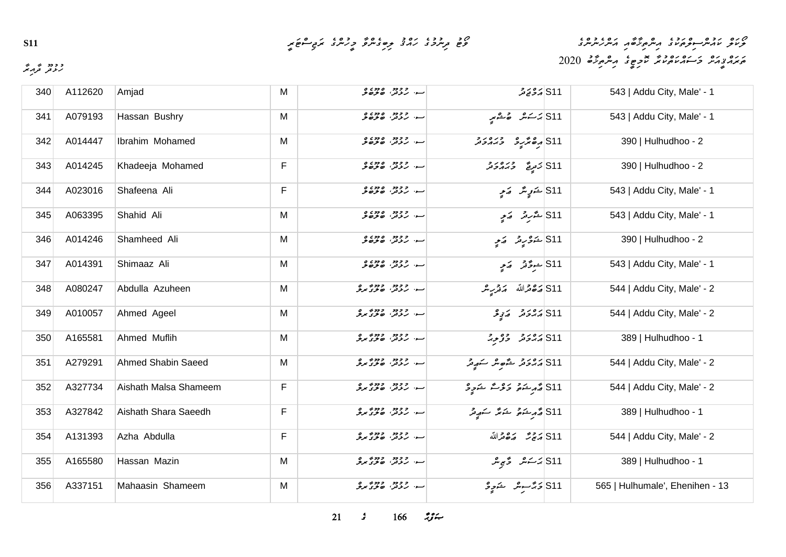*sCw7q7s5w7m< o<n9nOoAw7o< sCq;mAwBoEw7q<m; wBm;vB* م من المرة المرة المرة المرجع المرجع في المركبة 2020<br>مجم*د المريض المربوط المربع المرجع في المراجع المركبة* 

| $\alpha \rightarrow \infty$<br>روثو فرمد |  |
|------------------------------------------|--|
|                                          |  |

| 340 | A112620 | Amjad                     | M           | د د ده د ده ده<br>پ روتر، ه ژه ژ             | S11 كەبىج قىر                                  | 543   Addu City, Male' - 1      |
|-----|---------|---------------------------|-------------|----------------------------------------------|------------------------------------------------|---------------------------------|
| 341 | A079193 | Hassan Bushry             | M           | د دود. ودوره و<br>سه روتر، ه ژه ژ            | S11  برسكىش ئۇيىقىمىيە                         | 543   Addu City, Male' - 1      |
| 342 | A014447 | Ibrahim Mohamed           | M           | د دود ودوه ود<br>سه روتر، ه ژه ژ             | S11  بر <i>ەتۇر ۋىقىدە ب</i>                   | 390   Hulhudhoo - 2             |
| 343 | A014245 | Khadeeja Mohamed          | F           | د دود. ۵۷۶۵<br>سه روتر، ۱۵۶۵ و               | S11 كَرْمَرِيحٌ - وْبَرْهْرْوَمْرْ             | 390   Hulhudhoo - 2             |
| 344 | A023016 | Shafeena Ali              | F           | و و دو.<br>سو، رنوتر، ق <i>ص و ه بو</i>      | S11  ڪ <i>وپنگ چَ</i> مِي                      | 543   Addu City, Male' - 1      |
| 345 | A063395 | Shahid Ali                | M           | د دود. ه دوه و<br>سه روتر، ه ژه ژ            | S11 ڪريٽر <i>چ</i> رمي <sub>ر</sub>            | 543   Addu City, Male' - 1      |
| 346 | A014246 | Shamheed Ali              | M           | د د دوه ودوه و<br>سه رونز، هڅهڅ              | S11  ڪ وي <i>5 مي</i>                          | 390   Hulhudhoo - 2             |
| 347 | A014391 | Shimaaz Ali               | M           | د دود ه دوه و<br>سه رنزنس گانوگانو           | S11 حودٌ دَمٍ                                  | 543   Addu City, Male' - 1      |
| 348 | A080247 | Abdulla Azuheen           | M           | ر د دود دوده و ده<br>سه روتر، ه و د برو      | S11  صَرْحَة مِّرْاللَّهُ    مَقْرَبِ مَّرْ    | 544   Addu City, Male' - 2      |
| 349 | A010057 | Ahmed Ageel               | M           | د د دود د دوره ه<br>سه روتر، ه و د برو       | S11 كەندى قىرىم توپى                           | 544   Addu City, Male' - 2      |
| 350 | A165581 | Ahmed Muflih              | M           | د د دود دوده و د<br>سه روتر، <i>ه وی برو</i> | S11 كەردى ئىقى ئۇم بىر 19                      | 389   Hulhudhoo - 1             |
| 351 | A279291 | <b>Ahmed Shabin Saeed</b> | M           | ر د دور دوره و د<br>سه رونر، <i>ه وی برو</i> | S11  22 كى ئاھەش سەرپىر                        | 544   Addu City, Male' - 2      |
| 352 | A327734 | Aishath Malsa Shameem     | $\mathsf F$ | د د دود دوده و د<br>سه روتر، ه و د برو       | S11 مُەم شەھ كەمىگە ئىكەر ئ                    | 544   Addu City, Male' - 2      |
| 353 | A327842 | Aishath Shara Saeedh      | $\mathsf F$ | ر د دود دوده و ده<br>سه روتر، ه و د برو      | S11 مَّەمِسْنَىھْ سْنَعَمَّ سَمَ <i>وِيْنْ</i> | 389   Hulhudhoo - 1             |
| 354 | A131393 | Azha Abdulla              | F           | ر د دور دوره و د<br>سه رونر، <i>ه وی برو</i> | S11 كەيچ <sup>ى</sup> كەھىمەللە                | 544   Addu City, Male' - 2      |
| 355 | A165580 | Hassan Mazin              | M           | د د دوه دوه و ه د و.<br>سه رنزنز، گانوی برنژ | S11   پرسترس گرم بر ش                          | 389   Hulhudhoo - 1             |
| 356 | A337151 | Mahaasin Shameem          | M           | ر د دور دوره و د<br>سه رونر، ن <i>وی برو</i> | S11 5 يُرسوش ڪ <i>وچ</i> و                     | 565   Hulhumale', Ehenihen - 13 |

 $21$  *s*  $166$  *z*  $\frac{2}{3}$  *k*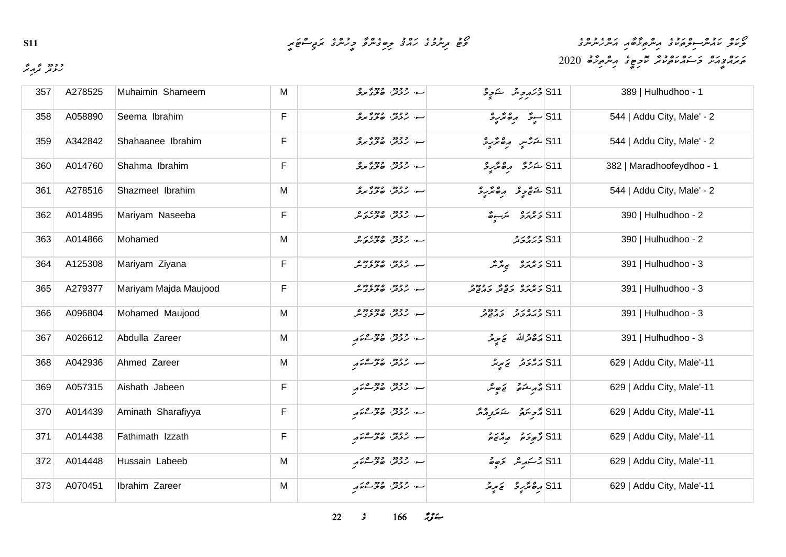*sCw7q7s5w7m< o<n9nOoAw7o< sCq;mAwBoEw7q<m; wBm;vB* م من المرة المرة المرة المرجع المرجع في المركبة 2020<br>مجم*د المريض المربوط المربع المرجع في المراجع المركبة* 

|  | チージ コココ   |
|--|-----------|
|  | زعو ودمير |
|  |           |

| 357 | A278525 | Muhaimin Shameem      | M           | ر د دور دوره و د<br>سه روتر، ه و د برو       | S11  دُرَم ِ حِرْ مِ شَرْحٍ دُ                      | 389   Hulhudhoo - 1        |
|-----|---------|-----------------------|-------------|----------------------------------------------|-----------------------------------------------------|----------------------------|
| 358 | A058890 | Seema Ibrahim         | $\mathsf F$ | د د دود د دود ه<br>سه روتر، ه ور برو         | S11 بِے مِی مِی اللہ کا ا                           | 544   Addu City, Male' - 2 |
| 359 | A342842 | Shahaanee Ibrahim     | F           | ر د دور دوره و د<br>سه روتر، ه و د برو       | S11 ڪر <i>گير م</i> ھڻريو                           | 544   Addu City, Male' - 2 |
| 360 | A014760 | Shahma Ibrahim        | F           | د د دود د دوره و<br>سه روتر، <i>ه وی برو</i> | S11 خەرق م <i>ەھترى</i> ۋ                           | 382   Maradhoofeydhoo - 1  |
| 361 | A278516 | Shazmeel Ibrahim      | M           | د د دود د دود ه<br>سه رنزنز، ه بور بربر      | S11 ڪنگ <sub>و</sub> يو م <i>ھنگ</i> رو             | 544   Addu City, Male' - 2 |
| 362 | A014895 | Mariyam Naseeba       | F           | د دود دوده ده.<br>سه روبر، هوروس             | S11  <i>5 بەيدۇ</i> ترىب <i>ەڭ</i>                  | 390   Hulhudhoo - 2        |
| 363 | A014866 | Mohamed               | M           | ر د دود ووده ده.<br>پ. روز، <i>ه ورو</i> نر  | S11 دېمبرون <i>تر</i>                               | 390   Hulhudhoo - 2        |
| 364 | A125308 | Mariyam Ziyana        | $\mathsf F$ | د د د ده ده ده ده ده<br>سه روتر، صوبوی س     | S11 <i>5 پر پر پی پر ت</i> گر                       | 391   Hulhudhoo - 3        |
| 365 | A279377 | Mariyam Majda Maujood | $\mathsf F$ | د دود وروده<br>پ. رودر هڅخه ت                | S11 كەمەرە بەھ بەدەدە                               | 391   Hulhudhoo - 3        |
| 366 | A096804 | Mohamed Maujood       | M           | ر د دود و دوه و ده<br>سو، رکوتر، گاهونوی س   | S11 دېره در د دوه د                                 | 391   Hulhudhoo - 3        |
| 367 | A026612 | Abdulla Zareer        | M           | ر د دود وود وړه د.<br>سر روندا ځانو سرگه     | S11 كەھەتراللە     ئى مومۇ                          | 391   Hulhudhoo - 3        |
| 368 | A042936 | Ahmed Zareer          | M           | ر د د د د ده د د .<br>سه روتر، هوسهما د      | S11   كەش <sup>ى</sup> كەر سىم س <sub>ى</sub> رىتىر | 629   Addu City, Male'-11  |
| 369 | A057315 | Aishath Jabeen        | $\mathsf F$ | د د دو دوه ده د .<br>سه رنونس ځو شمېر        | S11 مَگْرِسْتَعْمُ      يَمْ صِرْرُ                 | 629   Addu City, Male'-11  |
| 370 | A014439 | Aminath Sharafiyya    | $\mathsf F$ |                                              | S11 مَّ حِسَمَة حَسَنَ مِرْدَة مَّ                  | 629   Addu City, Male'-11  |
| 371 | A014438 | Fathimath Izzath      | $\mathsf F$ | د د دو دوه ده د .<br>سه رون هوسنمار          | S11 ژ <sub>ن</sub> جوچرې پېړۍ تو                    | 629   Addu City, Male'-11  |
| 372 | A014448 | Hussain Labeeb        | M           | ر د دود وود وړه د.<br>سر روندا ځانو سرگه     | S11 برڪبر بھ تح <i>وي</i> تھ                        | 629   Addu City, Male'-11  |
| 373 | A070451 | Ibrahim Zareer        | M           | ر د د د د ده د د .<br>سه روتر، هوسمار        | S11 <sub>مر</sub> ھ ئرب <sup>و</sup> تم ہر ئر       | 629   Addu City, Male'-11  |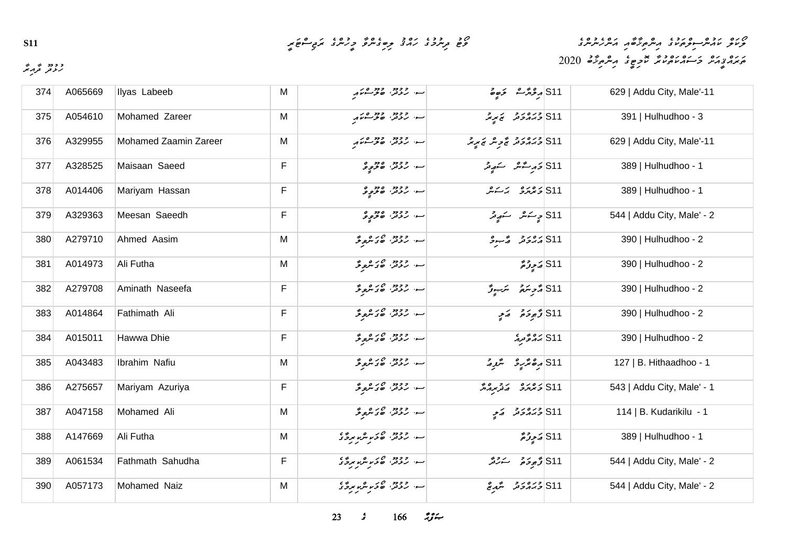*sCw7q7s5w7m< o<n9nOoAw7o< sCq;mAwBoEw7q<m; wBm;vB* م من المرة المرة المرة المرجع المرجع في المركبة 2020<br>مجم*د المريض المربوط المربع المرجع في المراجع المركبة* 

|  | $\rightarrow$ $\rightarrow$ 3777 |
|--|----------------------------------|
|  | ر د در مرد بر                    |
|  |                                  |

| 374 | A065669 | Ilyas Labeeb          | M           | سه رودو ودو ۵ در                                                                                                                                                                                                                | S11 مرتزم محرص تحق                     | 629   Addu City, Male'-11  |
|-----|---------|-----------------------|-------------|---------------------------------------------------------------------------------------------------------------------------------------------------------------------------------------------------------------------------------|----------------------------------------|----------------------------|
| 375 | A054610 | Mohamed Zareer        | M           | د دود ودو وړ.<br>سه رونو، <i>ه</i> وسهم                                                                                                                                                                                         | S11 <i>5223 تامي</i> تر                | 391   Hulhudhoo - 3        |
| 376 | A329955 | Mohamed Zaamin Zareer | M           | د دودو ودوه در<br>ب. روتر، <del>ه و</del> سند <sub>ا</sub> ر                                                                                                                                                                    | S11 <i>ڈیزورو پا پار</i> ش ٹائریڈ      | 629   Addu City, Male'-11  |
| 377 | A328525 | Maisaan Saeed         | $\mathsf F$ | ر دورو وو وه<br>سه روتر، <i>ه و</i> و و                                                                                                                                                                                         | S11 ئەرىشىش سەرپىتر                    | 389   Hulhudhoo - 1        |
| 378 | A014406 | Mariyam Hassan        | $\mathsf F$ | ر د دود وو وه<br>سه روتو، گافروگ                                                                                                                                                                                                | S11 <i>د وبرو برڪي</i> ر               | 389   Hulhudhoo - 1        |
| 379 | A329363 | Meesan Saeedh         | $\mathsf F$ | ر دودو وو و<br>سه رنزنس گافر <i>و</i> د                                                                                                                                                                                         | S11  <sub>حی</sub> ت مگر سکھیے تھ      | 544   Addu City, Male' - 2 |
| 380 | A279710 | Ahmed Aasim           | M           | ے۔ رودوں میں مورثی ک                                                                                                                                                                                                            | S11 كەنزى قەسىۋ                        | 390   Hulhudhoo - 2        |
| 381 | A014973 | Ali Futha             | M           | د دودو مړه ده د کلمونو کلمونو کلمونو کلمونو کلمونو کلمونو کلمونو کلمونو کلمونو کلمونو کلمونو کلمونو کلمونو کلم<br>مونو کلمونو کلمونو کلمونو کلمونو کلمونو کلمونو کلمونو کلمونو کلمونو کلمونو کلمونو کلمونو کلمونو کلمونو کلمونو | S11 كەمچەتەتى                          | 390   Hulhudhoo - 2        |
| 382 | A279708 | Aminath Naseefa       | $\mathsf F$ | ے۔ رودہ صحیح تحریک                                                                                                                                                                                                              | S11 مَّ حِ سَمَّ مَ سَرْ سِوَّرَ       | 390   Hulhudhoo - 2        |
| 383 | A014864 | Fathimath Ali         | $\mathsf F$ | ر درود ۱۵ ورو د                                                                                                                                                                                                                 | S11 <i>وُّجِ دَمَّة - مَ</i> عٍ        | 390   Hulhudhoo - 2        |
| 384 | A015011 | Hawwa Dhie            | $\mathsf F$ | ب روده می شود.                                                                                                                                                                                                                  | S11 بَرْدْ وَّمِدْ                     | 390   Hulhudhoo - 2        |
| 385 | A043483 | Ibrahim Nafiu         | M           | ے۔ روود میں عام کر کھیے گی                                                                                                                                                                                                      | S11  مەھ <i>مەرى</i> مىتىمى قىلىدى ئىل | 127   B. Hithaadhoo - 1    |
| 386 | A275657 | Mariyam Azuriya       | $\mathsf F$ | ے۔ رودوں میں مورثی ک                                                                                                                                                                                                            | S11 <i>كەنگەر ئەقەبىرە بىر</i>         | 543   Addu City, Male' - 1 |
| 387 | A047158 | Mohamed Ali           | M           | ے۔ رودہ صحیح تحریک                                                                                                                                                                                                              | S11 <i>ڈیز پروٹر پر پ</i> ر            | 114   B. Kudarikilu - 1    |
| 388 | A147669 | Ali Futha             | M           |                                                                                                                                                                                                                                 | S11 كەمچەتەتى                          | 389   Hulhudhoo - 1        |
| 389 | A061534 | Fathmath Sahudha      | $\mathsf F$ | ر در دور در بر برد در در برد د                                                                                                                                                                                                  | S11 ژَّجِ دَمَّ شَرَتَرٌ               | 544   Addu City, Male' - 2 |
| 390 | A057173 | Mohamed Naiz          | M           | ے رودوں کا مرکز مرکز کا کا کہنا ہے                                                                                                                                                                                              | S11 <i>5222 سُم</i> مِع                | 544   Addu City, Male' - 2 |

 $23$  *s*  $166$  *z*  $29$  <del>*m*</del>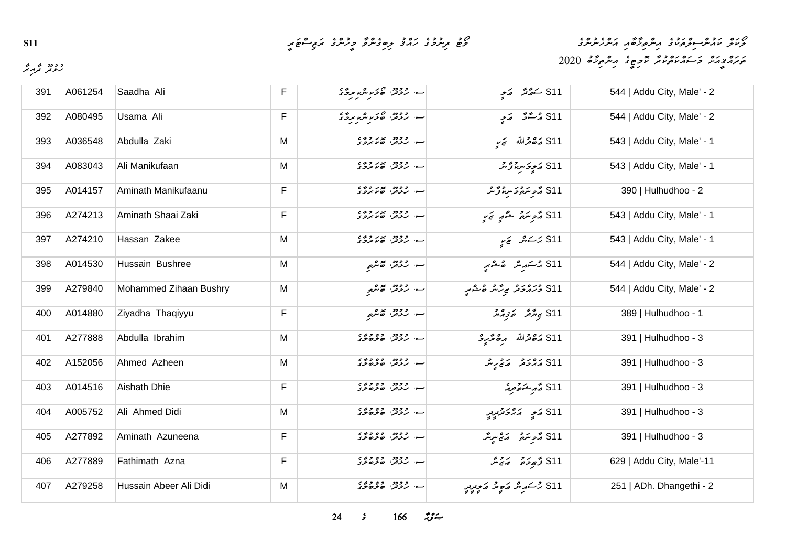*sCw7q7s5w7m< o<n9nOoAw7o< sCq;mAwBoEw7q<m; wBm;vB* م من المرة المرة المرة المرجع المرجع في المركبة 2020<br>مجم*د المريض المربوط المربع المرجع في المراجع المركبة* 

| 391 | A061254 | Saadha Ali             | F           | ے گردو گاؤں مگر پروگا<br>سوالے گردی گھاؤں مگر پر | S11  سَتَمَدَّقَہ <i>مَرْمِ</i>                            | 544   Addu City, Male' - 2 |
|-----|---------|------------------------|-------------|--------------------------------------------------|------------------------------------------------------------|----------------------------|
| 392 | A080495 | Usama Ali              | F           | ر دود ده در ده بروی<br>سه روندا گانگریزیوی       | S11 پر میچھ پی تیم پر                                      | 544   Addu City, Male' - 2 |
| 393 | A036548 | Abdulla Zaki           | M           | ر د دوه پر ده د<br>سه رونو، ځاندوی               | S11 كەھەتمەللە ت <sub>ى</sub> ئو                           | 543   Addu City, Male' - 1 |
| 394 | A083043 | Ali Manikufaan         | M           | د د د ده سر د ده د<br>سه رنوش کاملاوی            | S11 كەمەرىمىر <i>مەنى تى</i> ر                             | 543   Addu City, Male' - 1 |
| 395 | A014157 | Aminath Manikufaanu    | F           | ر د د د بر ده و<br>سه رونس ځاندوی                | S11 مۇم ئىر <i>مۇ ئەبرىدۇ</i> تىر                          | 390   Hulhudhoo - 2        |
| 396 | A274213 | Aminath Shaai Zaki     | $\mathsf F$ | د د د ده بدر د د د<br>سه روتر، ځاندن د           | S11 <sub>م</sub> ُتَّحِبَّتُمْ يَشْمِر <sub>كَا</sub> يَدِ | 543   Addu City, Male' - 1 |
| 397 | A274210 | Hassan Zakee           | M           | ر د د د بر ده و<br>سه رونس ځاندوی                | S11  ئەسەنى <i>گە ئى</i> ر                                 | 543   Addu City, Male' - 1 |
| 398 | A014530 | Hussain Bushree        | M           | ے دوود بوتھ                                      | S11 پرڪيريش ڪشمبر                                          | 544   Addu City, Male' - 2 |
| 399 | A279840 | Mohammed Zihaan Bushry | M           | ۔ رودہ بورہ                                      | S11 <i>در دور</i> ب <sub>ی</sub> ر شر هشمی <sub>ر</sub>    | 544   Addu City, Male' - 2 |
| 400 | A014880 | Ziyadha Thaqiyyu       | $\mathsf F$ | ر دودو بوه.<br>سوا رکوتر، ت <i>خ</i> صور         | S11 <sub>مح</sub> برَّتَر مَ <sub>حْ</sub> دِهْرَ          | 389   Hulhudhoo - 1        |
| 401 | A277888 | Abdulla Ibrahim        | M           | د د دود ده ده د<br>پ. روتر، صوصور                | S11 كەھىراللە م <i>ەھترى</i> رى                            | 391   Hulhudhoo - 3        |
| 402 | A152056 | Ahmed Azheen           | M           | د د ده ده ده ده<br>سه روتر، صوصور                | S11 <i>ټرونو ټوپ</i> ر                                     | 391   Hulhudhoo - 3        |
| 403 | A014516 | Aishath Dhie           | F           | د د دود ده ده د<br>سه روتر، صوصور                | S11 مَ <i>مْ</i> مِ يَسَمَّحْ مِرمَّر                      | 391   Hulhudhoo - 3        |
| 404 | A005752 | Ali Ahmed Didi         | M           | د د دود ده ده د<br>سه روتر، صوصور                | S11  كەمچە - كەبۇر كەترى <i>يە</i>                         | 391   Hulhudhoo - 3        |
| 405 | A277892 | Aminath Azuneena       | F           | و و دو د و و د پ<br>سه ريزن کل کل کرد ک          | S11 أَمَّ حِسَمَةً مَتَّى سِبَّر                           | 391   Hulhudhoo - 3        |
| 406 | A277889 | Fathimath Azna         | F           | د د ده ده ده ده<br>پ. روتر، صوصور                | S11 ۇ <sub>جو</sub> رۇ مەنج ئىر                            | 629   Addu City, Male'-11  |
| 407 | A279258 | Hussain Abeer Ali Didi | M           | ر د دو ده ده ده<br>سه رونر، هوهود                | S11 پر شهر ش <i>ر و چې</i> تر موږي <sub>د</sub>            | 251   ADh. Dhangethi - 2   |

 $24$  *s*  $166$  *z*  $29$  <del>*x*</del>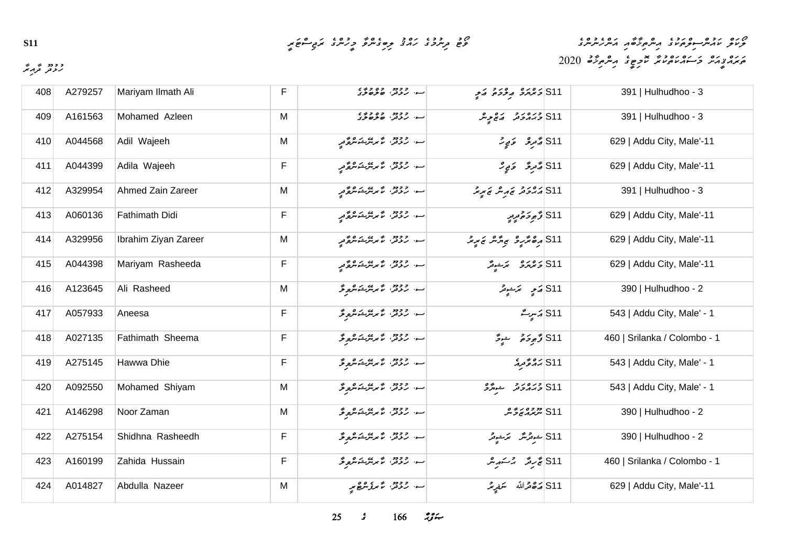*sCw7q7s5w7m< o<n9nOoAw7o< sCq;mAwBoEw7q<m; wBm;vB* م من المرة المرة المرة المرجع المرجع في المركبة 2020<br>مجم*د المريض المربوط المربع المرجع في المراجع المركبة* 

|  | د دود به پر<br>رنز تر ترمه تر |
|--|-------------------------------|
|  |                               |

| 408 | A279257 | Mariyam Ilmath Ali       | $\mathsf{F}$ | ر د ده ده ده ده<br>پ. روتر، صوصور                                        | S11 5ع <i>مگرد و و دی م</i> َی                           | 391   Hulhudhoo - 3          |
|-----|---------|--------------------------|--------------|--------------------------------------------------------------------------|----------------------------------------------------------|------------------------------|
| 409 | A161563 | Mohamed Azleen           | M            | د د دود ده ده د<br>پ. روتر، صوصور                                        | S11 <i>ڈیزوڈو پی بی ب</i> ھر                             | 391   Hulhudhoo - 3          |
| 410 | A044568 | Adil Wajeeh              | M            | ے دودہ کا برنترشکوری ہر                                                  | S11 مَگْمِر مُمْ وَمَعِ رَّ                              | 629   Addu City, Male'-11    |
| 411 | A044399 | Adila Wajeeh             | F            | سەر 332°، ئۇنمەتتىرىكى ھەمر                                              | S11 مَگْمِرتَرِ کَمَعٍ رُ                                | 629   Addu City, Male'-11    |
| 412 | A329954 | <b>Ahmed Zain Zareer</b> | M            | ر د د دورد و ده د ده و بر<br>ر د برنوش از برنتوسودگانی                   | S11 كەبرى قىم ئەرىگرىنى <i>بېرى</i> گە                   | 391   Hulhudhoo - 3          |
| 413 | A060136 | <b>Fathimath Didi</b>    | $\mathsf F$  | ر در دود در در دول در این میگردد.<br>سوء انرلزانوز، اندام میرسرد میگردد. | S11 ژ <sub>نجو</sub> رَ <sub>م</sub> ُورِم <sub>دِ</sub> | 629   Addu City, Male'-11    |
| 414 | A329956 | Ibrahim Ziyan Zareer     | M            | سە زىرى ئايرىكرىشەشرەپر                                                  | S11 مەھەرىرى ب <sub>و</sub> مۇرىر ئ <sub>ە بو</sub> رتر  | 629   Addu City, Male'-11    |
| 415 | A044398 | Mariyam Rasheeda         | $\mathsf F$  | سە، زىرى ئەر ئەر ئەر ئەھمىرى قېر                                         | S11 <i>وَ بُرْمَرْدْ - بَرَ</i> حْبِيْرُ                 | 629   Addu City, Male'-11    |
| 416 | A123645 | Ali Rasheed              | M            | سە زىرى ئايرىكرىشەش ئى                                                   | S11  رَمِ - بَرَشِيرٌ                                    | 390   Hulhudhoo - 2          |
| 417 | A057933 | Aneesa                   | F            | سە زىرى ئايرىكرىشەھرىگى                                                  | S11  پزس <sup>م</sup> ہ                                  | 543   Addu City, Male' - 1   |
| 418 | A027135 | Fathimath Sheema         | $\mathsf F$  | سە زىرى ئايرىكرىشەھرىمى                                                  | S11 <i>ؤُجِرَةُ</i> شِرْدً                               | 460   Srilanka / Colombo - 1 |
| 419 | A275145 | Hawwa Dhie               | F            | سەس ئەرەم ئەرتىرىش ئىرى ئى                                               | S11 بَرْدُهُ مِرْدً                                      | 543   Addu City, Male' - 1   |
| 420 | A092550 | Mohamed Shiyam           | M            | سە زىرى ئايرىكرىشەھرىگى                                                  | S11 <i>وُبَرُوْدَتْرِ</i> شِبْرُوْ                       | 543   Addu City, Male' - 1   |
| 421 | A146298 | Noor Zaman               | M            |                                                                          | S11 ترپر پر پر محمد                                      | 390   Hulhudhoo - 2          |
| 422 | A275154 | Shidhna Rasheedh         | F            | سە زىرى ئايرىكرىشەھرىگى                                                  | S11  سومرسر کرسومر                                       | 390   Hulhudhoo - 2          |
| 423 | A160199 | Zahida Hussain           | $\mathsf F$  | سە زىرى ئايرىكرىشەھرىمى                                                  | S11 تج رقر - پرکسر شر                                    | 460   Srilanka / Colombo - 1 |
| 424 | A014827 | Abdulla Nazeer           | M            | ے رودہ شہرو مروم                                                         | S11 #چىراللە   ئىزىپرىز                                  | 629   Addu City, Male'-11    |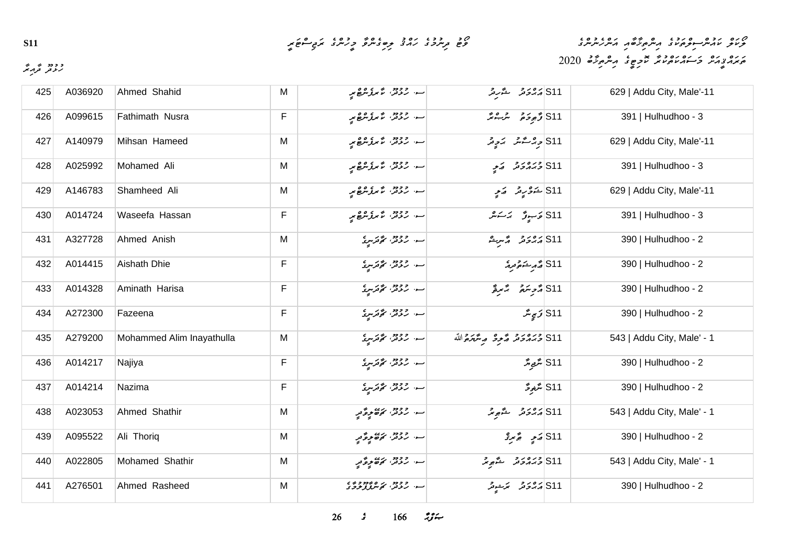*sCw7q7s5w7m< o<n9nOoAw7o< sCq;mAwBoEw7q<m; wBm;vB* م من المرة المرة المرة المرجع المرجع في المركبة 2020<br>مجم*د المريض المربوط المربع المرجع في المراجع المركبة* 

|  | د دود به پر<br>رنز تر ترمه تر |
|--|-------------------------------|
|  |                               |

| 425 | A036920 | Ahmed Shahid              | M           | ے رودو محمور شریع ہر        |                                                                                                                           | 629   Addu City, Male'-11  |
|-----|---------|---------------------------|-------------|-----------------------------|---------------------------------------------------------------------------------------------------------------------------|----------------------------|
| 426 | A099615 | Fathimath Nusra           | $\mathsf F$ | ب روده شروره علي            | S11 <i>وَّج</i> وحَمْ سَرْجَتَمَّ                                                                                         | 391   Hulhudhoo - 3        |
| 427 | A140979 | Mihsan Hameed             | M           | ے دورہ میں مور میں          | S11 موبر مسمَّتْر - برَوِتْرُ-                                                                                            | 629   Addu City, Male'-11  |
| 428 | A025992 | Mohamed Ali               | M           | ب رودو شروعهم               | S11 <i>ڈیزہ ڈی م</i> َی                                                                                                   | 391   Hulhudhoo - 3        |
| 429 | A146783 | Shamheed Ali              | M           | ب رودو شریده می             | S11  ڪروپر ک <i>ړي</i>                                                                                                    | 629   Addu City, Male'-11  |
| 430 | A014724 | Waseefa Hassan            | $\mathsf F$ | ب روده می ده و              | S11   قەسىرى - ئەسكەنلە                                                                                                   | 391   Hulhudhoo - 3        |
| 431 | A327728 | Ahmed Anish               | M           | - سەر 332، ئۇقەرىبورى       | S11 كەشكە قىلى ئەسرىشى ئىس                                                                                                | 390   Hulhudhoo - 2        |
| 432 | A014415 | <b>Aishath Dhie</b>       | F           | سە رودوم گۇترسى             | S11 مُدْمِ شَمْعُومِهِ گَ                                                                                                 | 390   Hulhudhoo - 2        |
| 433 | A014328 | Aminath Harisa            | $\mathsf F$ | - رودوم مۇمەسىد             | S11 مَّ مِسَعْ سَمَّةً                                                                                                    | 390   Hulhudhoo - 2        |
| 434 | A272300 | Fazeena                   | F           | - رودوم مۇمەسىد             | S11 ئۈيەتتە                                                                                                               | 390   Hulhudhoo - 2        |
| 435 | A279200 | Mohammed Alim Inayathulla | M           | ے۔ رحمدی محمد سری           | S11 <i>وبروبرة مدَّج</i> رَ م <i>سِتَهَرَّمُ</i> اللّه                                                                    | 543   Addu City, Male' - 1 |
| 436 | A014217 | Najiya                    | $\mathsf F$ | سە رودو گۇترس               | S11 مگھ گ                                                                                                                 | 390   Hulhudhoo - 2        |
| 437 | A014214 | Nazima                    | F           | سە رودۇ، ئۇترىس             | S11 مگھوگر                                                                                                                | 390   Hulhudhoo - 2        |
| 438 | A023053 | Ahmed Shathir             | M           | - دود دره ورو               | S11 كەش <sup>ى</sup> ر قىرىمىتىسى ئىستىر ئىستان ئىستان ئىستان ئىستان ئىستان ئىستان ئىستان ئىستان ئىستان ئىستان ئىستان ئىس | 543   Addu City, Male' - 1 |
| 439 | A095522 | Ali Thoriq                | M           | ے رودو دی گھر گھر           | S11 <i>ڇَوِ چُمِرَة</i> َ                                                                                                 | 390   Hulhudhoo - 2        |
| 440 | A022805 | Mohamed Shathir           | M           | - دود دره ورو               | S11 <i>وبروبروتر</i> ڪ <sub>ھ</sub> ير                                                                                    | 543   Addu City, Male' - 1 |
| 441 | A276501 | Ahmed Rasheed             | M           | ر در دود.<br>ر در در کارووی | S11   كەش <sup>ى</sup> ر كىم ئەرسىيەتر                                                                                    | 390   Hulhudhoo - 2        |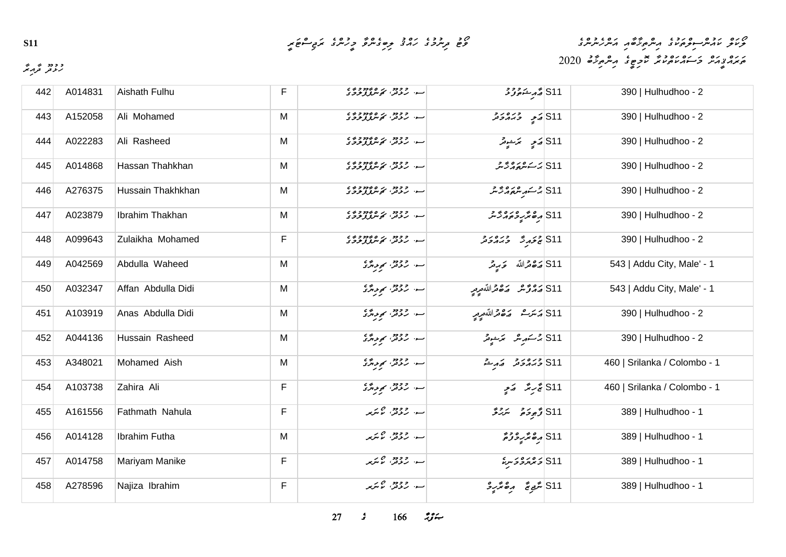*sCw7q7s5w7m< o<n9nOoAw7o< sCq;mAwBoEw7q<m; wBm;vB* م من المرة المرة المرة المرجع المرجع في المركبة 2020<br>مجم*د المريض المربوط المربع المرجع في المراجع المركبة* 

|  | د دود به پر<br>رنز تر ترمه تر |
|--|-------------------------------|
|  |                               |

| 442 | A014831 | Aishath Fulhu      | $\mathsf{F}$ | ر در دور در ۲۶۶۶ ورو<br>سه روتو، کاسروویون    | S11 <mark>ئە</mark> پرىشقۇقرىم                     | 390   Hulhudhoo - 2          |
|-----|---------|--------------------|--------------|-----------------------------------------------|----------------------------------------------------|------------------------------|
| 443 | A152058 | Ali Mohamed        | M            | د دود. بر ۲۶۶۶ وره د<br>سه رکوتر، کارسوویوی   | S11 كەير - <i>2283 كە</i>                          | 390   Hulhudhoo - 2          |
| 444 | A022283 | Ali Rasheed        | M            | د دود. بر ۲۶۶۶ وره د<br>سه کرونژ، کارسونونوری | S11  رَمِ - بَرَحْدِثْرُ                           | 390   Hulhudhoo - 2          |
| 445 | A014868 | Hassan Thahkhan    | M            | ر در دود.<br>ر در در کاروز دود                | S11 ئەسىر <i>مەرەبىتى</i> ر                        | 390   Hulhudhoo - 2          |
| 446 | A276375 | Hussain Thakhkhan  | M            | د دود.<br>سه رنوش که سرورون                   | S11 بر <i>شهر مشهر مرد ش</i> ر                     | 390   Hulhudhoo - 2          |
| 447 | A023879 | Ibrahim Thakhan    | M            | د دود. بر ۲۶۶۶ وره د<br>سه رنوتر، کامپروژمون  | S11 <sub>مر</sub> ھ <i>مُرْبِر دُوَ مُ</i> رْشَتْر | 390   Hulhudhoo - 2          |
| 448 | A099643 | Zulaikha Mohamed   | $\mathsf{F}$ | ر در دود.<br>ر در در کاروز دود                | S11 ىج <i>ق</i> رى <i>گە ئىمگە قى</i> ر            | 390   Hulhudhoo - 2          |
| 449 | A042569 | Abdulla Waheed     | M            | ے۔ رودوں کموٹوری                              | S11  مَەھْتَراللە   ئەبەتمر                        | 543   Addu City, Male' - 1   |
| 450 | A032347 | Affan Abdulla Didi | M            | سه د وود. نمونویژی                            | S11 <i>مَمْرُوَّسْ مَ</i> صْرَاللَّهْمِيْرِ        | 543   Addu City, Male' - 1   |
| 451 | A103919 | Anas Abdulla Didi  | M            | سه د وود. نمونویژی                            | S11 كەنترىش كەھ قراللەمى <i>رىن</i>                | 390   Hulhudhoo - 2          |
| 452 | A044136 | Hussain Rasheed    | M            | ے۔ رودو تھی تھی بھی                           | S11 پر کے میر شریع ترکیبوتر<br>ا                   | 390   Hulhudhoo - 2          |
| 453 | A348021 | Mohamed Aish       | M            | ے۔ رودو تھی تھی بھی                           | S11 <i>وُبَرُوْدَوْ</i> كَمَدِيْتُمْ }             | 460   Srilanka / Colombo - 1 |
| 454 | A103738 | Zahira Ali         | F            | سه د وود. نمونویژی                            | S11 تج په تر <sub>مکم</sub> مي                     | 460   Srilanka / Colombo - 1 |
| 455 | A161556 | Fathmath Nahula    | $\mathsf F$  | سە رودو، ئابىرىمە                             | S11 <i>وَّجِ دَمَّةَ</i> سَر <i>َبْ</i> تَرَ       | 389   Hulhudhoo - 1          |
| 456 | A014128 | Ibrahim Futha      | M            | سە - خەققى - ئانىڭ بىر                        | S11 <sub>مو</sub> ھ ئر <sub>ىپ جى</sub> جۇ         | 389   Hulhudhoo - 1          |
| 457 | A014758 | Mariyam Manike     | $\mathsf F$  | سە بەر دەم ئەنگەر                             | S11 ئەمەردى ئىبرىدىن                               | 389   Hulhudhoo - 1          |
| 458 | A278596 | Najiza Ibrahim     | F            | سە بەر دەم ئەنگەر                             | S11 سَّمِعٍءَ مِنْ مِنْ مِنْ مِنْ                  | 389   Hulhudhoo - 1          |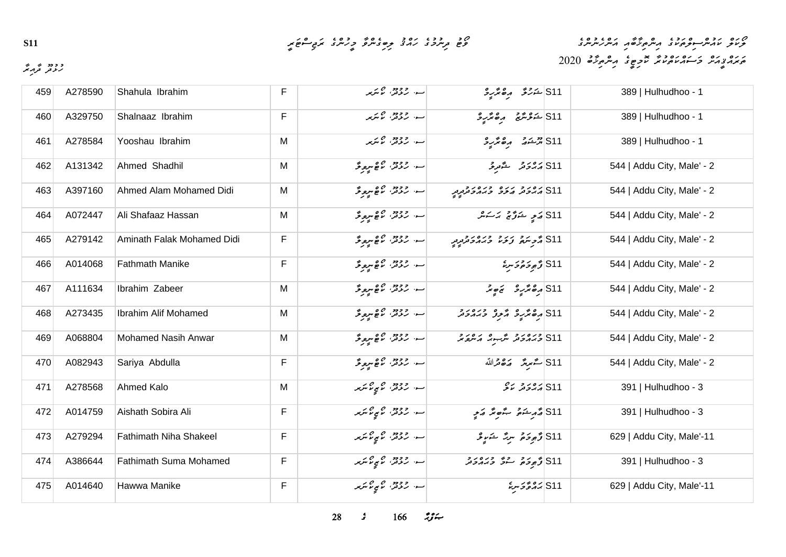*sCw7q7s5w7m< o<n9nOoAw7o< sCq;mAwBoEw7q<m; wBm;vB* م من المرة المرة المرة المرجع المرجع في المركبة 2020<br>مجم*د المريض المربوط المربع المرجع في المراجع المركبة* 

| 459 | A278590 | Shahula Ibrahim               | F | سە بەردە ئەتكەر        | S11 خىرتۇ م <i>ەھۇر</i> ۇ                                  | 389   Hulhudhoo - 1        |
|-----|---------|-------------------------------|---|------------------------|------------------------------------------------------------|----------------------------|
| 460 | A329750 | Shalnaaz Ibrahim              | F | سە بەردەم كەنگەر       | S11 خىۋىترى م <i>ەھترى</i> ۋ                               | 389   Hulhudhoo - 1        |
| 461 | A278584 | Yooshau Ibrahim               | M | سە بەردەم ھەتكەر       | S11 ترشم <i>ه م</i> ڤعَّرِدْ                               | 389   Hulhudhoo - 1        |
| 462 | A131342 | Ahmed Shadhil                 | M | ب رودو می مورد مح      | S11 كەردى ھەمەتى                                           | 544   Addu City, Male' - 2 |
| 463 | A397160 | Ahmed Alam Mohamed Didi       | M | - رودو مي موجد مح      | S11 رور و درو ورور وتربربر                                 | 544   Addu City, Male' - 2 |
| 464 | A072447 | Ali Shafaaz Hassan            | M | ب رودو مهم مورد مح     | S11 كەي خەۋىج بەس <i>تەش</i>                               | 544   Addu City, Male' - 2 |
| 465 | A279142 | Aminath Falak Mohamed Didi    | F | ب رودو مهم مورد مح     | S11 أُدَّجِ سَمَّةً ۖ وَتَوَسَّمَّ وَبَرَادُوَ مُرْمَدِيرِ | 544   Addu City, Male' - 2 |
| 466 | A014068 | Fathmath Manike               | F | ب رودو مي مورد مح      | S11 ۇ <sub>جو</sub> رَە <sub>ر</sub> دَ <sub>مىرىئ</sub>   | 544   Addu City, Male' - 2 |
| 467 | A111634 | Ibrahim Zabeer                | M | ب رودو مي مورد         | S11 م <i>وڭ ئېچى</i> گە تەرەپتى                            | 544   Addu City, Male' - 2 |
| 468 | A273435 | Ibrahim Alif Mohamed          | M | ب رودو مىھىروگ         | S11 <sub>م</sub> ەھ <i>مگې</i> ئەمۇر ئەمەدىر               | 544   Addu City, Male' - 2 |
| 469 | A068804 | <b>Mohamed Nasih Anwar</b>    | M | سەر روزە ئۇھ بىرىدۇ.   | S11 <i>دېمم</i> رو گرېږمه ک <i>ره د</i> و                  | 544   Addu City, Male' - 2 |
| 470 | A082943 | Sariya Abdulla                | F | ے رودو میں عروق        | S11  كەمبە <i>گە كەھەت</i> راللە                           | 544   Addu City, Male' - 2 |
| 471 | A278568 | Ahmed Kalo                    | M | سە زىرەدە ھېم ھەتىر    | S11 پزېږي تدې                                              | 391   Hulhudhoo - 3        |
| 472 | A014759 | Aishath Sobira Ali            | F | سە رودو ھيءَ مگرىمە    | S11 مُەمِسْمَة جُومُدَ مَعِ                                | 391   Hulhudhoo - 3        |
| 473 | A279294 | <b>Fathimath Niha Shakeel</b> | F | ے رودوں کا ہی کا کہتر  | S11 رَّج <i>ودَة</i> سِرَّ حَس <i>َ</i> يْدِ               | 629   Addu City, Male'-11  |
| 474 | A386644 | Fathimath Suma Mohamed        | F | سەس ئۇقۇر، ئۇي ئايكىلە | S11 زُ <sub>ن</sub> جِ دَمَ مِسْرَ وبرورو                  | 391   Hulhudhoo - 3        |
| 475 | A014640 | Hawwa Manike                  | F | ے رودوں کا ہی کا کھیلا | S11 ئەۋرۇ ئەس <sup>ت</sup> ە                               | 629   Addu City, Male'-11  |

 $28$  *s*  $166$  *z*  $\frac{2}{3}$  *k*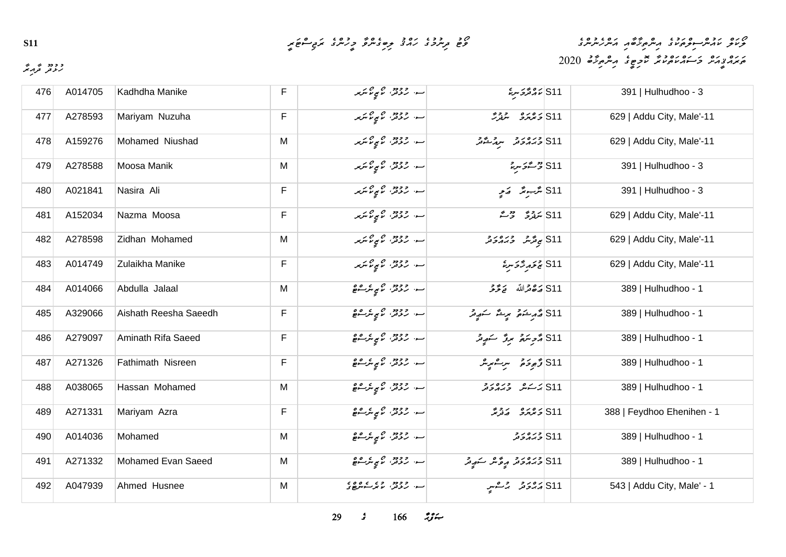*sCw7q7s5w7m< o<n9nOoAw7o< sCq;mAwBoEw7q<m; wBm;vB* م من المرة المرة المرة المرجع المرجع في المركبة 2020<br>مجم*د المريض المربوط المربع المرجع في المراجع المركبة* 

|  | s s n n       |
|--|---------------|
|  | ر د در مرد مر |
|  |               |

| 476 | A014705 | Kadhdha Manike        | $\mathsf F$ | ۔ دودہ لائونائنگریز                         | S11 ئەۋرىتى تىرىئە                                       | 391   Hulhudhoo - 3        |
|-----|---------|-----------------------|-------------|---------------------------------------------|----------------------------------------------------------|----------------------------|
| 477 | A278593 | Mariyam Nuzuha        | F           | ب - سودور جمعي ملائند                       | S11 ئ <i>ۈچرى ھۆرى</i>                                   | 629   Addu City, Male'-11  |
| 478 | A159276 | Mohamed Niushad       | M           | ب - سودور جمعي ملائند                       | S11 <i>2222 سم</i> مشتر                                  | 629   Addu City, Male'-11  |
| 479 | A278588 | Moosa Manik           | M           | سە رودوا ئاي ئامىر                          | S11 تۇشۇئەس <sup>ت</sup> ە                               | 391   Hulhudhoo - 3        |
| 480 | A021841 | Nasira Ali            | F           | ے رودوں کا پاکستان                          | S11 مگرسو <i>نگر م</i> رکمبر                             | 391   Hulhudhoo - 3        |
| 481 | A152034 | Nazma Moosa           | $\mathsf F$ | ے رودوں کا بی کا کھیلا                      | S11 يَرْدُدُّ تَرْتُہُ ا                                 | 629   Addu City, Male'-11  |
| 482 | A278598 | Zidhan Mohamed        | M           | ے رودوں کا میں کھیلا                        | S11 <sub>مج</sub> وَّرْ مَرْ تَرَكْرُ تَرَكَّرَ مِّرْ    | 629   Addu City, Male'-11  |
| 483 | A014749 | Zulaikha Manike       | F           | ے رودوں کا بی کا کھیلا                      | S11 ئ <sub>ى</sub> ج ئىرىدى سىرىم                        | 629   Addu City, Male'-11  |
| 484 | A014066 | Abdulla Jalaal        | M           | ے۔ روزوں کا پاس کا عالم                     | S11 كَەشكەللە ق <sub>ە</sub> قرىتى                       | 389   Hulhudhoo - 1        |
| 485 | A329066 | Aishath Reesha Saeedh | $\mathsf F$ | ب دودو مي عرف وه                            | S11 مُرمِسَمَ مِرِسَّ سَمِرِيْر                          | 389   Hulhudhoo - 1        |
| 486 | A279097 | Aminath Rifa Saeed    | $\mathsf F$ | ب دودو مي عرف وه                            | S11 مٌ <i>وِ سَمَعْ مِرتَّ سَموِيثَ</i>                  | 389   Hulhudhoo - 1        |
| 487 | A271326 | Fathimath Nisreen     | F           | ب دودو مي عروه و                            | S11 ز <sub>ن</sub> جوچۇ سرىشمېتر                         | 389   Hulhudhoo - 1        |
| 488 | A038065 | Hassan Mohamed        | M           | سە، رىزىن كۈي ئەھ ھ                         | S11 ئەسەمبە <i>دېم</i> ەدىر                              | 389   Hulhudhoo - 1        |
| 489 | A271331 | Mariyam Azra          | $\mathsf F$ | ب دودو مي عرف وه                            | S11 ئ <i>ۇيرۇ مەنىرىتى</i>                               | 388   Feydhoo Ehenihen - 1 |
| 490 | A014036 | Mohamed               | M           | سە، رىرىن، ئۇي ئەرەھ                        | S11 د بروزنر                                             | 389   Hulhudhoo - 1        |
| 491 | A271332 | Mohamed Evan Saeed    | M           | ے۔ روزوں کا پاس کا عالم                     | S11 <i>دېم</i> دونر <sub>مو</sub> وگر ش <sub>مو</sub> نر | 389   Hulhudhoo - 1        |
| 492 | A047939 | Ahmed Husnee          | M           | ر در دور ده ده ده ده<br>سوال کردن الا مرسوس | S11   كەبۇبۇقە ئەرمىسىيە                                 | 543   Addu City, Male' - 1 |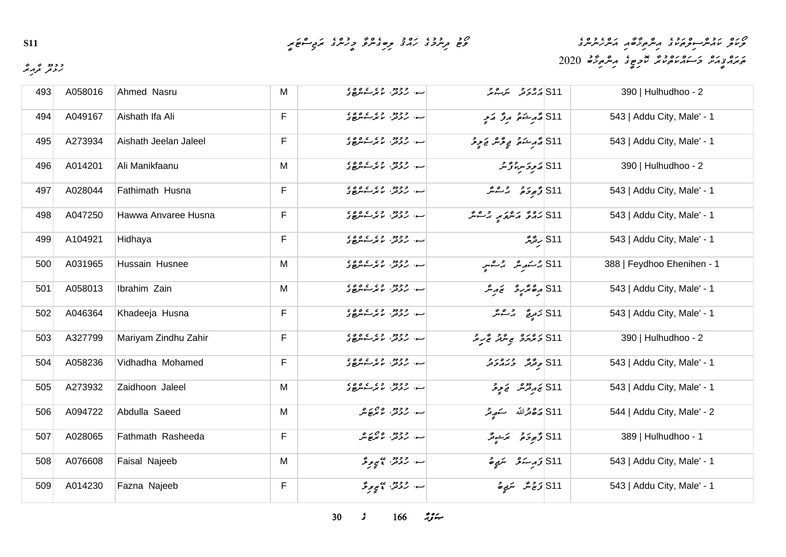*sCw7q7s5w7m< o<n9nOoAw7o< sCq;mAwBoEw7q<m; wBm;vB* م من المرة المرة المرة المرجع المرجع في المركبة 2020<br>مجم*د المريض المربوط المربع المرجع في المراجع المركبة* 

| 493 | A058016 | Ahmed Nasru           | M           | د د د ده د د د د ده د د د<br>سه رنونو، نوموسومبر <u>ه</u> ود | S11 كەبروتى سىر يىتى ئىچە ئىر                        | 390   Hulhudhoo - 2        |
|-----|---------|-----------------------|-------------|--------------------------------------------------------------|------------------------------------------------------|----------------------------|
| 494 | A049167 | Aishath Ifa Ali       | F           | د دودو ده ده ده وه د<br>سوا کردن لا بر سوسرچ د               | S11 مَگْرِڪُمُ رُوََّ مَرِ                           | 543   Addu City, Male' - 1 |
| 495 | A273934 | Aishath Jeelan Jaleel | $\mathsf F$ | ر در دور د د د ده د د د د<br>سه رنزون الا برسوسرچ د          | S11 مَّەرِحَة وٍ وَّسْ وَمِرْتَر                     | 543   Addu City, Male' - 1 |
| 496 | A014201 | Ali Manikfaanu        | M           | د د دوه د د د د ده د د د<br>سه رنونو، نړيوسه مربع            | S11 ەَمِعَە سِرْمَوْ تَىر                            | 390   Hulhudhoo - 2        |
| 497 | A028044 | Fathimath Husna       | F           | ر د د د د د د د د د د د د<br>سه رنړنس لامر سه سرچ د          | S11 ۇ <sub>جوخ</sub> ۇ ب <sub>ى</sub> شىگە           | 543   Addu City, Male' - 1 |
| 498 | A047250 | Hawwa Anvaree Husna   | $\mathsf F$ | د د دوه د د د د ده د د د<br>سه رنونو، نړيوسه مربع            | S11 ئەۋۇ ئەش <i>ۇپ بى</i> شىگە                       | 543   Addu City, Male' - 1 |
| 499 | A104921 | Hidhaya               | $\mathsf F$ | د د دور د د د د ده د د د<br>سه رنوش بربرسه سره د             | S11 رمَّدَدَّ                                        | 543   Addu City, Male' - 1 |
| 500 | A031965 | Hussain Husnee        | M           | ر در دور د د د ده د د د د<br>سه رنزون الا برسوسرچ د          | S11 پر شهر شر پر شهر ا                               | 388   Feydhoo Ehenihen - 1 |
| 501 | A058013 | Ibrahim Zain          | M           | د دودو ده ده ده وه د<br>سوا کردن لا بر سوسرچ د               | S11 م <i>وڭ ئۇم</i> بىر ھەر بىر                      | 543   Addu City, Male' - 1 |
| 502 | A046364 | Khadeeja Husna        | $\mathsf F$ | د دوه ده ده وه وه<br>سه روتر، لابر سهرهای                    | S11 زَمِرِجٌ ۔ پُر سُر پُر                           | 543   Addu City, Male' - 1 |
| 503 | A327799 | Mariyam Zindhu Zahir  | F           | د د دوه د د د د ده د د د<br>سه رنونو، نړيوسه مربع            | S11 كەنگەرگە ئ <sub>ە</sub> رىگە ئ <sup>ې</sup> رىگە | 390   Hulhudhoo - 2        |
| 504 | A058236 | Vidhadha Mohamed      | F           | د د دود د د د ده ده د<br>سه رنوش نامرسه سرچار                | S11 مِتَّرَتَّرَ كَ <sup>2</sup> رُوكَرْ             | 543   Addu City, Male' - 1 |
| 505 | A273932 | Zaidhoon Jaleel       | M           | د د دوه د د د ده و د د<br>سه گرفتن بر برخش د                 | S11 يَهرِمْزُسُ گَمَ وِلْحَ                          | 543   Addu City, Male' - 1 |
| 506 | A094722 | Abdulla Saeed         | M           | ر در دود و <i>مړن</i> و ش                                    | S11 #چەقراللە كى <i>مپى</i> تر                       | 544   Addu City, Male' - 2 |
| 507 | A028065 | Fathmath Rasheeda     | $\mathsf F$ | سه رودو وړه په                                               | S11 وَّجِرَدَةُ كَرَسُونَّرُ                         | 389   Hulhudhoo - 1        |
| 508 | A076608 | Faisal Najeeb         | M           | سە رودە، ، يې يو ئۇ                                          | S11 ق.م يىكى مىتىمى قى                               | 543   Addu City, Male' - 1 |
| 509 | A014230 | Fazna Najeeb          | F           | ب دوده، می وگ                                                | S11 كَوَيْمْ مَّرْ مَرْجِرَة "                       | 543   Addu City, Male' - 1 |

 $30$  *s*  $166$  *z***<sub>3</sub>**  $\frac{2}{5}$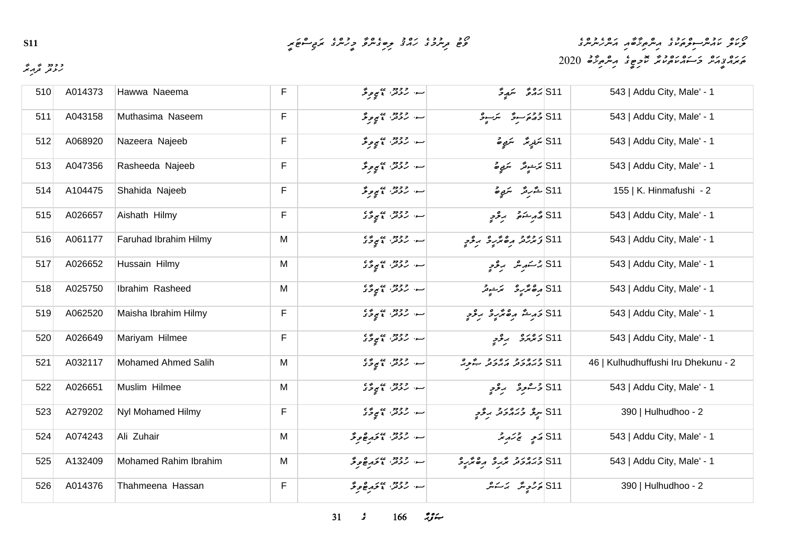*sCw7q7s5w7m< o<n9nOoAw7o< sCq;mAwBoEw7q<m; wBm;vB* م من المرة المرة المرة المرجع المرجع في المركبة 2020<br>مجم*د المريض المربوط المربع المرجع في المراجع المركبة* 

| 510 | A014373 | Hawwa Naeema             | $\mathsf F$ | ب دودو ، عمومو گ                                                                                                                                                                                                               | S11 كەممى ئىمبە ئى                                        | 543   Addu City, Male' - 1          |
|-----|---------|--------------------------|-------------|--------------------------------------------------------------------------------------------------------------------------------------------------------------------------------------------------------------------------------|-----------------------------------------------------------|-------------------------------------|
| 511 | A043158 | Muthasima Naseem         | F           | - رودون ۽ سي مومحه                                                                                                                                                                                                             | S11  <i>وَمُعَ سَرَعٌ</i> سَرَسِر <i>وْ</i>               | 543   Addu City, Male' - 1          |
| 512 | A068920 | Nazeera Najeeb           | $\mathsf F$ | سە رودوم ، ئام بوڭر                                                                                                                                                                                                            | S11 سَمْدِيَّر سَمْهِ صَح                                 | 543   Addu City, Male' - 1          |
| 513 | A047356 | Rasheeda Najeeb          | $\mathsf F$ | ب دوده ، پی و څه                                                                                                                                                                                                               | S11 <sub>م</sub> َرْسُوِتَرُ     مَرْب <sub>ِع</sub> ِ صَ | 543   Addu City, Male' - 1          |
| 514 | A104475 | Shahida Najeeb           | $\mathsf F$ | سە رودوم ، ئام بوڭر                                                                                                                                                                                                            | S11 شَرِيزٌ سَمِهِ صُحْ                                   | 155   K. Hinmafushi - 2             |
| 515 | A026657 | Aishath Hilmy            | $\mathsf F$ |                                                                                                                                                                                                                                | S11 مُەرشىق بىۋې                                          | 543   Addu City, Male' - 1          |
| 516 | A061177 | Faruhad Ibrahim Hilmy    | M           | سه د دوه ده وه د و                                                                                                                                                                                                             | S11 زَيْرْتَهْ <sub>م</sub> ِرْيَّتْ بِرْوَ <sub>جِ</sub> | 543   Addu City, Male' - 1          |
| 517 | A026652 | Hussain Hilmy            | M           | سه دوده په ده                                                                                                                                                                                                                  | S11 پرست <sub>مبر</sub> بر وي <sub>ج</sub>                | 543   Addu City, Male' - 1          |
| 518 | A025750 | Ibrahim Rasheed          | M           | سه دوده په ده                                                                                                                                                                                                                  | S11 م <i>وڭ ئۇرۇ - ئەخ</i> وش                             | 543   Addu City, Male' - 1          |
| 519 | A062520 | Maisha Ibrahim Hilmy     | $\mathsf F$ | سه دوده په ده                                                                                                                                                                                                                  | S11 <i>وَ<sub>م</sub>ِ</i> مَّۃٌ م <i>ِ</i> ھُٹرے کو پو   | 543   Addu City, Male' - 1          |
| 520 | A026649 | Mariyam Hilmee           | $\mathsf F$ | - دودو سي ده د                                                                                                                                                                                                                 | S11  <i>دَ بْرْدَوْ بِ</i> وْرِ                           | 543   Addu City, Male' - 1          |
| 521 | A032117 | Mohamed Ahmed Salih      | M           | ب دوده به ده                                                                                                                                                                                                                   | S11 درەرو رەرو شور                                        | 46   Kulhudhuffushi Iru Dhekunu - 2 |
| 522 | A026651 | Muslim Hilmee            | M           | ر د دود ده وه د د کار د د کار د کار د کار د کار د کار د کار د کار د کار د کار د کار د کار د کار د کار د کار د<br>سوالۍ کار د کار کار د کار کار د کار د کار د کار د کار د کار د کار د کار د کار د کار د کار د کار د کار د کار د | S11  <sub>ج</sub> ۇي بۇي <sub>ج</sub>                     | 543   Addu City, Male' - 1          |
| 523 | A279202 | <b>Nyl Mohamed Hilmy</b> | $\mathsf F$ |                                                                                                                                                                                                                                | S11 سرپر ت <i>وکرونگر بر</i> و <sub>ج</sub>               | 390   Hulhudhoo - 2                 |
| 524 | A074243 | Ali Zuhair               | M           | - رودو ، وموقع و و مح                                                                                                                                                                                                          | S11   <i>ھَ جِي چُرَو پُرْ</i>                            | 543   Addu City, Male' - 1          |
| 525 | A132409 | Mohamed Rahim Ibrahim    | M           | سار دوده ، پروهونځ                                                                                                                                                                                                             | S11 دبرورو محمد و مقتربة                                  | 543   Addu City, Male' - 1          |
| 526 | A014376 | Thahmeena Hassan         | $\mathsf F$ | ٢- رودوا ٢٠٢، ٥٥ محمد                                                                                                                                                                                                          | S11   ب <i>َرْتْ بِرْسَ بْرَسَ</i> سْ                     | 390   Hulhudhoo - 2                 |

 $31$  *s*  $166$  *n***<sub>3</sub>**  $\frac{166}{56}$ 

و و *ه به به*<br>روتر ت*ور*یم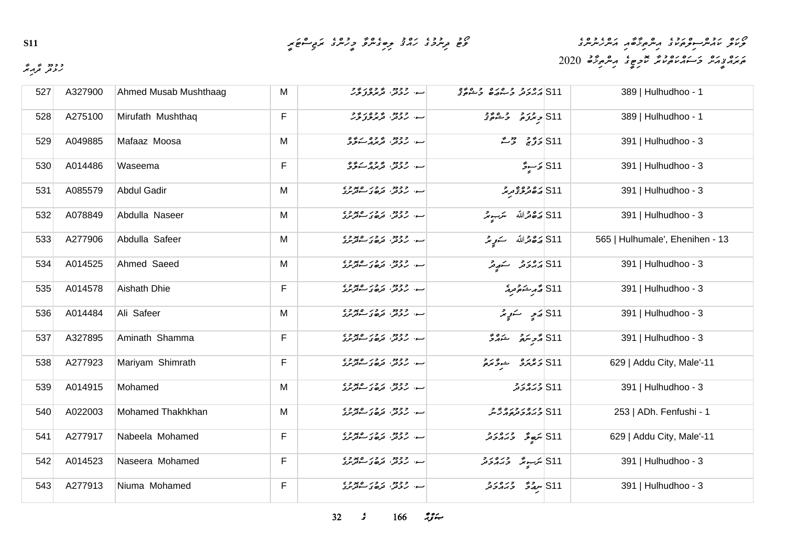*sCw7q7s5w7m< o<n9nOoAw7o< sCq;mAwBoEw7q<m; wBm;vB* م من المرة المرة المرة المرجع المرجع في المركبة 2020<br>مجم*د المريض المربوط المربع المرجع في المراجع المركبة* 

|  | $\rightarrow$ $\rightarrow$ 3777 |
|--|----------------------------------|
|  | ر د در مرد بر                    |
|  |                                  |

| 527 | A327900 | Ahmed Musab Mushthaag | M           | ر د دوه د د د د د د<br>سه روند، تربروو ور                      | S11 كەبرى بىر ئەسكە ئەشھۇر            | 389   Hulhudhoo - 1             |
|-----|---------|-----------------------|-------------|----------------------------------------------------------------|---------------------------------------|---------------------------------|
| 528 | A275100 | Mirufath Mushthaq     | $\mathsf F$ | ر د دوه د ده ده د<br>سه روند، تربروو ور                        | S11 <i>ج</i> ېرتونو څشمونو            | 389   Hulhudhoo - 1             |
| 529 | A049885 | Mafaaz Moosa          | M           | ر د دود د وه د وه<br>سه رنوش تربوه سوفرو                       | S11 دَرُّجْ دْسَّ                     | 391   Hulhudhoo - 3             |
| 530 | A014486 | Waseema               | $\mathsf F$ | ر د دوه د وه رده و<br>ر د روتر، تربو برسوخ                     | S11  مَرْسِرَّ                        | 391   Hulhudhoo - 3             |
| 531 | A085579 | <b>Abdul Gadir</b>    | M           | د و وود . د و د ان و و د و د<br>سو، انراز د ترخای دانتربری     | S11 كەھەترىۋ <sup>ى</sup> بېرىر       | 391   Hulhudhoo - 3             |
| 532 | A078849 | Abdulla Naseer        | M           | د و وود . بر و بر و د و د .<br>سوء ابراز تران کردن که سوتربری  | S11  مَەھْمَراللە مَرَىبومْر          | 391   Hulhudhoo - 3             |
| 533 | A277906 | Abdulla Safeer        | M           | د دوه ار ورا ورو ده<br>سه اربوتر، تر <i>های س</i> هربرو        | S11 كەڭ قىراللە كىمويتىر              | 565   Hulhumale', Ehenihen - 13 |
| 534 | A014525 | Ahmed Saeed           | M           | د دود در در ه پرو پا<br>سو، برنوتر، تر <i>ه ی</i> سوتربری      | S11 كەبرى قىر سىمبەتر                 | 391   Hulhudhoo - 3             |
| 535 | A014578 | Aishath Dhie          | $\mathsf F$ | د د دوه د د د د و د د د د<br>سه رنوش ترخلی سفرس                | S11 مۇم شەھ <sup>و</sup> رە ئە        | 391   Hulhudhoo - 3             |
| 536 | A014484 | Ali Safeer            | M           | د و وود . د و د ان و و د و د<br>سو، انراز د ترخای دانتربری     | S11 ک <sup>ے</sup> میں سکو پٹر        | 391   Hulhudhoo - 3             |
| 537 | A327895 | Aminath Shamma        | $\mathsf F$ | د دوه ار وراه دوه<br>سه اربوتر، تر <i>های</i> سه ترس           | S11 مَّ حِسَمَّة حَسَّمَة مَّ         | 391   Hulhudhoo - 3             |
| 538 | A277923 | Mariyam Shimrath      | F           | ر در دود از در در دود و د<br>سود برنوش افر <i>های س</i> وتربری | S11 كر <i>مبرگى</i> شە <i>ۋىرە</i>    | 629   Addu City, Male'-11       |
| 539 | A014915 | Mohamed               | M           | د دوه د در در دره<br>سو، رنوتو، تر <i>ه</i> د سوتربرد          | S11 دېمبروتر                          | 391   Hulhudhoo - 3             |
| 540 | A022003 | Mohamed Thakhkhan     | M           | د د دوه د د د د و د د د د<br>سه رنوش ترخلی سفرس                | S11 <i>ۋېرو د دېرو د</i> گېر          | 253   ADh. Fenfushi - 1         |
| 541 | A277917 | Nabeela Mohamed       | F           | د و وود . د و د ان و و د و د<br>سو، انراز د ترخای دانتربری     | S11 سَهِعٌ حَمَدُ دَمَر               | 629   Addu City, Male'-11       |
| 542 | A014523 | Naseera Mohamed       | $\mathsf F$ | د دوه ار وراه دوه<br>سه اربوتر، تر <i>های</i> سه ترس           | S11  سَرَسِيسٌ وَبَرَهْرَ قَرْ        | 391   Hulhudhoo - 3             |
| 543 | A277913 | Niuma Mohamed         | F           | ر د و وو د د د د و د و د<br>سو، برنوتو، تون د سوتوبود          | S11 سر <i>م<sup>3</sup> - جەم</i> رىر | 391   Hulhudhoo - 3             |

 $32$  *s*  $166$  *z***<sub>3</sub>**  $\frac{2}{3}$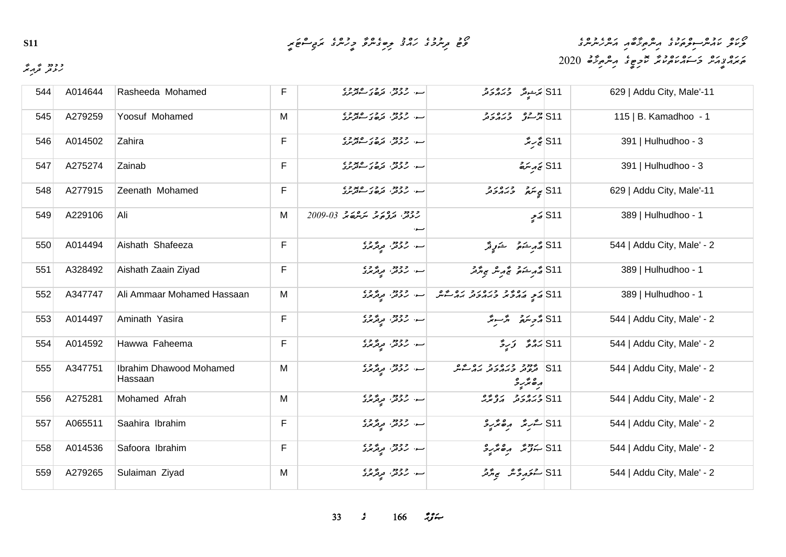*sCw7q7s5w7m< o<n9nOoAw7o< sCq;mAwBoEw7q<m; wBm;vB* م من المرة المرة المرة المرجع المرجع في المركبة 2020<br>مجم*د المريض المربوط المربع المرجع في المراجع المركبة* 

|  | 彡 彡 ≫ >>      |
|--|---------------|
|  | زقرقر فرمريمه |
|  |               |

| 544 | A014644 | Rasheeda Mohamed                   | F           | د و دود . د و د ان و د و د .<br>سه ا برنوتور ، تون تو ساتوربوی | S11  مَرْشِينَرُ - وَبَرْدُونَرُ                   |                      | 629   Addu City, Male'-11  |
|-----|---------|------------------------------------|-------------|----------------------------------------------------------------|----------------------------------------------------|----------------------|----------------------------|
| 545 | A279259 | Yoosuf Mohamed                     | M           | د و دود . بر و بر و د و د .<br>سه انربوتو، انتزاعهای سه توربوی | S11 ټر یو دی دره د                                 |                      | 115   B. Kamadhoo - 1      |
| 546 | A014502 | Zahira                             | $\mathsf F$ | د دود. د در در دره د<br>سه رنوش تر <i>ه ی</i> سهترس            | S11 تج برتمر                                       |                      | 391   Hulhudhoo - 3        |
| 547 | A275274 | Zainab                             | F           | د د دوه ار ورا وبروه<br>سه ارتونس ترکامی سه ترس                | S11 ئم مرىئىھ                                      |                      | 391   Hulhudhoo - 3        |
| 548 | A277915 | Zeenath Mohamed                    | $\mathsf F$ | د د دوه ار ورا وبروه<br>سه ارتونس ترکامی سه ترس                | S11 <sub>مج</sub> سّع <sub>ة م</sub> حدّد محمد     |                      | 629   Addu City, Male'-11  |
| 549 | A229106 | Ali                                | M           | 2009-03 مروم مرشق 13-2009                                      |                                                    | S11 کړي <sub>چ</sub> | 389   Hulhudhoo - 1        |
| 550 | A014494 | Aishath Shafeeza                   | F           | ر د دود.<br>ب. روتر، م <sub>ی</sub> تربری                      | S11 <i>] ۾ٌ مِ</i> حَوَمٍ مُحَرِّ فَرَ             |                      | 544   Addu City, Male' - 2 |
| 551 | A328492 | Aishath Zaain Ziyad                | $\mathsf F$ | سه رحمودی موفرس                                                | S11 مَدْمِ شَوَمْ كَامِ مَّرْ مِى مَرْمَرْ         |                      | 389   Hulhudhoo - 1        |
| 552 | A347747 | Ali Ammaar Mohamed Hassaan         | M           |                                                                | S11 كرم برورو وروبرو برورو به برودو. برورو به برور |                      | 389   Hulhudhoo - 1        |
| 553 | A014497 | Aminath Yasira                     | $\mathsf F$ | ے روود پروگریزی                                                | S11 مَرْجِسَة مِرْسِيَّر                           |                      | 544   Addu City, Male' - 2 |
| 554 | A014592 | Hawwa Faheema                      | F           | ے۔ رودو پروگریزی                                               | S11 پَرُوُوَ کَرِدِیْ                              |                      | 544   Addu City, Male' - 2 |
| 555 | A347751 | Ibrahim Dhawood Mohamed<br>Hassaan | M           | سه روده و در در                                                | وەتئەرۋ                                            |                      | 544   Addu City, Male' - 2 |
| 556 | A275281 | Mohamed Afrah                      | M           | ر و ووو<br>ر د تروتو، توتربری                                  | S11 دېرورو پره پوه                                 |                      | 544   Addu City, Male' - 2 |
| 557 | A065511 | Saahira Ibrahim                    | $\mathsf F$ | ے۔ 2222ء وگریزی                                                | S11 سَمَرِیز م <i>ِی مُ</i> مَرِدْ                 |                      | 544   Addu City, Male' - 2 |
| 558 | A014536 | Safoora Ibrahim                    | F           | ے رودو پروگریزی                                                | S11 بىززىئە ب <i>ەھ ئۈر</i> ئ                      |                      | 544   Addu City, Male' - 2 |
| 559 | A279265 | Sulaiman Ziyad                     | M           | ے رودوم مرمز دی                                                | S11 س <del>نۇ</del> مەرمەش ب <sub>و</sub> رۇر      |                      | 544   Addu City, Male' - 2 |

**33** *s* **166** *z s s*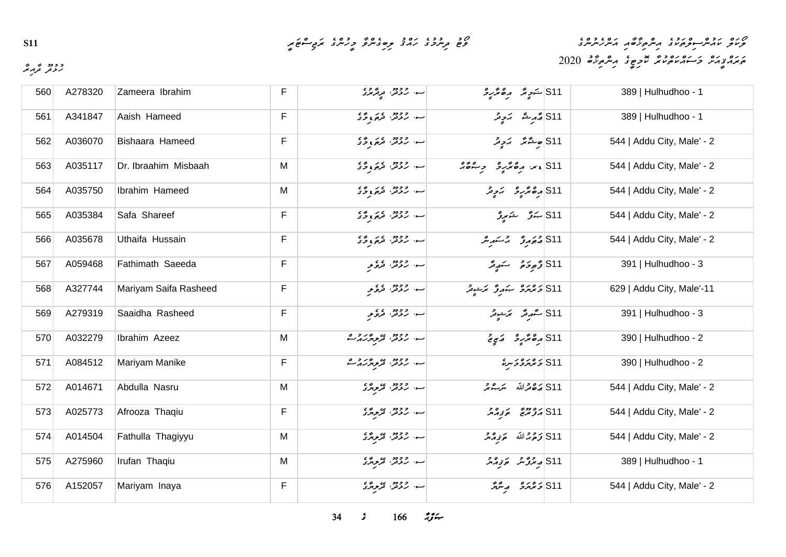*sCw7q7s5w7m< o<n9nOoAw7o< sCq;mAwBoEw7q<m; wBm;vB* م من المرة المرة المرة المرجع المرجع في المركبة 2020<br>مجم*د المريض المربوط المربع المرجع في المراجع المركبة* 

| زغفر ترميمه |  |  |
|-------------|--|--|
|             |  |  |

| 560 | A278320 | Zameera Ibrahim       | F           | ے۔ 222 مرکز پرہ                                  | S11 سَمِرٍ مَّذَ رِصْعَرِ وَ                | 389   Hulhudhoo - 1        |
|-----|---------|-----------------------|-------------|--------------------------------------------------|---------------------------------------------|----------------------------|
| 561 | A341847 | Aaish Hameed          | F           | د دودو در ده د                                   | S11 مُدْمِسْہ کوچر                          | 389   Hulhudhoo - 1        |
| 562 | A036070 | Bishaara Hameed       | F           |                                                  | S11 صِشَعَّہ بَرْدِتْر                      | 544   Addu City, Male' - 2 |
| 563 | A035117 | Dr. Ibraahim Misbaah  | M           | د دودو در ده د                                   | $220 - 222 - 811$                           | 544   Addu City, Male' - 2 |
| 564 | A035750 | Ibrahim Hameed        | M           | ر د دود د د د د د                                | S11 م <i>وڭ ئۇرۇ بەي قى</i>                 | 544   Addu City, Male' - 2 |
| 565 | A035384 | Safa Shareef          | F           | ے۔ ووود ہے کہ وہ                                 | S11 بەرگە ھەمب <i>ولى</i>                   | 544   Addu City, Male' - 2 |
| 566 | A035678 | Uthaifa Hussain       | F           | د دودو در ده د                                   | S11 <i>ھغۇم</i> ۇ سىمبەش                    | 544   Addu City, Male' - 2 |
| 567 | A059468 | Fathimath Saeeda      | F           | سه رودو در در در                                 | S11 ژَّجِرَةَ مُتَ رِيمَّ                   | 391   Hulhudhoo - 3        |
| 568 | A327744 | Mariyam Saifa Rasheed | F           | ے رودو دی ک                                      | S11 <i>كَمُمَهُرْ جَهُوزٌ مَنْ يَوْمِرُ</i> | 629   Addu City, Male'-11  |
| 569 | A279319 | Saaidha Rasheed       | F           | سه رودو د ده و                                   | S11 گەرىگە كەنسونى <i>گە</i>                | 391   Hulhudhoo - 3        |
| 570 | A032279 | Ibrahim Azeez         | M           | ے رودو پر درو ہ                                  | S11 <sub>مر</sub> ھ ئرچ قسم کا              | 390   Hulhudhoo - 2        |
| 571 | A084512 | Mariyam Manike        | F           | ر د دوه در د د د ه در د ه<br>سه روند، ترومزرار ش | S11 كەنگە <i>مەڭگەنى</i> ر                  | 390   Hulhudhoo - 2        |
| 572 | A014671 | Abdulla Nasru         | M           | ر د دود ده وه د د                                | S11 مَەھْتَراللە سَرَجْعَتْهُ               | 544   Addu City, Male' - 2 |
| 573 | A025773 | Afrooza Thaqiu        | $\mathsf F$ | ر در دود. محروری                                 | S11 مۇمىتى مۇقەمىر                          | 544   Addu City, Male' - 2 |
| 574 | A014504 | Fathulla Thagiyyu     | M           | ر د دود. ده ده د                                 | S11 ترة 2 الله - ترتر مر                    | 544   Addu City, Male' - 2 |
| 575 | A275960 | Irufan Thaqiu         | M           | ر د د دو ده و د د د<br>سه روتر، ترویزی           | S11 م <i>ېنگونگر ئوتو</i> مگر               | 389   Hulhudhoo - 1        |
| 576 | A152057 | Mariyam Inaya         | F           | ب دودو عروری                                     | S11 5ع <i>رمرڈ م</i> یٹرمگر                 | 544   Addu City, Male' - 2 |

 $34$  *s*  $166$  *z*  $\frac{2}{3}$  *k*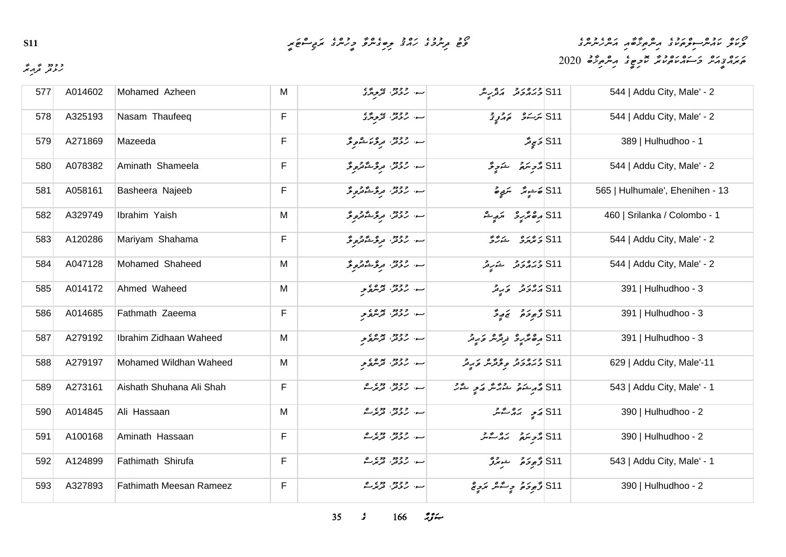*sCw7q7s5w7m< o<n9nOoAw7o< sCq;mAwBoEw7q<m; wBm;vB* م من المرة المرة المرة المرجع المرجع في المركبة 2020<br>مجم*د المريض المربوط المربع المرجع في المراجع المركبة* 

| 577 | A014602 | Mohamed Azheen                 | M            | ر د دود ده و د د                          | S11 <i>ڈیزوونز پروگرینز</i>                  | 544   Addu City, Male' - 2      |
|-----|---------|--------------------------------|--------------|-------------------------------------------|----------------------------------------------|---------------------------------|
| 578 | A325193 | Nasam Thaufeeq                 | $\mathsf{F}$ | ر د دود ده وه د د                         | S11 مَرْسَوْ مَ <i>وْرُوِيْ</i>              | 544   Addu City, Male' - 2      |
| 579 | A271869 | Mazeeda                        | F            | سە رىزىق مەۋرىك ھەم ئى                    | S11 كۈيەتمە                                  | 389   Hulhudhoo - 1             |
| 580 | A078382 | Aminath Shameela               | $\mathsf{F}$ | سە رودە برۇشگەرگە                         | S11 مَّ حِ سَمَّ حَ حِ مَّ                   | 544   Addu City, Male' - 2      |
| 581 | A058161 | Basheera Najeeb                | F            | سە رودە برۇشگەرگە                         | S11 <i>ھَ</i> شبِعَّہ سَمَ <i>ةٍ ھُ</i>      | 565   Hulhumale', Ehenihen - 13 |
| 582 | A329749 | Ibrahim Yaish                  | M            | سە رودە برۇشگەرگە                         | S11 م <i>ەھترى</i> رى مەمبى                  | 460   Srilanka / Colombo - 1    |
| 583 | A120286 | Mariyam Shahama                | $\mathsf{F}$ | سە رودە برۇشگەرگە                         | S11 ك <i>رىمى ئىمى</i> ئىشى ئىم              | 544   Addu City, Male' - 2      |
| 584 | A047128 | Mohamed Shaheed                | M            | سە رودو بروشگەرە ئ                        | S11 <i>\$ پروونز</i> خ <i>وب</i> تر          | 544   Addu City, Male' - 2      |
| 585 | A014172 | Ahmed Waheed                   | M            | ے دورہ بودی کے                            | S11   كەش <sup>ى</sup> كەر قەر بىر           | 391   Hulhudhoo - 3             |
| 586 | A014685 | Fathmath Zaeema                | $\mathsf{F}$ | د د دود بده به<br>ب روتر، ترس             | S11 ۇ <sub>ج</sub> ودۇ ت <sub>ى ج</sub> ۇ    | 391   Hulhudhoo - 3             |
| 587 | A279192 | Ibrahim Zidhaan Waheed         | M            | ے دورہ بوہ ہ                              | S11 مەھەرىرى نوپۇش ق <i>اي</i> ىتر           | 391   Hulhudhoo - 3             |
| 588 | A279197 | Mohamed Wildhan Waheed         | M            | ے دورہ بوہ ہ                              | S11  <i>3،223 و</i> وقدَّش <i>وَ ب</i> رِيْر | 629   Addu City, Male'-11       |
| 589 | A273161 | Aishath Shuhana Ali Shah       | $\mathsf{F}$ | ب دودو دوي ه                              | S11 مُرمِشَمُ شَمَّتُمُّ مَعِ شَّرَّ         | 543   Addu City, Male' - 1      |
| 590 | A014845 | Ali Hassaan                    | M            | ر در دور دور در در<br>ر در در در در در در | S11  كەمچە ئەيمەشكەر                         | 390   Hulhudhoo - 2             |
| 591 | A100168 | Aminath Hassaan                | F            |                                           | S11 مُتَّحِسَمُوْ سَمْرٌ مُشَمَّسٌ           | 390   Hulhudhoo - 2             |
| 592 | A124899 | Fathimath Shirufa              | F            |                                           | S11 <i>وَّج</i> وحَمْ صْمِعْرَزَّ            | 543   Addu City, Male' - 1      |
| 593 | A327893 | <b>Fathimath Meesan Rameez</b> | $\mathsf{F}$ | ر در دور دور در در<br>ر بر بر در بربر ک   | S11 <i>ؤودة ديسة مرد</i> ي                   | 390   Hulhudhoo - 2             |

 $35$  *s*  $166$  *z***<sub>3</sub>** $25$ **</sub>**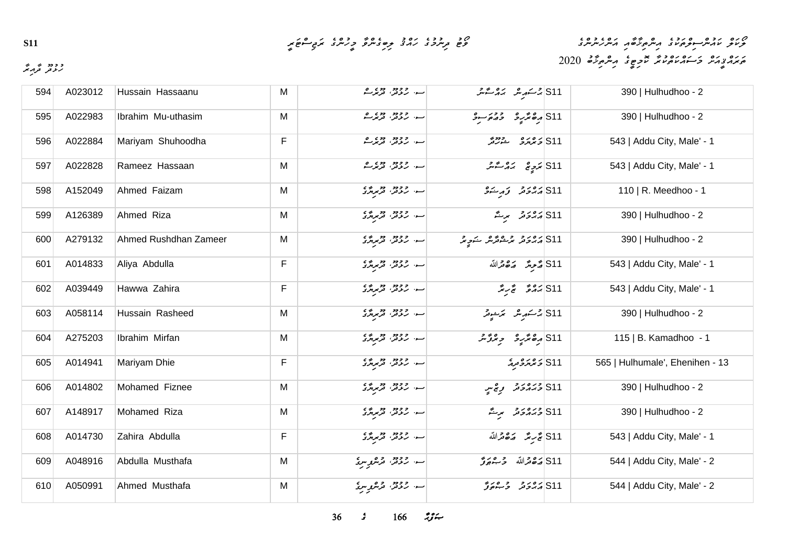*sCw7q7s5w7m< o<n9nOoAw7o< sCq;mAwBoEw7q<m; wBm;vB* م من المرة المرة المرة المرجع المرجع في المركبة 2020<br>مجم*د المريض المربوط المربع المرجع في المراجع المركبة* 

|  | チージ コココ   |
|--|-----------|
|  | زعو ودمير |
|  |           |

| 594 | A023012 | Hussain Hassaanu      | M | ے۔ ووود ودی ہے                          | S11 پرستمبر پر برگ شر                                                                                         | 390   Hulhudhoo - 2             |
|-----|---------|-----------------------|---|-----------------------------------------|---------------------------------------------------------------------------------------------------------------|---------------------------------|
| 595 | A022983 | Ibrahim Mu-uthasim    | M | ر در دور دور ده بار<br>سه برنوش توپوستو | S11 مەھەر بەھ مەھەسىرى                                                                                        | 390   Hulhudhoo - 2             |
| 596 | A022884 | Mariyam Shuhoodha     | F | ر در دور دور ه<br>ر بروتر، توبور        | S11 كەندىرو ھەدىر                                                                                             | 543   Addu City, Male' - 1      |
| 597 | A022828 | Rameez Hassaan        | M | ے۔ روود دور و                           | S11 ىزى <sub>چ</sub> ق بەيرگىتر                                                                               | 543   Addu City, Male' - 1      |
| 598 | A152049 | Ahmed Faizam          | M | - د دوه دو ده ده<br>- رنوتو، توپروژ     | S11 كەبۇر قىم شىرى ئىلگەن ئىسى ئىسى ئىلگانى ئىلگەن ئىلگەن ئىلگەن ئىلگەن ئىلگەن ئىلگەن ئىلگەن ئىلگەن كەنتى ئىل | 110   R. Meedhoo - 1            |
| 599 | A126389 | Ahmed Riza            | M | ے۔ رووو وو دی                           | S11 كەندى قىل س <sub>ى</sub> ت                                                                                | 390   Hulhudhoo - 2             |
| 600 | A279132 | Ahmed Rushdhan Zameer | M | ر د دود دو ده ده<br>سه رنونس تربوبرو    | S11 كەبروگر گرىشەنگەنگر سەمبەرگر                                                                              | 390   Hulhudhoo - 2             |
| 601 | A014833 | Aliya Abdulla         | F | ر د دود دو ده.<br>سه رنونس تربروژي      | S11 مَرْمِتَر   مَەقداللە                                                                                     | 543   Addu City, Male' - 1      |
| 602 | A039449 | Hawwa Zahira          | F | ے۔ ووود وو دی                           | S11 ئەممى ئىق ئىم                                                                                             | 543   Addu City, Male' - 1      |
| 603 | A058114 | Hussain Rasheed       | M | - د دوه دو ده ده<br>- رنوتو، توپروژ     |                                                                                                               | 390   Hulhudhoo - 2             |
| 604 | A275203 | Ibrahim Mirfan        | M | ر د دود دو ده ده<br>ر د روتو، تومبرگری  | S11 رەتمەر ئورىمى ئىس                                                                                         | 115   B. Kamadhoo - 1           |
| 605 | A014941 | Mariyam Dhie          | F | ر د دود دو ده ده<br>سه رنونس تربوبرو    | S11 كەممە <i>رى بورگ</i>                                                                                      | 565   Hulhumale', Ehenihen - 13 |
| 606 | A014802 | Mohamed Fiznee        | M | ے۔ رووو وو دی                           | S11 <i>5225 وي</i> حسر                                                                                        | 390   Hulhudhoo - 2             |
| 607 | A148917 | Mohamed Riza          | M | ے۔ ووود وو دی                           | S11 <i>وَبَرْدُوَنْوَ</i> بِرِتَّۃِ                                                                           | 390   Hulhudhoo - 2             |
| 608 | A014730 | Zahira Abdulla        | F | د د دود دو ده.<br>سه رونو، توپرېژي      | S11 تج سِتَمَد     مَرْكَ قَدْاللّه                                                                           | 543   Addu City, Male' - 1      |
| 609 | A048916 | Abdulla Musthafa      | M | ے رودو ورموس                            | S11 مَەھْتَراللە ئ <i>ۇ جۇمۇ</i> تَر                                                                          | 544   Addu City, Male' - 2      |
| 610 | A050991 | Ahmed Musthafa        | M | ے رودو ورموسر                           | S11 كەبرو دەرە                                                                                                | 544   Addu City, Male' - 2      |

 $36$  *s*  $166$  *z*  $\frac{2}{36}$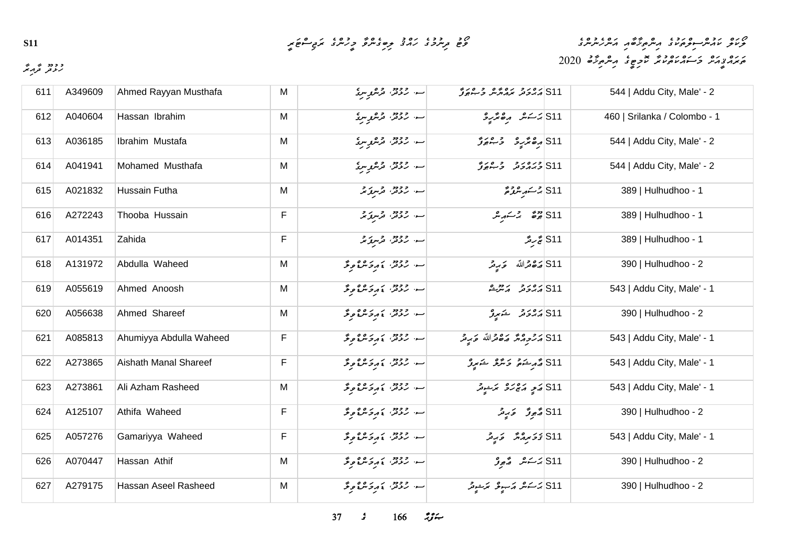*sCw7q7s5w7m< o<n9nOoAw7o< sCq;mAwBoEw7q<m; wBm;vB* م من المرة المرة المرة المرجع المرجع في المركبة 2020<br>مجم*د المريض المربوط المربع المرجع في المراجع المركبة* 

|  | د دود به پر<br>رنز تر تربر تر |
|--|-------------------------------|
|  |                               |

| 611 | A349609 | Ahmed Rayyan Musthafa        | M           | - رودور وژموبیو         | S11 كەبروتىر بىرە ئۇرگە ئەس <i>بۇ ئ</i>       | 544   Addu City, Male' - 2   |
|-----|---------|------------------------------|-------------|-------------------------|-----------------------------------------------|------------------------------|
| 612 | A040604 | Hassan Ibrahim               | M           | ے رودو ورموسی           | S11 ئەسىر مەمگەر 2                            | 460   Srilanka / Colombo - 1 |
| 613 | A036185 | Ibrahim Mustafa              | M           | ے۔ رودو وہ مرتبر سر     | S11 مەھەر بەھ ئەسىم <i>ۇ</i>                  | 544   Addu City, Male' - 2   |
| 614 | A041941 | Mohamed Musthafa             | M           | ے۔ رووڈ ورموسی          | S11 <i>ډېره د</i> ه د ورو                     | 544   Addu City, Male' - 2   |
| 615 | A021832 | Hussain Futha                | M           | ر د دود. و برگرمی       | S11 - ئەسىر ش <sub>ە</sub> رىج                | 389   Hulhudhoo - 1          |
| 616 | A272243 | Thooba Hussain               | $\mathsf F$ | ر د دود. و برگرمی       | S11 چوھ بڑے ہد                                | 389   Hulhudhoo - 1          |
| 617 | A014351 | Zahida                       | F           | ر د دود. و برگرمی       | S11 تج برمگر                                  | 389   Hulhudhoo - 1          |
| 618 | A131972 | Abdulla Waheed               | M           | سە رودە ، بەرەسى بۇ     | S11 كەھەراللە     كەبەتر                      | 390   Hulhudhoo - 2          |
| 619 | A055619 | Ahmed Anoosh                 | M           | سە رودو رىرە ئەرەتلىغ   | S11 كەبروتى كەيترىش                           | 543   Addu City, Male' - 1   |
| 620 | A056638 | Ahmed Shareef                | M           | سە رودە ، ئەرىكىن ئوغ   | S11 كەش <sup>ى</sup> رىق سى <i>تىمب</i> ۇ     | 390   Hulhudhoo - 2          |
| 621 | A085813 | Ahumiyya Abdulla Waheed      | $\mathsf F$ | ے رودہ بہرخامور کا ا    | S11 كەر <i>جى مەھەت</i> راللە ئ <i>ويى</i> تر | 543   Addu City, Male' - 1   |
| 622 | A273865 | <b>Aishath Manal Shareef</b> | F           | سە رودە ، دېرىك ئوڭر    | S11 مَّەمِ شَمَّة كَسَّرَة خَمَّيْر           | 543   Addu City, Male' - 1   |
| 623 | A273861 | Ali Azham Rasheed            | M           | ۔ رودہ بر روہ و گھ      | S11 كەي كەنچە <i>كى تەرىپى</i> ر              | 543   Addu City, Male' - 1   |
| 624 | A125107 | Athifa Waheed                | F           | سە رودو رىرە ئەرەتلىغ   | S11 مَّ مِوتَر كَ مِرْ مِرْ                   | 390   Hulhudhoo - 2          |
| 625 | A057276 | Gamariyya Waheed             | $\mathsf F$ | سە رودە ئەرىكىدە بوڭر   | S11 تۈق <i>رىمىڭ قې</i> رى <i>ت</i> ر         | 543   Addu City, Male' - 1   |
| 626 | A070447 | Hassan Athif                 | M           | ے رودہ بر روہ و ع       | S11 ئەسەبىر م <i>ەبب</i> ۇ                    | 390   Hulhudhoo - 2          |
| 627 | A279175 | Hassan Aseel Rasheed         | M           | سە رودە ، ئەرەكلىنى ئوق | S11   يَرْسَمْ هُرَ مَرْسِوڤر مَرْسُوشْ       | 390   Hulhudhoo - 2          |

**37** *s* **166** *z s s*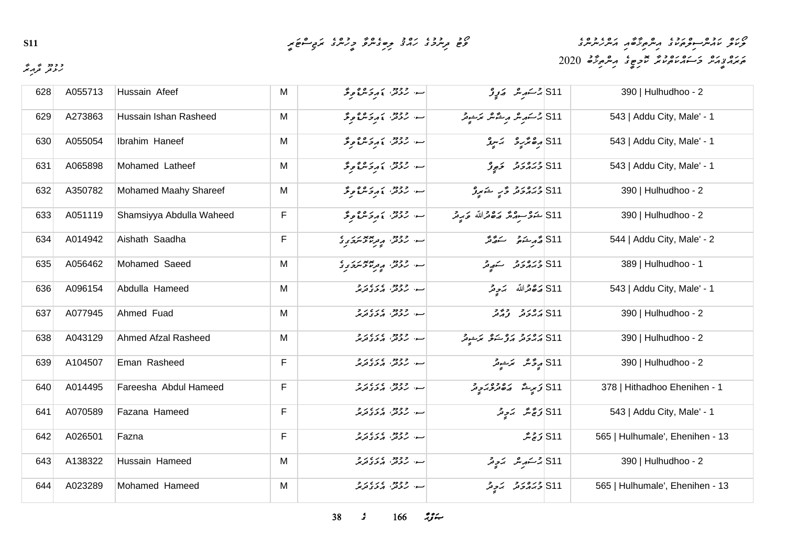*sCw7q7s5w7m< o<n9nOoAw7o< sCq;mAwBoEw7q<m; wBm;vB* م من المرة المرة المرة المرجع المرجع في المركبة 2020<br>مجم*د المريض المربوط المربع المرجع في المراجع المركبة* 

| 628 | A055713 | Hussain Afeef                | M           | سە رودە ، ئەرىكىن ئوڭر                                                                                                                                                                                                          | S11 پرستمبر ش <i>ر پی</i> وژ                    | 390   Hulhudhoo - 2             |
|-----|---------|------------------------------|-------------|---------------------------------------------------------------------------------------------------------------------------------------------------------------------------------------------------------------------------------|-------------------------------------------------|---------------------------------|
| 629 | A273863 | Hussain Ishan Rasheed        | M           | سەر 22 كەر ئەر كەنتى بورى                                                                                                                                                                                                       | S11 برسمبر شر میگنگر مترسوتر                    | 543   Addu City, Male' - 1      |
| 630 | A055054 | Ibrahim Haneef               | M           | سە رودە ، ئەرىكىن ئوڭر                                                                                                                                                                                                          | S11  مەھەرىپ <sup>ى كە</sup> يىرى               | 543   Addu City, Male' - 1      |
| 631 | A065898 | Mohamed Latheef              | M           | سار روه در کاروه و ځه                                                                                                                                                                                                           | S11 <i>دېم</i> ډېر تو <sub>جو</sub> ژ           | 543   Addu City, Male' - 1      |
| 632 | A350782 | <b>Mohamed Maahy Shareef</b> | M           | سەر ئەردىك ئەر ئەرە ئۇ ئۇ                                                                                                                                                                                                       | S11  32,025 وَ بِي حَصَرِ وَ                    | 390   Hulhudhoo - 2             |
| 633 | A051119 | Shamsiyya Abdulla Waheed     | $\mathsf F$ | سەر ئەندىن ، ئەر ئەندى ئورگە                                                                                                                                                                                                    | S11 خەۋسو <i>مەش خەھى</i> راللە ئ <i>وبو</i> تر | 390   Hulhudhoo - 2             |
| 634 | A014942 | Aishath Saadha               | F           | ے دورہ پر پر پر در د                                                                                                                                                                                                            | S11 مَگْرِسْتَمْ مِنْ سَنَمْتَرْ                | 544   Addu City, Male' - 2      |
| 635 | A056462 | Mohamed Saeed                | M           | ے رودو پر پر بردی کے                                                                                                                                                                                                            | S11 <i>ڈیز پروژنز سنہویز</i>                    | 389   Hulhudhoo - 1             |
| 636 | A096154 | Abdulla Hameed               | M           | ر در دوده ای در در در در این در در این در در این در در این در این در این در این در این در این در این در این د<br>در این در این در این در این در این در این در این در این در این در این در این در این در این در این در این در ای | S11  مَەھْتَراللە    ئەرِتْر                    | 543   Addu City, Male' - 1      |
| 637 | A077945 | Ahmed Fuad                   | M           | ر د د د د د د د د د<br>سه رونس پروژنونژی                                                                                                                                                                                        | S11 كەبرى قىر ئەرگە ئۇ ئەرگە ئىر                | 390   Hulhudhoo - 2             |
| 638 | A043129 | Ahmed Afzal Rasheed          | M           | ر در دوده ای در داد.<br>سود امراد کرد کرد تریم                                                                                                                                                                                  | S11 <i>ړ ۶۶ وي دی برع</i> يوتر                  | 390   Hulhudhoo - 2             |
| 639 | A104507 | Eman Rasheed                 | F           | ر د د دو د د د د د<br>سه رکونس اړلوی توپو                                                                                                                                                                                       | S11 مرِگْسُ - مَرْشِيْتُرُ                      | 390   Hulhudhoo - 2             |
| 640 | A014495 | Fareesha Abdul Hameed        | $\mathsf F$ | ر د ودو د د د د و<br>سه رنوتر، ه لای توبر                                                                                                                                                                                       | S11 ئۈيرىش ھەھە <i>ر ۋەزىر ب</i> ۇ              | 378   Hithadhoo Ehenihen - 1    |
| 641 | A070589 | Fazana Hameed                | $\mathsf F$ | ر در دوده ای در دارد.<br>سود امراد کرد کرد کرد                                                                                                                                                                                  | S11 كَرَيْمَة مَرِيْرَ                          | 543   Addu City, Male' - 1      |
| 642 | A026501 | Fazna                        | F           | ر د د د د د د د د<br>سه گرفتن از د د د تریم                                                                                                                                                                                     | S11 ئۇنچ ئىگر                                   | 565   Hulhumale', Ehenihen - 13 |
| 643 | A138322 | Hussain Hameed               | M           | ر د و وود د د د د و د<br>سود انرلولوا او او ی تورنو                                                                                                                                                                             | S11 پرسکو پھر کرویڈ                             | 390   Hulhudhoo - 2             |
| 644 | A023289 | Mohamed Hameed               | M           | ر د د دو د د د د د<br>سه رکونس اړلوی توپو                                                                                                                                                                                       | S11  <i>وْبَهْهُوَمْ بَرْدِيْر</i> ْ            | 565   Hulhumale', Ehenihen - 13 |

 $38$  *s*  $166$  *z*  $\frac{2}{3}$  *k* 

*n8o<n@ r@q:q5*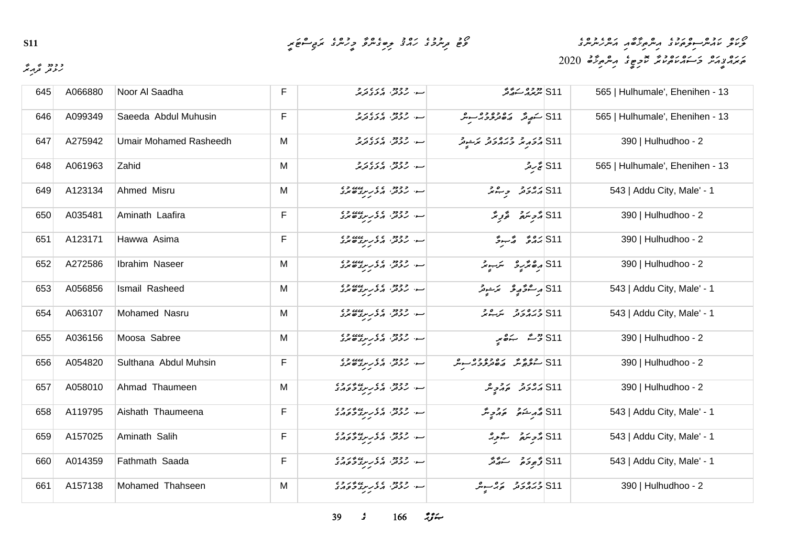*sCw7q7s5w7m< o<n9nOoAw7o< sCq;mAwBoEw7q<m; wBm;vB* م من المرة المرة المرة المرجع المرجع في المركبة 2020<br>مجم*د المريض المربوط المربع المرجع في المراجع المركبة* 

|  | د دود به پژمر<br>رنز تر ترمریم |
|--|--------------------------------|
|  |                                |

| 645 | A066880 | Noor Al Saadha                | F           | ر د د ده د د د د د<br>سود گرفتن از د د د ترمز              | S11 تېر <i>ىز ئەسەر ئ</i>                   | 565   Hulhumale', Ehenihen - 13 |
|-----|---------|-------------------------------|-------------|------------------------------------------------------------|---------------------------------------------|---------------------------------|
| 646 | A099349 | Saeeda Abdul Muhusin          | $\mathsf F$ |                                                            | S11 كىھەتىر ب <i>ەھەدە دەرىبى</i> تە        | 565   Hulhumale', Ehenihen - 13 |
| 647 | A275942 | <b>Umair Mohamed Rasheedh</b> | M           |                                                            | S11 پرتوبه پر ویروبر برخوبر                 | 390   Hulhudhoo - 2             |
| 648 | A061963 | Zahid                         | M           |                                                            | S11 ڻچ رقر                                  | 565   Hulhumale', Ehenihen - 13 |
| 649 | A123134 | Ahmed Misru                   | M           |                                                            | S11 <i>ډېر د په پ</i>                       | 543   Addu City, Male' - 1      |
| 650 | A035481 | Aminath Laafira               | $\mathsf F$ |                                                            | S11 مَّ مِسَعْ قَوْرِ مَّ                   | 390   Hulhudhoo - 2             |
| 651 | A123171 | Hawwa Asima                   | $\mathsf F$ |                                                            | S11 كَنْدْدْرْ كْتْسِرْدْ                   | 390   Hulhudhoo - 2             |
| 652 | A272586 | Ibrahim Naseer                | M           |                                                            | S11 مەھەر ئەسىر ئىسىر ئىسىر ئىس             | 390   Hulhudhoo - 2             |
| 653 | A056856 | Ismail Rasheed                | M           |                                                            | S11 م <sub>ە</sub> شۇر تۇرىئوتر             | 543   Addu City, Male' - 1      |
| 654 | A063107 | Mohamed Nasru                 | M           |                                                            | S11 دېرورو شريقر                            | 543   Addu City, Male' - 1      |
| 655 | A036156 | Moosa Sabree                  | M           | و و وو ده ده ده ده ده و د<br>سود اربوتری ایربو برای هایمزی | S11 فَرْشَہ سَہُ صَب                        | 390   Hulhudhoo - 2             |
| 656 | A054820 | Sulthana Abdul Muhsin         | $\mathsf F$ | ر د د د د د د د د د د د د د د<br>سه رنونو، برنورسری ت مور  | S11 جوء پر پره ده دو مش                     | 390   Hulhudhoo - 2             |
| 657 | A058010 | Ahmad Thaumeen                | M           | ر در دود ده و در ده در ده<br>سوا روندا از در در دو و در د  | S11 كەبرى قىر ئەرەپ ئىلگە                   | 390   Hulhudhoo - 2             |
| 658 | A119795 | Aishath Thaumeena             | F           |                                                            | S11 <i>أُمُّ مِ</i> شَمَّعُو مَحْمَدِ سَمَّ | 543   Addu City, Male' - 1      |
| 659 | A157025 | Aminath Salih                 | $\mathsf F$ | ر د دود د د د د د د د د د<br>ر د روند اړور د د د د د       | S11 <sub>م</sub> ُتَّحِبةَ مُجَمَّحِيَّة    | 543   Addu City, Male' - 1      |
| 660 | A014359 | Fathmath Saada                | F           | ر در دود ده در ده در ده<br>سوا رنوش از نور نورو و های      | S11 ژَّجِرَةَ مَسَرَّتَرَ                   | 543   Addu City, Male' - 1      |
| 661 | A157138 | Mohamed Thahseen              | M           |                                                            | S11 <i>ڈیزودو پی کے پ</i> یٹر               | 390   Hulhudhoo - 2             |

**39** *s* **166** *z s s*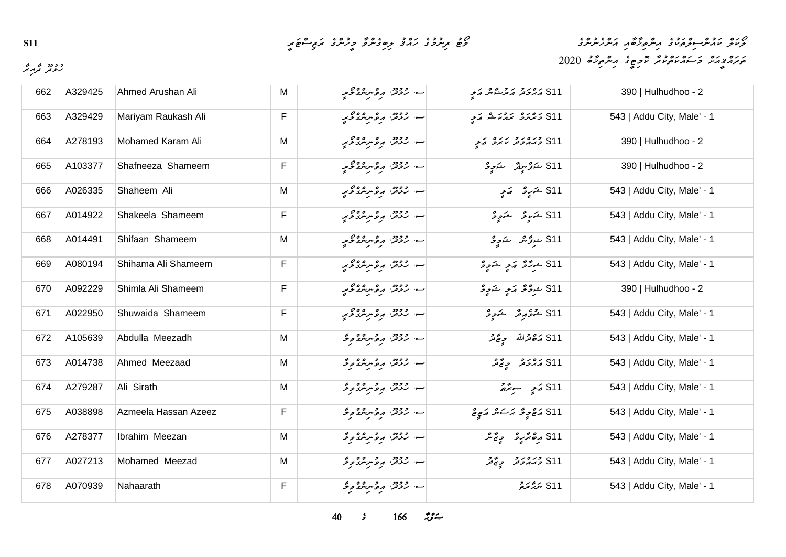*sCw7q7s5w7m< o<n9nOoAw7o< sCq;mAwBoEw7q<m; wBm;vB* م من المرة المرة المرة المرجع المرجع في المركبة 2020<br>مجم*د المريض المربوط المربع المرجع في المراجع المركبة* 

| 662 | A329425 | Ahmed Arushan Ali    | M            | ے گرفتر، مروسر مروضح مر | S11 كەبروتر كەبرىشكىر ك <i>ەبچ</i>         | 390   Hulhudhoo - 2        |
|-----|---------|----------------------|--------------|-------------------------|--------------------------------------------|----------------------------|
| 663 | A329429 | Mariyam Raukash Ali  | F            | ے رودو روسر مرومی       | S11 ك <i>زمرده بزمريده ك</i> رمي           | 543   Addu City, Male' - 1 |
| 664 | A278193 | Mohamed Karam Ali    | M            | ے رودو روسر مرومی       | S11 <i>ڈبزور دی تابرو کی ب</i>             | 390   Hulhudhoo - 2        |
| 665 | A103377 | Shafneeza Shameem    | $\mathsf{F}$ | ے رودو روسر مرومی       | S11 خىۋىيىتى خ <i>ەرد</i>                  | 390   Hulhudhoo - 2        |
| 666 | A026335 | Shaheem Ali          | M            | ب رودو روسهوروس         | S11 ڪر <i>ي</i> و کي په                    | 543   Addu City, Male' - 1 |
| 667 | A014922 | Shakeela Shameem     | $\mathsf{F}$ | ے روزور روسرمروحی       | S11 ڪريگ ڪر <i>و</i> گر                    | 543   Addu City, Male' - 1 |
| 668 | A014491 | Shifaan Shameem      | M            | ے روزور روسرمروحی       | S11  حورٌ شر محکموٍ وُ                     | 543   Addu City, Male' - 1 |
| 669 | A080194 | Shihama Ali Shameem  | $\mathsf{F}$ | ے روزہ روسترونوں        | S11 منبرگر کم پر مشر <sub>ک</sub> و و      | 543   Addu City, Male' - 1 |
| 670 | A092229 | Shimla Ali Shameem   | $\mathsf F$  | ے رودو روسر مرومی       | S11 صوبحة كامي حكامٍ في                    | 390   Hulhudhoo - 2        |
| 671 | A022950 | Shuwaida Shameem     | $\mathsf F$  | ے روزہ روسر مروم        | S11  ڪُنَوَمِرتَرُ   ڪَمَرِيُّ             | 543   Addu City, Male' - 1 |
| 672 | A105639 | Abdulla Meezadh      | M            | ے رودہ روسرمرو و گ      | S11 <i>مَذَّةَ مَّ</i> تَسَرُّ حَرِيَّ مَّ | 543   Addu City, Male' - 1 |
| 673 | A014738 | Ahmed Meezaad        | M            | ب رودو روسروه و و       | S11 كەندى قىرىمى تىر                       | 543   Addu City, Male' - 1 |
| 674 | A279287 | Ali Sirath           | M            | ے رودہ روسرمرو و گ      | S11 <i>ھَ جِهِ سِبرتَهُ</i>                | 543   Addu City, Male' - 1 |
| 675 | A038898 | Azmeela Hassan Azeez | $\mathsf F$  | ب رودو روسرورو و گ      | S11 كەنج بوقۇ بەس <i>تەش كەنبى</i> ق       | 543   Addu City, Male' - 1 |
| 676 | A278377 | Ibrahim Meezan       | M            | ے رودو روسرمرو و گ      | S11 م <i>ەھترى</i> دۇ ب <i>ېتى</i> ر       | 543   Addu City, Male' - 1 |
| 677 | A027213 | Mohamed Meezad       | M            | ے رودو روسرمروفر        | S11 <i>دېمم</i> وتر <sub>ج ت</sub> مگ      | 543   Addu City, Male' - 1 |
| 678 | A070939 | Nahaarath            | F            | ے رودہ روسرموری         | S11 بَرَدَّبَرَ جَمْ                       | 543   Addu City, Male' - 1 |

*40 s* 166 *i*<sub>S</sub> $\approx$ 

*n8o<n@ r@q:q5*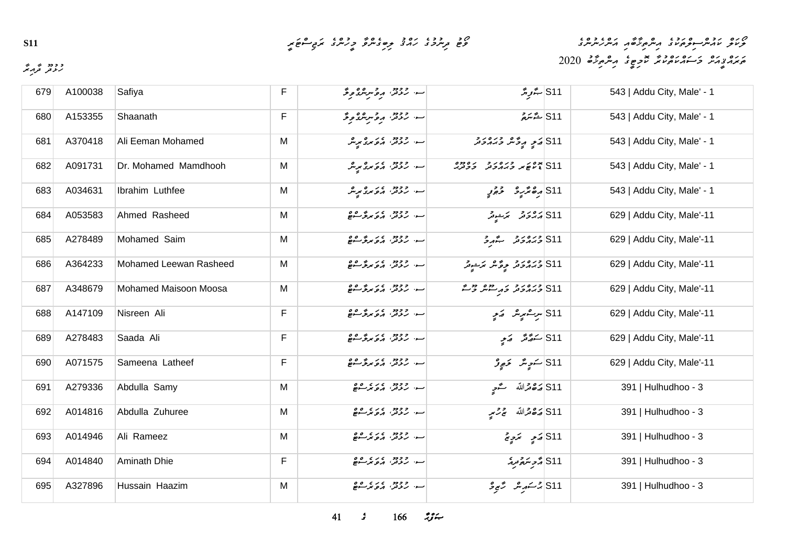*sCw7q7s5w7m< o<n9nOoAw7o< sCq;mAwBoEw7q<m; wBm;vB* م من المرة المرة المرة المرجع المرجع في المركبة 2020<br>مجم*د المريض المربوط المربع المرجع في المراجع المركبة* 

| 679 | A100038 | Safiya                 | F | ے رودو روسر مرو و ڈ                                 | S11 ست <sub>گو</sub> رمگر                            | 543   Addu City, Male' - 1 |
|-----|---------|------------------------|---|-----------------------------------------------------|------------------------------------------------------|----------------------------|
| 680 | A153355 | Shaanath               | F | ے رودو روسر سرائی و گ                               | S11 يَشْهَدُ                                         | 543   Addu City, Male' - 1 |
| 681 | A370418 | Ali Eeman Mohamed      | M | ے رودہ در ہ                                         | S11 كەبى مەۋىر <i>دىنەدى</i> ر                       | 543   Addu City, Male' - 1 |
| 682 | A091731 | Dr. Mohamed Mamdhooh   | M | سا رودو المرد و بره                                 | S11 يوه د برورو برودوه                               | 543   Addu City, Male' - 1 |
| 683 | A034631 | Ibrahim Luthfee        | M | ے رودہ در ہ                                         | S11 م <i>وڭ ئۇي</i> ۇ - ئۇت <sub>ت</sub> ۇر          | 543   Addu City, Male' - 1 |
| 684 | A053583 | Ahmed Rasheed          | M | ر در دور در دوره وه<br>را روتر، مرو برو سوم         | S11 كەرگە كىم بىر ئىرىدىش                            | 629   Addu City, Male'-11  |
| 685 | A278489 | Mohamed Saim           | M | ر در دور در در ده<br>سوسر روس مرکز کرده             | S11 <i>ۋېزونزې</i> شەرق                              | 629   Addu City, Male'-11  |
| 686 | A364233 | Mohamed Leewan Rasheed | M | سە رودو بار بولمان                                  | S11 <i>وَبَهُ وَوَمَّ</i> رْ مِرَسُومُرَ مَرْسُومُرَ | 629   Addu City, Male'-11  |
| 687 | A348679 | Mohamed Maisoon Moosa  | M | سه دوده بار وه وه                                   | S11 درورو ر دوم ده د                                 | 629   Addu City, Male'-11  |
| 688 | A147109 | Nisreen Ali            | F | ر در دور در در ده<br>را روتر، بروبرتر مو            | S11 سرڪيپن <i>گھ چ</i> َمبِ                          | 629   Addu City, Male'-11  |
| 689 | A278483 | Saada Ali              | F | ر در دور در در ده ورو<br>سه رنزنس مرو بروگسو        | S11 ستر <i>ة مَّة</i> وَمِ                           | 629   Addu City, Male'-11  |
| 690 | A071575 | Sameena Latheef        | F | ر در دور در در دوره<br>سوسر روس مرکز روم            | S11 ڪوپٽر کر <i>چو</i> ڙ                             | 629   Addu City, Male'-11  |
| 691 | A279336 | Abdulla Samy           | M | سه روده برر ده ده                                   | S11 كەھ قىراللە گىچ                                  | 391   Hulhudhoo - 3        |
| 692 | A014816 | Abdulla Zuhuree        | M | سه دوده بر ده ده                                    | S11 كەھەراللە بى <sup>5</sup> ىر                     | 391   Hulhudhoo - 3        |
| 693 | A014946 | Ali Rameez             | M | ر د دود د د ه وه<br>سه روتر، موتر شو <mark>ه</mark> | S11 <i>ھَ جِس مَ</i> حِي                             | 391   Hulhudhoo - 3        |
| 694 | A014840 | Aminath Dhie           | F | ر د دود دره ده وه<br>سه روتر، موترسوم               | S11 مَّ مِسَمَّومِهِ ً                               | 391   Hulhudhoo - 3        |
| 695 | A327896 | Hussain Haazim         | M | سه درود در دره ده<br>سه روتر، موترسه                | S11 بڑے پر بھر گر <sub>ی</sub> تح                    | 391   Hulhudhoo - 3        |

 $41$  *s*  $166$  *z***<sub>3</sub>** $\approx$ 

و و *ه به بر*<br>رنو تر <sub>م</sub>ر بر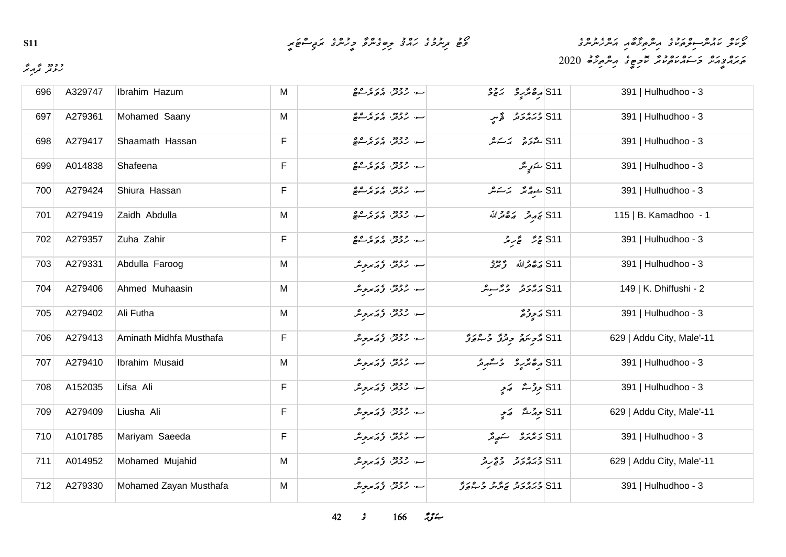*sCw7q7s5w7m< o<n9nOoAw7o< sCq;mAwBoEw7q<m; wBm;vB* م من المرة المرة المرة المرجع المرجع في المركبة 2020<br>مجم*د المريض المربوط المربع المرجع في المراجع المركبة* 

|  | $\rightarrow$ $\rightarrow$ 3777 |
|--|----------------------------------|
|  | زعو ودمير                        |
|  |                                  |

| 696 | A329747 | Ibrahim Hazum           | M           | سه درود برره وه                                   | S11 <sub>م</sub> ەمگەر ئەيدىنى ئىلىم                                                                 | 391   Hulhudhoo - 3       |
|-----|---------|-------------------------|-------------|---------------------------------------------------|------------------------------------------------------------------------------------------------------|---------------------------|
| 697 | A279361 | Mohamed Saany           | M           | سه درود بر ده وه                                  | S11 <i>وَبَرْدُوَنْتْ</i> پِّي سِ                                                                    | 391   Hulhudhoo - 3       |
| 698 | A279417 | Shaamath Hassan         | F           | سه درود در ده وه                                  | S11 ڪَرَ <i>وَ بَرڪس</i>                                                                             | 391   Hulhudhoo - 3       |
| 699 | A014838 | Shafeena                | F           | ر د د دور د د د د ه ه<br>ر د د د د د د د و بر سوم | S11 ڪريگر                                                                                            | 391   Hulhudhoo - 3       |
| 700 | A279424 | Shiura Hassan           | F           | سه درود برره وه                                   | S11 ح <i>وڤ پڑے پڑ</i>                                                                               | 391   Hulhudhoo - 3       |
| 701 | A279419 | Zaidh Abdulla           | M           | ر د د د د د د د وه<br>سر روس مومرسوم              | S11 تج مر قمر محکمة همرالله                                                                          | 115   B. Kamadhoo - 1     |
| 702 | A279357 | Zuha Zahir              | F           | سه درود برره ده                                   | S11 ج مح مح مر بمر                                                                                   | 391   Hulhudhoo - 3       |
| 703 | A279331 | Abdulla Faroog          | M           | ے رودہ ورپرونکر                                   | S11 مَەھىراللە ئ <sup>وردى</sup>                                                                     | 391   Hulhudhoo - 3       |
| 704 | A279406 | Ahmed Muhaasin          | M           | ے رودہ وربرونگر                                   | S11 كەبرى قارىمى ئارىسى ئاراسىيە ئارا ئاراسىيە ئارا ئاراسىيە ئاراسىيە ئاراسىيە ئاراسىيە ئاراسىيە ئار | 149   K. Dhiffushi - 2    |
| 705 | A279402 | Ali Futha               | M           | ے رودہ ورپروٹر                                    | S11 <sub>مَج</sub> وتم                                                                               | 391   Hulhudhoo - 3       |
| 706 | A279413 | Aminath Midhfa Musthafa | $\mathsf F$ | ے رودہ میں مرد شر                                 | S11 مٌ <i>وِسَمَعُ وِمْرُوَّ وَجُمُورُ</i>                                                           | 629   Addu City, Male'-11 |
| 707 | A279410 | Ibrahim Musaid          | M           | ے رودہ ورپروٹر                                    | S11  بر <i>ەنگەر ۋىمى ۋىتى</i> رىتى                                                                  | 391   Hulhudhoo - 3       |
| 708 | A152035 | Lifsa Ali               | F           | ے رودہ ورپرونکر                                   | S11 مِرْرْجٌ کَمَ مِ                                                                                 | 391   Hulhudhoo - 3       |
| 709 | A279409 | Liusha Ali              | F           | ے رودہ ویربرجات                                   | S11 مِرْشَدٌ   رَمِ                                                                                  | 629   Addu City, Male'-11 |
| 710 | A101785 | Mariyam Saeeda          | F           | ے رودہ وربرونگر                                   | S11 كەندىر ئەر ئىكە يەنگە                                                                            | 391   Hulhudhoo - 3       |
| 711 | A014952 | Mohamed Mujahid         | M           | ے رودہ ورپرونکر                                   | S11 <i>ڈبزونز دف</i> ٹریز                                                                            | 629   Addu City, Male'-11 |
| 712 | A279330 | Mohamed Zayan Musthafa  | M           | ے رودہ ویربرونکر                                  | S11 <i>دې ده دو</i> پروگر و <i>سوون</i> ۍ                                                            | 391   Hulhudhoo - 3       |

*42 s* 166 *zj*  $\approx$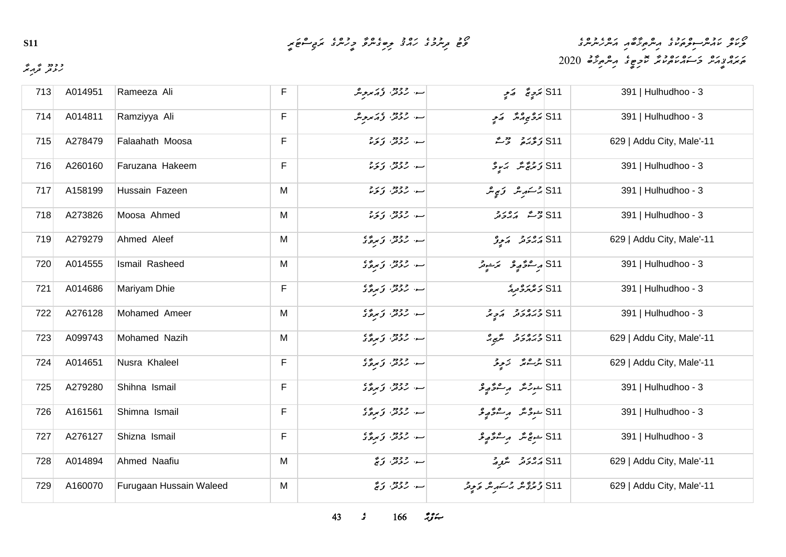*sCw7q7s5w7m< o<n9nOoAw7o< sCq;mAwBoEw7q<m; wBm;vB* م من المرة المرة المرة المرجع المرجع في المركبة 2020<br>مجم*د المريض المربوط المربع المرجع في المراجع المركبة* 

|  | د دود به پر<br>رنز تر ترمه تر |
|--|-------------------------------|
|  |                               |

| 713 | A014951 | Rameeza Ali             | $\mathsf F$  | ے رودو ویربرمریک   | S11 بَرَ <i>دٍ بِ</i> " دَرِ                     | 391   Hulhudhoo - 3       |
|-----|---------|-------------------------|--------------|--------------------|--------------------------------------------------|---------------------------|
| 714 | A014811 | Ramziyya Ali            | F            | ے رودہ ورپرونگر    | S11 بَرَدْ <sub>مَ م</sub> ِرْدَّ كَمَ مِ        | 391   Hulhudhoo - 3       |
| 715 | A278479 | Falaahath Moosa         | F            | سە رودە ئەتمە      | S11 زَنَّ پِرْ وَمَسَّر                          | 629   Addu City, Male'-11 |
| 716 | A260160 | Faruzana Hakeem         | $\mathsf F$  | سە رودى ۋى         | S11 ئۈتىرىنچە ئىر ئەر                            | 391   Hulhudhoo - 3       |
| 717 | A158199 | Hussain Fazeen          | M            | سە رودە ئەترە      | S11 پرڪ <i>يرنگ وي پڻ</i>                        | 391   Hulhudhoo - 3       |
| 718 | A273826 | Moosa Ahmed             | M            | ر در دود. در د     | S11 چينه پروژگر                                  | 391   Hulhudhoo - 3       |
| 719 | A279279 | Ahmed Aleef             | M            | ے رودو کی برگانی   | S11   پر بری کاری تھا تھا جو پی                  | 629   Addu City, Male'-11 |
| 720 | A014555 | Ismail Rasheed          | M            | - رودو کرده        | S11 م <sub>ب</sub> رشۇم <sub>ۇ</sub> تى - ئەجەتر | 391   Hulhudhoo - 3       |
| 721 | A014686 | Mariyam Dhie            | $\mathsf F$  | ب رودو کرده        | S11 كەبىر بىر ئەرى <i>گە</i>                     | 391   Hulhudhoo - 3       |
| 722 | A276128 | Mohamed Ameer           | M            | - رودو که پرځ      | S11  <i>وُبَہُہُوَتَر مَجِہُ</i> ّ               | 391   Hulhudhoo - 3       |
| 723 | A099743 | Mohamed Nazih           | M            | سە رودوم كەيدە ئ   | S11 <i>وَبَرْدْوَ</i> تْرَ كَمَّى بِرُّ          | 629   Addu City, Male'-11 |
| 724 | A014651 | Nusra Khaleel           | F            | - رودو که پرځ      | S11 برسٹر کروڈ                                   | 629   Addu City, Male'-11 |
| 725 | A279280 | Shihna Ismail           | F            | سەر 1322، ئۇمبرىرى | S11 حو <i>رثد وحوَّودِ وَ</i>                    | 391   Hulhudhoo - 3       |
| 726 | A161561 | Shimna Ismail           | $\mathsf F$  | - رودو که پرځ      | S11 مىيى ھەر مەركىمى ئىچە مەركىيە ئى             | 391   Hulhudhoo - 3       |
| 727 | A276127 | Shizna Ismail           | $\mathsf{F}$ | - رودو کرده        | S11 خېرېمگر ب <i>ېرىنگوپو</i> گر                 | 391   Hulhudhoo - 3       |
| 728 | A014894 | Ahmed Naafiu            | M            | سە رودى كەنچ       | S11 كەندى تىم ئىقىدى ئىقتىدى بىر                 | 629   Addu City, Male'-11 |
| 729 | A160070 | Furugaan Hussain Waleed | M            | سە رودى ئ          | S11 ۇيرتۇنلا برىتى <i>م بىل</i> ق <i>ۇم</i> بەر  | 629   Addu City, Male'-11 |

*43 s* **166**  $23$  *i*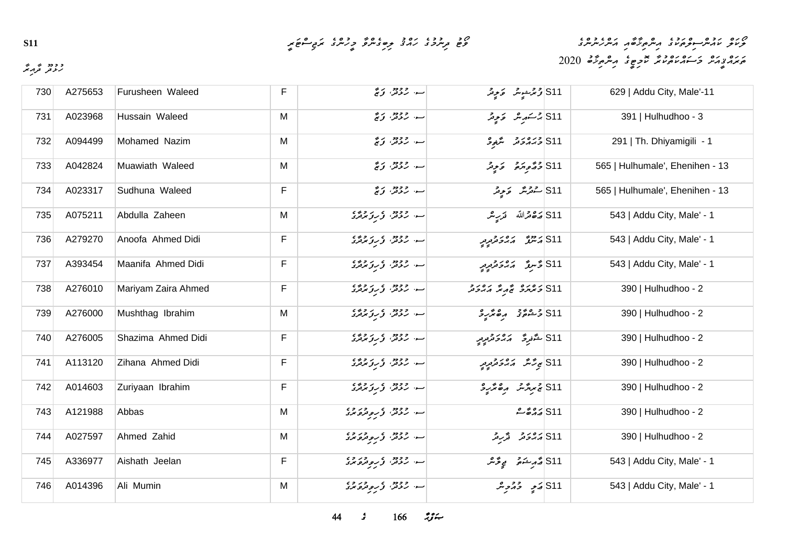*sCw7q7s5w7m< o<n9nOoAw7o< sCq;mAwBoEw7q<m; wBm;vB* م من المرة المرة المرة المرجع المرجع في المركبة 2020<br>مجم*د المريض المربوط المربع المرجع في المراجع المركبة* 

|  | $\rightarrow$ $\rightarrow$ 3777 |
|--|----------------------------------|
|  | زؤفر تورمر                       |
|  |                                  |

| 730 | A275653 | Furusheen Waleed    | $\mathsf{F}$ | سە رودە رىچ                 | S11  وُتْرَسِيْسْ كَرَمِيْرْ                    | 629   Addu City, Male'-11       |
|-----|---------|---------------------|--------------|-----------------------------|-------------------------------------------------|---------------------------------|
| 731 | A023968 | Hussain Waleed      | M            | سە رودو، ئ                  | S11 پُرڪيريش ڪَ <i>چي</i> ٽر                    | 391   Hulhudhoo - 3             |
| 732 | A094499 | Mohamed Nazim       | M            | سە رودە رىچ                 | S11 <i>دېمم</i> ر د سگه د                       | 291   Th. Dhiyamigili - 1       |
| 733 | A042824 | Muawiath Waleed     | M            | سە رودىق ئ                  | S11 دُمُّ مِرْمُ گَرِيْرُ                       | 565   Hulhumale', Ehenihen - 13 |
| 734 | A023317 | Sudhuna Waleed      | $\mathsf F$  | سە رودو، ئ                  | S11 كەنترىتر   ئەمرىتر                          | 565   Hulhumale', Ehenihen - 13 |
| 735 | A075211 | Abdulla Zaheen      | M            | ۔ رودہ ورو دی               | S11 كەھ قىراللە     قىرىپ شر                    | 543   Addu City, Male' - 1      |
| 736 | A279270 | Anoofa Ahmed Didi   | F            | ے رودو کرتے ہیں             | S11  پرسمبرس کەشكەتمەتىرى <i>يە</i>             | 543   Addu City, Male' - 1      |
| 737 | A393454 | Maanifa Ahmed Didi  | $\mathsf F$  | ے رودو کرتے ہیں             | S11 دَّسِدَ 225 مَرْمِرِمِرِ                    | 543   Addu City, Male' - 1      |
| 738 | A276010 | Mariyam Zaira Ahmed | F            | ( د دوه و د د د د د د       | S11 كەبرىرى ئ <sub>ە</sub> مەر كەبرىرى          | 390   Hulhudhoo - 2             |
| 739 | A276000 | Mushthag Ibrahim    | M            | ے رودو کاروری               | S11 <sub>ج</sub> ۇمۇت <sub>ۇ م</sub> ەھمەر 2    | 390   Hulhudhoo - 2             |
| 740 | A276005 | Shazima Ahmed Didi  | F            | ے رودو کاروری               | S11 ڪُنوِگ     پر 2 ترمومو                      | 390   Hulhudhoo - 2             |
| 741 | A113120 | Zihana Ahmed Didi   | F            | ے رودہ وروسی                | S11 <sub>م</sub> جرنگر - <i>مرکز کردپر</i> د    | 390   Hulhudhoo - 2             |
| 742 | A014603 | Zuriyaan Ibrahim    | F            | ے رودو کرتے ہیں             | S11 ى <sub>ج مىرم</sub> ۇس مەھەر ي <sup>و</sup> | 390   Hulhudhoo - 2             |
| 743 | A121988 | Abbas               | M            | ے رودہ توریدہ               | $2525$ S11                                      | 390   Hulhudhoo - 2             |
| 744 | A027597 | Ahmed Zahid         | M            | سه روده و روه ده            | S11 كەنزى قەرىتى                                | 390   Hulhudhoo - 2             |
| 745 | A336977 | Aishath Jeelan      | F            | ر در دود و د دوه برود و د د |                                                 | 543   Addu City, Male' - 1      |
| 746 | A014396 | Ali Mumin           | M            | سه رودد و روه ده            | S11   <i>ړې د ډې</i> وبلر                       | 543   Addu City, Male' - 1      |

*44 sC 166 nNw?mS*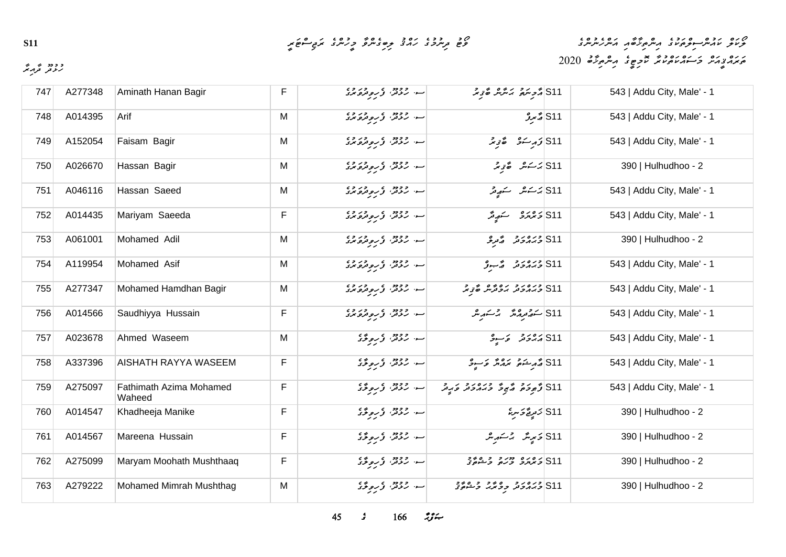*sCw7q7s5w7m< o<n9nOoAw7o< sCq;mAwBoEw7q<m; wBm;vB* م من المرة المرة المرة المرجع المرجع في المركبة 2020<br>مجم*د المريض المربوط المربع المرجع في المراجع المركبة* 

|  | د دود به پر<br>رنز تر ترمه |
|--|----------------------------|
|  |                            |

| 747 | A277348 | Aminath Hanan Bagir               | $\mathsf{F}$ | سه رقوقه، و رقوقرو د د | S11 مَّ <i>جِسَمَۃ بَہ مَّرْمَّد ھُ</i> بِئ <sub>َ</sub> | 543   Addu City, Male' - 1 |
|-----|---------|-----------------------------------|--------------|------------------------|----------------------------------------------------------|----------------------------|
| 748 | A014395 | Arif                              | M            | سه روده و روه ده       | S11 مەمبرى                                               | 543   Addu City, Male' - 1 |
| 749 | A152054 | Faisam Bagir                      | M            | سه رودد و روه ده       | S11 ۇرسىۋە ھ <sup>ى</sup> تىر                            | 543   Addu City, Male' - 1 |
| 750 | A026670 | Hassan Bagir                      | M            | ے رودہ توریدہ          | S11 كەستەش ھ <sup>ى</sup> تونىڭە                         | 390   Hulhudhoo - 2        |
| 751 | A046116 | Hassan Saeed                      | M            | ے رودہ توریدہ          | S11 پرسترش ست <sub>م</sub> بریز                          | 543   Addu City, Male' - 1 |
| 752 | A014435 | Mariyam Saeeda                    | $\mathsf F$  | سه رودو و روه ده       | S11 كەنترىق سى <i>مەن</i> گە                             | 543   Addu City, Male' - 1 |
| 753 | A061001 | Mohamed Adil                      | M            | ے رودہ ورودی           | S11 <i>ڈیزہ ڈی ش</i> عربی                                | 390   Hulhudhoo - 2        |
| 754 | A119954 | Mohamed Asif                      | M            |                        | S11 <i>ۋېزودىق ھەببى</i> ۋ                               | 543   Addu City, Male' - 1 |
| 755 | A277347 | Mohamed Hamdhan Bagir             | M            | ے رودہ توریدہ          | S11 <i>دېم</i> ونه پروترس ځې تر                          | 543   Addu City, Male' - 1 |
| 756 | A014566 | Saudhiyya Hussain                 | $\mathsf F$  | ے رودہ توریدہ          | S11 سەھەمبەھ جەسەمبەشر                                   | 543   Addu City, Male' - 1 |
| 757 | A023678 | Ahmed Waseem                      | M            | ۔ رودہ ورجودی          | S11 كەبۇر قەسىرى                                         | 543   Addu City, Male' - 1 |
| 758 | A337396 | <b>AISHATH RAYYA WASEEM</b>       | F            | ۔۔ رودہ ور، وی         | S11 مَّەمِسْمَعْ مَدەمَّر مَرَّسِوْ                      | 543   Addu City, Male' - 1 |
| 759 | A275097 | Fathimath Azima Mohamed<br>Waheed | F            | سەس روۋە ئۇرۇغۇي       | S11 أَوْجِوحَةً صَّعِ حَدَّثَ حَدَّثَ عَدِيدٌ            | 543   Addu City, Male' - 1 |
| 760 | A014547 | Khadheeja Manike                  | F            | ۔ رودہ ورجودی          | S11  زَمَرِیٌج وَسِرْءَ                                  | 390   Hulhudhoo - 2        |
| 761 | A014567 | Mareena Hussain                   | F            | ۔ رودہ ورجودی          | S11 كەيرىگە - ئەسكەپ ئىگە                                | 390   Hulhudhoo - 2        |
| 762 | A275099 | Maryam Moohath Mushthaaq          | F            | ے رودہ وروفر           | S11 كەبۇرۇ بۇرۇ ئەشر <i>ۇ</i> تى                         | 390   Hulhudhoo - 2        |
| 763 | A279222 | Mohamed Mimrah Mushthag           | M            | سەر 235 كۈرۈم ئۇنج     | S11 <i>دېرونه و</i> ونډر وشو <i>و</i> د                  | 390   Hulhudhoo - 2        |

*45 sC 166 nNw?mS*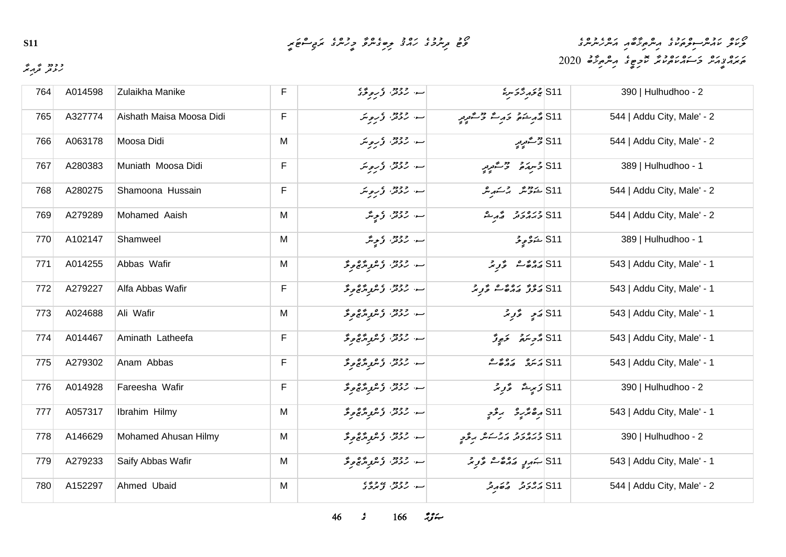*sCw7q7s5w7m< o<n9nOoAw7o< sCq;mAwBoEw7q<m; wBm;vB* م من المرة المرة المرة المرجع المرجع في المركبة 2020<br>مجم*د المريض المربوط المربع المرجع في المراجع المركبة* 

| $\rightarrow$ $\rightarrow$ $\rightarrow$ $\rightarrow$ $\rightarrow$ |  |
|-----------------------------------------------------------------------|--|
| ترنوفر الرميمة                                                        |  |
|                                                                       |  |

| 764 | A014598 | Zulaikha Manike          | F           | ے رودہ وکروگری                    | S11 ئ <sub>ى</sub> ج ئىرىد تىجە س <sub>ى</sub> تكە    | 390   Hulhudhoo - 2        |
|-----|---------|--------------------------|-------------|-----------------------------------|-------------------------------------------------------|----------------------------|
| 765 | A327774 | Aishath Maisa Moosa Didi | F           | ب رودود کی جا میں میں             | S11 ۾ پرڪو وَرِڪ وَڪيرِپرِ                            | 544   Addu City, Male' - 2 |
| 766 | A063178 | Moosa Didi               | M           | ے رودوں وکرے مگر                  | S11 تۇشەرپر                                           | 544   Addu City, Male' - 2 |
| 767 | A280383 | Muniath Moosa Didi       | $\mathsf F$ | ے رودوں وکرونکہ                   | S11   <sub>ج</sub> سمة و محمد المعربي                 | 389   Hulhudhoo - 1        |
| 768 | A280275 | Shamoona Hussain         | F           | ے رودوں وکرونکہ                   | S11 خۇچىگە ج <u>ى</u> شىرى <i>گە</i>                  | 544   Addu City, Male' - 2 |
| 769 | A279289 | Mohamed Aaish            | M           | ے رودو ویرنگ                      | S11 <i>جەممى ھەم</i> ىش                               | 544   Addu City, Male' - 2 |
| 770 | A102147 | Shamweel                 | M           | ے رودہ ویکر                       | S11 ڪري تو                                            | 389   Hulhudhoo - 1        |
| 771 | A014255 | Abbas Wafir              | M           | ے رودہ ویروگرم                    | S11 مەمۇم ئورىمە                                      | 543   Addu City, Male' - 1 |
| 772 | A279227 | Alfa Abbas Wafir         | $\mathsf F$ | - رودو ، ومريد پروتو              | S11 <sub>م</sub> َرْوَزُ م <i>ُ</i> مَرْحُتُ قَرْبِرُ | 543   Addu City, Male' - 1 |
| 773 | A024688 | Ali Wafir                | M           | ے رودہ ویروگرم                    | S11 کمبر گ <i>وی</i> گر                               | 543   Addu City, Male' - 1 |
| 774 | A014467 | Aminath Latheefa         | $\mathsf F$ | سە رودە ، ۋىترونگەغ قەنۇ          | S11 مَّ <i>جِسَمَ</i> تَحْمِيوَ                       | 543   Addu City, Male' - 1 |
| 775 | A279302 | Anam Abbas               | F           | سە رودە ، ۋىتروگرىنى ھەتتى        | $2222$ $275$ $\sim$ $511$                             | 543   Addu City, Male' - 1 |
| 776 | A014928 | Fareesha Wafir           | $\mathsf F$ | - ژوده و هروگروگر                 | S11 تۈمىيىش قەرىمە                                    | 390   Hulhudhoo - 2        |
| 777 | A057317 | Ibrahim Hilmy            | M           | ے رودہ وشرور محمد کی ا            | S11 م <i>ەھترى</i> رى بىۋى <sub>چ</sub>               | 543   Addu City, Male' - 1 |
| 778 | A146629 | Mohamed Ahusan Hilmy     | M           | ے رودہ ویروگرم                    | S11  <i>وبرورو بروسكر بروي</i>                        | 390   Hulhudhoo - 2        |
| 779 | A279233 | Saify Abbas Wafir        | M           | ے رودہ ویروگریم و محر             | S11 بەمەر <i>مەشقى</i> شە قۇرىمە                      | 543   Addu City, Male' - 1 |
| 780 | A152297 | Ahmed Ubaid              | M           | د د ده به ده پا<br>سه رونز، ژبروی | S11 كەبروتر كەھەتر                                    | 544   Addu City, Male' - 2 |

*46 s* 166 *z*<sup>*s*</sup> *i*s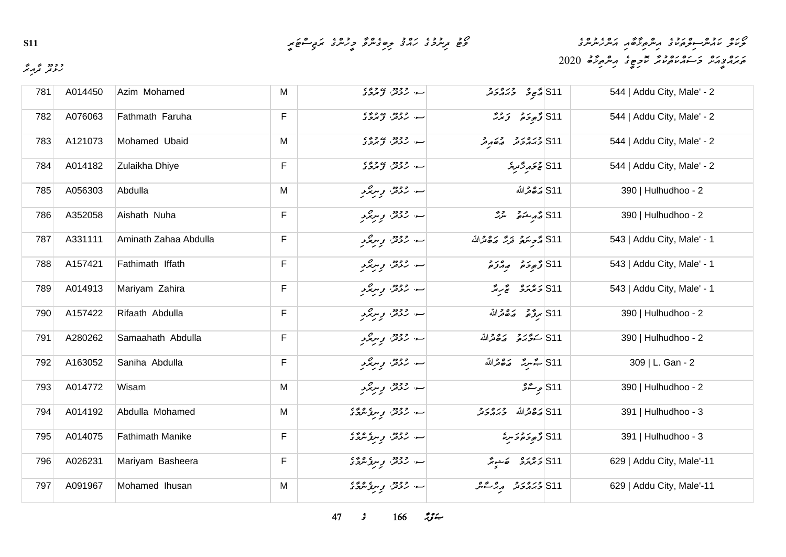*sCw7q7s5w7m< o<n9nOoAw7o< sCq;mAwBoEw7q<m; wBm;vB* م من المرة المرة المرة المرجع المرجع في المركبة 2020<br>مجم*د المريض المربوط المربع المرجع في المراجع المركبة* 

|  | د دود به بر<br>رنز تر تربر |  |
|--|----------------------------|--|
|  |                            |  |

| 781 | A014450 | Azim Mohamed            | M            | د د دوه به ده با<br>سه روتر، ژبروی | S11 گەيى ئەمەدىر                                | 544   Addu City, Male' - 2 |
|-----|---------|-------------------------|--------------|------------------------------------|-------------------------------------------------|----------------------------|
| 782 | A076063 | Fathmath Faruha         | F            | د د دود.<br>سه روود، ژبرد د        | S11 وَّجِرَة وَتَمَدَّ                          | 544   Addu City, Male' - 2 |
| 783 | A121073 | Mohamed Ubaid           | M            | د د دود ده ده د<br>سه روتر، ژبرو د | S11 <i>جنہ جو جو مق</i> دیر                     | 544   Addu City, Male' - 2 |
| 784 | A014182 | Zulaikha Dhiye          | $\mathsf F$  | ب دودو. په دوه پا                  | S11 تج تحم <sup>م</sup> تحريمً                  | 544   Addu City, Male' - 2 |
| 785 | A056303 | Abdulla                 | M            | ے رودوں وسرچرو                     | S11 كەمھەتراللە                                 | 390   Hulhudhoo - 2        |
| 786 | A352058 | Aishath Nuha            | $\mathsf{F}$ | ب رودون وسرچرو                     | S11 م <i>ەمبىشى ئىر</i> گ                       | 390   Hulhudhoo - 2        |
| 787 | A331111 | Aminath Zahaa Abdulla   | $\mathsf{F}$ | ے رودوں وسرچرو                     | S11 مَّ <i>وِ سَهْ. فَرَتَّ مَ</i> صَّقْرَاللّه | 543   Addu City, Male' - 1 |
| 788 | A157421 | Fathimath Iffath        | F            | ب رودون وسرچرو                     | S11 تَ <i>مُجوحَمَّة مِهْ تَوْمُ</i>            | 543   Addu City, Male' - 1 |
| 789 | A014913 | Mariyam Zahira          | $\mathsf F$  | ب روده وسرچو                       | S11 ئ <i>ۇيغۇرقى</i> ئىچ <i>رىتى</i>            | 543   Addu City, Male' - 1 |
| 790 | A157422 | Rifaath Abdulla         | $\mathsf{F}$ | ے رودوں وسریکو                     | S11 <i>مرقر ه ش</i> گانگه                       | 390   Hulhudhoo - 2        |
| 791 | A280262 | Samaahath Abdulla       | $\mathsf F$  | ے رودوں وسرچرو                     | S11 كونرو كەھەرللە                              | 390   Hulhudhoo - 2        |
| 792 | A163052 | Saniha Abdulla          | $\mathsf{F}$ | ے رودوں وسرچرو                     | S11 كەسىر <i>گە <b>كە</b>ھەت</i> راللە          | 309   L. Gan - 2           |
| 793 | A014772 | Wisam                   | M            | ے رودوں و سرمگرمو                  | S11 <sub>حر</sub> شۇ                            | 390   Hulhudhoo - 2        |
| 794 | A014192 | Abdulla Mohamed         | M            | ے رودہ وسو معدّد                   | S11 كەھەرللە <i>دېرەدىر</i>                     | 391   Hulhudhoo - 3        |
| 795 | A014075 | <b>Fathimath Manike</b> | F            | ے رودہ وسر معدّد                   | S11 ۇ <sub>جو</sub> رۇمۇرىبىر                   | 391   Hulhudhoo - 3        |
| 796 | A026231 | Mariyam Basheera        | $\mathsf F$  | ے رودو وسوی معام                   | S11  <i>5 بروژ\$ ھَ</i> ىنو <i>بۇ</i>           | 629   Addu City, Male'-11  |
| 797 | A091967 | Mohamed Ihusan          | M            | ے رودہ وسر معدّد                   | S11 <i>ۋېرو دو بېرگىش</i>                       | 629   Addu City, Male'-11  |

*47 sC 166 nNw?mS*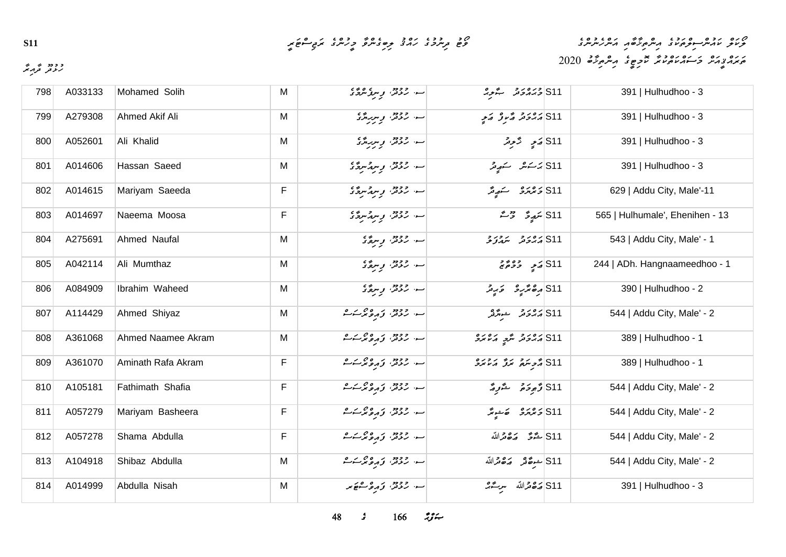*sCw7q7s5w7m< o<n9nOoAw7o< sCq;mAwBoEw7q<m; wBm;vB* م من المرة المرة المرة المرجع المرجع في المركبة 2020<br>مجم*د المريض المربوط المربع المرجع في المراجع المركبة* 

| 798 | A033133 | Mohamed Solih      | M | سه رودو وسرو وړه         | S11 <i>\$ بەدە</i> تر بەمبۇر                     | 391   Hulhudhoo - 3             |
|-----|---------|--------------------|---|--------------------------|--------------------------------------------------|---------------------------------|
| 799 | A279308 | Ahmed Akif Ali     | M | سه دروده، وسربردگا       | S11   پروژو گەرى كەمچ                            | 391   Hulhudhoo - 3             |
| 800 | A052601 | Ali Khalid         | M | سه رودور و سربروی        | S11 کړې گروگر                                    | 391   Hulhudhoo - 3             |
| 801 | A014606 | Hassan Saeed       | M | ۔۔ رودو و سرماسر محمد    | S11 پزشک سکھیٹر                                  | 391   Hulhudhoo - 3             |
| 802 | A014615 | Mariyam Saeeda     | F | ے رودو وسر سرگری         | S11 <i>5 پر پڑھ سکھ</i> یٹر                      | 629   Addu City, Male'-11       |
| 803 | A014697 | Naeema Moosa       | F | ے رودو وسر مرکز          | S11 سَمِيرٌ حَيْثٌ                               | 565   Hulhumale', Ehenihen - 13 |
| 804 | A275691 | Ahmed Naufal       | M | ے رودوں وسرعات           | S11 كەبر <i>ە بەر ئىگەن</i> تى                   | 543   Addu City, Male' - 1      |
| 805 | A042114 | Ali Mumthaz        | M | سەر 332° كويىلىدى        | S11 <i>ڇُوِ وُوهِ</i> ي                          | 244   ADh. Hangnaameedhoo - 1   |
| 806 | A084909 | Ibrahim Waheed     | M | ے رودو وسرعات            | S11  مەھ <i>ئۇر</i> ئەر ئەر ئە                   | 390   Hulhudhoo - 2             |
| 807 | A114429 | Ahmed Shiyaz       | M | سه رود در وه رعب و استان | S11 كەش <sup>ى</sup> ر قىر سىز ئىش ئىش ئىش كىلىر | 544   Addu City, Male' - 2      |
| 808 | A361068 | Ahmed Naamee Akram | M | سە رودىن تەرەپرىشە       | S11 كەبردىر مى <i>گىر كەنلىك</i> ى               | 389   Hulhudhoo - 1             |
| 809 | A361070 | Aminath Rafa Akram | F | سه رودو د ه ه مرکب ه     | S11 مُرْحِسَمُ مَرْزٌ مَ <sup>رورٍ</sup> 9       | 389   Hulhudhoo - 1             |
| 810 | A105181 | Fathimath Shafia   | F | سه رود در وه برسو        | S11 ز <i>ُّڄِ دَمَّ</i> شَر <i>ُدٍ مُّ</i>       | 544   Addu City, Male' - 2      |
| 811 | A057279 | Mariyam Basheera   | F | ب رودو، دره ورث          | S11 <i>5 ترورڈ ۔ جَ</i> حویمً                    | 544   Addu City, Male' - 2      |
| 812 | A057278 | Shama Abdulla      | F | سە رودە رەم ئەس          | S11 حُثَّقَ <b>صَ</b> صَّقَراللَّه               | 544   Addu City, Male' - 2      |
| 813 | A104918 | Shibaz Abdulla     | M | سە رودىن تەرەپرىشە       | S11  شو <i>ھَة مَ</i> هُ مَرَّاللَّه             | 544   Addu City, Male' - 2      |
| 814 | A014999 | Abdulla Nisah      | M | سه رودون و مره صحيحه     | S11 مَەھىراللە س <sub>ى</sub> ستەبر              | 391   Hulhudhoo - 3             |

و و *ه به به*<br>روتر ت*ور*یم

*48 s* 166 *i*<sub>S</sub> $\approx$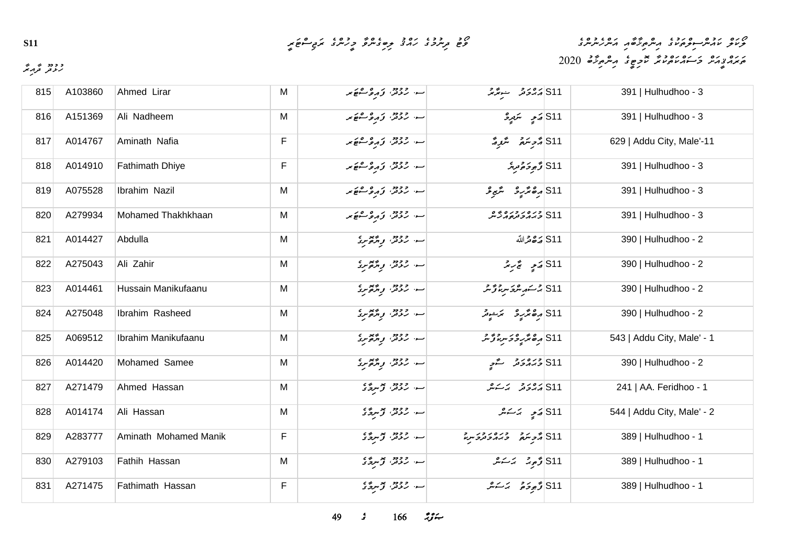*sCw7q7s5w7m< o<n9nOoAw7o< sCq;mAwBoEw7q<m; wBm;vB* م من المرة المرة المرة المرجع المرجع في المركبة 2020<br>مجم*د المريض المربوط المربع المرجع في المراجع المركبة* 

|                | チージ コココ |  |  |
|----------------|---------|--|--|
| نرعرفر اقرمرته |         |  |  |
|                |         |  |  |

| 815 | A103860 | Ahmed Lirar           | M           | سه رودو دره مصرح مر           | S11 كەبرى قىرىنى ئىستىمىتى ئىستىمىتىك                       | 391   Hulhudhoo - 3        |
|-----|---------|-----------------------|-------------|-------------------------------|-------------------------------------------------------------|----------------------------|
| 816 | A151369 | Ali Nadheem           | M           | سه رودو زړه شقې               | S11 كەمچە سەمپرى                                            | 391   Hulhudhoo - 3        |
| 817 | A014767 | Aminath Nafia         | $\mathsf F$ | سه رودو زړه وسوځه             | S11 مَّ حِسَمَّة مَّ مَّدِمَّ                               | 629   Addu City, Male'-11  |
| 818 | A014910 | Fathimath Dhiye       | F           | سه رودو زړه وسوځه             | S11 گرم بر کرورمگر                                          | 391   Hulhudhoo - 3        |
| 819 | A075528 | Ibrahim Nazil         | M           | سه رودو زړه وسوځه             | S11  مەھەر بوقە سىر ئىچە ئى                                 | 391   Hulhudhoo - 3        |
| 820 | A279934 | Mohamed Thakhkhaan    | M           | سه رودو زړه وسوم د            | S11 <i>دېره د ده وره</i> شر                                 | 391   Hulhudhoo - 3        |
| 821 | A014427 | Abdulla               | M           | ے دودہ ویڈویری                | S11 كەھ قراللە                                              | 390   Hulhudhoo - 2        |
| 822 | A275043 | Ali Zahir             | M           | ے دودہ ویژونو                 | S11 <i>ھَ پِن چُ بِ</i> تَمَ                                | 390   Hulhudhoo - 2        |
| 823 | A014461 | Hussain Manikufaanu   | M           | ے دودہ ویڈویری                | S11 ئەسەمەبىرى مېرىدۇ تىر                                   | 390   Hulhudhoo - 2        |
| 824 | A275048 | Ibrahim Rasheed       | M           | ر د دود.<br>پ روتر، و پره برد | S11 مەھەمگەپە ئىم ئىشى <i>م</i> ىتىر                        | 390   Hulhudhoo - 2        |
| 825 | A069512 | Ibrahim Manikufaanu   | M           | ے دودہ ویژونو                 | S11 <sub>مو</sub> ھ <i>مُزْرِدْ دَ <sub>م</sub>رماؤ</i> مَر | 543   Addu City, Male' - 1 |
| 826 | A014420 | Mohamed Samee         | M           | ۔ دورہ ویڈیوں                 | S11 <i>ڈیزون تر</i> سگو <sub>نی</sub>                       | 390   Hulhudhoo - 2        |
| 827 | A271479 | Ahmed Hassan          | M           | سە رودوم ئوسرى                | S11   كەبۇرى كەسكەنلەر                                      | 241   AA. Feridhoo - 1     |
| 828 | A014174 | Ali Hassan            | M           | ے۔ رودوں موسولی               | S11   كەبىي - ئەسكەنلە                                      | 544   Addu City, Male' - 2 |
| 829 | A283777 | Aminath Mohamed Manik | $\mathsf F$ | ے دورہ ہوندی                  | S11 أوسع وبروبر ويريد                                       | 389   Hulhudhoo - 1        |
| 830 | A279103 | Fathih Hassan         | M           | ے دورہ ہوندی                  | S11 ۇ <sub>م</sub> ر2 - ئەسكىلە                             | 389   Hulhudhoo - 1        |
| 831 | A271475 | Fathimath Hassan      | F           | ب رودون بوسرگانگا             | S11 <i>وڻ<sub>ج</sub>و حق پر سند</i> ه                      | 389   Hulhudhoo - 1        |

*49 s* 166 *zj z*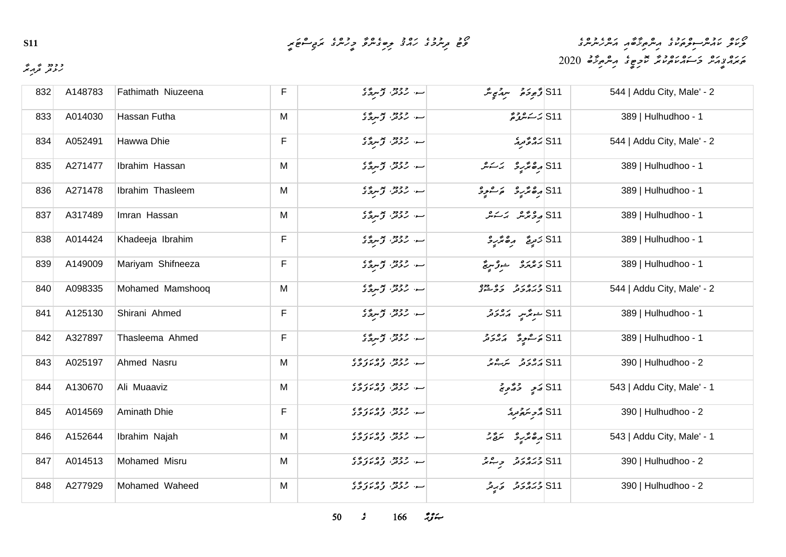*sCw7q7s5w7m< o<n9nOoAw7o< sCq;mAwBoEw7q<m; wBm;vB* م من المرة المرة المرة المرجع المرجع في المركبة 2020<br>مجم*د المريض المربوط المربع المرجع في المراجع المركبة* 

|  | $\begin{array}{cccccccccc} \phi & \phi & \phi & \phi & \phi & \phi \end{array}$ |
|--|---------------------------------------------------------------------------------|
|  | نرعرفر اقرمرته                                                                  |
|  |                                                                                 |

| 832 | A148783 | Fathimath Niuzeena | F           | ب رودو بورود                           | S11 ۇ <sub>ھ</sub> ورۇ سېرىم ئىر       | 544   Addu City, Male' - 2 |
|-----|---------|--------------------|-------------|----------------------------------------|----------------------------------------|----------------------------|
| 833 | A014030 | Hassan Futha       | M           | ے دورہ بوروں                           | S11 ئەستەتلەتمۇ                        | 389   Hulhudhoo - 1        |
| 834 | A052491 | Hawwa Dhie         | $\mathsf F$ | ے دودہ بوروں                           | S11 بَرْدْ وَّمِرْدَ                   | 544   Addu City, Male' - 2 |
| 835 | A271477 | Ibrahim Hassan     | M           | سار رودو بوسروی                        | S11 م <i>وڭ ئۇرۇھىمى</i> ش             | 389   Hulhudhoo - 1        |
| 836 | A271478 | Ibrahim Thasleem   | M           | ب دودو بورود                           | S11 مەھزىرى ب <sub>ە</sub> ر مورى      | 389   Hulhudhoo - 1        |
| 837 | A317489 | Imran Hassan       | M           | ے رودہ بوروی                           | S11  مەۋىرىگە    ئەسەھ                 | 389   Hulhudhoo - 1        |
| 838 | A014424 | Khadeeja Ibrahim   | $\mathsf F$ | ے رودہ بوروی                           | S11 كَتْمِيعٌ - مِرْجُمْرِ وُ          | 389   Hulhudhoo - 1        |
| 839 | A149009 | Mariyam Shifneeza  | $\mathsf F$ | ب دودو بورود                           | S11 <i>5 بروز و جو پيچ</i>             | 389   Hulhudhoo - 1        |
| 840 | A098335 | Mohamed Mamshooq   | M           | ب رودو بورون                           | S11 دېروبر وويو.                       | 544   Addu City, Male' - 2 |
| 841 | A125130 | Shirani Ahmed      | F           | ب دودو بورود                           | S11  سىرتئىس <i>مەمى</i> تىقر          | 389   Hulhudhoo - 1        |
| 842 | A327897 | Thasleema Ahmed    | $\mathsf F$ | ے رودہ بوروی                           | S11  <sub>قو</sub> شوپۇ <i>مەدە</i> تر | 389   Hulhudhoo - 1        |
| 843 | A025197 | Ahmed Nasru        | M           | ر د دود ده د ده.<br>سر روش و مرود د    | S11 كەبروتر سى <i>برى</i> ر            | 390   Hulhudhoo - 2        |
| 844 | A130670 | Ali Muaaviz        | M           | ر د ورو ده درده و<br>سه روند، و د مورد | S11 <i>ھَجِ حَھُّوج</i> َ              | 543   Addu City, Male' - 1 |
| 845 | A014569 | Aminath Dhie       | $\mathsf F$ | ر دود وه دره ده<br>سر رود و در دود     | S11 مَّ <i>وِ سَهْوَ م</i> ِهْرَ       | 390   Hulhudhoo - 2        |
| 846 | A152644 | Ibrahim Najah      | M           | ر د دود ده د ده.<br>سر روش و د برود د  | S11  م <i>ەھترى</i> دۇ ئىرقىمىتى       | 543   Addu City, Male' - 1 |
| 847 | A014513 | Mohamed Misru      | M           | ر د ووه ده د ده د<br>سر روش و د برو د  | S11 <i>ڈیزون</i> وٹر بربائر            | 390   Hulhudhoo - 2        |
| 848 | A277929 | Mohamed Waheed     | M           | ر دوود وه درده و<br>سر رکونژ، و ملووی  | S11 <i>دېزونر   وَب</i> ِتْر           | 390   Hulhudhoo - 2        |

 $50$  *s*  $166$  *z*  $\frac{2}{3}$  *k*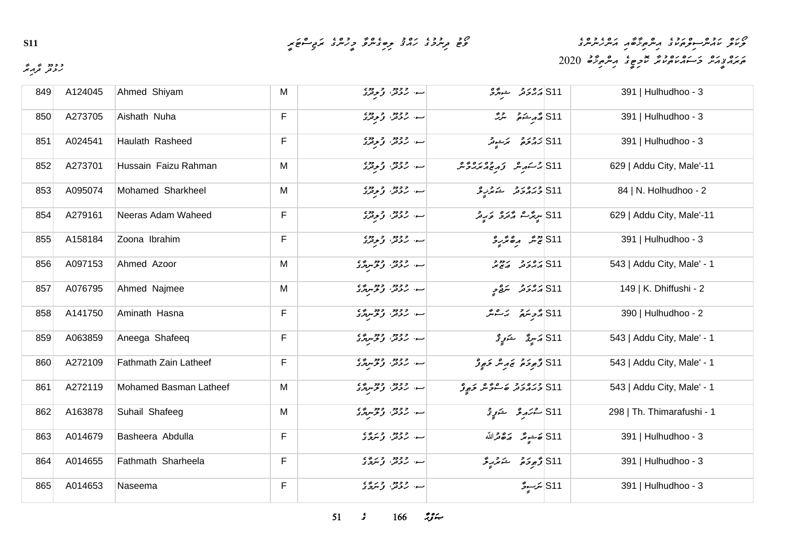*sCw7q7s5w7m< o<n9nOoAw7o< sCq;mAwBoEw7q<m; wBm;vB* م من المرة المرة المرة المرجع المرجع في المركبة 2020<br>مجم*د المريض المربوط المربع المرجع في المراجع المركبة* 

| د دود به پر<br>رنز تربر تر |  |
|----------------------------|--|
|                            |  |

| 849 | A124045 | Ahmed Shiyam           | M            | ب دوده و ده                               | S11 كەبۇر كىمە ئىستىدى ئىستىدى ئىستىدى ئىستىدى ئىستىدى ئىستىدى ئىستىدى ئىستىدىكى ئىستىدىكى ئىستىدى ئ | 391   Hulhudhoo - 3        |
|-----|---------|------------------------|--------------|-------------------------------------------|------------------------------------------------------------------------------------------------------|----------------------------|
| 850 | A273705 | Aishath Nuha           | F            | ب دودو و دوه                              | S11 مُگهرِ شَهْرِ مَتْرَبُّرُ                                                                        | 391   Hulhudhoo - 3        |
| 851 | A024541 | Haulath Rasheed        | F            | ب رودو و دوه                              | S11 كَرْمْ كَرْمْ مَرْسُوِمْرْ                                                                       | 391   Hulhudhoo - 3        |
| 852 | A273701 | Hussain Faizu Rahman   | M            | ( د د دوه و دوه<br>( سه روتر، تونوترو     | S11 ج شور محمد محمد محمد محمد السلم                                                                  | 629   Addu City, Male'-11  |
| 853 | A095074 | Mohamed Sharkheel      | M            | ( د د دوه و دوه<br>( سه روتور و وترو      | S11 <i>وبروبرو</i> خەيزىۋ                                                                            | 84   N. Holhudhoo - 2      |
| 854 | A279161 | Neeras Adam Waheed     | $\mathsf F$  | ب رودوم و دوه                             | S11 سریڈے ڈننڈ ٹربرڈ                                                                                 | 629   Addu City, Male'-11  |
| 855 | A158184 | Zoona Ibrahim          | F            | ب رودوم و دوه                             | S11 تج پڑ م <i>ے پڑر د</i>                                                                           | 391   Hulhudhoo - 3        |
| 856 | A097153 | Ahmed Azoor            | M            | د دود وود ده.<br>پ. روس وتوس              | S11 كەبرى قىر كەينى بىر                                                                              | 543   Addu City, Male' - 1 |
| 857 | A076795 | Ahmed Najmee           | M            | د دورو وور ده.<br>پ روس و وسر             | S11 كەنزى قىرىقى تەرىپاتلىقى ئاس                                                                     | 149   K. Dhiffushi - 2     |
| 858 | A141750 | Aminath Hasna          | $\mathsf{F}$ | د دود وود ده.<br>پ. روس وتوس              | S11 مَّ حِسَمَ <sub>هُ مَ</sub> سُسَّرَ                                                              | 390   Hulhudhoo - 2        |
| 859 | A063859 | Aneega Shafeeq         | F            | د دود وود ده.<br>پ. روتر، ژنژس ژ          | S11 كەسرىگە ش <i>ەر</i> بۇ                                                                           | 543   Addu City, Male' - 1 |
| 860 | A272109 | Fathmath Zain Latheef  | $\mathsf{F}$ | د د دود د وود د د .<br>سه روتر، ژنژ سرگری | S11 ژ <sub>ن</sub> ج دَمَ تَج پر شر حَبج ِ ژ                                                         | 543   Addu City, Male' - 1 |
| 861 | A272119 | Mohamed Basman Latheef | M            | ر د دود دود ده د                          | S11 <i>دېره د ده و</i> غوړ تر <sub>و</sub> ر                                                         | 543   Addu City, Male' - 1 |
| 862 | A163878 | Suhail Shafeeg         | M            | ے دورو وور دی۔<br>اس رون ولومبردی         | S11  ست <i>مر پروگ ڪوپ</i> ٽو                                                                        | 298   Th. Thimarafushi - 1 |
| 863 | A014679 | Basheera Abdulla       | $\mathsf{F}$ | د د دود. و رو ،<br>د روتر، و سرو ،        | S11 تقشيعٌ تَدَهْقَرْاللَّه                                                                          | 391   Hulhudhoo - 3        |
| 864 | A014655 | Fathmath Sharheela     | $\mathsf F$  | ب دوده، ورو،                              | S11 <i>ؤُودَهُ</i> شَمْرُرِ دُّ                                                                      | 391   Hulhudhoo - 3        |
| 865 | A014653 | Naseema                | F            | د دود. دره د                              | S11 يتزسيرمح                                                                                         | 391   Hulhudhoo - 3        |

 $51$  *s*  $166$  *z*  $\frac{2}{3}$  *k*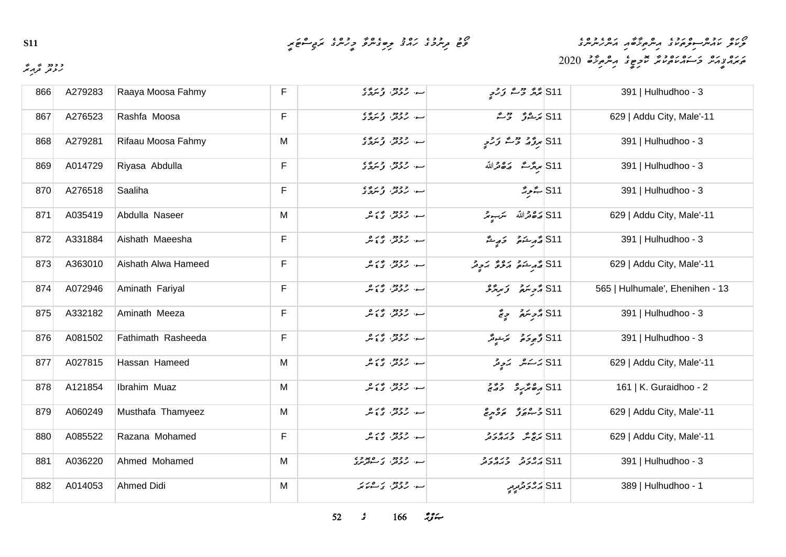*sCw7q7s5w7m< o<n9nOoAw7o< sCq;mAwBoEw7q<m; wBm;vB* م من المرة المرة المرة المرجع المرجع في المركبة 2020<br>مجم*د المريض المربوط المربع المرجع في المراجع المركبة* 

|  | チージ コココ   |
|--|-----------|
|  | زعو ودمير |
|  |           |

| 866 | A279283 | Raaya Moosa Fahmy   | F            | ر در دود. درد د                               | S11 بَرْبَرٌ حَرْثَہُ وَرُدِ              | 391   Hulhudhoo - 3             |
|-----|---------|---------------------|--------------|-----------------------------------------------|-------------------------------------------|---------------------------------|
| 867 | A276523 | Rashfa Moosa        | $\mathsf{F}$ | د ووود و ره و.<br>سه رنوش و سر <i>و</i> ر     | S11 بَرَسْتَرَ حَرْسَةَ                   | 629   Addu City, Male'-11       |
| 868 | A279281 | Rifaau Moosa Fahmy  | M            | د دود. و ره د<br>پ. روتر، و سر <i>و</i> ر     | S11 بر <i>وٌة. حَ-شَرْ وَرْدِ</i>         | 391   Hulhudhoo - 3             |
| 869 | A014729 | Riyasa Abdulla      | $\mathsf F$  | سه ووده وروه                                  | S11  مرتزت كەھەراللە                      | 391   Hulhudhoo - 3             |
| 870 | A276518 | Saaliha             | $\mathsf F$  | د ووود و ره و.<br>سه رنوش و سر <i>و</i> ر     |                                           | 391   Hulhudhoo - 3             |
| 871 | A035419 | Abdulla Naseer      | M            | سە رودە ئەرە                                  | S11 كەھەتراللە تىرىبو <i>ى</i> تر         | 629   Addu City, Male'-11       |
| 872 | A331884 | Aishath Maeesha     | $\mathsf{F}$ | سە رودە ئەرھ                                  | S11 مَگْرِسْتَمْ كَرْمِيشْ                | 391   Hulhudhoo - 3             |
| 873 | A363010 | Aishath Alwa Hameed | $\mathsf F$  | سە روۋە ئەرھ                                  | S11 مەم شەم كەنىۋە كەرەتر                 | 629   Addu City, Male'-11       |
| 874 | A072946 | Aminath Fariyal     | $\mathsf F$  | سە روۋە ئەرھ                                  | S11 مَّ مِسَعْدِ وَمِبَعَّدِ              | 565   Hulhumale', Ehenihen - 13 |
| 875 | A332182 | Aminath Meeza       | $\mathsf F$  | سە ئەرەدە ئەر ئە                              | S11 مَّ مِ سَمَّد جِيَّ                   | 391   Hulhudhoo - 3             |
| 876 | A081502 | Fathimath Rasheeda  | $\mathsf F$  | سە ئەرەدە ئەر ئە                              | S11 ۇ <sub>جو</sub> رَى ترىپەر            | 391   Hulhudhoo - 3             |
| 877 | A027815 | Hassan Hameed       | M            | سە، رودە، ئەر بەر                             | S11  ټر <i>شرو پر چو</i> تر               | 629   Addu City, Male'-11       |
| 878 | A121854 | Ibrahim Muaz        | M            | سە رودە ئەرھ                                  | S11 مەھ <i>مگىرى جەم</i> ى                | 161   K. Guraidhoo - 2          |
| 879 | A060249 | Musthafa Thamyeez   | M            | سە روۋە ئەرھ                                  | S11 <sub>حر</sub> م برە برە ج             | 629   Addu City, Male'-11       |
| 880 | A085522 | Razana Mohamed      | $\mathsf F$  | سە سىردە ئەرەپە                               | S11 ئىرت <sub>ى</sub> ئىر <i>مەدد د</i> ر | 629   Addu City, Male'-11       |
| 881 | A036220 | Ahmed Mohamed       | M            | ر ده دوه از ۲۵ وره و د<br>سه اگرونس او سه توس | S11 كەبرو بورەرو                          | 391   Hulhudhoo - 3             |
| 882 | A014053 | <b>Ahmed Didi</b>   | M            | سە زىرىش كەسىمىتى ئى                          | S11  كەبۇ ئەڭ ئەربىر ب                    | 389   Hulhudhoo - 1             |

 $52$  *s*  $166$  *z***<sub>3</sub>**  $\frac{2}{3}$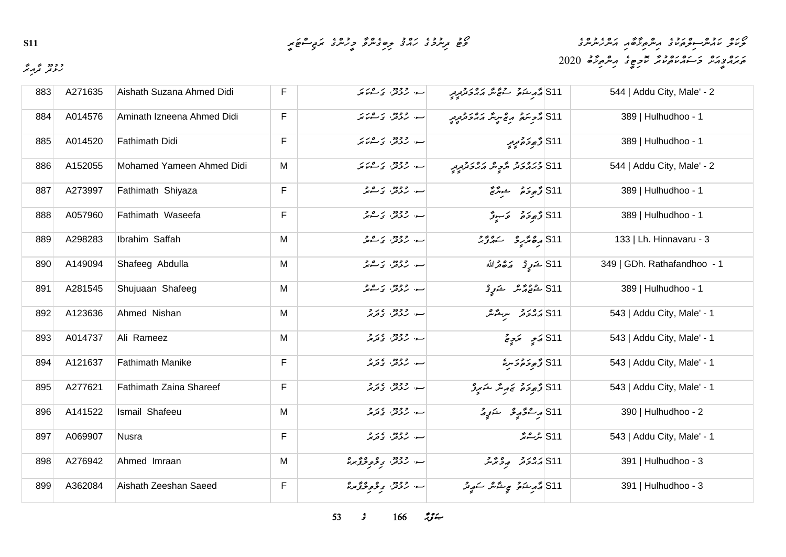*sCw7q7s5w7m< o<n9nOoAw7o< sCq;mAwBoEw7q<m; wBm;vB* م من المرة المرة المرة المرجع المرجع في المركبة 2020<br>مجم*د المريض المربوط المربع المرجع في المراجع المركبة* 

|  | د دود به پر<br>رنز تر ترمه تر |
|--|-------------------------------|
|  |                               |

| 883 | A271635 | Aishath Suzana Ahmed Didi      | $\mathsf F$ | سە زودە كەسىمەتكە                              | S11 <i>۾ ميڪو هيڪو مروڪو</i> تربرير                                          | 544   Addu City, Male' - 2  |
|-----|---------|--------------------------------|-------------|------------------------------------------------|------------------------------------------------------------------------------|-----------------------------|
| 884 | A014576 | Aminath Izneena Ahmed Didi     | $\mathsf F$ | سه اروده ار ۱۵ در                              | S11 أ <i>مَّ و سَمَعْ م</i> ِ جْ سِرْسَّرَ أ <i>مَّ مُ</i> حَدَّ مَرْمَدِيرِ | 389   Hulhudhoo - 1         |
| 885 | A014520 | <b>Fathimath Didi</b>          | $\mathsf F$ | سه اروده ار ۱۵ در                              | S11 ژ <sub>مو</sub> دَ مُ <sub>وبو</sub> رِ                                  | 389   Hulhudhoo - 1         |
| 886 | A152055 | Mohamed Yameen Ahmed Didi      | M           | سە زىرەر ئەسىمەتكە                             | S11 <i>وبروبر گر<sub>چ</sub>ش كەنگەتر</i> تېرىيە                             | 544   Addu City, Male' - 2  |
| 887 | A273997 | Fathimath Shiyaza              | F           | ر در دوده از ۱۵ ور<br>سود ان برقانو کار شونو ک | S11 تُرجوحَمُ سُبِيَّتُمْ جَ                                                 | 389   Hulhudhoo - 1         |
| 888 | A057960 | Fathimath Waseefa              | $\mathsf F$ | سه اووده کارواو                                | S11 وَّجِوَدَةٌ _ وَسِوِدٌ                                                   | 389   Hulhudhoo - 1         |
| 889 | A298283 | Ibrahim Saffah                 | M           | ر در دوده از دره و                             | S11 مەھمگىر ئىس سىمب <i>ونى</i>                                              | 133   Lh. Hinnavaru - 3     |
| 890 | A149094 | Shafeeg Abdulla                | M           | سه اوودو کره و                                 | S11  ڪ <i>وپرتي پر ڇو</i> ٽرالله                                             | 349   GDh. Rathafandhoo - 1 |
| 891 | A281545 | Shujuaan Shafeeg               | M           | سە، روۋە كەسەنى                                | S11 شۇقەرمىر ش <i>ۆ</i> رتى                                                  | 389   Hulhudhoo - 1         |
| 892 | A123636 | Ahmed Nishan                   | M           | سە زەۋە ئەرە                                   | S11 كەبر <i>وتى</i> سىشىر                                                    | 543   Addu City, Male' - 1  |
| 893 | A014737 | Ali Rameez                     | M           | ر در دوده او در د<br>سه ارتونس او توبر         | S11  رَمِ بَرَدٍ حُ                                                          | 543   Addu City, Male' - 1  |
| 894 | A121637 | <b>Fathimath Manike</b>        | F           |                                                | S11 ۇ <sub>جو</sub> رَ ج <sub>و</sub> رَ سِرىز                               | 543   Addu City, Male' - 1  |
| 895 | A277621 | <b>Fathimath Zaina Shareef</b> | $\mathsf F$ | ر در دود در در د<br>سه گرفتن وتونتر            | S11 ژ <sub>َّج</sub> ودَة <sub>تم</sub> ريتر ڪ <i>ي</i> رڙ                   | 543   Addu City, Male' - 1  |
| 896 | A141522 | Ismail Shafeeu                 | M           | ر در دود در در د<br>سه گرفتن وتونتر            | S11 م <sub>و</sub> شۇم <sub>و</sub> تى خو <i>ړى</i>                          | 390   Hulhudhoo - 2         |
| 897 | A069907 | Nusra                          | $\mathsf F$ | ر در دوده او در د<br>سه ارتونس او توبر         | S11 پڑھڑ                                                                     | 543   Addu City, Male' - 1  |
| 898 | A276942 | Ahmed Imraan                   | M           | سە رودە بەلۇمۇتەرە                             | S11   ئەيرى ئەرەپەتكەتر                                                      | 391   Hulhudhoo - 3         |
| 899 | A362084 | Aishath Zeeshan Saeed          | F           | ے رودہ روویوں                                  | S11 مٌرمِــُمَوَّ بِرِـمَّتَمَّر سَورٍتَر                                    | 391   Hulhudhoo - 3         |

 $53$   $\cancel{5}$   $166$   $\cancel{5}$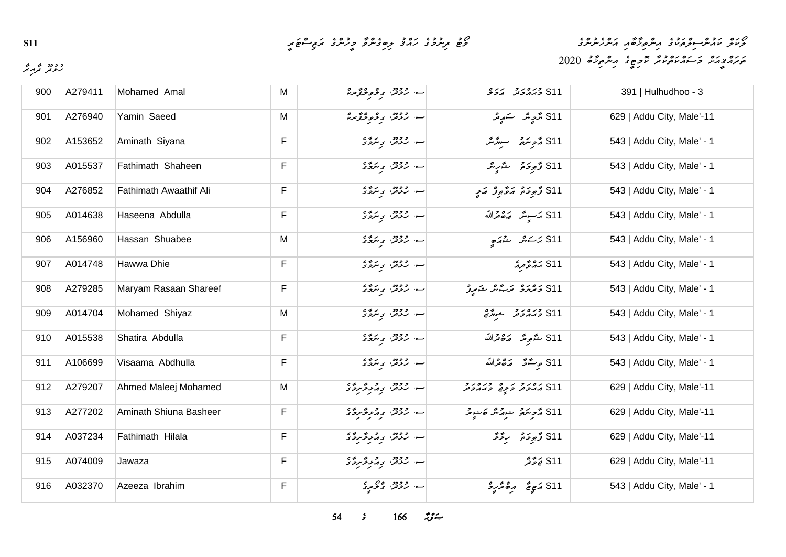*sCw7q7s5w7m< o<n9nOoAw7o< sCq;mAwBoEw7q<m; wBm;vB* م من المرة المرة المرة المرجع المرجع في المركبة 2020<br>مجم*د المريض المربوط المربع المرجع في المراجع المركبة* 

|  | د دود به بر<br>رنز تر تربر |
|--|----------------------------|
|  |                            |

| 900 | A279411 | Mohamed Amal           | M | ے رودو پولوگوگرما               | S11 <i>3222 مار</i> ي                              | 391   Hulhudhoo - 3        |
|-----|---------|------------------------|---|---------------------------------|----------------------------------------------------|----------------------------|
| 901 | A276940 | Yamin Saeed            | M | ے رودہ روویوں                   | S11 اگرچ شرکت کرد تھی تھا<br>ا                     | 629   Addu City, Male'-11  |
| 902 | A153652 | Aminath Siyana         | F | سه رودو روی                     | S11 مَّ حِبَّرَهُ مَسَبَّرٌ مَّتَر                 | 543   Addu City, Male' - 1 |
| 903 | A015537 | Fathimath Shaheen      | F | در دوده از دره با               | S11 رَّج <i>وحَ</i> هُ مُشَرِسْ                    | 543   Addu City, Male' - 1 |
| 904 | A276852 | Fathimath Awaathif Ali | F | سه دودو. په مرده کا             | S11 ز <sub>گ</sub> وِدَة رَءٌ ورُ <sub>صَ</sub> رِ | 543   Addu City, Male' - 1 |
| 905 | A014638 | Haseena Abdulla        | F | ے رودوں پاسروں                  | S11  بَرْسِيشْ كَدَهْقْرَاللَّه                    | 543   Addu City, Male' - 1 |
| 906 | A156960 | Hassan Shuabee         | M | سه دودو روه                     | S11 بَرَسَة مَشْرَرِ صِ                            | 543   Addu City, Male' - 1 |
| 907 | A014748 | Hawwa Dhie             | F | سه دودو روه                     | S11 بَرْدْ وَّمِرْدُ                               | 543   Addu City, Male' - 1 |
| 908 | A279285 | Maryam Rasaan Shareef  | F | سه اروده اروپا                  | S11 كەنگەر ئەسىگە ئىس ئىستىر ق                     | 543   Addu City, Male' - 1 |
| 909 | A014704 | Mohamed Shiyaz         | M | سه دوود.<br>سه روتور، پاسروی    | S11 <i>ۇنەۋەقر خەنگى</i> چ                         | 543   Addu City, Male' - 1 |
| 910 | A015538 | Shatira Abdulla        | F | سه دودو. په مرده کا             | S11  مشموبتر كەھەتراللە                            | 543   Addu City, Male' - 1 |
| 911 | A106699 | Visaama Abdhulla       | F | سە رودە پەسىرى                  | S11 مِ گُمَرَّ مَرَّدُ مِنْ اللَّه                 | 543   Addu City, Male' - 1 |
| 912 | A279207 | Ahmed Maleej Mohamed   | M | ب رودو په توګرگورگانو           | S11 גُגُכُتْرٌ وَ وِيُمْ وَيُرْمُوتُرْ             | 629   Addu City, Male'-11  |
| 913 | A277202 | Aminath Shiuna Basheer | F | سەر ئاردە بەر ئورگە ئورگە ئ     | S11 مُرْحِسَمُ مُسْمِمُدْ صَسْعِمُ                 | 629   Addu City, Male'-11  |
| 914 | A037234 | Fathimath Hilala       | F | - رودو، پاړوگروگو               | S11 ۇ <sub>ج</sub> ودۇ ب <sup>ۇ</sup> مۇ           | 629   Addu City, Male'-11  |
| 915 | A074009 | Jawaza                 | F | ب رودو په توګرگورگانو           | S11 يَحَقَّرَ                                      | 629   Addu City, Male'-11  |
| 916 | A032370 | Azeeza Ibrahim         | F | ر د دوه وه وه<br>ر رونو، ونومود | S11 <i>ھَي جَھھور جو مُ</i> گري <sup>و</sup>       | 543   Addu City, Male' - 1 |

 $54$  *s*  $166$  *z*  $29$  <del>*x*</del>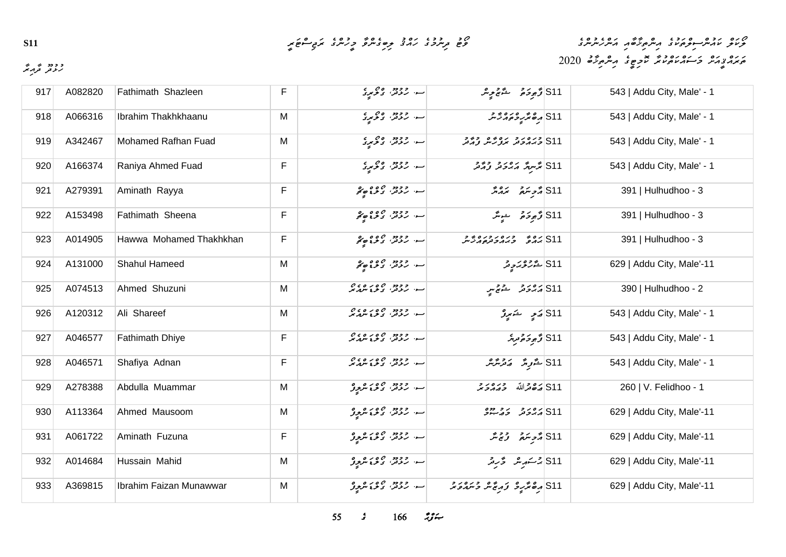*sCw7q7s5w7m< o<n9nOoAw7o< sCq;mAwBoEw7q<m; wBm;vB 2020 q9nOoAw7o< sCpHo>u; n8q;wAm;w<mEm> w6m<pYw<m8mA*

| 917 | A082820 | Fathimath Shazleen      | F | سه اروده او ده و د                               | S11  <i>وَّجِوَدَة</i> شَيْءِيْد           | 543   Addu City, Male' - 1 |
|-----|---------|-------------------------|---|--------------------------------------------------|--------------------------------------------|----------------------------|
| 918 | A066316 | Ibrahim Thakhkhaanu     | M | در دوه ۵۵ و.<br>  سه روتر، وتوميرو               | S11 مەھ <i>مگېر ۋە دۇ</i> ئەش              | 543   Addu City, Male' - 1 |
| 919 | A342467 | Mohamed Rafhan Fuad     | M | سه اروده او ده و د                               | S11 <i>3223 بروتر ووو</i>                  | 543   Addu City, Male' - 1 |
| 920 | A166374 | Raniya Ahmed Fuad       | F | در دوده وه وي.<br>  در روتر، وتوميرو             | S11 ټرسرته ټربرو تر ورور                   | 543   Addu City, Male' - 1 |
| 921 | A279391 | Aminath Rayya           | F |                                                  | S11 أَمَّ حِسَنَةً مَسَرَّمَّةً            | 391   Hulhudhoo - 3        |
| 922 | A153498 | Fathimath Sheena        | F |                                                  | S11 <i>وُّجِ دَمُ</i> شَمِسٌ               | 391   Hulhudhoo - 3        |
| 923 | A014905 | Hawwa Mohamed Thakhkhan | F |                                                  | S11 ئەۋۋە جەيرە <i>دەرە ۋە</i> ر           | 391   Hulhudhoo - 3        |
| 924 | A131000 | Shahul Hameed           | M | $80000000 - 40000$                               | S11  ڪري <i>وري پ</i> ر                    | 629   Addu City, Male'-11  |
| 925 | A074513 | Ahmed Shuzuni           | M | ر د ودو ان وړه ده وه.<br>سوالۍ لري لوگو په سمدنو | S11 كەبرى قىرىقى ئىس بىر                   | 390   Hulhudhoo - 2        |
| 926 | A120312 | Ali Shareef             | M | ر د ودو اړه د ده دي.<br>سه رنوس ونو د سمدند      | S11 <i>۾َ جِ</i> شَمِيوُ                   | 543   Addu City, Male' - 1 |
| 927 | A046577 | <b>Fathimath Dhiye</b>  | F | ر د ودو ان وړه ده.<br>سه رنونس ولولاسمدنو        | S11 گ <sub>رگ</sub> و ئەقرىرىگە            | 543   Addu City, Male' - 1 |
| 928 | A046571 | Shafiya Adnan           | F | ر و وود 2010 وي.<br>سه رنزل و و و سمدند          | S11 ڪوبر <i>چونگريز</i>                    | 543   Addu City, Male' - 1 |
| 929 | A278388 | Abdulla Muammar         | M | ــ دوه مورومو                                    | S11 كەھەرللە <i>دەمەدىر</i>                | 260   V. Felidhoo - 1      |
| 930 | A113364 | Ahmed Mausoom           | M | ـــ رودو مه در ه رو                              | S11 كەبرو بول تەرەپ يېتىر                  | 629   Addu City, Male'-11  |
| 931 | A061722 | Aminath Fuzuna          | F | سە رودە مەر ھرو                                  | S11 <sub>م</sub> ۇربىر ئۇچ ئىر             | 629   Addu City, Male'-11  |
| 932 | A014684 | Hussain Mahid           | M | ے۔ روود 200 ھرو                                  | S11 پڑے پر ٹڈریڈ                           | 629   Addu City, Male'-11  |
| 933 | A369815 | Ibrahim Faizan Munawwar | M | سه رودو مه در ه دو                               | S11 مەھمگىرى ئەمەمجىمە ئ <i>ەسمەھ بى</i> ر | 629   Addu City, Male'-11  |

 $55$   $\frac{2}{3}$   $166$   $\frac{2}{3}$ 

و و *ه ه*<br>رو تو مريخ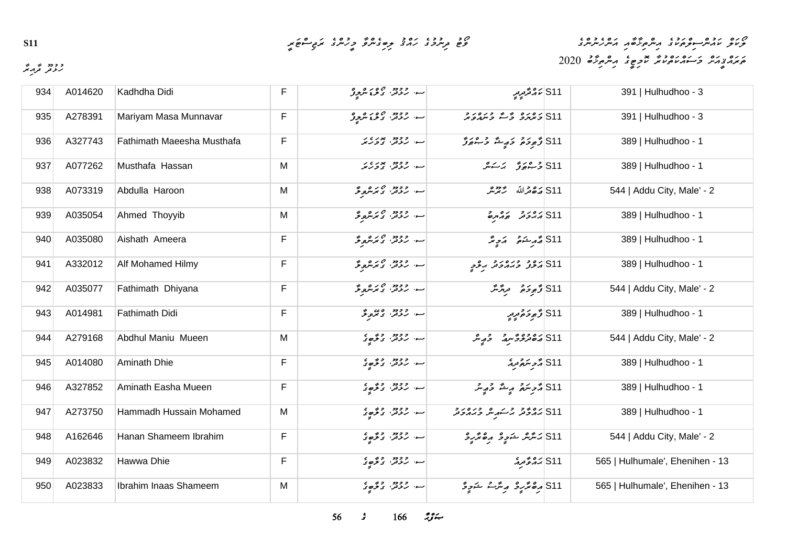*sCw7q7s5w7m< o<n9nOoAw7o< sCq;mAwBoEw7q<m; wBm;vB* م من المرة المرة المرة المرجع المرجع في المركبة 2020<br>مجم*د المريض المربوط المربع المرجع في المراجع المركبة* 

|  | د دود به پر<br>رنز تر تربر تر |  |
|--|-------------------------------|--|

| 934 | A014620 | Kadhdha Didi               | $\mathsf{F}$ | سه اروده ۱۵۵ مارود                          | S11  تەۋەترىرى <i>ر</i>                                                                              | 391   Hulhudhoo - 3             |
|-----|---------|----------------------------|--------------|---------------------------------------------|------------------------------------------------------------------------------------------------------|---------------------------------|
| 935 | A278391 | Mariyam Masa Munnavar      | F            | ے۔ رووہ مہموری مگروی                        | S11 كەيمەر 3 ئەسىم ئەسمەر ئىس                                                                        | 391   Hulhudhoo - 3             |
| 936 | A327743 | Fathimath Maeesha Musthafa | $\mathsf F$  | د د دوه اپوران کرد.<br>سه انرلولون او ورانو | S11 زُّەپرَة زَەپْ زُرْسُورٌ                                                                         | 389   Hulhudhoo - 1             |
| 937 | A077262 | Musthafa Hassan            | M            | د د دوه اندر د ر<br>سه اربوتن ان و راند     | S11 ۇبىيمۇس ئەسكىلە                                                                                  | 389   Hulhudhoo - 1             |
| 938 | A073319 | Abdulla Haroon             | M            | ب رودو مرورځ                                | S11 مَەھىراللە ئەمەم                                                                                 | 544   Addu City, Male' - 2      |
| 939 | A035054 | Ahmed Thoyyib              | M            | ب رودو مرورځ                                | $5.92.522$ S11                                                                                       | 389   Hulhudhoo - 1             |
| 940 | A035080 | Aishath Ameera             | F            | ر در دوره بره د و شور شده و گر              | S11 مَگْرِسْتَمْ کُرْدِیْر                                                                           | 389   Hulhudhoo - 1             |
| 941 | A332012 | <b>Alf Mohamed Hilmy</b>   | $\mathsf{F}$ | ب رودو مرورځ                                | S11   كانور المحدد بالمحامر المحدد المحدد المحدد المحدد المحدد المحدد المحدد المحدد المحدد المحدد ال | 389   Hulhudhoo - 1             |
| 942 | A035077 | Fathimath Dhiyana          | $\mathsf{F}$ | ے۔ رودہ مرکز عر                             | S11 <i>وَّجِوحَمْ مِبتَرْمَّر</i>                                                                    | 544   Addu City, Male' - 2      |
| 943 | A014981 | Fathimath Didi             | $\mathsf{F}$ |                                             | S11 ژَّج دَ مُوسِدٍ                                                                                  | 389   Hulhudhoo - 1             |
| 944 | A279168 | Abdhul Maniu Mueen         | M            | ر د دود وه و.<br>سه روتر، وتوّ              | S11 كەھەر <i>ۋە بىر ئى</i> ر قىرىش                                                                   | 544   Addu City, Male' - 2      |
| 945 | A014080 | Aminath Dhie               | F            | د دود وړ ه<br>سه رونو، وگړنۍ                | S11  مُتَّحِسَو مَعْدَمِيد                                                                           | 389   Hulhudhoo - 1             |
| 946 | A327852 | Aminath Easha Mueen        | $\mathsf{F}$ | ر دود وه وه<br>روزن وگوه                    | S11 مٌوِسَمَ مِيشَ وُمِيشَ                                                                           | 389   Hulhudhoo - 1             |
| 947 | A273750 | Hammadh Hussain Mohamed    | M            | - دوود وه ده                                | S11 برووو بر شهر شده در در                                                                           | 389   Hulhudhoo - 1             |
| 948 | A162646 | Hanan Shameem Ibrahim      | $\mathsf F$  | ر د دود وه و.<br>سه روتر، وتوّ              | S11 بَرَسَّرْسُ حَدَوِدٌ ۖ مِرْكَةٌ مِرْدِدٌ                                                         | 544   Addu City, Male' - 2      |
| 949 | A023832 | Hawwa Dhie                 | $\mathsf F$  | سه دوود وي ه                                | S11 بَرْدْءٌ مِرْدً                                                                                  | 565   Hulhumale', Ehenihen - 13 |
| 950 | A023833 | Ibrahim Inaas Shameem      | M            | سه دوود وي ه                                | S11 مەھەر بۇ مەش <sup>ىق</sup> خوچ <sup>ى</sup>                                                      | 565   Hulhumale', Ehenihen - 13 |

 $56$  *s*  $166$  *z*  $\frac{2}{3}$  *k*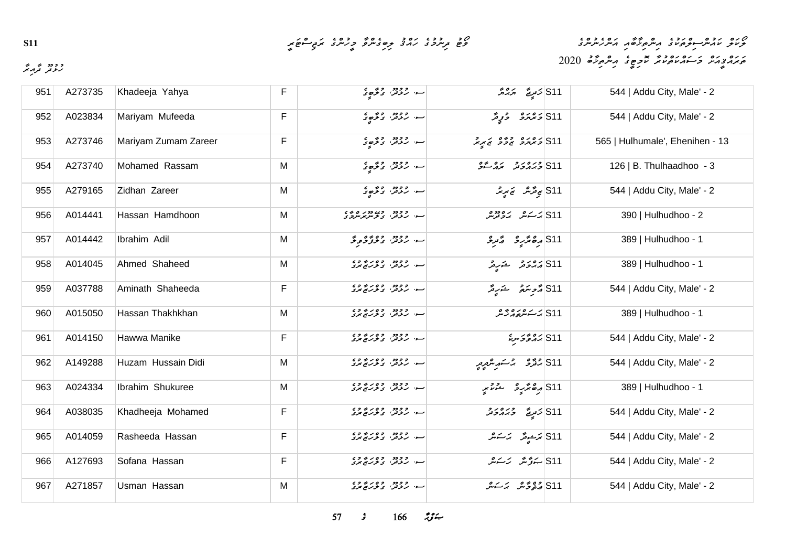*sCw7q7s5w7m< o<n9nOoAw7o< sCq;mAwBoEw7q<m; wBm;vB* م من المرة المرة المرة المرجع المرجع في المركبة 2020<br>مجم*د المريض المربوط المربع المرجع في المراجع المركبة* 

| د دود به پر<br>رنز تر ترمه |  |  |
|----------------------------|--|--|

| 951 | A273735 | Khadeeja Yahya       | F           | سه دودو ويوه                                    | S11 كَتَمْرِيحُ - <i>مَرْكَبُرُّ</i>         | 544   Addu City, Male' - 2      |
|-----|---------|----------------------|-------------|-------------------------------------------------|----------------------------------------------|---------------------------------|
| 952 | A023834 | Mariyam Mufeeda      | F           | ر دودو وه ده<br>سه روتر، وتوځ                   | S11 كەترىرى ئىمرىگە                          | 544   Addu City, Male' - 2      |
| 953 | A273746 | Mariyam Zumam Zareer | $\mathsf F$ | سه دوود وي د                                    | S11 كەنگەر قەم ئالىمى ئىرىتىلىر              | 565   Hulhumale', Ehenihen - 13 |
| 954 | A273740 | Mohamed Rassam       | M           | سه دووړ وي.<br>سه رنونس ونوځو                   | S11 دېرورو بره شو                            | 126   B. Thulhaadhoo - 3        |
| 955 | A279165 | Zidhan Zareer        | M           | ر د دور وي.<br>سه رنونس وگونو                   | S11 <sub>مج</sub> وگر می سر پر               | 544   Addu City, Male' - 2      |
| 956 | A014441 | Hassan Hamdhoon      | M           | د دوه دوره ده ده ده.<br>سه رنوش و نوسرپوسرو د   | S11 ټريىش پروترنىر                           | 390   Hulhudhoo - 2             |
| 957 | A014442 | Ibrahim Adil         | M           | ر د دوه ده ده وه و.<br>سر روند، د وووه و        | S11  م <i>ەھترى</i> دى كەمەمى                | 389   Hulhudhoo - 1             |
| 958 | A014045 | Ahmed Shaheed        | M           | در دورو ده ده ده.<br>سه رکونس و بورنج بود       | S11   <i>دَ بْ</i> دْدَتْر شَرِيْرُ          | 389   Hulhudhoo - 1             |
| 959 | A037788 | Aminath Shaheeda     | F           | در دورو ده ده ده.<br>سه رکونس و بورنج بود       | S11 مَّ حِ سَمَعَ ۖ شَرِيْتَر                | 544   Addu City, Male' - 2      |
| 960 | A015050 | Hassan Thakhkhan     | M           | در دودو اوه دره و د.<br>سه رکونس و بورنج نور    | S11 ئەستەھ پرور تەر                          | 389   Hulhudhoo - 1             |
| 961 | A014150 | Hawwa Manike         | F           | در دورو ده ده ده.<br>سه رکونس و بورنج بود       | S11 ئەرمۇ ئەس <sup>رى</sup>                  | 544   Addu City, Male' - 2      |
| 962 | A149288 | Huzam Hussain Didi   | M           | د د دوه د ده د ده.<br>سه رکونس و بورنج بود      | S11  ئەنگە ئەسكەر شەيرىر                     | 544   Addu City, Male' - 2      |
| 963 | A024334 | Ibrahim Shukuree     | M           | ر د د د د ده د د د د<br>سه رکوترا د بورندی برد  | S11 مەھە <i>ترى</i> ر ھىمىسىيە               | 389   Hulhudhoo - 1             |
| 964 | A038035 | Khadheeja Mohamed    | $\mathsf F$ | در دودو اوه دره و د.<br>سه رکونس و بورنج نور    | S11 زَمَرِيَّ تَرَكْرُوَتْرُ                 | 544   Addu City, Male' - 2      |
| 965 | A014059 | Rasheeda Hassan      | F           | در دورو ده ده ده.<br>سه رکونس و بورنج بود       | S11 بَرَجوتَر - بَرَسَ <i>مَّر</i>           | 544   Addu City, Male' - 2      |
| 966 | A127693 | Sofana Hassan        | F           | د د دوه د ده د ده.<br>سه رکونس و بورنج بود      | S11 بەۋىگە ئەس <i>تەن</i> گە                 | 544   Addu City, Male' - 2      |
| 967 | A271857 | Usman Hassan         | M           | د و وو د وه د و و د<br>سو، رکوتر، ای بورانج بوی | S11 <sub>مەقى</sub> ۋىر ب <sub>ى</sub> رىكىر | 544   Addu City, Male' - 2      |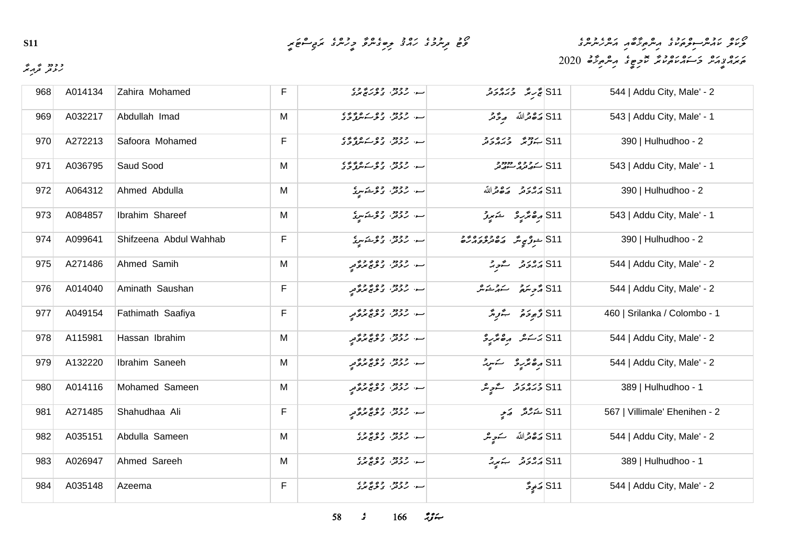*sCw7q7s5w7m< o<n9nOoAw7o< sCq;mAwBoEw7q<m; wBm;vB* م من المرة المرة المرة المرجع المرجع في المركبة 2020<br>مجم*د المريض المربوط المربع المرجع في المراجع المركبة* 

|  | $\rightarrow$ $\rightarrow$ $\rightarrow$ $\rightarrow$ $\rightarrow$ |
|--|-----------------------------------------------------------------------|
|  | نرعرفر اقرمرته                                                        |
|  |                                                                       |

| 968 | A014134 | Zahira Mohamed         | $\mathsf{F}$ | د د دوه د ده د ده.<br>سه رکونژا و بورنج بود | S11 تج بەتتى ئ <i>ەندە دى</i> ر            | 544   Addu City, Male' - 2    |
|-----|---------|------------------------|--------------|---------------------------------------------|--------------------------------------------|-------------------------------|
| 969 | A032217 | Abdullah Imad          | M            | د دوه ده ده ده ده.<br>پ. روتر، وتوسونلروی   | S11 مَەھىراللە مەۋىر                       | 543   Addu City, Male' - 1    |
| 970 | A272213 | Safoora Mohamed        | F            | د دوه ده ده ده ده.<br>سه روتر، و و سهروی    | S11 يېۋىر دېروند                           | 390   Hulhudhoo - 2           |
| 971 | A036795 | Saud Sood              | M            | د دوه ده دره ده.<br>پ. روتر، وتوسکونونو     | S11 سے پر قریر مسور قر                     | 543   Addu City, Male' - 1    |
| 972 | A064312 | Ahmed Abdulla          | M            | سە رودە دوختىرى                             | S11 كەبروتر كەھىراللە                      | 390   Hulhudhoo - 2           |
| 973 | A084857 | Ibrahim Shareef        | M            | سە رودە دەشكەر                              | S11 م <i>وڭ ئۇم</i> رۇ ھەمرۇ               | 543   Addu City, Male' - 1    |
| 974 | A099641 | Shifzeena Abdul Wahhab | F            | سەر روۋە دەھ دەپلىكى                        | S11 جوړې ش <i>ه م</i> ەمر <i>ومەرە</i>     | 390   Hulhudhoo - 2           |
| 975 | A271486 | Ahmed Samih            | M            | ر د ووو اوه وه وه.<br>سه رنزتن و وی بروتر   | S11 كەنزى قىر ئىسىمبىر ئىس                 | 544   Addu City, Male' - 2    |
| 976 | A014040 | Aminath Saushan        | F            |                                             | S11 مَّ حِ سَمَّ مَ مَسْرَ مِسْرَ مِسْر    | 544   Addu City, Male' - 2    |
| 977 | A049154 | Fathimath Saafiya      | $\mathsf{F}$ | ر د د د ده ده ده د.<br>پ. روتر، د وم بروتر  | S11 ۇ <sub>جو</sub> رَة جۇم <sup>ە</sup> ر | 460   Srilanka / Colombo - 1  |
| 978 | A115981 | Hassan Ibrahim         | M            | ر د د د ده ده د د د .<br>د روس د وم مروم .  | S11 ئەسەنلەر مەھ <i>م</i> گرىدى            | 544   Addu City, Male' - 2    |
| 979 | A132220 | Ibrahim Saneeh         | M            | ر د د د ده وه د ده.<br>د د روتر، و وی بروتر | S11  م <i>وڭ ئۇر</i> بۇ سىسى <i>م</i>      | 544   Addu City, Male' - 2    |
| 980 | A014116 | Mohamed Sameen         | M            | ر د د د ده ده د د د .<br>د روس د وم مروم .  | S11 <i>ڈیزونز سٹ</i> ویٹر                  | 389   Hulhudhoo - 1           |
| 981 | A271485 | Shahudhaa Ali          | F            | ر د د د ده ده ده د.<br>پ. روتر، د وم بروتر  | S11 خەرش كەم                               | 567   Villimale' Ehenihen - 2 |
| 982 | A035151 | Abdulla Sameen         | M            | د د د ده د ده د د د<br>سه روتر، و و بر در   | S11 #چىقىراللە كىموپىر                     | 544   Addu City, Male' - 2    |
| 983 | A026947 | Ahmed Sareeh           | M            | د د د ده د ده د د د<br>سه روتر، و و بر برو  | S11 كەندى كىمە بىكە بىر <i>مى</i> ر        | 389   Hulhudhoo - 1           |
| 984 | A035148 | Azeema                 | F            | د د د ده د ده پوه<br>سو، رنوتر، ژبوین برو   | S11  مَنْ وِتَرٌ                           | 544   Addu City, Male' - 2    |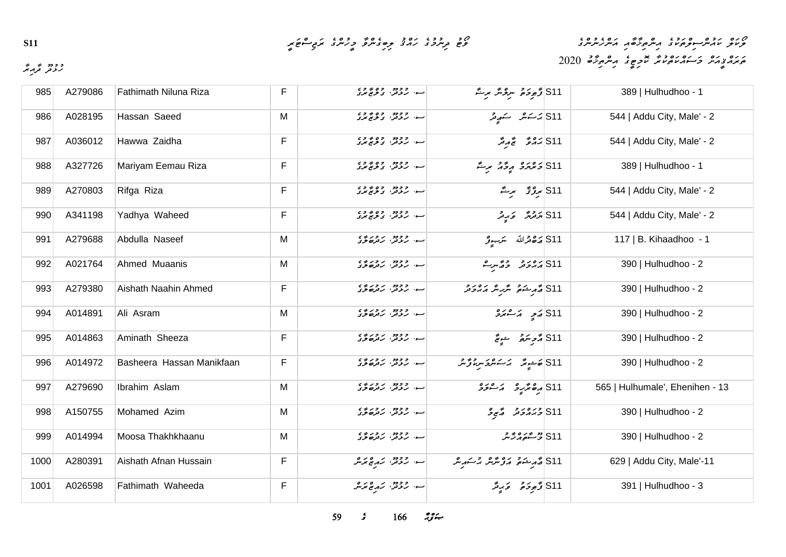*sCw7q7s5w7m< o<n9nOoAw7o< sCq;mAwBoEw7q<m; wBm;vB* م من المرة المرة المرة المرجع المرجع في المركبة 2020<br>مجم*د المريض المربوط المربع المرجع في المراجع المركبة* 

|  | <b>≠ ≠ &gt;&gt;&gt;&gt;</b> |
|--|-----------------------------|
|  | ر د در مرد مر               |
|  |                             |

| 985  | A279086 | Fathimath Niluna Riza     | $\mathsf F$ | و و ووو ۔ و ه پو و د<br>سو، اسرائیلو، او محرج محری  | S11 <i>ؤوڌه</i> سروس مرت              | 389   Hulhudhoo - 1             |
|------|---------|---------------------------|-------------|-----------------------------------------------------|---------------------------------------|---------------------------------|
| 986  | A028195 | Hassan Saeed              | M           | و و و و و و ه و و د<br>سود ا مرکزانی از مخرنج نیمری | S11 پرسترش ست <i>مہ</i> ور            | 544   Addu City, Male' - 2      |
| 987  | A036012 | Hawwa Zaidha              | F           | و و ووو ۔ و ه پو و د<br>سو، ان مرکزای کی محرمی محری | S11 بَرْدْ حَمْ مَحْمَدْ بِهِ         | 544   Addu City, Male' - 2      |
| 988  | A327726 | Mariyam Eemau Riza        | F           | و و ووو ۔ و ه پو و د<br>سو، ان مرکزان کی محرمی محری | S11 ك <i>ر چركرى پر چرگ بر</i> گ      | 389   Hulhudhoo - 1             |
| 989  | A270803 | Rifga Riza                | F           | و و ووو ۔ و ه پو و د<br>سو، اسرائیلو، او محرج محری  | S11 مروٌوٌ مرتٌ                       | 544   Addu City, Male' - 2      |
| 990  | A341198 | Yadhya Waheed             | $\mathsf F$ | د د د ده د ده د د د<br>سه روتر، و و م مرد           | S11 بَرَمْرَبَّرٌ     وَرِمْرُ        | 544   Addu City, Male' - 2      |
| 991  | A279688 | Abdulla Naseef            | M           | د د دوه د د د د د د<br>سه روتر، رتون و              | S11  رَحْمَدْاللَّهُ <i>مَرْجو</i> گر | 117   B. Kihaadhoo - 1          |
| 992  | A021764 | Ahmed Muaanis             | M           | د د دود د د د د د د<br>سه روتر، رتره نړۍ            | S11 كەبرىق قەھەبىرىشە                 | 390   Hulhudhoo - 2             |
| 993  | A279380 | Aishath Naahin Ahmed      | F           | د دود روره ده<br>سه روتر، رتره نړۍ                  | S11 مەم شىم گەرىش <i>مەدە</i> م       | 390   Hulhudhoo - 2             |
| 994  | A014891 | Ali Asram                 | M           | ر د دود. د د د د د د<br>سه روتر، رتون و             | S11  رَمِ دَ سَمَرَةَ                 | 390   Hulhudhoo - 2             |
| 995  | A014863 | Aminath Sheeza            | F           | ر د دود. د د د د د د<br>سه روتر، رتون و             | S11 مُرْحِسَمُ مُسِيَّ                | 390   Hulhudhoo - 2             |
| 996  | A014972 | Basheera Hassan Manikfaan | F           | د د دود د د د د د د<br>سه روتر، رتره نړۍ            | S11 كۈچەتتە ئەسەئىرى بىرىدۇنىر        | 390   Hulhudhoo - 2             |
| 997  | A279690 | Ibrahim Aslam             | M           | ر د دود. د د د د د د<br>سه روتر، رتره و د           | S11 رەپرىي مەمبرە                     | 565   Hulhumale', Ehenihen - 13 |
| 998  | A150755 | Mohamed Azim              | M           | د د دود د د د د د د<br>سه روتر، رتره نړۍ            | S11 <i>دېم دې گ</i> ې د               | 390   Hulhudhoo - 2             |
| 999  | A014994 | Moosa Thakhkhaanu         | M           | د د دوه د د د ده د<br>سه روتر، رتون و               | S11 تۇشۇرۇشىتىر                       | 390   Hulhudhoo - 2             |
| 1000 | A280391 | Aishath Afnan Hussain     | F           | سەسىرى ئەرەبچە ئىرىش                                | S11 ۇرىشمۇ برەمۇرى جەسىرىتى           | 629   Addu City, Male'-11       |
| 1001 | A026598 | Fathimath Waheeda         | F           | سە زىرى ئەرەپرىر                                    | S11  <i>وتجوح</i> قو تحديثر           | 391   Hulhudhoo - 3             |

 $59$  *s*  $166$  *z*  $29$  <del>*x*</del>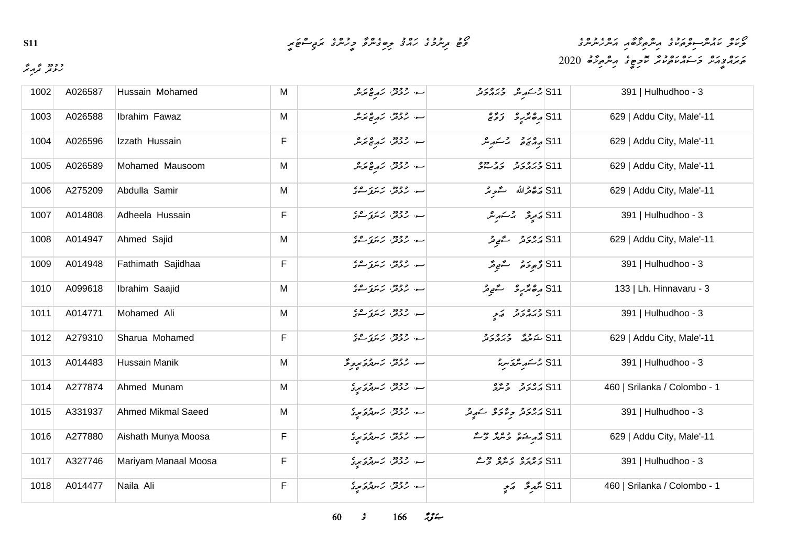*sCw7q7s5w7m< o<n9nOoAw7o< sCq;mAwBoEw7q<m; wBm;vB* م من المرة المرة المرة المرجع المرجع في المركبة 2020<br>مجم*د المريض المربوط المربع المرجع في المراجع المركبة* 

|  | د دود به پر<br>رنز تر ترمه تر |  |
|--|-------------------------------|--|
|  |                               |  |

| 1002 | A026587 | Hussain Mohamed           | M           | ے رودو کہ جاتھ      | S11 يُرْسَمَ مِهْ وَبَرْدُوتَر           | 391   Hulhudhoo - 3          |
|------|---------|---------------------------|-------------|---------------------|------------------------------------------|------------------------------|
| 1003 | A026588 | Ibrahim Fawaz             | M           | ے۔ رودوں کہ ج ترمگ  | S11 <sub>م</sub> ەھترىرى زۇيى            | 629   Addu City, Male'-11    |
| 1004 | A026596 | Izzath Hussain            | F           | ے۔ رودوں کہ ج بوری  | S11 مەمدىم مۇسىمبە ھ                     | 629   Addu City, Male'-11    |
| 1005 | A026589 | Mohamed Mausoom           | M           | ے۔ رودوں کہ ج مرتک  | S11 <i>درور د دوره</i>                   | 629   Addu City, Male'-11    |
| 1006 | A275209 | Abdulla Samir             | M           | سە رودە رىرى ھ      | S11 مَەھْتَراللە گ <sub>ى</sub> رىمە     | 629   Addu City, Male'-11    |
| 1007 | A014808 | Adheela Hussain           | F           | سە رودە رىرى ھ      | S11   كەنبەنى ئەشكەر بىر                 | 391   Hulhudhoo - 3          |
| 1008 | A014947 | Ahmed Sajid               | M           | سە رودە رىكۇشۇ      | S11 كەنزى قىر مەھىم ئىر                  | 629   Addu City, Male'-11    |
| 1009 | A014948 | Fathimath Sajidhaa        | $\mathsf F$ | ىسە رودە رىكۇنىدۇ   | S11 ۇج <sub>و</sub> رَمْ مەھمەتر         | 391   Hulhudhoo - 3          |
| 1010 | A099618 | Ibrahim Saajid            | M           | سە زودە زىكەر ق     | S11 م <i>وڭ ئۇرۇ س</i> ىھىچە <i>ئى</i> ر | 133   Lh. Hinnavaru - 3      |
| 1011 | A014771 | Mohamed Ali               | M           | سە رودە رىكۇشۇ      |                                          | 391   Hulhudhoo - 3          |
| 1012 | A279310 | Sharua Mohamed            | $\mathsf F$ | سە زودە رىرز ق      | S11 ينمري وبرورو                         | 629   Addu City, Male'-11    |
| 1013 | A014483 | Hussain Manik             | M           | ے رودہ رسوری مروٹر  | S11 كەسەمبە يىرىمىتى ئىبرىتق             | 391   Hulhudhoo - 3          |
| 1014 | A277874 | Ahmed Munam               | M           | سە رودو رىيوترونولى | S11 كەبرى قىر ئەنگەنى ئىس                | 460   Srilanka / Colombo - 1 |
| 1015 | A331937 | <b>Ahmed Mikmal Saeed</b> | M           | ے رودو کرس کرکے گیا | S11   كەبۇ <i>جەن بىر ئىم يەش</i>        | 391   Hulhudhoo - 3          |
| 1016 | A277880 | Aishath Munya Moosa       | $\mathsf F$ | - رودو رسور ،       | S11 مُەم شىم ئى ھەش ق                    | 629   Addu City, Male'-11    |
| 1017 | A327746 | Mariyam Manaal Moosa      | $\mathsf F$ | ے دوود کے موثری مرد | S11 كەبەر ئەرەپ دىسىگە                   | 391   Hulhudhoo - 3          |
| 1018 | A014477 | Naila Ali                 | F           | ے، رودو رسوری برو   | S11 مُمَبِّدٌ   دَمٍ                     | 460   Srilanka / Colombo - 1 |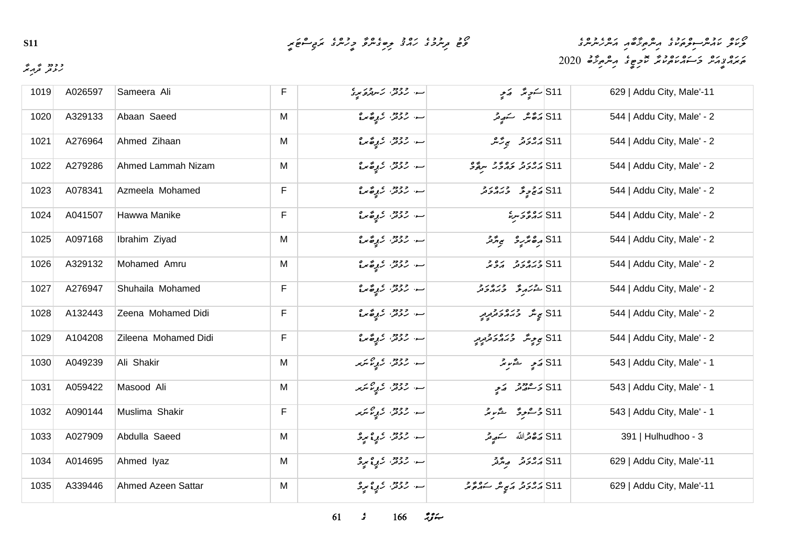*sCw7q7s5w7m< o<n9nOoAw7o< sCq;mAwBoEw7q<m; wBm;vB* م من المسجد المسجد المسجد المسجد المسجد العام 2020<br>مجم*د المسجد المسجد المستجد المسجد المسجد المسجد المسجد المسجد المسجد المسجد المسجد المسجد المسجد المسجد المسجد* 

| 1019 | A026597 | Sameera Ali          | F           | ر در دورد در در در در در این کنید و با در این کنید و با در این کنید و با در این کنید و با در این کنید و با دست<br>منابع استفاده با دست کنید و با دست کنید و با دست کنید و با دست کنید و با دست کنید و با دست کنید و با دست کنید | S11  سَوِيمٌ     رَوِ                        | 629   Addu City, Male'-11  |
|------|---------|----------------------|-------------|---------------------------------------------------------------------------------------------------------------------------------------------------------------------------------------------------------------------------------|----------------------------------------------|----------------------------|
| 1020 | A329133 | Abaan Saeed          | M           | ے رودوں کے مختلف کا من                                                                                                                                                                                                          | S11 كەڭ شەھەيىتى                             | 544   Addu City, Male' - 2 |
| 1021 | A276964 | Ahmed Zihaan         | M           | سار رودوا در دهمه                                                                                                                                                                                                               | S11   <i>2325 يې ر</i> مگر                   | 544   Addu City, Male' - 2 |
| 1022 | A279286 | Ahmed Lammah Nizam   | M           | ے۔ رودوں کے بیجے می                                                                                                                                                                                                             | S11 كەبرو بەرە بور سۆۋ                       | 544   Addu City, Male' - 2 |
| 1023 | A078341 | Azmeela Mohamed      | F           | ے رودوں کے مختلف کا من                                                                                                                                                                                                          | S11 كەنج يەمىتى ئەزەر بىر ئا                 | 544   Addu City, Male' - 2 |
| 1024 | A041507 | Hawwa Manike         | $\mathsf F$ | ے رودوں کو پر محمدہ                                                                                                                                                                                                             | S11 ئەممۇم ئىبرىئە                           | 544   Addu City, Male' - 2 |
| 1025 | A097168 | Ibrahim Ziyad        | M           | ۔ دورہ عروضی                                                                                                                                                                                                                    | S11 م <i>وھ مُدَبِ</i> حَمَّ ہو مُدَمَّر     | 544   Addu City, Male' - 2 |
| 1026 | A329132 | Mohamed Amru         | M           | ے۔ رودوں کے بیجے می                                                                                                                                                                                                             | S11 <i>دېمم</i> ونه کړې ک                    | 544   Addu City, Male' - 2 |
| 1027 | A276947 | Shuhaila Mohamed     | F           | ے دورہ روڈی                                                                                                                                                                                                                     | S11 ج <i>مكير قلى محكم و تو</i>              | 544   Addu City, Male' - 2 |
| 1028 | A132443 | Zeena Mohamed Didi   | F           | ے دورہ عروضی                                                                                                                                                                                                                    | S11  يې <i>ش ئىم ئەڭ قرىرىي</i> ر            | 544   Addu City, Male' - 2 |
| 1029 | A104208 | Zileena Mohamed Didi | F           | ے رودوں کے مختلف کا من                                                                                                                                                                                                          | S11 <sub>مح</sub> جونگر ت <i>وکردگردیو</i> ر | 544   Addu City, Male' - 2 |
| 1030 | A049239 | Ali Shakir           | M           | ے رودو ورونکر                                                                                                                                                                                                                   | S11 <i>ھَ جِه سُ</i> مَّدِ مَحْرِ مَلْ       | 543   Addu City, Male' - 1 |
| 1031 | A059422 | Masood Ali           | M           | ے۔ رووڈ رومائیں                                                                                                                                                                                                                 | S11 كەمەمىق ھېچ                              | 543   Addu City, Male' - 1 |
| 1032 | A090144 | Muslima Shakir       | F           | ے رودو ورونکر                                                                                                                                                                                                                   | S11 ۇش <sub>مو</sub> ۇ ش <sub>ىرىمى</sub>    | 543   Addu City, Male' - 1 |
| 1033 | A027909 | Abdulla Saeed        | M           | ۔ رودو ی وه یوه                                                                                                                                                                                                                 | S11 كەھەراللە كىھەتر                         | 391   Hulhudhoo - 3        |
| 1034 | A014695 | Ahmed Iyaz           | M           | ۔ رودہ روم برو                                                                                                                                                                                                                  | S11 كەشكەتر مەم <i>ەڭ</i> ر                  | 629   Addu City, Male'-11  |
| 1035 | A339446 | Ahmed Azeen Sattar   | M           | ۔ رودہ ری برو                                                                                                                                                                                                                   | S11 كەبرو بر كېرىگر سەمبەر د                 | 629   Addu City, Male'-11  |

 $61$  *s*  $166$  *z*  $25$ 

و و *ه به بر*<br>رنو تر <sub>م</sub>ر بر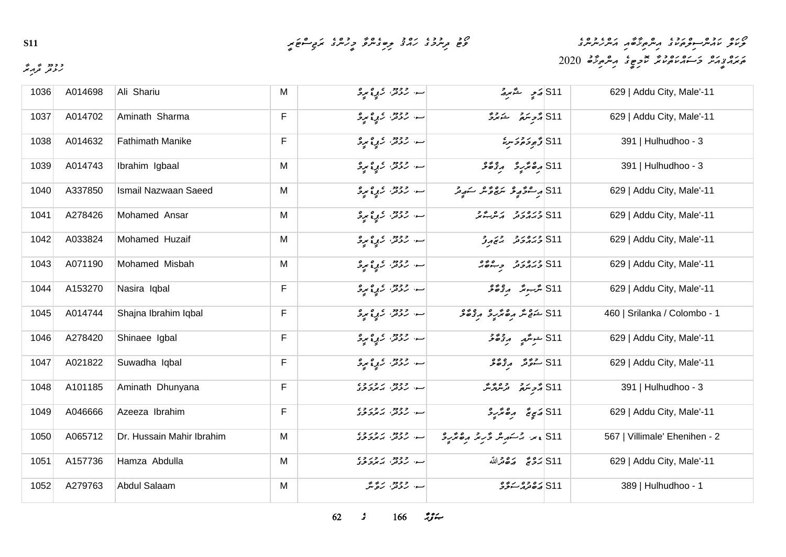*sCw7q7s5w7m< o<n9nOoAw7o< sCq;mAwBoEw7q<m; wBm;vB* م من المسجد المسجد المسجد المسجد المسجد العام 2020<br>مجم*د المسجد المسجد المستجد المسجد المسجد المسجد المسجد المسجد المسجد المسجد المسجد المسجد المسجد المسجد المسجد* 

| 1036 | A014698 | Ali Shariu                  | M           | ے رودو روپی برو                            | S11  رَمِ شَمَرِ رَ                         | 629   Addu City, Male'-11     |
|------|---------|-----------------------------|-------------|--------------------------------------------|---------------------------------------------|-------------------------------|
| 1037 | A014702 | Aminath Sharma              | F           | ۔ رودو رومو ک                              | S11 مَّ حِسَمَّةٌ شَمَّعَتْ                 | 629   Addu City, Male'-11     |
| 1038 | A014632 | <b>Fathimath Manike</b>     | F           | ے رودو رومو و                              | S11 ۇ <sub>جو</sub> ئەمۇئەبىرىئە            | 391   Hulhudhoo - 3           |
| 1039 | A014743 | Ibrahim Igbaal              | M           | ۔ رودو ی وه وه                             | S11 مەھ <i>مگىرى مەقەقى</i>                 | 391   Hulhudhoo - 3           |
| 1040 | A337850 | <b>Ismail Nazwaan Saeed</b> | M           | سه الرودور المحرور و مرد                   | S11 مِ سْمَوَّمٍ فِرْ سَهْوَسْ سَمِيضْ      | 629   Addu City, Male'-11     |
| 1041 | A278426 | Mohamed Ansar               | M           | ے رودو روپا ہوگ                            | S11 <i>دېم ده په پې</i> مبر                 | 629   Addu City, Male'-11     |
| 1042 | A033824 | Mohamed Huzaif              | M           | ے رودو رومی ح                              | S11 <i>ۋېرو دې جن</i> ې د تو                | 629   Addu City, Male'-11     |
| 1043 | A071190 | Mohamed Misbah              | M           | ے رودو رومو و                              | S11 درورو وب                                | 629   Addu City, Male'-11     |
| 1044 | A153270 | Nasira Iqbal                | F           | ۔ رودو ی وه وه                             | S11 مَرْسومَد مِنْوَصَّوْ                   | 629   Addu City, Male'-11     |
| 1045 | A014744 | Shajna Ibrahim Iqbal        | $\mathsf F$ | ے رودو روپا ہوگ                            | S11 خۇق ئ <i>ۇ م&amp;ئۇپ</i> ۇ م <i>ۆڭگ</i> | 460   Srilanka / Colombo - 1  |
| 1046 | A278420 | Shinaee Igbal               | $\mathsf F$ | ے رودو رومو و                              | S11 سى <i>بىئىر مەقۋۇ</i>                   | 629   Addu City, Male'-11     |
| 1047 | A021822 | Suwadha Iqbal               | F           | ے رودو روپا ہوگ                            | S11 جۇنۇ مۇ <b>ھۇ</b>                       | 629   Addu City, Male'-11     |
| 1048 | A101185 | Aminath Dhunyana            | F           | د د دوه د د د د د د د<br>سه روس پرترونوی   | S11 أَمَّ حِ سَمَّ مِّسْتَرْسَّرَ           | 391   Hulhudhoo - 3           |
| 1049 | A046666 | Azeeza Ibrahim              | F           | د د دوه د د د د د د د<br>سه روس پرووژ      | S11 كەيمى مەھەرد                            | 629   Addu City, Male'-11     |
| 1050 | A065712 | Dr. Hussain Mahir Ibrahim   | M           | اسه اروده ارود و داده<br>اسه روترا ارتوفری | S11 ۽ پر پر شمبر سر گريز وڻ پڙيو            | 567   Villimale' Ehenihen - 2 |
| 1051 | A157736 | Hamza Abdulla               | M           | د د دوه د بروروه<br>سوا روتوا بربودوی      | S11 كروىچ كەھەراللە                         | 629   Addu City, Male'-11     |
| 1052 | A279763 | Abdul Salaam                | M           | ر در دوده ارد بر<br>سه اردود، گرونتر       | S11 ئەھەر بەر بەر ي                         | 389   Hulhudhoo - 1           |

 $62$  *s*  $166$  *z***<sub>3</sub>**  $\frac{2}{3}$ 

*n8o<n@ r@q:q5*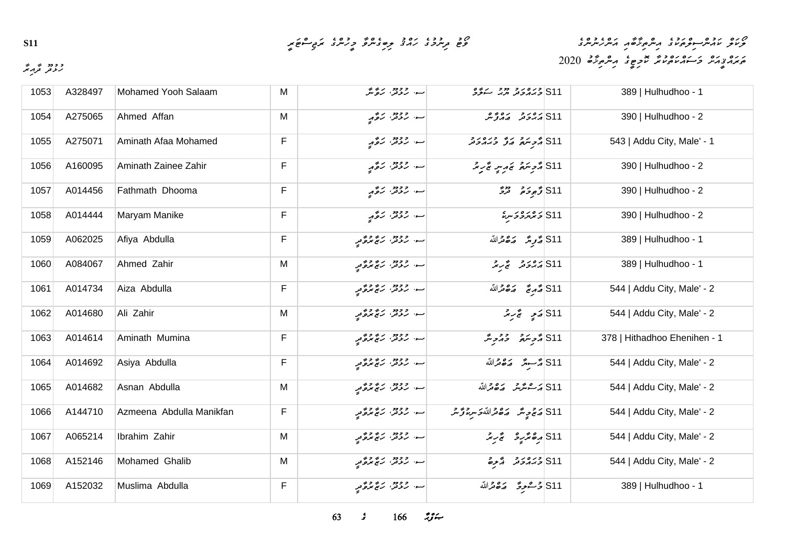*sCw7q7s5w7m< o<n9nOoAw7o< sCq;mAwBoEw7q<m; wBm;vB* م من المرة المرة المرة المرجع المرجع في المركبة 2020<br>مجم*د المريض المربوط المربع المرجع في المراجع المركبة* 

|  | 22322      |
|--|------------|
|  | برتر ترمهر |

| 1053 | A328497 | Mohamed Yooh Salaam      | M           | ىسە رودى رۇش                                       | S11 دېږدونر مربر سنوو                                     | 389   Hulhudhoo - 1          |
|------|---------|--------------------------|-------------|----------------------------------------------------|-----------------------------------------------------------|------------------------------|
| 1054 | A275065 | Ahmed Affan              | M           | سە رودود رۇپر                                      | S11 كەبروتىر بەرە ئەر                                     | 390   Hulhudhoo - 2          |
| 1055 | A275071 | Aminath Afaa Mohamed     | $\mathsf F$ | سە رودوم رىم                                       | S11 أُرُوسَمُ أَرَدُ وَيَرْدُونَرُ                        | 543   Addu City, Male' - 1   |
| 1056 | A160095 | Aminath Zainee Zahir     | $\mathsf F$ | سە رودود رۇپر                                      | S11 مَّ <i>جِسَمَۃُ نَمَ مِ</i> سِرِ نَجَ سِنْر           | 390   Hulhudhoo - 2          |
| 1057 | A014456 | Fathmath Dhooma          | F           | سە رودود رۇپر                                      | S11 تُرج حق مَرْدً                                        | 390   Hulhudhoo - 2          |
| 1058 | A014444 | Maryam Manike            | $\mathsf F$ | سە رودود رۇپر                                      | S11 ئ <i>ۇيغۇچ ئىرىئ</i>                                  | 390   Hulhudhoo - 2          |
| 1059 | A062025 | Afiya Abdulla            | F           | ر د دود ره وه د<br>سه روتر، رنج برگانو             | S11 م <i>َّة بِ</i> مَّ مَصْحَراللَّه                     | 389   Hulhudhoo - 1          |
| 1060 | A084067 | Ahmed Zahir              | M           | ر د د دود . د به د ه د .<br>سه . رندس . رنج برخ مړ | S11 كەبرى قىم قىچ بەيتى                                   | 389   Hulhudhoo - 1          |
| 1061 | A014734 | Aiza Abdulla             | F           | ر د د دود . د به د ه د .<br>سه . رندس . رنج برخ مړ | S11 مَ <i>ذْمِیَّة مَدَّهْ</i> قَرَاللّه                  | 544   Addu City, Male' - 2   |
| 1062 | A014680 | Ali Zahir                | M           | ر د د دود . د به د ه د .<br>سه . رندس . رنج برخ مړ | S11 <i>ھَ يو</i> گارِيمُر                                 | 544   Addu City, Male' - 2   |
| 1063 | A014614 | Aminath Mumina           | $\mathsf F$ | سە زودە رەدەر                                      | S11 <sub>م</sub> ُتَّحِبةَ حَمْدَحِيثَر                   | 378   Hithadhoo Ehenihen - 1 |
| 1064 | A014692 | Asiya Abdulla            | F           | سه دودو روود .                                     |                                                           | 544   Addu City, Male' - 2   |
| 1065 | A014682 | Asnan Abdulla            | M           | سە زىرەر زەرەر                                     | S11 كەشكەش كەھەرللە                                       | 544   Addu City, Male' - 2   |
| 1066 | A144710 | Azmeena Abdulla Manikfan | F           | سەس رىۋە ئەس ئەرەپىر                               | S11 كەنج ج <sub>و</sub> س <i>گە كەنھ</i> ۇللەك مېرىزۇ تىر | 544   Addu City, Male' - 2   |
| 1067 | A065214 | Ibrahim Zahir            | M           | ے اردود کے برقرمی                                  | S11 مەھ <i>مەرىۋە</i> ئ <sub>ى س</sub> رىر                | 544   Addu City, Male' - 2   |
| 1068 | A152146 | Mohamed Ghalib           | M           | ر د دود د د د و د .<br>سه روتر، رئم برگانو         | S11 <i>دېزونه ټره</i> پ                                   | 544   Addu City, Male' - 2   |
| 1069 | A152032 | Muslima Abdulla          | F           | ر د دود د د د و د .<br>سه روتر، رئم برگانو         | S11  3عودً 12% لله                                        | 389   Hulhudhoo - 1          |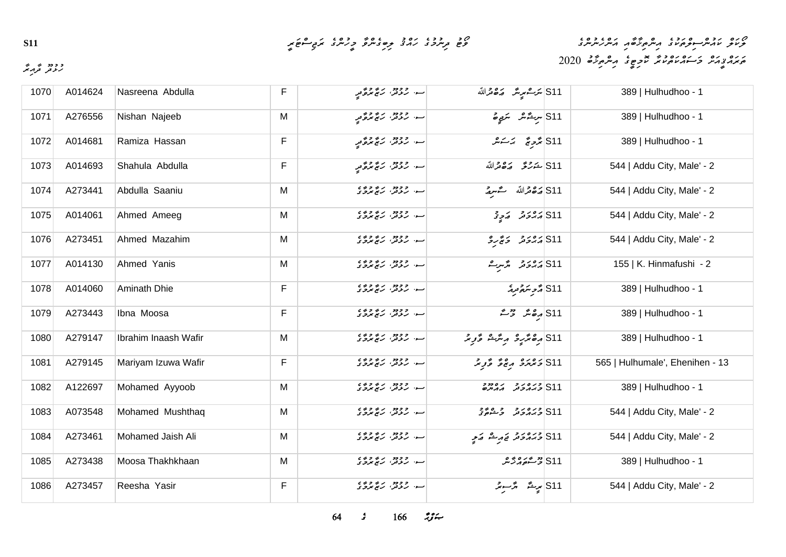*sCw7q7s5w7m< o<n9nOoAw7o< sCq;mAwBoEw7q<m; wBm;vB* م من المرة المرة المرة المرجع المرجع في المركبة 2020<br>مجم*د المريض المربوط المربع المرجع في المراجع المركبة* 

|  | د دود به پر<br>رنز تر ترمه تر |
|--|-------------------------------|
|  |                               |

| 1070 | A014624 | Nasreena Abdulla     | $\mathsf F$ | ر د د دود د به د و د .<br>سه رندس رنج برگانو       | S11 مَرْتْمِيةً مَدَّة مِّرَاللَّه      | 389   Hulhudhoo - 1             |
|------|---------|----------------------|-------------|----------------------------------------------------|-----------------------------------------|---------------------------------|
| 1071 | A276556 | Nishan Najeeb        | M           | ے رودو رودور                                       | S11 سرشہ شروح کی تقریبات<br>ا           | 389   Hulhudhoo - 1             |
| 1072 | A014681 | Ramiza Hassan        | $\mathsf F$ | ر د د دود . د به د و .<br>سه . برندي . برنج برخ يې | S11 بَرْدِيَّ – بَرَسَ <sup>م</sup> َّر | 389   Hulhudhoo - 1             |
| 1073 | A014693 | Shahula Abdulla      | F           | - د دود رځ پروګړ                                   | S11 خرترى كەھەرللە                      | 544   Addu City, Male' - 2      |
| 1074 | A273441 | Abdulla Saaniu       | M           | ر د د دود. د بر د د ه د<br>سه ا رنوتو، اریخ بود و  | S11 مَەشراللە شەھ                       | 544   Addu City, Male' - 2      |
| 1075 | A014061 | Ahmed Ameeg          | M           | ر د د دود. د ر د و د د<br>سه ا رنوتو، اریخ بود و   | S11   كەش <sup>ى</sup> قىر كەرىتى       | 544   Addu City, Male' - 2      |
| 1076 | A273451 | Ahmed Mazahim        | M           |                                                    | S11 كەبرى قىر ئىس ئىلىمىدى ئىل          | 544   Addu City, Male' - 2      |
| 1077 | A014130 | Ahmed Yanis          | M           | و و ووو.<br>سه - برنوتو، انریخ بوری                | S11 كەبرى قىلى ئەسرىسى ئىس              | 155   K. Hinmafushi - 2         |
| 1078 | A014060 | Aminath Dhie         | F           | و و ووو.<br>سه ا اربوتو ا اربع بوری                | S11 مَّ <sub>ح</sub> ِ سَمَّة مِرْمَّ   | 389   Hulhudhoo - 1             |
| 1079 | A273443 | Ibna Moosa           | F           | ر د و وود . د بر و د د .<br>سه : رنوتو، اریخ بود ی | S11 مەھىگە تۇش                          | 389   Hulhudhoo - 1             |
| 1080 | A279147 | Ibrahim Inaash Wafir | M           | و و ووو.<br>سه ا اربوتون ا اربع بورسی              | S11 مەھەمگەيى مەمگەشى ھەرىمگە           | 389   Hulhudhoo - 1             |
| 1081 | A279145 | Mariyam Izuwa Wafir  | F           | و و ووو.<br>سه - برنوتو، انریخ بوری                | S11 كەندىرى مەيمۇ  ئۇير                 | 565   Hulhumale', Ehenihen - 13 |
| 1082 | A122697 | Mohamed Ayyoob       | M           | ر د دود. د بر د د ه<br>سه رنوش ریج بووی            | $\frac{1}{2}$ S11 $\frac{1}{2}$ S11     | 389   Hulhudhoo - 1             |
| 1083 | A073548 | Mohamed Mushthaq     | M           | ر د ۱۶۶۶ کرده و ده با<br>سه گرفتن گرگانوی          | S11 ژبر در د ده دو                      | 544   Addu City, Male' - 2      |
| 1084 | A273461 | Mohamed Jaish Ali    | M           | و و ووو.<br>سه ا اربوتو ا اربع بوری                | S11 وُبَرُودِيْرَ يَمَ مِثْقَ كَمَ مِ   | 544   Addu City, Male' - 2      |
| 1085 | A273438 | Moosa Thakhkhaan     | M           | ر د ووو د ره وه د د<br>سه ارتونو، ارتع بوواد       | S11 تۇشۇرگە ئە                          | 389   Hulhudhoo - 1             |
| 1086 | A273457 | Reesha Yasir         | F           | ر د د دور د بر د د ه<br>سه رنوش رنج بروی           | S11 مرِیْتُہ گرسونڈ                     | 544   Addu City, Male' - 2      |

 $64$  *s*  $166$  *z*  $29$  <del>*k*</del>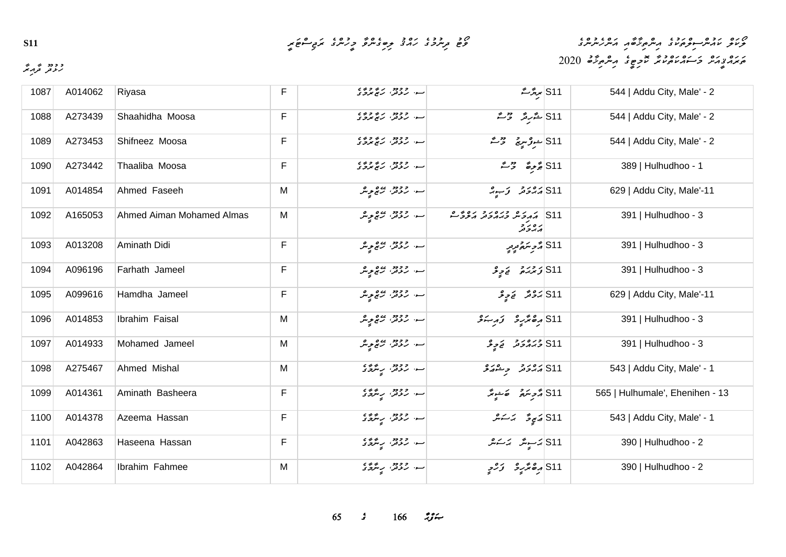*sCw7q7s5w7m< o<n9nOoAw7o< sCq;mAwBoEw7q<m; wBm;vB* م من المرة المرة المرة المرجع المرجع في المركبة 2020<br>مجم*د المريض المربوط المربع المرجع في المراجع المركبة* 

|  | د دود به بر<br>رنز تر تربر |
|--|----------------------------|
|  |                            |

| 1087 | A014062 | Riyasa                    | F            | ر د د د د د د د د د د                       | S11 بروگر                                                                        | 544   Addu City, Male' - 2      |
|------|---------|---------------------------|--------------|---------------------------------------------|----------------------------------------------------------------------------------|---------------------------------|
| 1088 | A273439 | Shaahidha Moosa           | F            | و و ووو.<br>سه - مرتونو - کرنج بورو ی       | S11 ڪريڙ ويڪ                                                                     | 544   Addu City, Male' - 2      |
| 1089 | A273453 | Shifneez Moosa            | $\mathsf{F}$ | ر د د دود. د پروه د د<br>سه روود، رنج برو د | S11 حورٌ سرچ گرمگ                                                                | 544   Addu City, Male' - 2      |
| 1090 | A273442 | Thaaliba Moosa            | F            | د د دود .<br>سه روتر، رنج بروی              | $23$ جَمْعِرَةَ حَمْ                                                             | 389   Hulhudhoo - 1             |
| 1091 | A014854 | Ahmed Faseeh              | M            | ے رودہ مصر مر                               | S11   پروژنز کی سور                                                              | 629   Addu City, Male'-11       |
| 1092 | A165053 | Ahmed Aiman Mohamed Almas | M            | سە زىرتىق ئۇچ بولىگە                        | S11 <i>הُהְכَ</i> יל <i>כְּה</i> ְהُכִ <i>יּנ ה<del>ُ</del>כ</i> ּכִּ<br>برە پەر | 391   Hulhudhoo - 3             |
| 1093 | A013208 | Aminath Didi              | $\mathsf{F}$ | ے رودو، سے ویثر                             | S11 مَرْحِ سَرْمَ ورِمْرِ                                                        | 391   Hulhudhoo - 3             |
| 1094 | A096196 | Farhath Jameel            | $\mathsf{F}$ | ے دورہ سے ویثر                              |                                                                                  | 391   Hulhudhoo - 3             |
| 1095 | A099616 | Hamdha Jameel             | $\mathsf{F}$ | ے رودو سے ویثر                              | S11  پَروُتَرُ کَے <i>و</i> ِکْرُ                                                | 629   Addu City, Male'-11       |
| 1096 | A014853 | Ibrahim Faisal            | M            | ے۔ روود سے ویثر                             | S11 مەھەرىپى تەمە <del>ب ك</del>                                                 | 391   Hulhudhoo - 3             |
| 1097 | A014933 | Mohamed Jameel            | M            | ے اردور میں مرید کر                         | S11 <i>5222 ق ق و ب</i> حر                                                       | 391   Hulhudhoo - 3             |
| 1098 | A275467 | Ahmed Mishal              | M            | ے۔ رووز ریوی                                | S11 كەيرى ئەرگى بەرگە                                                            | 543   Addu City, Male' - 1      |
| 1099 | A014361 | Aminath Basheera          | F            | ب دود. ریزده                                | S11 مَرْمِ مَنْ صَنْبِعَهُ                                                       | 565   Hulhumale', Ehenihen - 13 |
| 1100 | A014378 | Azeema Hassan             | F            | ب دودو ریزده                                | S11  كەيپ قەرىكىشى بىر                                                           | 543   Addu City, Male' - 1      |
| 1101 | A042863 | Haseena Hassan            | $\mathsf F$  | سه روود رسور                                | S11  يزىسى    يەسەنلە                                                            | 390   Hulhudhoo - 2             |
| 1102 | A042864 | Ibrahim Fahmee            | M            | ے رودہ ریگری                                | S11 <sub>مر</sub> ھ تژرِ بحت توریح پی                                            | 390   Hulhudhoo - 2             |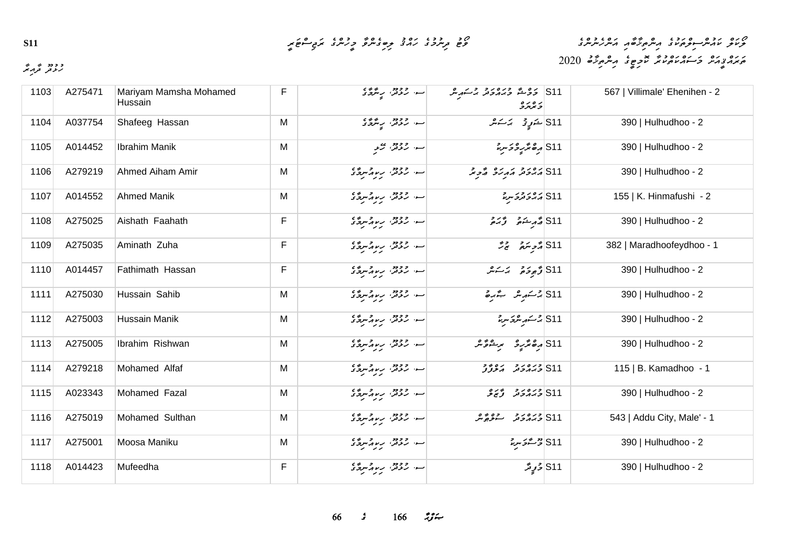*sCw7q7s5w7m< o<n9nOoAw7o< sCq;mAwBoEw7q<m; wBm;vB* م من المرة المرة المرة المرجع المرجع في المركبة 2020<br>مجم*د المريض المربوط المربع المرجع في المراجع المركبة* 

|  | د دود به پر<br>رنز تر ترمه تر |
|--|-------------------------------|
|  |                               |

| 1103 | A275471 | Mariyam Mamsha Mohamed<br>Hussain | F           | سه رودو ریوی                                                                                                                                                                                                                     | S11  وَوْحَدُّ وَبَرْدُونَدْ بْرَحْدِيْرْ<br>تر جر پر و | 567   Villimale' Ehenihen - 2 |
|------|---------|-----------------------------------|-------------|----------------------------------------------------------------------------------------------------------------------------------------------------------------------------------------------------------------------------------|---------------------------------------------------------|-------------------------------|
| 1104 | A037754 | Shafeeg Hassan                    | M           | سه رسید در ۱۳۶۶                                                                                                                                                                                                                  | S11  ڪر <i>وِ ڏي پر کيم</i> گر                          | 390   Hulhudhoo - 2           |
| 1105 | A014452 | <b>Ibrahim Manik</b>              | M           | سه، رحوفز، ترو                                                                                                                                                                                                                   | S11 مەھەر دى ئىرىدىنى S11                               | 390   Hulhudhoo - 2           |
| 1106 | A279219 | <b>Ahmed Aiham Amir</b>           | M           | سه رودو رید مرد وی                                                                                                                                                                                                               | S11 <i>ביציב ההביל</i> ביביל                            | 390   Hulhudhoo - 2           |
| 1107 | A014552 | <b>Ahmed Manik</b>                | M           | -- روده ربرو مرومی                                                                                                                                                                                                               | S11 كەبرى قرىجە س <sub>ىرى</sub> تە                     | 155   K. Hinmafushi - 2       |
| 1108 | A275025 | Aishath Faahath                   | F           | ے رودو رہا جاتا ہے                                                                                                                                                                                                               | S11 مَگْرِسْتَمْ وَكَرَمْ                               | 390   Hulhudhoo - 2           |
| 1109 | A275035 | Aminath Zuha                      | $\mathsf F$ | ے رودو ریام مرکزی                                                                                                                                                                                                                | S11 مَّ مِسَعَمٍ حَمَّ                                  | 382   Maradhoofeydhoo - 1     |
| 1110 | A014457 | Fathimath Hassan                  | F           | ے دورہ رہا جس کا                                                                                                                                                                                                                 | S11 ۇ <sub>جو</sub> رَى ئەسەئىر                         | 390   Hulhudhoo - 2           |
| 1111 | A275030 | Hussain Sahib                     | M           | ے رودو رہا جاتا ہے                                                                                                                                                                                                               | S11 بزسکر مثر سنگری                                     | 390   Hulhudhoo - 2           |
| 1112 | A275003 | Hussain Manik                     | M           | - رودو ربرو مروش                                                                                                                                                                                                                 | S11 بر سنهر مثر تحریبر تم                               | 390   Hulhudhoo - 2           |
| 1113 | A275005 | Ibrahim Rishwan                   | M           | ے رودو رہا جس کا                                                                                                                                                                                                                 | S11 مەھەرىرى مەشقەر                                     | 390   Hulhudhoo - 2           |
| 1114 | A279218 | Mohamed Alfaf                     | M           | ے رودو رہا جاتا ہے                                                                                                                                                                                                               | S11 <i>ۋېرونو پروژو</i>                                 | 115   B. Kamadhoo - 1         |
| 1115 | A023343 | Mohamed Fazal                     | M           | - دودو ریا و برو                                                                                                                                                                                                                 | S11 <i>ۋېزودۇ ۋېۋ</i>                                   | 390   Hulhudhoo - 2           |
| 1116 | A275019 | Mohamed Sulthan                   | M           | سه دودو ربور مردم                                                                                                                                                                                                                | S11 دېره ده په موځونتر                                  | 543   Addu City, Male' - 1    |
| 1117 | A275001 | Moosa Maniku                      | M           | ے رودو ریام مرکزی                                                                                                                                                                                                                | S11 تۇشۇ ئىبر <i>ى</i> ز                                | 390   Hulhudhoo - 2           |
| 1118 | A014423 | Mufeedha                          | F           | ے رودو ریا دیوی کا میں دیا ہے کہ اس کے ان کے مطابق کے ان کے مطابق کے ان کے مطابق کے مطابق کے مطابق کے مطابق کا<br>مطابق کا مطابق کی مطابق کی مطابق کی مطابق کی مطابق کی مطابق کی مطابق کی مطابق کی مطابق کی مطابق کی مطابق کی کہ | S11  وُ دٍ مَّر                                         | 390   Hulhudhoo - 2           |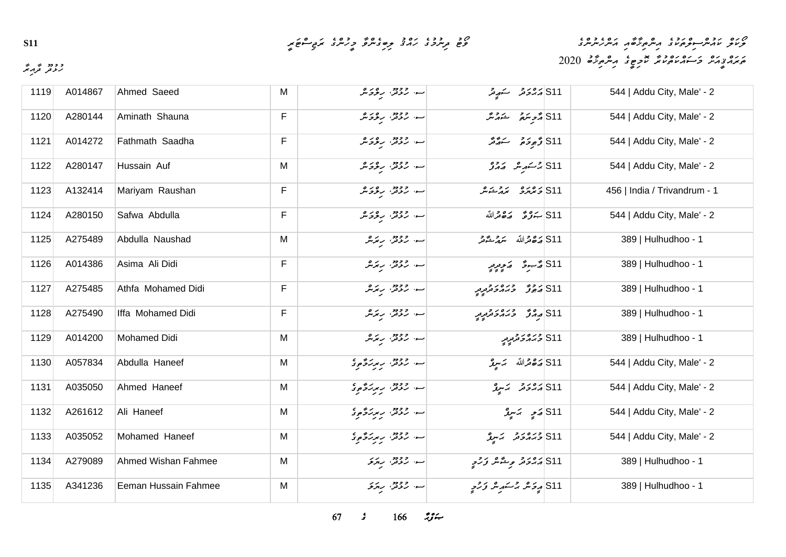*sCw7q7s5w7m< o<n9nOoAw7o< sCq;mAwBoEw7q<m; wBm;vB* م من المرة المرة المرة المرجع المرجع في المركبة 2020<br>مجم*د المريض المربوط المربع المرجع في المراجع المركبة* 

| 1119 | A014867 | Ahmed Saeed          | M | __ رودون رود ته   | S11 كەندى قىر سى <i>م يەن</i> ز                    | 544   Addu City, Male' - 2   |
|------|---------|----------------------|---|-------------------|----------------------------------------------------|------------------------------|
| 1120 | A280144 | Aminath Shauna       | F | __ رودون روزند    | S11 مَّ حِسَمَّة شَمَّ مَّتْ                       | 544   Addu City, Male' - 2   |
| 1121 | A014272 | Fathmath Saadha      | F | سه روبره روبره    | S11 زَّ <sub>ج</sub> ودَ مَنْ سَهُ تَد             | 544   Addu City, Male' - 2   |
| 1122 | A280147 | Hussain Auf          | M | ___ روود رور مد   | S11 پر شہر شہر ہوتا ہے۔<br>ن                       | 544   Addu City, Male' - 2   |
| 1123 | A132414 | Mariyam Raushan      | F | سه روبره روبره    |                                                    | 456   India / Trivandrum - 1 |
| 1124 | A280150 | Safwa Abdulla        | F | ے دورہ روز پر     | S11 بكورة كان محافظ الله                           | 544   Addu City, Male' - 2   |
| 1125 | A275489 | Abdulla Naushad      | M | سەر 1322 مەيرىكە  | S11 مَەھْتَراللە سَمَّتْ مَسَّلِّ                  | 389   Hulhudhoo - 1          |
| 1126 | A014386 | Asima Ali Didi       | F | سەر 1322 - يەنگەر | S11 ۾ سوءَ - <sub>مک</sub> ومومو                   | 389   Hulhudhoo - 1          |
| 1127 | A275485 | Athfa Mohamed Didi   | F | سه رکوفر) رنگرمگر | S11 كەب <i>ۇگە مەكەم</i> ئەرەپرىر                  | 389   Hulhudhoo - 1          |
| 1128 | A275490 | Iffa Mohamed Didi    | F | ے رحوفز، ربرنگر   | S11 م <i>. مۇتى تەتەم قىرىم</i> ىر                 | 389   Hulhudhoo - 1          |
| 1129 | A014200 | Mohamed Didi         | M | سار جوجي ريزينل   | S11 تر <i>پر پر قرم</i> رمر                        | 389   Hulhudhoo - 1          |
| 1130 | A057834 | Abdulla Haneef       | M | - رودو ریزرگوی    | S11 كەھەتراللە   ئەسرىمر                           | 544   Addu City, Male' - 2   |
| 1131 | A035050 | Ahmed Haneef         | M | - دودو رېږرومون   | S11 كەبرى تەرىپى ئەسىرىگە                          | 544   Addu City, Male' - 2   |
| 1132 | A261612 | Ali Haneef           | M |                   | S11  تەمچە - ئەمب <i>ەت</i>                        | 544   Addu City, Male' - 2   |
| 1133 | A035052 | Mohamed Haneef       | M | - دودو ربرزومي    | S11 <i>دېم</i> مر <i>وته برسي</i>                  | 544   Addu City, Male' - 2   |
| 1134 | A279089 | Ahmed Wishan Fahmee  | M | سار 222، روكرى    | S11 كەبرى قىرىمى ئەرقىيە بىر <i>19 كەب</i>         | 389   Hulhudhoo - 1          |
| 1135 | A341236 | Eeman Hussain Fahmee | M | سە رىمەتتى رىزىخە | S11 م <sub>ی</sub> وکٹر برسکریٹر وکر <sub>حی</sub> | 389   Hulhudhoo - 1          |

 $67$  *s*  $166$  *z*  $294$ 

*n8o<n@ r@q:q5*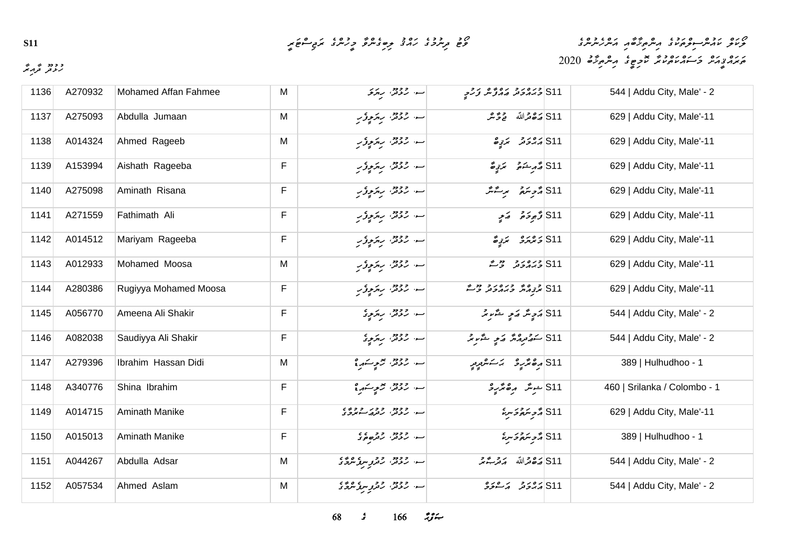*sCw7q7s5w7m< o<n9nOoAw7o< sCq;mAwBoEw7q<m; wBm;vB* م من المسجد المسجد المسجد المسجد المسجد العام 2020<br>مجم*د المسجد المسجد المستجد المسجد المسجد المسجد المسجد المسجد المسجد المسجد المسجد المسجد المسجد المسجد المسجد* 

| 1136 | A270932 | <b>Mohamed Affan Fahmee</b> | M | سە رىمىقلى رىكىتى                                    | S11 <i>دېره ده ده و</i> گه زر <sub>ي</sub>            | 544   Addu City, Male' - 2   |
|------|---------|-----------------------------|---|------------------------------------------------------|-------------------------------------------------------|------------------------------|
| 1137 | A275093 | Abdulla Jumaan              | M | ۔۔ رحمدش سازمزویہ                                    | S11 كَەشْرَاللە ق <sub>ە</sub> مَحْسْر                | 629   Addu City, Male'-11    |
| 1138 | A014324 | Ahmed Rageeb                | M | ے رودو ریزوؤر                                        | S11 كەبۇر كىمىتى ھ                                    | 629   Addu City, Male'-11    |
| 1139 | A153994 | Aishath Rageeba             | F | سار رودون ریز کوری                                   | S11 مُگرِيشَمُ گرَب <sub>ِي</sub> مُ                  | 629   Addu City, Male'-11    |
| 1140 | A275098 | Aminath Risana              | F | سە زودە رىئروۋر                                      | S11 مُرْحِبَنَ مِنْ مِنْ مِنْ                         | 629   Addu City, Male'-11    |
| 1141 | A271559 | Fathimath Ali               | F | ۔ رحمدش ریڑوؤر                                       | S11 تَ <i>مُّوحَةً مَعٍ</i>                           | 629   Addu City, Male'-11    |
| 1142 | A014512 | Mariyam Rageeba             | F | ے رودو ریزوؤر                                        | S11 كەنگە <i>نگە ئىتى</i> ھ                           | 629   Addu City, Male'-11    |
| 1143 | A012933 | Mohamed Moosa               | M | ے روڈھ ریڑوؤر                                        | S11 كەبروكى تۇسىم                                     | 629   Addu City, Male'-11    |
| 1144 | A280386 | Rugiyya Mohamed Moosa       | F | سەر 1955 - يەترىپوتۇپ                                | S11 بر <sub>تو</sub> ړبر وره ده د م                   | 629   Addu City, Male'-11    |
| 1145 | A056770 | Ameena Ali Shakir           | F | سەر 1332 رىڭرى                                       | S11 ک <sup>ے</sup> جو نگر میں مگر بار میں میں می      | 544   Addu City, Male' - 2   |
| 1146 | A082038 | Saudiyya Ali Shakir         | F | سه رسور در در د                                      | S11 سەھەرەگە كەمە ئىگەرتمە                            | 544   Addu City, Male' - 2   |
| 1147 | A279396 | Ibrahim Hassan Didi         | M | ۔۔ رودو محروبے وی                                    | S11 مەھەرىرى سىكىش ئىيرىدىنى بىرلىدىن <i>1</i> 9      | 389   Hulhudhoo - 1          |
| 1148 | A340776 | Shina Ibrahim               | F | ے رودہ محویہ کا                                      | S11  حو <i>مدَّ برھ مُذَرِ دُ</i>                     | 460   Srilanka / Colombo - 1 |
| 1149 | A014715 | Aminath Manike              | F | ر د دود. د و د د و و ده و<br>ر د رونوا، رتوهاستمرو و | S11 مَّ مِسَمَّوْ مَسِنَّة                            | 629   Addu City, Male'-11    |
| 1150 | A015013 | Aminath Manike              | F | د دود وو ده<br>پ. روس رتوه دو                        | S11 <sub>م</sub> ُّرمِ يَرْمُو دَ <sub>مَ</sub> رِيزَ | 389   Hulhudhoo - 1          |
| 1151 | A044267 | Abdulla Adsar               | M | سه رودو دور مرد مده د                                | S11 كەھەراللە كەمرىبەتر                               | 544   Addu City, Male' - 2   |
| 1152 | A057534 | Ahmed Aslam                 | M | ر در دود در در در در در د                            | S11 كەبروتىر كەسىر <i>ە</i> رە                        | 544   Addu City, Male' - 2   |

 $68$  *s*  $\cancel{5}$  166 *n***<sub>3</sub>**  $\cancel{5}$ 

*n8o<n@ r@q:q5*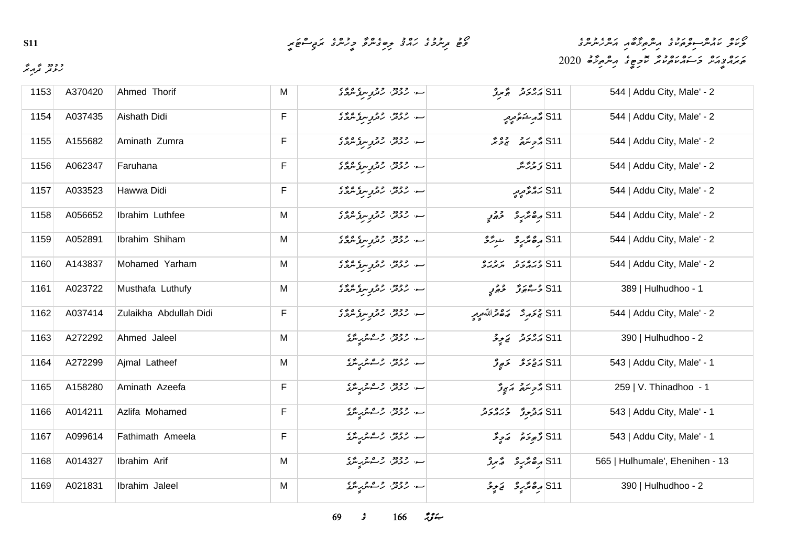*sCw7q7s5w7m< o<n9nOoAw7o< sCq;mAwBoEw7q<m; wBm;vB* م من المرة المرة المرة المرجع المراجع المراجع المراجع المراجع المراجع المراجع المراجع المراجع المراجع المراجع<br>مرين المراجع المراجع المرجع المراجع المراجع المراجع المراجع المراجع المراجع المراجع المراجع المراجع المراجع ال

| د دود به بر<br>رنز تر تربر |  |
|----------------------------|--|

| 1153 | A370420 | Ahmed Thorif           | M            | ے دورہ دورہ ہوتھ ہے۔      | S11 كەش <sup>ى</sup> رىق گەمبەر                             | 544   Addu City, Male' - 2      |
|------|---------|------------------------|--------------|---------------------------|-------------------------------------------------------------|---------------------------------|
| 1154 | A037435 | Aishath Didi           | F            | ے روود وورپوسر دوء        | S11 مۇم <sub>ە</sub> شكەھ <sub>ۇ</sub> توپە                 | 544   Addu City, Male' - 2      |
| 1155 | A155682 | Aminath Zumra          | $\mathsf{F}$ | ے دودہ وورس وہ دی         | S11 مُ <i>جِي مَبْرِ جِي جُ</i>                             | 544   Addu City, Male' - 2      |
| 1156 | A062347 | Faruhana               | $\mathsf F$  | ے روود وورپوسر دوء        | S11 تر تر <i>گرنگ</i> ر                                     | 544   Addu City, Male' - 2      |
| 1157 | A033523 | Hawwa Didi             | F            | ر در دود در در در در در د | S11 كەمگەم <sub>ت</sub> ىر                                  | 544   Addu City, Male' - 2      |
| 1158 | A056652 | Ibrahim Luthfee        | M            | ر در دود در در در در در د | S11 <sub>مر</sub> ھ مُرْرِدْ گُرْتَمْ يِ                    | 544   Addu City, Male' - 2      |
| 1159 | A052891 | Ibrahim Shiham         | M            | ( ما دودور وورسو مردم د   | S11  م <i>ەھتىب</i> ۇ ھ <i>وڭ</i> ۇ                         | 544   Addu City, Male' - 2      |
| 1160 | A143837 | Mohamed Yarham         | M            | ر در دود در در در در در د | S11 <i>وبروبرو بروب</i> رو                                  | 544   Addu City, Male' - 2      |
| 1161 | A023722 | Musthafa Luthufy       | M            | ے روود وور دیکھیے         | S11 ۇبىھۇ ئىھ <i>م</i> ۇ                                    | 389   Hulhudhoo - 1             |
| 1162 | A037414 | Zulaikha Abdullah Didi | $\mathsf F$  | ے روود وور دیکھیے         | S11 يُرْحَمِيَّة - بَرْهُ قُرْاللَّهُ مِرْمِرٍ              | 544   Addu City, Male' - 2      |
| 1163 | A272292 | Ahmed Jaleel           | M            | ے۔ رودوا رے مرید می       | S11 كەردى قى يىتى قىلىنى ئىل                                | 390   Hulhudhoo - 2             |
| 1164 | A272299 | Ajmal Latheef          | M            | ے روڈور رےشریہ میں        | S11 كەنىمى تىمب <i>و</i> ر                                  | 543   Addu City, Male' - 1      |
| 1165 | A158280 | Aminath Azeefa         | $\mathsf{F}$ | ے روزہ رے تربید           | S11 مَّ حِسَمَۃ   مَبِی وَّ                                 | 259   V. Thinadhoo - 1          |
| 1166 | A014211 | Azlifa Mohamed         | $\mathsf{F}$ | ے رودو وہ ور وہ           | S11 كەنتر <i>ىونى ئەتەكەت</i> ر                             | 543   Addu City, Male' - 1      |
| 1167 | A099614 | Fathimath Ameela       | $\mathsf F$  | ے رودو وہ ور وہ           | S11 ۇ <sub>ج</sub> ودۇ كەرگ                                 | 543   Addu City, Male' - 1      |
| 1168 | A014327 | Ibrahim Arif           | M            | ے۔ روود وے شریہ شی        | S11 <sub>مر</sub> ھ <i>مُزْرِدْ     مُ</i> ُمِر <i>ْ</i> رُ | 565   Hulhumale', Ehenihen - 13 |
| 1169 | A021831 | Ibrahim Jaleel         | M            | ے روڈو رے مریکی           | S11 <sub>مر</sub> ھ پڙرو گي تج پي                           | 390   Hulhudhoo - 2             |

 $69$  *s*  $166$  *z*  $29$  <del>*k*</del>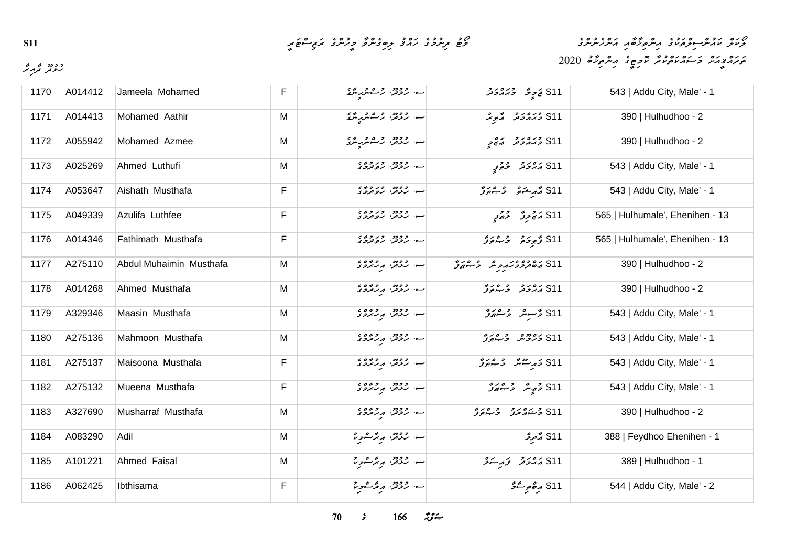*sCw7q7s5w7m< o<n9nOoAw7o< sCq;mAwBoEw7q<m; wBm;vB* م من المرة المرة المرة المرجع المراجع المراجع المراجع المراجع المراجع المراجع المراجع المراجع المراجع المراجع<br>مرين المراجع المراجع المرجع المراجع المراجع المراجع المراجع المراجع المراجع المراجع المراجع المراجع المراجع ال

| د دود به پر<br>رنز تر ترمه |
|----------------------------|
|----------------------------|

| 1170 | A014412 | Jameela Mohamed         | $\mathsf{F}$ | ے روڈو وے تربیدی                                   | S11 ق <sub>َ</sub> جِرَ مَحْرَ جَمَعَ مَرَ | 543   Addu City, Male' - 1      |
|------|---------|-------------------------|--------------|----------------------------------------------------|--------------------------------------------|---------------------------------|
| 1171 | A014413 | Mohamed Aathir          | M            | ے، رودو وے وری                                     | S11 <i>ڈیزو ڈی مڈیو</i> یر                 | 390   Hulhudhoo - 2             |
| 1172 | A055942 | Mohamed Azmee           | M            | ے رودو واقع شرک                                    | S11 <i>دېزونه خپنې</i> په                  | 390   Hulhudhoo - 2             |
| 1173 | A025269 | Ahmed Luthufi           | M            | د د دوه د وروه د<br>سه روند، روندن د               | S11 كەنزىق قىھى                            | 543   Addu City, Male' - 1      |
| 1174 | A053647 | Aishath Musthafa        | F            | و ووود او در وره و.<br>سه ا اربوتو، اربوتوری       | S11 مۇم ھەم ھەمبۇتى                        | 543   Addu City, Male' - 1      |
| 1175 | A049339 | Azulifa Luthfee         | F            | و ووود او در وره و.<br>سه ا اربولون ا اربولونو و ا | S11 كەيج مۇقى ئىچ توپ <sub>ى</sub>         | 565   Hulhumale', Ehenihen - 13 |
| 1176 | A014346 | Fathimath Musthafa      | F            | د د دود د د د ده ه<br>سه روتر، روتروی              | S11 ۇ <sub>ج</sub> وڭ ق <sup>ىبب</sup> جۇ  | 565   Hulhumale', Ehenihen - 13 |
| 1177 | A275110 | Abdul Muhaimin Musthafa | M            | ــــ وودو برقروری                                  | S11 رەدودىرىرىد دېمب <i>و</i> ر            | 390   Hulhudhoo - 2             |
| 1178 | A014268 | Ahmed Musthafa          | M            | ر دودو.<br>سه رنوتو، پررنوی                        | S11 ټرونو ويونونو                          | 390   Hulhudhoo - 2             |
| 1179 | A329346 | Maasin Musthafa         | M            | د ووود در و ۵۵۵<br>سه رنوس در بردو                 | S11 <sub>جۇسى</sub> بىر كىش <i>پۇق</i>     | 543   Addu City, Male' - 1      |
| 1180 | A275136 | Mahmoon Musthafa        | M            | د ووود در ده ه د<br>سه رنوس در نروی                | S11 ئۇچ ھەر ئەسىر ئە                       | 543   Addu City, Male' - 1      |
| 1181 | A275137 | Maisoona Musthafa       | F            | ر دودو.<br>سه رنوتو، پررنوی                        | S11 <sub>خەم</sub> رىتىش قەسبۇر            | 543   Addu City, Male' - 1      |
| 1182 | A275132 | Mueena Musthafa         | $\mathsf F$  | د ووود در وه ه د<br>سه رنوس در مردو                | S11 ۇرپىگ ق <i>ىببۇق</i>                   | 543   Addu City, Male' - 1      |
| 1183 | A327690 | Musharraf Musthafa      | M            | ر دودو.<br>سه رنوتو، پررنوی                        | S11 ژخپه <i>پره پر چې</i> د په پر          | 390   Hulhudhoo - 2             |
| 1184 | A083290 | Adil                    | M            | ب رودد. م <i>یگ</i> شور                            | S11 مۇمرى                                  | 388   Feydhoo Ehenihen - 1      |
| 1185 | A101221 | Ahmed Faisal            | M            | ے رودو ریڈے والا                                   | S11 كەيرى تەرىبكى                          | 389   Hulhudhoo - 1             |
| 1186 | A062425 | Ibthisama               | F            | ر در دورد مرتز در د                                | S11 رەم <sub>و</sub> شۇ                    | 544   Addu City, Male' - 2      |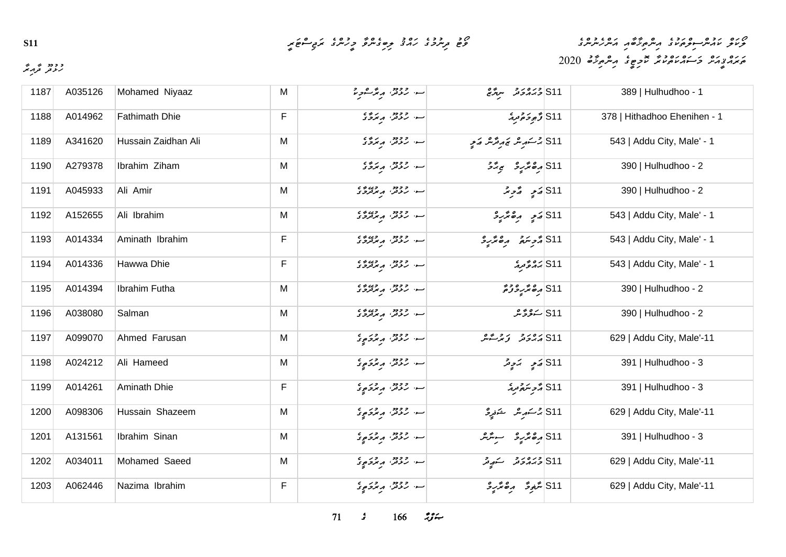*sCw7q7s5w7m< o<n9nOoAw7o< sCq;mAwBoEw7q<m; wBm;vB* م من المرة المرة المرة المرجع المراجع المراجع المراجع المراجع المراجع المراجع المراجع المراجع المراجع المراجع<br>مرين المراجع المراجع المرجع المراجع المراجع المراجع المراجع المراجع المراجع المراجع المراجع المراجع المراجع ال

|  | د دود به پر<br>رنز تر ترمه تر |
|--|-------------------------------|
|  |                               |

| 1187 | A035126 | Mohamed Niyaaz        | M | ے رودو مرتکب و                              | S11 <i>2222 سرگر</i> مج                           | 389   Hulhudhoo - 1          |
|------|---------|-----------------------|---|---------------------------------------------|---------------------------------------------------|------------------------------|
| 1188 | A014962 | <b>Fathimath Dhie</b> | F | سە رودوم بەيرون                             | S11  <i>وَّجوحَ مُوبِرةَ</i>                      | 378   Hithadhoo Ehenihen - 1 |
| 1189 | A341620 | Hussain Zaidhan Ali   | M | در دودو به بروی                             | S11 پرڪيريش ت <sub>ح م</sub> رنگريش <i>ج</i> َ جِ | 543   Addu City, Male' - 1   |
| 1190 | A279378 | Ibrahim Ziham         | M | سه وودو روه                                 | S11 م <i>وڭ ئۇرۇ بېڭ</i> ۇ                        | 390   Hulhudhoo - 2          |
| 1191 | A045933 | Ali Amir              | M | ر د ودو.<br>سه رنوتو، پر پژترو <sub>ک</sub> | S11  پَرمِ گ <sup>و</sup> مِتْر                   | 390   Hulhudhoo - 2          |
| 1192 | A152655 | Ali Ibrahim           | M | ر د دود.<br>اسه روتر، پرتروی                | S11 <i>ړې د ه</i> مگړی                            | 543   Addu City, Male' - 1   |
| 1193 | A014334 | Aminath Ibrahim       | F | ر د دود.<br>سه رنوتو، پر ترترو ت            | S11 مُتَعِسَمُ مِنْ مُرْبِرْ                      | 543   Addu City, Male' - 1   |
| 1194 | A014336 | Hawwa Dhie            | F | ر د ودو.<br>سه رنوتو، پر ترترو ت            | S11 بَرْدْ وَّمِرْدُ                              | 543   Addu City, Male' - 1   |
| 1195 | A014394 | Ibrahim Futha         | M |                                             | S11 <sub>مر</sub> چ ئر پرو ژم <sup>تو</sup>       | 390   Hulhudhoo - 2          |
| 1196 | A038080 | Salman                | M | ر د دود.<br>سه رنوتو، پر ترترو ت            | S11 كەنزى تەر                                     | 390   Hulhudhoo - 2          |
| 1197 | A099070 | Ahmed Farusan         | M | ے رودو مرکز کوئ                             | S11 پزوتر نرترشتر                                 | 629   Addu City, Male'-11    |
| 1198 | A024212 | Ali Hameed            | M | سه رودو ریزونوی                             | S11  کی بر کی تیمر                                | 391   Hulhudhoo - 3          |
| 1199 | A014261 | Aminath Dhie          | F | ے رودو مگروی                                | S11 أُمَّ حِ سَمَعُ مِرِ مَّ                      | 391   Hulhudhoo - 3          |
| 1200 | A098306 | Hussain Shazeem       | M | ب رودو مرکز دی                              | S11 پُرڪمبرنگر ڪنوپر\$                            | 629   Addu City, Male'-11    |
| 1201 | A131561 | Ibrahim Sinan         | M | ے رودو مرکز کوئ                             | S11 م <i>وھ مُڈرِڈ سومٹر</i> یٹر                  | 391   Hulhudhoo - 3          |
| 1202 | A034011 | Mohamed Saeed         | M | ب دودو مرتز و در کا                         | S11  <i>وټرونو خپ</i> وتر                         | 629   Addu City, Male'-11    |
| 1203 | A062446 | Nazima Ibrahim        | F | ے رودو مرکز کو دیا                          | S11 سَّعْرِدَ مِنْ مَحْرِدْ                       | 629   Addu City, Male'-11    |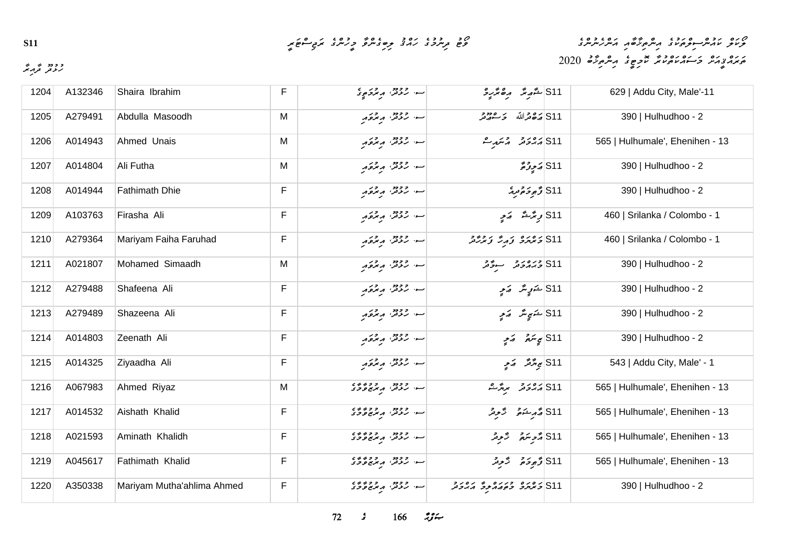*sCw7q7s5w7m< o<n9nOoAw7o< sCq;mAwBoEw7q<m; wBm;vB* م من المرة المرة المرة المرجع المراجع المراجع المراجع المراجع المراجع المراجع المراجع المراجع المراجع المراجع<br>مرين المراجع المراجع المرجع المراجع المراجع المراجع المراجع المراجع المراجع المراجع المراجع المراجع المراجع ال

|  | د دود به پر<br>رنز تر ترمه تر |
|--|-------------------------------|
|  |                               |

| 1204 | A132346 | Shaira Ibrahim             | F | ب دودو مرکزه د                         | S11 ڪمبر پڻ مر <i>ھنڙپ</i> و                     | 629   Addu City, Male'-11       |
|------|---------|----------------------------|---|----------------------------------------|--------------------------------------------------|---------------------------------|
| 1205 | A279491 | Abdulla Masoodh            | M | ے رودو، معدہ م                         | S11 مَەشْراللە ئەمەمەر                           | 390   Hulhudhoo - 2             |
| 1206 | A014943 | Ahmed Unais                | M | ے رودو، معتقد                          | S11 كەبرىق مەتتەپ                                | 565   Hulhumale', Ehenihen - 13 |
| 1207 | A014804 | Ali Futha                  | M | ب رودد. معده م                         | S11 كەمچەتەتى                                    | 390   Hulhudhoo - 2             |
| 1208 | A014944 | <b>Fathimath Dhie</b>      | F | سة رودو متعام                          | S11  وَّجِوحَة مِرةَ.                            | 390   Hulhudhoo - 2             |
| 1209 | A103763 | Firasha Ali                | F | سه دودو، معرفه                         | S11 وِ تَرْتَّہ کَ مِ                            | 460   Srilanka / Colombo - 1    |
| 1210 | A279364 | Mariyam Faiha Faruhad      | F | - رودوم وترغور                         | S11 <i>5 پر<sub>م</sub>رڈ وَم</i> ِٹَ وَمُرتعَّد | 460   Srilanka / Colombo - 1    |
| 1211 | A021807 | Mohamed Simaadh            | M | ے رودو، معتقد                          | S11 <i>ڈیز پروی ٹی سوڈی</i> ر                    | 390   Hulhudhoo - 2             |
| 1212 | A279488 | Shafeena Ali               | F | سه رحمدی مرحمد                         | S11 ڪوپٽر ک <i>ي</i> ج                           | 390   Hulhudhoo - 2             |
| 1213 | A279489 | Shazeena Ali               | F | سە رودو مەرەم                          | S11 ڪمپ مگر ک <i>ي پ</i>                         | 390   Hulhudhoo - 2             |
| 1214 | A014803 | Zeenath Ali                | F | ے رودو، معتقد                          | S11 <sub>م</sub> ېرىتمۇ ھ <i>ەي</i> ج            | 390   Hulhudhoo - 2             |
| 1215 | A014325 | Ziyaadha Ali               | F | سە رودوم مەرەم                         | S11 بم مَرَّقَر ک <sup>ی</sup> مو                | 543   Addu City, Male' - 1      |
| 1216 | A067983 | Ahmed Riyaz                | M | ر د دود .<br>د د روتر، په برج و و د    | S11 كەبرى كىمە سەرگەشە                           | 565   Hulhumale', Ehenihen - 13 |
| 1217 | A014532 | Aishath Khalid             | F | ر د دود .<br>د د روتر، په برج و و د    | S11 مَگْرِسْتَمْ گُرْمِتْر                       | 565   Hulhumale', Ehenihen - 13 |
| 1218 | A021593 | Aminath Khalidh            | F | ر د دود .<br>د د روتر، په برج و و د    | S11 مَّ مِسَمَّد گَ مِتْر                        | 565   Hulhumale', Ehenihen - 13 |
| 1219 | A045617 | Fathimath Khalid           | F | د دود و وده ده<br>سه رونس و برج و و د  | S11 گەچەقە ئىمبەتر                               | 565   Hulhumale', Ehenihen - 13 |
| 1220 | A350338 | Mariyam Mutha'ahlima Ahmed | F | سه رود در دوره و<br>  سه روس از مردوری | S11 כמתכ כתמת כל גם גב                           | 390   Hulhudhoo - 2             |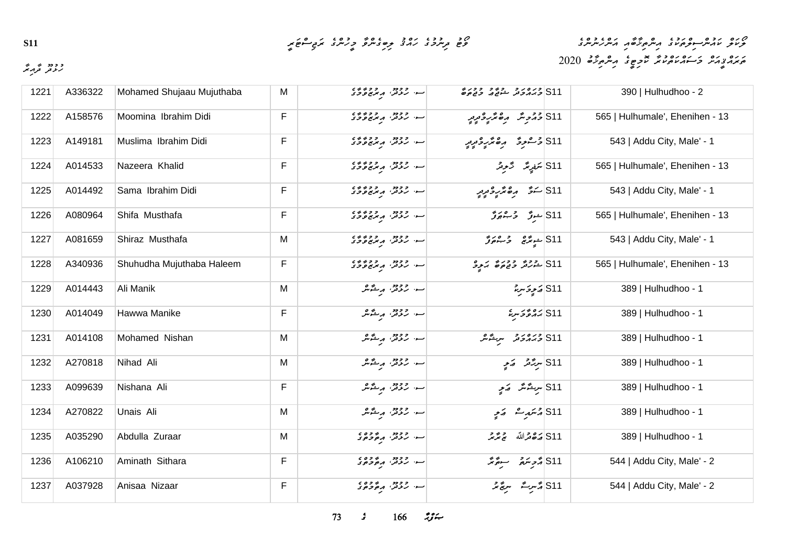*sCw7q7s5w7m< o<n9nOoAw7o< sCq;mAwBoEw7q<m; wBm;vB* م من المرة المرة المرة المرجع المرجع في المركبة 2020<br>مجم*د المريض المربوط المربع المرجع في المراجع المركبة* 

|  | د دود به پر<br>رنز تر ترمه تر |
|--|-------------------------------|
|  |                               |

| 1221 | A336322 | Mohamed Shujaau Mujuthaba | M           | ر د ود د د د د د د د                             | S11 <i>جەدەرى خۇق دەرە</i>                              | 390   Hulhudhoo - 2             |
|------|---------|---------------------------|-------------|--------------------------------------------------|---------------------------------------------------------|---------------------------------|
| 1222 | A158576 | Moomina Ibrahim Didi      | $\mathsf F$ | ر د ود د د د د د د د و د و د و د و د ک           | S11  <i>32جينگ م</i> وڻھ <i>گري</i> و موبي <sub>ر</sub> | 565   Hulhumale', Ehenihen - 13 |
| 1223 | A149181 | Muslima Ibrahim Didi      | $\mathsf F$ | ر د دو د د د ده د د<br>سه رنوتو، پر بر بر و د د  | S11  <sub>ۇ</sub> شوۇ م <i>ەھترى</i> ۋىرىر              | 543   Addu City, Male' - 1      |
| 1224 | A014533 | Nazeera Khalid            | $\mathsf F$ | ر د دو د د د ده د د<br>سه رنوتو، پر بر بر و د د  | S11 سَمْدِتَر گَرْمِتْر                                 | 565   Hulhumale', Ehenihen - 13 |
| 1225 | A014492 | Sama Ibrahim Didi         | $\mathsf F$ | ر د ود د د د د د د د<br>ر د روتر، پر بر بر و و د | S11 كۇ مۇھۇروپىرى <sub>د</sub>                          | 543   Addu City, Male' - 1      |
| 1226 | A080964 | Shifa Musthafa            | $\mathsf F$ | ر د دود .<br>سه رنوتو، برندی و و د               | S11 خوتر كرب موتركز                                     | 565   Hulhumale', Ehenihen - 13 |
| 1227 | A081659 | Shiraz Musthafa           | M           | ر د ود د د د د د د د و د و د و د و د ک           | S11 خومَّرْج <sub>م</sub> حرجورً                        | 543   Addu City, Male' - 1      |
| 1228 | A340936 | Shuhudha Mujuthaba Haleem | $\mathsf F$ | ر د دو د د د ده د د<br>سه رنوتو، پر بر بر و د د  | S11 خەرتۇ دەرە بەدە                                     | 565   Hulhumale', Ehenihen - 13 |
| 1229 | A014443 | Ali Manik                 | M           | ے رودو برگے ہر                                   | S11  پرموترسریم                                         | 389   Hulhudhoo - 1             |
| 1230 | A014049 | Hawwa Manike              | $\mathsf F$ | ے رودو پر شہر                                    | S11 ئەرمۇ ئەس <sup>ى</sup> د                            | 389   Hulhudhoo - 1             |
| 1231 | A014108 | Mohamed Nishan            | M           | ے رودہ برگے ش                                    | S11 <i>\$نەۋەتى</i> سىشەش                               | 389   Hulhudhoo - 1             |
| 1232 | A270818 | Nihad Ali                 | M           | ے رودوں پر شکس                                   | S11 سرترنقر ک <sup>ی</sup> ج                            | 389   Hulhudhoo - 1             |
| 1233 | A099639 | Nishana Ali               | $\mathsf F$ | ے رودہ برگے ش                                    | S11 سرىشىش كەم <u>و</u>                                 | 389   Hulhudhoo - 1             |
| 1234 | A270822 | Unais Ali                 | M           | ے رودہ برگھر                                     | S11 پر <i>سَمدِ شہ</i> ر تھ                             | 389   Hulhudhoo - 1             |
| 1235 | A035290 | Abdulla Zuraar            | M           | د دودو.<br>سه روس مرگوری                         | S11 كَەھەراللە ج <sup>و</sup> يخ                        | 389   Hulhudhoo - 1             |
| 1236 | A106210 | Aminath Sithara           | $\mathsf F$ | د دودو.<br>سه روس مرگوری                         | S11 مَّ مِ سَعَمَّةٌ مُسْتَقَمَّةٌ                      | 544   Addu City, Male' - 2      |
| 1237 | A037928 | Anisaa Nizaar             | F           | ر دودود.<br>سه روتر، م <i>ودو</i> و              | S11 ۾ُسِٽَ سِيُّٽَر                                     | 544   Addu City, Male' - 2      |

 $73$  *s*  $166$  *z*  $294$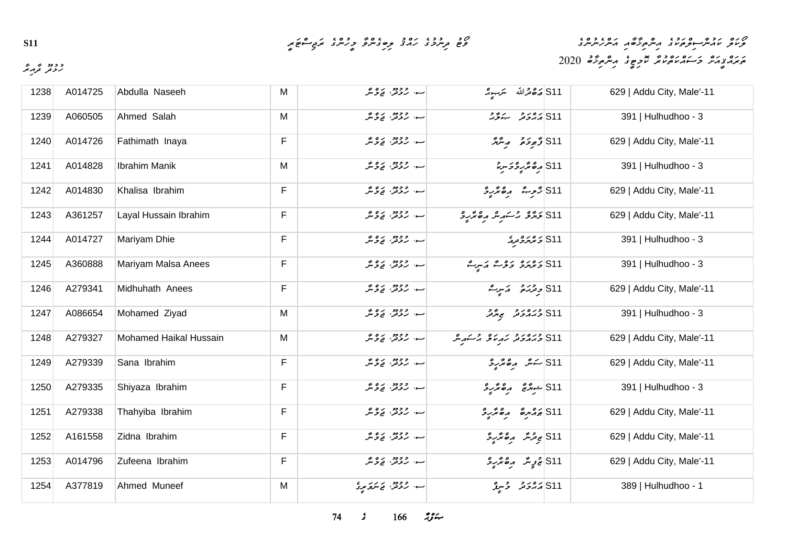*sCw7q7s5w7m< o<n9nOoAw7o< sCq;mAwBoEw7q<m; wBm;vB* م من المرة المرة المرة المرجع المرجع في المركبة 2020<br>مجم*د المريض المربوط المربع المرجع في المراجع المركبة* 

|  | $\begin{array}{cccccccccccccc} \circ & \circ & \circ & \circ & \circ & \circ \end{array}$ |  |
|--|-------------------------------------------------------------------------------------------|--|
|  | زعرفر اقرمرمر                                                                             |  |
|  |                                                                                           |  |

| 1238 | A014725 | Abdulla Naseeh         | M            | ے۔ رووہ رہ بھر                    | S11 مَەھْتَراللە سَرَىبْد <i>ِ</i>             | 629   Addu City, Male'-11 |
|------|---------|------------------------|--------------|-----------------------------------|------------------------------------------------|---------------------------|
| 1239 | A060505 | Ahmed Salah            | M            | ے۔ ووود رہ بھر                    | S11 كەبروتىر سى <i>بۇر</i>                     | 391   Hulhudhoo - 3       |
| 1240 | A014726 | Fathimath Inaya        | $\mathsf F$  | ے۔ ووود رہ بھر                    | S11 زَّج <i>وحَ</i> هُمَّ مَيْتَرَ             | 629   Addu City, Male'-11 |
| 1241 | A014828 | <b>Ibrahim Manik</b>   | M            | ے۔ رودہ رہ بھر                    | S11 مەھەمگەرى25 سىرى <i>ق</i>                  | 391   Hulhudhoo - 3       |
| 1242 | A014830 | Khalisa Ibrahim        | F            | ے۔ ووود رہ بھر                    | S11 ژَوِبَّہ مِرصَمَّرِدْ                      | 629   Addu City, Male'-11 |
| 1243 | A361257 | Layal Hussain Ibrahim  | $\mathsf{F}$ | ے۔ ووود رہ بھر                    | S11 كَرْدُوْ بْرْ سَهْرِ مْرْ مْحَدَّرِ 2      | 629   Addu City, Male'-11 |
| 1244 | A014727 | Mariyam Dhie           | F            | ے۔ ووود رہ بھر                    | S11 كەبىر بۇ ئەرگە                             | 391   Hulhudhoo - 3       |
| 1245 | A360888 | Mariyam Malsa Anees    | F            | ر در دور ده می<br>رود از دول کارگ | S11 كەندىرى كەبىمىتە كەبىرىشە                  | 391   Hulhudhoo - 3       |
| 1246 | A279341 | Midhuhath Anees        | $\mathsf F$  | ے۔ رووو رہ م                      | S11   <i>وِیوْبَرْهْ ک</i> ېرىش                | 629   Addu City, Male'-11 |
| 1247 | A086654 | Mohamed Ziyad          | M            | ے۔ ووود رہ بھر                    | S11 <i>دېمم</i> ر تر سم پر <i>گر</i>           | 391   Hulhudhoo - 3       |
| 1248 | A279327 | Mohamed Haikal Hussain | M            | سه روود رو ه                      | S11 <i>ويرورو برمرو ج</i> يسمبريش              | 629   Addu City, Male'-11 |
| 1249 | A279339 | Sana Ibrahim           | F            | ے۔ رووہ رہ بھر                    | S11 سەنئە بەھ <i>ت</i> رىبى                    | 629   Addu City, Male'-11 |
| 1250 | A279335 | Shiyaza Ibrahim        | F            | ے۔ ووود رہ ہے                     | S11 شوپرسچ پر <i>ی پرد</i> و                   | 391   Hulhudhoo - 3       |
| 1251 | A279338 | Thahyiba Ibrahim       | F            | ے۔ ووود رہ بھر                    | S11 <i>بۇم<sup>ۇ</sup>م ھەھترى</i> 3           | 629   Addu City, Male'-11 |
| 1252 | A161558 | Zidna Ibrahim          | F            | سه ارودو ره پر                    | S11  ي <sub>ج</sub> ترىتر   مۇيمى <i>ي</i> ىۋا | 629   Addu City, Male'-11 |
| 1253 | A014796 | Zufeena Ibrahim        | $\mathsf F$  | ے۔ ووود رہ بھر                    | S11  جۇرىگە ب <i>وھۇرچ</i> ۇ                   | 629   Addu City, Male'-11 |
| 1254 | A377819 | Ahmed Muneef           | M            | ے رودو کے مگرم کرتے               | S11   كەندى قى ئىر قى                          | 389   Hulhudhoo - 1       |

 $74$  *s*  $166$  *z*  $29$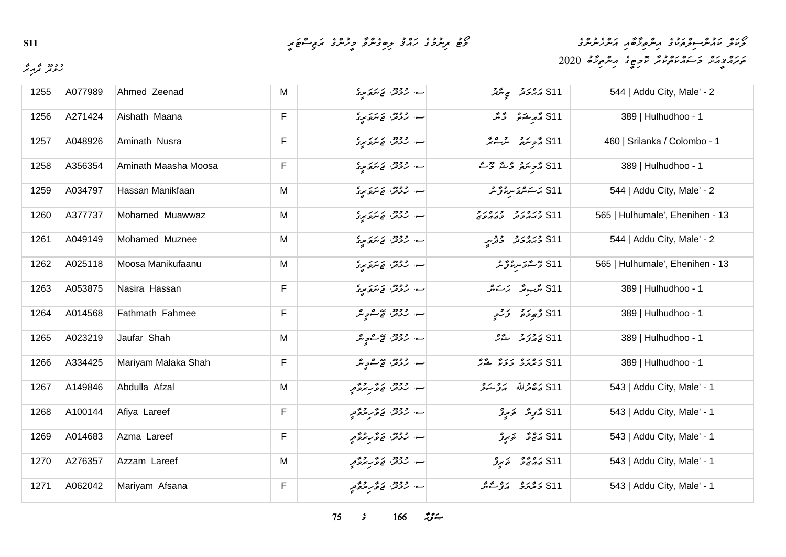*sCw7q7s5w7m< o<n9nOoAw7o< sCq;mAwBoEw7q<m; wBm;vB* م من المرة المرة المرة المرجع المرجع في المركبة 2020<br>مجم*د المريض المربوط المربع المرجع في المراجع المركبة* 

| 1255 | A077989 | Ahmed Zeenad         | M           | ے رودو کے مگرم مرکز                                      | S11 كەبرى كىمى ئىقتىلىكى ئىستىلىكى كىلەن ئىستىلىك                                                          | 544   Addu City, Male' - 2      |
|------|---------|----------------------|-------------|----------------------------------------------------------|------------------------------------------------------------------------------------------------------------|---------------------------------|
| 1256 | A271424 | Aishath Maana        | F           | سة الرودور المرتكزي                                      | S11 مَ <sub>م</sub> ْ شَمْ وَسَّرَ                                                                         | 389   Hulhudhoo - 1             |
| 1257 | A048926 | Aminath Nusra        | $\mathsf F$ | ر در دود.<br>سه روتر، نے سروموی                          | S11 مَّ مِ سَمَّعَ مَّ سَنَّبَتَمَّ                                                                        | 460   Srilanka / Colombo - 1    |
| 1258 | A356354 | Aminath Maasha Moosa | F           | سە رودو ئەسكەبرى                                         | S11 مُ <i>وِسَمْ وَحْثَ</i> وَسُدَّ                                                                        | 389   Hulhudhoo - 1             |
| 1259 | A034797 | Hassan Manikfaan     | M           | ر در دود در در در در در ایران<br>سود برنویس ای مترج مورد | S11 ئەسەمدى بىر <i>ىدۇ</i> تىر                                                                             | 544   Addu City, Male' - 2      |
| 1260 | A377737 | Mohamed Muawwaz      | M           | سة الرودور المرتكزي                                      | $5,000$ $5,000$ $5$ $811$                                                                                  | 565   Hulhumale', Ehenihen - 13 |
| 1261 | A049149 | Mohamed Muznee       | M           | ر در دود.<br>سه روتر، نے سروموی                          | S11 <i>ڈیزوونر</i> ونرس                                                                                    | 544   Addu City, Male' - 2      |
| 1262 | A025118 | Moosa Manikufaanu    | M           | سە رودو رىرى                                             | S11 تۈشكە <i> ئىبرىدۇ</i> تىر                                                                              | 565   Hulhumale', Ehenihen - 13 |
| 1263 | A053875 | Nasira Hassan        | F           | ر در دود در در در در در ایران<br>سود برنویس ای مترج مورد | S11 مگرسونمٹر کرکے مگر                                                                                     | 389   Hulhudhoo - 1             |
| 1264 | A014568 | Fathmath Fahmee      | F           | ے، اردور بھارہ م                                         | S11 تَ <i>وْجِوَةْ تَرَدّْج</i> ِ                                                                          | 389   Hulhudhoo - 1             |
| 1265 | A023219 | Jaufar Shah          | M           | ے۔ روود سے عالم میں                                      | S11 تح <i>ەرى ئىش</i> ر                                                                                    | 389   Hulhudhoo - 1             |
| 1266 | A334425 | Mariyam Malaka Shah  | F           | ے۔ روزہ سے صوبتر                                         | S11 كَرْمُ بِرُوْ كَرْمُ مَسَرٌرْ ﴾ مَسَرٌرُ السَّرْرُ ﴾ مَسَرَرُ ﴾ مَسَرَرُ ﴾ مَسَرَرُ ﴾ مَسَرَرُ ﴾ مستقر | 389   Hulhudhoo - 1             |
| 1267 | A149846 | Abdulla Afzal        | M           | ے رودو رور دور                                           | S11 يَرْصْعَرْاللّه     يَرْوْسَوْرْ                                                                       | 543   Addu City, Male' - 1      |
| 1268 | A100144 | Afiya Lareef         | F           | ر د دود د و د دور                                        | S11 م <i>مَّة وَمَّد مَ</i> حَمِيَّة                                                                       | 543   Addu City, Male' - 1      |
| 1269 | A014683 | Azma Lareef          | F           | سه دودو روسروس                                           | S11 كەنج <i>قى خىمبى</i> ر                                                                                 | 543   Addu City, Male' - 1      |
| 1270 | A276357 | Azzam Lareef         | M           | ے رودہ روزرہ                                             | S11 <i>ھَ جُمُّعُ تَحْمِيلُ</i>                                                                            | 543   Addu City, Male' - 1      |
| 1271 | A062042 | Mariyam Afsana       | F           | ے رودو روزر وو                                           | S11 ئ <i>ەيرە بە</i> ۋىتەتر                                                                                | 543   Addu City, Male' - 1      |

 $75$  *s*  $166$  *z*  $25$ 

و و *ه به بر*<br>رنو تر <sub>م</sub>ر بر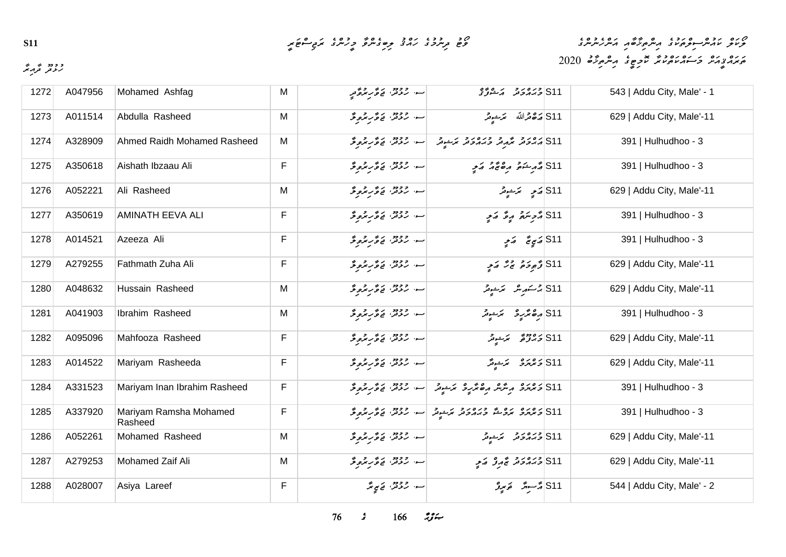*sCw7q7s5w7m< o<n9nOoAw7o< sCq;mAwBoEw7q<m; wBm;vB* م من المرة المرة المرة المرجع المرجع في المركبة 2020<br>مجم*د المريض المربوط المربع المرجع في المراجع المركبة* 

| 1272 | A047956 | Mohamed Ashfag                    | M | سەر زودە بە ئەترىر ئەترىر                                                                                                                                                                                                                           | S11 ژبر در پر موثر تر                                                                                | 543   Addu City, Male' - 1 |
|------|---------|-----------------------------------|---|-----------------------------------------------------------------------------------------------------------------------------------------------------------------------------------------------------------------------------------------------------|------------------------------------------------------------------------------------------------------|----------------------------|
| 1273 | A011514 | Abdulla Rasheed                   | M | سەر ئىزنىق ئەقەر بىر بورغ                                                                                                                                                                                                                           | S11 كەھەراللە كەسى <i>رىتى</i> ر                                                                     | 629   Addu City, Male'-11  |
| 1274 | A328909 | Ahmed Raidh Mohamed Rasheed       | M |                                                                                                                                                                                                                                                     | /S11 كەمەدىر مەرەبەر دىرە برىدىر - سەردەن ئەھرىرە ئ                                                  | 391   Hulhudhoo - 3        |
| 1275 | A350618 | Aishath Ibzaau Ali                | F | $\left  \begin{array}{cc} -\frac{1}{2} & \frac{1}{2} & \frac{1}{2} & \frac{1}{2} \\ \frac{1}{2} & \frac{1}{2} & \frac{1}{2} & \frac{1}{2} & \frac{1}{2} \\ \frac{1}{2} & \frac{1}{2} & \frac{1}{2} & \frac{1}{2} & \frac{1}{2} \end{array} \right $ | S11 مُگرِسْدَة رِصْحُهُ مَعِ                                                                         | 391   Hulhudhoo - 3        |
| 1276 | A052221 | Ali Rasheed                       | M | سەر ئەدەر ئەن ئەر ئورۇ                                                                                                                                                                                                                              | S11 کرم کر موٹر                                                                                      | 629   Addu City, Male'-11  |
| 1277 | A350619 | AMINATH EEVA ALI                  | F | - رودو رو رو و گ                                                                                                                                                                                                                                    | S11 مَّ <i>وِسَعْ مِعَ مَ</i> عٍ                                                                     | 391   Hulhudhoo - 3        |
| 1278 | A014521 | Azeeza Ali                        | F | - رودو رور دور                                                                                                                                                                                                                                      | S11 <i>ھَي جَھ</i> مَي                                                                               | 391   Hulhudhoo - 3        |
| 1279 | A279255 | Fathmath Zuha Ali                 | F | سەر رودو بەر ئەر ئىرى ئى                                                                                                                                                                                                                            | S11 <i>ؤُجِ حَ</i> مْ گُرَ مَر <sub>ْحِ</sub>                                                        | 629   Addu City, Male'-11  |
| 1280 | A048632 | Hussain Rasheed                   | M | - رودو، نے قریر قریر قر                                                                                                                                                                                                                             | S11 پر کے مریکہ محرک ہو تھ                                                                           | 629   Addu City, Male'-11  |
| 1281 | A041903 | Ibrahim Rasheed                   | M | - رودو، نے قریر قریر قر                                                                                                                                                                                                                             | S11  م <i>وڭ مگرى</i> دۇ - ئىزىش <sub>و</sub> تىر                                                    | 391   Hulhudhoo - 3        |
| 1282 | A095096 | Mahfooza Rasheed                  | F | ے رودہ رہ ترکید                                                                                                                                                                                                                                     | S11  <sub>خ</sub> رودېچ تر <sub>ىشو</sub> تر                                                         | 629   Addu City, Male'-11  |
| 1283 | A014522 | Mariyam Rasheeda                  | F | سار رود در در در در کار برا                                                                                                                                                                                                                         | S11  <i>وَبُرْمَرْدُ بَرَحْبِيرُّ</i>                                                                | 629   Addu City, Male'-11  |
| 1284 | A331523 | Mariyam Inan Ibrahim Rasheed      | F |                                                                                                                                                                                                                                                     | S11 دَبْرْ مَرَ وَبِتَرْ وَهُبَّرِدْ بَرَسْدِيْرَ   - رَزْنَزْ، وَوَرْبَرُوِدَ                       | 391   Hulhudhoo - 3        |
| 1285 | A337920 | Mariyam Ramsha Mohamed<br>Rasheed | F |                                                                                                                                                                                                                                                     | S11 رەرە بەرە بەرەرە بەيدى (ب دە« بەئەبەتمى بالارىمى بالارىمى بالارىمى بالارىمى بالارىمى بالارىمى با | 391   Hulhudhoo - 3        |
| 1286 | A052261 | Mohamed Rasheed                   | M | سەر ئەدەر بەلەر ئورۇ ئى                                                                                                                                                                                                                             | S11  <i>وُبَہُ جومہ بَرَحوم</i> ً                                                                    | 629   Addu City, Male'-11  |
| 1287 | A279253 | Mohamed Zaif Ali                  | M | سەر 335 كەنتى بىر قومۇ                                                                                                                                                                                                                              | S11 <i>ڈبزور دی پارو م</i> َبرِ                                                                      | 629   Addu City, Male'-11  |
| 1288 | A028007 | Asiya Lareef                      | F | سەر 232°، ئۇ ئېرىگە                                                                                                                                                                                                                                 | S11 مُرْسِعْرٌ     مَوسِرِرْ                                                                         | 544   Addu City, Male' - 2 |

 $76$  *s*  $166$  *z*  $294$ 

*n8o<n@ r@q:q5*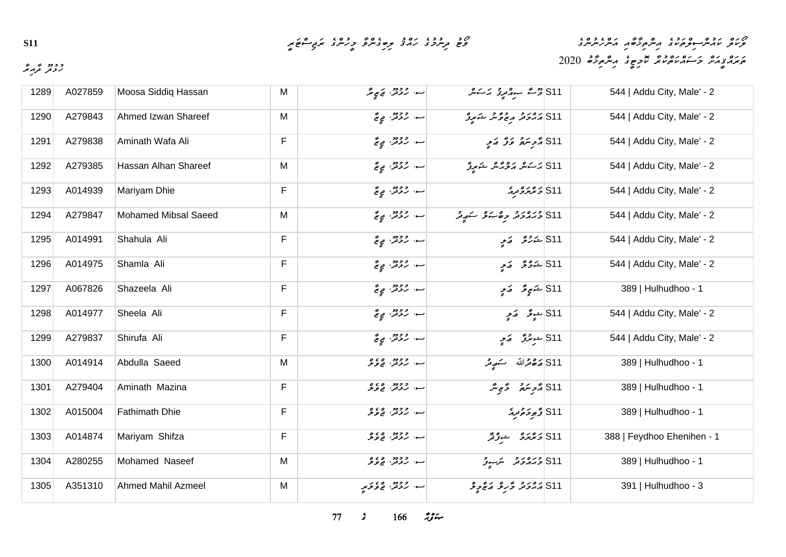*sCw7q7s5w7m< o<n9nOoAw7o< sCq;mAwBoEw7q<m; wBm;vB* م من المرة المرة المرة المرجع المرجع في المركبة 2020<br>مجم*د المريض المربوط المربع المرجع في المراجع المركبة* 

|  | د دود به پر<br>رنز تر ترمه |
|--|----------------------------|
|  |                            |

| 1289 | A027859 | Moosa Siddig Hassan         | M           | ے۔ رکوتو، قے پانگ                           |                                                                                                     | 544   Addu City, Male' - 2 |
|------|---------|-----------------------------|-------------|---------------------------------------------|-----------------------------------------------------------------------------------------------------|----------------------------|
| 1290 | A279843 | Ahmed Izwan Shareef         | M           | ے رودو پی                                   | S11 كەندى تەرىپ ئەھمىر ئىككىنى ئىلگان بىر ئىككىن ئىلگان ئىلگان ئىلگان ئىلگان ئىلگان ئىلگان ئىلگان ئ | 544   Addu City, Male' - 2 |
| 1291 | A279838 | Aminath Wafa Ali            | $\mathsf F$ | ے گروڑ ہی گا                                | S11 مَّ <i>وِسَعْهِ ۖ وَدُّ مَ</i> عٍ                                                               | 544   Addu City, Male' - 2 |
| 1292 | A279385 | Hassan Alhan Shareef        | M           | ے رودو پی                                   | S11 ئەسەھ كەنزىگىر شە <i>يدۇ</i>                                                                    | 544   Addu City, Male' - 2 |
| 1293 | A014939 | Mariyam Dhie                | F           | سە رودو. يىچ                                | S11 كەبىر <i>كەبىر بىر</i>                                                                          | 544   Addu City, Male' - 2 |
| 1294 | A279847 | <b>Mohamed Mibsal Saeed</b> | M           | سه رحوقر، مي پچ                             | S11 <i>وبروبر وهينو خوب</i> تر                                                                      | 544   Addu City, Male' - 2 |
| 1295 | A014991 | Shahula Ali                 | F           | سه رحود و پخ                                | S11  ڪريو کي په                                                                                     | 544   Addu City, Male' - 2 |
| 1296 | A014975 | Shamla Ali                  | F           | ے گروڑ ہی گا                                | S11 خۇمى كەم                                                                                        | 544   Addu City, Male' - 2 |
| 1297 | A067826 | Shazeela Ali                | F           | سە رودو يې گا                               | S11  ڪ <sub>يم</sub> وگر کي پر                                                                      | 389   Hulhudhoo - 1        |
| 1298 | A014977 | Sheela Ali                  | F           | سه رحود و ځ                                 | S11 جوءً کی پ                                                                                       | 544   Addu City, Male' - 2 |
| 1299 | A279837 | Shirufa Ali                 | F           | ے گروڑ ہی گا                                | S11 جو <i>مروٌ م</i> َرمٍ                                                                           | 544   Addu City, Male' - 2 |
| 1300 | A014914 | Abdulla Saeed               | M           | ر د ودو و و و و<br>ر د روتر، اقع نومو       | S11  بَرْحْقِرْاللَّه كَفْرِيْتْر                                                                   | 389   Hulhudhoo - 1        |
| 1301 | A279404 | Aminath Mazina              | F           | ر د ودو و د و و<br>ر د روتر، ق و تو         | S11 مَّ <i>حِيدَة تَح</i> مَّ مَّ                                                                   | 389   Hulhudhoo - 1        |
| 1302 | A015004 | <b>Fathimath Dhie</b>       | F           | ر د ودو و د و و<br>سه گرفتر، فع لا لمحر     | S11 ژ <sub>مو</sub> ځ م <sub>و</sub> موم <sup>ر</sup>                                               | 389   Hulhudhoo - 1        |
| 1303 | A014874 | Mariyam Shifza              | F           | ر د ودو وړه<br>سه روتو، تع لومو             | S11 <i>5 پر<sub>م</sub>رو جونگ</i> ر                                                                | 388   Feydhoo Ehenihen - 1 |
| 1304 | A280255 | Mohamed Naseef              | M           | ر د ودو وړه<br>سه روتو، ق <sub>ا</sub> لونو | S11 <i>دېمبرونز سر<sub>سو</sub>ژ</i>                                                                | 389   Hulhudhoo - 1        |
| 1305 | A351310 | <b>Ahmed Mahil Azmeel</b>   | M           | سەر 335°، ئۇغۇنىيە                          | S11 <i>גُ.دُوَنْد</i> وَرِوْ <i>پَ</i> ءُ <i>وِ</i> وْ                                              | 391   Hulhudhoo - 3        |

 $77$  *s*  $166$   $23$   $\div$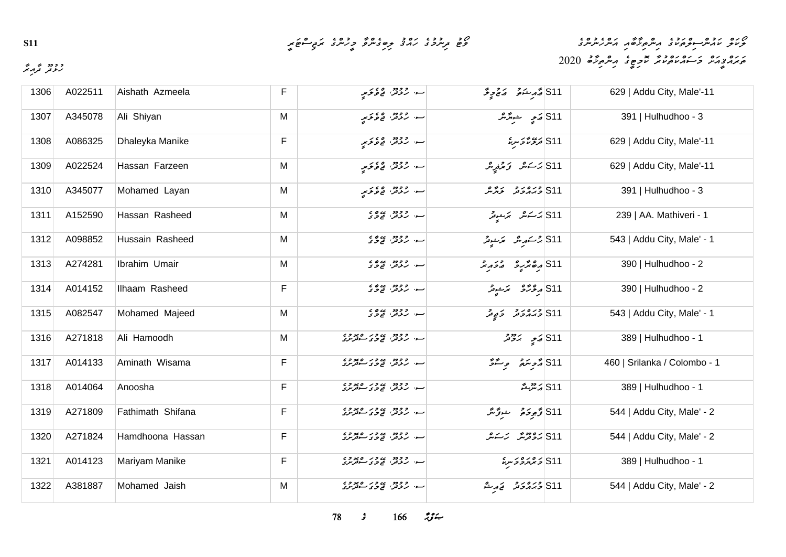*sCw7q7s5w7m< o<n9nOoAw7o< sCq;mAwBoEw7q<m; wBm;vB* م من المرة المرة المرة المرجع المرجع في المركبة 2020<br>مجم*د المريض المربوط المربع المرجع في المراجع المركبة* 

|  | د دود به پر<br>رنز تر ترمه تر |
|--|-------------------------------|
|  |                               |

| 1306 | A022511 | Aishath Azmeela   | F            | سە رودو، 23 كەبىر                                              | S11 مَگْرِسْتَمْ مِنْ مِجْ <i>جِ</i> مََّ  | 629   Addu City, Male'-11    |
|------|---------|-------------------|--------------|----------------------------------------------------------------|--------------------------------------------|------------------------------|
| 1307 | A345078 | Ali Shiyan        | M            | سە زودە قانۇمىيە                                               | S11 <i>ھَ۔</i> مُس <i>رَّمَّہ</i>          | 391   Hulhudhoo - 3          |
| 1308 | A086325 | Dhaleyka Manike   | F            | سە زودە قانۇمىيە                                               | S11 مَرْمَرْتَمْ <sub>حَ</sub> سِرْتَمْ    | 629   Addu City, Male'-11    |
| 1309 | A022524 | Hassan Farzeen    | M            | سە زودە ئەرىپ                                                  | S11 پزشک تر تروپر                          | 629   Addu City, Male'-11    |
| 1310 | A345077 | Mohamed Layan     | M            | سە زودە قاغ تومۇمىي                                            | S11 <i>ۋېروپوتر بېرىش</i>                  | 391   Hulhudhoo - 3          |
| 1311 | A152590 | Hassan Rasheed    | M            | ر د ودو ده وه و د<br>سه روتر، قاح و                            | S11 كەسكەنلەر كەنلىيەتىر                   | 239   AA. Mathiveri - 1      |
| 1312 | A098852 | Hussain Rasheed   | M            | ر د دود.<br>سه روتر، ق <sub>ا</sub> و د                        | S11 پرکسر مگر مگر میں پر مقرر میں<br>مقامت | 543   Addu City, Male' - 1   |
| 1313 | A274281 | Ibrahim Umair     | M            | ر د دود ده ه ده<br>سو گرفران مح                                | S11 مەھ <i>مگىر قەھەم</i> م                | 390   Hulhudhoo - 2          |
| 1314 | A014152 | Ilhaam Rasheed    | $\mathsf F$  | ر د ودو.<br>سه روتر، ق <sub>ا</sub> ور                         | S11  م <i>ب<sup>و</sup>رڈ</i> و کرجوٹر     | 390   Hulhudhoo - 2          |
| 1315 | A082547 | Mohamed Majeed    | M            | ر د ودو ده ده و د<br>سه رنوتر، قع و ی                          | S11 <i>\$222 كوفر</i>                      | 543   Addu City, Male' - 1   |
| 1316 | A271818 | Ali Hamoodh       | M            | ر د ووه د د د د د د د د<br>سه اربوتر، اقع و ی سه ترس           | S11 <sub>م</sub> حمو بر <i>ودگ</i> ر       | 389   Hulhudhoo - 1          |
| 1317 | A014133 | Aminath Wisama    | F            | د و ووه در در ورواه و د و د و د<br>سوء الربوش التح و ی سوفربری | S11 مَّ مِ سَمَّعَ مِ سَمَّعَ              | 460   Srilanka / Colombo - 1 |
| 1318 | A014064 | ∣Anoosha          | F            | ر د و دو د د د و د و د د و د<br>سه ربوتر، د و د سه تربرو       | S11 پرتشریحہ                               | 389   Hulhudhoo - 1          |
| 1319 | A271809 | Fathimath Shifana | $\mathsf{F}$ | د و ووه ای و در ان و د و د<br>سود ان ولاتور اقع و ی سوتورنوی   | S11 <i>وَّج</i> وحَمَّ صُورَّسَّر          | 544   Addu City, Male' - 2   |
| 1320 | A271824 | Hamdhoona Hassan  | F            | د و وود اړه د د و د ده د د د د<br>سود اندې ترکي او د کار سوفرس | S11 پژوترنتر - ترکتر                       | 544   Addu City, Male' - 2   |
| 1321 | A014123 | Mariyam Manike    | $\mathsf{F}$ | ر د ووود ده در ه پوده.<br>سوسرترونو، افغ فری مستورموی          | S11 ئ <i>ۇيرۇ ئەب</i> ر <i>ى</i>           | 389   Hulhudhoo - 1          |
| 1322 | A381887 | Mohamed Jaish     | M            | د دوه دره در ۲۶ ور<br>سود برنوتو، اقع وای سوتوبری              | S11 <i>\$نەۋەقى ق</i> ەرش                  | 544   Addu City, Male' - 2   |

 $78$  *s*  $166$  *z*  $294$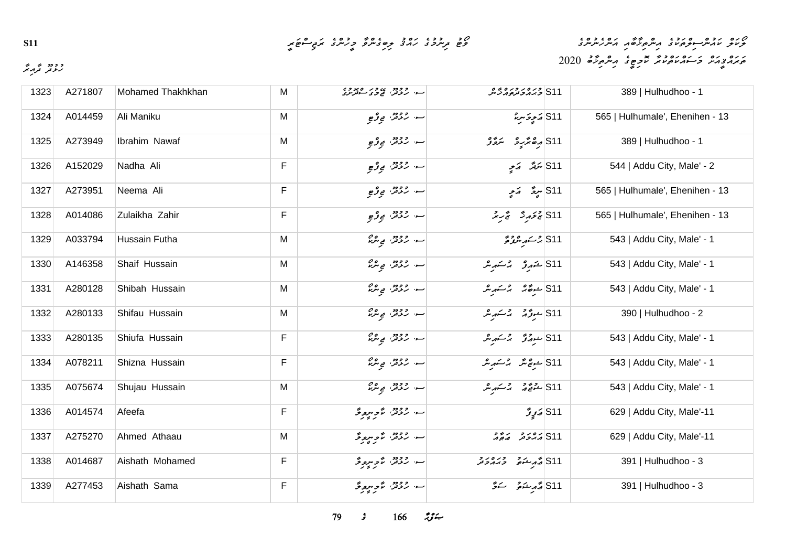*sCw7q7s5w7m< o<n9nOoAw7o< sCq;mAwBoEw7q<m; wBm;vB* م من المرة المرة المرة المرجع المرجع في المركبة 2020<br>مجم*د المريض المربوط المربع المرجع في المراجع المركبة* 

|  | د دد په پر<br>رنز تر ترمه |
|--|---------------------------|
|  |                           |

| 1323 | A271807 | Mohamed Thakhkhan | M           | د و دود ای و دارا و داد و د<br>سه انرانویس اقع بن دار و در سوتورس | S11 <i>ۋېرو د دوه وگ</i> ېر               | 389   Hulhudhoo - 1             |
|------|---------|-------------------|-------------|-------------------------------------------------------------------|-------------------------------------------|---------------------------------|
| 1324 | A014459 | Ali Maniku        | M           | ے رودو ہوتی                                                       | S11  پرموتے میں ج                         | 565   Hulhumale', Ehenihen - 13 |
| 1325 | A273949 | Ibrahim Nawaf     | M           | ب رودو. ووه                                                       | S11 مەھمگەپى ھەتقۇتى                      | 389   Hulhudhoo - 1             |
| 1326 | A152029 | Nadha Ali         | F           | ب رودو. ووه                                                       | S11 يَرَتَّزُ كَيَاسٍ                     | 544   Addu City, Male' - 2      |
| 1327 | A273951 | Neema Ali         | F           | سە رودۇر، ي <sub>و</sub> ۋىج                                      | S11 سرِمَّۃ ک <sup>ہ</sup> رِ             | 565   Hulhumale', Ehenihen - 13 |
| 1328 | A014086 | Zulaikha Zahir    | $\mathsf F$ | ے رودو ہوتی                                                       | S11 تج تح <i>مدِ بنَ</i> تج رِیْر         | 565   Hulhumale', Ehenihen - 13 |
| 1329 | A033794 | Hussain Futha     | M           | سە رودوم يې شریکا                                                 | S11 بر شهر شرویچ                          | 543   Addu City, Male' - 1      |
| 1330 | A146358 | Shaif Hussain     | M           | سه رحوفز، ج سرچ                                                   | S11 ڪمبرو پرڪبريشر                        | 543   Addu City, Male' - 1      |
| 1331 | A280128 | Shibah Hussain    | M           | سه رودو په مرتز                                                   | S11 خ <sub>و</sub> ڭ ب <sub>ە</sub> شەر ش | 543   Addu City, Male' - 1      |
| 1332 | A280133 | Shifau Hussain    | M           | سه رودو و چ                                                       | S11 جوڻ پر شهر شر                         | 390   Hulhudhoo - 2             |
| 1333 | A280135 | Shiufa Hussain    | $\mathsf F$ | سه رحوفز، ج سرچ                                                   | S11 جوړو پر شمه شر                        | 543   Addu City, Male' - 1      |
| 1334 | A078211 | Shizna Hussain    | F           | سە رودوە يەركە                                                    | S11 جەمجەنگر كەسكە <i>ر</i> ىگر           | 543   Addu City, Male' - 1      |
| 1335 | A075674 | Shujau Hussain    | M           | سه رحوفز، ج سرچ                                                   | S11 شقۇھ ب <sub>ە</sub> شىرىش             | 543   Addu City, Male' - 1      |
| 1336 | A014574 | Afeefa            | $\mathsf F$ | ے رودو اگر سرونگر                                                 | S11 ړ <i>و</i> ژ                          | 629   Addu City, Male'-11       |
| 1337 | A275270 | Ahmed Athaau      | M           | ب. رودو. ئۇرسورگە                                                 | S11 كەبروتىر كەنبۇر                       | 629   Addu City, Male'-11       |
| 1338 | A014687 | Aishath Mohamed   | F           | ب رودو الأوسطر                                                    | S11 مەم ئەم ئەم ئەرگە ئىس                 | 391   Hulhudhoo - 3             |
| 1339 | A277453 | Aishath Sama      | F           | ب دودو. ئۇچ سوڭ                                                   | S11 مەمرىشىق <sub>ە</sub> سەئى            | 391   Hulhudhoo - 3             |

 $79$  *s*  $166$  *z*  $29$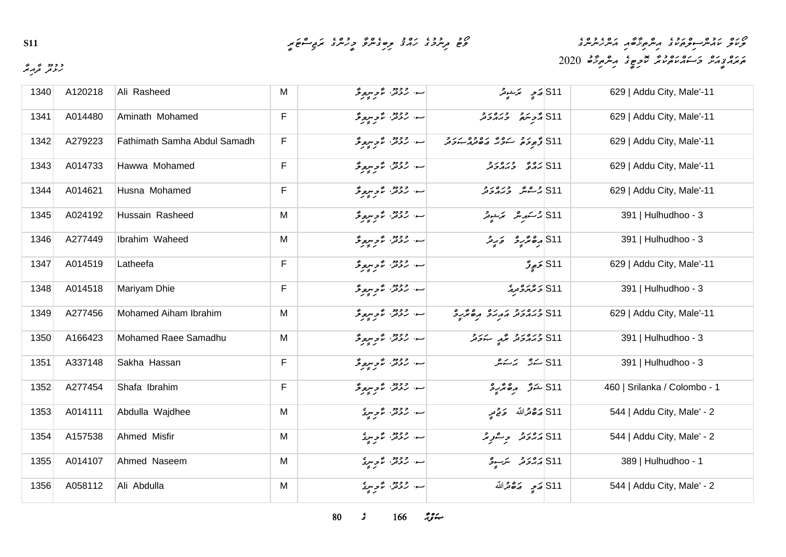*sCw7q7s5w7m< o<n9nOoAw7o< sCq;mAwBoEw7q<m; wBm;vB* م من المسجد المسجد المسجد المسجد المسجد العام 2020<br>مجم*د المسجد المسجد المستجد المسجد المسجد المسجد المسجد المسجد المسجد المسجد المسجد المسجد المسجد المسجد المسجد* 

| 1340 | A120218 | Ali Rasheed                  | M           | ۔ رودہ عمر سرورمح                        | S11  رَمِ بَرَسِوتْر                                                                                 | 629   Addu City, Male'-11    |
|------|---------|------------------------------|-------------|------------------------------------------|------------------------------------------------------------------------------------------------------|------------------------------|
| 1341 | A014480 | Aminath Mohamed              | F           | سەر 1955 - ئۇچ سورىدىگە                  | S11 مُتْرِسَمْۃ حَبَيْدَوتر                                                                          | 629   Addu City, Male'-11    |
| 1342 | A279223 | Fathimath Samha Abdul Samadh | $\mathsf F$ |                                          | S11 رُجورَمَ سُورٌ رووه ررو _ __ ووو شَعِرُ بِرَ اللَّهِ اللَّهِ اللَّهِ اللَّهِ اللَّهِ اللَّهِ الل | 629   Addu City, Male'-11    |
| 1343 | A014733 | Hawwa Mohamed                | $\mathsf F$ | ب رودو مۇم بورۇ                          | S11 ئەۋۋە مەيرە <i>دە</i>                                                                            | 629   Addu City, Male'-11    |
| 1344 | A014621 | Husna Mohamed                | $\mathsf F$ | ب رودو مۇرسور                            | S11 ژےپڑ وزورو                                                                                       | 629   Addu City, Male'-11    |
| 1345 | A024192 | Hussain Rasheed              | M           | - رودور الأوسطونثى                       | S11 پر کے مریش کر سوٹر<br>ا                                                                          | 391   Hulhudhoo - 3          |
| 1346 | A277449 | Ibrahim Waheed               | M           | ۔۔ رودوس ماکر سرہ بحر                    | S11 مەھ <i>مگرى</i> ئىكى ئىرى <i>گ</i> ى                                                             | 391   Hulhudhoo - 3          |
| 1347 | A014519 | Latheefa                     | F           | ب رودو، ئۇچسىدۇ.                         | S11 تز <sub>جو</sub> گر                                                                              | 629   Addu City, Male'-11    |
| 1348 | A014518 | Mariyam Dhie                 | $\mathsf F$ | سەر رودو ئەم سرە ئ                       | S11 ئ <i>ۇيرۇ بو</i> رگە                                                                             | 391   Hulhudhoo - 3          |
| 1349 | A277456 | Mohamed Aiham Ibrahim        | M           | ۔۔ رودہ ، مڈوسرہ بڑ                      | S11 <i>دېمم</i> ونه <sub>م</sub> رمرو مصغربو                                                         | 629   Addu City, Male'-11    |
| 1350 | A166423 | Mohamed Raee Samadhu         | M           | سەر رودو، ئ <sup>ۆ</sup> جەمھەم <b>ۇ</b> | S11 دېره ده بره بروتر                                                                                | 391   Hulhudhoo - 3          |
| 1351 | A337148 | Sakha Hassan                 | F           | ے رودہ اوربروٹر                          | S11 سترج - پرستربر                                                                                   | 391   Hulhudhoo - 3          |
| 1352 | A277454 | Shafa Ibrahim                | $\mathsf F$ | ب رودو ، ئاپرىدۇ.                        | S11 خَرَقَ بِرِهْ مَّرْرِدْ                                                                          | 460   Srilanka / Colombo - 1 |
| 1353 | A014111 | Abdulla Wajdhee              | M           | ے رودوں ماکو میرنگ                       | S11  رَحْمَدْاللَّهُ      وَقْ مَدِ                                                                  | 544   Addu City, Male' - 2   |
| 1354 | A157538 | Ahmed Misfir                 | M           | سەر 332، ئۇچرىدى                         | S11 ړ <i>رونه و</i> شویمه                                                                            | 544   Addu City, Male' - 2   |
| 1355 | A014107 | Ahmed Naseem                 | M           | ے رودوں ماکر سری                         | S11 كەبۇر كىم سىرسونى                                                                                | 389   Hulhudhoo - 1          |
| 1356 | A058112 | Ali Abdulla                  | M           | ے رودوں ماکو ہیں کہ                      | S11 <i>ھَ۔ يہ ھُ</i> قْرَاللَّه                                                                      | 544   Addu City, Male' - 2   |

 $80$  *s*  $166$  *n***<sub>y</sub>** $\leq$ 

*n8o<n@ r@q:q5*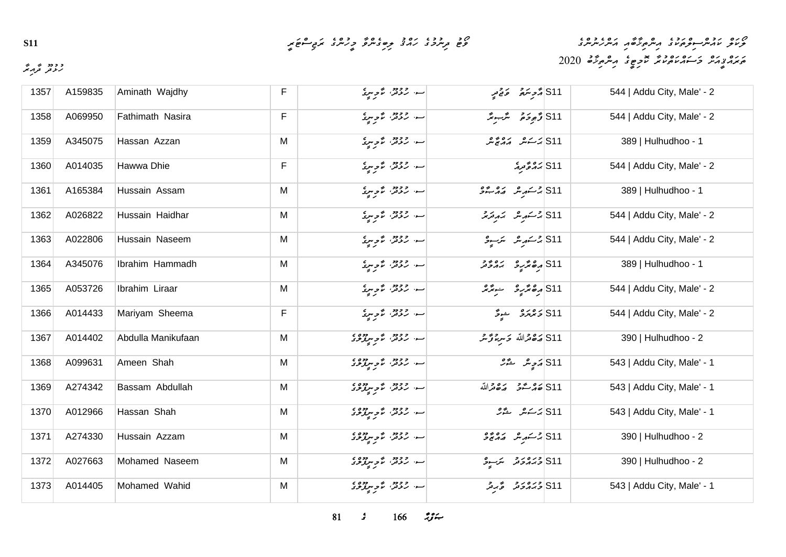*sCw7q7s5w7m< o<n9nOoAw7o< sCq;mAwBoEw7q<m; wBm;vB 2020<sup>, م</sup>وسر من المحمد المحمد المحمد المحمد العالم المحمد المحمد المحمد المحمد المحمد المحمد المحمد المحمد المحمد ال* 

| 1357 | A159835 | Aminath Wajdhy     | F | ے رکوفرن ماکو ہونگہ                 | S11 مَّ <i>جِسَمَۃُ</i> وَقَ <sub>ّ</sub> مَدٍ | 544   Addu City, Male' - 2 |
|------|---------|--------------------|---|-------------------------------------|------------------------------------------------|----------------------------|
| 1358 | A069950 | Fathimath Nasira   | F | ے رحوفز، عمر سری                    | S11 ۇ <sub>ج</sub> وڭ <sub>مۇ</sub> شەيبەتتە   | 544   Addu City, Male' - 2 |
| 1359 | A345075 | Hassan Azzan       | M | ے رودوں اگر سری                     | S11 ئەسەبىر مە <i>مەيجى</i> ر                  | 389   Hulhudhoo - 1        |
| 1360 | A014035 | Hawwa Dhie         | F | ے رکزوڑ، اگر سرنگ                   | S11 بَرْدُهٌ مِرِدٌ                            | 544   Addu City, Male' - 2 |
| 1361 | A165384 | Hussain Assam      | M | ے رودوں ماکو میری                   | S11 برسكىرىش كەبرىگەنى<br>ئا                   | 389   Hulhudhoo - 1        |
| 1362 | A026822 | Hussain Haidhar    | M | ے رودوں عمر سری                     | S11  پر شہر شہر تریمہ                          | 544   Addu City, Male' - 2 |
| 1363 | A022806 | Hussain Naseem     | M | ے رودوں اگر سری                     | S11 پڑے پر بھ سرچو                             | 544   Addu City, Male' - 2 |
| 1364 | A345076 | Ibrahim Hammadh    | M | ے رودوں ماکو ہوتا                   | S11 <sub>مر</sub> ھ <i>مگرد</i> و سمگرمو       | 389   Hulhudhoo - 1        |
| 1365 | A053726 | Ibrahim Liraar     | M | ے رودوں ماکو میری                   | S11 م <i>وڭ ئۇچ</i> رى سى <i>مگى</i> ر         | 544   Addu City, Male' - 2 |
| 1366 | A014433 | Mariyam Sheema     | F | ے رحوفز، عمر سری                    | S11 ك <i>رىمگ</i> ۇ خ <sub>ى</sub> رگ          | 544   Addu City, Male' - 2 |
| 1367 | A014402 | Abdulla Manikufaan | M | ے رودو شوہ دوہ                      | S11 كەھىراللە ئ <i>ەسلار بى</i> ر              | 390   Hulhudhoo - 2        |
| 1368 | A099631 | Ameen Shah         | M | ے رودو اور دون                      | S11  پرَ <sub>جِ</sub> سُ شَ <sup>م</sup> َرُ  | 543   Addu City, Male' - 1 |
| 1369 | A274342 | Bassam Abdullah    | M | ے۔ رووو گے سروری                    | S11 <i>6 مُحمَّدٌ فَقَ</i> مُحَمَّدَ اللَّه    | 543   Addu City, Male' - 1 |
| 1370 | A012966 | Hassan Shah        | M | ے۔ رووو گے سروری                    | S11 پرستر میٹر 2                               | 543   Addu City, Male' - 1 |
| 1371 | A274330 | Hussain Azzam      | M | ے رودو شوہروی                       | S11 پر <i>شهر شهرچ</i> و                       | 390   Hulhudhoo - 2        |
| 1372 | A027663 | Mohamed Naseem     | M | ے رودو اور دون                      | S11  <i>وټرونوتر پرسې</i> و                    | 390   Hulhudhoo - 2        |
| 1373 | A014405 | Mohamed Wahid      | M | ر د دو دو.<br>سه رنوتو، ناگرسرتونوی | S11 <i>دېمم</i> ونر گ <i>ر</i> ىر              | 543   Addu City, Male' - 1 |

و و *ه پي*م کرد مگر<br>رنو ت*و م*گرمگر

 $81$  *s*  $166$  *n***<sub>y</sub>** $\leq$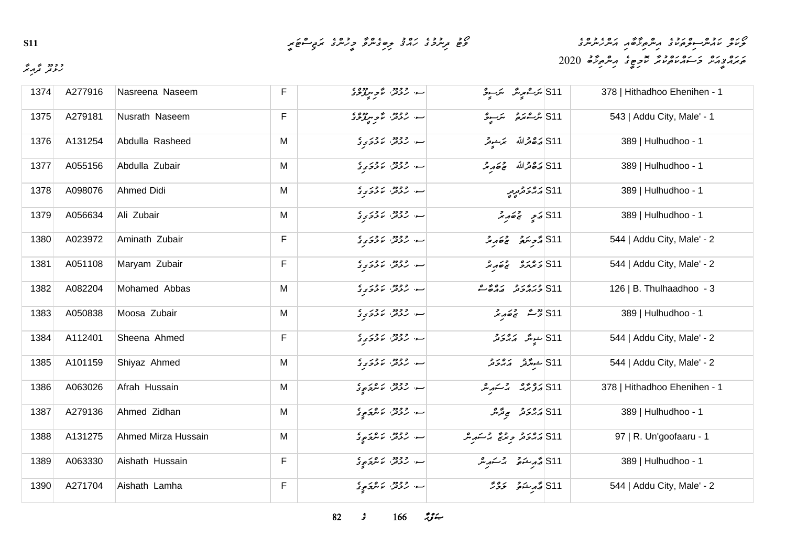*sCw7q7s5w7m< o<n9nOoAw7o< sCq;mAwBoEw7q<m; wBm;vB* م من المرة المرة المرة المرجع المرجع في المركبة 2020<br>مجم*د المريض المربوط المربع المرجع في المراجع المركبة* 

|  | s s n n    |
|--|------------|
|  | زؤفر تورمر |
|  |            |

| 1374 | A277916 | Nasreena Naseem     | F           | ر د دود از دوه و د                                 | S11 ىزىــْمېرىگە     ىزر_دۇ                            | 378   Hithadhoo Ehenihen - 1 |
|------|---------|---------------------|-------------|----------------------------------------------------|--------------------------------------------------------|------------------------------|
| 1375 | A279181 | Nusrath Naseem      | F           | ر دود شوس ده ده<br>سه روند، شوسرونور               | S11 ىر <i>ىشتى ھەس</i> وۋ                              | 543   Addu City, Male' - 1   |
| 1376 | A131254 | Abdulla Rasheed     | M           | ے۔ رووو اندون کا کا کروا ہے                        | S11 كەھەتراللە <del>م</del> رىش <sub>و</sub> تىر       | 389   Hulhudhoo - 1          |
| 1377 | A055156 | Abdulla Zubair      | M           | ر در دود در در د                                   | S11 مَ <i>ـُهْ مِّدْ</i> اللَّهُ تَجْ <i>حَمْ</i> مِرْ | 389   Hulhudhoo - 1          |
| 1378 | A098076 | <b>Ahmed Didi</b>   | M           | ر د ودو رور د<br>سه روتو، مانو <del>د</del> و د    | S11 كەر3قرىرىر                                         | 389   Hulhudhoo - 1          |
| 1379 | A056634 | Ali Zubair          | M           | سه اودود کارورا کا                                 | S11 <i>ھَ۔ ج</i> صَ <i>م</i> ہ                         | 389   Hulhudhoo - 1          |
| 1380 | A023972 | Aminath Zubair      | F           | سه رودو رود و                                      | S11 مَّ حِسَمَ مِنْ صَدِيمَهِ                          | 544   Addu City, Male' - 2   |
| 1381 | A051108 | Maryam Zubair       | F           | ر در دوده اروز و در دارد.<br>سوار مرکزی مانورو و د | S11 <i>وَبُرْدَرْ جَهَدِيرْ</i>                        | 544   Addu City, Male' - 2   |
| 1382 | A082204 | Mohamed Abbas       | M           | در دود کاری در د                                   | $282225$ S11                                           | 126   B. Thulhaadhoo - 3     |
| 1383 | A050838 | Moosa Zubair        | M           | ر د ودو رور د<br>سه روتو، مانو <del>د</del> و د    | S11 تۇشە ئەھەبىتى                                      | 389   Hulhudhoo - 1          |
| 1384 | A112401 | Sheena Ahmed        | F           | ر د دود د د د د د<br>سه روتر، موود د               | S11 حيثر ك <i>ەبى</i> ر كىر                            | 544   Addu City, Male' - 2   |
| 1385 | A101159 | Shiyaz Ahmed        | M           | ر د ودو رور د<br>سه روتو، مانو <del>د</del> و د    | S11 حېتمنر <i>ډېرې</i> تر                              | 544   Addu City, Male' - 2   |
| 1386 | A063026 | Afrah Hussain       | M           | - رودو کامره کار                                   | S11 <sub>م</sub> زوم پر بر شهر شر                      | 378   Hithadhoo Ehenihen - 1 |
| 1387 | A279136 | Ahmed Zidhan        | M           | ۔ دوود نامرور ،                                    | S11 كەش <sup>ى</sup> ر قىر س <sub>ە</sub> مەر بىر      | 389   Hulhudhoo - 1          |
| 1388 | A131275 | Ahmed Mirza Hussain | M           | ب دود رور ،                                        | S11 كەندى قارىپقى بەسكەبلا                             | 97   R. Un'goofaaru - 1      |
| 1389 | A063330 | Aishath Hussain     | $\mathsf F$ | سه رودو، کامرونوی                                  | S11 مۇمەينىمۇ گەسىمبەش                                 | 389   Hulhudhoo - 1          |
| 1390 | A271704 | Aishath Lamha       | F           | ے دووو تامری                                       | S11 م <i>ۇم شىم</i> ئۇرگ                               | 544   Addu City, Male' - 2   |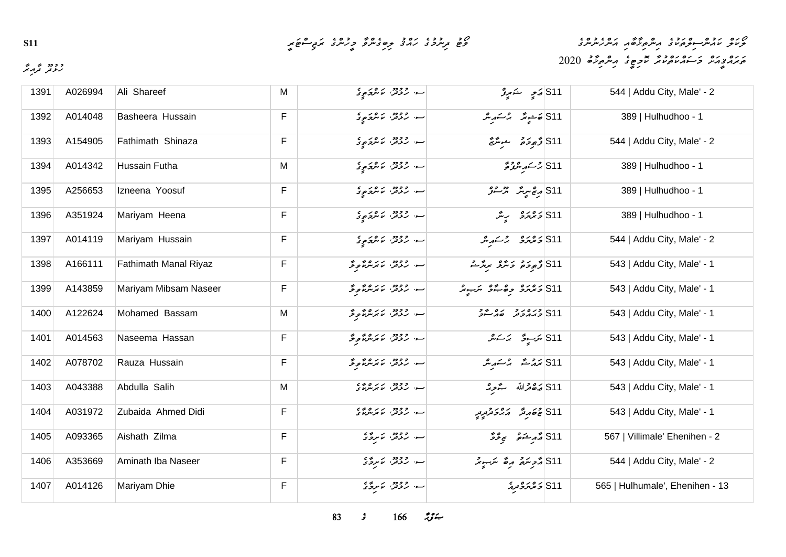*sCw7q7s5w7m< o<n9nOoAw7o< sCq;mAwBoEw7q<m; wBm;vB* م من المرة المرة المرة المرجع المرجع في المركبة 2020<br>مجم*د المريض المربوط المربع المرجع في المراجع المركبة* 

| د ده په      |  |
|--------------|--|
| روثتر قرمانه |  |

| 1391 | A026994 | Ali Shareef                  | M           | ے۔ رودوں کا ملاحات کا                          | S11  كەمچە ھەمپور                                       | 544   Addu City, Male' - 2      |
|------|---------|------------------------------|-------------|------------------------------------------------|---------------------------------------------------------|---------------------------------|
| 1392 | A014048 | Basheera Hussain             | F           | ر در دود. زره در در د                          | S11 صَحْبِعٌ گَرْسَمَ <i>رِ م</i> ْرُ                   | 389   Hulhudhoo - 1             |
| 1393 | A154905 | Fathimath Shinaza            | F           | - دودو رور ،                                   | S11 تَرْجِرْحَمْ صْبِسَّمَّةَ                           | 544   Addu City, Male' - 2      |
| 1394 | A014342 | Hussain Futha                | M           | سه دوده که شرح می ک                            | S11 پر شمبر مثر پڑھ<br>پ                                | 389   Hulhudhoo - 1             |
| 1395 | A256653 | Izneena Yoosuf               | F           | ر در دود. زره در در د                          | S11 <sub>مو</sub> ڃ <sub>موس</sub> تر گ <sup>و</sup> شو | 389   Hulhudhoo - 1             |
| 1396 | A351924 | Mariyam Heena                | F           | ے۔ رودو کامرور کا                              | S11  <i>5 پر پر بل</i> گر                               | 389   Hulhudhoo - 1             |
| 1397 | A014119 | Mariyam Hussain              | F           | ے رودو کامروکا                                 | S11 كەبىر بىر يەسىر بىر                                 | 544   Addu City, Male' - 2      |
| 1398 | A166111 | <b>Fathimath Manal Riyaz</b> | F           | - رودو رىرەم ئوگ                               | S11 زُّەِرَە ئ <sup>ە</sup> ر ئەر ئىرە <i>دى</i> شە     | 543   Addu City, Male' - 1      |
| 1399 | A143859 | Mariyam Mibsam Naseer        | $\mathsf F$ | - رودو رىرەم ئوگ                               | S11 <i>وَيُرْمَرُوْ وِهْبُوْ مَرْسِيمُ</i>              | 543   Addu City, Male' - 1      |
| 1400 | A122624 | Mohamed Bassam               | M           | ے اردود کے درہ دی گھ                           | S11 دېرمونو خص <sup>ور</sup>                            | 543   Addu City, Male' - 1      |
| 1401 | A014563 | Naseema Hassan               | F           | ے رودہ رے دیکھیے                               | S11  ىترسوى - ئەس <i>تەنل</i>                           | 543   Addu City, Male' - 1      |
| 1402 | A078702 | Rauza Hussain                | F           | ے اردود کے درہ دی گھ                           | S11 ئىرت <sub>ە</sub> شقە جەسىمبەش                      | 543   Addu City, Male' - 1      |
| 1403 | A043388 | Abdulla Salih                | M           | د د د ده در ده د د<br>سه روتر، مایوسردار       | S11 كَەڭ قىراللە بەش <i>ۈر</i>                          | 543   Addu City, Male' - 1      |
| 1404 | A031972 | Zubaida Ahmed Didi           | F           | د د ودو. د بر ه ه ه ه<br>سه ا رنوش اما توسرهای | S11 ئىھَەر قىر سەكەترىرىر                               | 543   Addu City, Male' - 1      |
| 1405 | A093365 | Aishath Zilma                | F           | سە زىرى ئابروكى                                | S11 مَەرشىق ب <i>ې</i> ۋۇ                               | 567   Villimale' Ehenihen - 2   |
| 1406 | A353669 | Aminath Iba Naseer           | F           | ے رودوم کا بروگی                               | S11 مُرْحِسَمُ مِنْ سَنِبِيرُ                           | 544   Addu City, Male' - 2      |
| 1407 | A014126 | Mariyam Dhie                 | F           | ے رودوم کا بروگی                               | S11 5پرپر3مرچ                                           | 565   Hulhumale', Ehenihen - 13 |

**83** *s* **166** *n***<sub>s</sub>***n***<sub>s</sub>**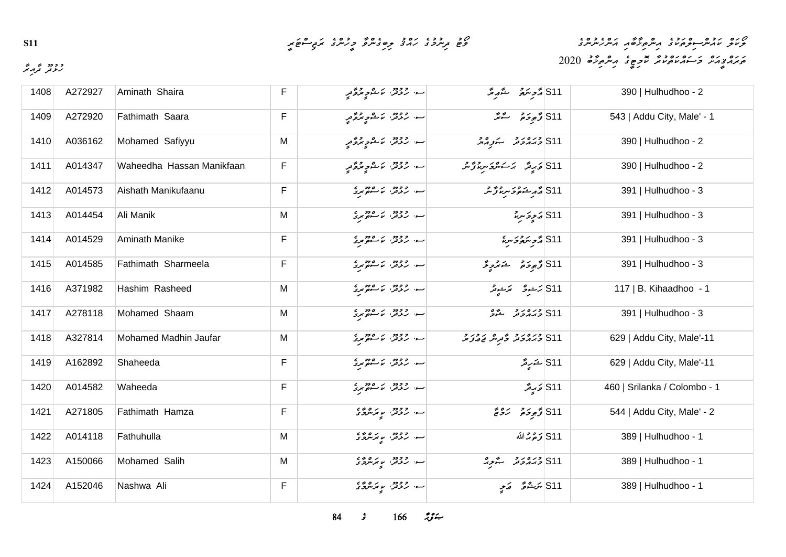*sCw7q7s5w7m< o<n9nOoAw7o< sCq;mAwBoEw7q<m; wBm;vB* م من المرة المرة المرة المرجع المرجع في المركبة 2020<br>مجم*د المريض المربوط المربع المرجع في المراجع المركبة* 

|  | د دود به پر<br>رنز تر ترمه تر |
|--|-------------------------------|
|  |                               |

| 1408 | A272927 | Aminath Shaira            | F           | ے رکوفر، ایک شرو برو میں                        | S11 مَّ حِ سَمَّ مُسَّمَّدٍ مَّذَ                                 | 390   Hulhudhoo - 2          |
|------|---------|---------------------------|-------------|-------------------------------------------------|-------------------------------------------------------------------|------------------------------|
| 1409 | A272920 | Fathimath Saara           | F           | ب رودو پره ووير                                 | S11 ۇ <sub>جو</sub> رَمْ شَتَرَ                                   | 543   Addu City, Male' - 1   |
| 1410 | A036162 | Mohamed Safiyyu           | M           | ے رودہ رکھویروپر                                | S11 <i>ۋېرەدى بەي ۋە</i>                                          | 390   Hulhudhoo - 2          |
| 1411 | A014347 | Waheedha Hassan Manikfaan | F           | ب رودد. تأڪو برقوبر                             | S11 <i>ھَ بِيعَدُ بْنِ سَنْعَدُ بِيرِين<sub>ا</sub> وَ</i> مُتَرَ | 390   Hulhudhoo - 2          |
| 1412 | A014573 | Aishath Manikufaanu       | $\mathsf F$ | د د ودو د د ده د د د<br>سه روتر، تا سوه بوی     | S11 مەم ھەم ئەس ئۇ تىر                                            | 391   Hulhudhoo - 3          |
| 1413 | A014454 | Ali Manik                 | M           | د د دود د د د د د د د<br>سه روتو، تاسعوموی      | S11 ڪ <sub>يپ م</sub> وسيد                                        | 391   Hulhudhoo - 3          |
| 1414 | A014529 | Aminath Manike            | F           | د و دود در ۲۵۵ ده.<br>سه رنوتو، تاسعهجای        | S11 مُ <i>ج</i> سَمْهُ حَسِن <sub>َ</sub>                         | 391   Hulhudhoo - 3          |
| 1415 | A014585 | Fathimath Sharmeela       | $\mathsf F$ | د و و دو در ۵۶۵ و د<br>سه رنوتو، تا سهمونوی     | S11 ۇ <sub>ج</sub> ودۇ شىر <i>و</i> ۇ                             | 391   Hulhudhoo - 3          |
| 1416 | A371982 | Hashim Rasheed            | M           | د د دود د ده د د د د د د                        | S11 كەنتىرى - تەكسىرىمى                                           | 117   B. Kihaadhoo - 1       |
| 1417 | A278118 | Mohamed Shaam             | M           | د د د دود د د د د د د د<br>سه روتر، تم سوه بوی  | S11 ديرورو گړو                                                    | 391   Hulhudhoo - 3          |
| 1418 | A327814 | Mohamed Madhin Jaufar     | M           | د د دود د ده د د د د د د                        | S11 <i>وبرورو وُبِرِسْ فەن ب</i> ر                                | 629   Addu City, Male'-11    |
| 1419 | A162892 | Shaheeda                  | $\mathsf F$ | ر د د د د د د د د د د د<br>سه رنوتو، با سهم بوی | S11 شریگر                                                         | 629   Addu City, Male'-11    |
| 1420 | A014582 | Waheeda                   | F           | د د دود د د د د د د د<br>سه روتو، تا سهونوی     | S11 <sub>ح بر</sub> مَّز                                          | 460   Srilanka / Colombo - 1 |
| 1421 | A271805 | Fathimath Hamza           | F           | ے۔ ووود پر تدری                                 | S11 <i>وُّجِ دَمْ دَ رَوْجُ</i>                                   | 544   Addu City, Male' - 2   |
| 1422 | A014118 | Fathuhulla                | M           | ے۔ ووود پر تدری                                 | S11 وَحَدَّ اللَّه                                                | 389   Hulhudhoo - 1          |
| 1423 | A150066 | Mohamed Salih             | M           | - دودو بالانده وه                               | S11 <i>2222 سگور</i><br>ا                                         | 389   Hulhudhoo - 1          |
| 1424 | A152046 | Nashwa Ali                | F           | ے رودو پر مرکزی                                 | S11  سَرَشْرَةٌ      دَمِرِ                                       | 389   Hulhudhoo - 1          |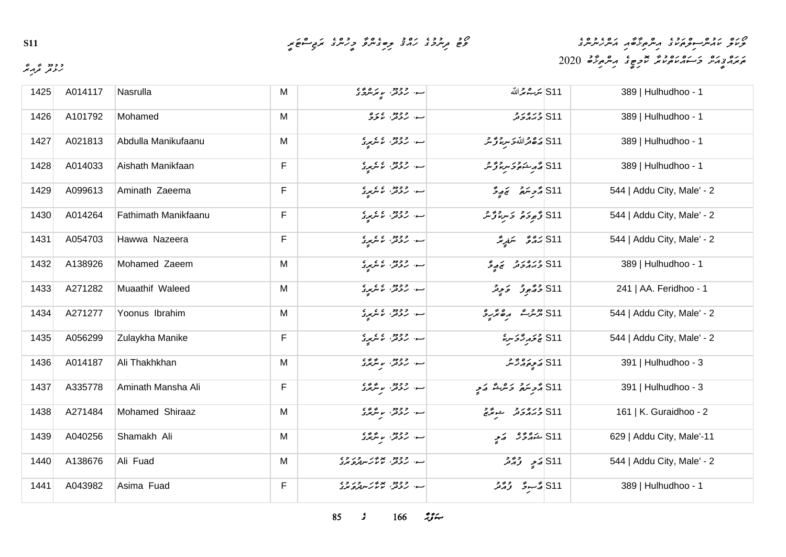*sCw7q7s5w7m< o<n9nOoAw7o< sCq;mAwBoEw7q<m; wBm;vB* م من المسجد المسجد المسجد المسجد المسجد العام 2020<br>مجم*د المسجد المسجد المستجد المسجد المسجد المسجد المسجد المسجد المسجد المسجد المسجد المسجد المسجد المسجد المسجد* 

| 1425 | A014117 | Nasrulla             | M           | ے رودہ پر مردون                                  | S11  تتربكه تحرالله                              | 389   Hulhudhoo - 1        |
|------|---------|----------------------|-------------|--------------------------------------------------|--------------------------------------------------|----------------------------|
| 1426 | A101792 | Mohamed              | M           | ر در دود. عاره ا                                 | S11 دُبَرْدْدَتْر                                | 389   Hulhudhoo - 1        |
| 1427 | A021813 | Abdulla Manikufaanu  | M           | ے رودوں عامریزی                                  | S11 كَەڭ قىراللەي سەيدۇ ئۇ تىر                   | 389   Hulhudhoo - 1        |
| 1428 | A014033 | Aishath Manikfaan    | F           | ے ارودہ کالماس                                   | S11 مەم ھەم ئەسرىرى تۈرىگە                       | 389   Hulhudhoo - 1        |
| 1429 | A099613 | Aminath Zaeema       | F           | ے ارودہ کالماس                                   | S11 مَّ <i>جِسَعْہ</i> نَج مِرْحَر               | 544   Addu City, Male' - 2 |
| 1430 | A014264 | Fathimath Manikfaanu | $\mathsf F$ | ے ارودہ کالماس                                   | S11 ژ <sub>ېو</sub> دَنْ دَسِرْتَرَ تَر          | 544   Addu City, Male' - 2 |
| 1431 | A054703 | Hawwa Nazeera        | F           | ے ارودہ کا تاریخ                                 | S11 <i>بَدُهُ تَلَّهُ مَبْرِيُّ</i>              | 544   Addu City, Male' - 2 |
| 1432 | A138926 | Mohamed Zaeem        | M           | ے۔ ارودہ ان کاربری                               | S11 <i>دېمگەن</i> ى ئەرە                         | 389   Hulhudhoo - 1        |
| 1433 | A271282 | Muaathif Waleed      | M           | ے ارودہ عام ہے                                   | S11 دُمَّە پور گە پار                            | 241   AA. Feridhoo - 1     |
| 1434 | A271277 | Yoonus Ibrahim       | M           | ے ارودہ کالماس                                   | S11 ترىر مەھەر يەھ                               | 544   Addu City, Male' - 2 |
| 1435 | A056299 | Zulaykha Manike      | $\mathsf F$ | ے رودوں کا عربی کا                               | S11  ى <sub>ج</sub> ئۇم <sub>ۇ</sub> رتى ئەسرىئا | 544   Addu City, Male' - 2 |
| 1436 | A014187 | Ali Thakhkhan        | M           | ے ارودو باشریزی                                  | S11 كەمچە <i>كەنگە</i> ر                         | 391   Hulhudhoo - 3        |
| 1437 | A335778 | Aminath Mansha Ali   | $\mathsf F$ | ے ارودوں پانڈوی                                  | S11 مَّ <i>وِ سَمَّۃ کا شَرْحَہ مَ مِ</i>        | 391   Hulhudhoo - 3        |
| 1438 | A271484 | Mohamed Shiraaz      | M           | سه دودو. با پنجابی                               | S11 <i>دېزونو شومگ</i> ې                         | 161   K. Guraidhoo - 2     |
| 1439 | A040256 | Shamakh Ali          | M           | سە زودە ئاسلام                                   | S11 خەر <sub>م</sub> ۇر كەي                      | 629   Addu City, Male'-11  |
| 1440 | A138676 | Ali Fuad             | M           | د د ده پره ر د د د د د<br>پ رندن بابار سرترو برد | S11  رَمِ وَرُدُوْ                               | 544   Addu City, Male' - 2 |
| 1441 | A043982 | Asima Fuad           | F           | د د دور سره د بر د د د<br>سه اردند، اما ما مرس   | S11 م <sup>ح</sup> سبوءً ق <i>وم</i> قر          | 389   Hulhudhoo - 1        |

 $85$  *s*  $\frac{166}{100}$  *n***<sub>19</sub>** $\leftarrow$ 

*n8o<n@ r@q:q5*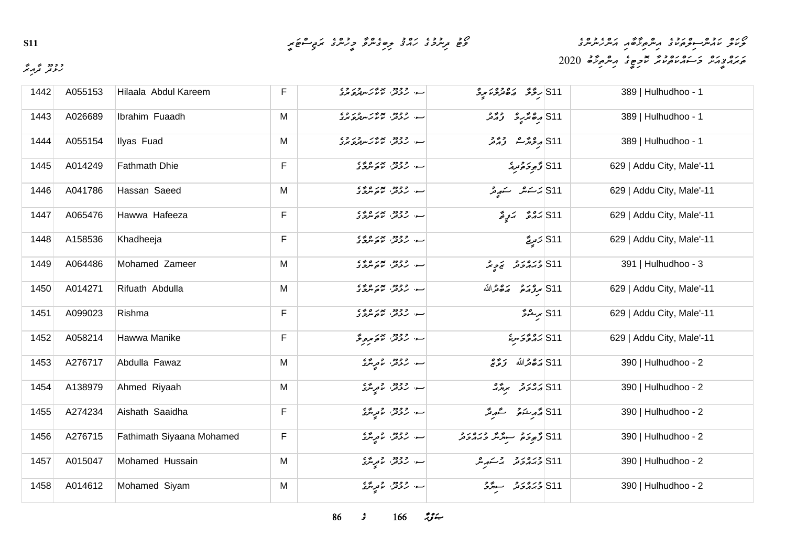*sCw7q7s5w7m< o<n9nOoAw7o< sCq;mAwBoEw7q<m; wBm;vB* م من المرة المرة المرة المرجع المرجع في المركبة 2020<br>مجم*د المريض المربوط المربع المرجع في المراجع المركبة* 

|  | د دود به پر<br>رنز تر ترمه تر |
|--|-------------------------------|
|  |                               |

| 1442 | A055153 | Hilaala Abdul Kareem      | F            | ے۔ ووود ہونے سروروں                                 | S11 بەقەق مەھەر <i>ى تەرە</i>              | 389   Hulhudhoo - 1       |
|------|---------|---------------------------|--------------|-----------------------------------------------------|--------------------------------------------|---------------------------|
| 1443 | A026689 | Ibrahim Fuaadh            | M            | د د دو. پره د بر د د د د<br>سه رنوش انا بارسهوه برد | S11 م <i>وھ مگرچ</i> و مح <sup>مد</sup> تر | 389   Hulhudhoo - 1       |
| 1444 | A055154 | Ilyas Fuad                | M            | د دوه سوه ر در ده.<br>سوا رنوش برنار برتوروس        | S11 مەۋەرىشە بورتىر                        | 389   Hulhudhoo - 1       |
| 1445 | A014249 | <b>Fathmath Dhie</b>      | F            | د د دوه مور ۵۶۵<br>پ. رنوس مام مرد د                | S11 ۇ <sub>جو</sub> رَ <sub>حو</sub> برۇ   | 629   Addu City, Male'-11 |
| 1446 | A041786 | Hassan Saeed              | M            | د دودو. پر ده و د<br>سه رنوش ناموس د د              | S11 پرستر مر سک <i>ھ</i> یٹر               | 629   Addu City, Male'-11 |
| 1447 | A065476 | Hawwa Hafeeza             | F            | د د دود بدر ه د د<br>سه رودر، نام مرد د             | S11 بَرْدُمَّ تَرَبِّيَّ                   | 629   Addu City, Male'-11 |
| 1448 | A158536 | Khadheeja                 | F            | ر د د ده پر ده و د و<br>سه گرفتن نام مرد و          | S11  تزمیرچّ                               | 629   Addu City, Male'-11 |
| 1449 | A064486 | Mohamed Zameer            | M            | ر د د د برده د د د<br>سه گرفتن نام مرد د            | S11 <i>دېمگ</i> ونر کاموند                 | 391   Hulhudhoo - 3       |
| 1450 | A014271 | Rifuath Abdulla           | M            | د د دود بدر ه د ه<br>پ. روتر، نام مرد د             | S11 <i>مروض مەھى</i> راللە                 | 629   Addu City, Male'-11 |
| 1451 | A099023 | Rishma                    | F            | ر د د د برده و د د<br>سه رونو، موه دو د             | S11  برشرمح<br>*                           | 629   Addu City, Male'-11 |
| 1452 | A058214 | Hawwa Manike              | F            | ر د دود برد .<br>ب روند، لاه موجوع                  | S11 ئەرمۇ <del>ر</del> بىرىد               | 629   Addu City, Male'-11 |
| 1453 | A276717 | Abdulla Fawaz             | M            | ے رودو، توریڈی                                      | S11 كەھەتراللە ئ <i>وغ</i> ى               | 390   Hulhudhoo - 2       |
| 1454 | A138979 | Ahmed Riyaah              | M            | ے۔ رودوں اور مگر                                    | S11 كەبرى ئىر ئىرگە بىر                    | 390   Hulhudhoo - 2       |
| 1455 | A274234 | Aishath Saaidha           | F            | ے رودو ویدی                                         | S11 مَدْمِ مَنْهُمْ مُسْتَمْهِ مَدْ        | 390   Hulhudhoo - 2       |
| 1456 | A276715 | Fathimath Siyaana Mohamed | F            | سەر 335، مۇرىگرى                                    | S11 ز <sub>نجوخ</sub> و سرگر دبرورد        | 390   Hulhudhoo - 2       |
| 1457 | A015047 | Mohamed Hussain           | $\mathsf{M}$ | ے دوود وریدی                                        | S11 <i>ديومو جي جيمبر</i><br>س             | 390   Hulhudhoo - 2       |
| 1458 | A014612 | Mohamed Siyam             | M            | ے دودہ دورہ                                         | S11 <i>دېزونه</i> سو <i>رو</i>             | 390   Hulhudhoo - 2       |

 $86$  *s*  $\cancel{0}$  **166** *n***<sub>3</sub>** *n***<sub>1</sub> <b>***n*<sub>2</sub> *n*<sub>2</sub> *n*<sub>2</sub> *n*<sub>2</sub> *n*<sub>2</sub> *n*<sub>2</sub> *n*<sub>2</sub> *n*<sub>2</sub> *n*<sub>2</sub> *n*<sub>2</sub> *n*<sub>2</sub> *n*<sub>2</sub> *n*<sub>2</sub> *n*<sub>2</sub> *n*<sub>2</sub> *n*<sub>2</sub> *n*<sub>2</sub> *n*<sub>2</sub> *n*<sub>2</sub> *n*<sub>2</sub>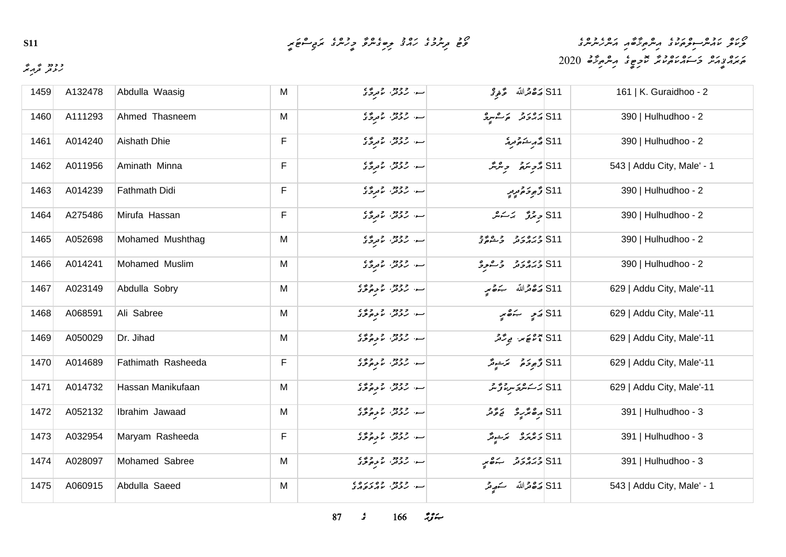*sCw7q7s5w7m< o<n9nOoAw7o< sCq;mAwBoEw7q<m; wBm;vB* م من المرة المرة المرة المرجع المرجع في المركبة 2020<br>مجم*د المريض المربوط المربع المرجع في المراجع المركبة* 

|  | 4.4.222        |
|--|----------------|
|  | نرعرفر اقرمرته |
|  |                |

| 1459 | A132478 | Abdulla Waasig       | M           | ب دودو وروی                             | S11 كەھىراللە گ <sub>ەھم</sub> ى                                                                          | 161   K. Guraidhoo - 2     |
|------|---------|----------------------|-------------|-----------------------------------------|-----------------------------------------------------------------------------------------------------------|----------------------------|
| 1460 | A111293 | Ahmed Thasneem       | M           | سه دودو وروء                            | S11 كەبرى قىم كەر يېتىش كەنتىر ئىشتار ئىستان ئىشتار ئىستان ئىشتار ئىستان ئىستان ئىشتار ئىستان ئىشتار ئىشت | 390   Hulhudhoo - 2        |
| 1461 | A014240 | Aishath Dhie         | $\mathsf F$ | ر دودو و ده                             | S11 مُدْمِ شَوْمِرْمُر                                                                                    | 390   Hulhudhoo - 2        |
| 1462 | A011956 | Aminath Minna        | F           | ے۔ رووو و دی                            | S11 مَّ <i>جِسَمَّةَ جِسْرَةً</i>                                                                         | 543   Addu City, Male' - 1 |
| 1463 | A014239 | <b>Fathmath Didi</b> | F           | ر د دود د ده و                          | S11  <i>وَّ مِوَ دُودِيد</i> ِ                                                                            | 390   Hulhudhoo - 2        |
| 1464 | A275486 | Mirufa Hassan        | $\mathsf F$ | ر د دود. د د ده د                       | S11  <sub>ج</sub> ېمرگ - ټر <i>ش</i> هر                                                                   | 390   Hulhudhoo - 2        |
| 1465 | A052698 | Mohamed Mushthag     | M           | ے دوود وردہ                             | S11 ژبر در د و دونو ته                                                                                    | 390   Hulhudhoo - 2        |
| 1466 | A014241 | Mohamed Muslim       | M           | ر دودو و ده                             | S11 <i>وَبَرْدُونَرْ</i> وَسْعِرَوْ                                                                       | 390   Hulhudhoo - 2        |
| 1467 | A023149 | Abdulla Sobry        | M           | ب دوده له دوه و                         | S11 كەڭداللە جۇھىر                                                                                        | 629   Addu City, Male'-11  |
| 1468 | A068591 | Ali Sabree           | M           | ر د دود. د د ده د<br>سه روتر، ما د د وی | S11 <i>ھَ۔</i> سَقِی                                                                                      | 629   Addu City, Male'-11  |
| 1469 | A050029 | Dr. Jihad            | M           | ر د دود د د ده د<br>سه روتر، ما د د وی  | S11 پچھ بھی ہے گ <sup>ی</sup> تھ                                                                          | 629   Addu City, Male'-11  |
| 1470 | A014689 | Fathimath Rasheeda   | F           | ر د دود. د د د د د د                    | S11 <i>وَّج</i> وحَمْ - مَرْسُوِمَّر                                                                      | 629   Addu City, Male'-11  |
| 1471 | A014732 | Hassan Manikufaan    | M           | ر د دود. د د ده د<br>سه روتر، ما د د وی | S11 ئەسەمى <i>گە ئوبدۇ ت</i> ىر                                                                           | 629   Addu City, Male'-11  |
| 1472 | A052132 | Ibrahim Jawaad       | M           | - دودور وروده                           | S11 <sub>مر</sub> ھ <i>مگرچ</i> تے <i>ق</i> م                                                             | 391   Hulhudhoo - 3        |
| 1473 | A032954 | Maryam Rasheeda      | F           | ر د دود. د د ده د<br>سه روتر، ما د د وی | S11 كەنگەنى - ئەخبەنگە                                                                                    | 391   Hulhudhoo - 3        |
| 1474 | A028097 | Mohamed Sabree       | M           | ب دوده له دوه و                         | S11 <i>ۋېزودىق بەھىر</i>                                                                                  | 391   Hulhudhoo - 3        |
| 1475 | A060915 | Abdulla Saeed        | M           | ر د دود ده دره ده<br>سه روتر، ماندوهای  | S11 كەڭداللە كىر <i>بە</i> تر                                                                             | 543   Addu City, Male' - 1 |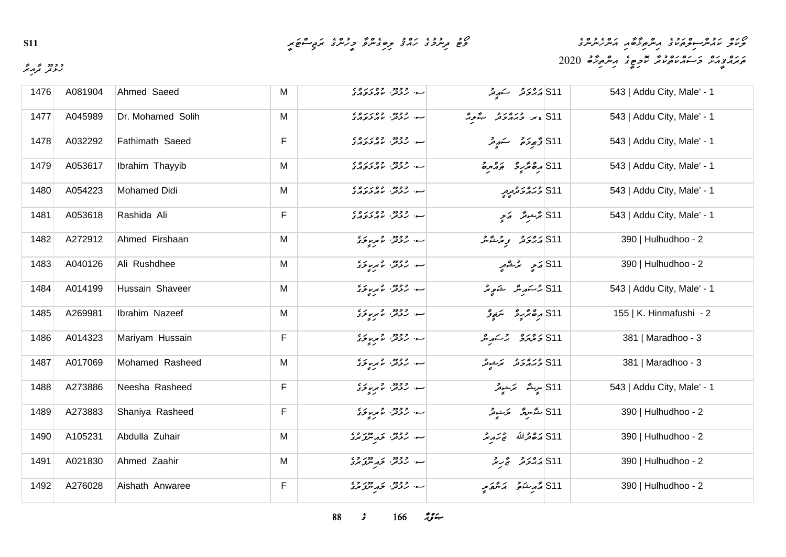*sCw7q7s5w7m< o<n9nOoAw7o< sCq;mAwBoEw7q<m; wBm;vB 2020*<br>*په ټومن د سوم پوره پورې پر سوم د سره پره و*لا

| 1476 | A081904 | Ahmed Saeed         | M           | ر د ودو وه د ده د ده.<br>سو، رکونس ماهرکوهای | S11  پَرْدُوَتْرَ کُمْ سَرَمْ            | 543   Addu City, Male' - 1 |
|------|---------|---------------------|-------------|----------------------------------------------|------------------------------------------|----------------------------|
| 1477 | A045989 | Dr. Mohamed Solih   | M           | ر د دود ده دره ده<br>سوا رکونس ماندگون در    | S11 ، <i>بر، دېمگرونر سگون</i> گ         | 543   Addu City, Male' - 1 |
| 1478 | A032292 | Fathimath Saeed     | $\mathsf F$ | ر دودو. وه دره ده<br>سو، رنوش مالدنوجالدی    | S11 رَّجِودَةُ صَمِيقُ                   | 543   Addu City, Male' - 1 |
| 1479 | A053617 | Ibrahim Thayyib     | M           | ر د ودو ده دره ده<br>سو، رنوتر، ماندنوجاندی  | S11 مەھمەر <i>قەم</i> رە                 | 543   Addu City, Male' - 1 |
| 1480 | A054223 | <b>Mohamed Didi</b> | M           | ر د دود ده دره ده<br>سه روتر، ماندوناند      | S11  32,2 <i>5 ترور</i> مر               | 543   Addu City, Male' - 1 |
| 1481 | A053618 | Rashida Ali         | F           | ر د دود ده دره ده<br>سه روتر، ماروماد        | S11 بُرْجِعِتْرِ كَمَعٍ                  | 543   Addu City, Male' - 1 |
| 1482 | A272912 | Ahmed Firshaan      | M           | سه رودو د ممبر بوی                           | S11 كەبرى قىر بويۇ ئىقىد                 | 390   Hulhudhoo - 2        |
| 1483 | A040126 | Ali Rushdhee        | M           | ۔ رودہ تاہر ہوئ                              | S11 <i>ھَ جِ</i> مَحْشَمِرِ              | 390   Hulhudhoo - 2        |
| 1484 | A014199 | Hussain Shaveer     | M           | ے رودو تم مربوعی                             | S11 پرکسر کر مقدم تھا۔<br>ا              | 543   Addu City, Male' - 1 |
| 1485 | A269981 | Ibrahim Nazeef      | M           | ب دودو میروزی                                | S11 مەھەر بۇ سىمب <i>و</i> ر             | 155   K. Hinmafushi - 2    |
| 1486 | A014323 | Mariyam Hussain     | F           | ے رودو تم مربوعی                             | S11 كەمەر بەر يەسىر بىر                  | 381   Maradhoo - 3         |
| 1487 | A017069 | Mohamed Rasheed     | M           | سه رودو د ممبر بوی                           | S11  <i>وْبَہْدُوَمَّرْ بَرَحْبِيْرْ</i> | 381   Maradhoo - 3         |
| 1488 | A273886 | Neesha Rasheed      | $\mathsf F$ | سه اردود در در در                            | S11 سرینڈ تر <sub>شو</sub> تر            | 543   Addu City, Male' - 1 |
| 1489 | A273883 | Shaniya Rasheed     | $\mathsf F$ | ے رودو تم مربوعی                             | S11 ڪُسِرمَّ - مَرَسُومَرُ -             | 390   Hulhudhoo - 2        |
| 1490 | A105231 | Abdulla Zuhair      | M           |                                              | S11 كەھىراللە ت <u>ە</u> رىمەتتە         | 390   Hulhudhoo - 2        |
| 1491 | A021830 | Ahmed Zaahir        | M           | سه رودو از کار دور والی                      | S11 كەبرى قىلى قىلىمىتى ئىس              | 390   Hulhudhoo - 2        |
| 1492 | A276028 | Aishath Anwaree     | $\mathsf F$ | ر د دوه د د دور و ،<br>سه روند، نوپرس        | S11 مَگْرِسْنَعْوَ     مَكْرَهَ مِرِ     | 390   Hulhudhoo - 2        |

**88** *s* **166** *n***<sub>3</sub>** $\div$ 

*n8o<n@ r@q:q5*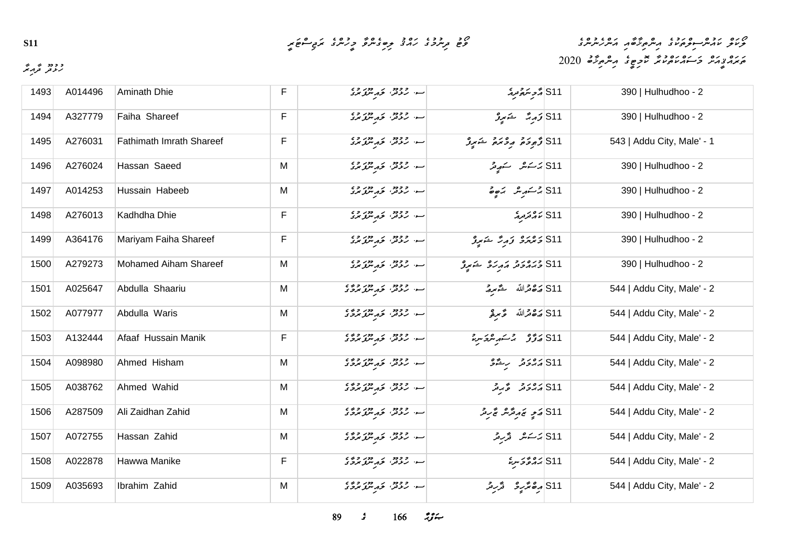*sCw7q7s5w7m< o<n9nOoAw7o< sCq;mAwBoEw7q<m; wBm;vB* م من المرة المرة المرة المرجع المرجع في المركبة 2020<br>مجم*د المريض المربوط المربع المرجع في المراجع المركبة* 

|  | د دود به پر<br>رنز تر ترمه تر |
|--|-------------------------------|
|  |                               |

| 1493 | A014496 | Aminath Dhie                    | F           | ر در دور در در در در د                           | S11 أُمَّ حِ سَمَعُ مِرْمَّر                  | 390   Hulhudhoo - 2        |
|------|---------|---------------------------------|-------------|--------------------------------------------------|-----------------------------------------------|----------------------------|
| 1494 | A327779 | Faiha Shareef                   | F           | ے رودو تر بھر دی                                 | S11 تَ <i>وَمِدٌ</i> حَسَبِيوٌ                | 390   Hulhudhoo - 2        |
| 1495 | A276031 | <b>Fathimath Imrath Shareef</b> | $\mathsf F$ | ے رودو تر بھر دی                                 | S11 زُب <i>ودَهُ ودُمَهُ</i> حَ <i>مِي</i> رُ | 543   Addu City, Male' - 1 |
| 1496 | A276024 | Hassan Saeed                    | M           | ے رودو تر دور وی                                 | S11 پرسترش ست <i>مہیٹر</i>                    | 390   Hulhudhoo - 2        |
| 1497 | A014253 | Hussain Habeeb                  | M           | ر د دوه د دور ده ده<br>سو، روتر، نوم شور برد     | S11 برڪبري <i>گ برُھ</i> ھ                    | 390   Hulhudhoo - 2        |
| 1498 | A276013 | Kadhdha Dhie                    | F           | ر در دور در دور د د .<br>سه روتو، نوم شمل برد    | S11 مَ تَرْمَدِيْرَ                           | 390   Hulhudhoo - 2        |
| 1499 | A364176 | Mariyam Faiha Shareef           | F           | ے رودو ترمیز دی                                  | S11  ى <i>ئەيرى ۋەب<sup>ى</sup> خىمپ</i> ۇ    | 390   Hulhudhoo - 2        |
| 1500 | A279273 | <b>Mohamed Aiham Shareef</b>    | M           |                                                  | S11 <i>ويروونو مەرزۇ خىرى</i>                 | 390   Hulhudhoo - 2        |
| 1501 | A025647 | Abdulla Shaariu                 | M           | ے رودو کے دور وہ ہ                               | S11 مَەھْتَراللە شە <i>مەم</i>                | 544   Addu City, Male' - 2 |
| 1502 | A077977 | Abdulla Waris                   | M           | ر در دور در دور وه و.<br>سه رنوس نوم شور دور     | S11 كَەھىراللە گەمەھ                          | 544   Addu City, Male' - 2 |
| 1503 | A132444 | Afaaf Hussain Manik             | F           | ر در دور در دور و ده<br>رسه روتر، نوبر سرو برو د | S11 كەرمۇ بۇ سەمبە بىر ئىككە بىرىد            | 544   Addu City, Male' - 2 |
| 1504 | A098980 | Ahmed Hisham                    | M           | ے رودو کردوں دوں                                 | S11 كەندى قىر بەشگەنى                         | 544   Addu City, Male' - 2 |
| 1505 | A038762 | Ahmed Wahid                     | M           | ر در دوه از دور وه و.<br>د رنگتر، نوم شوکر مروان | S11 كەبرى قىر قىلىقى ئىل                      | 544   Addu City, Male' - 2 |
| 1506 | A287509 | Ali Zaidhan Zahid               | M           | ر در دور در دور وه و.<br>سه رنوس نوم شور دور     | S11 <i>ړې ټاپوننگر ټاپ</i> وتر                | 544   Addu City, Male' - 2 |
| 1507 | A072755 | Hassan Zahid                    | M           | ے رودو کے دور وہ ہ                               | S11 پرسٹر قریب                                | 544   Addu City, Male' - 2 |
| 1508 | A022878 | Hawwa Manike                    | F           | ر در دور در دور و ده<br>رسه روتر، نوبر سرو برو د | S11 ئەرمۇ ئەس <sup>ى</sup> ر                  | 544   Addu City, Male' - 2 |
| 1509 | A035693 | Ibrahim Zahid                   | M           | ر در دوه از دور وه و.<br>د رنگتر، نوم شوکر مروان | S11 م <i>وڭ مگرى</i> دى ق <i>ۇرى</i> ر        | 544   Addu City, Male' - 2 |

 $89$  *s*  $166$  *z*  $29$  <del>*x*</del>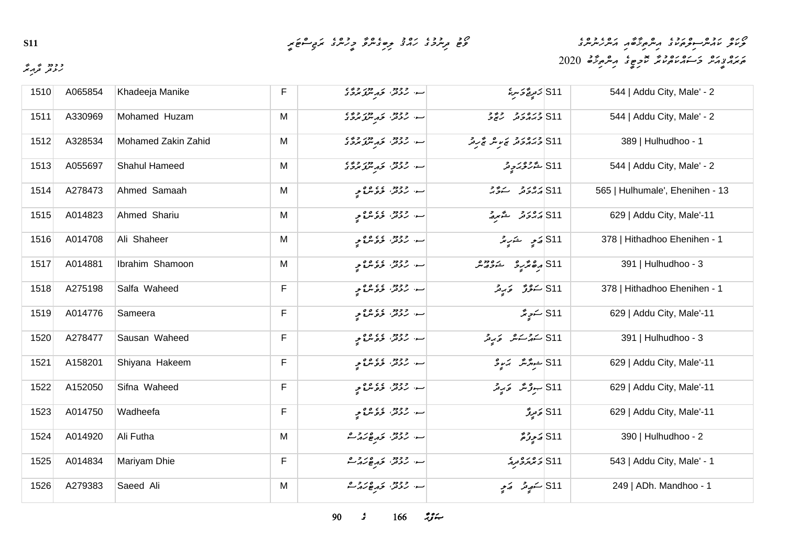*sCw7q7s5w7m< o<n9nOoAw7o< sCq;mAwBoEw7q<m; wBm;vB* م من المرة المرة المرة المرجع المرجع في المركبة 2020<br>مجم*د المريض المربوط المربع المرجع في المراجع المركبة* 

| $\rightarrow$ $\rightarrow$ $\rightarrow$ $\rightarrow$ $\rightarrow$ |  |  |
|-----------------------------------------------------------------------|--|--|
| زعو ودمير                                                             |  |  |
|                                                                       |  |  |

| 1510 | A065854 | Khadeeja Manike     | $\mathsf F$ | ے رودو کردو دی                                             | S11  دَمِرِجٌ وَسِرَةَ                     | 544   Addu City, Male' - 2      |
|------|---------|---------------------|-------------|------------------------------------------------------------|--------------------------------------------|---------------------------------|
| 1511 | A330969 | Mohamed Huzam       | M           | ے رودو کے دور وہ ہ                                         | S11 <i>3222 23</i>                         | 544   Addu City, Male' - 2      |
| 1512 | A328534 | Mohamed Zakin Zahid | M           | ے رودو کے دور وہ ہ                                         | S11 <i>وُبُرُودُو پَا با مَّا پُارِ وُ</i> | 389   Hulhudhoo - 1             |
| 1513 | A055697 | Shahul Hameed       | M           | ر در دور در دور و ده<br>ر در دور کورس                      | S11  ڪري <i>پر <sub>و</sub>يز</i>          | 544   Addu City, Male' - 2      |
| 1514 | A278473 | Ahmed Samaah        | M           | د د دود د ده ده و د کلیکو بود.<br>سوال مرکز بر کوه مرکز مو | S11 كەبروتى سىۋىر                          | 565   Hulhumale', Ehenihen - 13 |
| 1515 | A014823 | Ahmed Shariu        | M           | سە رودە يىم ھەمدى                                          | S11 كەبرى قىر ئىقىمىدىگە                   | 629   Addu City, Male'-11       |
| 1516 | A014708 | Ali Shaheer         | M           | ر د دود د ده وه د کلی او استفاده می                        | S11  كەمچە ھەرپىمە                         | 378   Hithadhoo Ehenihen - 1    |
| 1517 | A014881 | Ibrahim Shamoon     | M           | ر د دود د ده وه د کلی او استفاده می                        | S11 رەئزىر شەھەتتە                         | 391   Hulhudhoo - 3             |
| 1518 | A275198 | Salfa Waheed        | F           | ے رودہ وہ معاملے                                           | S11 سَعْرَزٌ - حَ <sub>مَ</sub> يقَر       | 378   Hithadhoo Ehenihen - 1    |
| 1519 | A014776 | Sameera             | F           | سە رودە يىم ھەمدى                                          | S11 ستوپر                                  | 629   Addu City, Male'-11       |
| 1520 | A278477 | Sausan Waheed       | $\mathsf F$ | سه دوده عام ۱۵۵۵ و.                                        | S11 سَتَمَدَّسْتَمَدَّرَ - وَرِيْرَ        | 391   Hulhudhoo - 3             |
| 1521 | A158201 | Shiyana Hakeem      | F           | ے رودو ء ء ھ                                               | S11 حيثر <i>مثر برب</i> و                  | 629   Addu City, Male'-11       |
| 1522 | A152050 | Sifna Waheed        | F           | ر د دود د ده وه د کلی او استفاده می                        | S11 سوژىتر     قەبرىتر                     | 629   Addu City, Male'-11       |
| 1523 | A014750 | Wadheefa            | F           | ر در دود ۱۵۵۵ و.<br>ر در دول نوه مرد نو                    | S11 مَ مِرتَّ                              | 629   Addu City, Male'-11       |
| 1524 | A014920 | Ali Futha           | M           | ب رودو كروه در ده                                          | S11 كەمچەتەتى                              | 390   Hulhudhoo - 2             |
| 1525 | A014834 | Mariyam Dhie        | F           | ب رودو كروه در ده                                          | S11 كەبىر <i>كەبىر ئەر</i>                 | 543   Addu City, Male' - 1      |
| 1526 | A279383 | Saeed Ali           | M           | سه رودو كرم وروح                                           | S11  ڪ <sub>ھي</sub> قر گ <i>ھي</i> ج      | 249   ADh. Mandhoo - 1          |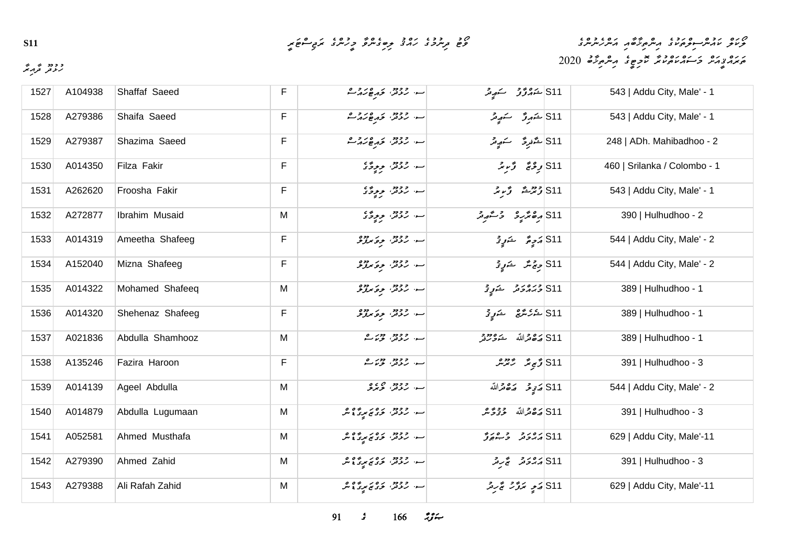*sCw7q7s5w7m< o<n9nOoAw7o< sCq;mAwBoEw7q<m; wBm;vB* م من المرة المرة المرة المرجع المرجع في المركبة 2020<br>مجم*د المريض المربوط المربع المرجع في المراجع المركبة* 

|  | د د ده په     |  |
|--|---------------|--|
|  | ر د در مرد مر |  |

| 1527 | A104938 | Shaffaf Saeed    | F | ے رودو کہ جات                                         | S11 ڪ <i>نگروگر ڪوپ</i> ٽر               | 543   Addu City, Male' - 1   |
|------|---------|------------------|---|-------------------------------------------------------|------------------------------------------|------------------------------|
| 1528 | A279386 | Shaifa Saeed     | F | سه رودو کرده کرد م                                    | S11 ڪمبرڙ ڪ <i>مپ</i> ٽر                 | 543   Addu City, Male' - 1   |
| 1529 | A279387 | Shazima Saeed    | F | ب رودو دروره در                                       | S11 ڪُنوِگ ڪَھِيطُر                      | 248   ADh. Mahibadhoo - 2    |
| 1530 | A014350 | Filza Fakir      | F | سه رودوم، موروند                                      | S11 دِرْجٌ گَرِیْر                       | 460   Srilanka / Colombo - 1 |
| 1531 | A262620 | Froosha Fakir    | F | سه رودوم، موروند                                      | S11 ۇتترىش ۇرىتر                         | 543   Addu City, Male' - 1   |
| 1532 | A272877 | Ibrahim Musaid   | M | سه رودوم، موروند                                      | S11 م <i>وڭ ئۇرى قىستو</i> تر            | 390   Hulhudhoo - 2          |
| 1533 | A014319 | Ameetha Shafeeg  | F | ر دودو دوره دون<br>سه رندس موځ برونو                  | S11 ک <sup>ر</sup> وٍمَّ شَر <i>وٍ ڈ</i> | 544   Addu City, Male' - 2   |
| 1534 | A152040 | Mizna Shafeeg    | F | ے رودہ ویکروژی                                        | S11 <i>جي مگر</i> ڪو <i>پ</i> ڙ          | 544   Addu City, Male' - 2   |
| 1535 | A014322 | Mohamed Shafeeq  | M | ۔ رودہ جو پروو                                        | S11 <i>وَبَرُوْدَوْدْ حَوِيْ</i> دْ      | 389   Hulhudhoo - 1          |
| 1536 | A014320 | Shehenaz Shafeeg | F | ے رودو دوی                                            | S11 ڪرگريجي ڪ <i>وي</i> ٽر               | 389   Hulhudhoo - 1          |
| 1537 | A021836 | Abdulla Shamhooz | M | ب دوده، وړې                                           | S11 كَەھەتراللە خەرىرىنر                 | 389   Hulhudhoo - 1          |
| 1538 | A135246 | Fazira Haroon    | F | ر در دور دور ه<br>ر روتر، نورگ                        | S11 گ <sub>رىم</sub> تر ئىمى بىر بىر     | 391   Hulhudhoo - 3          |
| 1539 | A014139 | Ageel Abdulla    | M | ر در دود 200<br>ر. روتر، نوبرنو                       | S11 <i>مَتِي قَصْ مَنْ هُ</i> قْدَاللَّه | 544   Addu City, Male' - 2   |
| 1540 | A014879 | Abdulla Lugumaan | M | ے دودہ رہ ریدہ ہ                                      | S11 كەھەراللە مۇتى مىر                   | 391   Hulhudhoo - 3          |
| 1541 | A052581 | Ahmed Musthafa   | M | ر د د د د ده د ده د د ده ه<br>سه روتر، نور پا برد و ش | S11 كەبرو قەسىمى                         | 629   Addu City, Male'-11    |
| 1542 | A279390 | Ahmed Zahid      | M | سه رودو ره د ده ه ه<br>سه روتر، نورنامبرد و ش         | S11 كەندى قىلى قىلىدى ئى                 | 391   Hulhudhoo - 3          |
| 1543 | A279388 | Ali Rafah Zahid  | M | سه رودد ره ر وه و.<br>سه روندا نورنج برد و ش          | S11 كەيچ ئىر <i>ۇ2 ئارى</i> تى           | 629   Addu City, Male'-11    |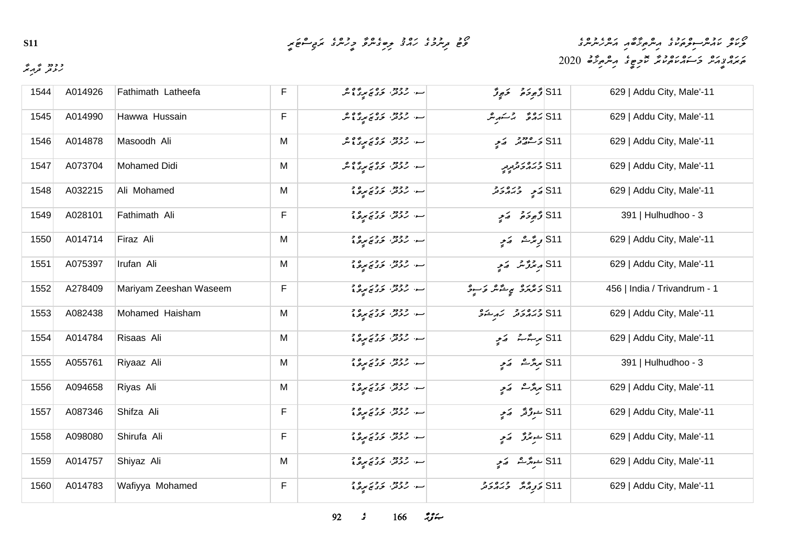*sCw7q7s5w7m< o<n9nOoAw7o< sCq;mAwBoEw7q<m; wBm;vB* م من المرة المرة المرة المرجع المرجع في المركبة 2020<br>مجم*د المريض المربوط المربع المرجع في المراجع المركبة* 

|  | د دود به پر<br>رنز تر ترمه تر |
|--|-------------------------------|
|  |                               |

| 1544 | A014926 | Fathimath Latheefa     | F            | ے دود رہ رہے ہیں ہ                                      | S11 وَّجِرَة حَج <sub>ِ</sub> وَّ   | 629   Addu City, Male'-11    |
|------|---------|------------------------|--------------|---------------------------------------------------------|-------------------------------------|------------------------------|
| 1545 | A014990 | Hawwa Hussain          | $\mathsf{F}$ | ( سه الرود و د ۱۵ د ۱۵۵ و.<br>( سه الرون الروی مرد و مل | S11 بَرْدُوَّ بِرْسَهِ بِرْ بِهِ    | 629   Addu City, Male'-11    |
| 1546 | A014878 | Masoodh Ali            | M            | ر در دورو دره در ۱۵۵۶<br>سه رنزلان نوی تا تاریخ می      | S11 كەشقەتىر كەمب <i>ە</i>          | 629   Addu City, Male'-11    |
| 1547 | A073704 | <b>Mohamed Didi</b>    | M            | ر د د د ده اره د اره وه<br>ارد ارتزال المرد و مرد و مر  | S11 تر <i>پر پر قرمو</i> مبر        | 629   Addu City, Male'-11    |
| 1548 | A032215 | Ali Mohamed            | M            | سه دوده رور ۶۵ و                                        | S11 كەير - <i>22.55 ك</i>           | 629   Addu City, Male'-11    |
| 1549 | A028101 | Fathimath Ali          | $\mathsf F$  | ر د دود بروبر ۵ و<br>ر برنوتو، نوی تا موره ۹            | S11 گ <sub>رگ</sub> ور قرم کرم      | 391   Hulhudhoo - 3          |
| 1550 | A014714 | Firaz Ali              | M            | ر دود کردگر و د و د                                     | S11 وِ بَرْتْہ کے م                 | 629   Addu City, Male'-11    |
| 1551 | A075397 | Irufan Ali             | M            | ر دود کردگر و د و د                                     | S11 م <i>ېنگ</i> رنگر گ <i>ەي</i> ج | 629   Addu City, Male'-11    |
| 1552 | A278409 | Mariyam Zeeshan Waseem | F            | - رودو کرور و و<br>- کرون نوی مرونا                     | S11  كەتتىرى بېرىشىش كۆسۈ <i>گ</i>  | 456   India / Trivandrum - 1 |
| 1553 | A082438 | Mohamed Haisham        | M            | - د دود ار وړان و د د د د                               | S11  <i>ويروونى تەپىغ</i> ۇ         | 629   Addu City, Male'-11    |
| 1554 | A014784 | Risaas Ali             | M            | ر دود کردگر و د و د                                     | S11 مريثه ته <sub>م</sub> ركز       | 629   Addu City, Male'-11    |
| 1555 | A055761 | Riyaaz Ali             | M            | ر دود کردگر و د و د                                     | S11 مرتزشہ ک <i>ے م</i>             | 391   Hulhudhoo - 3          |
| 1556 | A094658 | Riyas Ali              | M            | ر دود کردگر و د و د                                     | S11 مبرمجر شہ کے می                 | 629   Addu City, Male'-11    |
| 1557 | A087346 | Shifza Ali             | $\mathsf{F}$ | سه دوده رور وو                                          | S11 حوثرتش ك <sup>ي</sup> مي        | 629   Addu City, Male'-11    |
| 1558 | A098080 | Shirufa Ali            | $\mathsf{F}$ | ر دود کردگر و د و د                                     | S11 حوثرتر ك <sup>ر</sup> مي        | 629   Addu City, Male'-11    |
| 1559 | A014757 | Shiyaz Ali             | M            | ر دود کردگر و د و د                                     | S11 شېترشه ک <i>ړن</i> و            | 629   Addu City, Male'-11    |
| 1560 | A014783 | Wafiyya Mohamed        | F            | سه رودو کردنده د                                        | S11 <i>قۇم% قىمم</i> ۇمۇ            | 629   Addu City, Male'-11    |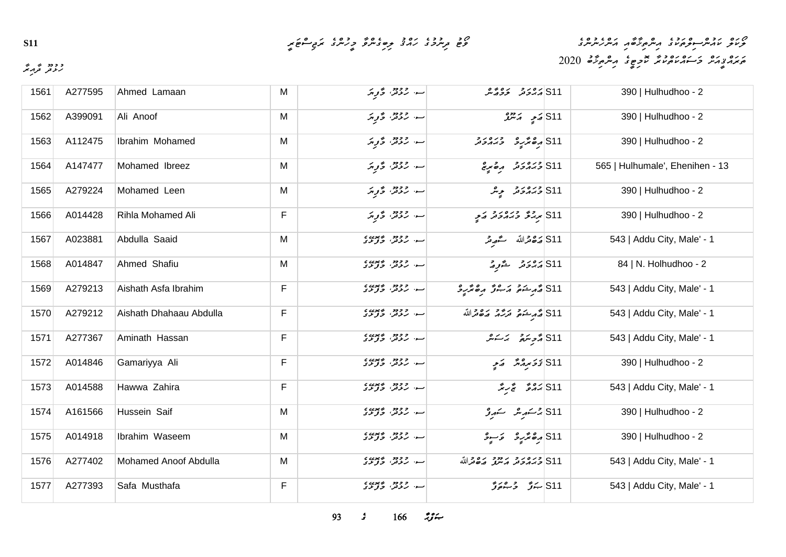*sCw7q7s5w7m< o<n9nOoAw7o< sCq;mAwBoEw7q<m; wBm;vB* م من المرة المرة المرة المرجع المرجع في المركبة 2020<br>مجم*د المريض المربوط المربع المرجع في المراجع المركبة* 

|  | s s n n      |
|--|--------------|
|  | زقرقر فرمرته |
|  |              |

| 1561 | A277595 | Ahmed Lamaan                 | M            | سە رودوە ئەتەك                                  | S11 كەبروتر ب <i>ۆۋ</i> شر                                   | 390   Hulhudhoo - 2             |
|------|---------|------------------------------|--------------|-------------------------------------------------|--------------------------------------------------------------|---------------------------------|
| 1562 | A399091 | Ali Anoof                    | M            | سە رودو ئەركە                                   | S11 <sub>ه</sub> رم پر ټرو                                   | 390   Hulhudhoo - 2             |
| 1563 | A112475 | Ibrahim Mohamed              | M            | سە رودوە ئەتەك                                  | S11  مەھ <i>ئۇر</i> ئەممى ئەرەبىر                            | 390   Hulhudhoo - 2             |
| 1564 | A147477 | Mohamed Ibreez               | M            | ے ووڈ ورک                                       | S11 <i>دبروبر و م</i> قیریم                                  | 565   Hulhumale', Ehenihen - 13 |
| 1565 | A279224 | Mohamed Leen                 | M            | سە رودوە ئەتەك                                  | S11 <i>ڈیزہ ڈیڈ</i> م <sub>و</sub> یٹر                       | 390   Hulhudhoo - 2             |
| 1566 | A014428 | Rihla Mohamed Ali            | $\mathsf{F}$ | سە رودو ئەركە                                   | S11 برترى ت <i>ەنەۋەتە مەي</i>                               | 390   Hulhudhoo - 2             |
| 1567 | A023881 | Abdulla Saaid                | M            | د دود پیری ت<br>سه روتر، وژنړ                   | S11 كەھىراللە گ <i>ەم</i> ەتر                                | 543   Addu City, Male' - 1      |
| 1568 | A014847 | Ahmed Shafiu                 | M            | و و و دو.<br>سه اربوتو، او تولوی                | S11 كەش <sup>ى</sup> ر قىر قىلىقىنى قىلىمىتىنى ئى            | 84   N. Holhudhoo - 2           |
| 1569 | A279213 | Aishath Asfa Ibrahim         | F            | د دود. میری و<br>سه روتر، وژنر                  | S11 مەم شىم مەسىر ئەھەر بىر                                  | 543   Addu City, Male' - 1      |
| 1570 | A279212 | Aishath Dhahaau Abdulla      | $\mathsf F$  | و و وود من برده داد.<br>سود ان برادگراه افزار ک | S11 مَ <i>ّ مِ شَوْءِ مِرْدَّة مَ</i> صَوْرَاللّه            | 543   Addu City, Male' - 1      |
| 1571 | A277367 | Aminath Hassan               | $\mathsf F$  | د د دود. میده به<br>سه روند، و درد              | S11 مٌ <i>وِیتمۇ ئەسەنل</i> ە                                | 543   Addu City, Male' - 1      |
| 1572 | A014846 | Gamariyya Ali                | F            | و و وو.<br>سو، اردلار، او تو داد                | S11 تۇ <i>ۇيرە</i> نگە كەمچە                                 | 390   Hulhudhoo - 2             |
| 1573 | A014588 | Hawwa Zahira                 | F            | و و و دو.<br>سه اربوتو، او تولوی                | S11 ئەبۇرى ئى ئەرىتى                                         | 543   Addu City, Male' - 1      |
| 1574 | A161566 | Hussein Saif                 | M            | د دودو په دود<br>سه روتو، وژنوی                 | S11 پرستمبر شروع                                             | 390   Hulhudhoo - 2             |
| 1575 | A014918 | Ibrahim Waseem               | M            | و و دو.<br>سه روتر، و ژور                       | S11 <sub>م</sub> ەمگرى <sub>د</sub> ۇ     ق <sup>ى</sup> سوۋ | 390   Hulhudhoo - 2             |
| 1576 | A277402 | <b>Mohamed Anoof Abdulla</b> | M            | د دودو. به پنه ده.<br>سه رنوش وژنوي             | S11 322 كروفر مرضوع مركات الله                               | 543   Addu City, Male' - 1      |
| 1577 | A277393 | Safa Musthafa                | F            | و و وو.<br>سو، اردتر، او ژنړۍ                   | S11 بەتۇ تۇس <sub>ى</sub> مۇتى                               | 543   Addu City, Male' - 1      |

**93** *s* **166** *z n*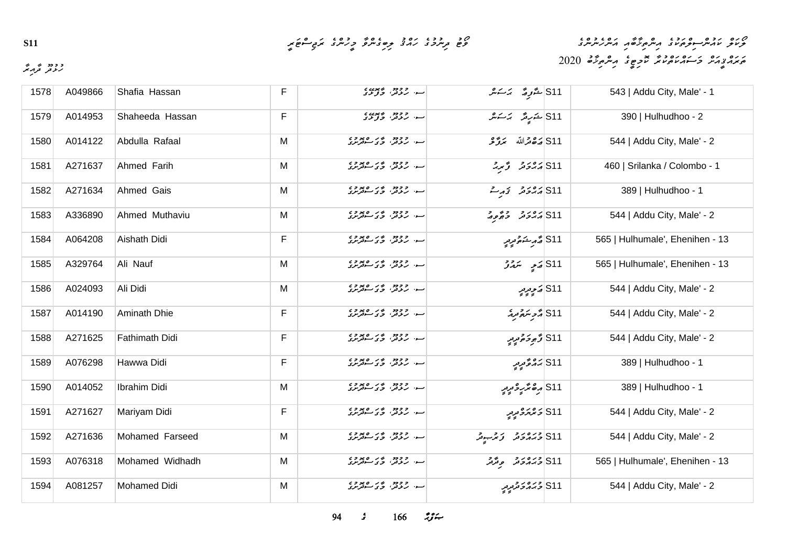*sCw7q7s5w7m< o<n9nOoAw7o< sCq;mAwBoEw7q<m; wBm;vB* م من المرة المرة المرة المرجع المرجع في المركبة 2020<br>مجم*د المريض المربوط المربع المرجع في المراجع المركبة* 

| 1578 | A049866 | Shafia Hassan       | F | و ووو.<br>سه روتر، وتونوی                               | S11 ڪ <i>ئوبرگ بزسک</i> شر          | 543   Addu City, Male' - 1      |
|------|---------|---------------------|---|---------------------------------------------------------|-------------------------------------|---------------------------------|
| 1579 | A014953 | Shaheeda Hassan     | F | و و وو.<br>سه ا اربوتو، او تو بواری                     | S11  ڪرپنگ - پرڪنگر-                | 390   Hulhudhoo - 2             |
| 1580 | A014122 | Abdulla Rafaal      | M | ر در دور در در در در<br>راد رکوتر، وی سافربرو           | S11 يَرْصْرُاللَّهُ تَمَوَّرْ حُرْ  | 544   Addu City, Male' - 2      |
| 1581 | A271637 | Ahmed Farih         | M |                                                         | S11 كەنزى قى ئەرقى                  | 460   Srilanka / Colombo - 1    |
| 1582 | A271634 | Ahmed Gais          | M | ر د وده او د د وده<br>سه رکوتر، وی سه ترس               | S11 كەبرى قىمى تىلىدى ئى            | 389   Hulhudhoo - 1             |
| 1583 | A336890 | Ahmed Muthaviu      | M | د د دوه د پر د ده ده<br>سه رنوش وی سهترین               | S11   رُبُرْدَتْر - دَبُّرُومُ      | 544   Addu City, Male' - 2      |
| 1584 | A064208 | Aishath Didi        | F | ر د د دوه د پر د د د د د د د<br>سه رنزنس و د سه توبرد   | S11 مَگْرِسْتَمْ وَمِرِمِرِ         | 565   Hulhumale', Ehenihen - 13 |
| 1585 | A329764 | Ali Nauf            | M | د د دوه د پر د ده ده<br>سه رنوش وی سهترین               | S11 كەمچە سى <i>مەتى</i>            | 565   Hulhumale', Ehenihen - 13 |
| 1586 | A024093 | Ali Didi            | M | د د دوه د پر د ده ده<br>سه رنوش وی سهترین               | S11  تەمەدىر                        | 544   Addu City, Male' - 2      |
| 1587 | A014190 | Aminath Dhie        | F | ر در دوه د در ه پروان<br>را در رون و د سونترن           | S11 أُمَّ حِ سَمَعُ مِرْمَّر        | 544   Addu City, Male' - 2      |
| 1588 | A271625 | Fathimath Didi      | F | د د د ده د په ده ده د د د د<br>سه رنزلز، و د سهتربرد    | S11  <i>وَّ مِوَ دُوبِ</i> رِ       | 544   Addu City, Male' - 2      |
| 1589 | A076298 | Hawwa Didi          | F | د د د دوه د په د ده د د د د<br>سه رنزنس و د سه توبرد    | S11  بَرْدُ وٌَّ مِرْمِرٍ           | 389   Hulhudhoo - 1             |
| 1590 | A014052 | Ibrahim Didi        | M | ر د ووه د در ه د د د د د<br>ر د ار کرفر از به بر استفرس | S11  بر <i>ے بڑر ی</i> ویرِ بر      | 389   Hulhudhoo - 1             |
| 1591 | A271627 | Mariyam Didi        | F | د د دود د به د د د د د د<br>سه رنوش و د سهترس           | S11 5پر <i>گر</i> ومړم <sub>و</sub> | 544   Addu City, Male' - 2      |
| 1592 | A271636 | Mohamed Farseed     | M | ر در دود. در در در در<br>رادار در در در در در           | S11  <i>وبرووتر وبرب</i> يوتر       | 544   Addu City, Male' - 2      |
| 1593 | A076318 | Mohamed Widhadh     | M | د د د دوه د په د ده د د د د<br>سه رنزنس و د سه توبرد    | S11 <i>ڈیز پروٹر ج</i> وٹرنر        | 565   Hulhumale', Ehenihen - 13 |
| 1594 | A081257 | <b>Mohamed Didi</b> | M | د د دود د د د د ده د د د<br>سه رنوش و ی سهترس           | S11  32, 32 قرمرٍ مر                | 544   Addu City, Male' - 2      |

 $94$  *s*  $166$  *z*  $\frac{2}{3}$  *k* 

و و *ه به به*<br>روتر ت*ور*یم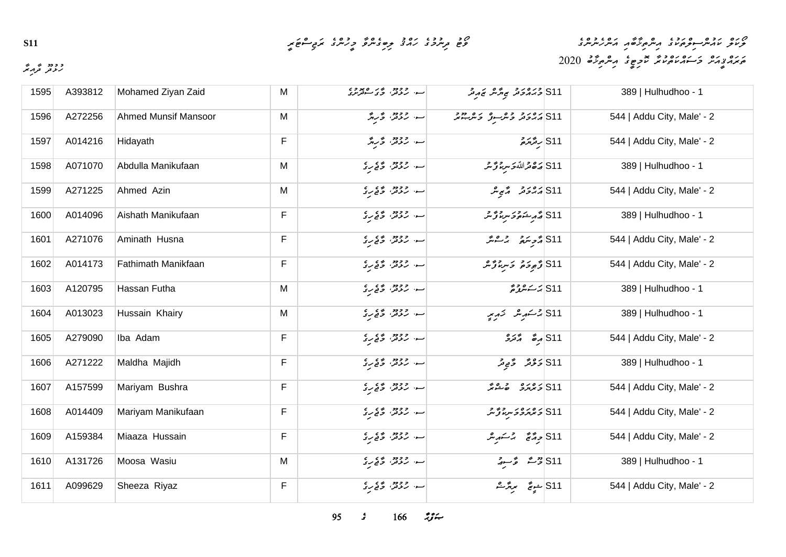*sCw7q7s5w7m< o<n9nOoAw7o< sCq;mAwBoEw7q<m; wBm;vB* م من المرة المرة المرة المرجع المرجع في المركبة 2020<br>مجم*د المريض المربوط المربع المرجع في المراجع المركبة* 

|  | $\rightarrow$ $\rightarrow$ 3777 |
|--|----------------------------------|
|  | زعو ودمير                        |
|  |                                  |

| 1595 | A393812 | Mohamed Ziyan Zaid          | M            | ر د د د د د د و د د د د<br>ر د روتر، و د ستربرد | S11 <i>5:25 قر</i> بم تر شر ب <sub>ح مر</sub> شر | 389   Hulhudhoo - 1        |
|------|---------|-----------------------------|--------------|-------------------------------------------------|--------------------------------------------------|----------------------------|
| 1596 | A272256 | <b>Ahmed Munsif Mansoor</b> | M            | سه رودو، و رتز                                  | S11 <i>ג</i> د د د هر دو د د د د د               | 544   Addu City, Male' - 2 |
| 1597 | A014216 | Hidayath                    | $\mathsf{F}$ | سە روۋە ئەرگە                                   | S11 رنگریزی                                      | 544   Addu City, Male' - 2 |
| 1598 | A071070 | Abdulla Manikufaan          | M            | ب رودو وه د                                     | S11 كەھىراللە <del>ك</del> س <i>رىر ق</i> ىتر    | 389   Hulhudhoo - 1        |
| 1599 | A271225 | Ahmed Azin                  | M            | سە رودو ئەرى                                    | S11   كەش <sup>ى</sup> كەم مەم ئەرەپ شەر         | 544   Addu City, Male' - 2 |
| 1600 | A014096 | Aishath Manikufaan          | $\mathsf F$  | سە زودە ئەرى                                    | S11 مۇم شۇمۇ ئەس <i>رىنى تى</i> ر                | 389   Hulhudhoo - 1        |
| 1601 | A271076 | Aminath Husna               | F            | سە رودو ئەرى                                    | S11 مَّ مِيهَ مِنْ مِيْسَر                       | 544   Addu City, Male' - 2 |
| 1602 | A014173 | Fathimath Manikfaan         | F            | سە رودو ئەرى                                    | S11 ۇ <sub>جو</sub> رۇ ئەس <i>بەۋىل</i>          | 544   Addu City, Male' - 2 |
| 1603 | A120795 | Hassan Futha                | M            | سە رودو ئەرى                                    | S11 ئەستەندىق                                    | 389   Hulhudhoo - 1        |
| 1604 | A013023 | Hussain Khairy              | M            |                                                 | S11  پرستمبر بھر تزیر پر                         | 389   Hulhudhoo - 1        |
| 1605 | A279090 | Iba Adam                    | $\mathsf F$  | سە رودو ئەرى                                    | S11 مِرَّة مُحَمَّدَة ال                         | 544   Addu City, Male' - 2 |
| 1606 | A271222 | Maldha Majidh               | F            | سە رودو ئەرى                                    | S11  5 كەمى ئىتى ئىقىد                           | 389   Hulhudhoo - 1        |
| 1607 | A157599 | Mariyam Bushra              | F            | سە رودو ئەرى                                    | S11 كەندىرى ھەش <i>ەت</i> گە                     | 544   Addu City, Male' - 2 |
| 1608 | A014409 | Mariyam Manikufaan          | F            | سە رودۇ، ۋەرى                                   | S11 <i>د ويرو د سرو ژ</i> ينر                    | 544   Addu City, Male' - 2 |
| 1609 | A159384 | Miaaza Hussain              | F            | ر د دوده د د د .<br>سه روتور، و تورد            | S11  <i>وِ مُنَّجَّ پُرْسَهِ بِ</i> رُ           | 544   Addu City, Male' - 2 |
| 1610 | A131726 | Moosa Wasiu                 | M            | سە رودو ئەرى                                    | S11 فخرشہ تھ ہے۔                                 | 389   Hulhudhoo - 1        |
| 1611 | A099629 | Sheeza Riyaz                | F            | سە رودۇ، ۋە ب                                   | S11  شویح مرتزشہ                                 | 544   Addu City, Male' - 2 |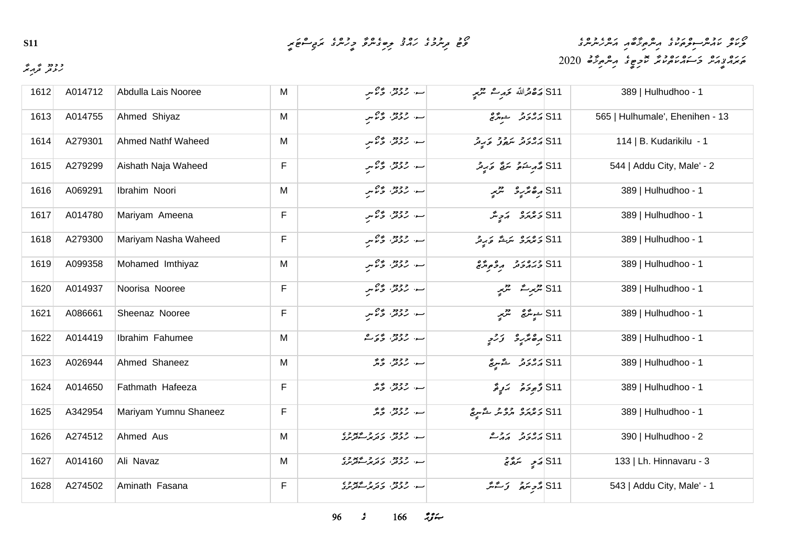*sCw7q7s5w7m< o<n9nOoAw7o< sCq;mAwBoEw7q<m; wBm;vB* م من المرة المرة المرة المرجع المرجع في المركبة 2020<br>مجم*د المريض المربوط المربع المرجع في المراجع المركبة* 

|  | 彡 彡 ≫ >>    |
|--|-------------|
|  | زغفر ترميمه |
|  |             |

| 1612 | A014712 | Abdulla Lais Nooree       | M           | ے رودو وی پر                                                             | S11 كَمْھْتْدَاللَّهُ خَهْرِتْ مَتَّرْمِرِ                                 | 389   Hulhudhoo - 1             |
|------|---------|---------------------------|-------------|--------------------------------------------------------------------------|----------------------------------------------------------------------------|---------------------------------|
| 1613 | A014755 | Ahmed Shiyaz              | M           | ے رودو وی پر                                                             | S11 كەبرى قىر ئىش ئىش ئىش ئى                                               | 565   Hulhumale', Ehenihen - 13 |
| 1614 | A279301 | <b>Ahmed Nathf Waheed</b> | M           | سە رودۇ، ۋىتىر                                                           | S11 كەردى ئەرەبە ئەرەتر                                                    | 114   B. Kudarikilu - 1         |
| 1615 | A279299 | Aishath Naja Waheed       | F           | سەر 332° ۇ تۈمبىر                                                        | S11 مُەمِ شَمَّة كَارْتْد                                                  | 544   Addu City, Male' - 2      |
| 1616 | A069291 | Ibrahim Noori             | M           | سە رودۇ، ۋىتىر                                                           | S11 <sub>م</sub> ەممەر قىلىمىيەتى قىلىپ                                    | 389   Hulhudhoo - 1             |
| 1617 | A014780 | Mariyam Ameena            | F           | سە رودى ۋىمىر                                                            | S11 <i>5 پر پرو مقر</i> یم                                                 | 389   Hulhudhoo - 1             |
| 1618 | A279300 | Mariyam Nasha Waheed      | F           | ے رودو وہ سر                                                             | S11 ك <i>ر چرىرى سرىنىڭ كەب</i> وتر                                        | 389   Hulhudhoo - 1             |
| 1619 | A099358 | Mohamed Imthiyaz          | M           | سە رودۇ، ۋىكىر                                                           | S11 <i>בייחיד ה</i> פֿ <i>ירי</i> ש                                        | 389   Hulhudhoo - 1             |
| 1620 | A014937 | Noorisa Nooree            | F           | سە رودۇر ئەتكىر                                                          | S11 کمرمبرگ گرمبر                                                          | 389   Hulhudhoo - 1             |
| 1621 | A086661 | Sheenaz Nooree            | F           | سە رودى ۋىمىر                                                            | S11 سوپرن <sub>گ</sub> تژمرِ                                               | 389   Hulhudhoo - 1             |
| 1622 | A014419 | Ibrahim Fahumee           | M           | ب دودو، در م                                                             | S11 <sub>مر</sub> ھ مَّر <sub>َبِ</sub> وْ ک <sup>و</sup> رْ <sub>مٍ</sub> | 389   Hulhudhoo - 1             |
| 1623 | A026944 | Ahmed Shaneez             | M           | سە رودە ئەتە                                                             | S11 كەش <sup>ى</sup> رتىر شەھىرىتى                                         | 389   Hulhudhoo - 1             |
| 1624 | A014650 | Fathmath Hafeeza          | $\mathsf F$ | سە رودە ئەتە                                                             | S11 <i>وُّجِ دَمْ تَرَبِ</i> مُّ                                           | 389   Hulhudhoo - 1             |
| 1625 | A342954 | Mariyam Yumnu Shaneez     | F           | سە رودە ئەتە                                                             | S11 كەبۇرگە بۇرگە ئەس ئىس ك                                                | 389   Hulhudhoo - 1             |
| 1626 | A274512 | Ahmed Aus                 | M           | د دوه ارار و نوبود و د<br>سه ارتزش کوتربر سوتربری                        | S11 كەبروتر كەرمىيە                                                        | 390   Hulhudhoo - 2             |
| 1627 | A014160 | Ali Navaz                 | M           | د د ووه از زاد و به پواوان<br>سود انرلولود ان کلاموسولاری                | S11 کەمچە سَرَةَ تە                                                        | 133   Lh. Hinnavaru - 3         |
| 1628 | A274502 | Aminath Fasana            | F           | ر د و وود از برابر و برابر و د و د<br>سود ابرابولو به ابرابولوگولولولولو | S11 مَّ حِ سَمَعَ       وَ سَمَّسَّر                                       | 543   Addu City, Male' - 1      |

 $96$  *s*  $166$  *z*  $3\frac{2}{5}$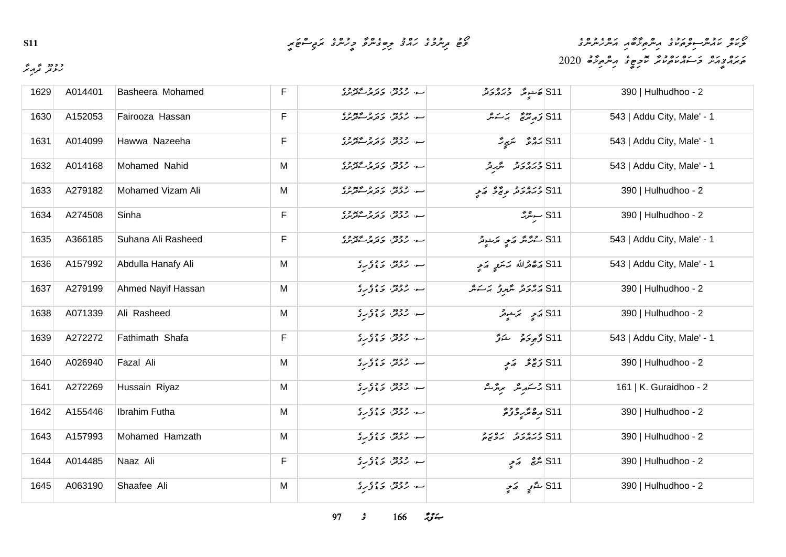*sCw7q7s5w7m< o<n9nOoAw7o< sCq;mAwBoEw7q<m; wBm;vB* م من المرة المرة المرة المرجع المرجع في المركبة 2020<br>مجم*د المريض المربوط المربع المرجع في المراجع المركبة* 

|  | 4.4.222        |
|--|----------------|
|  | نرعرفر اقرمرته |
|  |                |

| 1629 | A014401 | Basheera Mohamed   | $\mathsf F$ | د و ووړ ار د د بر و ده.<br>سه اربونو، او تریز سه ترس      | S11 كەھىم قىمىدە ئىرىم                             | 390   Hulhudhoo - 2        |
|------|---------|--------------------|-------------|-----------------------------------------------------------|----------------------------------------------------|----------------------------|
| 1630 | A152053 | Fairooza Hassan    | F           | د و ووړ . د د د و پر و ه<br>سه اندلانل کلوبرل کلوبرۍ      | S11 زَمِرْچَمَجَ سَرَسْر                           | 543   Addu City, Male' - 1 |
| 1631 | A014099 | Hawwa Nazeeha      | F           | د دوه ارار د براد ده.<br>سه ارتزال کاربرسهترس             | S11 بَرْدُوَّ سَيِّ                                | 543   Addu City, Male' - 1 |
| 1632 | A014168 | Mohamed Nahid      | M           | د و دوه ار در و برید و پا<br>سه ارتونس کوتربوستورنوی      | S11 <i>وَبَرُوْدَوْ</i> مُ <i>دَّرِ</i> مْر        | 543   Addu City, Male' - 1 |
| 1633 | A279182 | Mohamed Vizam Ali  | M           | د و وه ارار و الايدو و .<br>سه اربوتر، الاتریز سه ترس     | S11 <i>وبروبرو <sub>جن</sub>نځ</i> و ک <i>ړن</i> و | 390   Hulhudhoo - 2        |
| 1634 | A274508 | Sinha              | $\mathsf F$ | د د دوه ار د و همه د ه<br>سوا ارتزانی از کاربرگوترنزی     | S11 سبرمرنژ                                        | 390   Hulhudhoo - 2        |
| 1635 | A366185 | Suhana Ali Rasheed | F           | د و ووړ ار د د ور وره ده.<br>سوه ار د ور د کريمر سوتر برو | S11 سترشر كامي الكرسيوتر                           | 543   Addu City, Male' - 1 |
| 1636 | A157992 | Abdulla Hanafy Ali | M           | ر دودو کرده و د                                           | S11 كەڭقىراللە ئەنترىم <sub>چە</sub> كەمچ          | 543   Addu City, Male' - 1 |
| 1637 | A279199 | Ahmed Nayif Hassan | M           | سه روح در ده وي ده                                        | S11 <i>גُ ب</i> ْدُوَنْدْ شَهْرِ فِي بَرْسَة شْ    | 390   Hulhudhoo - 2        |
| 1638 | A071339 | Ali Rasheed        | M           | ر د ووو د د د د و د و<br>سه ارتزادي او د و و برای         | S11 کرم کر س <sub>و</sub> گر                       | 390   Hulhudhoo - 2        |
| 1639 | A272272 | Fathimath Shafa    | $\mathsf F$ | سه دودو روی و                                             | S11 <i>وَّجِ دَمَّ</i> شَرَّ                       | 543   Addu City, Male' - 1 |
| 1640 | A026940 | Fazal Ali          | M           | ر دودو کرده و د                                           | S11 زَیَّ وَ صَرِ                                  | 390   Hulhudhoo - 2        |
| 1641 | A272269 | Hussain Riyaz      | M           | ر دودو کرده و د                                           | S11  پرستمبر مگر سرچر شد                           | 161   K. Guraidhoo - 2     |
| 1642 | A155446 | Ibrahim Futha      | M           | ر دودو روه دره<br>سه روتو، ولاتوری                        | S11 مەھ ئەر <i>دىن</i> مۇ                          | 390   Hulhudhoo - 2        |
| 1643 | A157993 | Mohamed Hamzath    | M           | ر د ودو روه د د<br>سه روهن و د ورد                        | S11 دره رو برورد                                   | 390   Hulhudhoo - 2        |
| 1644 | A014485 | Naaz Ali           | $\mathsf F$ | سه دوده دوه و                                             | S11 مَرْچ <sub>ص</sub> َعِ                         | 390   Hulhudhoo - 2        |
| 1645 | A063190 | Shaafee Ali        | M           | ب دودو دوء و                                              | S11  ڪُٽمي صَ <del>مِ</del>                        | 390   Hulhudhoo - 2        |

 $97$  *s*  $166$  *z*  $25$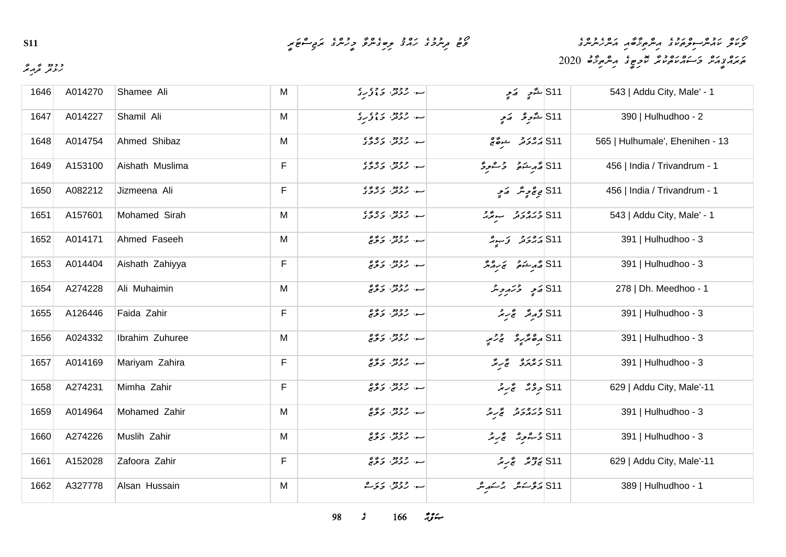*sCw7q7s5w7m< o<n9nOoAw7o< sCq;mAwBoEw7q<m; wBm;vB* م من المرة المرة المرة المرجع المرجع في المركبة 2020<br>مجم*د المريض المربوط المربع المرجع في المراجع المركبة* 

|  | s s n n        |
|--|----------------|
|  | ر د تر تربر بر |
|  |                |

| 1646 | A014270 | Shamee Ali      | M            | ( د دوه د د د د د کال د د ا            | S11 گجو ک <i>ړ</i> و                                     | 543   Addu City, Male' - 1      |
|------|---------|-----------------|--------------|----------------------------------------|----------------------------------------------------------|---------------------------------|
| 1647 | A014227 | Shamil Ali      | M            | ر دودو کرده و د<br>سه رنگان و ناموری   | S11 ڪرو <sub>مک</sub> ر                                  | 390   Hulhudhoo - 2             |
| 1648 | A014754 | Ahmed Shibaz    | M            | ر د ووو ره وه<br>ر روس کردی            | S11 <i>ډېر دو</i> شو <i>ځ</i> ع                          | 565   Hulhumale', Ehenihen - 13 |
| 1649 | A153100 | Aishath Muslima | F            | د دوده ره ده د                         | S11 مَەرىسَىمْ - ئەشىرىمَّ                               | 456   India / Trivandrum - 1    |
| 1650 | A082212 | Jizmeena Ali    | $\mathsf{F}$ | ر در دود. کوه دی<br>سه روتر، کورگری    | S11 <sub>مح</sub> وچ گر کرم پر                           | 456   India / Trivandrum - 1    |
| 1651 | A157601 | Mohamed Sirah   | M            | د د وووړ کړه ده.<br>سه رنونس کردن      | S11 <i>دېمم</i> وتر سو <i>نزن</i> ژ                      | 543   Addu City, Male' - 1      |
| 1652 | A014171 | Ahmed Faseeh    | M            | ر در دود. بروه<br>ر برنوتو، برنوم      | S11   <i>ړ برې</i> تر تر تر په پر                        | 391   Hulhudhoo - 3             |
| 1653 | A014404 | Aishath Zahiyya | F            | ر در دود. بر ده<br>ر برنوتو، برنومج    | S11 مَدْمِسْنَعْمُ تَجْرِمْهُمْ                          | 391   Hulhudhoo - 3             |
| 1654 | A274228 | Ali Muhaimin    | M            | سە رودە روە                            | S11  مَرِم وَرَ <sub>مُ</sub> وِسْر                      | 278   Dh. Meedhoo - 1           |
| 1655 | A126446 | Faida Zahir     | $\mathsf{F}$ | سە رودە روە                            | S11 <i>وُّم</i> ِیٹر گ <sub>ے س</sub> ٹر                 | 391   Hulhudhoo - 3             |
| 1656 | A024332 | Ibrahim Zuhuree | M            | ر در دود. بر ده<br>سه ارتزادگر، ترتویج | S11 <sub>مر</sub> ھ <i>مُرْرِدْ تي رُبرِ</i>             | 391   Hulhudhoo - 3             |
| 1657 | A014169 | Mariyam Zahira  | F            | سە رودە روە                            | S11 <i>5 پر پر پی</i> پی پی پی                           | 391   Hulhudhoo - 3             |
| 1658 | A274231 | Mimha Zahir     | F            | سە زودە روە                            | S11  مِ5ْ بِمَ مِحْرِ بِمُرْ                             | 629   Addu City, Male'-11       |
| 1659 | A014964 | Mohamed Zahir   | M            | ر دوده روه                             | S11 <i>وُبَرُوْدَوْ</i> گُرِيْرُ                         | 391   Hulhudhoo - 3             |
| 1660 | A274226 | Muslih Zahir    | M            | ر در دود. بر ده<br>ر برنوتو، برنومج    | S11  <sub>قر</sub> مبروی <sub>س</sub> ٹ <sub>ی س</sub> ز | 391   Hulhudhoo - 3             |
| 1661 | A152028 | Zafoora Zahir   | $\mathsf F$  | ر در دود. بر ده<br>ر برنوتو، برنومج    | S11 ئى قۇچىق ئىچ بىرىگە                                  | 629   Addu City, Male'-11       |
| 1662 | A327778 | Alsan Hussain   | M            | ىسە، رودە، ئەترىق                      | S11 كەبۇس <i>ەنلە</i> بۇسكەبلىر                          | 389   Hulhudhoo - 1             |

*98 s* 166 *i*<sub>s</sub> $\approx$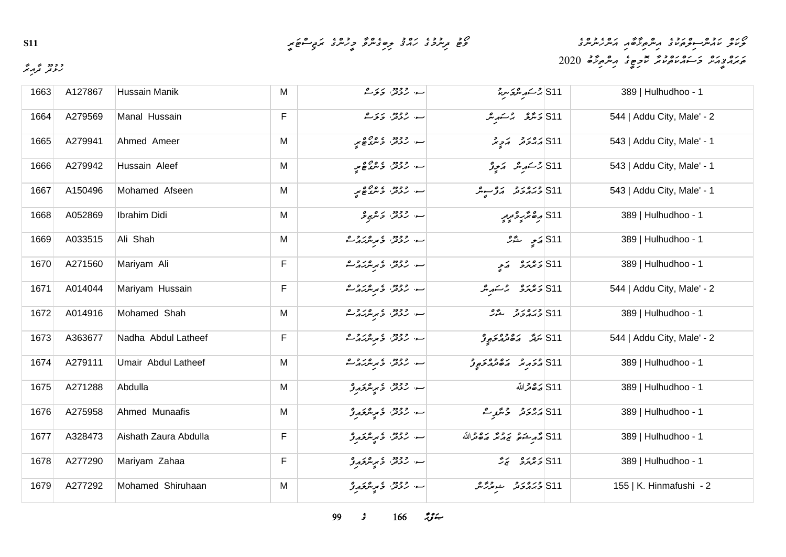*sCw7q7s5w7m< o<n9nOoAw7o< sCq;mAwBoEw7q<m; wBm;vB* م من المرة المرة المرة المرجع المرجع في المركبة 2020<br>مجم*د المريض المربوط المربع المرجع في المراجع المركبة* 

|  | $\rightarrow$ $\rightarrow$ $\rightarrow$ $\rightarrow$ $\rightarrow$ |
|--|-----------------------------------------------------------------------|
|  | نرتزفر اقرام مر                                                       |
|  |                                                                       |

| 1663 | A127867 | <b>Hussain Manik</b>       | M           | ىسە رودە ئەبۇر           | S11 پر کے م <i>ر</i> مرکز سریر                      | 389   Hulhudhoo - 1        |
|------|---------|----------------------------|-------------|--------------------------|-----------------------------------------------------|----------------------------|
| 1664 | A279569 | Manal Hussain              | F           | ىسە، رودە، ئەنۇب         | S11 كەنگە بۇ يەسىرىلا                               | 544   Addu City, Male' - 2 |
| 1665 | A279941 | Ahmed Ameer                | M           | - دود عام 200            | S11 كەندى قىرىمىتى بىر                              | 543   Addu City, Male' - 1 |
| 1666 | A279942 | Hussain Aleef              | M           | - دودور عام 2000         | S11 پڑے پر بھ پڑو<br>ن                              | 543   Addu City, Male' - 1 |
| 1667 | A150496 | Mohamed Afseen             | M           | سار دود ده ده ده م       | S11 <i>ۋېزود تې</i> تەرىپ                           | 543   Addu City, Male' - 1 |
| 1668 | A052869 | Ibrahim Didi               | M           | ے رودوں کے شرح ثو        | S11 <sub>مر</sub> ھ <i>مُذَرِ دُ</i> ومِرِ م        | 389   Hulhudhoo - 1        |
| 1669 | A033515 | Ali Shah                   | M           | ے رودوں ویر شرکرات       | S11  رَمٍ شَرَّرُ                                   | 389   Hulhudhoo - 1        |
| 1670 | A271560 | Mariyam Ali                | F           | سه روده و بر ۱۳۶۵ شو     | S11 كەبىر <i>بىر ئەب</i>                            | 389   Hulhudhoo - 1        |
| 1671 | A014044 | Mariyam Hussain            | $\mathsf F$ | ے رودوں ویر شریر م       | S11 كەبەد بەر بەر بىر                               | 544   Addu City, Male' - 2 |
| 1672 | A014916 | Mohamed Shah               | M           | ے رودوں مرورہ ہے         | S11 <i>جەمەدىر</i> ش <i>ە</i> ر                     | 389   Hulhudhoo - 1        |
| 1673 | A363677 | Nadha Abdul Latheef        | F           | ے رودوں ویر شریر م       | S11 ىنتر مەھىرمۇم <sub>ۇ</sub> ر                    | 544   Addu City, Male' - 2 |
| 1674 | A279111 | <b>Umair Abdul Latheef</b> | M           | ے رودہ و برترکہ ے        | S11 <sub>م</sub> ُحَم <i>د بِرِ مُ</i> حَمِّد مِ مِ | 389   Hulhudhoo - 1        |
| 1675 | A271288 | Abdulla                    | M           | ے رودہ ویر شخصی          | S11 كەمھەتراللە                                     | 389   Hulhudhoo - 1        |
| 1676 | A275958 | Ahmed Munaafis             | M           | ے رودہ کی گر مرتکز ہو گی | S11 كەبۇبۇ ئۇ ئاھىمبور شىر                          | 389   Hulhudhoo - 1        |
| 1677 | A328473 | Aishath Zaura Abdulla      | F           | ۔ روود و پر مرکز مرکز    | S11 مُجْمِسْمُو بِجَمْعَتْہِ مُحْقَّدِاللَّهُ       | 389   Hulhudhoo - 1        |
| 1678 | A277290 | Mariyam Zahaa              | $\mathsf F$ | ے رودہ کی گر مرتکز ہو گی | S11 كەبەد ئەر                                       | 389   Hulhudhoo - 1        |
| 1679 | A277292 | Mohamed Shiruhaan          | M           | ے رودہ کمپر مرکز ہو      | S11  <i>ڈبزورو خینرش</i> ر                          | 155   K. Hinmafushi - 2    |

**99** *s* **166** *z s*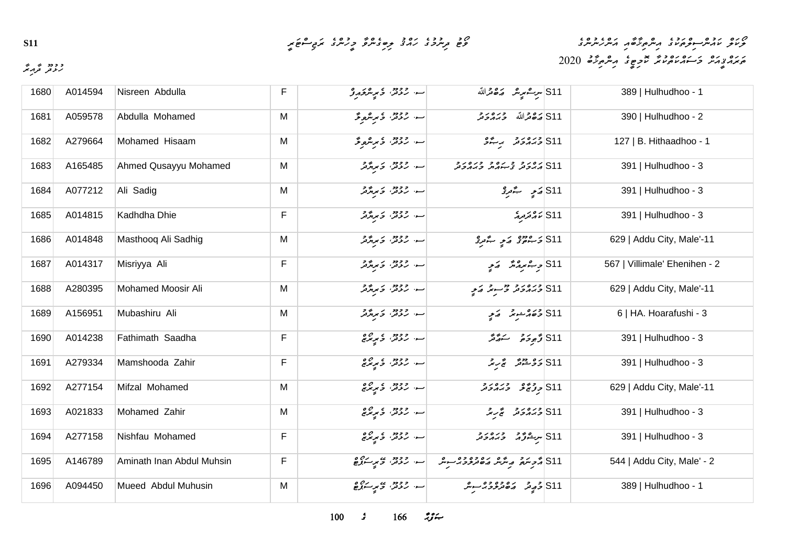*sCw7q7s5w7m< o<n9nOoAw7o< sCq;mAwBoEw7q<m; wBm;vB* م من المرة المرة المرة المرجع المرجع في المركبة 2020<br>مجم*د المريض المربوط المربع المرجع في المراجع المركبة* 

| 1680 | A014594 | Nisreen Abdulla           | $\mathsf F$ | ؎ رودو ديپرهزمرو      | S11 سرىـــْمىرىــُر   كەھەراللە                                                                      | 389   Hulhudhoo - 1           |
|------|---------|---------------------------|-------------|-----------------------|------------------------------------------------------------------------------------------------------|-------------------------------|
| 1681 | A059578 | Abdulla Mohamed           | M           | ے رودہ کا مرکزی گھر   | S11 كەھەراللە <i>مەم</i> رىر                                                                         | 390   Hulhudhoo - 2           |
| 1682 | A279664 | Mohamed Hisaam            | M           |                       | S11 <i>\$نەۋەتى بەبىگ</i> ۇ                                                                          | 127   B. Hithaadhoo - 1       |
| 1683 | A165485 | Ahmed Qusayyu Mohamed     | M           | سەر روۋە كەيدىگە      | S11 ג'ם ג'ם ג'ם כ' ב' ה' בירי ב                                                                      | 391   Hulhudhoo - 3           |
| 1684 | A077212 | Ali Sadig                 | M           | ے دوود کروگر          | S11  رَمِ جَمَّدِ وَ                                                                                 | 391   Hulhudhoo - 3           |
| 1685 | A014815 | Kadhdha Dhie              | $\mathsf F$ | ے رودو کروگر          | S11 كەچرى <i>دى</i> گە                                                                               | 391   Hulhudhoo - 3           |
| 1686 | A014848 | Masthooq Ali Sadhig       | M           | ے رودوں کے بروگر کر   | S11 كۈستۈرگە كەمچە سەھرى <sub>چ</sub>                                                                | 629   Addu City, Male'-11     |
| 1687 | A014317 | Misriyya Ali              | $\mathsf F$ | سەر 222° كەبىر ئەر    | S11 <sub>ح</sub> ر شمېرونتر گ <i>ې</i> په                                                            | 567   Villimale' Ehenihen - 2 |
| 1688 | A280395 | Mohamed Moosir Ali        | M           | سەر 235°، كەبىرلىر    | S11 <i>ڈبزہ دو چ</i> ے پر <sub>م</sub> رمو                                                           | 629   Addu City, Male'-11     |
| 1689 | A156951 | Mubashiru Ali             | M           | سەر 222، كەبىرلىر     | S11 <i>وُھَەمْ</i> شِعْرَ مَرَمْحِ                                                                   | 6   HA. Hoarafushi - 3        |
| 1690 | A014238 | Fathimath Saadha          | $\mathsf F$ | سەر 1322 كەمبەتكى     | S11 زَّەپەرَە ئەسەر ئە                                                                               | 391   Hulhudhoo - 3           |
| 1691 | A279334 | Mamshooda Zahir           | $\mathsf F$ | سەر 332°، ئۇ ئويغرىنى | S11 5ء 2 میٹھ سے می <sup>ت</sup> ر                                                                   | 391   Hulhudhoo - 3           |
| 1692 | A277154 | Mifzal Mohamed            | M           | سه رودون کی مربوع     | S11   <i>ووڭگۇ ئەتمەدىر</i>                                                                          | 629   Addu City, Male'-11     |
| 1693 | A021833 | Mohamed Zahir             | M           | سه رودور ، د چوند چ   | S11 <i>دېمه ده</i> ځ بن <sub>م</sub>                                                                 | 391   Hulhudhoo - 3           |
| 1694 | A277158 | Nishfau Mohamed           | F           | سه رودو، کام چې       | S11 سرشۇر <i>25مەد</i>                                                                               | 391   Hulhudhoo - 3           |
| 1695 | A146789 | Aminath Inan Abdul Muhsin | F           |                       | S11 مُرْحِسَمُ مِسْرَسٌ مُصَّرِّحْ حِرْمِ مِسْرٍ مِسْ مِنْ مِسْرِ مِنْ مِسْرِ مِنْ مِنْ مِنْ مِنْ مِ | 544   Addu City, Male' - 2    |
| 1696 | A094450 | Mueed Abdul Muhusin       | M           | سه رودو به روه و      | S11  <i>ڈویٹر م</i> ہ <i>قرور پر میں</i>                                                             | 389   Hulhudhoo - 1           |

 $100$  *s*  $166$  *i*<sub>s</sub>  $\frac{2}{3}$ 

*n8o<n@ r@q:q5*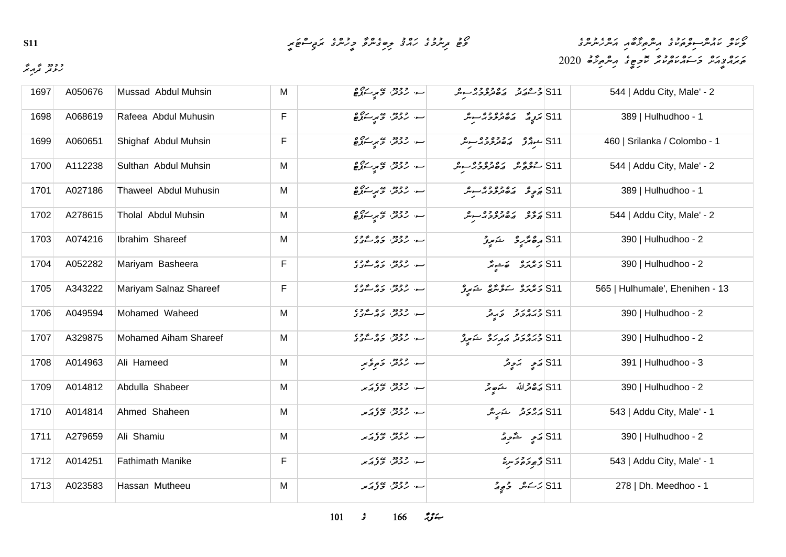*sCw7q7s5w7m< o<n9nOoAw7o< sCq;mAwBoEw7q<m; wBm;vB* م من المرة المرة المرة المرجع المرجع في المركبة 2020<br>مجم*د المريض المربوط المربع المرجع في المراجع المركبة* 

| د دود به پر<br>رنز تر تربر تر |  |
|-------------------------------|--|

| 1697 | A050676 | Mussad Abdul Muhsin     | M           | سه رودو په روه و                           | S11 <sub>جرمه م</sub> رد ده دو ده س <sub>و</sub> ر | 544   Addu City, Male' - 2      |  |
|------|---------|-------------------------|-------------|--------------------------------------------|----------------------------------------------------|---------------------------------|--|
| 1698 | A068619 | Rafeea Abdul Muhusin    | F           | - دود به ره وه                             | S11 <i>بَرْدٍ ۾َ "وَوُدُو بُرُ بِ</i> سِرْ         | 389   Hulhudhoo - 1             |  |
| 1699 | A060651 | Shighaf Abdul Muhsin    | F           | - دود به ره وه                             | S11 ج <sub>وتم</sub> و پر دوه ده جمعه د            | 460   Srilanka / Colombo - 1    |  |
| 1700 | A112238 | Sulthan Abdul Muhsin    | M           | ب دوده به رماه و                           | S11 جۇيج مەھەر <i>ۈر بەرە</i>                      | 544   Addu City, Male' - 2      |  |
| 1701 | A027186 | Thaweel Abdul Muhusin   | M           | درود بي رحمه                               | S11 يَوَمٍ عَنْ مَنْ مَعْ مَعْرَفِ مِنْ مِسْرِ     | 389   Hulhudhoo - 1             |  |
| 1702 | A278615 | Tholal Abdul Muhsin     | M           | - دودو به ره ۵۵۰<br>- روند، و پرسوژ        | S11 يۇقرىق مەھەر <i>ۈدى</i> بىر                    | 544   Addu City, Male' - 2      |  |
| 1703 | A074216 | Ibrahim Shareef         | M           | سه د ووه ده د وه د                         | S11  مِر <i>ھ مُرْرِدْ</i> شَمِرِزْ                | 390   Hulhudhoo - 2             |  |
| 1704 | A052282 | Mariyam Basheera        | F           | ر د د دور ده ده د د د<br>سه گرفتن وړسوی    | S11 <i>د بر برو</i> گاھونڈ                         | 390   Hulhudhoo - 2             |  |
| 1705 | A343222 | Mariyam Salnaz Shareef  | $\mathsf F$ | ر د ودو ده و و و د<br>سه روبر و پرسوی      | S11 <i>ۈندىز ئىقىتى خىرۇ</i>                       | 565   Hulhumale', Ehenihen - 13 |  |
| 1706 | A049594 | Mohamed Waheed          | M           | سه د ووه ده د وه.<br>سه رونو، وړوستوی      | S11 <i>وُبَرُوْدَوْ کَهرِسْ</i>                    | 390   Hulhudhoo - 2             |  |
| 1707 | A329875 | Mohamed Aiham Shareef   | M           | ر د د دور ده ده د د د<br>ر د رکونس و د سوی | S11 <i>وُيُرُوُونُ مَهِرَدٌ حَبَيِ</i> رُ          | 390   Hulhudhoo - 2             |  |
| 1708 | A014963 | Ali Hameed              | M           | سە رودوز، ئەھمەمبە                         | S11  پَرمٍ کوچوگر                                  | 391   Hulhudhoo - 3             |  |
| 1709 | A014812 | Abdulla Shabeer         | M           | د دودو در در بر<br>سه رونز، ژوکربر         | S11 كەھەتراللە ش <i>ەھەت</i> ر                     | 390   Hulhudhoo - 2             |  |
| 1710 | A014814 | Ahmed Shaheen           | M           | د د دود ده د د کرد.<br>سه رنزون و ژوند     | S11   پر پر بھ سے پر بھر                           | 543   Addu City, Male' - 1      |  |
| 1711 | A279659 | Ali Shamiu              | M           | د دودو در در بر<br>سه رونز، ژوکربر         | S11  رَمٍ گُورُدُ                                  | 390   Hulhudhoo - 2             |  |
| 1712 | A014251 | <b>Fathimath Manike</b> | F           | سه دوده بین د                              | S11 ۇ <sub>جو</sub> رۇمۇرىتىرىئە                   | 543   Addu City, Male' - 1      |  |
| 1713 | A023583 | Hassan Mutheeu          | M           | د د دود. دور د کرد                         | S11   يَرْسَسْ _ <sub>ح</sub> ُب <i>وِهْ</i>       | 278   Dh. Meedhoo - 1           |  |

 $101$  **s**  $166$  *if*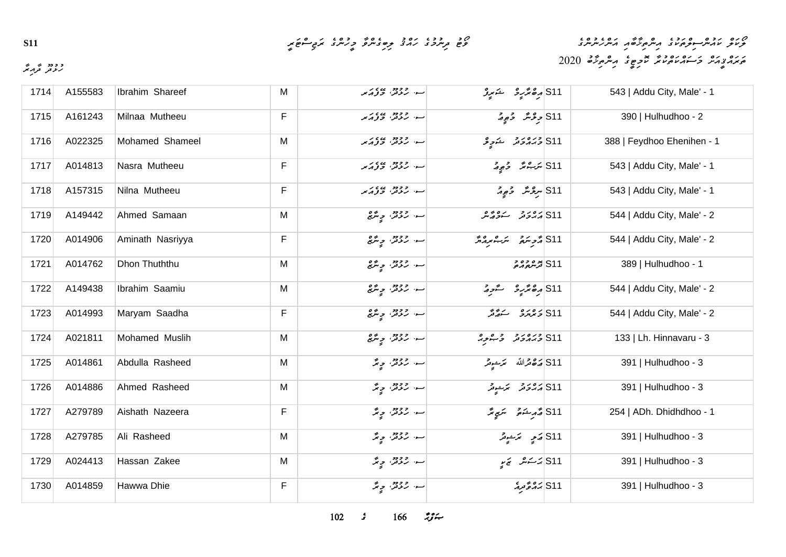*sCw7q7s5w7m< o<n9nOoAw7o< sCq;mAwBoEw7q<m; wBm;vB* م من المرة المرة المرة المرجع المرجع في المركبة 2020<br>مجم*د المريض المربوط المربع المرجع في المراجع المركبة* 

|  | د دود به پر<br>رنز تر ترمه تر |
|--|-------------------------------|
|  |                               |

| 1714 | A155583 | Ibrahim Shareef  | M            | ر در دود ده در در کار کرد.<br>سود اردون افزاد کار | S11  مەھەرىرى ھەمرى<br>                       | 543   Addu City, Male' - 1 |
|------|---------|------------------|--------------|---------------------------------------------------|-----------------------------------------------|----------------------------|
| 1715 | A161243 | Milnaa Mutheeu   | $\mathsf F$  | د دود در در در د                                  | S11  موقرنتر - ق <sup>ي</sup> وي <sup>1</sup> | 390   Hulhudhoo - 2        |
| 1716 | A022325 | Mohamed Shameel  | M            | د دود در در در د                                  | S11  <i>وَبَرْہُ وَبَرْ</i> شَوِیْح           | 388   Feydhoo Ehenihen - 1 |
| 1717 | A014813 | Nasra Mutheeu    | F            | سه دوده به در بر                                  | S11 سَرَ-يمحمد حقوقه                          | 543   Addu City, Male' - 1 |
| 1718 | A157315 | Nilna Mutheeu    | F            | د دود در در در بر<br>سه روتر، وزند                | S11 سربحىتمر     3 ج <sub>و</sub> ير          | 543   Addu City, Male' - 1 |
| 1719 | A149442 | Ahmed Samaan     | M            | سە رودو پەرتى                                     | S11 كەبرو سىۋە ئىر                            | 544   Addu City, Male' - 2 |
| 1720 | A014906 | Aminath Nasriyya | $\mathsf{F}$ | ے رودہ ویڈھ                                       | S11 مُرْحِسَمُ مَرْجُمِي <i>مُ</i> مُرَّ      | 544   Addu City, Male' - 2 |
| 1721 | A014762 | Dhon Thuththu    | M            | سە رودو پەرتى                                     | S11 ترشع پر م                                 | 389   Hulhudhoo - 1        |
| 1722 | A149438 | Ibrahim Saamiu   | M            | ے رودو ویٹریم                                     | S11 مەھمەر ئەھمەر ئىسىمىدە ئىس                | 544   Addu City, Male' - 2 |
| 1723 | A014993 | Maryam Saadha    | $\mathsf{F}$ | سە رودو، بەشھ                                     | S11 دېرمرژ ش <i>م</i> ړن <i>گ</i>             | 544   Addu City, Male' - 2 |
| 1724 | A021811 | Mohamed Muslih   | M            | ے روزہ ویڈھ                                       | S11 <i>وَبَرُووَبِرْ</i> وَبِدْبِرِيْ         | 133   Lh. Hinnavaru - 3    |
| 1725 | A014861 | Abdulla Rasheed  | M            | سه رکوتر، چانگه                                   | S11  مَدْهُ مَرْاللَّه   مَرْشِيْتَرْ         | 391   Hulhudhoo - 3        |
| 1726 | A014886 | Ahmed Rasheed    | M            | سه رحمدی چنگ                                      | S11   <i>دَ بْ</i> رْجَ مْرْ مَرْسُوِيْرْ     | 391   Hulhudhoo - 3        |
| 1727 | A279789 | Aishath Nazeera  | F            | ے روزہ ویڈ                                        | S11 مَگْرِسْنَوْمُ – سَمِي مَّدَ              | 254   ADh. Dhidhdhoo - 1   |
| 1728 | A279785 | Ali Rasheed      | M            | ے رودوں پر تھ                                     | S11 کرم کر سرگر                               | 391   Hulhudhoo - 3        |
| 1729 | A024413 | Hassan Zakee     | M            | سه رحمدی چنگ                                      | S11 ئەسەبىر ئ <sub>ىم بىر</sub>               | 391   Hulhudhoo - 3        |
| 1730 | A014859 | Hawwa Dhie       | F            | سه رحوفز، جانگر                                   | S11  بَرْدُوَّمِرِدَّ                         | 391   Hulhudhoo - 3        |

*102 s 166 <i>n*<sub>3</sub> *s*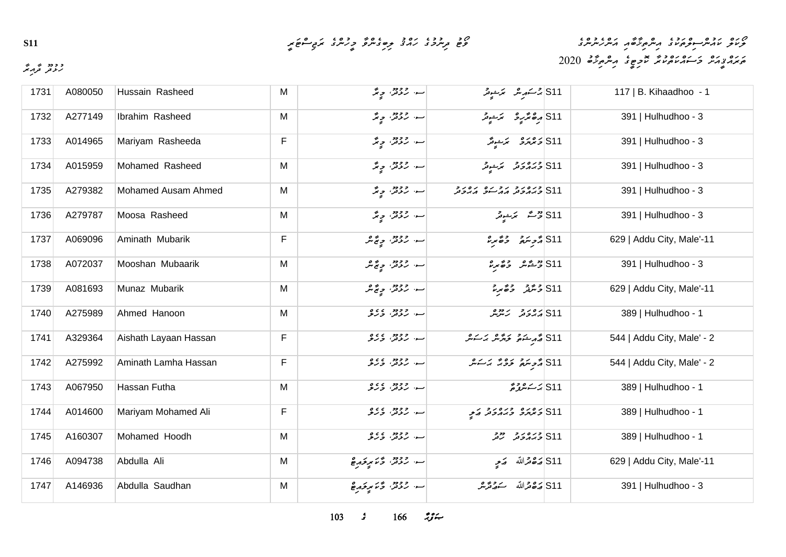*sCw7q7s5w7m< o<n9nOoAw7o< sCq;mAwBoEw7q<m; wBm;vB* م من المرة المرة المرة المرجع المرجع في المركبة 2020<br>مجم*د المريض المربوط المربع المرجع في المراجع المركبة* 

|  | $\begin{array}{cccccccccc} \phi & \phi & \phi & \phi & \phi & \phi \end{array}$ |
|--|---------------------------------------------------------------------------------|
|  | ترنزفر بحرمر مر                                                                 |

| 1731 | A080050 | Hussain Rasheed       | M           | سه رحمدی چاپگر                   | S11 پرکس کر مرکز تر تر تر تر تر تر این مرکز است کرد.<br>مرکز این مرکز این مرکز مرکز این مرکز این مرکز این مرکز این مرکز این مرکز این مرکز این مرکز این مرکز این مرکز ا | 117   B. Kihaadhoo - 1     |
|------|---------|-----------------------|-------------|----------------------------------|------------------------------------------------------------------------------------------------------------------------------------------------------------------------|----------------------------|
| 1732 | A277149 | Ibrahim Rasheed       | M           | ے رودو ویڈ                       | S11 م <i>وڭ ئۇر</i> ۇ سىمئىيەتر                                                                                                                                        | 391   Hulhudhoo - 3        |
| 1733 | A014965 | Mariyam Rasheeda      | F           | سه رودو ویژ                      | S11 كەبرىزى - برَحْوِيْر                                                                                                                                               | 391   Hulhudhoo - 3        |
| 1734 | A015959 | Mohamed Rasheed       | M           | سه رحمتری و بگر                  | S11 <i>ڈیزہ ب</i> وتر کرجومر                                                                                                                                           | 391   Hulhudhoo - 3        |
| 1735 | A279382 | Mohamed Ausam Ahmed   | M           | سه رحمته و پژ                    | S11 ورورو روم دورو                                                                                                                                                     | 391   Hulhudhoo - 3        |
| 1736 | A279787 | Moosa Rasheed         | M           | سه رحمدی و پژ                    | S11 فخر محر مؤمر                                                                                                                                                       | 391   Hulhudhoo - 3        |
| 1737 | A069096 | Aminath Mubarik       | F           | ے رکزوں ہے مگر                   | S11 مَّ مِسَمَّد حقَّ مِتْ                                                                                                                                             | 629   Addu City, Male'-11  |
| 1738 | A072037 | Mooshan Mubaarik      | M           | سه رحمدی و پخ مگر                | S11 تۇشەھرىر ئەھمىر                                                                                                                                                    | 391   Hulhudhoo - 3        |
| 1739 | A081693 | Munaz Mubarik         | M           | سەر 332، ج ئاير                  | S11 دَىتَىنْر قەھىرىت <sub>ا</sub>                                                                                                                                     | 629   Addu City, Male'-11  |
| 1740 | A275989 | Ahmed Hanoon          | M           | ر دو دو ده ورو<br>سه روتر، ورو   | S11 كەبروتى كەنترىش                                                                                                                                                    | 389   Hulhudhoo - 1        |
| 1741 | A329364 | Aishath Layaan Hassan | F           | ے۔ رودہ یہ ہ                     | S11 مۇم شەھ   تەرگەشر برسەش                                                                                                                                            | 544   Addu City, Male' - 2 |
| 1742 | A275992 | Aminath Lamha Hassan  | $\mathsf F$ | سه اودود در دارد.<br>سه روزن ورو | S11 مٌ <i>وِسْهِ وَدْنَهُ بَرَسَسْ</i>                                                                                                                                 | 544   Addu City, Male' - 2 |
| 1743 | A067950 | Hassan Futha          | M           | رودو ، دوو                       | S11 ئەسەھرىم                                                                                                                                                           | 389   Hulhudhoo - 1        |
| 1744 | A014600 | Mariyam Mohamed Ali   | F           | ر دودو ورو<br>روزه ورو           | S11 <i>وَجُهْرُو وَبَرْدُونُ <sub>م</sub>ُ</i> عِ                                                                                                                      | 389   Hulhudhoo - 1        |
| 1745 | A160307 | Mohamed Hoodh         | M           | ب رودوم ورو                      | S11 <i>5225 موفر</i>                                                                                                                                                   | 389   Hulhudhoo - 1        |
| 1746 | A094738 | Abdulla Ali           | M           | - رودو وريدوه                    | S11 كەھىراللە ك <i>ەي</i>                                                                                                                                              | 629   Addu City, Male'-11  |
| 1747 | A146936 | Abdulla Saudhan       | M           | - رودو وتايروكم                  | S11 كەھ قىراللە كەر قىرىگر                                                                                                                                             | 391   Hulhudhoo - 3        |

*103 sC 166 nNw?mS*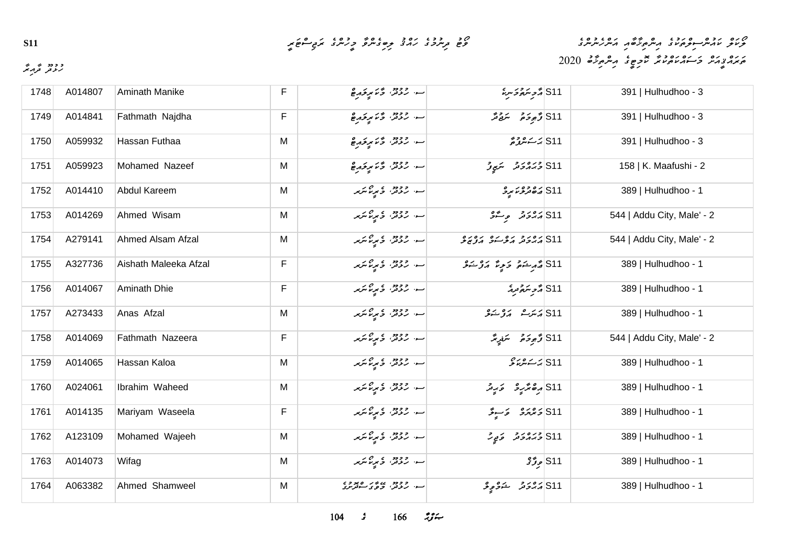*sCw7q7s5w7m< o<n9nOoAw7o< sCq;mAwBoEw7q<m; wBm;vB* م من المرة المرة المرة المرجع المراجع المراجع المراجع المراجع المراجع المراجع المراجع المراجع المراجع المراجع<br>مرين المراجع المراجع المرجع المراجع المراجع المراجع المراجع المراجع المراجع المراجع المراجع المراجع المراجع ال

|  | د دود به پر<br>رنز تر ترمه تر |
|--|-------------------------------|
|  |                               |

| 1748 | A014807 | Aminath Manike           | F | - رودو وتابر دكم                        | S11 أَمَّ مِ سَهْرَ سَرِيْرِ                                                                                                                                                                                                     | 391   Hulhudhoo - 3        |
|------|---------|--------------------------|---|-----------------------------------------|----------------------------------------------------------------------------------------------------------------------------------------------------------------------------------------------------------------------------------|----------------------------|
| 1749 | A014841 | Fathmath Najdha          | F | ٢٠٠٠٠٠٠٠٠٠٠٠٠٠٠٠                        | S11 <i>وُّجِ دَمَعُ</i> سَمَّةٍ مَّدَ                                                                                                                                                                                            | 391   Hulhudhoo - 3        |
| 1750 | A059932 | Hassan Futhaa            | M | - دودو وريده                            | S11 ئەستەنلە <i>تى</i>                                                                                                                                                                                                           | 391   Hulhudhoo - 3        |
| 1751 | A059923 | Mohamed Nazeef           | M | - رودو وتابروه                          | S11 دېزه د تر سر <sub>ي</sub> تر                                                                                                                                                                                                 | 158   K. Maafushi - 2      |
| 1752 | A014410 | Abdul Kareem             | M | ے رودوں کے برنا مکر کر                  | S11 ئەھەر <i>جەنبە</i> ج                                                                                                                                                                                                         | 389   Hulhudhoo - 1        |
| 1753 | A014269 | Ahmed Wisam              | M | ے رودوں کے مرتکب کرمر                   | S11   كەندى قىم ئەربىيە تەربىيە ئالىرى ئالىرى ئالىرى ئالىرى ئالىرى ئالىرى ئالىرى ئالىرى ئالىرى ئۇنى ئۇنى ئۇنىي<br>ئالىرى ئالىرى ئالىرى ئالىرى ئالىرى ئالىرى ئالىرى ئىلىرى ئالىرى ئالىرى ئالىرى ئالىرى ئالىرى ئىلىرى ئىلىرى ئىلىر | 544   Addu City, Male' - 2 |
| 1754 | A279141 | <b>Ahmed Alsam Afzal</b> | M | سەر 25%، ئۇيرىكىلىكلە                   | S11 <i>גور</i> 3 كەربۇ بەرە بوي                                                                                                                                                                                                  | 544   Addu City, Male' - 2 |
| 1755 | A327736 | Aishath Maleeka Afzal    | F | ے رودوں کے برنا مکر کر                  | S11 مٌ مِشَمَّ وَمِرَّ مَرْشَوْ                                                                                                                                                                                                  | 389   Hulhudhoo - 1        |
| 1756 | A014067 | Aminath Dhie             | F | ے روڈو ویرنائنگر                        | S11 مَّ مِ سَمَّ مِرمَّ                                                                                                                                                                                                          | 389   Hulhudhoo - 1        |
| 1757 | A273433 | Anas Afzal               | M | ے۔ رودوں کے مرتکب میں                   | S11 كەنترىش <i>ە كەۋىنى</i> تى                                                                                                                                                                                                   | 389   Hulhudhoo - 1        |
| 1758 | A014069 | Fathmath Nazeera         | F | ے۔ رودوں کے مرتک مکرمہ                  | S11 ۇ <sub>ج</sub> وقۇ سى <sub>نچى</sub> گە                                                                                                                                                                                      | 544   Addu City, Male' - 2 |
| 1759 | A014065 | Hassan Kaloa             | M | ے۔ رودوں کے برنا سکر                    | S11 ئەستەپىرىتى                                                                                                                                                                                                                  | 389   Hulhudhoo - 1        |
| 1760 | A024061 | Ibrahim Waheed           | M | ے۔ رودوں کے مرتکب میں                   | S11 م <i>وڭ ئۇي</i> رۇ ھە <i>يدى</i> ر                                                                                                                                                                                           | 389   Hulhudhoo - 1        |
| 1761 | A014135 | Mariyam Waseela          | F | ے روڈو ویرنائنگر                        | S11 <i>5 پر<sub>پ</sub>رو ق</i> ریرو                                                                                                                                                                                             | 389   Hulhudhoo - 1        |
| 1762 | A123109 | Mohamed Wajeeh           | M | ے رودوں کے برنا مکر کر                  | S11 <i>وُبَرُوُوَتَرْ وَيِي</i> رُ                                                                                                                                                                                               | 389   Hulhudhoo - 1        |
| 1763 | A014073 | Wifag                    | M | ے۔ رودوں کے مرتک مکرمہ                  | S11 موتوفر                                                                                                                                                                                                                       | 389   Hulhudhoo - 1        |
| 1764 | A063382 | Ahmed Shamweel           | M | د دود به ۱۶۶۵ ورود<br>سه رنزش ووی سهترس | S11   پروژو شوه ويو                                                                                                                                                                                                              | 389   Hulhudhoo - 1        |

*n*<sub>104</sub>  $\leq$  166  $\frac{2}{\sqrt{5}}$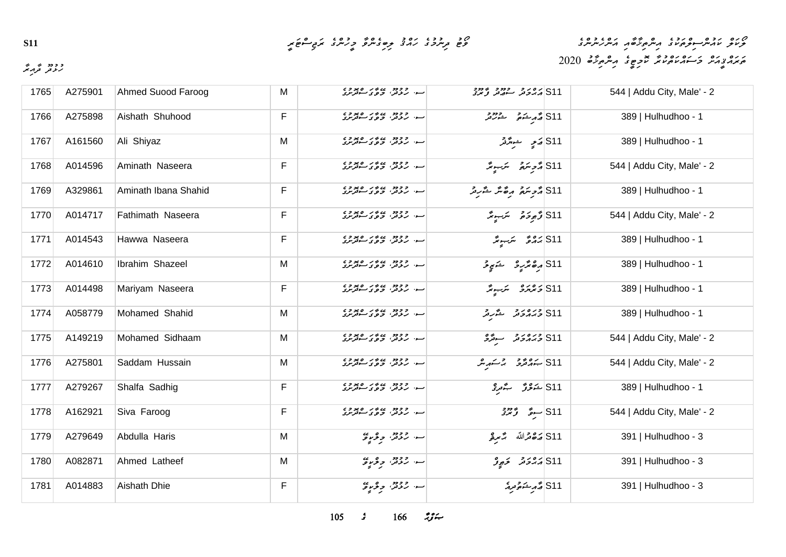*sCw7q7s5w7m< o<n9nOoAw7o< sCq;mAwBoEw7q<m; wBm;vB* م من المرة المرة المرة المرجع المراجع المراجع المراجع المراجع المراجع المراجع المراجع المراجع المراجع المراجع<br>مرين المراجع المراجع المرجع المراجع المراجع المراجع المراجع المراجع المراجع المراجع المراجع المراجع المراجع ال

|  | د دود به پر<br>رنز تر ترمه |
|--|----------------------------|
|  |                            |

| 1765 | A275901 | Ahmed Suood Faroog   | M           | د و دو در در در ورو د<br>سه رنوتو، و و ی سه توس     | S11 كەبۇر كەر ئەمەس ئۇنىز ئ                | 544   Addu City, Male' - 2 |
|------|---------|----------------------|-------------|-----------------------------------------------------|--------------------------------------------|----------------------------|
| 1766 | A275898 | Aishath Shuhood      | F           | د دوه عالات میروه<br>سه رنزش و وی سهترس             | S11 مَدْمِ مِنْدَمْ مِنْ مِنْزِيْرِ        | 389   Hulhudhoo - 1        |
| 1767 | A161560 | Ali Shiyaz           | M           | د دوه دره در ۲۶ وره<br>سه رنزتر، و و ی سه ترس       | S11  رَمِ مُ مُتَرَمَّزُ                   | 389   Hulhudhoo - 1        |
| 1768 | A014596 | Aminath Naseera      | $\mathsf F$ | د د دود ان داد د د د د د<br>سه ارتونو، و و ی سه توس | S11 مَرْجِبَتَهُمْ سَرَسِيتُمْ             | 544   Addu City, Male' - 2 |
| 1769 | A329861 | Aminath Ibana Shahid | F           | د دوه دره در ۲۶ وره<br>سه رنزتر، و و ی سه ترس       | S11 مَّرْسِعَهُ مِثَّعَمٌ حَمْرِ مِّدْ     | 389   Hulhudhoo - 1        |
| 1770 | A014717 | Fathimath Naseera    | F           | د د دود ان داد د د د د د<br>سه ارتونو، و و ی سه توس | S11 <i>وُّهِ دَمْ</i> مَرَسِيمٌ            | 544   Addu City, Male' - 2 |
| 1771 | A014543 | Hawwa Naseera        | F           | د دوه دره در ۲۶ وره<br>سه رنزش ووی ستربری           | S11  يَرْدُوَّ - سَرَسِوِيْرَ              | 389   Hulhudhoo - 1        |
| 1772 | A014610 | Ibrahim Shazeel      | M           | د دوه عالات میروه<br>سه رنزش و وی ستربری            | S11 پ <i>ر&amp;ئڈرِ \$</i> سَمَىٍ تَح      | 389   Hulhudhoo - 1        |
| 1773 | A014498 | Mariyam Naseera      | F           | د د دوه عاملا ومود و د<br>سه رنونو، و و ی سه توبری  | S11  <i>وَبُرْدَة</i> مَرَسِيَّتُر         | 389   Hulhudhoo - 1        |
| 1774 | A058779 | Mohamed Shahid       | M           | د دوه دره در ۲۶ وره<br>سه رنزتر، و و ی سه ترس       | S11 <i>وبزود تو</i> شگريز                  | 389   Hulhudhoo - 1        |
| 1775 | A149219 | Mohamed Sidhaam      | M           | د دوه عالات میروه<br>سه رنزش و وی سهترس             | S11 <i>ڈیزوی تی سوڈ</i> و                  | 544   Addu City, Male' - 2 |
| 1776 | A275801 | Saddam Hussain       | M           | د دوه دره در ۲۶ وره<br>سه رنزش ووی ستربری           | S11 بەير قرىر ب <sub>ە</sub> ر بىر بىر     | 544   Addu City, Male' - 2 |
| 1777 | A279267 | Shalfa Sadhig        | F           | د دوه دره در ۲۶ وره<br>سه رنزتر، و و ی سه ترس       | S11 خ <b>ىرى بە</b> رتى                    | 389   Hulhudhoo - 1        |
| 1778 | A162921 | Siva Faroog          | F           | د د دود ان داد د د د د د<br>سه ارتونو، و و ی سه توس | S11 سوءً گ <sup>و</sup> نژن <sub>د</sub> ً | 544   Addu City, Male' - 2 |
| 1779 | A279649 | Abdulla Haris        | M           | سە رودو دورى                                        | S11 كەھەراللە گەمەھ                        | 391   Hulhudhoo - 3        |
| 1780 | A082871 | Ahmed Latheef        | M           | سە رودو دورى                                        | S11 كەندى قىرۇ                             | 391   Hulhudhoo - 3        |
| 1781 | A014883 | Aishath Dhie         | F           | سە رودو دۇرە                                        | S11 مُدْمِر شَوْمِرْمُر                    | 391   Hulhudhoo - 3        |

*105 sC 166 nNw?mS*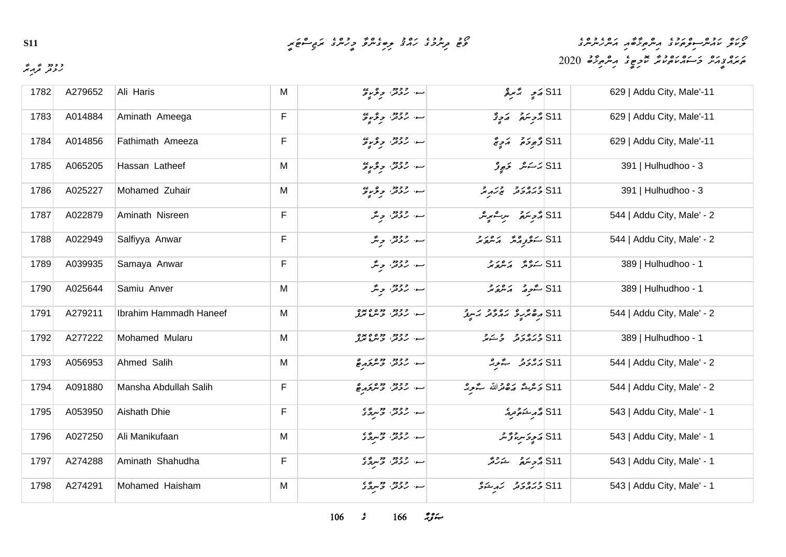*sCw7q7s5w7m< o<n9nOoAw7o< sCq;mAwBoEw7q<m; wBm;vB* م من المرة المرة المرة المرجع المراجع المراجع المراجع المراجع المراجع المراجع المراجع المراجع المراجع المراجع<br>مرين المراجع المراجع المرجع المراجع المراجع المراجع المراجع المراجع المراجع المراجع المراجع المراجع المراجع ال

|  | د دود به پر<br>رنز تر تربر تر |  |
|--|-------------------------------|--|

| 1782 | A279652 | Ali Haris              | M            | ے رودہ ووری                                          | S11  رَمِ بُرْمِيْرِ                                         | 629   Addu City, Male'-11  |
|------|---------|------------------------|--------------|------------------------------------------------------|--------------------------------------------------------------|----------------------------|
| 1783 | A014884 | Aminath Ameega         | F            | سه رودون د ورتا په                                   | S11 مَّ <i>جِ سَعْہَ مَہٰ جِ</i> تَ                          | 629   Addu City, Male'-11  |
| 1784 | A014856 | Fathimath Ameeza       | F            | ب رودون و و په                                       | S11 وَّجِوحَ <sup>و</sup> مَر <sub>ْ</sub> حِيَّ             | 629   Addu City, Male'-11  |
| 1785 | A065205 | Hassan Latheef         | M            | ے رودوں و وری                                        | S11 ټريند تو <sub>جو</sub> ژ                                 | 391   Hulhudhoo - 3        |
| 1786 | A025227 | Mohamed Zuhair         | M            | سه رودون و و په                                      | S11 <i>دېره دي</i> پر مړيز                                   | 391   Hulhudhoo - 3        |
| 1787 | A022879 | Aminath Nisreen        | F            | سه رودون چنگر                                        | S11 مُ <i>وِسَمْ</i> مِنْ سِرْ سِمْ مِرْ مِنْ                | 544   Addu City, Male' - 2 |
| 1788 | A022949 | Salfiyya Anwar         | F            | ۔۔ رکوتو، جانگ                                       | S11 سىۋېرمى <i>گە</i> مەش <i>رەنت</i> ە                      | 544   Addu City, Male' - 2 |
| 1789 | A039935 | Samaya Anwar           | F            | ے۔ رووڈ، جنگ                                         | S11 كەنىۋە بەيھەتىر                                          | 389   Hulhudhoo - 1        |
| 1790 | A025644 | Samiu Anver            | M            | سه رحمتر، جانگر                                      | S11 گەجەچە ئەش <i>رە ئە</i>                                  | 389   Hulhudhoo - 1        |
| 1791 | A279211 | Ibrahim Hammadh Haneef | M            | د د د د د د ه ه و د و مرد و .<br>سه روتر، و سرع مربح | S11 مەھەمگەر ئەسمەت ئەسمەت                                   | 544   Addu City, Male' - 2 |
| 1792 | A277222 | Mohamed Mularu         | $\mathsf{M}$ | د د دوه د ده ه پره<br>پ. روتر، و س پرو               | S11 <i>ۋېرورو ۋىنى</i> تر                                    | 389   Hulhudhoo - 1        |
| 1793 | A056953 | Ahmed Salih            | M            | د د دود ده د ه<br>سوسر روس و سربورغ                  | S11 <i>ډېری تر</i> سگوپژ                                     | 544   Addu City, Male' - 2 |
| 1794 | A091880 | Mansha Abdullah Salih  | F            | - رودو دومروه                                        | S11 كَرْسْرْتْتْهُ مْرْكَةْرْاللّه جَوْبْرْ                  | 544   Addu City, Male' - 2 |
| 1795 | A053950 | Aishath Dhie           | F            | ب دوود وديده                                         | S11 مۇم شەھ <sup>و</sup> ىرە ئە                              | 543   Addu City, Male' - 1 |
| 1796 | A027250 | Ali Manikufaan         | M            | ے۔ رووڈ وہ بروی                                      | S11 <sub>ھ</sub> ُ بِوحَ <sub>م</sub> برت <sub>م</sub> و تَش | 543   Addu City, Male' - 1 |
| 1797 | A274288 | Aminath Shahudha       | F            |                                                      | S11 مَّ حِسَمَۃ شَدَمَّتَر                                   | 543   Addu City, Male' - 1 |
| 1798 | A274291 | Mohamed Haisham        | M            | ے دورہ وسروی                                         | S11 <i>وُبَرُهُ وَبَرْ رَ<sub>ّبِر</sub>ِــدَ</i> وْ         | 543   Addu City, Male' - 1 |

*106 s 166 <i>n*<sub>2</sub> *n*<sub>2</sub> *n*<sub>2</sub> *n*<sub>2</sub> *n*<sub>2</sub> *n*<sub>2</sub> *n*<sub>2</sub> *n*<sub>2</sub> *n*<sub>2</sub> *n*<sub>2</sub> *n*<sub>2</sub> *n*<sub>2</sub> *n*<sub>2</sub> *n*<sub>2</sub> *n*<sub>2</sub> *n*<sub>2</sub> *n*<sub>2</sub> *n*<sub>2</sub> *n*<sub>2</sub> *n*<sub>2</sub> *n*<sub>2</sub> *n*<sub>2</sub> *n*<sub>2</sub> *n*<sub>2</sub> *n*<sub>2</sub> *n*<sub>2</sub> *n*<sub>2</sub> *n*<sub>2</sub> *n*<sub>2</sub>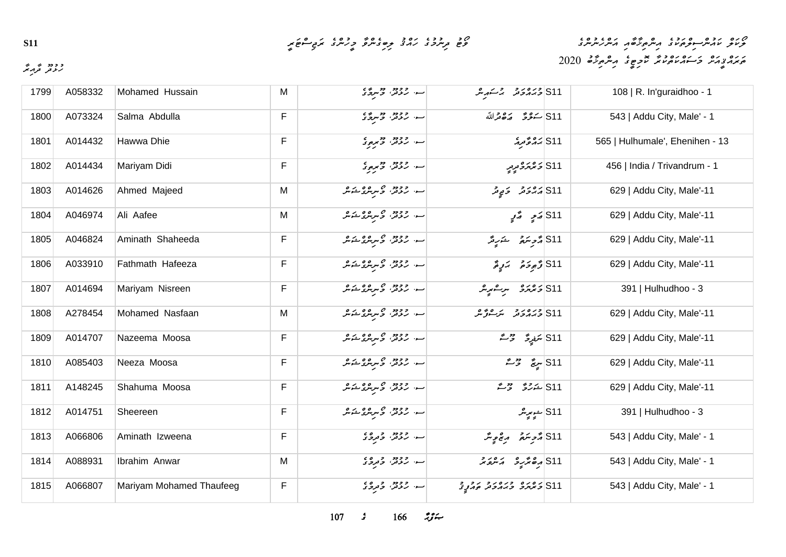*sCw7q7s5w7m< o<n9nOoAw7o< sCq;mAwBoEw7q<m; wBm;vB* م من المرة المرة المرة المرجع المراجع المراجع المراجع المراجع المراجع المراجع المراجع المراجع المراجع المراجع<br>مرين المراجع المراجع المرجع المراجع المراجع المراجع المراجع المراجع المراجع المراجع المراجع المراجع المراجع ال

| 1799 | A058332 | Mohamed Hussain          | M           | در دور دور در                        | S11 <i>دېم دو</i> ر برگ <i>س</i> ه ش                     | 108   R. In'guraidhoo - 1       |
|------|---------|--------------------------|-------------|--------------------------------------|----------------------------------------------------------|---------------------------------|
| 1800 | A073324 | Salma Abdulla            | F           | در دود ورود                          | S11 كورً <i>ة مَ</i> صْرَاللّه                           | 543   Addu City, Male' - 1      |
| 1801 | A014432 | Hawwa Dhie               | F           | د د دوه دون<br>سه رنونس و برجوی      | S11 بَرْدُهٌ مِرْدً                                      | 565   Hulhumale', Ehenihen - 13 |
| 1802 | A014434 | Mariyam Didi             | $\mathsf F$ | د د دود د د د .<br>سه رنونو، و موجود | S11 5پر <i>مرڈ ور</i> ور                                 | 456   India / Trivandrum - 1    |
| 1803 | A014626 | Ahmed Majeed             | M           | ے رودوں و سرسی عکس                   | S11 كەندى قىمى قىلىمىتى ئى                               | 629   Addu City, Male'-11       |
| 1804 | A046974 | Ali Aafee                | M           | ے دورہ وسر موقف ک                    | S11 <i>ڇَوِ چُوِ</i>                                     | 629   Addu City, Male'-11       |
| 1805 | A046824 | Aminath Shaheeda         | $\mathsf F$ | سار روده می مرده می شوند             | S11 مَرْحِ سَمَرَ مَسَرِ مَدْ                            | 629   Addu City, Male'-11       |
| 1806 | A033910 | Fathmath Hafeeza         | F           | ے دورہ وسر موقف ک                    | S11 گۇم <i>وخۇ بىرى</i> تى                               | 629   Addu City, Male'-11       |
| 1807 | A014694 | Mariyam Nisreen          | F           | ے۔ رودہ وسربری خامر                  | S11 كەبەدۇ بىرىشمېرى <i>گ</i> ە                          | 391   Hulhudhoo - 3             |
| 1808 | A278454 | Mohamed Nasfaan          | M           | ے دورہ میں معاشرے                    | S11 <i>دېره دو</i> ترگ <i>ونگر</i>                       | 629   Addu City, Male'-11       |
| 1809 | A014707 | Nazeema Moosa            | F           | ے۔ رودہ وسربری خامر                  | S11 سَمْدِیَّ گُرُسَّہُ ا                                | 629   Addu City, Male'-11       |
| 1810 | A085403 | Neeza Moosa              | F           | ے۔ رودہ وسربری خامر                  | S11 سرچ حقیقہ                                            | 629   Addu City, Male'-11       |
| 1811 | A148245 | Shahuma Moosa            | F           | ے رودوں و سرسی عکس                   | $23$ $322$ S11                                           | 629   Addu City, Male'-11       |
| 1812 | A014751 | Sheereen                 | F           | ے روزہ میں موقعہ کی                  | S11   شەمەپەنگر                                          | 391   Hulhudhoo - 3             |
| 1813 | A066806 | Aminath Izweena          | F           | ب ووود و ده د                        | S11 أ <i>مز ج</i> ر تمري <i>ز م</i> رج م <sub>و</sub> سر | 543   Addu City, Male' - 1      |
| 1814 | A088931 | Ibrahim Anwar            | M           | در دوه و وه                          | S11 مەھ <i>مگې</i> رى مەمھەممى                           | 543   Addu City, Male' - 1      |
| 1815 | A066807 | Mariyam Mohamed Thaufeeg | F           | در دوه و ده و                        | S11 تره بره وبرو د و برو و د                             | 543   Addu City, Male' - 1      |

 $107$  *s*  $166$  *n***<sub>3</sub>** *n* 

*n8o<n@ r@q:q5*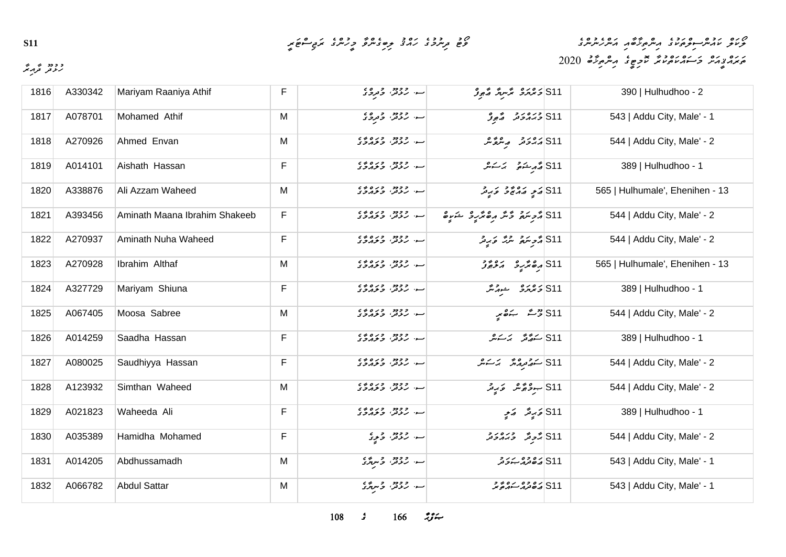*sCw7q7s5w7m< o<n9nOoAw7o< sCq;mAwBoEw7q<m; wBm;vB* م من المرة المرة المرة المرجع المراجع المراجع المراجع المراجع المراجع المراجع المراجع المراجع المراجع المراجع<br>مرين المراجع المراجع المرجع المراجع المراجع المراجع المراجع المراجع المراجع المراجع المراجع المراجع المراجع ال

|  | $\rightarrow$ $\rightarrow$ 3777 |
|--|----------------------------------|
|  | ر د در مربر بر                   |
|  |                                  |

| 1816 | A330342 | Mariyam Raaniya Athif         | F | ر د دوه و ده و د                               | S11 <i>دَ نُرْمَرْدْ تُرْسِرْتُ</i> رُّجوِرْ | 390   Hulhudhoo - 2             |
|------|---------|-------------------------------|---|------------------------------------------------|----------------------------------------------|---------------------------------|
| 1817 | A078701 | Mohamed Athif                 | M | ر د دود. و ده پ                                | S11 <i>5 جنرم 15 مئي وفر</i>                 | 543   Addu City, Male' - 1      |
| 1818 | A270926 | Ahmed Envan                   | M | وووو - وره به د<br>سه رنونس و بوړوي            | S11 <i>مَدْدَوتر م</i> ِسْرَةَ شَر           | 544   Addu City, Male' - 2      |
| 1819 | A014101 | Aishath Hassan                | F | د دودو وره به د<br>سوا روترا و بوړوی           | S11 <i>\$م شكم تركتر</i>                     | 389   Hulhudhoo - 1             |
| 1820 | A338876 | Ali Azzam Waheed              | M | و و دو د و د ه ه ه<br>سود اربوتو، او بو پر و ی | S11 <i>ړنو په دې</i> څو څېړن <i>د</i>        | 565   Hulhumale', Ehenihen - 13 |
| 1821 | A393456 | Aminath Maana Ibrahim Shakeeb | F | د دوه دره در در<br>سه روند و درود              | S11  مەجەنىھ گەنگە مەھەمگەر ھەمدىھ           | 544   Addu City, Male' - 2      |
| 1822 | A270937 | Aminath Nuha Waheed           | F | د د دوه د ده ده د<br>سه روترا و وروز           | S11 مَّ <i>جِ سَمَّةَ مَدَّدٌ وَبِ</i> يْتَر | 544   Addu City, Male' - 2      |
| 1823 | A270928 | Ibrahim Althaf                | M | د د دوه د د ده د د<br>سه روتر، و وړو د         | S11 مەھتمىي ھەممىقى ئى                       | 565   Hulhumale', Ehenihen - 13 |
| 1824 | A327729 | Mariyam Shiuna                | F | د دودو وره به د<br>سوا روترا و بوړوی           | S11 <i>دېمبرو خوم</i> گر                     | 389   Hulhudhoo - 1             |
| 1825 | A067405 | Moosa Sabree                  | M | د د دوه د ده د د د<br>سه روتر، و وړو د         | S11 چينځ په شومبر                            | 544   Addu City, Male' - 2      |
| 1826 | A014259 | Saadha Hassan                 | F | د د دوه د د ده پا<br>سه روتر، و وړون           |                                              | 389   Hulhudhoo - 1             |
| 1827 | A080025 | Saudhiyya Hassan              | F | ر د دوه د د ده د .<br>سو، روتر، و و دورو د     | S11 سىرتە بىر بەر ئەسكەش                     | 544   Addu City, Male' - 2      |
| 1828 | A123932 | Simthan Waheed                | M | د د دوه د ده ده د<br>سه روتر، و درود           | S11 سوۋۇش ئ <i>ەب</i> ىر                     | 544   Addu City, Male' - 2      |
| 1829 | A021823 | Waheeda Ali                   | F | د د دوه د د ده پا<br>سه روتر، و وړون           | S11  <i>ق ب</i> ِعَر <i>مَ</i> مٍ            | 389   Hulhudhoo - 1             |
| 1830 | A035389 | Hamidha Mohamed               | F | سه رودو و ،                                    | S11 بَرْدِمَّر   دْبَرْدْدَرْ                | 544   Addu City, Male' - 2      |
| 1831 | A014205 | Abdhussamadh                  | M | ے۔ روود و سرگری                                | S11 ئەھ <i>قىرى ش</i> كرىتر                  | 543   Addu City, Male' - 1      |
| 1832 | A066782 | <b>Abdul Sattar</b>           | M | ے رودوں و سرگری                                | S11 كەھەرم سەھ بىر                           | 543   Addu City, Male' - 1      |

 $108$  *s*  $166$  *n***<sub>3</sub>** *n*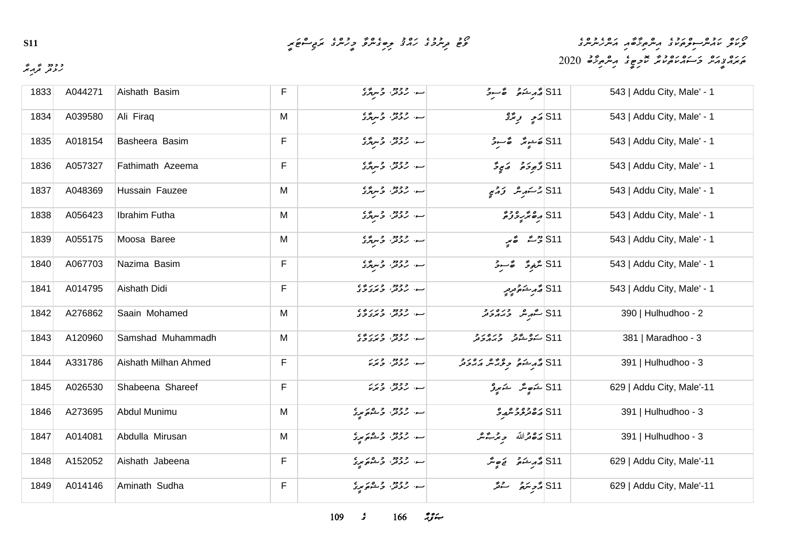*sCw7q7s5w7m< o<n9nOoAw7o< sCq;mAwBoEw7q<m; wBm;vB* م من المرة المرة المرة المرجع المرجع في المركبة 2020<br>مجم*د المريض المربوط المربع المرجع في المراجع المركبة* 

|  | 4.4.222        |
|--|----------------|
|  | نرعرفر اقرمرته |
|  |                |

| 1833 | A044271 | Aishath Basim        | $\mathsf F$  | ے ووڈ وسطی                                                  | S11 مَگْرِسْتَمْ صَحْبِيْرَ               | 543   Addu City, Male' - 1 |
|------|---------|----------------------|--------------|-------------------------------------------------------------|-------------------------------------------|----------------------------|
| 1834 | A039580 | Ali Firaq            | M            | ے رودوں وسروی                                               | S11 کړ <i>و ویگ</i> ر                     | 543   Addu City, Male' - 1 |
| 1835 | A018154 | Basheera Basim       | $\mathsf{F}$ | ـــ دوور وسرده                                              | S11 حَسْبِعٌ حَسِبْرَ                     | 543   Addu City, Male' - 1 |
| 1836 | A057327 | Fathimath Azeema     | $\mathsf{F}$ | ے۔ رووز، وسیڑی                                              | S11 ۇ <sub>ج</sub> ودۇ كەي <sub>م</sub> ۇ | 543   Addu City, Male' - 1 |
| 1837 | A048369 | Hussain Fauzee       | M            | ے دوور وسرگری                                               | S11 پرسىمبە ئەرىپى                        | 543   Addu City, Male' - 1 |
| 1838 | A056423 | Ibrahim Futha        | M            | ے رودوں و سرگری                                             | S11 <sub>مر</sub> ڭ ئرىپروزۇ              | 543   Addu City, Male' - 1 |
| 1839 | A055175 | Moosa Baree          | M            | ے۔ رووز وسروری                                              | S11 جي ڇپر                                | 543   Addu City, Male' - 1 |
| 1840 | A067703 | Nazima Basim         | $\mathsf{F}$ | ے دوود وسروی                                                | S11 مَّهْدِ حَمَّـر حَمَّـر               | 543   Addu City, Male' - 1 |
| 1841 | A014795 | Aishath Didi         | $\mathsf{F}$ | د د دوه د ور روه د<br>سه روتر، و برو و د                    | S11 مُگهرِسْنَهُ تَوْمِدِيرِ              | 543   Addu City, Male' - 1 |
| 1842 | A276862 | Saain Mohamed        | M            | و و ووو - و د ر د ه ه<br>سود - مربولون - و بور و ی          | S11 گەرىش ئ <i>ەيدە ت</i> و               | 390   Hulhudhoo - 2        |
| 1843 | A120960 | Samshad Muhammadh    | M            | د د د ده د درده د<br>سه روتر، و برو د د                     | S11 كۇشۇر ئ <i>ېرۇن</i> ر                 | 381   Maradhoo - 3         |
| 1844 | A331786 | Aishath Milhan Ahmed | F            | سه وودو وبرر                                                | S11 مُهرِسُومُ و ويُرْسُ مَدوسُ           | 391   Hulhudhoo - 3        |
| 1845 | A026530 | Shabeena Shareef     | F            | ر در دور در در در در در باشد.<br>سود ارتزالات از تاریخ باشد | S11 ڪوچگر ڪو <i>پو</i> گر                 | 629   Addu City, Male'-11  |
| 1846 | A273695 | Abdul Munimu         | M            | د د دود و ده د د .<br>سوسروس و شومونوی                      | S11 كەھىر <i>جى مەدى</i>                  | 391   Hulhudhoo - 3        |
| 1847 | A014081 | Abdulla Mirusan      | M            | ر د ودو و ده د د .<br>سه روتر، و شمهونوی                    | S11 كەھەتراللە <i>دېمىشىتىر</i>           | 391   Hulhudhoo - 3        |
| 1848 | A152052 | Aishath Jabeena      | $\mathsf F$  | ے رودو وے دی۔                                               | S11 مَگْرِسْتَمْ کَمْ صِنَّر              | 629   Addu City, Male'-11  |
| 1849 | A014146 | Aminath Sudha        | F            | ر د ودو و د د د د .<br>سه رنوس و شوم مړی                    | S11 مَرْحِبَهُ جَمَّدَ                    | 629   Addu City, Male'-11  |

*n*<sub>109</sub>  $\cancel{.}$  **f**  $\cancel{.}$  166  $\cancel{.}$   $\cancel{.}$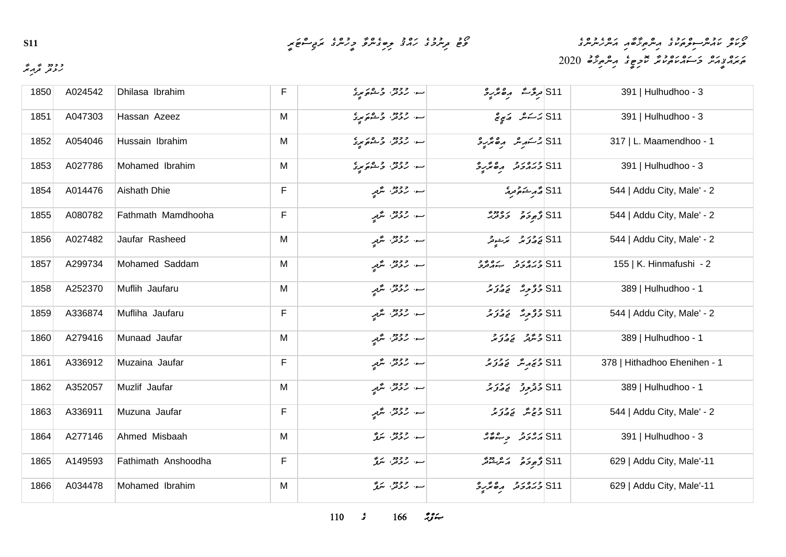*sCw7q7s5w7m< o<n9nOoAw7o< sCq;mAwBoEw7q<m; wBm;vB* م من المرة المرة المرة المرجع المرجع في المركبة 2020<br>مجم*د المريض المربوط المربع المرجع في المراجع المركبة* 

|  | د دود به پر<br>رنز تر ترمه تر |
|--|-------------------------------|
|  |                               |

| 1850 | A024542 | Dhilasa Ibrahim     | F           | سه رودو و شهری                            | S11 مرتزسة م <i>م مرثة ب</i> رد              | 391   Hulhudhoo - 3          |
|------|---------|---------------------|-------------|-------------------------------------------|----------------------------------------------|------------------------------|
| 1851 | A047303 | Hassan Azeez        | M           | د د ودو و ده د د .<br>سود برنوس و شومونوی | S11 ئەسەبىر كەيپى                            | 391   Hulhudhoo - 3          |
| 1852 | A054046 | Hussain Ibrahim     | M           | ر د ودو و ده د د )<br>سه روتر، و شهری     | S11 يُرْسَمب <sup>9</sup> مِنْ مُرْسِرْ مُنْ | 317   L. Maamendhoo - 1      |
| 1853 | A027786 | Mohamed Ibrahim     | M           | د د ودو و ده د د .<br>سود برنوس و شومونوی | S11 <i>ډېرونو م</i> ېگريز                    | 391   Hulhudhoo - 3          |
| 1854 | A014476 | Aishath Dhie        | F           | ے۔ رکوتو، سگھر                            | S11 مۇم شەھ <sup>و</sup> ر <i>ە</i>          | 544   Addu City, Male' - 2   |
| 1855 | A080782 | Fathmath Mamdhooha  | $\mathsf F$ | ے۔ رکوتو، سگھر                            | S11 گەچەتمە ئەمەدىرىمە                       | 544   Addu City, Male' - 2   |
| 1856 | A027482 | Jaufar Rasheed      | M           | ے، رُرُوُرُ، سُرمبرِ                      | S11 <i>ق م<sup>3</sup>ذكر مم</i> متوفر       | 544   Addu City, Male' - 2   |
| 1857 | A299734 | Mohamed Saddam      | M           | ے، رُرُوُرُ، سُرمبرِ                      | S11 دېرورو بەرەپەر                           | 155   K. Hinmafushi - 2      |
| 1858 | A252370 | Muflih Jaufaru      | M           | ے رودو مگیر                               | S11  <sub>ح</sub> وج <sub>مح</sub> مونر      | 389   Hulhudhoo - 1          |
| 1859 | A336874 | Mufliha Jaufaru     | F           | سە رودۇ، ئىگىر                            | S11 تۇنوپۇ ئە <i>مەق ت</i> ر                 | 544   Addu City, Male' - 2   |
| 1860 | A279416 | Munaad Jaufar       | M           | ے، رُکوتُر، سُرمبرِ                       | S11 <sub>ح</sub> رشر ت <sub>ح</sub> مقر تر   | 389   Hulhudhoo - 1          |
| 1861 | A336912 | Muzaina Jaufar      | F           | ے. رُکوتُر، سُرمبرِ                       | S11 ترىخ مەمىش ئ <i>ىق قەتى</i> تىر          | 378   Hithadhoo Ehenihen - 1 |
| 1862 | A352057 | Muzlif Jaufar       | M           | ے رکوئی مگرمیں                            | S11 <i>وَثَرُوِرْ فَهُوَمَ</i> رُ            | 389   Hulhudhoo - 1          |
| 1863 | A336911 | Muzuna Jaufar       | $\mathsf F$ | ے۔ رُکوتُوْ، سُرمبرِ                      | S11 <sub>ح</sub> ج پھر ہے <i>ماؤن</i> ٹر     | 544   Addu City, Male' - 2   |
| 1864 | A277146 | Ahmed Misbaah       | M           | سە رودى ئىرگە                             | S11 גژونر <sub>ج</sub> بگرم                  | 391   Hulhudhoo - 3          |
| 1865 | A149593 | Fathimath Anshoodha | $\mathsf F$ | سە رودە بۇ                                | S11 <i>وَّجِ دَمَّة مَ</i> مَرْشَقَة         | 629   Addu City, Male'-11    |
| 1866 | A034478 | Mohamed Ibrahim     | M           | سە رودىق شۇ                               | S11 <i>ڈبزور دھ بڑے</i> 3                    | 629   Addu City, Male'-11    |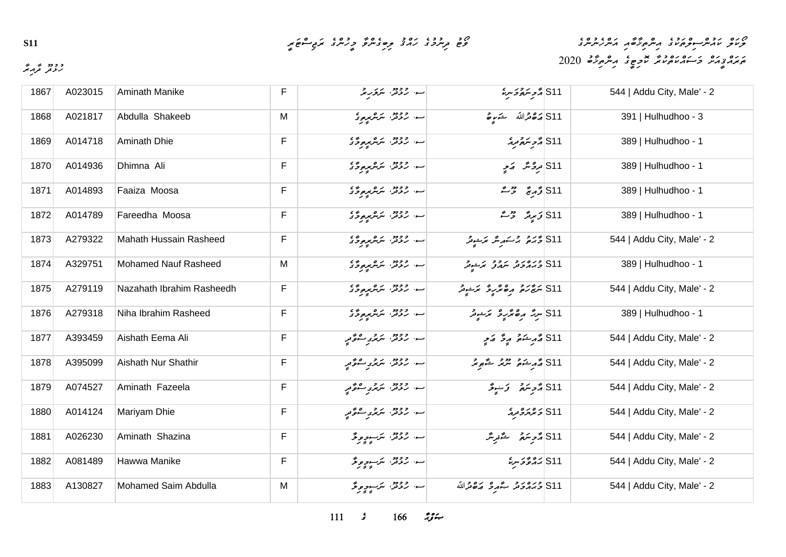*sCw7q7s5w7m< o<n9nOoAw7o< sCq;mAwBoEw7q<m; wBm;vB* م من المرة المرة المرة المرجع المرجع في المركبة 2020<br>مجم*د المريض المربوط المربع المرجع في المراجع المركبة* 

| د دود به پر<br>رنز تر ترمه |  |  |
|----------------------------|--|--|
|                            |  |  |

| 1867 | A023015 | Aminath Manike              | F           | ىسە زىرى ئىركەرلىمى    | S11 مَرْحِ سَرْبَرْ حَسِرْ مَنْ                    | 544   Addu City, Male' - 2 |
|------|---------|-----------------------------|-------------|------------------------|----------------------------------------------------|----------------------------|
| 1868 | A021817 | Abdulla Shakeeb             | M           | ے رودو شریفریزیوی      | S11 كَەڭداللە خىرى <i>م</i>                        | 391   Hulhudhoo - 3        |
| 1869 | A014718 | Aminath Dhie                | F           | ے رودو شریف وی         | S11 مُ <i>ج</i> سَمْ وَمِدْ                        | 389   Hulhudhoo - 1        |
| 1870 | A014936 | Dhimna Ali                  | F           | ے دورہ شہر وی          | S11 مرڈنگ   مَرمِ                                  | 389   Hulhudhoo - 1        |
| 1871 | A014893 | Faaiza Moosa                | F           | ے رودو شریف وی         | S11 تَ <i>وْرِجْ تَيْ</i> شَ                       | 389   Hulhudhoo - 1        |
| 1872 | A014789 | Fareedha Moosa              | F           | ے رودو شرعر وی         | S11 تۇم <sub>ي</sub> ىتى تۇش                       | 389   Hulhudhoo - 1        |
| 1873 | A279322 | Mahath Hussain Rasheed      | F           | ے۔ روود سکھریں وی      | S11 دُبَرَة بِرْسَهِ بِرْسُوِيْر                   | 544   Addu City, Male' - 2 |
| 1874 | A329751 | <b>Mohamed Nauf Rasheed</b> | M           | ے رودو شریف وی         | S11 <i>325 مروو مرش</i> ور                         | 389   Hulhudhoo - 1        |
| 1875 | A279119 | Nazahath Ibrahim Rasheedh   | $\mathsf F$ | ے۔ روود سکھریں وی      | S11 <i>سَمَّةُ رَءُ مِ</i> هُ مََّرِدُّ مَرَسُونُر | 544   Addu City, Male' - 2 |
| 1876 | A279318 | Niha Ibrahim Rasheed        | F           | ے دورہ شہر دی          | S11 مربرً ب <i>ر&amp;ټرْرِ \$ بَرَ</i> حوِيْر      | 389   Hulhudhoo - 1        |
| 1877 | A393459 | Aishath Eema Ali            | $\mathsf F$ | ے، رحمدی سربری کے مربر | S11 مَگرِ شَوَءٌ کُرِ مَرَ ک                       | 544   Addu City, Male' - 2 |
| 1878 | A395099 | Aishath Nur Shathir         | F           | ے دورہ تریز کے موثر    | S11 مەم ئىكىمە ئىقتىم ئىگە بويتىر                  | 544   Addu City, Male' - 2 |
| 1879 | A074527 | Aminath Fazeela             | F           | ے رودو برورے و         | S11 مٌ <i>وِسَمَعْ _ وَحِيوٌ</i>                   | 544   Addu City, Male' - 2 |
| 1880 | A014124 | Mariyam Dhie                | F           | سە رودو. ئۇيۇي سوڭ بو  | S11 كەممە <i>كەنى</i> گە                           | 544   Addu City, Male' - 2 |
| 1881 | A026230 | Aminath Shazina             | F           | سەر رودو، ئىزسوم ئۇ    | S11 مَّ <i>حِ سَمَعْ</i> ۖ مَّة ن <i>وِ سَّرَ</i>  | 544   Addu City, Male' - 2 |
| 1882 | A081489 | Hawwa Manike                | F           | ے رودہ کرکے وگ         | S11 ئەرمۇ ئەس <sup>ب</sup> ۇ                       | 544   Addu City, Male' - 2 |
| 1883 | A130827 | Mohamed Saim Abdulla        | M           | ے رودو شرکو وی         | S11 <i>وبروبر قر جوبری مک</i> ھورالله              | 544   Addu City, Male' - 2 |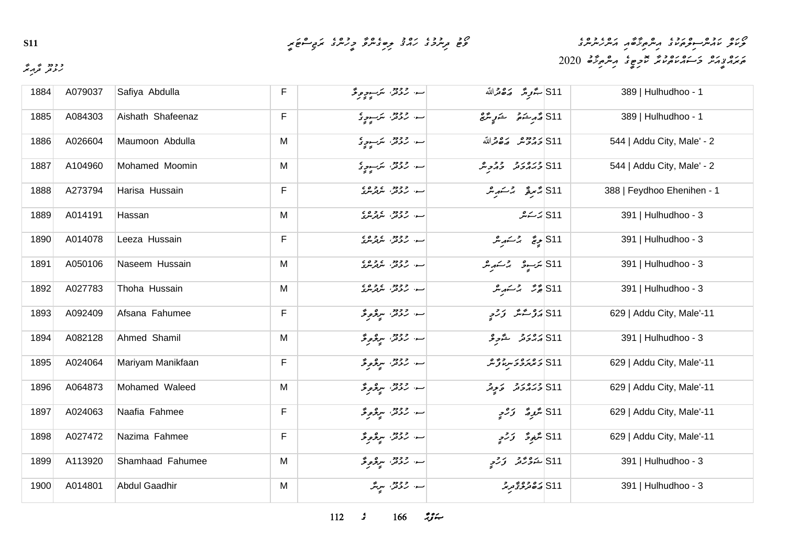*sCw7q7s5w7m< o<n9nOoAw7o< sCq;mAwBoEw7q<m; wBm;vB* م من المرة المرة المرة المرجع المرجع في المركبة 2020<br>مجم*د المريض المربوط المربع المرجع في المراجع المركبة* 

| 1884 | A079037 | Safiya Abdulla       | F | سەر 1955 - ئىرسوم بۇ       | S11 جَوب <i>رَّ 25مَّةِ</i> اللَّه        | 389   Hulhudhoo - 1        |
|------|---------|----------------------|---|----------------------------|-------------------------------------------|----------------------------|
| 1885 | A084303 | Aishath Shafeenaz    | F | سەر 222، ئىگە بىرىدى       | S11 مَ <i>ذْ مِشَعْرِ شَوْ مِتَّ</i> جْ   | 389   Hulhudhoo - 1        |
| 1886 | A026604 | Maumoon Abdulla      | M | سەر رودە ئەسورى            | S11 كەم <i>325 مەھەر</i> للە              | 544   Addu City, Male' - 2 |
| 1887 | A104960 | Mohamed Moomin       | M | سە زودە ئەسورى             | S11 <i>ڈیزوونز ڈو</i> ٹربٹر               | 544   Addu City, Male' - 2 |
| 1888 | A273794 | Harisa Hussain       | F | ے۔ رووو عوض و              | S11 بَرْمِيمَ بِرْسَهِ مِنْ               | 388   Feydhoo Ehenihen - 1 |
| 1889 | A014191 | Hassan               | M | ے۔ ووود عاوموں             | S11 پرسٹر                                 | 391   Hulhudhoo - 3        |
| 1890 | A014078 | Leeza Hussain        | F | ے۔ وودہ عوض                | S11 م <sub>ح</sub> بعً 2 ش <i>مب</i> ر شر | 391   Hulhudhoo - 3        |
| 1891 | A050106 | Naseem Hussain       | M | ے۔ ووڈ عورہ                | S11 ىترىپوتى كەسىمبەتتى                   | 391   Hulhudhoo - 3        |
| 1892 | A027783 | Thoha Hussain        | M | ے۔ رووو عور وہ             | S11 پڑج پر شہر بند                        | 391   Hulhudhoo - 3        |
| 1893 | A092409 | Afsana Fahumee       | F | ___ رُوْتُرُ سِرْدُهِ وَّ  | S11 پزوشتر ت <i>وژ<sub>می</sub></i>       | 629   Addu City, Male'-11  |
| 1894 | A082128 | Ahmed Shamil         | M | سەر 332، سوپۇمۇ ئ          | S11 كەردى ئىم ئىقى ئىقى ئىقى ئىقى ئىقى ئ  | 391   Hulhudhoo - 3        |
| 1895 | A024064 | Mariyam Manikfaan    | F | ___ رُرُوْرٌ، سِرِوْهِ وَّ | S11 ئ <i>ۇيرۇ ئەبرىدۇ</i> ئىر             | 629   Addu City, Male'-11  |
| 1896 | A064873 | Mohamed Waleed       | M | ے رودہ سروہ ڈ              | S11 <i>وُبَرُوْدَوْ وَمِ</i> يْر          | 629   Addu City, Male'-11  |
| 1897 | A024063 | Naafia Fahmee        | F | ب رودون سرور و گ           | S11 يُمْعِرةُ - وَرَّحٍ -                 | 629   Addu City, Male'-11  |
| 1898 | A027472 | Nazima Fahmee        | F | __ رُرُوْرٌ، سِروُهِ وَّ   | S11  سَّمَعِ وَكَرْمٍ                     | 629   Addu City, Male'-11  |
| 1899 | A113920 | Shamhaad Fahumee     | M | __ رُرُوْرٌ، سِروُهِ وَّ   | S11  ڪروگٽر ک <i>ور</i> يج                | 391   Hulhudhoo - 3        |
| 1900 | A014801 | <b>Abdul Gaadhir</b> | M | ے۔ رکوٹر، سریگر            | S11 كەھ قرىۋ توپر                         | 391   Hulhudhoo - 3        |

 $112$  *s*  $166$  *n***<sub>3</sub>** *n*<sub>1</sub>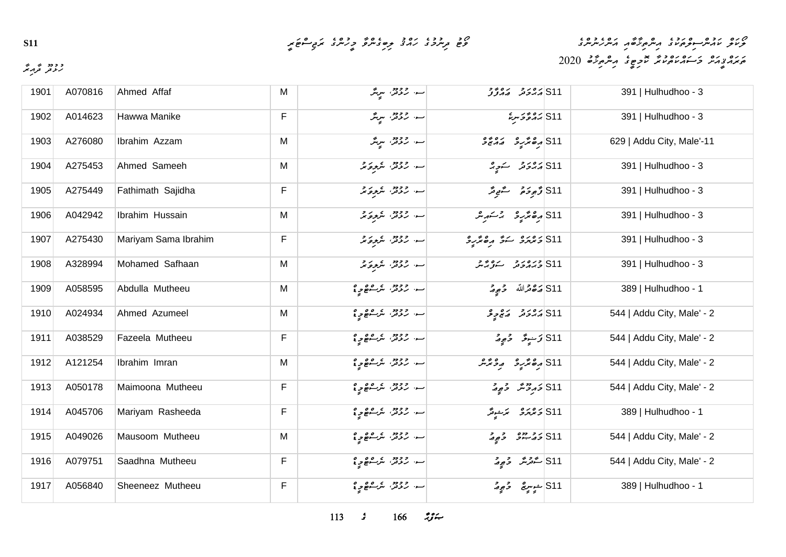*sCw7q7s5w7m< o<n9nOoAw7o< sCq;mAwBoEw7q<m; wBm;vB* م من المرة المرة المرة المرجع المرجع في المركبة 2020<br>مجم*د المريض المربوط المربع المرجع في المراجع المركبة* 

|            | $\rightarrow$ $\rightarrow$ $\rightarrow$ $\rightarrow$ $\rightarrow$ |  |
|------------|-----------------------------------------------------------------------|--|
| برتر فرمهر |                                                                       |  |
|            |                                                                       |  |

| 1901 | A070816 | Ahmed Affaf          | M            | ے. 232 س             | S11 كەبرو بەرەپەر                                                                                   | 391   Hulhudhoo - 3        |
|------|---------|----------------------|--------------|----------------------|-----------------------------------------------------------------------------------------------------|----------------------------|
| 1902 | A014623 | Hawwa Manike         | $\mathsf{F}$ | ے. رووڈ سریگر        | S11 ئەرمۇ ئەس <sup>رى</sup>                                                                         | 391   Hulhudhoo - 3        |
| 1903 | A276080 | Ibrahim Azzam        | M            | ے۔ رووڈ سریگر        | S11 <sub>مو</sub> ھ <i>مگرد</i> ی محمد محمد ا                                                       | 629   Addu City, Male'-11  |
| 1904 | A275453 | Ahmed Sameeh         | M            | ے رودوں عروف کر      | S11 <i>2,22 مئون</i> ژ                                                                              | 391   Hulhudhoo - 3        |
| 1905 | A275449 | Fathimath Sajidha    | F            | ے رودوں مگروکایگر    | S11 تَ <i>وْجِوَدَةْ</i> حَمَّوِتَّ <i>رْ</i>                                                       | 391   Hulhudhoo - 3        |
| 1906 | A042942 | Ibrahim Hussain      | M            | ب رودود، مگرور تر    | S11  مەھەرىرى جەسىرىدىكە                                                                            | 391   Hulhudhoo - 3        |
| 1907 | A275430 | Mariyam Sama Ibrahim | $\mathsf{F}$ | ے دورہ عروفہ         | S11 دَبَرْمَرْدْ سَرَّ مِرْهَبَرِدْ                                                                 | 391   Hulhudhoo - 3        |
| 1908 | A328994 | Mohamed Safhaan      | M            | ب رودون مگروند       | S11 <i>دېزه ده</i> سروبر تر                                                                         | 391   Hulhudhoo - 3        |
| 1909 | A058595 | Abdulla Mutheeu      | M            | ے۔ رودوں شرک محافرہ  | S11 كەھىراللە <sub>خ</sub> ېمە                                                                      | 389   Hulhudhoo - 1        |
| 1910 | A024934 | Ahmed Azumeel        | M            | ے۔ روزوں شرکتھونی    | S11 كەبرى قىر كەنتى بىر ئىلگەن ئىلگان بىر ئىلگان ئىلگان ئىلگان ئىلگان ئىلگان ئىلگان ئىلگان ئىلگان ئ | 544   Addu City, Male' - 2 |
| 1911 | A038529 | Fazeela Mutheeu      | $\mathsf{F}$ | ے۔ روزہ عربے وہ      | S11 زَىنٍوَّ دُەرِرُ                                                                                | 544   Addu City, Male' - 2 |
| 1912 | A121254 | Ibrahim Imran        | M            | ے۔ روود عرفاور و     | S11 مەھەرىپە مەدىمە                                                                                 | 544   Addu City, Male' - 2 |
| 1913 | A050178 | Maimoona Mutheeu     | $\mathsf F$  | ے۔ روود عرصوص        | S11 كَەرتىگە ئ <sup>ە</sup> مِرەً                                                                   | 544   Addu City, Male' - 2 |
| 1914 | A045706 | Mariyam Rasheeda     | $\mathsf F$  | ے۔ روود عرصوص        | S11   <i>5 بەيرۇ - بە</i> ئىيەتر                                                                    | 389   Hulhudhoo - 1        |
| 1915 | A049026 | Mausoom Mutheeu      | M            | ے۔ رودوا عرض وہ اور  | S11 كەرگە بىر ئىق ئىلگەنلەر ئىلگەنگە                                                                | 544   Addu City, Male' - 2 |
| 1916 | A079751 | Saadhna Mutheeu      | $\mathsf F$  | ے۔ روود على عام والا | S11 گۇرىگر ق <i>ەبوم</i>                                                                            | 544   Addu City, Male' - 2 |
| 1917 | A056840 | Sheeneez Mutheeu     | F            | ے رودہ عرصوم و       | S11 خوسرچ گ <i>وچ</i> وگ                                                                            | 389   Hulhudhoo - 1        |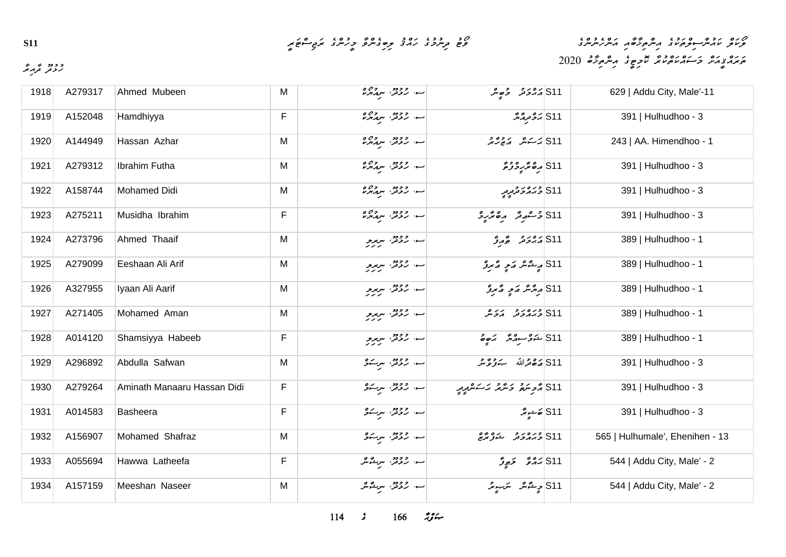*sCw7q7s5w7m< o<n9nOoAw7o< sCq;mAwBoEw7q<m; wBm;vB* م من المرة المرة المرة المرجع المرجع في المركبة 2020<br>مجم*د المريض المربوط المربع المرجع في المراجع المركبة* 

|  | د دود به پر<br>رنز تر ترمه تر |
|--|-------------------------------|
|  |                               |

| 1918 | A279317 | Ahmed Mubeen                | M           | ے دورہ سردی                                                                    | S11 كەبرى قىر قىرىگە                                         | 629   Addu City, Male'-11       |
|------|---------|-----------------------------|-------------|--------------------------------------------------------------------------------|--------------------------------------------------------------|---------------------------------|
| 1919 | A152048 | Hamdhiyya                   | F           | - دودو سوره ۵۵۶<br>-- رونو، سورس                                               | S11 كەبىر بەر مە                                             | 391   Hulhudhoo - 3             |
| 1920 | A144949 | Hassan Azhar                | M           | - وودو سمدوره                                                                  | S11 ټر <i>په ټرينگر</i>                                      | 243   AA. Himendhoo - 1         |
| 1921 | A279312 | Ibrahim Futha               | M           | ה בכבדי יימרומ                                                                 | S11 <sub>مر</sub> چ ئر پ <sub>ر</sub> و و ځړ                 | 391   Hulhudhoo - 3             |
| 1922 | A158744 | <b>Mohamed Didi</b>         | M           | - وودو سمدوره                                                                  | S11  3 <i>22 د قر</i> ور پر                                  | 391   Hulhudhoo - 3             |
| 1923 | A275211 | Musidha Ibrahim             | $\mathsf F$ | $\begin{bmatrix} 0.02 & 0.222 \\ 0.000 & 0.000 \\ 0.000 & 0.000 \end{bmatrix}$ | S11 ۇش <sub>ەپ</sub> ۇ مەھ <i>م</i> ىرو                      | 391   Hulhudhoo - 3             |
| 1924 | A273796 | Ahmed Thaaif                | M           | ے رکوٹر، سربری                                                                 | S11 كەندى قىمىق بۇرىق                                        | 389   Hulhudhoo - 1             |
| 1925 | A279099 | Eeshaan Ali Arif            | M           | سە رودۇر، سەيدى                                                                | S11 <sub>م</sub> رشَّعْر صَرِ صَروْ                          | 389   Hulhudhoo - 1             |
| 1926 | A327955 | Iyaan Ali Aarif             | M           | سار 1332 سربربو<br>  برسال 1337                                                | S11 م <i>رمَّدُ مَ</i> مٍ مَ <i>حِبوڤ</i>                    | 389   Hulhudhoo - 1             |
| 1927 | A271405 | Mohamed Aman                | M           | سە رحمۇقى سىدى                                                                 | S11 <i>ڈیزویز پرویٹر</i>                                     | 389   Hulhudhoo - 1             |
| 1928 | A014120 | Shamsiyya Habeeb            | $\mathsf F$ | ب رودو.<br>ب                                                                   | $\frac{2}{\omega}$ $\frac{2}{\omega}$ $\frac{2}{\omega}$ S11 | 389   Hulhudhoo - 1             |
| 1929 | A296892 | Abdulla Safwan              | M           | ہے، روڈی سرےو                                                                  | S11 يَرْهُ مِّرْاللَّهُ بَخَوْرَ مِّرْ                       | 391   Hulhudhoo - 3             |
| 1930 | A279264 | Aminath Manaaru Hassan Didi | F           | ہے. روڈش سرے و                                                                 | S11  ا <i>مَّ جِسَمْۃ کَسَّرْہُ ک</i> ے س <i>ُمُتَّوِيدِ</i> | 391   Hulhudhoo - 3             |
| 1931 | A014583 | Basheera                    | $\mathsf F$ | ے ووڈ سرے و                                                                    | S11 کھ شو <i>نگ</i> ر                                        | 391   Hulhudhoo - 3             |
| 1932 | A156907 | Mohamed Shafraz             | M           | ے ووڈ سرے و                                                                    | S11 <i>دېره ده پره وه</i>                                    | 565   Hulhumale', Ehenihen - 13 |
| 1933 | A055694 | Hawwa Latheefa              | $\mathsf F$ | ے رودوں سرگھر                                                                  | S11 بَرْدُوَّ تَحْمِوَّزَّ                                   | 544   Addu City, Male' - 2      |
| 1934 | A157159 | Meeshan Naseer              | M           | ے رودوں سرگے میں                                                               | S11 ویسٹرنگر کرسویٹر                                         | 544   Addu City, Male' - 2      |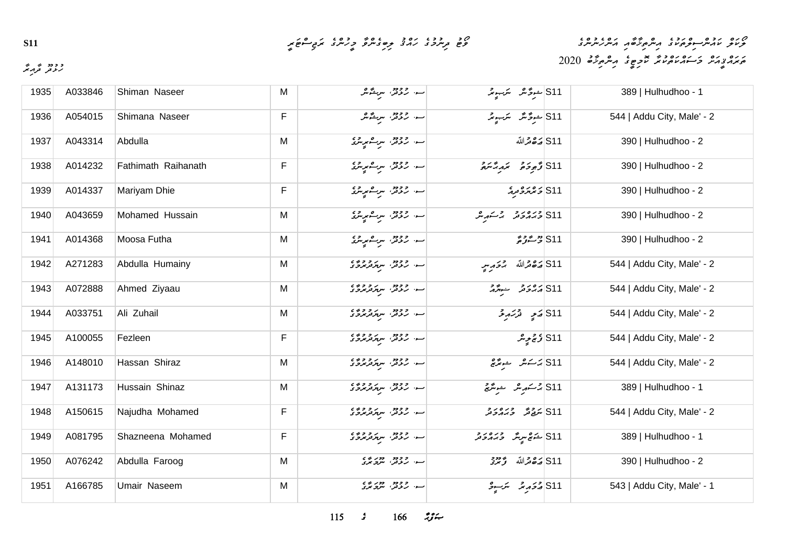*sCw7q7s5w7m< o<n9nOoAw7o< sCq;mAwBoEw7q<m; wBm;vB* م من المرة المرة المرة المرجع المرجع في المركبة 2020<br>مجم*د المريض المربوط المربع المرجع في المراجع المركبة* 

|  | $\begin{array}{cccccccccc} \circ & \circ & \circ & \circ & \circ & \circ \end{array}$ |  |
|--|---------------------------------------------------------------------------------------|--|
|  | ترنزفر بحرمر مر                                                                       |  |

| 1935 | A033846 | Shiman Naseer       | M           | ے رودوں سرگے مگر                       | S11  سودٌ ش سَرَسومُرٌ                       | 389   Hulhudhoo - 1        |
|------|---------|---------------------|-------------|----------------------------------------|----------------------------------------------|----------------------------|
| 1936 | A054015 | Shimana Naseer      | F           | ے دورہ سرگھ                            | S11 سوگنگر - س <i>رس</i> وشر                 | 544   Addu City, Male' - 2 |
| 1937 | A043314 | Abdulla             | M           | ے روڈور، سرگے مرتبی                    | S11 كَدَّهْ قَرْاللَّه                       | 390   Hulhudhoo - 2        |
| 1938 | A014232 | Fathimath Raihanath | $\mathsf F$ | ے روڈور سرگے ہوئے                      | S11 <i>وَّجِوحَةْ بَرَمَ بِشَرَّبَتَ</i> ةَ  | 390   Hulhudhoo - 2        |
| 1939 | A014337 | Mariyam Dhie        | $\mathsf F$ | ے۔ رودو سرے پر مو                      | S11 كەبىر بىر ئەرگە                          | 390   Hulhudhoo - 2        |
| 1940 | A043659 | Mohamed Hussain     | M           | ے رودو سرگرمردی                        | S11 <i>ڈیز پروٹر پر شہر</i> پر               | 390   Hulhudhoo - 2        |
| 1941 | A014368 | Moosa Futha         | M           | ے رودو سرگرمرمر                        | S11 تۇشۇقۇ                                   | 390   Hulhudhoo - 2        |
| 1942 | A271283 | Abdulla Humainy     | M           | ر د دود.<br>سه رنوتر، سهرتربروی        | S11 #چەقراللە جۇم <i>رىىي</i>                | 544   Addu City, Male' - 2 |
| 1943 | A072888 | Ahmed Ziyaau        | M           | ر د دو در دوه ولاد د د و د م           | S11 كەبرى كىرىگە ئىستى <i>م</i>              | 544   Addu City, Male' - 2 |
| 1944 | A033751 | Ali Zuhail          | M           | ر د دود.<br>سه رنوتر، سرگرمرفری        | S11   كەمچە - ئ <i>وت</i> ەرىخە              | 544   Addu City, Male' - 2 |
| 1945 | A100055 | Fezleen             | F           | ے دوو سرگرمرون                         | S11  تۇيج م <sub>ج</sub> ىش                  | 544   Addu City, Male' - 2 |
| 1946 | A148010 | Hassan Shiraz       | M           | ر د دو در دود .<br>پ. روتر، سهرتربرد د | S11 كەس <b>ى</b> ش ھەي <b>ر</b> ىج           | 544   Addu City, Male' - 2 |
| 1947 | A131173 | Hussain Shinaz      | M           | ر د دو در دود .<br>پ. روتر، سهرتربرد د | S11 برسمبر شوشج                              | 389   Hulhudhoo - 1        |
| 1948 | A150615 | Najudha Mohamed     | F           |                                        | S11 يتمط تحمد المردور 25                     | 544   Addu City, Male' - 2 |
| 1949 | A081795 | Shazneena Mohamed   | $\mathsf F$ | ر د دود. سرگرمرور د                    | S11 خەچ س <sub>ى</sub> بىر <i>3 دەر دى</i> ر | 389   Hulhudhoo - 1        |
| 1950 | A076242 | Abdulla Faroog      | M           | د د دوه دور ده د<br>سه روند، شرو برد   | S11 كەھىراللە ئ <i>ۇچۇ</i>                   | 390   Hulhudhoo - 2        |
| 1951 | A166785 | Umair Naseem        | M           | و و وود.<br>سه ا اربولس ا امروز بوری   | S11  <i>مەنەبەتى</i> س <i>ەبى</i> رى         | 543   Addu City, Male' - 1 |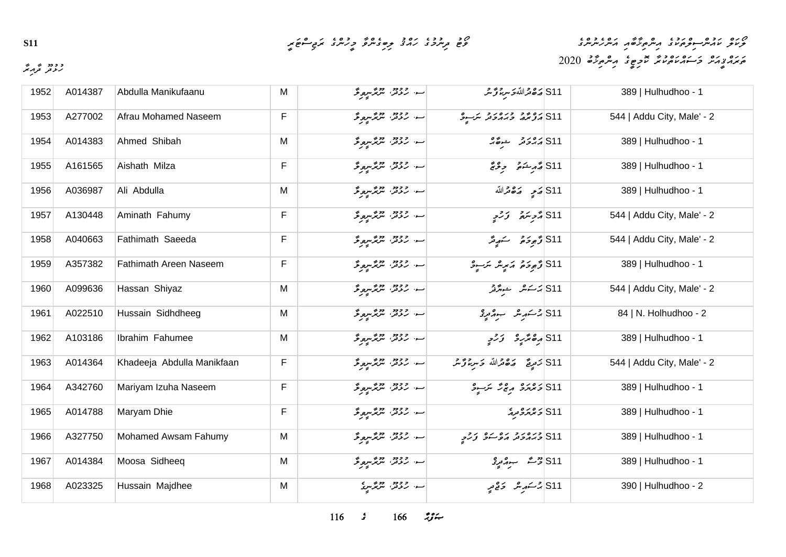*sCw7q7s5w7m< o<n9nOoAw7o< sCq;mAwBoEw7q<m; wBm;vB* م من المرة المرة المرة المرجع المرجع في المركبة 2020<br>مجم*د المريض المربوط المربع المرجع في المراجع المركبة* 

|  | 彡 彡 ≫ >>       |
|--|----------------|
|  | ر د تر تربر بر |
|  |                |

| 1952 | A014387 | Abdulla Manikufaanu           | M           | ے رودہ میں سرچر        | S11 أَرَجْعَة مِّدْ اللَّهْ حَ سِرْءٌ وَ سَرَ                      | 389   Hulhudhoo - 1        |
|------|---------|-------------------------------|-------------|------------------------|--------------------------------------------------------------------|----------------------------|
| 1953 | A277002 | Afrau Mohamed Naseem          | F           | ے دورہ دور سر          | S11 روم و ورورو ترسوژ                                              | 544   Addu City, Male' - 2 |
| 1954 | A014383 | Ahmed Shibah                  | M           | ے دورہ دورہ ہوتا       | S11 كەبرى كىر ئىس <i>قەر</i>                                       | 389   Hulhudhoo - 1        |
| 1955 | A161565 | Aishath Milza                 | F           | - رودو مرکز موجد       | S11 مەم شىم <sub>مو</sub> وىج                                      | 389   Hulhudhoo - 1        |
| 1956 | A036987 | Ali Abdulla                   | M           | ے رودو دونوں ع         | S11 صَعِ صَ <b>صْد</b> َاللّه                                      | 389   Hulhudhoo - 1        |
| 1957 | A130448 | Aminath Fahumy                | $\mathsf F$ | ے رودہ مرکب میں        | S11 مٌ <i>وِسَعْهِ وَرُّمٍ</i>                                     | 544   Addu City, Male' - 2 |
| 1958 | A040663 | Fathimath Saeeda              | F           | ے رودہ دوسر عر         | S11 ۇ <sub>جو</sub> رَة <sub>ۇس</sub> ىگر                          | 544   Addu City, Male' - 2 |
| 1959 | A357382 | <b>Fathimath Areen Naseem</b> | $\mathsf F$ | ے دورہ دور سر          | S11 <i>ؤُ<sub>م</sub>ودَة</i> <sub>م</sub> َبرِسْ سَ-وُ            | 389   Hulhudhoo - 1        |
| 1960 | A099636 | Hassan Shiyaz                 | M           | سەر 255 مەھرىس بىر قىل | S11 كەس <b>ى</b> ش ھېت <i>تى</i> تر                                | 544   Addu City, Male' - 2 |
| 1961 | A022510 | Hussain Sidhdheeg             | M           | ے رودو دونوں ع         | S11 پر <i>شهر شهر می</i> روپی                                      | 84   N. Holhudhoo - 2      |
| 1962 | A103186 | Ibrahim Fahumee               | M           | - رودو مرکز موجد       | S11 <sub>مر</sub> ھ م <i>گرد</i> و کی ترو                          | 389   Hulhudhoo - 1        |
| 1963 | A014364 | Khadeeja Abdulla Manikfaan    | $\mathsf F$ | - رودو مريم سر         | S11 <i>كَتْمِيعَ - مَ</i> ەقْدَاللَّه كَ <sup>مْرِي</sup> دُوَّسْر | 544   Addu City, Male' - 2 |
| 1964 | A342760 | Mariyam Izuha Naseem          | $\mathsf F$ | ے رودو دونوں ع         | S11  52 <i>, 53 \$ سَرْ-ب</i> وْ                                   | 389   Hulhudhoo - 1        |
| 1965 | A014788 | Maryam Dhie                   | $\mathsf F$ | ے دورہ دورہ ہوتا       | S11 كەبىر بىر ئەرىگە                                               | 389   Hulhudhoo - 1        |
| 1966 | A327750 | Mohamed Awsam Fahumy          | M           | ے دورہ دور سر          | S11 <i>ويرورو رورو ورو</i>                                         | 389   Hulhudhoo - 1        |
| 1967 | A014384 | Moosa Sidheeq                 | M           | - رودو مرکز موجد       | S11 تۇشەھىر سوھەرپۇ                                                | 389   Hulhudhoo - 1        |
| 1968 | A023325 | Hussain Majdhee               | M           | ے۔ دوود دوسرے          | S11  بِرْسَهرِ بْكَرْ وَقْ مِرٍ                                    | 390   Hulhudhoo - 2        |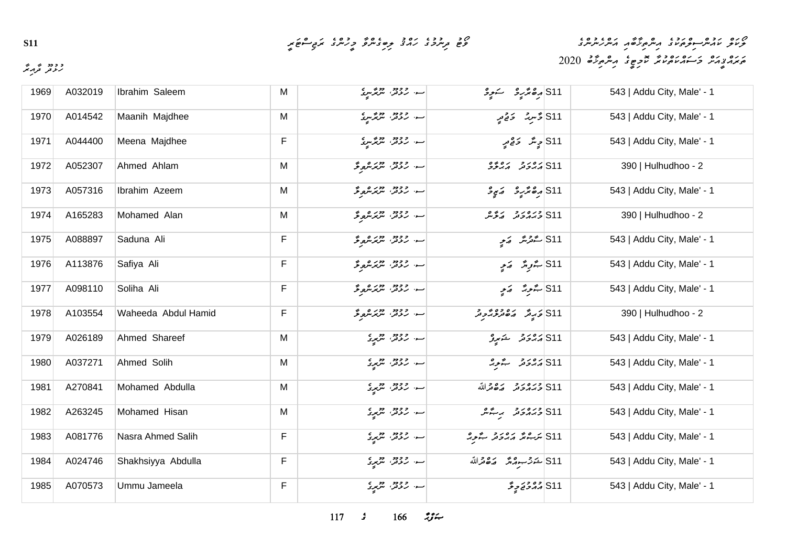*sCw7q7s5w7m< o<n9nOoAw7o< sCq;mAwBoEw7q<m; wBm;vB* م من المرة المرة المرة المرجع المرجع في المركبة 2020<br>مجم*د المريض المربوط المربع المرجع في المراجع المركبة* 

|  | 4.4.222        |
|--|----------------|
|  | نرعرفر اقرمرته |
|  |                |

| 1969 | A032019 | Ibrahim Saleem      | M           | ے۔ رودوں مریگر سری              | S11 پ <i>ر&amp;ټرپ</i> و سکوٍو                     | 543   Addu City, Male' - 1 |
|------|---------|---------------------|-------------|---------------------------------|----------------------------------------------------|----------------------------|
| 1970 | A014542 | Maanih Majdhee      | M           | ے رودہ دونوں                    | S11 \$سر2 دَوْمِرٍ                                 | 543   Addu City, Male' - 1 |
| 1971 | A044400 | Meena Majdhee       | F           | ے۔ رودوں مریگر سری              | S11  <sub>جي</sub> سٌ وَق <sub>َ</sub> مِرِ        | 543   Addu City, Male' - 1 |
| 1972 | A052307 | Ahmed Ahlam         | M           | ے۔ روزہ دورہ و                  | S11 كەبرو بەر ئەرەپە                               | 390   Hulhudhoo - 2        |
| 1973 | A057316 | Ibrahim Azeem       | M           | ے۔ رودو دورہ و                  | S11 <sub>مر</sub> ھ مُرْرِدْ کَمَ <sub>ک</sub> و   | 543   Addu City, Male' - 1 |
| 1974 | A165283 | Mohamed Alan        | M           | ے دورہ دورہ و                   | S11 <i>ڈبزونز م</i> َعْر                           | 390   Hulhudhoo - 2        |
| 1975 | A088897 | Saduna Ali          | F           |                                 | S11  گەترىگر كەي <sub>جى</sub>                     | 543   Addu City, Male' - 1 |
| 1976 | A113876 | Safiya Ali          | $\mathsf F$ |                                 | S11 جوپڙ <i>چ</i> و                                | 543   Addu City, Male' - 1 |
| 1977 | A098110 | Soliha Ali          | F           | ے۔ روزہ دورہ و                  | S11  بڈوِیڈ کے پر                                  | 543   Addu City, Male' - 1 |
| 1978 | A103554 | Waheeda Abdul Hamid | F           | د دودو دوره و د                 | S11 <i>ق ب</i> ەتتە ھەھىر <i>ئى</i> ھىتە بەتە      | 390   Hulhudhoo - 2        |
| 1979 | A026189 | Ahmed Shareef       | M           | ے رووو اور دیا                  | S11 كەش <sup>ى</sup> قىرىق ھەمب <i>و</i> گ         | 543   Addu City, Male' - 1 |
| 1980 | A037271 | Ahmed Solih         | M           | ے رودوا اور د                   | S11 <i>ډېری په ش</i> ور                            | 543   Addu City, Male' - 1 |
| 1981 | A270841 | Mohamed Abdulla     | M           | ر د دوه ده ده<br>روز سربرد      | S11 3 <i>2025 مَنْ هُدَّ</i> اللَّه                | 543   Addu City, Male' - 1 |
| 1982 | A263245 | Mohamed Hisan       | M           | ر د دوه ده ده<br>سه روتون سربرد | S11 <i>ۋېزونزو ب</i> ېشر                           | 543   Addu City, Male' - 1 |
| 1983 | A081776 | Nasra Ahmed Salih   | F           | ے رودو دو ہ                     | S11 سَرَجْعَة رَوْرُوتْر جَوْبَرْ                  | 543   Addu City, Male' - 1 |
| 1984 | A024746 | Shakhsiyya Abdulla  | $\mathsf F$ | ے روود وولی ع                   | S11 خَوَتْرْسِو <i>ڤُرُّهُ ۖ مَ</i> هُ قَرْاللَّهُ | 543   Addu City, Male' - 1 |
| 1985 | A070573 | Ummu Jameela        | F           | ے رودو دورہ                     | S11  <i>222 جو</i> گر                              | 543   Addu City, Male' - 1 |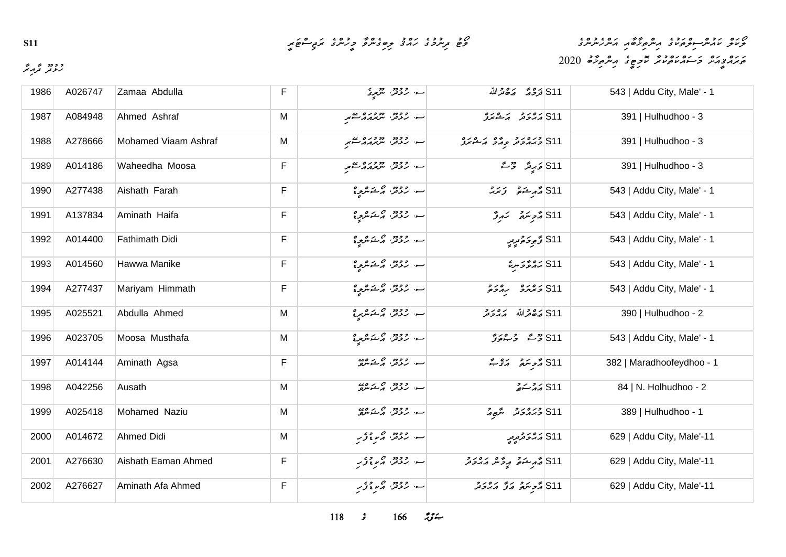*sCw7q7s5w7m< o<n9nOoAw7o< sCq;mAwBoEw7q<m; wBm;vB* م من المرة المرة المرة المرجع المرجع في المركبة 2020<br>مجم*د المريض المربوط المربع المرجع في المراجع المركبة* 

| 1986 | A026747 | Zamaa Abdulla         | $\mathsf F$ | ے۔ رووڈ افراد                                                                                                 | S11 فَرَحْهُ      مَهْ قَرْاللّه    | 543   Addu City, Male' - 1 |
|------|---------|-----------------------|-------------|---------------------------------------------------------------------------------------------------------------|-------------------------------------|----------------------------|
| 1987 | A084948 | Ahmed Ashraf          | M           | ب وود دودره به                                                                                                | S11 كەبروتىر كەش <i>ەترى</i>        | 391   Hulhudhoo - 3        |
| 1988 | A278666 | Mohamed Viaam Ashraf  | M           | سه رودو دودره در سومبر<br>  سه روتو، سربورورسومبر                                                             | S11 وبرورو مرو مش <i>مرو</i>        | 391   Hulhudhoo - 3        |
| 1989 | A014186 | Waheedha Moosa        | F           | - د د د د د د ده ده سومبر<br>- د رونو، سربورو سومبر                                                           | S11  ق <i>رب</i> ر ترجمہ            | 391   Hulhudhoo - 3        |
| 1990 | A277438 | Aishath Farah         | F           | ے۔ رودوں میں شرعوی                                                                                            | S11 مەم شىمى ئ <i>وتى</i> ر         | 543   Addu City, Male' - 1 |
| 1991 | A137834 | Aminath Haifa         | $\mathsf F$ | سە رىزىن كەشكەردە                                                                                             | S11 مَّ مِ سَمَّةٍ مَسَرَقٍّ        | 543   Addu City, Male' - 1 |
| 1992 | A014400 | <b>Fathimath Didi</b> | F           | ے۔ رودہ محمد عروج                                                                                             | S11 گر <i>مو 5 م</i> ُورِمرِ        | 543   Addu City, Male' - 1 |
| 1993 | A014560 | Hawwa Manike          | F           | ے۔ رودوں میں شرعرو                                                                                            | S11 ئەرمۇسى <i>رىتى</i>             | 543   Addu City, Male' - 1 |
| 1994 | A277437 | Mariyam Himmath       | F           | ے۔ روود م شکر مرد ہ                                                                                           | S11  <i>خ</i> مبرڈ برمزم            | 543   Addu City, Male' - 1 |
| 1995 | A025521 | Abdulla Ahmed         | M           | ب الدور من المستمر المحمد المحمد المحمد المحمد المحمد المحمد المحمد المحمد المحمد المحمد المحمد المحمد المحمد | S11 مَەھْتَراللە مَەرْتَر           | 390   Hulhudhoo - 2        |
| 1996 | A023705 | Moosa Musthafa        | M           | سة الرحمة المتشارعية                                                                                          | S11 تۇشقە قەسب <i>ەر ئ</i>          | 543   Addu City, Male' - 1 |
| 1997 | A014144 | Aminath Agsa          | F           | ر در دود. جي شهر ده دي<br>سه ريونس پر شهر سرچ                                                                 | S11 مَّ حِسَمَۃ مَوَّ يَّ           | 382   Maradhoofeydhoo - 1  |
| 1998 | A042256 | Ausath                | M           | سه وودو هم شده وده<br>سه روتو، مرشومونو                                                                       | S11 كەنبە ئىسكى                     | 84   N. Holhudhoo - 2      |
| 1999 | A025418 | Mohamed Naziu         | M           | رے اور دوسرے دورے<br>سے ارکزائری اور شوسری                                                                    | S11 <i>وبزوونو سگ</i> يږ            | 389   Hulhudhoo - 1        |
| 2000 | A014672 | <b>Ahmed Didi</b>     | M           | ب دودو مړيون                                                                                                  | S11  پَرْدُوَتْرْمِرِمِرِ           | 629   Addu City, Male'-11  |
| 2001 | A276630 | Aishath Eaman Ahmed   | F           | ۔ رودو میں دی پہ                                                                                              | S11 مەم شىم ب <i>و</i> مەر مەددىر   | 629   Addu City, Male'-11  |
| 2002 | A276627 | Aminath Afa Ahmed     | F           | ۔ رودو میں دی پہ                                                                                              | S11 مَّ <i>جِسَمَ مَنْ مَدُونِر</i> | 629   Addu City, Male'-11  |

 $118$  *s*  $166$  *n***<sub>3</sub>** *n*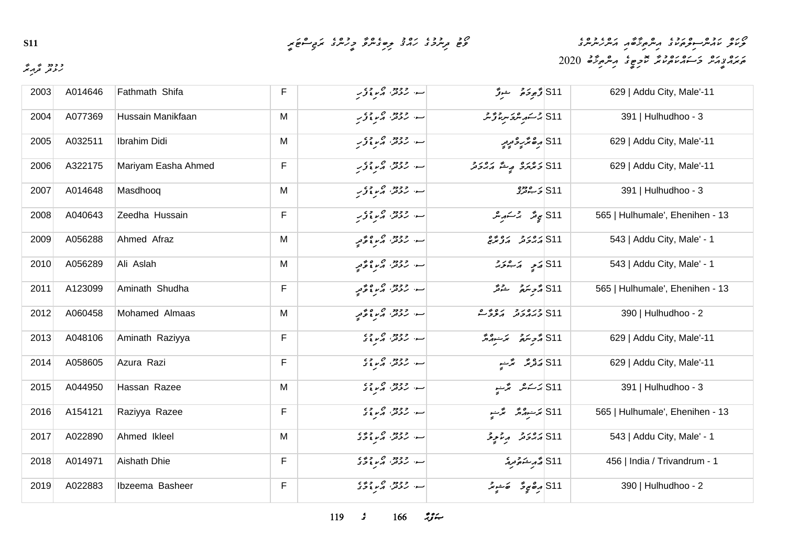*sCw7q7s5w7m< o<n9nOoAw7o< sCq;mAwBoEw7q<m; wBm;vB* م من المرة المرة المرة المرجع المرجع في المركبة 2020<br>مجم*د المريض المربوط المربع المرجع في المراجع المركبة* 

| د دود به پر<br>رنز تر ترمه |  |  |
|----------------------------|--|--|
|                            |  |  |

| 2003 | A014646 | Fathmath Shifa      | F           | ۔ دودہ میں دی۔                    | S11 تَ <i>وْجِرْة</i> شِيرً                                | 629   Addu City, Male'-11       |
|------|---------|---------------------|-------------|-----------------------------------|------------------------------------------------------------|---------------------------------|
| 2004 | A077369 | Hussain Manikfaan   | M           | ۔ دوود میں دی ۔                   | S11 ئرىسىمە يىرى ئۇ يىر                                    | 391   Hulhudhoo - 3             |
| 2005 | A032511 | <b>Ibrahim Didi</b> | M           | ۔ رودو میں دی                     | S11  بر <i>ے بڑر ڈ</i> یرِیرِ                              | 629   Addu City, Male'-11       |
| 2006 | A322175 | Mariyam Easha Ahmed | F           | سه رودو، جي دي                    | S11 كەنگەنى ھەيھ كەنگەند                                   | 629   Addu City, Male'-11       |
| 2007 | A014648 | Masdhoog            | M           | ے رودو میں دی ۔                   | S11 كۈشەقەتق                                               | 391   Hulhudhoo - 3             |
| 2008 | A040643 | Zeedha Hussain      | $\mathsf F$ | ے رودو میں دی ۔                   | S11 <sub>مح</sub> مدٌ پُرڪ <i>مب</i> ھر                    | 565   Hulhumale', Ehenihen - 13 |
| 2009 | A056288 | Ahmed Afraz         | M           | ے رودو میں وی پر                  | S11 كەبروتىر كەبەتتى يىلى                                  | 543   Addu City, Male' - 1      |
| 2010 | A056289 | Ali Aslah           | M           | ے رودو میں وی پر                  | S11 كەبر كەش <sup>ى</sup> رىم                              | 543   Addu City, Male' - 1      |
| 2011 | A123099 | Aminath Shudha      | F           | ب دودو مړیو وي.                   | S11 مُرْحِسَمُ مُسْتَمَّر                                  | 565   Hulhumale', Ehenihen - 13 |
| 2012 | A060458 | Mohamed Almaas      | M           | ب رودد، دربانو تور                | S11 <i>جەدەرە بەۋ</i> ر                                    | 390   Hulhudhoo - 2             |
| 2013 | A048106 | Aminath Raziyya     | F           | سە رودون كې ده                    | S11 مَّ <i>جِ</i> سَمَّدَ سَمَّد <i>مَ</i> مِسْتَقَرَّمَتَ | 629   Addu City, Male'-11       |
| 2014 | A058605 | Azura Razi          | F           | سه ووده ه ده.                     | S11  رَوْبَرَّ کَرْبِ                                      | 629   Addu City, Male'-11       |
| 2015 | A044950 | Hassan Razee        | M           |                                   | S11  تەسىھ مگەنىيە                                         | 391   Hulhudhoo - 3             |
| 2016 | A154121 | Raziyya Razee       | F           |                                   | S11 بَرَس <i>ٰ مِرْ بَرْ بَرْ</i> سِهِ                     | 565   Hulhumale', Ehenihen - 13 |
| 2017 | A022890 | Ahmed Ikleel        | M           | سه ووده می وی و                   | S11  رَژْدَتْرَ پ <sup>5</sup> مِرَ <sup>2</sup>           | 543   Addu City, Male' - 1      |
| 2018 | A014971 | Aishath Dhie        | F           | سه ووده می وی                     | S11 مۇم شەھ <sup>و</sup> بورگە                             | 456   India / Trivandrum - 1    |
| 2019 | A022883 | Ibzeema Basheer     | F           | سه دودو می دود.<br>سه رنوش میلودی | S11 م <i>ِرڤوٍڈ ھَ</i> ي <i>نو</i> نڈ                      | 390   Hulhudhoo - 2             |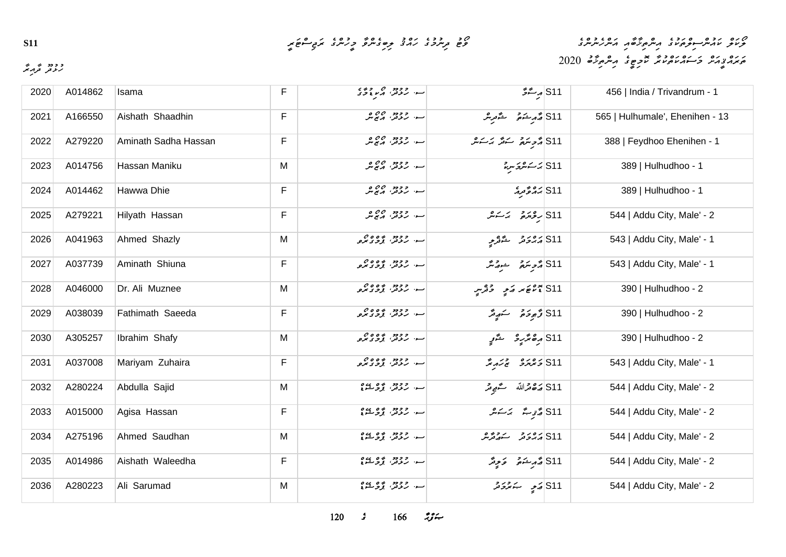*sCw7q7s5w7m< o<n9nOoAw7o< sCq;mAwBoEw7q<m; wBm;vB* م من المرة المرة المرة المرجع المرجع في المركبة 2020<br>مجم*د المريض المربوط المربع المرجع في المراجع المركبة* 

| 2020 | A014862 | Isama                | F | سه دودو، چېروونو                        | S11  برگٹر                                       | 456   India / Trivandrum - 1    |
|------|---------|----------------------|---|-----------------------------------------|--------------------------------------------------|---------------------------------|
| 2021 | A166550 | Aishath Shaadhin     | F | ے۔ رووو می میں                          | S11 <i>۾َ مِ</i> ڪَ صَحَّمِ صَحَّمَتِ مَ         | 565   Hulhumale', Ehenihen - 13 |
| 2022 | A279220 | Aminath Sadha Hassan | F | ے۔ رووڈ 220 میں                         | S11 مَّ <i>جِي مَعَهُ</i> سَعَتَر بَرَسَةَ عَلَى | 388   Feydhoo Ehenihen - 1      |
| 2023 | A014756 | Hassan Maniku        | M | ے۔ رووو مصر م                           | S11 ئەسەئىدىرىدىق                                | 389   Hulhudhoo - 1             |
| 2024 | A014462 | Hawwa Dhie           | F | ے۔ رووو مصر م                           | S11 بَرْدُهٌ مِرِدٌ                              | 389   Hulhudhoo - 1             |
| 2025 | A279221 | Hilyath Hassan       | F | ے۔ ووود مصر م                           | S11 بەبھەتكە ئەسەنلە                             | 544   Addu City, Male' - 2      |
| 2026 | A041963 | Ahmed Shazly         | M | ر د د ده وه وه م<br>ر د رونس وو د برو   | S11  پَرْدُوَتْرَ _ شَوْرِمِ                     | 543   Addu City, Male' - 1      |
| 2027 | A037739 | Aminath Shiuna       | F | ر د دود ۵۵۵۶<br>سه روتر، تووی تور       | S11 مَّ حِ سَعَ مَصْرَ مَثَّر مِنْ مِسْرِ        | 543   Addu City, Male' - 1      |
| 2028 | A046000 | Dr. Ali Muznee       | M | ر د و دو د ده ه ۵<br>سه روتر، بود و برو | S11 ۽ <i>'دُهَ ۽ ر</i> کي <sub>جي</sub> وڏسِ     | 390   Hulhudhoo - 2             |
| 2029 | A038039 | Fathimath Saeeda     | F | ر د د دود ده ۵۵۵۹<br>سه روتر، توو د برو | S11 زَ <sub>ّج</sub> ودَة مَ سَهِتَر             | 390   Hulhudhoo - 2             |
| 2030 | A305257 | Ibrahim Shafy        | M | سه وودو موه ۵۵۵<br>سه روندا توڅونونو    | S11 <sub>م</sub> ەممەر ئىسىمىيەت ئىس             | 390   Hulhudhoo - 2             |
| 2031 | A037008 | Mariyam Zuhaira      | F | ر د و وود د ۵۵۵۹<br>سه رنزلز، تووی مرد  | S11  <i>5 بىرىزى تى ئەم</i> بەتتە                | 543   Addu City, Male' - 1      |
| 2032 | A280224 | Abdulla Sajid        | M | ر د دود وه ده ده<br>سه روس بورشده       | S11  رَجْعَةْرَاللَّهُ صَّمِّ مِّرْ              | 544   Addu City, Male' - 2      |
| 2033 | A015000 | Agisa Hassan         | F | ر دودو ده ده.<br>سه روتر، تورشوه        | S11 ۾ُءِ سُمَ پَرَ سُمَدُ -                      | 544   Addu City, Male' - 2      |
| 2034 | A275196 | Ahmed Saudhan        | M | ب روده وويوه                            | S11 كەبرى بىر ئەر ئىرگەنگەنگەنلەر                | 544   Addu City, Male' - 2      |
| 2035 | A014986 | Aishath Waleedha     | F | ر دودو وه ده.<br>سه رونز، تورشن         | S11 مَگْرِسْتَمْ وَمُوِتَّر                      | 544   Addu City, Male' - 2      |
| 2036 | A280223 | Ali Sarumad          | M | ر دودو ده ده ده<br>سه روس تورشوه        | S11  رَمٍ جَمَّرْدَتْرُ                          | 544   Addu City, Male' - 2      |

*120 s* **166** *<i>n*<sub>3</sub> *s* 

و و *ه به بر*<br>رنو تر <sub>م</sub>ر بر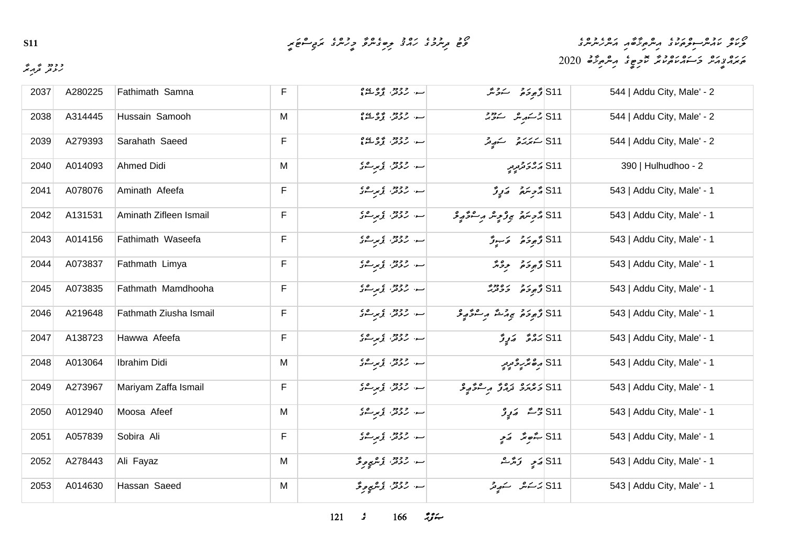*sCw7q7s5w7m< o<n9nOoAw7o< sCq;mAwBoEw7q<m; wBm;vB* م من المرة المرة المرة المرجع المرجع في المركبة 2020<br>مجم*د المريض المربوط المربع المرجع في المراجع المركبة* 

|  | 4.4.222        |
|--|----------------|
|  | نرعرفر اقرمرته |
|  |                |

| 2037 | A280225 | Fathimath Samna        | $\mathsf F$  | ر دودو وه ده.<br>سه روتر، تورشوه       | S11 <i>وَّجِ دَمَّة</i> سَوَتَرَ                                | 544   Addu City, Male' - 2 |
|------|---------|------------------------|--------------|----------------------------------------|-----------------------------------------------------------------|----------------------------|
| 2038 | A314445 | Hussain Samooh         | M            | ر دودو ده ده به ده<br>سه روتر، تورشنده | S11 بر سمبر شرور برد برد.<br>ا                                  | 544   Addu City, Male' - 2 |
| 2039 | A279393 | Sarahath Saeed         | $\mathsf F$  | ر دودو ده ده به ه<br>سو، روتر، توگرشوه | S11 س <i>ەئەنەتۇ سەمەت</i> ر                                    | 544   Addu City, Male' - 2 |
| 2040 | A014093 | Ahmed Didi             | M            | ے۔ ووود عمرے وہ                        | S11  كەبۇ ئۇتوپىر                                               | 390   Hulhudhoo - 2        |
| 2041 | A078076 | Aminath Afeefa         | F            | ے دودہ کی دہ ہ                         | S11 مَّ <i>حِ سَعَۃَ مَ تِوتَ</i> ّ                             | 543   Addu City, Male' - 1 |
| 2042 | A131531 | Aminath Zifleen Ismail | $\mathsf F$  | ___ رودوم، بۇ بېر سوي                  | S11 مُرْحِسَةً ب <sub>ِ</sub> وُوِيْدَ مِ <sup>ع</sup> ْدَمٍ وَ | 543   Addu City, Male' - 1 |
| 2043 | A014156 | Fathimath Waseefa      | $\mathsf F$  | ے دورہ ویرہ                            | S11 وَّجِرَةَ - وَسِوَّرَ                                       | 543   Addu City, Male' - 1 |
| 2044 | A073837 | Fathmath Limya         | $\mathsf F$  | ے دودہ ویرہ                            | S11 <i>وَّجِ دَمَّةَ</i> مِرْدَّمَّ                             | 543   Addu City, Male' - 1 |
| 2045 | A073835 | Fathmath Mamdhooha     | $\mathsf F$  | ___ رودوم، بۇ بېر سوي                  | S11 تَ <i>وْجِوَء</i> َ رَوْرُبَّ                               | 543   Addu City, Male' - 1 |
| 2046 | A219648 | Fathmath Ziusha Ismail | $\mathsf{F}$ | سه الرودو المح موسور المحمد            | S11 زُّەپرە ئەرمىقە مەستۇرىمى 3.                                | 543   Addu City, Male' - 1 |
| 2047 | A138723 | Hawwa Afeefa           | $\mathsf F$  | ے دودہ ویرہ                            | S11 بَرْدُوَّ کَرُوِرََّ                                        | 543   Addu City, Male' - 1 |
| 2048 | A013064 | Ibrahim Didi           | M            | ے دورہ ویرہ                            | S11 مەھەرىپ <sup>ى تە</sup> رىپە                                | 543   Addu City, Male' - 1 |
| 2049 | A273967 | Mariyam Zaffa Ismail   | $\mathsf F$  | سه رودو ، وبرسوی                       | S11 كەمەم ئەرەق بەسىۋە بى                                       | 543   Addu City, Male' - 1 |
| 2050 | A012940 | Moosa Afeef            | M            | ب دودو. کی مرضی                        | S11 تخریقہ ت <i>ے پ</i> وٹو                                     | 543   Addu City, Male' - 1 |
| 2051 | A057839 | Sobira Ali             | F            | سە رودە ئى دە ئ                        | S11 جُن <i>وبُرْ مَ</i> رِ                                      | 543   Addu City, Male' - 1 |
| 2052 | A278443 | Ali Fayaz              | M            | - رودور وکرمبرمرمح                     | S11  <sub>تع</sub> مير توټر شه                                  | 543   Addu City, Male' - 1 |
| 2053 | A014630 | Hassan Saeed           | M            | ب رودو. زىئرې بولگ                     | S11 پرستريٹر کے <i>م<sub>ج</sub>و</i> ٹر                        | 543   Addu City, Male' - 1 |

*121 s* **166** *<i>n***<sub>s</sub>**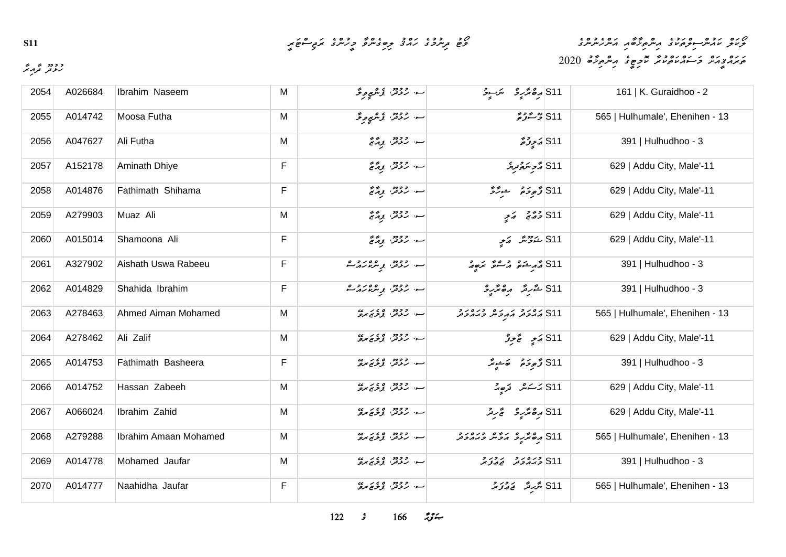*sCw7q7s5w7m< o<n9nOoAw7o< sCq;mAwBoEw7q<m; wBm;vB* م من المرة المرة المرة المرجع المرجع في المركبة 2020<br>مجم*د المريض المربوط المربع المرجع في المراجع المركبة* 

| د دود به پر<br>رنز تر ترمه |  |  |
|----------------------------|--|--|
|                            |  |  |

| 2054 | A026684 | Ibrahim Naseem        | M           | ۔۔ رحمدش، بڑیندی و بحہ                      | S11  مەھەرىپ <sup>ى سەس</sup> بۇ               | 161   K. Guraidhoo - 2          |
|------|---------|-----------------------|-------------|---------------------------------------------|------------------------------------------------|---------------------------------|
| 2055 | A014742 | Moosa Futha           | M           | ب رودو. زىئرې بولۇ                          | S11 تۇشۇر <i>ۇ</i>                             | 565   Hulhumale', Ehenihen - 13 |
| 2056 | A047627 | Ali Futha             | M           | سە رودو. بورمخ                              | S11 كەمچەتىمى                                  | 391   Hulhudhoo - 3             |
| 2057 | A152178 | Aminath Dhiye         | F           | سە روۋۇ، بەلگەنج                            | S11 مَّ مِ سَمَّ مِرْ مَّر                     | 629   Addu City, Male'-11       |
| 2058 | A014876 | Fathimath Shihama     | F           | سە رودۇر بورگا                              | S11 <i>ؤ<sub>ج</sub>ودَمْ</i> ہو <i>دُدُ</i> ّ | 629   Addu City, Male'-11       |
| 2059 | A279903 | Muaz Ali              | M           | سە رودو. بورمخ                              | S11 دُرَّج کەم                                 | 629   Addu City, Male'-11       |
| 2060 | A015014 | Shamoona Ali          | F           | سە رودو. بورمخ                              | S11 ڪَنَڙَنگ <sub>ص</sub> َعِ                  | 629   Addu City, Male'-11       |
| 2061 | A327902 | Aishath Uswa Rabeeu   | F           | ے رودو و عامرو ع                            | S11 مُدِينَة مُرْسَعَ بَرَجِهِ مُ              | 391   Hulhudhoo - 3             |
| 2062 | A014829 | Shahida Ibrahim       | $\mathsf F$ | ے رودو ویرورو کے                            | S11 ڪريگر بر <i>ھ بڙر</i> و                    | 391   Hulhudhoo - 3             |
| 2063 | A278463 | Ahmed Aiman Mohamed   | M           | د د د ده و د د د د د .<br>سه روتر، ژخم برو  | S11 ג' <i>ביב ההבית</i> בהמכת                  | 565   Hulhumale', Ehenihen - 13 |
| 2064 | A278462 | Ali Zalif             | M           | ر در دود وی در برد<br>سه روتر، بوتونغ برو   | S11 کړې گ <sub>ے موث</sub> ق                   | 629   Addu City, Male'-11       |
| 2065 | A014753 | Fathimath Basheera    | F           | د د د ده و د د د د .<br>سه روس و د د د      | S11 رَّجِ دَمَرَ – صَحْبِ مَرْ                 | 391   Hulhudhoo - 3             |
| 2066 | A014752 | Hassan Zabeeh         | M           | د د دود و د د د د.<br>سه روتر، ژونو مرو     | S11 كەسكەنگە ق <i>ەھ</i> ەتمە                  | 629   Addu City, Male'-11       |
| 2067 | A066024 | Ibrahim Zahid         | M           | د د دوه و د د<br>سو، روتر، بوڅنم <i>برو</i> | S11 م <i>وڭ ئۇرۇ تۇرىۋ</i>                     | 629   Addu City, Male'-11       |
| 2068 | A279288 | Ibrahim Amaan Mohamed | M           | د د دود و د د د د د .<br>سه روتر، ژوپن برو  | S11 رەئزىرى ئەنەم دىرەر د                      | 565   Hulhumale', Ehenihen - 13 |
| 2069 | A014778 | Mohamed Jaufar        | M           | د د دود و د د د د.<br>سه روتر، ژونو مرو     | S11 ژبر در دید در د                            | 391   Hulhudhoo - 3             |
| 2070 | A014777 | Naahidha Jaufar       | F           | د د د ده و د د د د د.<br>سه روتر، ژوپن برو  | S11 مَرْرِمٌ     يَرْدَى لَمْ                  | 565   Hulhumale', Ehenihen - 13 |

*122 s 166 <i>n*<sub>3</sub> *s*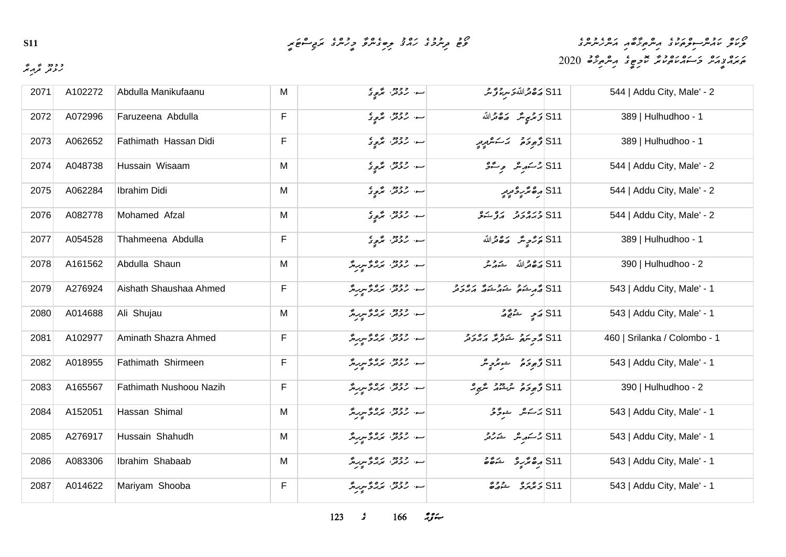*sCw7q7s5w7m< o<n9nOoAw7o< sCq;mAwBoEw7q<m; wBm;vB* م من المرة المرة المرة المرجع المرجع في المركبة 2020<br>مجم*د المريض المربوط المربع المرجع في المراجع المركبة* 

|  | 4.4.222        |
|--|----------------|
|  | نرعرفر اقرمرته |
|  |                |

| 2071 | A102272 | Abdulla Manikufaanu     | M           | ے۔ رژوژہ مرکوی     | S11 كەھەتراللە <del>ك</del> سر <i>ىر ق</i> ىتر | 544   Addu City, Male' - 2   |
|------|---------|-------------------------|-------------|--------------------|------------------------------------------------|------------------------------|
| 2072 | A072996 | Faruzeena Abdulla       | F           | ے رودو محمود       | S11 <i>وَ بَدْبِي مَّدَ   مَ</i> هُ قَدَاللَّه | 389   Hulhudhoo - 1          |
| 2073 | A062652 | Fathimath Hassan Didi   | F           | ے رودو محموظ       | S11 ۇ <sub>ج</sub> وڭ <sub>ۇ</sub> بەسەھىرىر   | 389   Hulhudhoo - 1          |
| 2074 | A048738 | Hussain Wisaam          | M           | ے۔ رووو ہے کہ      | S11 پرستمبر شہ <sub>حی</sub> سنگر ج            | 544   Addu City, Male' - 2   |
| 2075 | A062284 | Ibrahim Didi            | M           | سه رودو په په      | S11  بر <i>ە ئۇردۇ بو</i> بو                   | 544   Addu City, Male' - 2   |
| 2076 | A082778 | Mohamed Afzal           | M           | سه رحمونه محمومه   | S11 <i>ۋېزەر بىر مۇ</i> شۇ                     | 544   Addu City, Male' - 2   |
| 2077 | A054528 | Thahmeena Abdulla       | F           | ے رودہ مجموع       | S11  <i>مَرْدْجِيمَّة مَ</i> ةْ مِمَّاللَّه    | 389   Hulhudhoo - 1          |
| 2078 | A161562 | Abdulla Shaun           | M           | - روود رووس        | S11 مَەھْتَراللە خَەمْتَر                      | 390   Hulhudhoo - 2          |
| 2079 | A276924 | Aishath Shaushaa Ahmed  | $\mathsf F$ | مدار دور ده دره م  | S11 مەم شەم ئىسىم شەم كەبىر دىر                | 543   Addu City, Male' - 1   |
| 2080 | A014688 | Ali Shujau              | M           | ے۔ روود روم سربار  | S11 كەمچە مىش <i>ەق ئ</i>                      | 543   Addu City, Male' - 1   |
| 2081 | A102977 | Aminath Shazra Ahmed    | F           | ے رودو رہ مرس      |                                                | 460   Srilanka / Colombo - 1 |
| 2082 | A018955 | Fathimath Shirmeen      | $\mathsf F$ | ے رودو رہ مرس      | S11 <i>وَّجِودَة</i> شِعْرَةٍ شَرَ             | 543   Addu City, Male' - 1   |
| 2083 | A165567 | Fathimath Nushoou Nazih | F           | ے۔ روود روم سربائر | S11 <i>ؤُوِدَهُ</i> مُرْشَمْهُ مُرَّمِ 2       | 390   Hulhudhoo - 2          |
| 2084 | A152051 | Hassan Shimal           | M           | ے۔ روود روم سربائر | S11   پرسکس حوتی تح                            | 543   Addu City, Male' - 1   |
| 2085 | A276917 | Hussain Shahudh         | M           | ے۔ روود روم سربار  | S11 بر سک <i>مبر بلہ مشارقر</i>                | 543   Addu City, Male' - 1   |
| 2086 | A083306 | Ibrahim Shabaab         | M           | ے۔ روود روم سربائل | $\frac{22}{9}$ مِ $\frac{2}{3}$ مَرِحْ شَقَّ   | 543   Addu City, Male' - 1   |
| 2087 | A014622 | Mariyam Shooba          | F           | ے رودو روڈ سربائر  |                                                | 543   Addu City, Male' - 1   |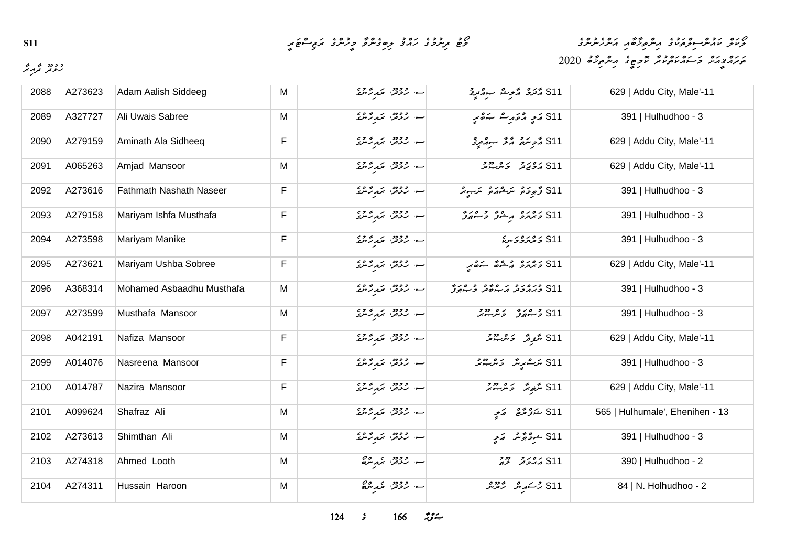*sCw7q7s5w7m< o<n9nOoAw7o< sCq;mAwBoEw7q<m; wBm;vB* م من المرة المرة المرة المرجع المرجع في المركبة 2020<br>مجم*د المريض المربوط المربع المرجع في المراجع المركبة* 

|  | $\begin{array}{ccccc} \circ & \circ & \circ & \circ \end{array}$ |
|--|------------------------------------------------------------------|
|  | ر د در مرد بر                                                    |
|  |                                                                  |

| 2088 | A273623 | Adam Aalish Siddeeg            | M            | ے۔ رودو بر رومی                             | S11 גٌتَرَوْ   גٌرمِــْدْ   جورْمِرِيْرْ       | 629   Addu City, Male'-11       |
|------|---------|--------------------------------|--------------|---------------------------------------------|------------------------------------------------|---------------------------------|
| 2089 | A327727 | Ali Uwais Sabree               | M            | ے رودو تر دی                                | S11 كەبر مەترىب سەھىر                          | 391   Hulhudhoo - 3             |
| 2090 | A279159 | Aminath Ala Sidheeq            | F            | ر د دود نمایر د د د .<br>سه رندس نمایر شرکت | S11  مَّرِسَمَۃ مُنَّزَّ سِيرْمُنِیْٓ          | 629   Addu City, Male'-11       |
| 2091 | A065263 | Amjad Mansoor                  | M            | ے۔ رودو بر رمزمان                           | S11 كەن بول بول ھەمدىن ئىستىر                  | 629   Addu City, Male'-11       |
| 2092 | A273616 | <b>Fathmath Nashath Naseer</b> | $\mathsf{F}$ | ے رودو تر دی                                | S11 ز <sub>گ</sub> وِدَة مَرَسْمَة مَرَسِيْتُر | 391   Hulhudhoo - 3             |
| 2093 | A279158 | Mariyam Ishfa Musthafa         | $\mathsf F$  | ے۔ رودو بر رومی                             | S11 ئ <i>وپرو مىشۇ ۋىبتۇنى</i>                 | 391   Hulhudhoo - 3             |
| 2094 | A273598 | Mariyam Manike                 | F            | ے۔ رودو بر رومی                             | S11 كەممە <i>رى بىرىتى</i>                     | 391   Hulhudhoo - 3             |
| 2095 | A273621 | Mariyam Ushba Sobree           | F            | سه رودود بزرگردی                            | S11 ئ <i>وبرو مىشۇ بنھىر</i>                   | 629   Addu City, Male'-11       |
| 2096 | A368314 | Mohamed Asbaadhu Musthafa      | M            | - رودو بزده ده                              | S11 دره رو بر ۲۵ د و ۲۵ دی                     | 391   Hulhudhoo - 3             |
| 2097 | A273599 | Musthafa Mansoor               | M            | ے۔ رودو بر رومی                             | S11 ۇيەم بۇ ئەھرىيىتىر                         | 391   Hulhudhoo - 3             |
| 2098 | A042191 | Nafiza Mansoor                 | $\mathsf F$  | ر د دود نمایر د د د .<br>سه رندس نمایر شرکت | S11  سَّعِيةَ كَسَرْيَتْهُمْ .                 | 629   Addu City, Male'-11       |
| 2099 | A014076 | Nasreena Mansoor               | F            | ے۔ رودو بر رومی                             | S11 ىترىشمېرى <i>گە خەرجىنى</i> ر              | 391   Hulhudhoo - 3             |
| 2100 | A014787 | Nazira Mansoor                 | $\mathsf F$  | سه دود. نمه ژمره                            | S11 سَّهِ يَمَّ       وَ سَرْبَ يَمْرَ         | 629   Addu City, Male'-11       |
| 2101 | A099624 | Shafraz Ali                    | M            | ے رودو تر دی                                | S11 ڪوپڙي <i>چو</i>                            | 565   Hulhumale', Ehenihen - 13 |
| 2102 | A273613 | Shimthan Ali                   | M            | د د دود.<br>سه روتر، نمایر شروع             | S11 جو <i>دي ۾ چي</i>                          | 391   Hulhudhoo - 3             |
| 2103 | A274318 | Ahmed Looth                    | M            | - دوود عمد سره                              | S11 كەبۇر قىرىم ئىقتىمى                        | 390   Hulhudhoo - 2             |
| 2104 | A274311 | Hussain Haroon                 | M            | سه دودو ، مهر سرچ                           | S11  پرستمبر بھر محترمبر                       | 84   N. Holhudhoo - 2           |

*n*<sub>2</sub> *f s* **166** *<i>n*<sub>2</sub> *n*<sub>2</sub> *i*<sub>3</sub> *i*<sub>3</sub> *i*<sub>3</sub> *i*<sub>3</sub> *i*<sub>3</sub> *i*<sub>3</sub> *i*<sub>3</sub> *i*<sub>3</sub> *i*<sub>3</sub> *i*<sub>3</sub> *i*<sub>3</sub> *i*<sub>3</sub> *i*<sub>3</sub> *i*<sub>3</sub> *i*<sub>3</sub> *i*<sub>3</sub> *i*<sub>3</sub> *i*<sub>3</sub> *i*<sub>3</sub> *i*<sub>3</sub> *i*<sub>3</sub> *i*<sub>3</sub> *i*<sub>3</sub> *i*<sub>3</sub> *i*<sub>3</sub> *i*<sub>3</sub> *i*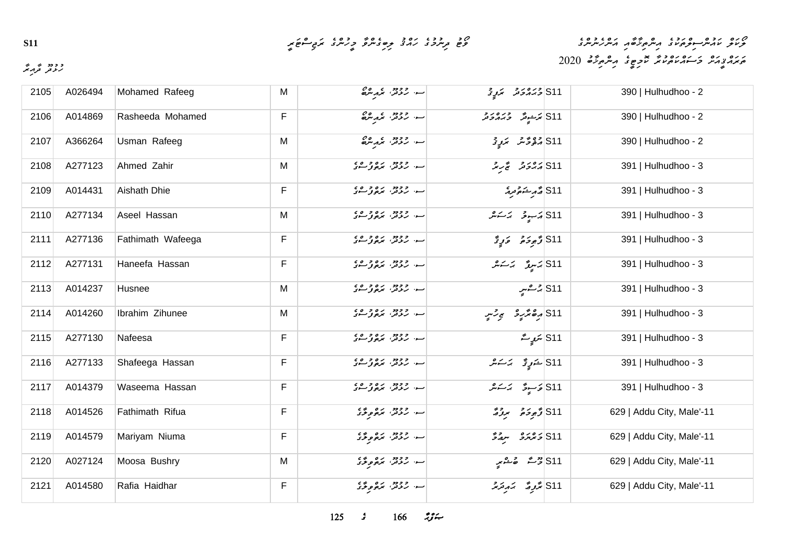*sCw7q7s5w7m< o<n9nOoAw7o< sCq;mAwBoEw7q<m; wBm;vB* م من المرة المرة المرة المرجع المرجع في المركبة 2020<br>مجم*د المريض المربوط المربع المرجع في المراجع المركبة* 

|  | د دود به پر<br>رنز تر ترمه تر |
|--|-------------------------------|
|  |                               |

| 2105 | A026494 | Mohamed Rafeeg      | M           | سه دودو ، مهر شرح                                  | S11  <i>وُبَرُوْدَوْ بَرْوِيْ</i>        | 390   Hulhudhoo - 2       |
|------|---------|---------------------|-------------|----------------------------------------------------|------------------------------------------|---------------------------|
| 2106 | A014869 | Rasheeda Mohamed    | $\mathsf F$ | سه دودو ، مهر شرح                                  | S11 بَرَسْوِتَرٌ    وَبَرَ وَرُوَ تَرُ   | 390   Hulhudhoo - 2       |
| 2107 | A366264 | <b>Usman Rafeeg</b> | M           | رے دورہ میں دے<br>رے رونس میں سرحا                 | S11 <sub>م</sub> مۇرىمى ئىر <i>بى</i> تى | 390   Hulhudhoo - 2       |
| 2108 | A277123 | Ahmed Zahir         | M           | ے دورہ رہوں۔                                       | S11 كەبرى قىم قىچ بەيتى                  | 391   Hulhudhoo - 3       |
| 2109 | A014431 | Aishath Dhie        | F           | ے دورہ رہوں۔<br>سہ رکوش <sub>مح</sub> ور ہے        | S11 مُدْمِر شَوْمِرْمُر                  | 391   Hulhudhoo - 3       |
| 2110 | A277134 | Aseel Hassan        | M           | ر د د ده ده د د ده د<br>سه روس بروژ سر             | S11  رَسِوِتْ - رَسَسْ                   | 391   Hulhudhoo - 3       |
| 2111 | A277136 | Fathimath Wafeega   | F           | ے دورہ رہوں۔<br>سہ رکوش <sub>مح</sub> ور ہے        | S11 وَّجِرَة مَ وَرِيَّ                  | 391   Hulhudhoo - 3       |
| 2112 | A277131 | Haneefa Hassan      | F           | ر د د دور د ده و د د د و د<br>سه رنزوز، برجونو سوی | S11 كەسپۇ كەسكەنلە                       | 391   Hulhudhoo - 3       |
| 2113 | A014237 | Husnee              | M           | ے دورہ رہوں۔                                       | S11   پڑھيں                              | 391   Hulhudhoo - 3       |
| 2114 | A014260 | Ibrahim Zihunee     | M           | ر د د دور د ده و د د د و د<br>سه رنزوز، برجونو سوی | S11  مەھەر بوڭ بورىس                     | 391   Hulhudhoo - 3       |
| 2115 | A277130 | Nafeesa             | F           | ر ده ده ده ده و ده و.<br>سه روند، برووسو           | S11 سَمِرِ مَتَّہ                        | 391   Hulhudhoo - 3       |
| 2116 | A277133 | Shafeega Hassan     | F           | ر د د دور د ده و د د د و د<br>سه رنزوز، برجونو سوی | S11 ڪر <i>وِ گانگار</i>                  | 391   Hulhudhoo - 3       |
| 2117 | A014379 | Waseema Hassan      | F           | ر د د دور ده و ده و د<br>سه روتر، بروژ سو          | S11 كۈس <mark>وت ئەسكەنل</mark> ە        | 391   Hulhudhoo - 3       |
| 2118 | A014526 | Fathimath Rifua     | F           | ر د دود ده ده.<br>پ روس بروونوی                    | S11 <i>وُّجِودَة</i> بر <i>وْة</i> ُ     | 629   Addu City, Male'-11 |
| 2119 | A014579 | Mariyam Niuma       | F           | ے دودہ رہ دی<br>ے رونر، بروہ بڑی                   | S11 كەبرىرى س <sub>ىم</sub> رى           | 629   Addu City, Male'-11 |
| 2120 | A027124 | Moosa Bushry        | M           | ے دودہ رہ دی<br>ے رونر، بروہ بڑی                   | S11 ترمئة ص <u>في</u> مبر                | 629   Addu City, Male'-11 |
| 2121 | A014580 | Rafia Haidhar       | F           | ر در دود.<br>د رون بره و و د                       | S11 تَرُوِمَ سَمَرِمَرْتَر               | 629   Addu City, Male'-11 |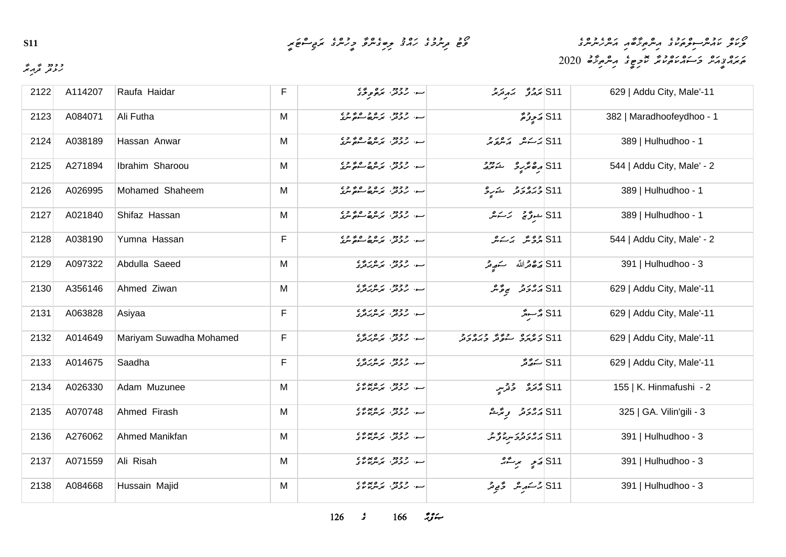*sCw7q7s5w7m< o<n9nOoAw7o< sCq;mAwBoEw7q<m; wBm;vB* م من المرة المرة المرة المرجع المرجع في المركبة 2020<br>مجم*د المريض المربوط المربع المرجع في المراجع المركبة* 

|  | د دود به پر<br>رنز تر ترمه تر |
|--|-------------------------------|
|  |                               |

| 2122 | A114207 | Raufa Haidar            | F           | سه رودو پره وگړي                                   | S11 <i>بَرْدُوٌ بَرْمِ</i> رْتَرْ       | 629   Addu City, Male'-11  |
|------|---------|-------------------------|-------------|----------------------------------------------------|-----------------------------------------|----------------------------|
| 2123 | A084071 | Ali Futha               | M           | د د دوه د ه د ه د د د د<br>سه روتر، برس هاموس      | S11 كەمچەتى گە                          | 382   Maradhoofeydhoo - 1  |
| 2124 | A038189 | Hassan Anwar            | M           | سه دود. نرود و دود                                 | S11 ئەسەمب <i>ىر مەيھ</i> ىر            | 389   Hulhudhoo - 1        |
| 2125 | A271894 | Ibrahim Sharoou         | M           | د د دور د ه د ه د د د د<br>سه روتر، برنتره سونتر   | S11 م <i>وڭ ئۇچى</i> ر ئىستى <i>مە</i>  | 544   Addu City, Male' - 2 |
| 2126 | A026995 | Mohamed Shaheem         | M           | د د ده د ده د ه د د د<br>پ روتر، برس شوس           | S11 <i>وُبَرُوُوَتْوَ</i> شَرِوْ        | 389   Hulhudhoo - 1        |
| 2127 | A021840 | Shifaz Hassan           | M           | د دود د ده ده ده<br>سه روتر، برس                   | S11 حو <i>و</i> گي - ترڪ <sup>ي</sup> ر | 389   Hulhudhoo - 1        |
| 2128 | A038190 | Yumna Hassan            | F           | د د دور د ه و د د د د د<br>سه روتر، برس شوسر       | S11 پرونگ ټر <i>ش</i> ه                 | 544   Addu City, Male' - 2 |
| 2129 | A097322 | Abdulla Saeed           | M           | ر د د د د د ه د په د<br>سه رنونس برس ترد           | S11 #چىق ئىرللە س <i>ەمبەت</i> ر        | 391   Hulhudhoo - 3        |
| 2130 | A356146 | Ahmed Ziwan             | M           | د و ودو . ر ه د د ه ،<br>سه . رنوتو، نخوش توری     | S11 كەبرى قىرىم ئەرگەنلەر بىر ئاس       | 629   Addu City, Male'-11  |
| 2131 | A063828 | Asiyaa                  | F           |                                                    | S11 ۾ سب <i>ر</i>                       | 629   Addu City, Male'-11  |
| 2132 | A014649 | Mariyam Suwadha Mohamed | $\mathsf F$ | د د دود. د ه د د د د<br>سه روی نمرس برد            | S11 ئەيمەدى ئىق ئەيمەدىر                | 629   Addu City, Male'-11  |
| 2133 | A014675 | Saadha                  | F           | ر د د ود د بر ه د بر د د<br>سه گرونس بر بر برد ترو | S11 سَرَّدَتَر                          | 629   Addu City, Male'-11  |
| 2134 | A026330 | Adam Muzunee            | M           | ر د دود د ه ده ده.<br>سه رکونس برس د د             | S11  مَرْتَرَدُ - وُثْرَسِ              | 155   K. Hinmafushi - 2    |
| 2135 | A070748 | Ahmed Firash            | M           | د د دوه د ۱۶۶۵ وروپورتو<br>سه رنوس برس             | S11 كەش <sup>ى</sup> رىقە بەرگەشە       | 325   GA. Vilin'gili - 3   |
| 2136 | A276062 | Ahmed Manikfan          | M           | و و دود د ره بر ده د<br>سه رنوش برس د د            | S11 كەبرى <i>قەبىر بىر قەتت</i> ر       | 391   Hulhudhoo - 3        |
| 2137 | A071559 | Ali Risah               | M           | ر د دود.<br>سه روتر، برس د د                       | S11  <sub>ه</sub> ُ مٍ سِرِ مُبْرَ مِ   | 391   Hulhudhoo - 3        |
| 2138 | A084668 | Hussain Majid           | M           | ر د د دور د د د ده.<br>سه رکونس پرس                | S11 بڑے مرینر گھویٹر                    | 391   Hulhudhoo - 3        |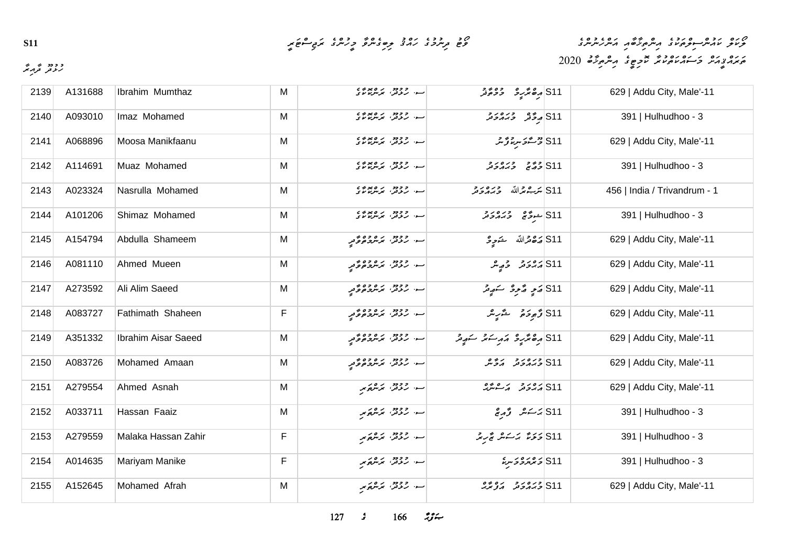*sCw7q7s5w7m< o<n9nOoAw7o< sCq;mAwBoEw7q<m; wBm;vB* م من المرة المرة المرة المرجع المرجع في المركبة 2020<br>مجم*د المريض المربوط المربع المرجع في المراجع المركبة* 

|  | د دود به پر<br>رنز تر ترمه تر |
|--|-------------------------------|
|  |                               |

| 2139 | A131688 | Ibrahim Mumthaz            | M           | ر در دور ده بر ده ده دارد کار در این است.<br>است: ارکزانوار، ایمریکل کار ک | S11 رەتمەر دەۋەر                       | 629   Addu City, Male'-11    |
|------|---------|----------------------------|-------------|----------------------------------------------------------------------------|----------------------------------------|------------------------------|
| 2140 | A093010 | Imaz Mohamed               | M           | د د دوه د ۱۶۶۵ و.<br>سه رنوش نموس د ۱۶                                     | S11 مەڭنى <i>مەمەدىر</i>               | 391   Hulhudhoo - 3          |
| 2141 | A068896 | Moosa Manikfaanu           | M           | ر د د ده د ه پروه.<br>سه رکونس پرس                                         | S11 تۇشۇت بىر <i>ىدۇ</i> تىر           | 629   Addu City, Male'-11    |
| 2142 | A114691 | Muaz Mohamed               | M           | و و دود د ره د ده د د<br>سه رنوس نمرس د د                                  | S11  دوم در درو                        | 391   Hulhudhoo - 3          |
| 2143 | A023324 | Nasrulla Mohamed           | M           | ر د د د د ده پر ده د د<br>سه گرفتن پرس                                     | S11 ىتربىقىتىللە ئ <i>ى تەۋە</i> تر    | 456   India / Trivandrum - 1 |
| 2144 | A101206 | Shimaz Mohamed             | M           | ر در دور ده برده بر در دارد کردند.<br>سوال مرکز بر مرکز بر در در در ایران  | S11 خو <i>گى قىمگە قىل</i>             | 391   Hulhudhoo - 3          |
| 2145 | A154794 | Abdulla Shameem            | M           | ے وجو رہ وہ ہر                                                             | S11  رَحْمَة اللَّه شَوَوْدُ           | 629   Addu City, Male'-11    |
| 2146 | A081110 | Ahmed Mueen                | M           | ر د د د د ده وه د و د .<br>ر د روند، مرس د و و تر                          | S11 <i>ډبری تنه څه</i> ینر             | 629   Addu City, Male'-11    |
| 2147 | A273592 | Ali Alim Saeed             | M           | ے۔ ووو رہ وہ ہر                                                            | S11   <i>ړٌم ٍ مُروڈ سَهونڈ</i>        | 629   Addu City, Male'-11    |
| 2148 | A083727 | Fathimath Shaheen          | $\mathsf F$ | سه رودو دره ده و                                                           | S11 <i>ؤ<sub>ج</sub>وحَمْ</i> شَرِسْ ً | 629   Addu City, Male'-11    |
| 2149 | A351332 | <b>Ibrahim Aisar Saeed</b> | M           | سه روده د ۱۵۶۵ و.                                                          | S11 مەھ ئۇرىق مەم سىكى سىھ بىر         | 629   Addu City, Male'-11    |
| 2150 | A083726 | Mohamed Amaan              | M           | ے وجو رہ وہ ہر                                                             | S11  <i>وبروبر مؤثر</i>                | 629   Addu City, Male'-11    |
| 2151 | A279554 | Ahmed Asnah                | M           | ے دودہ برمایہ                                                              | S11 كەبرو كەشەر ي                      | 629   Addu City, Male'-11    |
| 2152 | A033711 | Hassan Faaiz               | M           | ب دودو برور                                                                | S11 ټرينگر گ <i>رم</i> ئ               | 391   Hulhudhoo - 3          |
| 2153 | A279559 | Malaka Hassan Zahir        | $\mathsf F$ | ے دودہ برمایہ                                                              | S11  ى <i>ئەنگە باشىرى ئارى</i> تى     | 391   Hulhudhoo - 3          |
| 2154 | A014635 | Mariyam Manike             | $\mathsf F$ | ے دورہ برمایہ                                                              | S11 كەبىر بىر كەسرىئە                  | 391   Hulhudhoo - 3          |
| 2155 | A152645 | Mohamed Afrah              | M           | ے دورہ برمایہ                                                              | S11 ديره ده بره ده و                   | 629   Addu City, Male'-11    |

*n27 s 166 <i>n*<sub>3</sub> *s*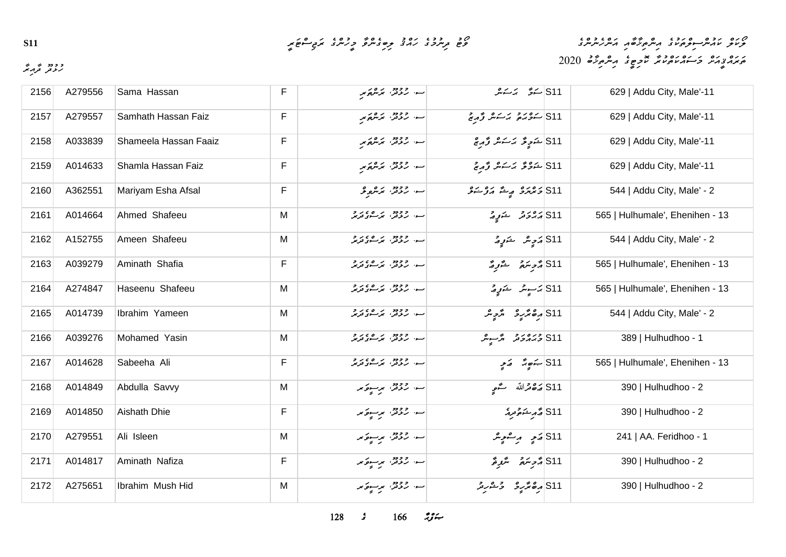*sCw7q7s5w7m< o<n9nOoAw7o< sCq;mAwBoEw7q<m; wBm;vB 2020*<br>*په ټومن د سوم پوره پورې پر سوم د سره پره و*لا

| 2156 | A279556 | Sama Hassan           | F           | سه دودو، نره د                                                 | S11 سَرَحْ کَرَسُرْ ک                        | 629   Addu City, Male'-11       |
|------|---------|-----------------------|-------------|----------------------------------------------------------------|----------------------------------------------|---------------------------------|
| 2157 | A279557 | Samhath Hassan Faiz   | $\mathsf F$ | ب دوده، ترمه تر                                                | S11 س <i>تۇنىۋ</i> ئەس <i>تىر ۋەبى</i>       | 629   Addu City, Male'-11       |
| 2158 | A033839 | Shameela Hassan Faaiz | F           | ے رودوں مرتفق مر                                               | S11 خوتۇ برسەش ۋەپى                          | 629   Addu City, Male'-11       |
| 2159 | A014633 | Shamla Hassan Faiz    | F           | - دودو، بره بر                                                 | S11 خۇنۇ برىكى <i>ۋە</i> نج                  | 629   Addu City, Male'-11       |
| 2160 | A362551 | Mariyam Esha Afsal    | F           | ے رودہ رو و                                                    | S11 كۇپرى <sub>تې</sub> ىش تەۋىنىۋ           | 544   Addu City, Male' - 2      |
| 2161 | A014664 | Ahmed Shafeeu         | M           | ر ده د د د د و د د د د<br>ر د د روندار ابور سوی توبور          | S11   پرچوکر سک <i>وپ</i>                    | 565   Hulhumale', Ehenihen - 13 |
| 2162 | A152755 | Ameen Shafeeu         | M           | ر در دوده از ۲۵ در و.<br>سه انرلولو <sup>د ا</sup> بوستور توبو | S11 كەرچىر سى <i>تۇ</i> رگە                  | 544   Addu City, Male' - 2      |
| 2163 | A039279 | Aminath Shafia        | F           | ر در دور در ۲۵ در و.<br>سه ارکوتر، ایمرسوی توبو                | S11 مَّ حِ سَمَّ مُتَّ وِ مَّ                | 565   Hulhumale', Ehenihen - 13 |
| 2164 | A274847 | Haseenu Shafeeu       | M           | ر در دوده از ۲۵ در و.<br>سه ارتونو، ایرسلوی توپو               | S11  برسی شرقی شکوپ <sub>ر</sub><br>         | 565   Hulhumale', Ehenihen - 13 |
| 2165 | A014739 | Ibrahim Yameen        | M           | ر در دورد در ۲۵ در و.<br>سه ارکوتر، ایر سوی توپو               | S11 <sub>م</sub> ەمگرى <sub>چە م</sub> ۇرىگە | 544   Addu City, Male' - 2      |
| 2166 | A039276 | Mohamed Yasin         | M           | ر در دورو در ۲۵ در و.<br>سه د گرفترا ایمرسسوی تعریف            | S11 <i>ڈیزونز پڑ</i> ے گ                     | 389   Hulhudhoo - 1             |
| 2167 | A014628 | Sabeeha Ali           | F           | ر در دوره در ۲۵ در و.<br>سه د کرفران موسوی فرمز                | S11 <i>سکھیڈ مک</i> ر                        | 565   Hulhumale', Ehenihen - 13 |
| 2168 | A014849 | Abdulla Savvy         | M           | سه اردود برسونوین                                              | S11 #چىقىقراللە گىم <i>و</i>                 | 390   Hulhudhoo - 2             |
| 2169 | A014850 | Aishath Dhie          | F           | سه دوده برسونمه                                                | S11 مەم ئىسقىم تىرى <i>گە</i>                | 390   Hulhudhoo - 2             |
| 2170 | A279551 | Ali Isleen            | M           | سەس 1999 - يوسىدىكى بىر                                        | S11  پرمو پر مش <i>وین</i> گر                | 241   AA. Feridhoo - 1          |
| 2171 | A014817 | Aminath Nafiza        | F           | سە رودە بوسۇپر                                                 | S11 مٌ <i>وِ سَمَعٌ سَمَّدِهُ</i> ّ          | 390   Hulhudhoo - 2             |
| 2172 | A275651 | Ibrahim Mush Hid      | M           | سە زودە بەسوھەر                                                | S11  مِنْ جُرْرِدْ - دُشْرِيْر               | 390   Hulhudhoo - 2             |

*n8o<n@ r@q:q5*

 $128$  *s*  $166$  *n***<sub>3</sub>** *n*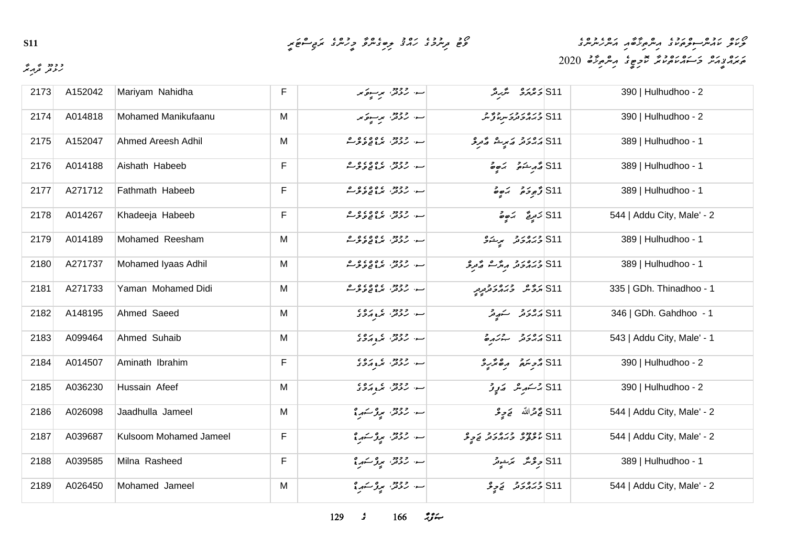*sCw7q7s5w7m< o<n9nOoAw7o< sCq;mAwBoEw7q<m; wBm;vB* م من المرة المرة المرة المرجع المرجع في المركبة 2020<br>مجم*د المريض المربوط المربع المرجع في المراجع المركبة* 

|  | $\begin{array}{cccccccccccccc} \circ & \circ & \circ & \circ & \circ & \circ \end{array}$ |  |
|--|-------------------------------------------------------------------------------------------|--|
|  | زعرفر اقرمرمر                                                                             |  |
|  |                                                                                           |  |

| 2173 | A152042 | Mariyam Nahidha               | F            | سە زودە برسونۇبر                                          | S11 <i>وَ بُرْمَرْدْ بَرَّرْ</i> مُ <i>رْ</i> | 390   Hulhudhoo - 2        |
|------|---------|-------------------------------|--------------|-----------------------------------------------------------|-----------------------------------------------|----------------------------|
| 2174 | A014818 | Mohamed Manikufaanu           | M            | ے رودہ مرسوم بر                                           | S11 <i>ۋېزو د وگرو بېرىدۇ</i> تىر             | 390   Hulhudhoo - 2        |
| 2175 | A152047 | <b>Ahmed Areesh Adhil</b>     | M            | ر د د دود د ده ده ده م<br>سه رنوش نوع تونو شو             | S11 كەندى تە كەبرىشە كەبرى <i>\$ەب</i>        | 389   Hulhudhoo - 1        |
| 2176 | A014188 | Aishath Habeeb                | $\mathsf F$  | ے۔ جو دورے وہ دورے                                        | S11 مُ مِنْسَعْ بَرْصِرْ .                    | 389   Hulhudhoo - 1        |
| 2177 | A271712 | Fathmath Habeeb               | F            | ر در دود ده ده ده و د و د                                 | S11 زً <sub>ّج</sub> ودَ م <i>ُ</i> حِمَّةٍ   | 389   Hulhudhoo - 1        |
| 2178 | A014267 | Khadeeja Habeeb               | $\mathsf F$  | ر در دود ده ده ده و ه<br>سه روتر، برو ت <sub>م</sub> وتوب | S11 كَتَمِيعٌ     بَرْحِ حُ                   | 544   Addu City, Male' - 2 |
| 2179 | A014189 | Mohamed Reesham               | M            | ر در دود ده ده ده و د و د                                 | S11 <i>\$نەۋەتى بې</i> شۇ                     | 389   Hulhudhoo - 1        |
| 2180 | A271737 | Mohamed Iyaas Adhil           | M            | ر در دور ده ده ده و ه<br>ر در دور او در در در د           | S11 <i>ڈیزو ڈو پڑے چُ</i> مِر مُح             | 389   Hulhudhoo - 1        |
| 2181 | A271733 | Yaman Mohamed Didi            | M            | اسه الرود و ۵۵۵۵ و می<br>اسه الرون البرو فی تولوگ         | S11 <i>הֿ.5 \$ جەم</i> 5 ترىرىر               | 335   GDh. Thinadhoo - 1   |
| 2182 | A148195 | Ahmed Saeed                   | M            | د و دود د ده ده ده<br>سه روتر، نرو دود                    | S11 كەنزى قىر سىكەن بىر                       | 346   GDh. Gahdhoo - 1     |
| 2183 | A099464 | Ahmed Suhaib                  | M            | د و دود د ده ده ده.<br>سه روتو، نوم ورو                   | S11 كەبروتر بەزگە <i>ھ</i>                    | 543   Addu City, Male' - 1 |
| 2184 | A014507 | Aminath Ibrahim               | F            | سه دودو د ده ده د                                         | S11 مَّ <i>جِيئرِهْ بِهِ هُنَّ</i> رِ دُ      | 390   Hulhudhoo - 2        |
| 2185 | A036230 | Hussain Afeef                 | M            | د د دود د ده ده ده د                                      | S11 پرڪيرنگ ڪر <i>ي</i> وڙ                    | 390   Hulhudhoo - 2        |
| 2186 | A026098 | Jaadhulla Jameel              | M            | ۔۔ رودہ بروےرہ                                            | S11 تَحْمَّرْاللّه     تَحْرِ يَحْرُ          | 544   Addu City, Male' - 2 |
| 2187 | A039687 | <b>Kulsoom Mohamed Jameel</b> | $\mathsf{F}$ | ے رودو پروے و                                             | S11 عوثروه ورورو در و                         | 544   Addu City, Male' - 2 |
| 2188 | A039585 | Milna Rasheed                 | $\mathsf F$  | ے رودو پروے و                                             | S11 <sub>حی</sub> وٹر کرج <sub>ی</sub> ٹر     | 389   Hulhudhoo - 1        |
| 2189 | A026450 | Mohamed Jameel                | M            | ے رودہ بروےدہ                                             | S11  <i>3223 قو</i> تو                        | 544   Addu City, Male' - 2 |

*n*<sub>29</sub> *s 166*  $\frac{2}{3}$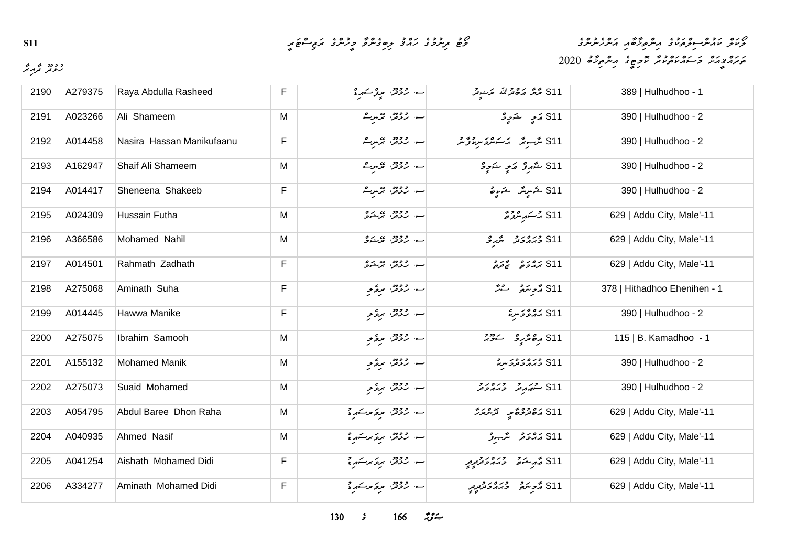*sCw7q7s5w7m< o<n9nOoAw7o< sCq;mAwBoEw7q<m; wBm;vB* م من المرة المرة المرة المرجع المرجع في المركبة 2020<br>مجم*د المريض المربوط المربع المرجع في المراجع المركبة* 

|  | $\begin{array}{ccccc} \circ & \circ & \circ & \circ \end{array}$ |
|--|------------------------------------------------------------------|
|  | نرعرفر اقرمرته                                                   |
|  |                                                                  |

| 2190 | A279375 | Raya Abdulla Rasheed      | $\mathsf F$  | ے رودہ پروے گ                        | S11 بَرْتَرَ بَرَصْعَرْاللّه بَرَسْوِمْر       | 389   Hulhudhoo - 1          |
|------|---------|---------------------------|--------------|--------------------------------------|------------------------------------------------|------------------------------|
| 2191 | A023266 | Ali Shameem               | M            | ے رودہ عرمرے                         | S11  رَمٍ _ شَرِوْ _                           | 390   Hulhudhoo - 2          |
| 2192 | A014458 | Nasira Hassan Manikufaanu | F            | ے۔ رودوں عرسرے                       | S11 مىسونى ئەسەمبىر <i>مۇنى</i> ر              | 390   Hulhudhoo - 2          |
| 2193 | A162947 | Shaif Ali Shameem         | M            | ے دورہ عربرے                         | S11 ڪُمبرو کي مشروبو                           | 390   Hulhudhoo - 2          |
| 2194 | A014417 | Sheneena Shakeeb          | $\mathsf{F}$ | ے۔ زروق عرس                          | S11 ڪسريئر ڪم <i>و</i> ٽھ                      | 390   Hulhudhoo - 2          |
| 2195 | A024309 | <b>Hussain Futha</b>      | M            | سە رودە ئەخەرە                       | S11 پر شمبر مثر پڑھ                            | 629   Addu City, Male'-11    |
| 2196 | A366586 | Mohamed Nahil             | M            | ر در دوده به دره<br>را در دور کرشوگر | S11 <i>5222 مگر ب</i>                          | 629   Addu City, Male'-11    |
| 2197 | A014501 | Rahmath Zadhath           | F            | سە، رودە، ئەخلەر                     | S11 بروژة گورو                                 | 629   Addu City, Male'-11    |
| 2198 | A275068 | Aminath Suha              | $\mathsf{F}$ | سه رحوفز، مرغ مو                     | S11 مُرْمِ سَمْرُ مِسْتَرَّ                    | 378   Hithadhoo Ehenihen - 1 |
| 2199 | A014445 | Hawwa Manike              | F            | سە رودود برەگو                       | S11 ئەرمۇ ئەس <sup>ب</sup> ۇ                   | 390   Hulhudhoo - 2          |
| 2200 | A275075 | Ibrahim Samooh            | M            | سە رودود برەتو                       | S11 مەھمەر يەھەر يەدە                          | 115   B. Kamadhoo - 1        |
| 2201 | A155132 | <b>Mohamed Manik</b>      | M            | سە رودۇر برەگو                       | S11 <i>دېم د وروسره</i>                        | 390   Hulhudhoo - 2          |
| 2202 | A275073 | Suaid Mohamed             | M            | ے رودو بروٹو                         | S11  التم <i>م أوراد و برود و د</i>            | 390   Hulhudhoo - 2          |
| 2203 | A054795 | Abdul Baree Dhon Raha     | M            | - رودو بروبرسها                      | S11 رَەدِوەَ بِهِ مَحْرَمَتَ مَ                | 629   Addu City, Male'-11    |
| 2204 | A040935 | Ahmed Nasif               | M            | سە رودو برەپرىشىر ؟                  | S11 كەش <sup>ى</sup> ر قىلى ئىسىرتى            | 629   Addu City, Male'-11    |
| 2205 | A041254 | Aishath Mohamed Didi      | $\mathsf F$  | ے رودہ بروکر تماری                   | S11 مَّ مِ شَمَّةٍ مِ مَرْ مِ مِ مِرْمِرِ مِرْ | 629   Addu City, Male'-11    |
| 2206 | A334277 | Aminath Mohamed Didi      | F            | سة الرادود المركز مرسكير في          | S11 تر <i>ويني وبرودو</i> يور                  | 629   Addu City, Male'-11    |

*130 s 166 <i>n*<sub>2</sub> *n*<sub>2</sub> *n*<sub>2</sub> *n*<sub>2</sub> *n*<sub>2</sub> *n*<sub>2</sub> *n*<sub>2</sub> *n*<sub>2</sub> *n*<sub>2</sub> *n*<sub>2</sub> *n*<sub>2</sub> *n*<sub>2</sub> *n*<sub>2</sub> *n*<sub>2</sub> *n*<sub>2</sub> *n*<sub>2</sub> *n*<sub>2</sub> *n*<sub>2</sub> *n*<sub>2</sub> *n*<sub>2</sub> *n*<sub>2</sub> *n*<sub>2</sub> *n*<sub>2</sub> *n*<sub>2</sub> *n*<sub>2</sub> *n*<sub>2</sub> *n*<sub>2</sub> *n*<sub>2</sub> *n*<sub>2</sub>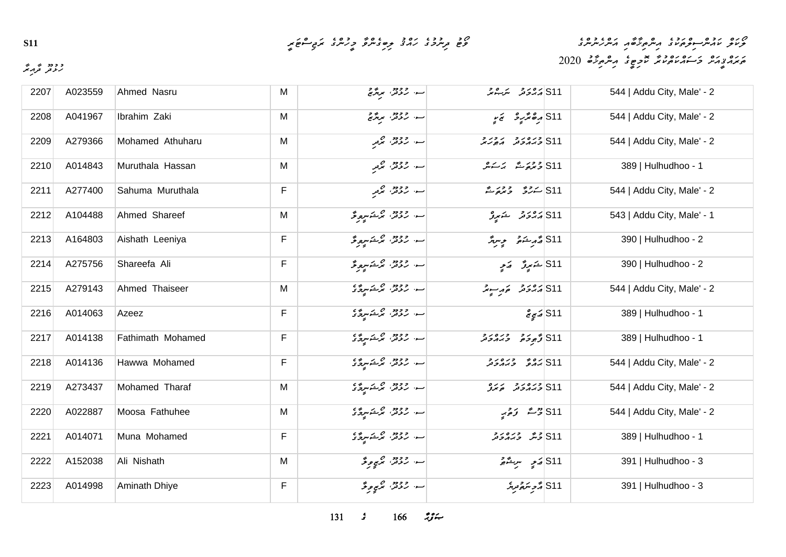*sCw7q7s5w7m< o<n9nOoAw7o< sCq;mAwBoEw7q<m; wBm;vB* م من المسجد المسجد المسجد المسجد المسجد العام 2020<br>مجم*د المسجد المسجد المستجد المسجد المسجد المسجد المسجد المسجد المسجد المسجد المسجد المسجد المسجد المسجد المسجد* 

| 2207 | A023559 | Ahmed Nasru       | M | ے رکوش مرمزیم           | S11 كەبرى بىر ئىر ئىبرىتىلىر               | 544   Addu City, Male' - 2 |
|------|---------|-------------------|---|-------------------------|--------------------------------------------|----------------------------|
| 2208 | A041967 | Ibrahim Zaki      | M | ے روود بروی             | S11 مەھمىر ئىسىمىسى بىر                    | 544   Addu City, Male' - 2 |
| 2209 | A279366 | Mohamed Athuharu  | M | سەر 232°، ئىزىر         | S11 دبره بر بر دبر د                       | 544   Addu City, Male' - 2 |
| 2210 | A014843 | Muruthala Hassan  | M | ے۔ رودوں مرید           | S11 ۇيۇمۇش ئەس <i>تى</i> ر                 | 389   Hulhudhoo - 1        |
| 2211 | A277400 | Sahuma Muruthala  | F | ے۔ رودوں مرمد           | S11 كەنزى ئەتمەمۇشە                        | 544   Addu City, Male' - 2 |
| 2212 | A104488 | Ahmed Shareef     | M | ب روده چرخه بروگر       | S11 كەش <sup>ى</sup> رىق سىتىمب <i>و</i> گ | 543   Addu City, Male' - 1 |
| 2213 | A164803 | Aishath Leeniya   | F | سەر روزەر كەشكە سىرە ئى | S11 مَدْمِسْنَة مِ مِسِدَّ                 | 390   Hulhudhoo - 2        |
| 2214 | A275756 | Shareefa Ali      | F | - رودو چرخورپوځ         | S11 ڪ <sub>يو</sub> ڙ <sub>صَ</sub> رِ     | 390   Hulhudhoo - 2        |
| 2215 | A279143 | Ahmed Thaiseer    | M | سه رودو چیک ده          | S11 كەبرى قىر سوپر                         | 544   Addu City, Male' - 2 |
| 2216 | A014063 | Azeez             | F | ے۔ روود مرکب اور        | S11 ڪي مح                                  | 389   Hulhudhoo - 1        |
| 2217 | A014138 | Fathimath Mohamed | F | ے۔ روود مرکب اور        | S11 تُرجوحه ويه دور و                      | 389   Hulhudhoo - 1        |
| 2218 | A014136 | Hawwa Mohamed     | F | ے۔ دورہ محمد میں دی     | S11 <i>بزوی ویرون</i> و                    | 544   Addu City, Male' - 2 |
| 2219 | A273437 | Mohamed Tharaf    | M | ے۔ روود الگریشوں        | S11 تربر 25 تربره<br>S11 تربر 15 تربر      | 544   Addu City, Male' - 2 |
| 2220 | A022887 | Moosa Fathuhee    | M | ب دوده چیکسروی          | S11 تۇشقە ئەتقەييە                         | 544   Addu City, Male' - 2 |
| 2221 | A014071 | Muna Mohamed      | F | ے۔ وودہ می شکس کا کا    | S11 دْيَرْ دْبَرْدْدْتْد                   | 389   Hulhudhoo - 1        |
| 2222 | A152038 | Ali Nishath       | M | سەر 332، ئۇي بوڭر       | S11 كەمچە سرىش <sup>ى</sup> مۇ             | 391   Hulhudhoo - 3        |
| 2223 | A014998 | Aminath Dhiye     | F | سە رودۇ، ئۇي ئۇ         | S11 أُمَّ حِ سَمَّة مِرْ مَر               | 391   Hulhudhoo - 3        |

*131 sC 166 nNw?mS*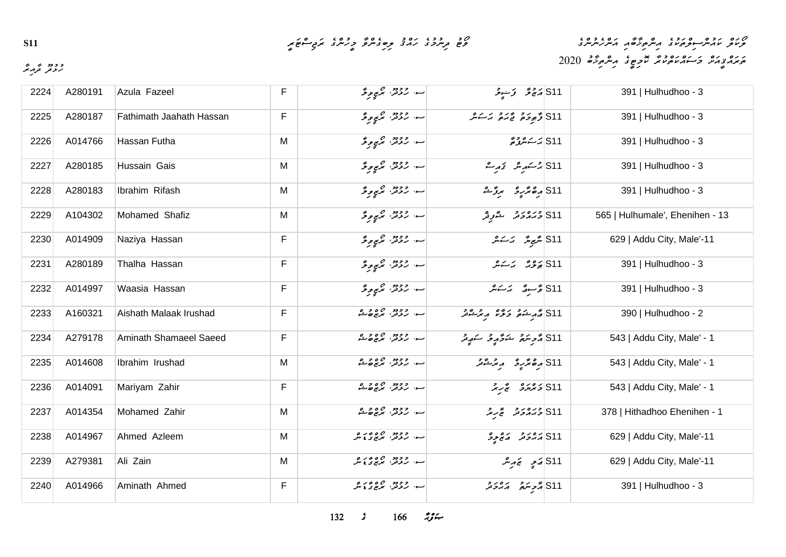*sCw7q7s5w7m< o<n9nOoAw7o< sCq;mAwBoEw7q<m; wBm;vB* م من المرة المرة المرة المرجع المرجع في المركبة 2020<br>مجم*د المريض المربوط المربع المرجع في المراجع المركبة* 

|  | د دود به پر<br>رنز تر ترمه تر |
|--|-------------------------------|
|  |                               |

| 2224 | A280191 | Azula Fazeel             | $\mathsf F$  | سەر 332°، ئۇي بورگە                                  | S11 كەنچ تى تۇخىي تى                                | 391   Hulhudhoo - 3             |
|------|---------|--------------------------|--------------|------------------------------------------------------|-----------------------------------------------------|---------------------------------|
| 2225 | A280187 | Fathimath Jaahath Hassan | $\mathsf{F}$ | سەر 332°، ئۇي بورگە                                  | S11 <i>ؤودة في بن</i> قر برسكس                      | 391   Hulhudhoo - 3             |
| 2226 | A014766 | Hassan Futha             | M            | ے رودوں مربوعہ گھ                                    | S11 ئەستەنلەتمۇ                                     | 391   Hulhudhoo - 3             |
| 2227 | A280185 | Hussain Gais             | M            | ب دودو مي دؤ                                         | S11 پرستمبر عمر محمد منظمر استقرابات<br>ا           | 391   Hulhudhoo - 3             |
| 2228 | A280183 | Ibrahim Rifash           | M            | ب دودو مي دؤ                                         | S11 م <i>ەھترى</i> رۇ بىر <i>ۇ</i> شە               | 391   Hulhudhoo - 3             |
| 2229 | A104302 | Mohamed Shafiz           | M            | ے رودو میں وگ                                        | S11  <i>وټرونوتر</i> څونو                           | 565   Hulhumale', Ehenihen - 13 |
| 2230 | A014909 | Naziya Hassan            | $\mathsf{F}$ | سە رودۇ، ئىي بوڭر                                    | S11 شمېر تر ټر شر                                   | 629   Addu City, Male'-11       |
| 2231 | A280189 | Thalha Hassan            | $\mathsf F$  | ے رودوں مربوعہ گھ                                    | S11 پَرُوَبُرَ بَرَسَہُں                            | 391   Hulhudhoo - 3             |
| 2232 | A014997 | Waasia Hassan            | $\mathsf{F}$ | ب دودو مي دؤ                                         | S11 مۇس <i>بۇ بەشك</i> ر                            | 391   Hulhudhoo - 3             |
| 2233 | A160321 | Aishath Malaak Irushad   | $\mathsf{F}$ | ر د دود 200 و ه<br>سه رودر، برج ه شو                 | S11 مۇرىشمۇ ق <i>ۇتا بېرىشى</i> ر                   | 390   Hulhudhoo - 2             |
| 2234 | A279178 | Aminath Shamaeel Saeed   | $\mathsf F$  | ب دودو 200 و                                         | S11 مٌرجرة حَوَيْرِ حَمَدٍ مِنْ اللهِ عَلَيْهِ مِنْ | 543   Addu City, Male' - 1      |
| 2235 | A014608 | Ibrahim Irushad          | M            | سه دوده می وجده                                      | S11 م <i>وڭ ئۇرۇ مېڭى</i> تىر                       | 543   Addu City, Male' - 1      |
| 2236 | A014091 | Mariyam Zahir            | F            | ر د د دود می و د ه<br>سو، روز، نمرین هشو             | S11 كەبىر بىر تەرىپى                                | 543   Addu City, Male' - 1      |
| 2237 | A014354 | Mohamed Zahir            | M            | ر دودو 200 می<br>سود بروتو، موج کاشو                 | S11 <i>وُبَرُوْدَوْ</i> گُرِيْرُ                    | 378   Hithadhoo Ehenihen - 1    |
| 2238 | A014967 | Ahmed Azleem             | M            | ر د و وود اړه وه د ر ه<br>سه اربولون امريع کاغ مکل   | S11 كەبرى قىر كەنتى بىر ئىل                         | 629   Addu City, Male'-11       |
| 2239 | A279381 | Ali Zain                 | M            | ر د و وود اړه وه د ر ه<br>سه ار لروندا امريع کالا کل | S11 <i>ھَ۔ يہ چَ</i> مِيٹر                          | 629   Addu City, Male'-11       |
| 2240 | A014966 | Aminath Ahmed            | F            | ر در دود ۱۵۵۵ ور ه<br>سه رنزتن نرج د ٤ ش             | S11 مُتَّحِسَّعَ مَهْدَمَّد                         | 391   Hulhudhoo - 3             |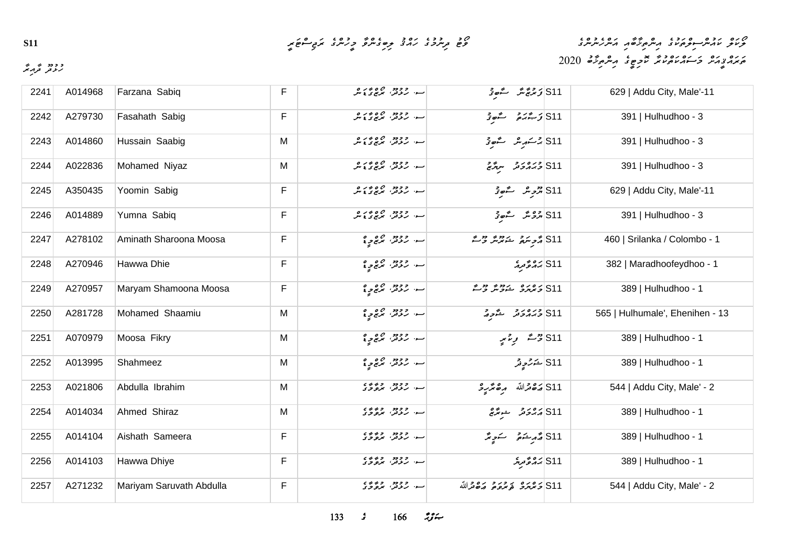*sCw7q7s5w7m< o<n9nOoAw7o< sCq;mAwBoEw7q<m; wBm;vB* م من المرة المرة المرة المرجع المرجع في المركبة 2020<br>مجم*د المريض المربوط المربع المرجع في المراجع المركبة* 

|  | د دود به پر<br>رنز تر ترمه تر |
|--|-------------------------------|
|  |                               |

| 2241 | A014968 | Farzana Sabiq            | F            | سه رودو ۵۵۵ ور                                       | S11 ئۈنىرىنى شەھەتى <sup>3</sup>        | 629   Addu City, Male'-11       |
|------|---------|--------------------------|--------------|------------------------------------------------------|-----------------------------------------|---------------------------------|
| 2242 | A279730 | Fasahath Sabig           | F            | ر د و وود اړه وه د ر ه<br>سه ار لروندا امريع کالا کل | S11 ئۈشەنىۋە شەھەتى                     | 391   Hulhudhoo - 3             |
| 2243 | A014860 | Hussain Saabig           | M            | ر د و دو می ده در ه<br>سه روتر، مرج د د ش            | S11 پرڪوپٽر گھوٽ <sub>و</sub>           | 391   Hulhudhoo - 3             |
| 2244 | A022836 | Mohamed Niyaz            | M            | ر د و وو د ۱۵۵۵ و.<br>سه رنزلز، مرج و ٤ مر           | S11 <i>2222 سرگر</i> ي                  | 391   Hulhudhoo - 3             |
| 2245 | A350435 | Yoomin Sabig             | $\mathsf{F}$ | ر د و دو می ده در ه<br>سه رومن مرد د نام             | S11 ټر <sub>م</sub> بر گ <sub>ھ</sub> ڙ | 629   Addu City, Male'-11       |
| 2246 | A014889 | Yumna Sabiq              | $\mathsf F$  | ر د و دو می ده در ه<br>سه روتر، مرج د د ش            | S11 مر <sub>م</sub> ر مگر گرم تج        | 391   Hulhudhoo - 3             |
| 2247 | A278102 | Aminath Sharoona Moosa   | F            | ے۔ رودو می و ہ                                       |                                         | 460   Srilanka / Colombo - 1    |
| 2248 | A270946 | Hawwa Dhie               | F            | ر د دود ۵۵ ه<br>ر رونو، نوم و ٤                      | S11 بَرْدْءٌ مِرْدً                     | 382   Maradhoofeydhoo - 1       |
| 2249 | A270957 | Maryam Shamoona Moosa    | $\mathsf F$  | سه رودو مرج و ه                                      | S11 كەنگەر ئەھەر ئەسىر ئەسىر            | 389   Hulhudhoo - 1             |
| 2250 | A281728 | Mohamed Shaamiu          | M            | ے۔ ووود صحیح وی                                      | S11 <i>ۋېزونى ئىگ</i> ور                | 565   Hulhumale', Ehenihen - 13 |
| 2251 | A070979 | Moosa Fikry              | M            | ر د دود ۵۵ ه<br>ر رونو، نوم و ٤                      | S11 رخشہ پر جمہر                        | 389   Hulhudhoo - 1             |
| 2252 | A013995 | Shahmeez                 | M            | ر د د دور مړي ه<br>سه رندن ترې                       | S11  ڪثر <i>و</i> فر                    | 389   Hulhudhoo - 1             |
| 2253 | A021806 | Abdulla Ibrahim          | M            | و و وو و و ده و د<br>سو، روتر، مروح ی                | S11 مَەھىراللە م <i>ەھترى</i> ۋ         | 544   Addu City, Male' - 2      |
| 2254 | A014034 | Ahmed Shiraz             | M            | د د دود د ده د د                                     | S11 <i>ډېر دو</i> شوم <i>ر</i> یځ       | 389   Hulhudhoo - 1             |
| 2255 | A014104 | Aishath Sameera          | F            | د د ده د ده د .<br>سه روتر، بروژ د                   | S11 ۾ پرڪنو سکوپٽر                      | 389   Hulhudhoo - 1             |
| 2256 | A014103 | Hawwa Dhiye              | $\mathsf F$  | د د دوه د د ده د<br>سه روتر، بروژی                   | S11 بَرْدُوَّمِرِيْرَ                   | 389   Hulhudhoo - 1             |
| 2257 | A271232 | Mariyam Saruvath Abdulla | F            | د د ده د ده د .<br>سه روتر، بروژ د                   | S11 كره بر و بر و بر ده مركزالله        | 544   Addu City, Male' - 2      |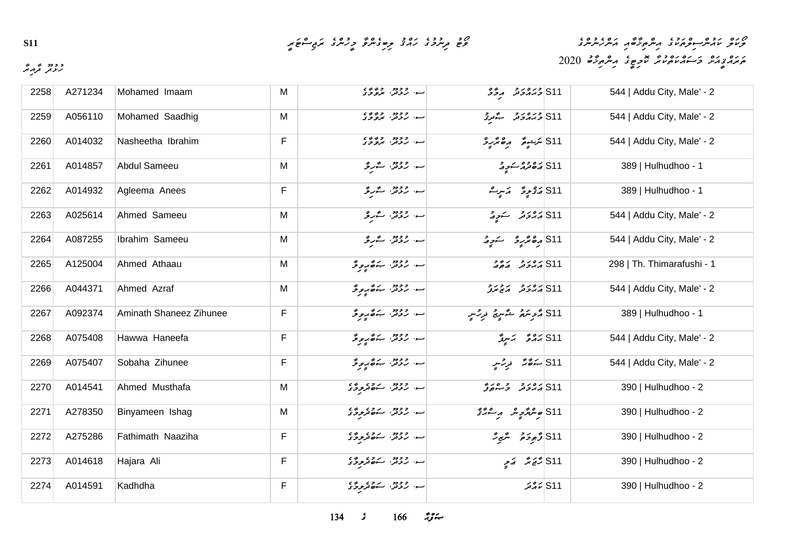*sCw7q7s5w7m< o<n9nOoAw7o< sCq;mAwBoEw7q<m; wBm;vB 2020<sup>, م</sup>وجدة المسجومة المسجومة المسجومة وسترموشة و2020* 

| 2258 | A271234 | Mohamed Imaam           | M | د د دوه د ده د .<br>سه رنونس مورو  | S11 <i>جَهُدُوَنْڊِ</i> م <i>ِ</i> وَّرْ        | 544   Addu City, Male' - 2 |
|------|---------|-------------------------|---|------------------------------------|-------------------------------------------------|----------------------------|
| 2259 | A056110 | Mohamed Saadhig         | M | د د ده د ده د .<br>سه روتر، بروژ د | S11 <i>ۋېرو دو</i> سگ <sup>ورت</sup> ى          | 544   Addu City, Male' - 2 |
| 2260 | A014032 | Nasheetha Ibrahim       | F | د ووود وه به د<br>سه رنونس مورود   | S11 سَرَسْ <sub>وِم</sub> َّة مِنْ مَحْرِبِيْتْ | 544   Addu City, Male' - 2 |
| 2261 | A014857 | Abdul Sameeu            | M | ے رودہ گے گھ                       | S11 كەھە <i>تەم شەمە</i> ر                      | 389   Hulhudhoo - 1        |
| 2262 | A014932 | Agleema Anees           | F | ے رودہ گرو                         | S11  كەبۋى <sub>چ</sub> ۇ كەبىرىشە              | 389   Hulhudhoo - 1        |
| 2263 | A025614 | Ahmed Sameeu            | M | سە رىزىش شەرى                      | S11 كەندى قىر سىمب <i>ور</i> گە                 | 544   Addu City, Male' - 2 |
| 2264 | A087255 | Ibrahim Sameeu          | M | ے رودہ گرو                         | S11 م <i>وڭ ئۇر</i> ۇ س <i>ەم</i> چە            | 544   Addu City, Male' - 2 |
| 2265 | A125004 | Ahmed Athaau            | M | سە رودە سەھەم ئە                   | S11 كەبرى قىرىم كەنبۇر                          | 298   Th. Thimarafushi - 1 |
| 2266 | A044371 | Ahmed Azraf             | M | سە رودو سەھەرە ئ                   | S11 كەبروتىر كەنج <i>بىرتى</i>                  | 544   Addu City, Male' - 2 |
| 2267 | A092374 | Aminath Shaneez Zihunee | F | ے رودہ ہے گھروٹ                    | S11  مَّرْسِعَةْ مُشَهِيعْ مْرِكْسٍ             | 389   Hulhudhoo - 1        |
| 2268 | A075408 | Hawwa Haneefa           | F | ے رودہ ہے تھروٹ                    | S11 ئەبۇبۇ ئەس <i>بۇ</i>                        | 544   Addu City, Male' - 2 |
| 2269 | A075407 | Sobaha Zihunee          | F | سە رودو سەھەرە ئ                   | S11 جَنَّةَ بَّہُ فَرِكْسِ                      | 544   Addu City, Male' - 2 |
| 2270 | A014541 | Ahmed Musthafa          | M |                                    | S11 ټرونو ويونونو                               | 390   Hulhudhoo - 2        |
| 2271 | A278350 | Binyameen Ishag         | M |                                    | S11 ج <i>ىشتۇچىنگە مەسىنىڭ</i>                  | 390   Hulhudhoo - 2        |
| 2272 | A275286 | Fathimath Naaziha       | F |                                    | S11 ۇ <sub>جو</sub> رۇ ئىمبى <sup>ر</sup>       | 390   Hulhudhoo - 2        |
| 2273 | A014618 | Hajara Ali              | F |                                    | S11 حُتى تھ تھ                                  | 390   Hulhudhoo - 2        |
| 2274 | A014591 | Kadhdha                 | F |                                    | S11 ئەچ تىر                                     | 390   Hulhudhoo - 2        |

**134** *s* **166** *n***<sub>s</sub>***n*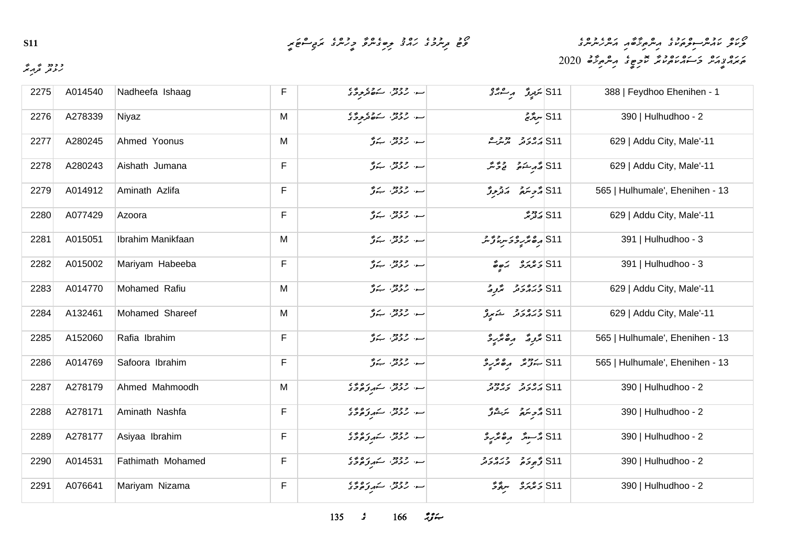*sCw7q7s5w7m< o<n9nOoAw7o< sCq;mAwBoEw7q<m; wBm;vB* م من المرة المرة المرة المرجع المرجع في المركبة 2020<br>مجم*د المريض المربوط المربع المرجع في المراجع المركبة* 

|  | $\rightarrow$ $\rightarrow$ 3777 |
|--|----------------------------------|
|  | زؤفر تورمر                       |
|  |                                  |

| 2275 | A014540 | Nadheefa Ishaag   | F           | ر د دوه د د د و د و.<br>پ روتر، سوه تروو د | S11 سَمِيرَ مِ مِسْرَةٌ وَ                          | 388   Feydhoo Ehenihen - 1      |
|------|---------|-------------------|-------------|--------------------------------------------|-----------------------------------------------------|---------------------------------|
| 2276 | A278339 | Niyaz             | M           | ر د دوه د د د د په<br>سه روتر، سوه ترم د د | S11 سرچم                                            | 390   Hulhudhoo - 2             |
| 2277 | A280245 | Ahmed Yoonus      | M           | ىب رودىق بىدۇ                              | S11 كەبروتىر بىر شەر                                | 629   Addu City, Male'-11       |
| 2278 | A280243 | Aishath Jumana    | F           | سار رحمن رستورٌ                            | S11 مَ <sub>م</sub> ِ شَمَر گ <sub>ے م</sub> ح مَّر | 629   Addu City, Male'-11       |
| 2279 | A014912 | Aminath Azlifa    | $\mathsf F$ | ىسە روۋىقى سۇئى                            | S11 مَّ مِسَمَّدٍ مَفْرَمِوَّ                       | 565   Hulhumale', Ehenihen - 13 |
| 2280 | A077429 | Azoora            | F           | سە روۋە سۇق                                | S11 پرټريمه                                         | 629   Addu City, Male'-11       |
| 2281 | A015051 | Ibrahim Manikfaan | M           | ىب رودى ب                                  | S11 مەھ ئۇر دى ئورىز ئۆتىر                          | 391   Hulhudhoo - 3             |
| 2282 | A015002 | Mariyam Habeeba   | F           | ىب رودە بىرۇ                               | $5.25$ $5.25$ $511$                                 | 391   Hulhudhoo - 3             |
| 2283 | A014770 | Mohamed Rafiu     | M           | سەر 232°، سۇقى                             | S11 <i>5222 مگوم</i> گ                              | 629   Addu City, Male'-11       |
| 2284 | A132461 | Mohamed Shareef   | M           | ىب رودۇر، بىرۇ                             | S11 <i>وَبَرُوْدَوْ</i> شَمِيْرٌ                    | 629   Addu City, Male'-11       |
| 2285 | A152060 | Rafia Ibrahim     | F           | ىب رودى ب                                  | S11 تَرْدِرَّ مِنْ مِرْدِدْ                         | 565   Hulhumale', Ehenihen - 13 |
| 2286 | A014769 | Safoora Ibrahim   | F           | ىسە، ئەنزىق، سۇق                           | S11 سۆزىتە مەھم <i>ت</i> رىۋ                        | 565   Hulhumale', Ehenihen - 13 |
| 2287 | A278179 | Ahmed Mahmoodh    | M           | ے رودو کے دورہ                             | S11 كەبرو كەردە د                                   | 390   Hulhudhoo - 2             |
| 2288 | A278171 | Aminath Nashfa    | F           | ب دود شهرتوره د                            | S11 <sub>م</sub> ُتَّحِر <i>سَمُ</i> سَرَشْرَتَرَ   | 390   Hulhudhoo - 2             |
| 2289 | A278177 | Asiyaa Ibrahim    | F           | ب دود شهرتوره د                            | S11 م <sup>م</sup> يبر مره مرّبه د                  | 390   Hulhudhoo - 2             |
| 2290 | A014531 | Fathimath Mohamed | F           | ب دود شهرتوره د                            | S11 تۇ <sub>ج</sub> وخۇ ئ <i>ىمگە</i> ئەر           | 390   Hulhudhoo - 2             |
| 2291 | A076641 | Mariyam Nizama    | F           | سه ودود سهرتونون                           | S11  <i>5\$يردۇ بېۋۇ</i>                            | 390   Hulhudhoo - 2             |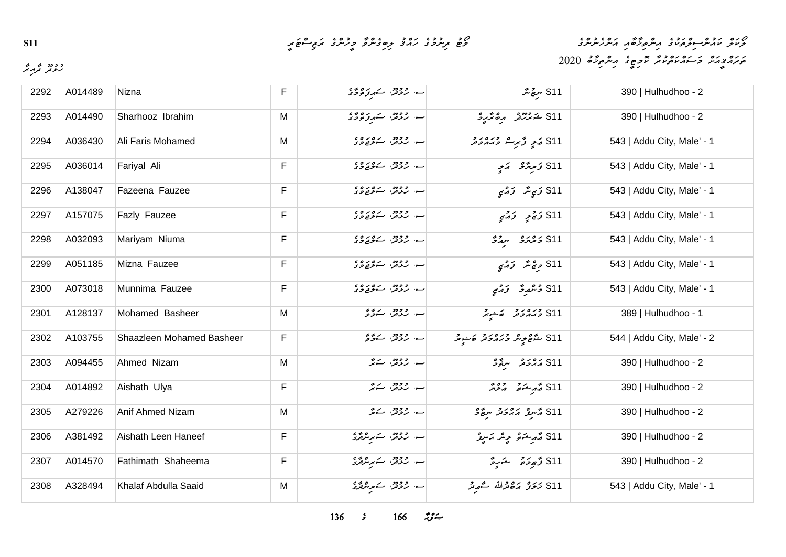*sCw7q7s5w7m< o<n9nOoAw7o< sCq;mAwBoEw7q<m; wBm;vB* م من المسجد المسجد المسجد المسجد المسجد العام 2020<br>مجم*د المسجد المسجد المستجد المسجد المسجد المسجد المسجد المسجد المسجد المسجد المسجد المسجد المسجد المسجد المسجد* 

| 2292 | A014489 | Nizna                     | F | ر د دود د کرده د د د                                   | S11 سرچ مٿر                                    | 390   Hulhudhoo - 2        |
|------|---------|---------------------------|---|--------------------------------------------------------|------------------------------------------------|----------------------------|
| 2293 | A014490 | Sharhooz Ibrahim          | M | ے رودو کے دورہ                                         | S11 شەمرىنر م <i>ەھگرى</i> ۋ                   | 390   Hulhudhoo - 2        |
| 2294 | A036430 | Ali Faris Mohamed         | M | ر د د دود د د د د د د د                                | S11 كەبو گەبرىش <i>3 دەرەت</i> ر               | 543   Addu City, Male' - 1 |
| 2295 | A036014 | Fariyal Ali               | F | ( د د دود . د د د د د د د<br>  سه روس استوقع و ی       | S11 ت <i>وپردگر م</i> کمی                      | 543   Addu City, Male' - 1 |
| 2296 | A138047 | Fazeena Fauzee            | F | ر دو دو ده ده ده ده ده بر<br>را در کرونس را مسکوهی و ی | S11 توپېتر   ترڅې                              | 543   Addu City, Male' - 1 |
| 2297 | A157075 | Fazly Fauzee              | F | ر دو دو ده ده ده ده ده بر<br>را در کرونس را مسکوهی و ی | S11 ک <sup>ر</sup> چ پ کرچ <sub>پ</sub>        | 543   Addu City, Male' - 1 |
| 2298 | A032093 | Mariyam Niuma             | F | ر د د دود د د ده د د د                                 | S11 كەبىر كىرى بىر ئىستىدىگە                   | 543   Addu City, Male' - 1 |
| 2299 | A051185 | Mizna Fauzee              | F | ر د ودو د روره د د د<br>سه روتر، ستوقع و د             | S11 <sub>حو</sub> چ مگر   تر <i>قرم</i> ي      | 543   Addu City, Male' - 1 |
| 2300 | A073018 | Munnima Fauzee            | F | ر د د دود د د د د د د د                                | S11 ۇشمەۇ <i>ۋەتى</i> م                        | 543   Addu City, Male' - 1 |
| 2301 | A128137 | Mohamed Basheer           | M | سە رودە سەۋە                                           | S11 <i>ڈیزوڈو کانٹی</i> ٹر                     | 389   Hulhudhoo - 1        |
| 2302 | A103755 | Shaazleen Mohamed Basheer | F | سه اروده کرده                                          | S11 ڪُنج <i>جِينگ وُبُرُو ڏُو هُ</i> جُبرُ     | 544   Addu City, Male' - 2 |
| 2303 | A094455 | Ahmed Nizam               | M | ىسە، رىرتى، سەئىر                                      | S11 كەنزى قىر سى <i>نگ</i> ۇ                   | 390   Hulhudhoo - 2        |
| 2304 | A014892 | Aishath Ulya              | F | سار ژوژه کنگ                                           | S11 مَگْرِسْتَمْ مِگْرَمَّرٌ                   | 390   Hulhudhoo - 2        |
| 2305 | A279226 | Anif Ahmed Nizam          | M | ىسە، رىرتى، سەئىر                                      | S11 مُسِدْ مَ <sup>رو</sup> دتر سِيَّ حُ       | 390   Hulhudhoo - 2        |
| 2306 | A381492 | Aishath Leen Haneef       | F | ے۔ روود کے مرموری                                      | S11 مُگرِيسَمَ مِيسْ بَسِيدٌ                   | 390   Hulhudhoo - 2        |
| 2307 | A014570 | Fathimath Shaheema        | F | ے۔ رودو کے مرکزی                                       | S11 <i>وَّج</i> وحَمَّ صَدَرِحَّ               | 390   Hulhudhoo - 2        |
| 2308 | A328494 | Khalaf Abdulla Saaid      | M | ے۔ روود کے مرموری                                      | S11 تَرَحَرُوْ صَرْحَةَ اللّهِ كَفَرَسَةَ مِنْ | 543   Addu City, Male' - 1 |

 $136$  *s*  $\frac{2}{3}$  **166** *n***<sub>3</sub>** *n*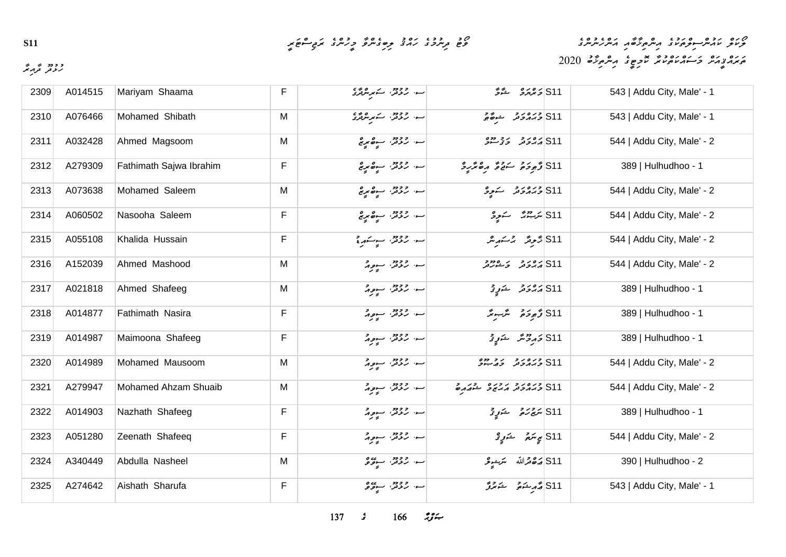*sCw7q7s5w7m< o<n9nOoAw7o< sCq;mAwBoEw7q<m; wBm;vB* م من المرة المرة المرة المرجع المرجع في المركبة 2020<br>مجم*د المريض المربوط المربع المرجع في المراجع المركبة* 

| 2309 | A014515 | Mariyam Shaama              | F           | ر د ود دره ده ود و<br>سه روتر، سکیرس | S11 كەمەر ئىسى ئىسى                              | 543   Addu City, Male' - 1 |
|------|---------|-----------------------------|-------------|--------------------------------------|--------------------------------------------------|----------------------------|
| 2310 | A076466 | Mohamed Shibath             | M           | ر د دود که ده ده د                   | S11 <i>وُبَرُودُو بِ جوھُو</i>                   | 543   Addu City, Male' - 1 |
| 2311 | A032428 | Ahmed Magsoom               | M           | سه رودو، سوه برج                     | S11 كەبروتىر كەبىي يوم                           | 544   Addu City, Male' - 2 |
| 2312 | A279309 | Fathimath Sajwa Ibrahim     | $\mathsf F$ | سه رودو، سوه بوج                     | S11 زُّەپرە ئەسقۇ مەھەر بۇ                       | 389   Hulhudhoo - 1        |
| 2313 | A073638 | Mohamed Saleem              | M           | سه دودو.<br>سه روتر، سوه برج         | S11 <i>دېزونتى ستو</i> د                         | 544   Addu City, Male' - 2 |
| 2314 | A060502 | Nasooha Saleem              | $\mathsf F$ | ے دودو، سوھ ہوچ                      | S11 مَرْيَتِيْرٌ مَعْرِوْ                        | 544   Addu City, Male' - 2 |
| 2315 | A055108 | Khalida Hussain             | F           | ب دوده سوسکه د                       | S11  رَّمِيمٌ مَ مُسَم <i>َّدٍ مَّرْ</i>         | 544   Addu City, Male' - 2 |
| 2316 | A152039 | Ahmed Mashood               | M           | سه رودو سوه م                        | S11 كەبرو كەش <i>ەدە</i>                         | 544   Addu City, Male' - 2 |
| 2317 | A021818 | Ahmed Shafeeg               | M           | سه رودو سوه د                        | S11 كەشكەقمە سى <i>كەنى</i> تۇ                   | 389   Hulhudhoo - 1        |
| 2318 | A014877 | Fathimath Nasira            | F           | سه دودو سوه د                        | S11  <i>وتجوحة متن</i> سو <i>مت</i>              | 389   Hulhudhoo - 1        |
| 2319 | A014987 | Maimoona Shafeeg            | F           | ے رودو سور                           | S11 ك <i>ۆم</i> ەتخىگر ش <i>كۇ</i> تۇ            | 389   Hulhudhoo - 1        |
| 2320 | A014989 | Mohamed Mausoom             | M           | سه رحوفه سوه د                       | S11 <i>בניסי</i> ד בה- <del>י</del> כ            | 544   Addu City, Male' - 2 |
| 2321 | A279947 | <b>Mohamed Ahzam Shuaib</b> | M           | ے رودو سور                           | S11 وبرورو بروره شهره                            | 544   Addu City, Male' - 2 |
| 2322 | A014903 | Nazhath Shafeeg             | F           | سه رودود سوه د<br>  سه رودن سوه د    | S11 سَرَيْحَرَمْ شَمَوِيْرَ                      | 389   Hulhudhoo - 1        |
| 2323 | A051280 | Zeenath Shafeeq             | F           | سه رودو سوړ                          | S11 <sub>م</sub> ېرى <i>ڭى شۆپى<sup>تى</sup></i> | 544   Addu City, Male' - 2 |
| 2324 | A340449 | Abdulla Nasheel             | M           | سه رودو در ۲۵۵                       | S11 كەھەراللە   سرىنىوقر                         | 390   Hulhudhoo - 2        |
| 2325 | A274642 | Aishath Sharufa             | F           | سه دود.<br>سه روتر، سود و            | S11 مەم شىم ئىستىمىز                             | 543   Addu City, Male' - 1 |

 $137$  **s**  $166$  *n***<sub>y</sub>** $\leq$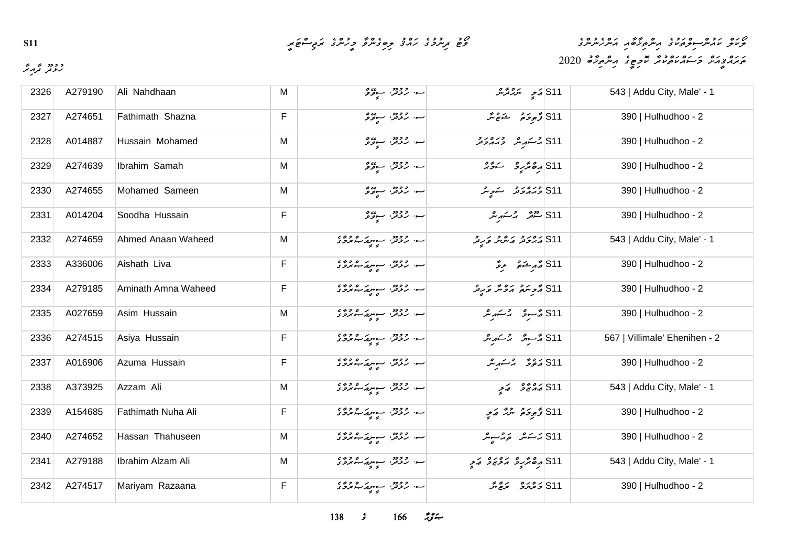*sCw7q7s5w7m< o<n9nOoAw7o< sCq;mAwBoEw7q<m; wBm;vB* م من المرة المرة المرة المرجع المرجع في المركبة 2020<br>مجم*د المريض المربوط المربع المرجع في المراجع المركبة* 

|  | シージ つうつ     |  |
|--|-------------|--|
|  | زغنمر ترومه |  |

| 2326 | A279190 | Ali Nahdhaan        | M            | ے رودہ ہے و                         | S11 <i>ړَ په سَرُن</i> گرنگر                                 | 543   Addu City, Male' - 1    |
|------|---------|---------------------|--------------|-------------------------------------|--------------------------------------------------------------|-------------------------------|
| 2327 | A274651 | Fathimath Shazna    | $\mathsf{F}$ | سه دودو ده و                        | S11 تَ <i>وْجِرْحَمْ</i> شَوَيْرَ مَّرْ                      | 390   Hulhudhoo - 2           |
| 2328 | A014887 | Hussain Mohamed     | M            | سه دودو.<br>سه روتو، سود و          | S11 يُرْسَمَ مِنْ وَبَرْدُوتَر                               | 390   Hulhudhoo - 2           |
| 2329 | A274639 | Ibrahim Samah       | M            | سه دودو ده و                        | S11 <sub>مو</sub> ھ <i>مگرد</i> و سکو <i>ن</i> ڈ             | 390   Hulhudhoo - 2           |
| 2330 | A274655 | Mohamed Sameen      | M            | ے۔ ووود ے ہ                         | S11  <i>ڈیزہ بحقہ</i> س <i>ے <sub>ت</sub>و</i> یٹر           | 390   Hulhudhoo - 2           |
| 2331 | A014204 | Soodha Hussain      | F            | سه دودو.<br>سه روتو، سود و          | S11 كے تھ پر شەرىئىل                                         | 390   Hulhudhoo - 2           |
| 2332 | A274659 | Ahmed Anaan Waheed  | M            | ے دوود سیسر کے دور                  | S11 كەبروتر كەنترىتر <i>كەب</i> ەتر                          | 543   Addu City, Male' - 1    |
| 2333 | A336006 | Aishath Liva        | F            | ر د د دود.<br>سه رنوش سه سر سه بروی | S11 مَگْرِسْتَمْ مِرَّ                                       | 390   Hulhudhoo - 2           |
| 2334 | A279185 | Aminath Amna Waheed | F            | سه دودو.<br>سه روود سپسه سومروی     | S11 مُ <i>جِسَعْہ</i> مَ <sup>و</sup> سُّر مَ <i>بِي</i> تْر | 390   Hulhudhoo - 2           |
| 2335 | A027659 | Asim Hussain        | M            | سه رودو سوسره سومروی                | S11 \$سوى - يركنهرينز                                        | 390   Hulhudhoo - 2           |
| 2336 | A274515 | Asiya Hussain       | F            | ے دودہ سیسر مشتروی                  | S11 ۾ سبھ برڪ <i>م</i> بھ                                    | 567   Villimale' Ehenihen - 2 |
| 2337 | A016906 | Azuma Hussain       | F            | ے دودہ سیسر کے دور                  | S11 كەنب <i>وڭ بى</i> شەھر                                   | 390   Hulhudhoo - 2           |
| 2338 | A373925 | Azzam Ali           | M            | ر د د دود.<br>سه رنوش سه سر سه بروی | S11 <i>مَ، مُنَّوَّة مَ</i> حِ                               | 543   Addu City, Male' - 1    |
| 2339 | A154685 | Fathimath Nuha Ali  | F            | سه دودو.<br>سه روود سپسه سومروی     | S11 <i>وُّجِ دَمَّةَ</i> مَرَّبَّہُ مَرَ مِ                  | 390   Hulhudhoo - 2           |
| 2340 | A274652 | Hassan Thahuseen    | M            | ے دورہ سیسر کے دور                  | S11 ئەسەنلەر ب <sub>ە</sub> يزىس <sub>و</sub> شر             | 390   Hulhudhoo - 2           |
| 2341 | A279188 | Ibrahim Alzam Ali   | M            | ر د دود.<br>د روند، سوسه سومروی     | S11 <sub>م</sub> ەنگرىزى مەدىنى كەير                         | 543   Addu City, Male' - 1    |
| 2342 | A274517 | Mariyam Razaana     | F            | ے دودہ سیسر کے دور                  | S11 كەندىرى ئەيجەنگە                                         | 390   Hulhudhoo - 2           |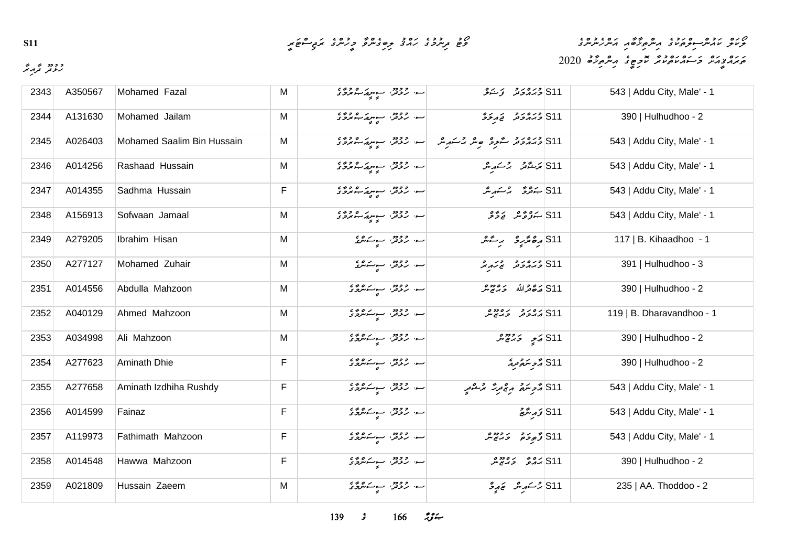*sCw7q7s5w7m< o<n9nOoAw7o< sCq;mAwBoEw7q<m; wBm;vB* م من المرة المرة المرة المرجع المرجع في المركبة 2020<br>مجم*د المريض المربوط المربع المرجع في المراجع المركبة* 

| 2343 | A350567 | Mohamed Fazal              | M | ے رودہ سیریر سوری  | S11  <i>وُبَہُ دُوَمَہ وَسَوْ</i>                      | 543   Addu City, Male' - 1 |
|------|---------|----------------------------|---|--------------------|--------------------------------------------------------|----------------------------|
| 2344 | A131630 | Mohamed Jailam             | M | سه دوده سوسه شوروی | S11 <i>وُبَرُوْدَوْ</i> يَ <i>مِرْدَوْ</i>             | 390   Hulhudhoo - 2        |
| 2345 | A026403 | Mohamed Saalim Bin Hussain | M |                    | S11 در دور گروه حاش بر کرد شهر است مردن سایپر کرده د   | 543   Addu City, Male' - 1 |
| 2346 | A014256 | Rashaad Hussain            | M | ے رودو سوسر کر دور | S11 ىزىشقى - يرىسىرى <i>ش</i>                          | 543   Addu City, Male' - 1 |
| 2347 | A014355 | Sadhma Hussain             | F | ے دودہ سیسر کے دور | S11 جۇنۇ ئەسىرى <i>گە</i>                              | 543   Addu City, Male' - 1 |
| 2348 | A156913 | Sofwaan Jamaal             | M | ے دودہ سیسر کے دور | S11 بىز <i>ۇش يۇۋ</i>                                  | 543   Addu City, Male' - 1 |
| 2349 | A279205 | Ibrahim Hisan              | M | ے دورہ سوسری       | S11 مەھ <i>ئۇرۇ بە</i> شكە                             | 117   B. Kihaadhoo - 1     |
| 2350 | A277127 | Mohamed Zuhair             | M | ے۔ رودو سوسکسی     | S11 <i>جەممى تەرەپى</i> ج                              | 391   Hulhudhoo - 3        |
| 2351 | A014556 | Abdulla Mahzoon            | M | ے رودو کے مورود    | S11 كەھەتراللە <i>خەن قەرە</i>                         | 390   Hulhudhoo - 2        |
| 2352 | A040129 | Ahmed Mahzoon              | M | ے وقع سوسکسی دی    | S11 كەبرو كەبدە ھە                                     | 119   B. Dharavandhoo - 1  |
| 2353 | A034998 | Ali Mahzoon                | M | ے وقوم سوسکھوی     | S11   كەبىي كەيمىيىتىلىك                               | 390   Hulhudhoo - 2        |
| 2354 | A277623 | Aminath Dhie               | F | ے رودہ کے مورد     | S11 مَّ <sub>ح</sub> ِ سَمَّ مِرْمَّ                   | 390   Hulhudhoo - 2        |
| 2355 | A277658 | Aminath Izdhiha Rushdy     | F | ب دودو سوت ده ده   | S11 مَرْحِ سَرَةَ مِنْ جَمَعِيرَ مَرْتَ مِنْ مِنْ مِنْ | 543   Addu City, Male' - 1 |
| 2356 | A014599 | Fainaz                     | F | ے رودو کے مورود    | S11 ئوم مىتى چ                                         | 543   Addu City, Male' - 1 |
| 2357 | A119973 | Fathimath Mahzoon          | F | ے رودو کے موس      | S11 ز <sub>ن</sub> وژم دروه م                          | 543   Addu City, Male' - 1 |
| 2358 | A014548 | Hawwa Mahzoon              | F | ے رودو کے مورود    | S11 بروژ <sub>خ</sub> روده                             | 390   Hulhudhoo - 2        |
| 2359 | A021809 | Hussain Zaeem              | M | ے رودو کے مورود    | S11 بڑے پر بھ پھر تھ                                   | 235   AA. Thoddoo - 2      |

*139 sC 166 nNw?mS*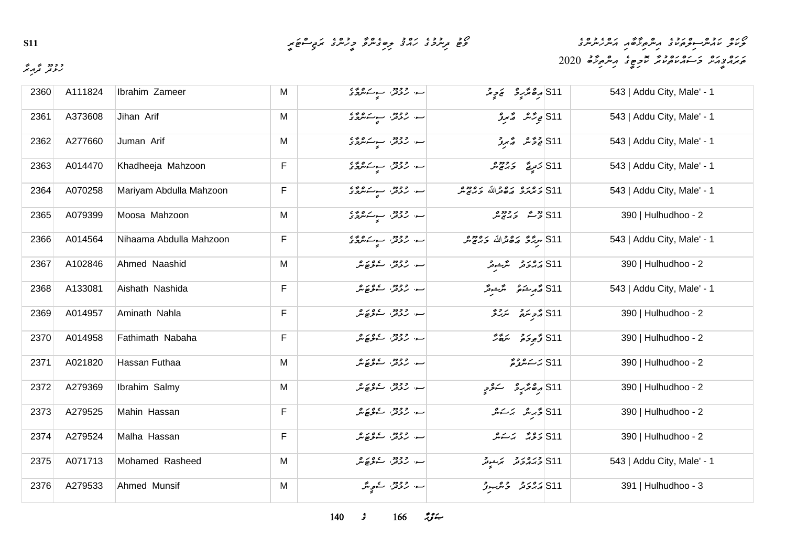*sCw7q7s5w7m< o<n9nOoAw7o< sCq;mAwBoEw7q<m; wBm;vB* م من المسجد المسجد المسجد المسجد المسجد العام 2020<br>مجم*د المسجد المسجد المستجد المسجد المسجد المسجد المسجد المسجد المسجد المسجد المسجد المسجد المسجد المسجد المسجد* 

| 2360 | A111824 | Ibrahim Zameer          | M           | ے رود سوے دی                                               | S11 م <i>وڭ ئۇچ ئىچى</i> تى                         | 543   Addu City, Male' - 1 |
|------|---------|-------------------------|-------------|------------------------------------------------------------|-----------------------------------------------------|----------------------------|
| 2361 | A373608 | Jihan Arif              | M           | ے رودو کے مورد                                             | S11 م <sub>ح</sub> رثر گ <sub>ە م</sub> ور          | 543   Addu City, Male' - 1 |
| 2362 | A277660 | Juman Arif              | M           | ے رودہ سوسکیوی                                             | S11 ئ <sub>ے ت</sub> ح شر محمد تر                   | 543   Addu City, Male' - 1 |
| 2363 | A014470 | Khadheeja Mahzoon       | F           | ے رودو کے مورود                                            | S11 كَرْمَرِيعٌ - كَرْكَبِيْ شَ                     | 543   Addu City, Male' - 1 |
| 2364 | A070258 | Mariyam Abdulla Mahzoon | F           | سه رودو سوسکسروی                                           | S11 ئەمرە مەھىراللە ئەم مەھ                         | 543   Addu City, Male' - 1 |
| 2365 | A079399 | Moosa Mahzoon           | M           | ے رود بے شرور                                              | S11 تۇشقە ئەترىپىتىر                                | 390   Hulhudhoo - 2        |
| 2366 | A014564 | Nihaama Abdulla Mahzoon | F           | سه روده سوسکیږی                                            | S11 سر <i>برڈڈ م</i> ہ مراللہ ت <i>ی م</i> وج م     | 543   Addu City, Male' - 1 |
| 2367 | A102846 | Ahmed Naashid           | M           | ب رودو عوده علم                                            | S11   <i>دَرْدُوَ</i> تْرِ - سَّرْسُوتْر            | 390   Hulhudhoo - 2        |
| 2368 | A133081 | Aishath Nashida         | F           | ے۔ روود ے ور و<br>ے۔ رونر، سوگھ س                          | S11 <i>مَدَّم</i> رِ مَدَمَّة مَّرْسُومَّ <i>رٌ</i> | 543   Addu City, Male' - 1 |
| 2369 | A014957 | Aminath Nahla           | $\mathsf F$ | سە رودە سەھ ھەر                                            | S11 أُمُّ مِ سَمَّةً مَسَرَّحُ                      | 390   Hulhudhoo - 2        |
| 2370 | A014958 | Fathimath Nabaha        | F           | ے دورہ ےورو                                                | S11 زُّەب <i>ەد ئەستەڭ</i>                          | 390   Hulhudhoo - 2        |
| 2371 | A021820 | Hassan Futhaa           | M           |                                                            | S11 ئەستەتلەتمۇ                                     | 390   Hulhudhoo - 2        |
| 2372 | A279369 | Ibrahim Salmy           | M           | ے رودوں کے وار م                                           | S11 پ <i>رڇپڙي سکو<sub>جي</sub></i>                 | 390   Hulhudhoo - 2        |
| 2373 | A279525 | Mahin Hassan            | F           | ے۔ روود ےور و<br>ے۔ رونز، سوگھ س                           | S11 محمر میر بر بر میر<br>پ                         | 390   Hulhudhoo - 2        |
| 2374 | A279524 | Malha Hassan            | F           | ر دو دور ده ده در محمد برای است.<br>سوء الریزی در سکوه کار | S11 كەنى ئەسىر بىر                                  | 390   Hulhudhoo - 2        |
| 2375 | A071713 | Mohamed Rasheed         | M           | ے۔ روود ےوے م                                              | S11 <i>وُبَرُوْدَوْ پَرَجِ</i> يْرَ                 | 543   Addu City, Male' - 1 |
| 2376 | A279533 | Ahmed Munsif            | M           | ے۔ زنویق کے پگر                                            | S11 كەردى ئەشبەتى                                   | 391   Hulhudhoo - 3        |

*140 s 166 <i>n*<sub>2</sub> *n*<sub>2</sub> *n*<sub>2</sub> *n*<sub>2</sub> *n*<sub>2</sub> *n*<sub>2</sub> *n*<sub>2</sub> *n*<sub>2</sub> *n*<sub>2</sub> *n*<sub>2</sub> *n*<sub>2</sub> *n*<sub>2</sub> *n*<sub>2</sub> *n*<sub>2</sub> *n*<sub>2</sub> *n*<sub>2</sub> *n*<sub>2</sub> *n*<sub>2</sub> *n*<sub>2</sub> *n*<sub>2</sub> *n*<sub>2</sub> *n*<sub>2</sub> *n*<sub>2</sub> *n*<sub>2</sub> *n*<sub>2</sub> *n*<sub>2</sub> *n*<sub>2</sub> *n*<sub>2</sub> *n*<sub>2</sub>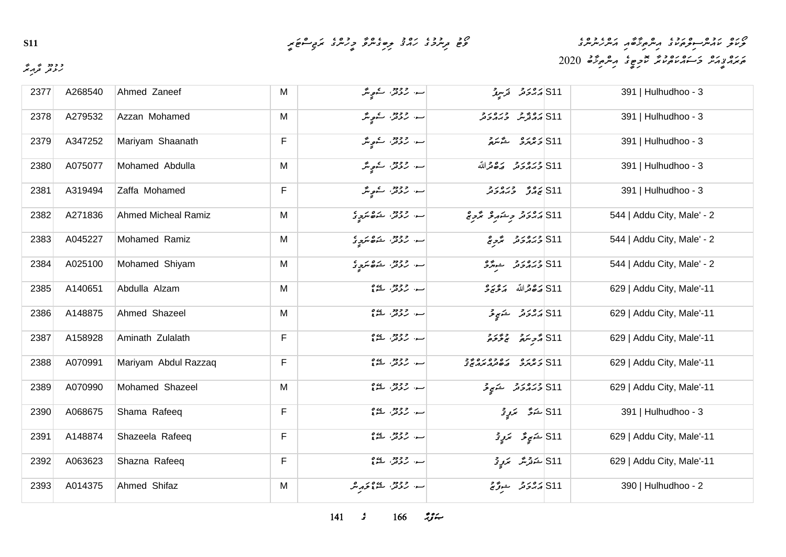*sCw7q7s5w7m< o<n9nOoAw7o< sCq;mAwBoEw7q<m; wBm;vB* م من المسجد المسجد المسجد المسجد المسجد العام 2020<br>مجم*د المسجد المسجد المستجد المسجد المسجد المسجد المسجد المسجد المسجد المسجد المسجد المسجد المسجد المسجد المسجد* 

| 2377 | A268540 | Ahmed Zaneef               | M           | ے زرقرمی کے پر مگر               | S11  رَرْدَدَتْرَ    نَرَسِيزٌ        | 391   Hulhudhoo - 3        |
|------|---------|----------------------------|-------------|----------------------------------|---------------------------------------|----------------------------|
| 2378 | A279532 | Azzan Mohamed              | M           | ے۔ رووژ، ڪوپٽر                   | S11 كەنگەش <i>دىمەدى</i> ر            | 391   Hulhudhoo - 3        |
| 2379 | A347252 | Mariyam Shaanath           | F           | ے دووو عوش                       | S11 كەنگەر ئەھمىتى ئىشكە              | 391   Hulhudhoo - 3        |
| 2380 | A075077 | Mohamed Abdulla            | M           | ے دودہ عویڈ                      | S11 تر بروبر بره ترالله               | 391   Hulhudhoo - 3        |
| 2381 | A319494 | Zaffa Mohamed              | F           | ___ رودون سکوپسگر                | S11 ىن قىر ئەر ئەر ئە                 | 391   Hulhudhoo - 3        |
| 2382 | A271836 | <b>Ahmed Micheal Ramiz</b> | M           | ے۔ روود شکھ سکرتری               | S11 كەندى تەرىپ گەرىج                 | 544   Addu City, Male' - 2 |
| 2383 | A045227 | Mohamed Ramiz              | M           | سه رودو دره مرد و                | S11  <i>وبروونز بڑ<sub>ج</sub></i> یج | 544   Addu City, Male' - 2 |
| 2384 | A025100 | Mohamed Shiyam             | M           | سه رودو دره در د                 | S11 <i>دېزونو خوڅ</i> و               | 544   Addu City, Male' - 2 |
| 2385 | A140651 | Abdulla Alzam              | M           | سه وودد شده                      | S11 مَەھْتَراللە مَ <i>مْوَىنى</i>    | 629   Addu City, Male'-11  |
| 2386 | A148875 | Ahmed Shazeel              | M           | ر د دود د ده و د م               | S11 كەندى قىرىمى ئىستىر ئى            | 629   Addu City, Male'-11  |
| 2387 | A158928 | Aminath Zulalath           | $\mathsf F$ | ے۔ خروج کے م                     | S11 مَّ مِسَمَّى مِحْمَوْمَ           | 629   Addu City, Male'-11  |
| 2388 | A070991 | Mariyam Abdul Razzaq       | $\mathsf F$ | سه وود چه په                     | S11 ره ره ده به ده ده و د             | 629   Addu City, Male'-11  |
| 2389 | A070990 | Mohamed Shazeel            | M           | سە رودە شەھ                      | S11 <i>ۇنزۇدۇ شىي ۋ</i>               | 629   Addu City, Male'-11  |
| 2390 | A068675 | Shama Rafeeq               | F           | سه ووده شوه                      | S11 شىرى تر <i>وپى</i>                | 391   Hulhudhoo - 3        |
| 2391 | A148874 | Shazeela Rafeeq            | $\mathsf F$ | ر د دود د ده و د م               | S11 شوپۇ تر <i>وپ</i> ۇ               | 629   Addu City, Male'-11  |
| 2392 | A063623 | Shazna Rafeeq              | F           | ر د دود د ۹۵۹<br>ر د روتور، مشوع | S11 ڪنرگر <i>مروِ</i> تر              | 629   Addu City, Male'-11  |
| 2393 | A014375 | Ahmed Shifaz               | M           | سە رودو پەەر ھ                   | S11 كەش <b>كەتى</b> ھور <i>گى</i> ئى  | 390   Hulhudhoo - 2        |

*141 sC 166 nNw?mS*

و و *ه به بر*<br>رنو تر <sub>م</sub>ر بر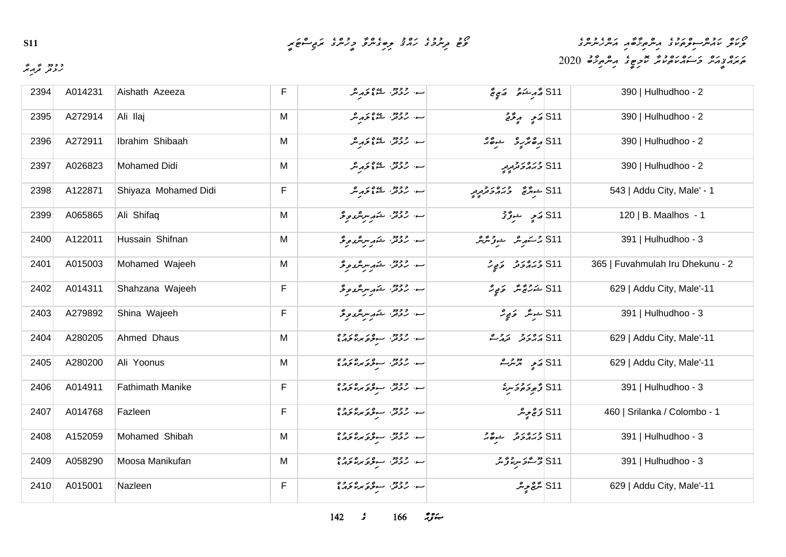*sCw7q7s5w7m< o<n9nOoAw7o< sCq;mAwBoEw7q<m; wBm;vB* م من المرة المرة المرة المرجع المراجع المراجع المراجع المراجع المراجع المراجع المراجع المراجع المراجع المراجع<br>مرين المراجع المراجع المرجع المراجع المراجع المراجع المراجع المراجع المراجع المراجع المراجع المراجع المراجع ال

|  | $\rightarrow$ $\rightarrow$ $\rightarrow$ $\rightarrow$ $\rightarrow$ |
|--|-----------------------------------------------------------------------|
|  | ر د در مرد بر                                                         |
|  |                                                                       |

| 2394 | A014231 | Aishath Azeeza          | $\mathsf F$  | ے رودو سے وکرمیں                                  | S11 مۇم شىم قىم ئەتقى                       | 390   Hulhudhoo - 2              |
|------|---------|-------------------------|--------------|---------------------------------------------------|---------------------------------------------|----------------------------------|
| 2395 | A272914 | Ali Ilaj                | M            | سە رودو سەھ ئەربىر                                | S11 كەمچە   م <sub>ۇ</sub> تۇق <sub>ە</sub> | 390   Hulhudhoo - 2              |
| 2396 | A272911 | Ibrahim Shibaah         | M            | ب دود په وړ په کر                                 | S11 مەھم <i>گىر ئىشىھى</i> گە               | 390   Hulhudhoo - 2              |
| 2397 | A026823 | Mohamed Didi            | M            | سار رودو سکاه کار میگر                            | S11 <i>ڈ ترو تر</i> ور پر                   | 390   Hulhudhoo - 2              |
| 2398 | A122871 | Shiyaza Mohamed Didi    | $\mathsf{F}$ | ے رودہ گے وکہ مگر                                 | S11 خىنزىتى <i>مەندە ترىپرى</i> ر           | 543   Addu City, Male' - 1       |
| 2399 | A065865 | Ali Shifaq              | M            | سە رودە خەرسەرى بەگ                               | S11  رَمِ حرَّرٌ وَ                         | 120   B. Maalhos - 1             |
| 2400 | A122011 | Hussain Shifnan         | M            | ے رودوں خور سر شروع گ                             | S11 پرستمبر شور شرید                        | 391   Hulhudhoo - 3              |
| 2401 | A015003 | Mohamed Wajeeh          | M            | سەر رودۇ، ھەم سرىكرى بوڭر                         | S11 <i>5222 وَيَرَ وَيَ</i>                 | 365   Fuvahmulah Iru Dhekunu - 2 |
| 2402 | A014311 | Shahzana Wajeeh         | $\mathsf{F}$ | ب رودو شهر سر شده و گ                             | S11 خەرجى ئىگە ئىم تەرەپ 2                  | 629   Addu City, Male'-11        |
| 2403 | A279892 | Shina Wajeeh            | F            | ب رودود خور سرس و گر                              | S11  حومدٌ      وَمٍوِرْ                    | 391   Hulhudhoo - 3              |
| 2404 | A280205 | Ahmed Dhaus             | M            | ر د دود. روز ده ده ده<br>روز سونونو بر دور د      | S11 كەبۇبۇقە ئ <i>وڭرىش</i>                 | 629   Addu City, Male'-11        |
| 2405 | A280200 | Ali Yoonus              | M            | ر دودو در ۲۵ دره ۱۶<br>رسه رونل سولوکولایون       | S11   كەبىي قريمى <sup>مى</sup> د           | 629   Addu City, Male'-11        |
| 2406 | A014911 | <b>Fathimath Manike</b> | $\mathsf{F}$ | ر د برود.<br>ر بروتو، سو <i>نوی پر با و ۹</i> ۶   | S11 ۇ <sub>جو</sub> ئەمۇئەبىرىئە            | 391   Hulhudhoo - 3              |
| 2407 | A014768 | Fazleen                 | F            | ر د درود د ده د ۲۵ وروه<br>را درون سونوه برا وروه | S11 توچ م <sub>ح</sub> یثر                  | 460   Srilanka / Colombo - 1     |
| 2408 | A152059 | Mohamed Shibah          | M            | ب رودو. سوء بره ده                                | $2222$ $5222$ $511$                         | 391   Hulhudhoo - 3              |
| 2409 | A058290 | Moosa Manikufan         | M            | ب رودو. بالوگر ۱۶۷۵                               | S11 تۈشكە <i>تەبەتل</i> ەر                  | 391   Hulhudhoo - 3              |
| 2410 | A015001 | Nazleen                 | F            | ر د د د د د د د ده.<br>پ. روس سونوه برد د د د     | S11 ترچم پیر<br>پ                           | 629   Addu City, Male'-11        |

*n*<sup>2</sup> *f s 166 <i><i>n*<sub>3</sub> *i*<sub>s</sub>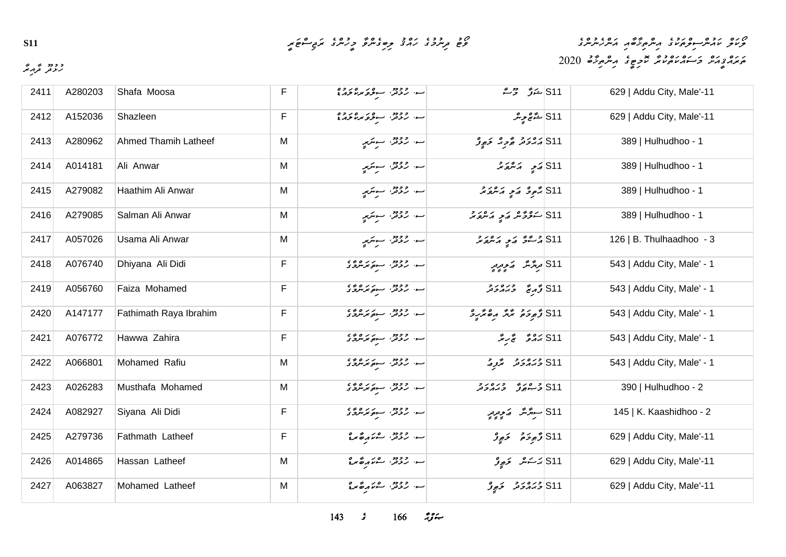*sCw7q7s5w7m< o<n9nOoAw7o< sCq;mAwBoEw7q<m; wBm;vB* م من المرة المرة المرة المرجع المراجع المراجع المراجع المراجع المراجع المراجع المراجع المراجع المراجع المراجع<br>مرين المراجع المراجع المرجع المراجع المراجع المراجع المراجع المراجع المراجع المراجع المراجع المراجع المراجع ال

|  | د دود به پر<br>رنز تر ترمه تر |
|--|-------------------------------|
|  |                               |

| 2411 | A280203 | Shafa Moosa                 | F            | ب دود. سوؤبره دوه                    | S11 ينترق حق ش                                                                                                                                                                                                                   | 629   Addu City, Male'-11  |
|------|---------|-----------------------------|--------------|--------------------------------------|----------------------------------------------------------------------------------------------------------------------------------------------------------------------------------------------------------------------------------|----------------------------|
| 2412 | A152036 | Shazleen                    | F            | ر در دود.<br>سه روتر، سعود برنامور و | S11  ڪُنگي موِيٽر                                                                                                                                                                                                                | 629   Addu City, Male'-11  |
| 2413 | A280962 | <b>Ahmed Thamih Latheef</b> | M            | سەر 232 سىلەر                        | S11 كەبرى تۇر ئۇر ئۇرۇ                                                                                                                                                                                                           | 389   Hulhudhoo - 1        |
| 2414 | A014181 | Ali Anwar                   | M            | سەر 232° سومىرىنى                    | S11 <i>ھَ جِه مَسْعَ</i> مَّر                                                                                                                                                                                                    | 389   Hulhudhoo - 1        |
| 2415 | A279082 | Haathim Ali Anwar           | M            | سە زىرقە سومىرىيە                    | S11 تَرْمُوط <i>مَيْ مَسْعَ</i> مْ                                                                                                                                                                                               | 389   Hulhudhoo - 1        |
| 2416 | A279085 | Salman Ali Anwar            | M            | سەر 222° سومىرىيە                    | S11  سَوْدَّشْ مَ <sub>حْ</sub> مَسْعَ <b>َ</b>                                                                                                                                                                                  | 389   Hulhudhoo - 1        |
| 2417 | A057026 | Usama Ali Anwar             | M            | سە زىرقە سىنكرىنى                    | S11 پر شهر په ټر پر پر پر مختلف مختلف مختلف مختلف مختلف مختلف او بر او پر مختلف مختلف او مختلف کار مختلف کار م<br>مختلف مختلف مختلف مختلف مختلف مختلف مختلف مختلف مختلف مختلف مختلف مختلف مختلف مختلف مختلف مختلف مختلف مختلف مخ | 126   B. Thulhaadhoo - 3   |
| 2418 | A076740 | Dhiyana Ali Didi            | F            | سه دودو سور ده ده                    | S11 میرترنٹر کے یوپیریر                                                                                                                                                                                                          | 543   Addu City, Male' - 1 |
| 2419 | A056760 | Faiza Mohamed               | $\mathsf F$  | - دودو سود ده وه د                   | S11 ۇربى ئەممەدىر                                                                                                                                                                                                                | 543   Addu City, Male' - 1 |
| 2420 | A147177 | Fathimath Raya Ibrahim      | F            | سه دودو سود ده ده.<br>سه رونس        | S11 زُوِرَهُ بَرُّهُ وِصْبُرِدْ                                                                                                                                                                                                  | 543   Addu City, Male' - 1 |
| 2421 | A076772 | Hawwa Zahira                | $\mathsf F$  |                                      | S11 بَرْدْرٌ گَمْ بِرَّ                                                                                                                                                                                                          | 543   Addu City, Male' - 1 |
| 2422 | A066801 | Mohamed Rafiu               | M            | سه رودد. سهر بردوی                   | S11  <i>وُبَرُوْدَوْ بُرُوِهُ</i>                                                                                                                                                                                                | 543   Addu City, Male' - 1 |
| 2423 | A026283 | Musthafa Mohamed            | M            | سه رودد. سهر بردوی                   | S11 ۋەربۇ دىرەرد                                                                                                                                                                                                                 | 390   Hulhudhoo - 2        |
| 2424 | A082927 | Siyana Ali Didi             | $\mathsf{F}$ |                                      | S11 س <i>برگر کم</i> ومیں                                                                                                                                                                                                        | 145   K. Kaashidhoo - 2    |
| 2425 | A279736 | Fathmath Latheef            | F            | ب رود من مقدمة                       | S11 گ <sub>رگ</sub> ورَ تھ تھور گا                                                                                                                                                                                               | 629   Addu City, Male'-11  |
| 2426 | A014865 | Hassan Latheef              | M            | ب رود من ها                          | S11   پرسٹر کی تح <i>جو</i> ثر                                                                                                                                                                                                   | 629   Addu City, Male'-11  |
| 2427 | A063827 | Mohamed Latheef             | M            | ب رود من مقدمة                       | S11  <i>3223 قرې</i> ږ                                                                                                                                                                                                           | 629   Addu City, Male'-11  |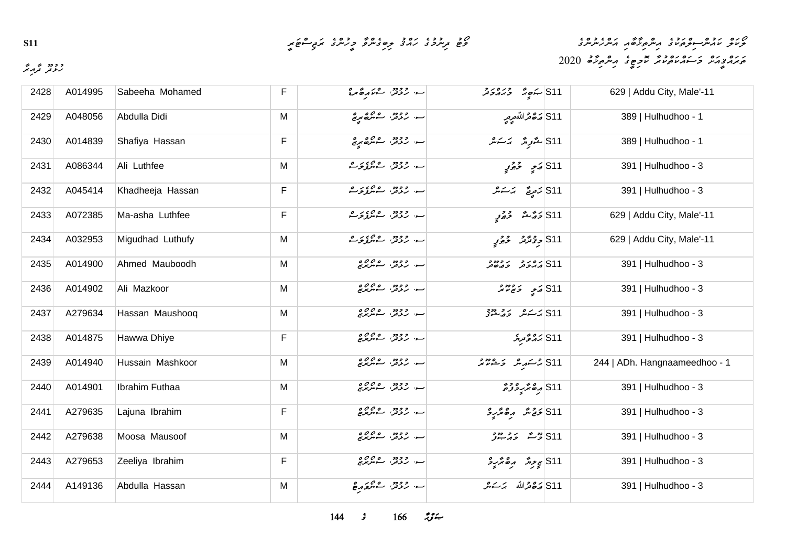*sCw7q7s5w7m< o<n9nOoAw7o< sCq;mAwBoEw7q<m; wBm;vB* م من المرة المرة المرة المرجع المراجع المراجع المراجع المراجع المراجع المراجع المراجع المراجع المراجع المراجع<br>مرين المراجع المراجع المرجع المراجع المراجع المراجع المراجع المراجع المراجع المراجع المراجع المراجع المراجع ال

|  | د دود به پر<br>رنز تر ترمه تر |  |
|--|-------------------------------|--|
|  |                               |  |

| 2428 | A014995 | Sabeeha Mohamed  | F            | سه رود من مرد ده مده              | S11  ب <i>نوبڈ ڈن</i> دونر                                                                           | 629   Addu City, Male'-11     |
|------|---------|------------------|--------------|-----------------------------------|------------------------------------------------------------------------------------------------------|-------------------------------|
| 2429 | A048056 | Abdulla Didi     | M            | ب دودو و۵۵۰ و                     | S11 كەمھەتراللەمپەر                                                                                  | 389   Hulhudhoo - 1           |
| 2430 | A014839 | Shafiya Hassan   | F            | ے۔ روود ے موضوع                   | S11 ڪريگر پرڪ <i>يل</i> ر                                                                            | 389   Hulhudhoo - 1           |
| 2431 | A086344 | Ali Luthfee      | M            | ب رودو ده ده دو د                 | S11  رَمِ گَرُورِ                                                                                    | 391   Hulhudhoo - 3           |
| 2432 | A045414 | Khadheeja Hassan | F            | ىسە رودە ئەش <sub>ر</sub> وكىتىگە | S11] زَمرِيحٌ ۔ بَرَسَرٌ                                                                             | 391   Hulhudhoo - 3           |
| 2433 | A072385 | Ma-asha Luthfee  | $\mathsf{F}$ | ب روده ره پی در ه                 | S11 كَرَمَّـ شَرْ مُحْتَمَّةٍ مِنْ حَمَّةٍ مِنْ مِنْ الْمُحْتَمَّةِ مِنْ مِنْ مِنْ مِنْ مِنْ مِنْ مِ | 629   Addu City, Male'-11     |
| 2434 | A032953 | Migudhad Luthufy | M            | ب رودو ده ده دو د                 | S11   <i>وِیْ مُرَّمَّرِ کُرْمُ وِیْ</i>                                                             | 629   Addu City, Male'-11     |
| 2435 | A014900 | Ahmed Mauboodh   | M            | سه دودو و۵۵۵                      | S11 كەبرور كەھەر                                                                                     | 391   Hulhudhoo - 3           |
| 2436 | A014902 | Ali Mazkoor      | M            | سه وودو وړه ه                     | S11 كەير   ئەممىر چ                                                                                  | 391   Hulhudhoo - 3           |
| 2437 | A279634 | Hassan Maushooq  | M            | سه وودد رومړه ه                   | S11 كەسكەر كەرگە قۇق                                                                                 | 391   Hulhudhoo - 3           |
| 2438 | A014875 | Hawwa Dhiye      | F            | سه دوده دوه و                     | S11 بَرْدْءٌ مِرْدَّ                                                                                 | 391   Hulhudhoo - 3           |
| 2439 | A014940 | Hussain Mashkoor | M            | سه دود. ۱۳۶۵                      | S11 پر کے مربائل کی مقدم میں<br>ا                                                                    | 244   ADh. Hangnaameedhoo - 1 |
| 2440 | A014901 | Ibrahim Futhaa   | M            | سه دوده روره ۵۵۵                  | S11 <sub>مر</sub> ڭ ئ <sup>ۇر</sup> ئۇقۇ                                                             | 391   Hulhudhoo - 3           |
| 2441 | A279635 | Lajuna Ibrahim   | $\mathsf{F}$ | ب دود. مصطلح و                    | S11 كۇقى ئىگە مەھمگە <i>ر</i> بى                                                                     | 391   Hulhudhoo - 3           |
| 2442 | A279638 | Moosa Mausoof    | M            | سه دوده شهرهای                    | S11 تۇشقە ئەترىسىز                                                                                   | 391   Hulhudhoo - 3           |
| 2443 | A279653 | Zeeliya Ibrahim  | $\mathsf F$  | سه وودد رومړه ه                   | S11 <sub>موج</sub> ر مەممەر 2                                                                        | 391   Hulhudhoo - 3           |
| 2444 | A149136 | Abdulla Hassan   | M            | سوادود والمرورة                   | S11 كەنھەتراللە تەسكەنلە                                                                             | 391   Hulhudhoo - 3           |

*n*<sup>44</sup> *s*<sup>2</sup> *166*  $\frac{2}{\sqrt{5}}$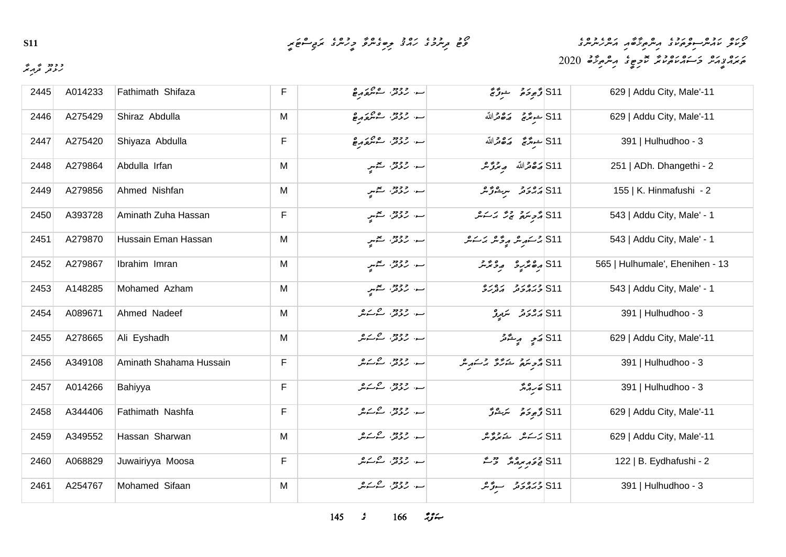*sCw7q7s5w7m< o<n9nOoAw7o< sCq;mAwBoEw7q<m; wBm;vB* م من المرة المرة المرة المرجع المرجع في المركبة 2020<br>مجم*د المريض المربوط المربع المرجع في المراجع المركبة* 

|  | 2.2222         |
|--|----------------|
|  | نرعرفر اقرمرته |
|  |                |

| 2445 | A014233 | Fathimath Shifaza       | $\mathsf{F}$ | سة رودو مصر و       | S11 <i>وُّهِ دَمُ</i> شِرُّجٌ                                 | 629   Addu City, Male'-11       |
|------|---------|-------------------------|--------------|---------------------|---------------------------------------------------------------|---------------------------------|
| 2446 | A275429 | Shiraz Abdulla          | M            | - دودو مشهوره       | S11 خومَّدَيْمَ     مَرْكَة مِّرَاللَّه                       | 629   Addu City, Male'-11       |
| 2447 | A275420 | Shiyaza Abdulla         | $\mathsf F$  | - رودو داره و       | S11 صب <i>وترنج كەھەتر</i> اللە                               | 391   Hulhudhoo - 3             |
| 2448 | A279864 | Abdulla Irfan           | M            | ے روڈور، سمبر       | S11 كەھىراللە م <i>ېغۇنى</i> ر                                | 251   ADh. Dhangethi - 2        |
| 2449 | A279856 | Ahmed Nishfan           | M            | سە، رودۇر، سەمبر    | S11 كەبروتر س <sub>ى</sub> شۇرىگر                             | 155   K. Hinmafushi - 2         |
| 2450 | A393728 | Aminath Zuha Hassan     | $\mathsf{F}$ | ے رودو سمبر         | S11 مٌ <i>جِسَمٌ ج</i> ُرٌ بَرَسَسٌ                           | 543   Addu City, Male' - 1      |
| 2451 | A279870 | Hussain Eman Hassan     | M            | ے روڈور، سمبر       | S11 برُسَمبر شر پر محمد برَسَمبر                              | 543   Addu City, Male' - 1      |
| 2452 | A279867 | Ibrahim Imran           | M            | ے۔ رووڈ، سمبر       | S11  مەھ <i>ئۇرۇ مەۋى</i> گىتر                                | 565   Hulhumale', Ehenihen - 13 |
| 2453 | A148285 | Mohamed Azham           | M            | سە رودۇر، سەس       | S11 <i>ورەرو دەرە</i>                                         | 543   Addu City, Male' - 1      |
| 2454 | A089671 | Ahmed Nadeef            | M            | ب دی دوده کرکری که  | S11 كەنزى تىر سىرىتى ئىر                                      | 391   Hulhudhoo - 3             |
| 2455 | A278665 | Ali Eyshadh             | M            | سە، رودە، سەسەھ     | S11 كەمچە     يەشكەتر                                         | 629   Addu City, Male'-11       |
| 2456 | A349108 | Aminath Shahama Hussain | $\mathsf F$  | سە، رودە، سىمسكەنگر | S11 مٌ <i>وِ سَعْهِ - شَدَّرْةَ</i> - يُرْسَمَهِ مَ <i>رْ</i> | 391   Hulhudhoo - 3             |
| 2457 | A014266 | Bahiyya                 | F            | ب در دود. گرگیره    | S11 ځېږمبر                                                    | 391   Hulhudhoo - 3             |
| 2458 | A344406 | Fathimath Nashfa        | $\mathsf F$  | سە، رودە، سىمسكەنگر | S11 رَّجِ دَمَّ سَرَسْرَ تَرَ                                 | 629   Addu City, Male'-11       |
| 2459 | A349552 | Hassan Sharwan          | M            | ب دی دوده کرکری که  | S11 كەس <i>تەش خەترۇ</i> نتر                                  | 629   Addu City, Male'-11       |
| 2460 | A068829 | Juwairiyya Moosa        | $\mathsf F$  | سە، رودە، سىمسكەنگر | S11 <sub>قىم قەم</sub> بىر مەش تۆشە                           | 122   B. Eydhafushi - 2         |
| 2461 | A254767 | Mohamed Sifaan          | M            | ے دودہ گے کیے ہیں   | S11 <i>\$ بزوج</i> تر سو <i>ڑ</i> یں                          | 391   Hulhudhoo - 3             |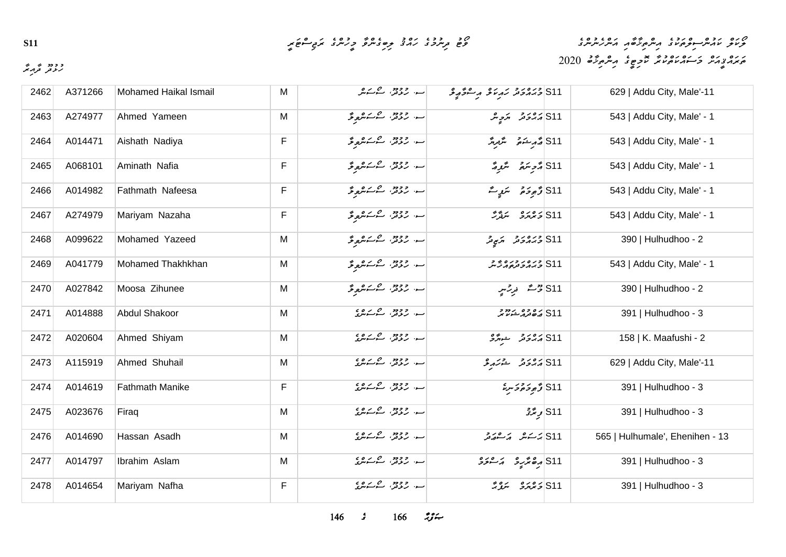*sCw7q7s5w7m< o<n9nOoAw7o< sCq;mAwBoEw7q<m; wBm;vB* م من المرة المرة المرة المرجع المرجع في المركبة 2020<br>مجم*د المريض المربوط المربع المرجع في المراجع المركبة* 

| رؤثر فرمه | $\begin{array}{cccccccccc} \circ & \circ & \circ & \circ & \circ & \circ \end{array}$ |  |
|-----------|---------------------------------------------------------------------------------------|--|
|           |                                                                                       |  |

| 2462 | A371266 | Mohamed Haikal Ismail  | M           | ۔۔ رووز، گے کے مگر         | S11  <i>ڈبرو دو تہ برند</i> و پر مش <i>وکھ</i> و | 629   Addu City, Male'-11       |
|------|---------|------------------------|-------------|----------------------------|--------------------------------------------------|---------------------------------|
| 2463 | A274977 | Ahmed Yameen           | M           | ب رودو گە ئەھرۇ            | S11   پر برگ پر پر پر                            | 543   Addu City, Male' - 1      |
| 2464 | A014471 | Aishath Nadiya         | $\mathsf F$ | ب رودو، گەسەھرىم           | S11 مَگْرِسْتَوْمَ سَرْبِرْدَّ                   | 543   Addu City, Male' - 1      |
| 2465 | A068101 | Aminath Nafia          | F           | ب رودو، گەنەھرىم           | S11 مَّ <i>جِسَعْہ سَّدِمَّ</i>                  | 543   Addu City, Male' - 1      |
| 2466 | A014982 | Fathmath Nafeesa       | $\mathsf F$ | ب رودو ھي شراھ وقت         | S11 رَّجِ دَمَرَ سَمَدٍ تَّ                      | 543   Addu City, Male' - 1      |
| 2467 | A274979 | Mariyam Nazaha         | $\mathsf F$ | ب رودو، گەنەھرىم           | S11 كەبىر بىر سىگەر                              | 543   Addu City, Male' - 1      |
| 2468 | A099622 | Mohamed Yazeed         | M           | ب رودر، سىسكىرو ئى         | S11 <i>ڈیز گرڈی مربح پ</i> ر                     | 390   Hulhudhoo - 2             |
| 2469 | A041779 | Mohamed Thakhkhan      | M           | ب رودر، سىستىر ئوغ         | S11 <i>ۋېرە دېروه دې</i> ر                       | 543   Addu City, Male' - 1      |
| 2470 | A027842 | Moosa Zihunee          | M           | ب رودر، گەسەھرىم           | S11 فخر ش فررتسير                                | 390   Hulhudhoo - 2             |
| 2471 | A014888 | <b>Abdul Shakoor</b>   | M           | ے روڈ کے مروی              | S11 كەھەر كەندىن ئىر                             | 391   Hulhudhoo - 3             |
| 2472 | A020604 | Ahmed Shiyam           | M           | سه دوده کرکروی             |                                                  | 158   K. Maafushi - 2           |
| 2473 | A115919 | Ahmed Shuhail          | M           | سه دوده کرکروی             | S11 كەبرى ھەركىدى ئى                             | 629   Addu City, Male'-11       |
| 2474 | A014619 | <b>Fathmath Manike</b> | F           | سه، روده، <u>مرک</u> ده پم | S11 ۇ <sub>جو</sub> رۇمۇرسىز                     | 391   Hulhudhoo - 3             |
| 2475 | A023676 | Firaq                  | M           | سە، رودە، سەسىرە <i>ئا</i> | S11 بوټرنز                                       | 391   Hulhudhoo - 3             |
| 2476 | A014690 | Hassan Asadh           | M           | ے قروری کے کے دور          | S11 ئەسەپىر مەسىر يور                            | 565   Hulhumale', Ehenihen - 13 |
| 2477 | A014797 | Ibrahim Aslam          | M           | سه الرودو المحرك والي      | S11 رەئزىر ئەسىر <i>ە</i>                        | 391   Hulhudhoo - 3             |
| 2478 | A014654 | Mariyam Nafha          | F           | ب په دوده کرکروي           | S11 ئ <i>ۈچرى ئىرقى</i> گە                       | 391   Hulhudhoo - 3             |

*146 s 166 <i>n*<sub>3</sub> *n*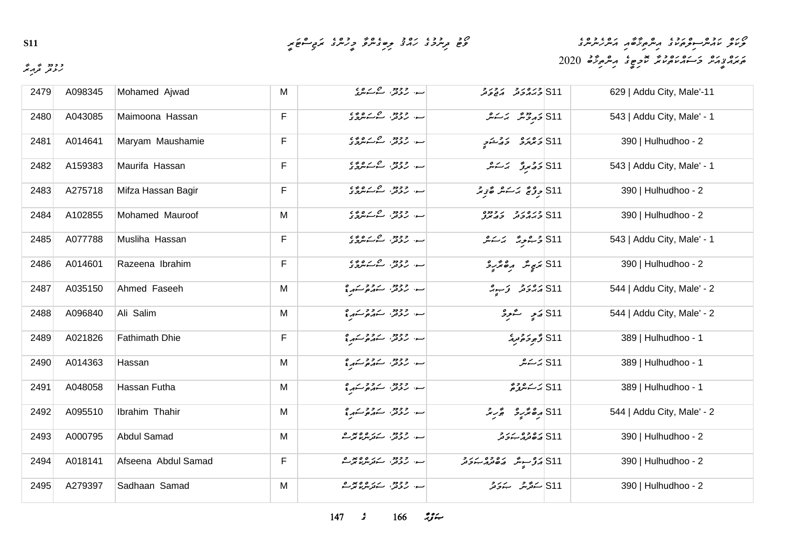*sCw7q7s5w7m< o<n9nOoAw7o< sCq;mAwBoEw7q<m; wBm;vB* م من المرة المرة المرة المرجع المرجع في المركبة 2020<br>مجم*د المريض المربوط المربع المرجع في المراجع المركبة* 

|  | $\begin{array}{ccccc} \circ & \circ & \circ & \circ \end{array}$ |
|--|------------------------------------------------------------------|
|  | رؤثر فرمه                                                        |

| 2479 | A098345 | Mohamed Ajwad         | M            | ب دی دوده گرگروی                         | S11 ديرەرو پەدەرو                           | 629   Addu City, Male'-11  |
|------|---------|-----------------------|--------------|------------------------------------------|---------------------------------------------|----------------------------|
| 2480 | A043085 | Maimoona Hassan       | F            | ب دوده کرکره ده                          | S11  5 مرتز مگر بر تر سک <i>ر بر</i>        | 543   Addu City, Male' - 1 |
| 2481 | A014641 | Maryam Maushamie      | F            | ر د دوه ه ۱۶۵ وي.<br>سه رنونس کشت مرد و  | S11 ك <i>ويمرو كوم</i> شو                   | 390   Hulhudhoo - 2        |
| 2482 | A159383 | Maurifa Hassan        | $\mathsf{F}$ | ے رودو حرکت دورہ                         | S11 <i>5 قەمبۇ بەستى</i> ر                  | 543   Addu City, Male' - 1 |
| 2483 | A275718 | Mifza Hassan Bagir    | $\mathsf{F}$ | ے۔ رودہ کے مرہ وہ                        | S11 <sub>ج</sub> وڻ پر س <i>نگر ڪُتي تر</i> | 390   Hulhudhoo - 2        |
| 2484 | A102855 | Mohamed Mauroof       | M            | ے روڈ کے روڈ                             | S11 ديره در در دوه                          | 390   Hulhudhoo - 2        |
| 2485 | A077788 | Musliha Hassan        | F            | ے۔ وودوں کے مذہبی وہ کا                  | S11  جۇيگە بەي بەسكەنلەر                    | 543   Addu City, Male' - 1 |
| 2486 | A014601 | Razeena Ibrahim       | F            | ر در دور ه در ۱۵ ورو د                   | S11 ىزىپ ئىگە مەھەتگەر بى                   | 390   Hulhudhoo - 2        |
| 2487 | A035150 | Ahmed Faseeh          | M            | ب رودو رووبره                            | S11   پر پر بھر توسی <sup>و</sup>           | 544   Addu City, Male' - 2 |
| 2488 | A096840 | Ali Salim             | M            | سه وود رووبره                            | S11  رَمٍ گروو                              | 544   Addu City, Male' - 2 |
| 2489 | A021826 | <b>Fathimath Dhie</b> | $\mathsf{F}$ | سه رودو روو ده                           | S11 <i>وَّجوحَ مُوبِرةَ</i>                 | 389   Hulhudhoo - 1        |
| 2490 | A014363 | Hassan                | M            | سه دود رووبره                            | S11 پرستر پی                                | 389   Hulhudhoo - 1        |
| 2491 | A048058 | Hassan Futha          | M            | سه دوده رووبره                           | S11 ئەستەمبۇق <sub>ە</sub>                  | 389   Hulhudhoo - 1        |
| 2492 | A095510 | Ibrahim Thahir        | M            | سه دوده رووبره                           | S11 م <i>وھ مگرچ</i> و گھريتي               | 544   Addu City, Male' - 2 |
| 2493 | A000795 | Abdul Samad           | M            | ر د دود. د ده ۲۵۵ و.<br>سه روش کنوس بر م | S11 كەھەر بەر بەر                           | 390   Hulhudhoo - 2        |
| 2494 | A018141 | Afseena Abdul Samad   | F            |                                          | S11 كۇسوپى مەھ <i>ەرمەدە</i>                | 390   Hulhudhoo - 2        |
| 2495 | A279397 | Sadhaan Samad         | M            | ے، دودہ، سکورہ میرے                      | S11 كىقرىتر بەيجەتر                         | 390   Hulhudhoo - 2        |

*n*<sup>2</sup> *f s 166 <i>n*<sub>2</sub> *n*<sub>2</sub> *i*<sub>3</sub> *i*<sub>3</sub>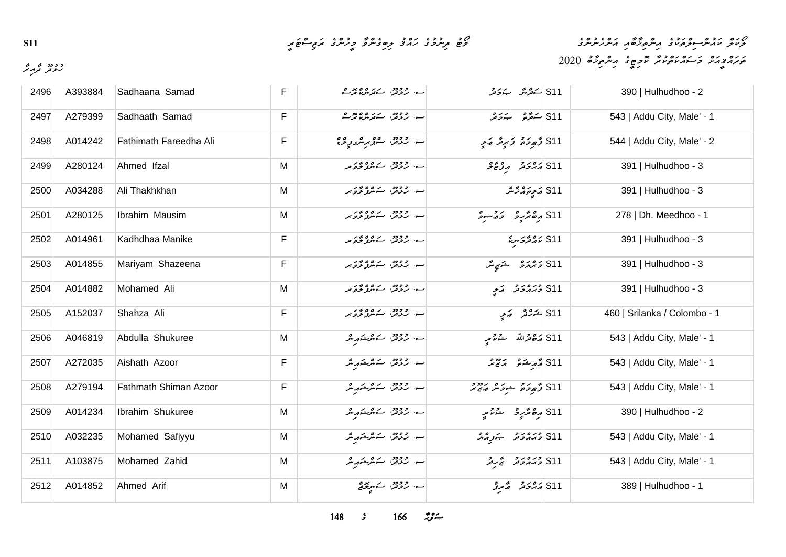*sCw7q7s5w7m< o<n9nOoAw7o< sCq;mAwBoEw7q<m; wBm;vB 2020*<br>*په پوهر وسوډيرونو لومو د موجو د مرمونه* 2020

| د دود به برگر<br>رنزفر ترم <i>ه ب</i> گر |               |             |
|------------------------------------------|---------------|-------------|
|                                          | 2496 A393884  | Sadh        |
|                                          | 24071 A270300 | <b>Radh</b> |

| 2496 | A393884 | Sadhaana Samad         | F | ے، دودہ، سے تر ۱۵۵۵ و                            | S11 كىقرىتر بەيزىر                                   | 390   Hulhudhoo - 2          |
|------|---------|------------------------|---|--------------------------------------------------|------------------------------------------------------|------------------------------|
| 2497 | A279399 | Sadhaath Samad         | F | ر د دود. زیر ۱۵۵۵ و.<br>سه رودن، سکورمبرد بوسه   | S11 سەنئەر سەرىر                                     | 543   Addu City, Male' - 1   |
| 2498 | A014242 | Fathimath Fareedha Ali | F | ب روده، سروبر شروع                               | S11 وَّجِوَۃٌ وَمِرِۃٌ مَہِ ٍ                        | 544   Addu City, Male' - 2   |
| 2499 | A280124 | Ahmed Ifzal            | M | ر دو دور ده ۱۶۵۵ کرد.<br>سه رکونس سه ملوکونو کرد | S11 كەردى ھەدىج بى                                   | 391   Hulhudhoo - 3          |
| 2500 | A034288 | Ali Thakhkhan          | M | ر د دود. د ۱۶۵۵ در<br>سه روتر، سهس و و در        | S11  پَرمٍ پِرَ پُر پُر                              | 391   Hulhudhoo - 3          |
| 2501 | A280125 | Ibrahim Mausim         | M | ىسە رودە سەھەم ئەر                               | S11 مەھەرىرى ئەممىسىرى                               | 278   Dh. Meedhoo - 1        |
| 2502 | A014961 | Kadhdhaa Manike        | F | ر ده دود. د ۱۶۵۵ و.<br>سه رودد، سه د وگویر       | S11 ئەۋرىتى ئىرىئە                                   | 391   Hulhudhoo - 3          |
| 2503 | A014855 | Mariyam Shazeena       | F | ر د د دود د ۱۶۵۵ د .<br>ر د روزه ر سوس و و د بر  | S11 <i>د بر پروگ</i> ش <sub>کا</sub> پر              | 391   Hulhudhoo - 3          |
| 2504 | A014882 | Mohamed Ali            | M | ىسە روۋە ئەھەرىمى                                | S11 <i>ڈیز پڑو ت</i> ے ج                             | 391   Hulhudhoo - 3          |
| 2505 | A152037 | Shahza Ali             | F | ر د د دوه د ۱۶۵۵ د .<br>ر د روزه ر سومبر ترویر   | S11 شترنگر ک <i>ے یو</i>                             | 460   Srilanka / Colombo - 1 |
| 2506 | A046819 | Abdulla Shukuree       | M | سە رودوا سەھرىشەر ش                              | S11 كەھەتراللە مىقماتىمىيە                           | 543   Addu City, Male' - 1   |
| 2507 | A272035 | Aishath Azoor          | F | سە رودو سەھرىشەر ش                               | S11 مەم ئىسىم مەم ئى                                 | 543   Addu City, Male' - 1   |
| 2508 | A279194 | Fathmath Shiman Azoor  | F | سە رودو سەھەم ھ                                  | S11 <i>وَّج</i> وَدَّة مُسِوَمَّد <i>مَ</i> بَحْمَّد | 543   Addu City, Male' - 1   |
| 2509 | A014234 | Ibrahim Shukuree       | M | سە روۋە سەھرىشەر ش                               | S11 م <i>وڭ ئۇرۇ ھەتتىم</i> ىيە                      | 390   Hulhudhoo - 2          |
| 2510 | A032235 | Mohamed Safiyyu        | M | ے۔ رودو کے مرکز مرکز                             | S11 <i>ۋېرەدى بەدەھ</i>                              | 543   Addu City, Male' - 1   |
| 2511 | A103875 | Mohamed Zahid          | M | ے رودو کے مگر شکر مگر                            | S11 <i>وَبَرْدْدُوَنْہ</i> گَرِیْرُ                  | 543   Addu City, Male' - 1   |
| 2512 | A014852 | Ahmed Arif             | M | ے دورہ کے بدو                                    | S11 كەنزى قى ھەمبەتى                                 | 389   Hulhudhoo - 1          |

 $148$  *s*  $166$  *n***<sub>3</sub>** *n*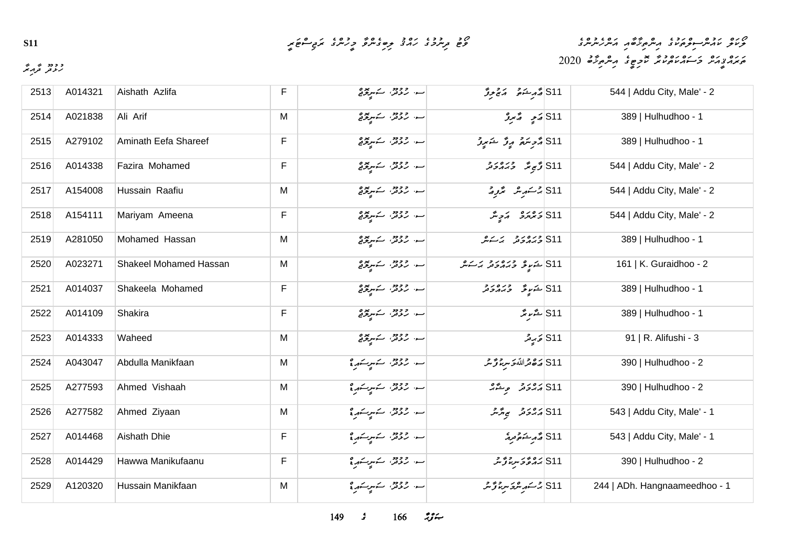*sCw7q7s5w7m< o<n9nOoAw7o< sCq;mAwBoEw7q<m; wBm;vB* م من المرة المرة المرة المرجع المرجع في المركبة 2020<br>مجم*د المريض المربوط المربع المرجع في المراجع المركبة* 

|  | د دود به پر<br>رنز تر ترمه تر |
|--|-------------------------------|
|  |                               |

| 2513 | A014321 | Aishath Azlifa         | F           | ے رودہ کے سرچھ     | S11 مَگْرِسْتَمْ کُمْ مِگْرِرٌ             | 544   Addu City, Male' - 2    |
|------|---------|------------------------|-------------|--------------------|--------------------------------------------|-------------------------------|
| 2514 | A021838 | Ali Arif               | M           | ے رودہ کے بیروی    | S11 کرم پر مگرو کا                         | 389   Hulhudhoo - 1           |
| 2515 | A279102 | Aminath Eefa Shareef   | F           | ے دورہ کے بیروی    | S11 مٌ <i>وِ سَمَّةَ ہِ وَ َ حَسَبِ</i> رُ | 389   Hulhudhoo - 1           |
| 2516 | A014338 | Fazira Mohamed         | F           | ے دودہ کے بیوی     | S11 ۇي ئۇ ئەنزە ئەرىپىتىسى ئىس             | 544   Addu City, Male' - 2    |
| 2517 | A154008 | Hussain Raafiu         | M           | ے دورہ کے بیروی    | S11 پرستمبر شر <i>ورڈ</i>                  | 544   Addu City, Male' - 2    |
| 2518 | A154111 | Mariyam Ameena         | $\mathsf F$ | ے رودو، کے بروی    | S11 <i>5 پر پرو پارچين</i> گ               | 544   Addu City, Male' - 2    |
| 2519 | A281050 | Mohamed Hassan         | M           | سه رودون سکهبرونقی | S11 <i>ۋېرەپىق بەسەش</i>                   | 389   Hulhudhoo - 1           |
| 2520 | A023271 | Shakeel Mohamed Hassan | M           | سه رودون سکهبرونقی | S11 خەرپى دېرەردىگە ئەسەنل                 | 161   K. Guraidhoo - 2        |
| 2521 | A014037 | Shakeela Mohamed       | $\mathsf F$ | ے دودہ کے بیوی     | S11 خىرىم ئەمەدىر                          | 389   Hulhudhoo - 1           |
| 2522 | A014109 | Shakira                | $\mathsf F$ | ے رودو، کے بروی    | S11 يتم بمر                                | 389   Hulhudhoo - 1           |
| 2523 | A014333 | Waheed                 | M           | ے رودو، کے بروی    | S11  <sub>حكمي</sub> قر                    | 91   R. Alifushi - 3          |
| 2524 | A043047 | Abdulla Manikfaan      | M           | ے رودو کے سرکار کا | S11 كەھىراللە <del>كە ب</del> ىرىدۇ ئىر    | 390   Hulhudhoo - 2           |
| 2525 | A277593 | Ahmed Vishaah          | M           | ب دودو سکس کرده    | S11 كەبۇ <i>قۇيىلى</i> ھەيدىگە بىر         | 390   Hulhudhoo - 2           |
| 2526 | A277582 | Ahmed Ziyaan           | M           | ے رودو کے سرکار کا | S11   ئەبرى ئىمى ئەرگە ئىر                 | 543   Addu City, Male' - 1    |
| 2527 | A014468 | Aishath Dhie           | $\mathsf F$ | ے رودو کے سرکار کا | S11 مۇم شەھ <sup>و</sup> رە                | 543   Addu City, Male' - 1    |
| 2528 | A014429 | Hawwa Manikufaanu      | $\mathsf F$ | ے رودو کے سرکار کا | S11 ئەۋۋۇس <i>بەرق</i> ىر                  | 390   Hulhudhoo - 2           |
| 2529 | A120320 | Hussain Manikfaan      | M           | ے روڈو کس کر       | S11 ئرىسىمە ئىرىدىن ئەشر                   | 244   ADh. Hangnaameedhoo - 1 |

*n*<sup>49</sup> *s*<sup>2</sup> *166*  $\frac{2}{\sqrt{5}}$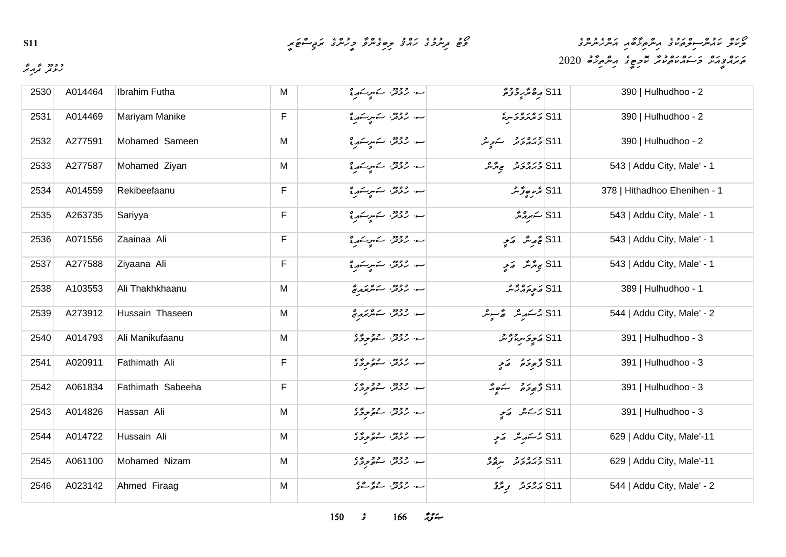*sCw7q7s5w7m< o<n9nOoAw7o< sCq;mAwBoEw7q<m; wBm;vB* م من المرة المرة المرة المرجع المرجع في المركبة 2020<br>مجم*د المريض المربوط المربع المرجع في المراجع المركبة* 

|  | $\rightarrow$ $\rightarrow$ $\rightarrow$ $\rightarrow$ $\rightarrow$ |
|--|-----------------------------------------------------------------------|
|  | ر د در مرد مر                                                         |
|  |                                                                       |

| 2530 | A014464 | Ibrahim Futha     | M            | ے روڈو کس کر                                            | S11 <sub>مر</sub> ڭ ئ <sup>ۇر</sup> ئۇقۇ | 390   Hulhudhoo - 2          |
|------|---------|-------------------|--------------|---------------------------------------------------------|------------------------------------------|------------------------------|
| 2531 | A014469 | Mariyam Manike    | $\mathsf{F}$ | ے رودو کے سرکار کا                                      | S11 كەنگە <i>مەڭگەنى</i> رىتق            | 390   Hulhudhoo - 2          |
| 2532 | A277591 | Mohamed Sameen    | M            | ے رودو کے سرکار کا                                      | S11 <i>ڈیزونز تنمی</i> شرید              | 390   Hulhudhoo - 2          |
| 2533 | A277587 | Mohamed Ziyan     | M            | ے رودو کے سرکار کا                                      | S11 <i>ڈبزوجوڈ</i> ہے م <i>گ</i> ھر      | 543   Addu City, Male' - 1   |
| 2534 | A014559 | Rekibeefaanu      | F            | ے رودو کے سرکار کا                                      | S11 ئۈرم <sub>و</sub> رۇ تىر             | 378   Hithadhoo Ehenihen - 1 |
| 2535 | A263735 | Sariyya           | $\mathsf F$  | ے رودو کے سرکار کا                                      | S11 سەمبە <i>ھ</i>                       | 543   Addu City, Male' - 1   |
| 2536 | A071556 | Zaainaa Ali       | F            | ے رودو کے سرکار کا                                      | S11 تج ميگر - م <i>کم</i> حيہ            | 543   Addu City, Male' - 1   |
| 2537 | A277588 | Ziyaana Ali       | F            | ے رودو کے سرکار کا                                      | S11 ىېترىتر كەم <u>و</u>                 | 543   Addu City, Male' - 1   |
| 2538 | A103553 | Ali Thakhkhaanu   | M            | ے رودو کے مریز کا ع                                     | S11 كەمچە <i>كەنگە</i> ر                 | 389   Hulhudhoo - 1          |
| 2539 | A273912 | Hussain Thaseen   | M            | سە رودو، سەھەمدىرى                                      | S11  برسکوپٹر گوسپٹر                     | 544   Addu City, Male' - 2   |
| 2540 | A014793 | Ali Manikufaanu   | M            | د وودو د و و د و.<br>سه روتر، سهم وو د                  | S11 كەمەكەسىدۇ تەش                       | 391   Hulhudhoo - 3          |
| 2541 | A020911 | Fathimath Ali     | $\mathsf F$  | د وودو د و و د و.<br>سه روتر، سهم وو د                  | S11 <i>وُجوحَۃ مَڊِ</i>                  | 391   Hulhudhoo - 3          |
| 2542 | A061834 | Fathimath Sabeeha | $\mathsf F$  | ر دودو و و د د .<br>سه روتر، سه د د د .                 | S11 ز <sub>گ</sub> وِدَهْ بَنَ پُر       | 391   Hulhudhoo - 3          |
| 2543 | A014826 | Hassan Ali        | M            | ب رود دو دوره و در دارد کار دارد کرد که است. سر در دارا | S11   پرستر کی تی <i>ر</i>               | 391   Hulhudhoo - 3          |
| 2544 | A014722 | Hussain Ali       | M            | د دودو د و و د و.<br>سه روتر، سهم وو د                  | S11  پر شهر میں کی پی                    | 629   Addu City, Male'-11    |
| 2545 | A061100 | Mohamed Nizam     | M            | د دودو د ود ده و د                                      | S11 <i>دېمم</i> ېر سرگړو                 | 629   Addu City, Male'-11    |
| 2546 | A023142 | Ahmed Firaag      | M            | ر د د دور د د وي.<br>سه روبر، ستوگستو                   | S11 كەندى قىرىمىقى ئ                     | 544   Addu City, Male' - 2   |

*n<sub>150</sub> s 166 <i>n*<sub>3</sub> *n*<sub>2</sub>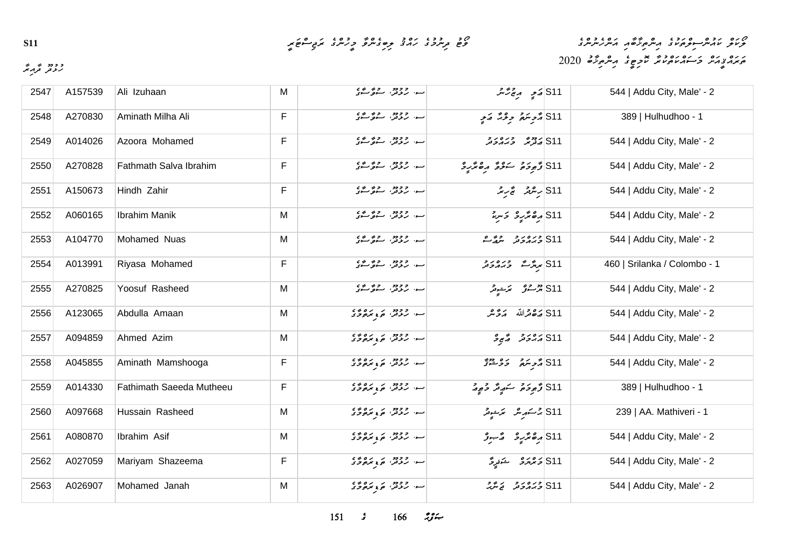*sCw7q7s5w7m< o<n9nOoAw7o< sCq;mAwBoEw7q<m; wBm;vB* م من المرة المرة المرة المرجع المرجع في المركبة 2020<br>مجم*د المريض المربوط المربع المرجع في المراجع المركبة* 

|  | د د ده په     |  |
|--|---------------|--|
|  | ر د در مرد مر |  |

| 2547 | A157539 | Ali Izuhaan              | M            | سە، رودە، سۇھەتتى                                                                                                                                                                                                                | S11   <i>ھَ جِهِ مِیٹ تَ</i> گر        | 544   Addu City, Male' - 2   |
|------|---------|--------------------------|--------------|----------------------------------------------------------------------------------------------------------------------------------------------------------------------------------------------------------------------------------|----------------------------------------|------------------------------|
| 2548 | A270830 | Aminath Milha Ali        | $\mathsf{F}$ | ر د د دور د ده و د و د و د کار کرد که د کرد که د کرد که د کرد که د کرد که د کار کرد که د کار کرد که با کرد که<br>سرد از کرد کرد که کرد که کرد که کرد که کرد که کرد که کرد که کرد که کرد که کرد که کرد که کرد که کرد که کرد که ک  | S11  مَّدِسَمْ دِوْ~ً مَدٍ             | 389   Hulhudhoo - 1          |
| 2549 | A014026 | Azoora Mohamed           | F            | ر دو دو ده ده ده کار کاری در در در در در این در این در کار در این در کار در این در این در این در این در این دی<br>در در این در در دارد در کار در این در این در این در این در این در این در این در این در این در این در این در ای | S11 كەنترىتر بەربەدىر                  | 544   Addu City, Male' - 2   |
| 2550 | A270828 | Fathmath Salva Ibrahim   | $\mathsf F$  |                                                                                                                                                                                                                                  | S11 زُّەپرَ مَمَّ سَعْرَهُ مِهْمَرِ د  | 544   Addu City, Male' - 2   |
| 2551 | A150673 | Hindh Zahir              | F            |                                                                                                                                                                                                                                  | S11 بەش <i>ەقە</i> ئ <sub>ە</sub> رىتە | 544   Addu City, Male' - 2   |
| 2552 | A060165 | <b>Ibrahim Manik</b>     | M            | ر د د دور د د وي.<br>سه روبر، ستوگستو                                                                                                                                                                                            | S11 مەھەمگەپى ئەس <sup>رى</sup>        | 544   Addu City, Male' - 2   |
| 2553 | A104770 | Mohamed Nuas             | M            | سە، رودە، سۇھەتتى                                                                                                                                                                                                                | S11 <i>جزه دو</i> به مهمّ <i>ث</i>     | 544   Addu City, Male' - 2   |
| 2554 | A013991 | Riyasa Mohamed           | $\mathsf{F}$ | ر د د دور د د وي.<br>سه روبر، ستوگستو                                                                                                                                                                                            | S11 برېژگ تر <i>پر دې</i> ر            | 460   Srilanka / Colombo - 1 |
| 2555 | A270825 | Yoosuf Rasheed           | M            |                                                                                                                                                                                                                                  | S11 پڑتے تو سمن سومتر                  | 544   Addu City, Male' - 2   |
| 2556 | A123065 | Abdulla Amaan            | M            | ره ده دود از ده ده د                                                                                                                                                                                                             | S11 كەھىراللە كە <i>ۋى</i> ر           | 544   Addu City, Male' - 2   |
| 2557 | A094859 | Ahmed Azim               | M            | ر در دود در ده ده د                                                                                                                                                                                                              | S11 كەندۇقر گەنج <i>5</i>              | 544   Addu City, Male' - 2   |
| 2558 | A045855 | Aminath Mamshooga        | F            | د د دود د ده وه د د                                                                                                                                                                                                              | S11 مَّ <i>جِسَمَ</i> حَرْشَتْرَّ      | 544   Addu City, Male' - 2   |
| 2559 | A014330 | Fathimath Saeeda Mutheeu | F            | سه رودد د ره ده.<br>سه رنوش توءِ برگوری                                                                                                                                                                                          | S11 <i>ؤودة سَهِيدٌ دُوِية</i> َ       | 389   Hulhudhoo - 1          |
| 2560 | A097668 | Hussain Rasheed          | M            | د دود د ده ده.<br>سه روتر، ځو مرحوم                                                                                                                                                                                              | S11 بُرْسَمبِ بْرَ مُسْبِعْرِ          | 239   AA. Mathiveri - 1      |
| 2561 | A080870 | Ibrahim Asif             | M            | ره ده دود از ده ده د                                                                                                                                                                                                             | S11 مەھەمگەيە قەسبۇ                    | 544   Addu City, Male' - 2   |
| 2562 | A027059 | Mariyam Shazeema         | $\mathsf F$  | سه رودد د ره ده.<br>سه روتر، نوع برووی                                                                                                                                                                                           | S11 كەترىرى ھەن <i>و</i> گ             | 544   Addu City, Male' - 2   |
| 2563 | A026907 | Mohamed Janah            | M            | سه رودد د ره ده.<br>سه رنوش توءِ برگوری                                                                                                                                                                                          | S11 تر <i>م بروتر ف</i> ي مَرْرُ       | 544   Addu City, Male' - 2   |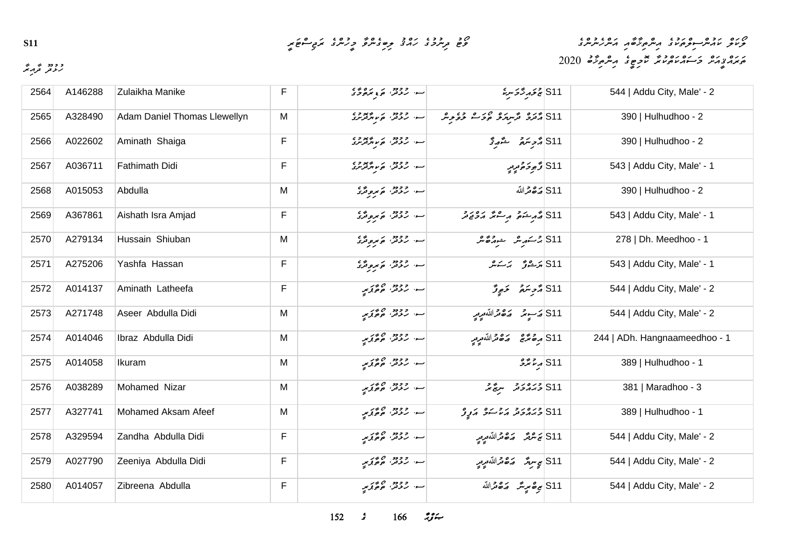*sCw7q7s5w7m< o<n9nOoAw7o< sCq;mAwBoEw7q<m; wBm;vB* م من المرة المرة المرة المرجع المرجع في المركبة 2020<br>مجم*د المريض المربوط المربع المرجع في المراجع المركبة* 

|  | $\begin{array}{cccccccccc} \phi & \phi & \phi & \phi & \phi & \phi \end{array}$ |
|--|---------------------------------------------------------------------------------|
|  | نرعرفر اقرمرته                                                                  |
|  |                                                                                 |

| 2564 | A146288 | Zulaikha Manike              | $\mathsf{F}$ | سه روود در ره ده                                | S11 ئ <sub>ى</sub> ج ئىرىد تىجە سىرىم                                             | 544   Addu City, Male' - 2    |
|------|---------|------------------------------|--------------|-------------------------------------------------|-----------------------------------------------------------------------------------|-------------------------------|
| 2565 | A328490 | Adam Daniel Thomas Llewellyn | M            |                                                 | S11 أَرْمَرُوْ مُرْسِيرُوْ فَرُوَبٍ وَيَحْوِيشْ   سِيَرْمَرُوْزَ مَرَ مِعْدَدَ عَ | 390   Hulhudhoo - 2           |
| 2566 | A022602 | Aminath Shaiga               | $\mathsf F$  | ر د وود د بر د د د د د د د کال د د د د ا        | S11 مُرْحِسَمُ مُسَمَّدِيَّ                                                       | 390   Hulhudhoo - 2           |
| 2567 | A036711 | <b>Fathimath Didi</b>        | F            | د و دود در به بروه و د<br>سه رنوتو، نوم پژتوبری | S11 گە <sub>م</sub> وقەتمەرىر                                                     | 543   Addu City, Male' - 1    |
| 2568 | A015053 | Abdulla                      | M            | - د دود نم مره تری                              | S11  كەنتى قىراللە                                                                | 390   Hulhudhoo - 2           |
| 2569 | A367861 | Aishath Isra Amjad           | $\mathsf{F}$ | - دودوم مجموعتری                                | S11 مەم شىم بوسى <i>گە مەدە</i> ر                                                 | 543   Addu City, Male' - 1    |
| 2570 | A279134 | Hussain Shiuban              | M            | ے دودہ تر موفرد                                 | S11 بر <i>شهر شوره ش</i> ر                                                        | 278   Dh. Meedhoo - 1         |
| 2571 | A275206 | Yashfa Hassan                | $\mathsf F$  | سه دودو تر پروترد                               | S11 پژىشۇ تەسىر بىر                                                               | 543   Addu City, Male' - 1    |
| 2572 | A014137 | Aminath Latheefa             | F            | سه دوده ۱۶۵۵<br>سه روند، مومومړ                 | S11 مَّ <i>جِسَعْہ خَيونَّ</i>                                                    | 544   Addu City, Male' - 2    |
| 2573 | A271748 | Aseer Abdulla Didi           | M            | سه دوده ۱۶۵۵<br>سه روند، موجوب                  | S11 كەسىم كەھەراللەمپەير                                                          | 544   Addu City, Male' - 2    |
| 2574 | A014046 | Ibraz Abdulla Didi           | M            | ر د دود ۱۶۵۵<br>سه رونو، د دبر                  | S11 م <i>ِ جَمَّعْ مَ</i> صَوْرَ اللَّهُ مِرْمَرِ                                 | 244   ADh. Hangnaameedhoo - 1 |
| 2575 | A014058 | Ikuram                       | M            | ر د دود ۱۶۵۵<br>سه رونو، ۱۶۶۶ م                 | S11 مەممگرى                                                                       | 389   Hulhudhoo - 1           |
| 2576 | A038289 | Mohamed Nizar                | M            | د د دود ۱۶۶۵<br>سه رونو، <sub>۱</sub> ۶۶۶ و     | S11 <i>دېم</i> مر <i>دنه</i> سرچ تر                                               | 381   Maradhoo - 3            |
| 2577 | A327741 | Mohamed Aksam Afeef          | M            | سه دوده ۱۶۵۵<br>سه روند، مومومړ                 | S11 <i>בגמכת היישיב הُנֶ</i> נ                                                    | 389   Hulhudhoo - 1           |
| 2578 | A329594 | Zandha Abdulla Didi          | F            | ب دودو موريد                                    | S11 كى شرتگر       قەقراللەمرىرِ بە                                               | 544   Addu City, Male' - 2    |
| 2579 | A027790 | Zeeniya Abdulla Didi         | $\mathsf F$  | ب دودو مورم                                     | S11 سٍ سِرتَر     بَرْصْ قَرْاللَّهُ مِرِمِرِ                                     | 544   Addu City, Male' - 2    |
| 2580 | A014057 | Zibreena Abdulla             | F            | ر د دود ۱۶۵۵<br>سه رونو، د دبر                  | S11 <i>ىي ھىمپىگە قەھەق</i> راللە                                                 | 544   Addu City, Male' - 2    |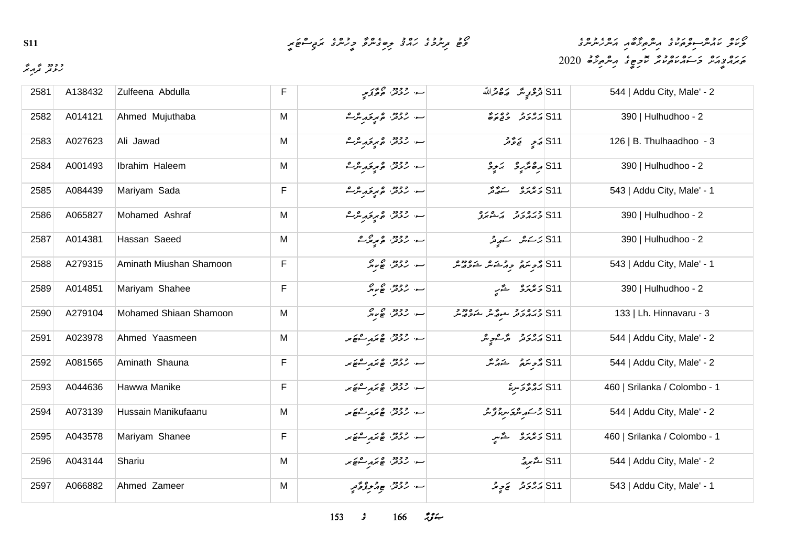*sCw7q7s5w7m< o<n9nOoAw7o< sCq;mAwBoEw7q<m; wBm;vB* م من المرة المرة المرة المرجع المرجع في المركبة 2020<br>مجم*د المريض المربوط المربع المرجع في المراجع المركبة* 

|  | 4.4.222        |
|--|----------------|
|  | نرعرفر اقرمرته |
|  |                |

| 2581 | A138432 | Zulfeena Abdulla        | F           | ر د دود ۵۶۶۵<br>سه رونو، ه <i>وو</i> ژبر                                                                                                                                                                                                                                                                                                                                                                                                                                                                                           | S11 فرْعْرُوبِسَّرْ كَدَّهْ قْرَاللَّه          | 544   Addu City, Male' - 2   |
|------|---------|-------------------------|-------------|------------------------------------------------------------------------------------------------------------------------------------------------------------------------------------------------------------------------------------------------------------------------------------------------------------------------------------------------------------------------------------------------------------------------------------------------------------------------------------------------------------------------------------|-------------------------------------------------|------------------------------|
| 2582 | A014121 | Ahmed Mujuthaba         | M           | ب. رودو، ئۇيۇم ئور                                                                                                                                                                                                                                                                                                                                                                                                                                                                                                                 | S11 كەبرو مەم ھەم ھەم ئ                         | 390   Hulhudhoo - 2          |
| 2583 | A027623 | Ali Jawad               | M           | ب رودو و پر تور مرگ                                                                                                                                                                                                                                                                                                                                                                                                                                                                                                                | S11  رَمٍ کے وَتَر                              | 126   B. Thulhaadhoo - 3     |
| 2584 | A001493 | Ibrahim Haleem          | M           | ے رودوں محمد مرکز مرکب                                                                                                                                                                                                                                                                                                                                                                                                                                                                                                             | S11 م <i>وڭ ئۇرۇ بەي</i> چى                     | 390   Hulhudhoo - 2          |
| 2585 | A084439 | Mariyam Sada            | F           | - رودو ويرور مرت                                                                                                                                                                                                                                                                                                                                                                                                                                                                                                                   | S11 دېمەد ئەستەتگە                              | 543   Addu City, Male' - 1   |
| 2586 | A065827 | Mohamed Ashraf          | M           | ب. رودو، ئۇيۇم ئور                                                                                                                                                                                                                                                                                                                                                                                                                                                                                                                 | S11 ۋېزەر بىر مەش <i>ەرە</i>                    | 390   Hulhudhoo - 2          |
| 2587 | A014381 | Hassan Saeed            | M           | - دوده ه برند ا                                                                                                                                                                                                                                                                                                                                                                                                                                                                                                                    | S11 پرستر م ست <sub>می</sub> وژ                 | 390   Hulhudhoo - 2          |
| 2588 | A279315 | Aminath Miushan Shamoon | $\mathsf F$ | سار رودر، جام م                                                                                                                                                                                                                                                                                                                                                                                                                                                                                                                    | S11 أَدُّمِ سَمَّةَ ۖ وَأَرْشَاشَ شَاوَارَ مَنْ | 543   Addu City, Male' - 1   |
| 2589 | A014851 | Mariyam Shahee          | F           | $\stackrel{\mathcal{O}}{\mathcal{H}}\stackrel{\mathcal{O}}{\mathfrak{g}}\stackrel{\mathcal{O}}{\mathfrak{g}\mathcal{H}}\stackrel{\mathcal{O}}{\mathcal{H}}\stackrel{\mathcal{O}}{\mathcal{H}}\stackrel{\mathcal{O}}{\mathcal{H}}\stackrel{\mathcal{O}}{\mathcal{H}}\stackrel{\mathcal{O}}{\mathcal{H}}\stackrel{\mathcal{O}}{\mathcal{H}}\stackrel{\mathcal{O}}{\mathcal{H}}\stackrel{\mathcal{O}}{\mathcal{H}}\stackrel{\mathcal{O}}{\mathcal{H}}\stackrel{\mathcal{O}}{\mathcal{H}}\stackrel{\mathcal{O}}{\mathcal{H}}\stackrel$ | S11 ك <i>رىمىڭ ئى</i> تېر                       | 390   Hulhudhoo - 2          |
| 2590 | A279104 | Mohamed Shiaan Shamoon  | M           | سه رودون عاملار                                                                                                                                                                                                                                                                                                                                                                                                                                                                                                                    | S11 دره در د مورکس شوه سره در د                 | 133   Lh. Hinnavaru - 3      |
| 2591 | A023978 | Ahmed Yaasmeen          | M           | سه رودو و مرد سوید                                                                                                                                                                                                                                                                                                                                                                                                                                                                                                                 | S11 كەبروتر گ <sup>ە</sup> ش <sub>ى</sub> ر ش   | 544   Addu City, Male' - 2   |
| 2592 | A081565 | Aminath Shauna          | $\mathsf F$ | سه رودو و در دور                                                                                                                                                                                                                                                                                                                                                                                                                                                                                                                   | S11 أُمَّ جِسَمْ مَسَنَّمْ مَدَّ مِّ            | 544   Addu City, Male' - 2   |
| 2593 | A044636 | Hawwa Manike            | F           | سه رودو ويروسي                                                                                                                                                                                                                                                                                                                                                                                                                                                                                                                     | S11 ئەرمۇخ س <sub>ىنغ</sub>                     | 460   Srilanka / Colombo - 1 |
| 2594 | A073139 | Hussain Manikufaanu     | M           | - رودو محمد صحير                                                                                                                                                                                                                                                                                                                                                                                                                                                                                                                   | S11 ئرىسىمە يىرى ئۇ ئىر                         | 544   Addu City, Male' - 2   |
| 2595 | A043578 | Mariyam Shanee          | F           | سه رودو و مرد من م                                                                                                                                                                                                                                                                                                                                                                                                                                                                                                                 | S11 كەنگەنگە ئىگەس <sub>ىر</sub>                | 460   Srilanka / Colombo - 1 |
| 2596 | A043144 | Shariu                  | M           | سه رودو ويروسي                                                                                                                                                                                                                                                                                                                                                                                                                                                                                                                     | S11 يحرمه                                       | 544   Addu City, Male' - 2   |
| 2597 | A066882 | Ahmed Zameer            | M           | ب رودد ع مرور مر                                                                                                                                                                                                                                                                                                                                                                                                                                                                                                                   | S11 كەبرى قىم ئەر بىر ئى                        | 543   Addu City, Male' - 1   |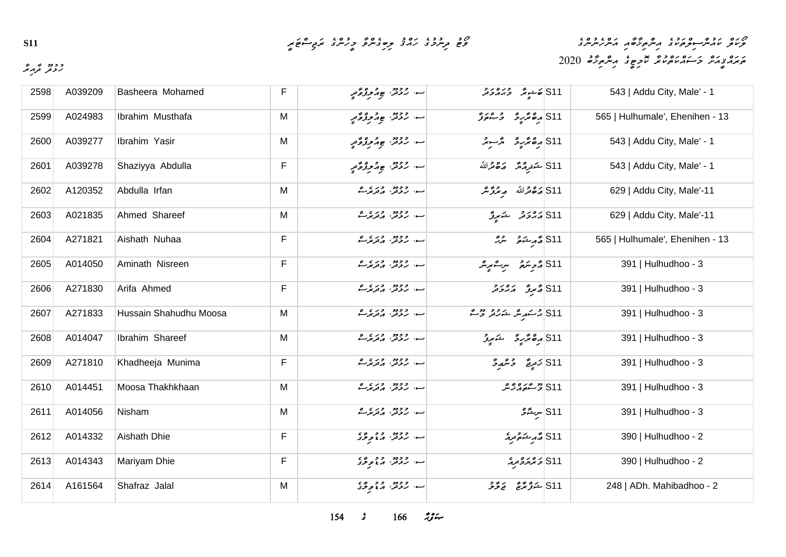*sCw7q7s5w7m< o<n9nOoAw7o< sCq;mAwBoEw7q<m; wBm;vB* م من المرة المرة المرة المرجع المرجع في المركبة 2020<br>مجم*د المريض المربوط المربع المرجع في المراجع المركبة* 

|  | د دود به پر<br>رنز تر ترمه تر |
|--|-------------------------------|
|  |                               |

| 2598 | A039209 | Basheera Mohamed       | F            | سه رودو عدد وروتر                                       | S11 <i>ھَڪِيمَ - وَبَرُودَو</i>                                                                                           | 543   Addu City, Male' - 1      |
|------|---------|------------------------|--------------|---------------------------------------------------------|---------------------------------------------------------------------------------------------------------------------------|---------------------------------|
| 2599 | A024983 | Ibrahim Musthafa       | M            | سه رودو ع مرور و مر                                     | S11 مەھەر بەر ئەسىمۇ                                                                                                      | 565   Hulhumale', Ehenihen - 13 |
| 2600 | A039277 | Ibrahim Yasir          | M            | سار دود. ج م دوره مر                                    | S11 م <i>وڭ مۇرى مۇسى</i> تر                                                                                              | 543   Addu City, Male' - 1      |
| 2601 | A039278 | Shaziyya Abdulla       | $\mathsf F$  | سه رودو عام دوه مر                                      | S11 خۇن <i>رە ئۇ ھەقم</i> اللە                                                                                            | 543   Addu City, Male' - 1      |
| 2602 | A120352 | Abdulla Irfan          | M            | سه دودو وړي ه                                           | S11 كەھىراللە م <i>ېترۇنتر</i>                                                                                            | 629   Addu City, Male'-11       |
| 2603 | A021835 | Ahmed Shareef          | M            | سه دوده وری ه                                           | S11 كەش <sup>ى</sup> تەڭ سىتەمب <i>و</i> گ                                                                                | 629   Addu City, Male'-11       |
| 2604 | A271821 | Aishath Nuhaa          | F            | سه دوده وری ه                                           | S11 م <i>ەمبەھ مىرتى</i>                                                                                                  | 565   Hulhumale', Ehenihen - 13 |
| 2605 | A014050 | Aminath Nisreen        | F            | ر د د دور در د ر د ک                                    | S11 مُرْحِ سَمَ <sub>ةً</sub> سِرْ مَبِرْ مُرْ                                                                            | 391   Hulhudhoo - 3             |
| 2606 | A271830 | Arifa Ahmed            | $\mathsf{F}$ | سه دودو وړي ه                                           | S11 مەمبۇ مەدىر                                                                                                           | 391   Hulhudhoo - 3             |
| 2607 | A271833 | Hussain Shahudhu Moosa | M            | ر در دوده در در در است.<br>سود اردور، ارتزیز ک          | S11 پرڪ <sub>م</sub> بر ڪريز وڃي                                                                                          | 391   Hulhudhoo - 3             |
| 2608 | A014047 | Ibrahim Shareef        | M            | سه دودو وړي ه                                           | S11 <sub>م</sub> ەھمەر ئىسىمىتى ئىستىدىنى ئىستىدىكى ئىستىدىكى ئىستىدىكى ئىستىدىكى ئىستىدىكى ئىستىدىن ئىستىدىن ئىستىدىن ئى | 391   Hulhudhoo - 3             |
| 2609 | A271810 | Khadheeja Munima       | F            | سه دوده وری ه                                           | S11  زَمرِجٌ     رُسُمْ وَّ                                                                                               | 391   Hulhudhoo - 3             |
| 2610 | A014451 | Moosa Thakhkhaan       | M            | ر در دور در در ه<br>سه روتر، ماتریز ک                   | S11 تۇشىھەر ئەنگە                                                                                                         | 391   Hulhudhoo - 3             |
| 2611 | A014056 | Nisham                 | M            | ر در دور در در ه<br>سه روتر، ماتریز شه                  | S11 سرشگر ه                                                                                                               | 391   Hulhudhoo - 3             |
| 2612 | A014332 | Aishath Dhie           | F            | ر د دود د د و و و و و د و با به سند و اندازه کرد که د ک | S11 مۇمەيئىمۇمبر <i>ە</i>                                                                                                 | 390   Hulhudhoo - 2             |
| 2613 | A014343 | Mariyam Dhie           | F            |                                                         | S11 كەنگە <i>ئەھ</i> رىگە                                                                                                 | 390   Hulhudhoo - 2             |
| 2614 | A161564 | Shafraz Jalal          | M            |                                                         | S11  شەرىمى ئىمى ئىم                                                                                                      | 248   ADh. Mahibadhoo - 2       |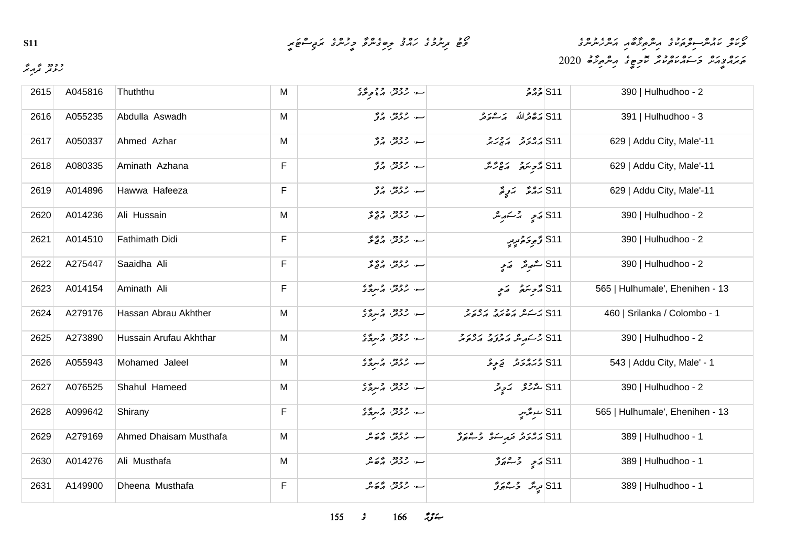*sCw7q7s5w7m< o<n9nOoAw7o< sCq;mAwBoEw7q<m; wBm;vB* م من المرة المرة المرة المرجع المرجع في المركبة 2020<br>مجم*د المريض المربوط المربع المرجع في المراجع المركبة* 

|  | $\rightarrow$ $\rightarrow$ $\rightarrow$ $\rightarrow$ $\rightarrow$ |
|--|-----------------------------------------------------------------------|
|  | زؤفر قرمرته                                                           |
|  |                                                                       |

| 2615 | A045816 | Thuththu               | M           | ر د دود د د و و و و و د و د کار کرد که د ک | S11 <sub>حو</sub> رم                        | 390   Hulhudhoo - 2             |
|------|---------|------------------------|-------------|--------------------------------------------|---------------------------------------------|---------------------------------|
| 2616 | A055235 | Abdulla Aswadh         | M           | سە رودىن دى                                | S11 يَرْهُ مِّرَاللَّهُ بِرَ مُّعْرَ مِّرْ  | 391   Hulhudhoo - 3             |
| 2617 | A050337 | Ahmed Azhar            | M           | سە روەر دە                                 | S11 كەبروتىر كەيمە <i>رى</i> ر              | 629   Addu City, Male'-11       |
| 2618 | A080335 | Aminath Azhana         | $\mathsf F$ | سە رودىن دى                                | S11 أَمَّ حِسَمَةٌ مَتَّ مَثَّلَةٌ مَنْ     | 629   Addu City, Male'-11       |
| 2619 | A014896 | Hawwa Hafeeza          | F           | ر د برود.<br>سه روتر، موتو                 | S11 <i>ټرونځ ټونځ</i>                       | 629   Addu City, Male'-11       |
| 2620 | A014236 | Ali Hussain            | M           | ر در دور دور<br>ر روتر، مان تح             | S11  كەمچە - جەشىرىتىر                      | 390   Hulhudhoo - 2             |
| 2621 | A014510 | Fathimath Didi         | F           | ر در دور دوره<br>ر روتر، مانگانی           | S11 ژ <sub>مو</sub> رَ مُ <sub>وبو</sub> رِ | 390   Hulhudhoo - 2             |
| 2622 | A275447 | Saaidha Ali            | $\mathsf F$ | ر در دود دور<br>ر روتر، مقام               | S11  گ <sub>ھ</sub> وٹر کرم                 | 390   Hulhudhoo - 2             |
| 2623 | A014154 | Aminath Ali            | $\mathsf F$ | ے رودوں وسروی                              | S11 مٌ <i>وِ سَعْهِ مَ م</i> ِ              | 565   Hulhumale', Ehenihen - 13 |
| 2624 | A279176 | Hassan Abrau Akhther   | M           | در دوده و مرده                             | S11 ئەسەبىر مە <i>ھىمەكە مەنبۇ</i> تر       | 460   Srilanka / Colombo - 1    |
| 2625 | A273890 | Hussain Arufau Akhthar | M           | سە رودو، دىيونى                            | S11 پڑے ہر شہ پر جوڑ پر بر تاریخ تیر        | 390   Hulhudhoo - 2             |
| 2626 | A055943 | Mohamed Jaleel         | M           | ے رودوں و سروی                             | S11  <i>3223 قرق</i>                        | 543   Addu City, Male' - 1      |
| 2627 | A076525 | Shahul Hameed          | M           | ے رودوں و سروی                             | S11 ڪرچو تر <i>و</i> تر                     | 390   Hulhudhoo - 2             |
| 2628 | A099642 | Shirany                | $\mathsf F$ | سار دوده و مرده                            | S11 سوپرسی                                  | 565   Hulhumale', Ehenihen - 13 |
| 2629 | A279169 | Ahmed Dhaisam Musthafa | M           | ے۔ رودہ مجمد ک                             | S11 גُرُدُوَتْر تَرْمِ شُوَّ وَجَبْوَتْرُ   | 389   Hulhudhoo - 1             |
| 2630 | A014276 | Ali Musthafa           | M           | ب - رودوم محرکاهر                          | S11 كەمچە ئەسىمى ئى                         | 389   Hulhudhoo - 1             |
| 2631 | A149900 | Dheena Musthafa        | F           | ر در دور پوره<br>سه روتر، ماه ش            | S11 مریٹر ۔ ٹر <i>یموٹ</i> ر                | 389   Hulhudhoo - 1             |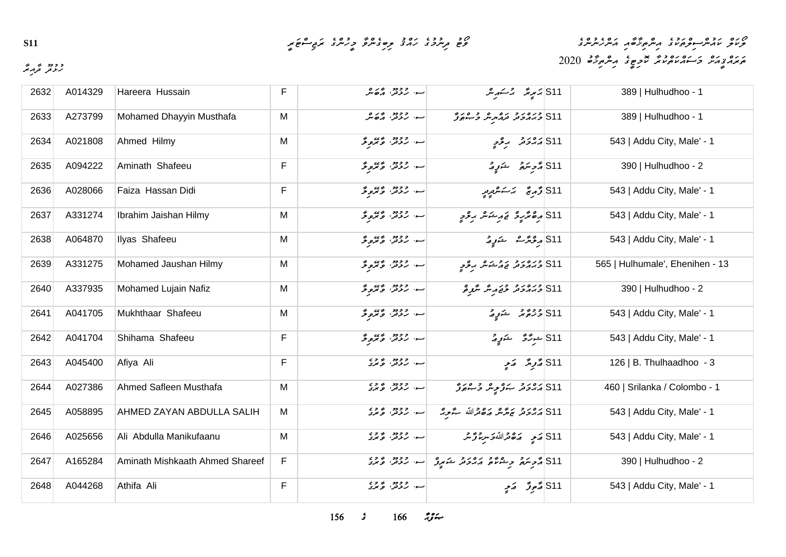*sCw7q7s5w7m< o<n9nOoAw7o< sCq;mAwBoEw7q<m; wBm;vB* م من المرة المرة المرة المرجع المرجع في المركبة 2020<br>مجم*د المريض المربوط المربع المرجع في المراجع المركبة* 

|  | s s n n      |
|--|--------------|
|  | برتر مرتز مر |
|  |              |

| 2632 | A014329 | Hareera Hussain                 | F            | سه دوده په کامل                         | S11 ټرینگ پرشورنگ                                                              | 389   Hulhudhoo - 1             |
|------|---------|---------------------------------|--------------|-----------------------------------------|--------------------------------------------------------------------------------|---------------------------------|
| 2633 | A273799 | Mohamed Dhayyin Musthafa        | M            | ے۔ رودو، مجمد م                         | S11 درور د برو بره گرمونگر د مرکز                                              | 389   Hulhudhoo - 1             |
| 2634 | A021808 | Ahmed Hilmy                     | M            | ب دودو می دیگر                          | S11 ك <i>ر برگوچ</i>                                                           | 543   Addu City, Male' - 1      |
| 2635 | A094222 | Aminath Shafeeu                 | $\mathsf{F}$ | - دودو مه دي.                           |                                                                                | 390   Hulhudhoo - 2             |
| 2636 | A028066 | Faiza Hassan Didi               | $\mathsf{F}$ | ے دودہ میں دیگر                         | S11 ۇرت <sub>ى</sub> تەسەھى <sub>رىپ</sub>                                     | 543   Addu City, Male' - 1      |
| 2637 | A331274 | Ibrahim Jaishan Hilmy           | M            | - دودو مه دي.                           | S11  مەھەرىپ قەم شەش بىرى ي                                                    | 543   Addu City, Male' - 1      |
| 2638 | A064870 | Ilyas Shafeeu                   | M            | ے دودہ میں دیگر                         | S11  مرتزم شرور شور 2<br>                                                      | 543   Addu City, Male' - 1      |
| 2639 | A331275 | Mohamed Jaushan Hilmy           | M            | ے دودہ میں دیگر                         | S11 <i>وبرورو برو</i> شرش برقرم ا                                              | 565   Hulhumale', Ehenihen - 13 |
| 2640 | A337935 | Mohamed Lujain Nafiz            | M            | - دودو مه دي.                           | S11  <i>وبروجو وفق م</i> قر مگريمى                                             | 390   Hulhudhoo - 2             |
| 2641 | A041705 | Mukhthaar Shafeeu               | M            | ے دودہ میں دیگر                         | S11 ك <sup>3</sup> رْتُمْ بْرِ شَوْرٍ كَ                                       | 543   Addu City, Male' - 1      |
| 2642 | A041704 | Shihama Shafeeu                 | $\mathsf{F}$ | ب دودو می دیگر                          | S11  سو <i>رگ</i> ۇ ش <i>وپ<sub>و</sub>ڭ</i>                                   | 543   Addu City, Male' - 1      |
| 2643 | A045400 | Afiya Ali                       | $\mathsf{F}$ | ر دودو و ده                             | S11 م <i>گوینگ مک</i> چ                                                        | 126   B. Thulhaadhoo - 3        |
| 2644 | A027386 | Ahmed Safleen Musthafa          | M            | سه رودو د و د ه                         | S11 كەبروتر سۇم پىر ۋىبد <i>ۇ</i> ر                                            | 460   Srilanka / Colombo - 1    |
| 2645 | A058895 | AHMED ZAYAN ABDULLA SALIH       | M            | سه د وود د و د و د<br>  سه رکوتون کوموی | S11 <i>مَ بِرْحِ مِّ</i> مِّ مِّ مِّ مِّ مِّ مِّ مِّ اللّهَ بَّ مِّ مِّ مِّ    | 543   Addu City, Male' - 1      |
| 2646 | A025656 | Ali Abdulla Manikufaanu         | M            |                                         | S11 <i>مَنْ حَدَّة مُقَاتِّدا</i> للَّهُ <i>حَسِينا وَ</i> سَرَ                | 543   Addu City, Male' - 1      |
| 2647 | A165284 | Aminath Mishkaath Ahmed Shareef | $\mathsf{F}$ |                                         | S11 مُرْحِسَمُ وحِشْرُ مِنْ مِرْحِسٌ شَهْرِوْ ) مَدَارِ وَدَوْ وَدَارِ وَمَدَى | 390   Hulhudhoo - 2             |
| 2648 | A044268 | Athifa Ali                      | F            | ر د ودو د و و د<br>سه روتر، و برو       | S11  مُتَّمورٌ      مَرْمٍ                                                     | 543   Addu City, Male' - 1      |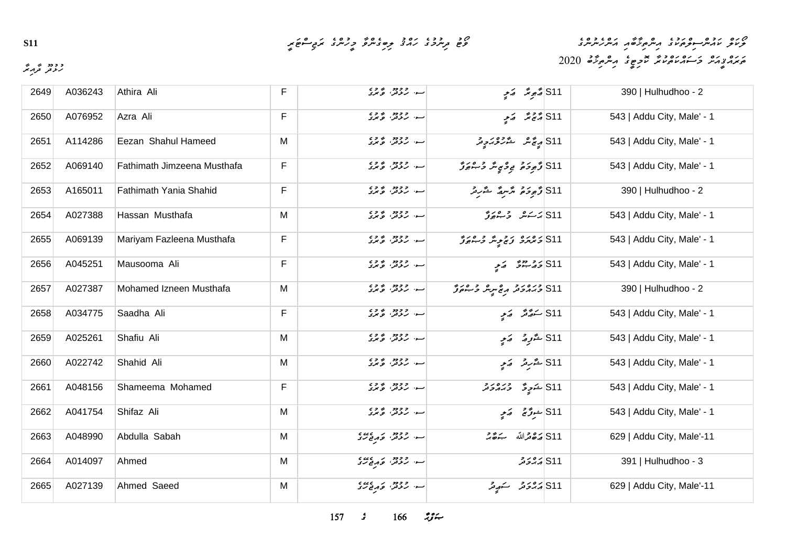*sCw7q7s5w7m< o<n9nOoAw7o< sCq;mAwBoEw7q<m; wBm;vB* م من المرة المرة المرة المرجع المرجع في المركبة 2020<br>مجم*د المريض المربوط المربع المرجع في المراجع المركبة* 

|  | د دود به بر<br>رنز تر تربر |  |
|--|----------------------------|--|
|  |                            |  |

| 2649 | A036243 | Athira Ali                  | F            | ر د ودو.<br>سه روتر، و بور                | S11 مٌ مِرَّ مَرِ                               | 390   Hulhudhoo - 2        |
|------|---------|-----------------------------|--------------|-------------------------------------------|-------------------------------------------------|----------------------------|
| 2650 | A076952 | Azra Ali                    | F            | ر د ودو و و د و د<br>سه رنوش کومری        | S11 مُرتم مَوِ                                  | 543   Addu City, Male' - 1 |
| 2651 | A114286 | Eezan Shahul Hameed         | M            | ر د دود. د د ه<br>سه روتر، و برد          | S11 م <i>ړنځ بله څېڅ ډېر چ</i> وتر              | 543   Addu City, Male' - 1 |
| 2652 | A069140 | Fathimath Jimzeena Musthafa | F            | ر د ودو و و و و و د<br>سه ارتونس الوموی   | S11 ژ <sub>ن</sub> جوړې <sub>مو</sub> څې ژبوړنځ | 543   Addu City, Male' - 1 |
| 2653 | A165011 | Fathimath Yania Shahid      | F            | ر د ودو.<br>سه روتر، و برو                | S11 <i>وَّەجەھ مەتىبەت</i> ھەربىر               | 390   Hulhudhoo - 2        |
| 2654 | A027388 | Hassan Musthafa             | M            | ر د دود. د د ه<br>سه روتر، و برد          | S11 ئەسەبىر قەشقۇقە                             | 543   Addu City, Male' - 1 |
| 2655 | A069139 | Mariyam Fazleena Musthafa   | $\mathsf F$  | ر د ودو و و و و و د<br>سه ارتونس الوموی   | S11 ئ <i>وندى دىنمونىڭ قىشمۇر</i>               | 543   Addu City, Male' - 1 |
| 2656 | A045251 | Mausooma Ali                | F            | د د دوه او د د د<br>سه اربوتر، نومری      | S11 كەم يېچىق كەمبر                             | 543   Addu City, Male' - 1 |
| 2657 | A027387 | Mohamed Izneen Musthafa     | M            | سه الرودو المحروم                         | S11 <i>دېرو دو</i> په پېښ د ۱۰۰۰ کې             | 390   Hulhudhoo - 2        |
| 2658 | A034775 | Saadha Ali                  | $\mathsf{F}$ | ر د دود. د د ه<br>سه روتر، و برد          | S11  سَمَدَّتَر <sub>مَ</sub> وِ                | 543   Addu City, Male' - 1 |
| 2659 | A025261 | Shafiu Ali                  | M            | ر د ووو.<br>سه روتر، و بری                | S11 ڪ <i>ورث م</i> َرمٍ                         | 543   Addu City, Male' - 1 |
| 2660 | A022742 | Shahid Ali                  | M            | د د دوه او د د د<br>سه اربوتر، نومری      | S11  ڪريٽر ک <i>ي يو</i>                        | 543   Addu City, Male' - 1 |
| 2661 | A048156 | Shameema Mohamed            | F            | ر د ودو و و و و و د<br>سو، ارتونو، الوحوی | S11 خَوِيَّة فَ <sup>2</sup> دَمُّوَتَرُ        | 543   Addu City, Male' - 1 |
| 2662 | A041754 | Shifaz Ali                  | M            | ر د ودو و و و و و د<br>سو، ارتونو، الوحوی | S11 حورٌج کام پر                                | 543   Addu City, Male' - 1 |
| 2663 | A048990 | Abdulla Sabah               | M            | ر دودو.<br>سه روتر، خهره رو               | S11 مَەڤْمَراللە جۇھ                            | 629   Addu City, Male'-11  |
| 2664 | A014097 | Ahmed                       | M            | ر دودو.<br>سه روتر، خهره رو               | S11 كەبۇ ئەتە                                   | 391   Hulhudhoo - 3        |
| 2665 | A027139 | Ahmed Saeed                 | M            | ر د دود.<br>سه روتر، خ د مي ر             | S11  پَرْدُوَتْرَ کُمْ سَرَمَّةِ تَرْ           | 629   Addu City, Male'-11  |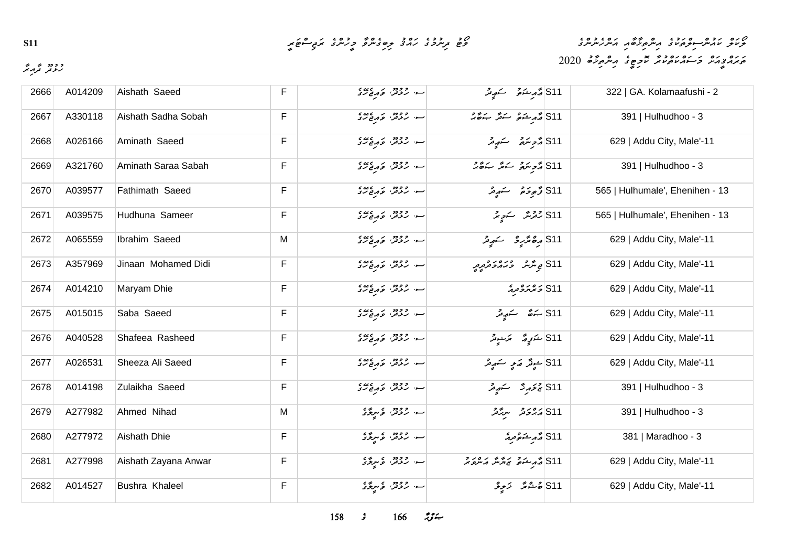*sCw7q7s5w7m< o<n9nOoAw7o< sCq;mAwBoEw7q<m; wBm;vB* م من المرة المرة المرة المرجع المرجع في المركبة 2020<br>مجم*د المريض المربوط المربع المرجع في المراجع المركبة* 

|  | 4.4.222        |
|--|----------------|
|  | نرعرفر اقرمرته |
|  |                |

| 2666 | A014209 | Aishath Saeed        | F           | ر د دود.<br>سه روتر، خ د مي ري | S11 مُدْمِسْتَمْ سَمْدِتْر                       | 322   GA. Kolamaafushi - 2      |
|------|---------|----------------------|-------------|--------------------------------|--------------------------------------------------|---------------------------------|
| 2667 | A330118 | Aishath Sadha Sobah  | F           | سه رودود که دره دره            | S11 مەم ئىكى ئىككە ئىلگەنگە                      | 391   Hulhudhoo - 3             |
| 2668 | A026166 | Aminath Saeed        | F           | ر د دود.<br>سه روتر، و د ورن   | S11 مَّ حِسَمَۃُ کَصَرِ مَرَّ                    | 629   Addu City, Male'-11       |
| 2669 | A321760 | Aminath Saraa Sabah  | F           | در دود کردی د                  | S11 م <sup>ۇ</sup> جەمئە ئىكەنچە يەنھەيز         | 391   Hulhudhoo - 3             |
| 2670 | A039577 | Fathimath Saeed      | F           | ر د دود.<br>سه روتر، خ پر دی د | S11 ژ <sub>نجو</sub> رَ <sub>م</sub> شهر شر      | 565   Hulhumale', Ehenihen - 13 |
| 2671 | A039575 | Hudhuna Sameer       | F           | ر دودو.<br>سه روتر، خهرج رو    | S11 ژوگر کوپر                                    | 565   Hulhumale', Ehenihen - 13 |
| 2672 | A065559 | Ibrahim Saeed        | M           | ر د دود.<br>سه روتر، خ د مي ري | S11 م <i>وڭ ئۇرۇ سەم</i> بۇر                     | 629   Addu City, Male'-11       |
| 2673 | A357969 | Jinaan Mohamed Didi  | F           | ر دودو.<br>سه روتر، خهرج رو    | S11 <sub>مح</sub> مگ <i>رنگر محکم کر قرموی</i> ر | 629   Addu City, Male'-11       |
| 2674 | A014210 | Maryam Dhie          | F           | ر د دود.<br>سه روتر، خ پر دی د | S11 كەبىر بىر ئەرگە                              | 629   Addu City, Male'-11       |
| 2675 | A015015 | Saba Saeed           | F           | ر دودود.<br>سه رنوش کوم می ری  | S11 جَەھْ سَىھەتىر                               | 629   Addu City, Male'-11       |
| 2676 | A040528 | Shafeea Rasheed      | F           | ر د دود.<br>سه روتر، خ د ق ر د | S11 ڪ <i>وپر ترخي</i> ر                          | 629   Addu City, Male'-11       |
| 2677 | A026531 | Sheeza Ali Saeed     | F           | ر د دود.<br>سه روتر، خ پر دی د | S11 حيثر ترم سك <i>وتر</i>                       | 629   Addu City, Male'-11       |
| 2678 | A014198 | Zulaikha Saeed       | F           | ر دودو.<br>سه روتر، خهره رو    | S11 كىخەر ئەسكە يەش                              | 391   Hulhudhoo - 3             |
| 2679 | A277982 | Ahmed Nihad          | M           | ب دودو، عبروی                  | S11 كەندى قىلى سەرىمىتىلىر                       | 391   Hulhudhoo - 3             |
| 2680 | A277972 | Aishath Dhie         | F           | ے۔ رووژ، و سروی                | S11 مۇمەيھۇمى <i>ر</i> م                         | 381   Maradhoo - 3              |
| 2681 | A277998 | Aishath Zayana Anwar | $\mathsf F$ | ے رودہ ویروی                   | S11 مەم شەم ئەر ئەر مەمدىكى S11                  | 629   Addu City, Male'-11       |
| 2682 | A014527 | Bushra Khaleel       | F           | ے رودہ وسروی                   | S11 صْشْعَر زَمِرْ وْ                            | 629   Addu City, Male'-11       |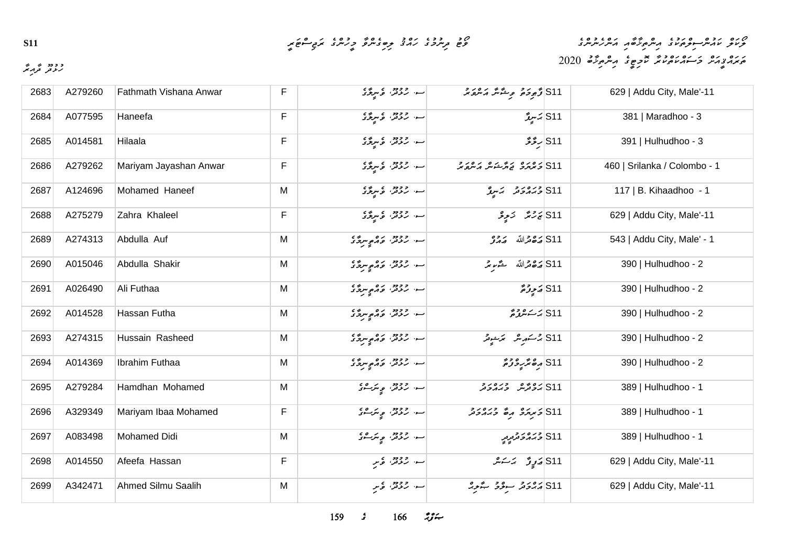*sCw7q7s5w7m< o<n9nOoAw7o< sCq;mAwBoEw7q<m; wBm;vB* م من المرة المرة المرة المرجع المرجع في المركبة 2020<br>مجم*د المريض المربوط المربع المرجع في المراجع المركبة* 

|  | د دود به پر<br>رنز تر ترمه تر |
|--|-------------------------------|
|  |                               |

| 2683 | A279260 | Fathmath Vishana Anwar    | F           | سەر 232°، ئۇ سرىۋى  | S11 زُّەپرەڭر مِشَىرَ مَىرْمَد         | 629   Addu City, Male'-11    |
|------|---------|---------------------------|-------------|---------------------|----------------------------------------|------------------------------|
| 2684 | A077595 | Haneefa                   | F           | ے رودہ کا ہوگا      | S11  بَرْسٍ گَهِ                       | 381   Maradhoo - 3           |
| 2685 | A014581 | Hilaala                   | F           | ے۔ رودہ کا ہوتا     | S11 رنۇتۇ                              | 391   Hulhudhoo - 3          |
| 2686 | A279262 | Mariyam Jayashan Anwar    | $\mathsf F$ | سەر 1992، ئۇ سرىگرى | S11 تر مرمرد فی مرشر مربوبر د          | 460   Srilanka / Colombo - 1 |
| 2687 | A124696 | Mohamed Haneef            | M           | سه رودو، عسروی      | S11 <i>2222 كەبىرى</i>                 | 117   B. Kihaadhoo - 1       |
| 2688 | A275279 | Zahra Khaleel             | $\mathsf F$ | ے۔ رودہ کا ہوتا     | S11 ىز بۇ تىمى بىر ئىلىن ئىلار ئىل     | 629   Addu City, Male'-11    |
| 2689 | A274313 | Abdulla Auf               | M           | ے رودو رہ سروی      | S11 مَەھىراللە م <i>ەمۇ</i>            | 543   Addu City, Male' - 1   |
| 2690 | A015046 | Abdulla Shakir            | M           | ے رودو رہ ہوئے      | S11 مَەھْتَراللە مۇمەتتر               | 390   Hulhudhoo - 2          |
| 2691 | A026490 | Ali Futhaa                | M           | ٢٠٠٠٠٠٠٠٠٠٠٠٠       | S11 <sub>مَتَج</sub> وَجَّ             | 390   Hulhudhoo - 2          |
| 2692 | A014528 | Hassan Futha              | M           | - رودو ره سرور      | S11 ئەسەئىيەتى <del>م</del>            | 390   Hulhudhoo - 2          |
| 2693 | A274315 | Hussain Rasheed           | M           | ٢٠٠٠٠٠٠٠٠٠٠         | S11 پر کرمر مر <sub>شو</sub> یر        | 390   Hulhudhoo - 2          |
| 2694 | A014369 | Ibrahim Futhaa            | M           | ے رودو رہ سروی      | S11 <sub>مر</sub> ڭ ئرىرو ۋە يە        | 390   Hulhudhoo - 2          |
| 2695 | A279284 | Hamdhan Mohamed           | M           | ے دودور پہنوی       | S11 ئۇقرىش <i>دىن</i> دىر              | 389   Hulhudhoo - 1          |
| 2696 | A329349 | Mariyam Ibaa Mohamed      | $\mathsf F$ | ے۔ رودوں پر دی      | S11 كَمَبِيرَةَ مِنْ وَيَرْدُونَر      | 389   Hulhudhoo - 1          |
| 2697 | A083498 | Mohamed Didi              | M           | سه رودو مرد و د د   | S11  32 <i>, 35 قر</i> ور مر           | 389   Hulhudhoo - 1          |
| 2698 | A014550 | Afeefa Hassan             | F           | سه رودو ، وبر       | S11  ر <i>َ<sub>وٍ</sub>وَ</i> کِرَکٹر | 629   Addu City, Male'-11    |
| 2699 | A342471 | <b>Ahmed Silmu Saalih</b> | M           | ے رکوتر، قرم        | S11 ړَرُدُوَتَرُ سِوْوْ سُرُوِرُ       | 629   Addu City, Male'-11    |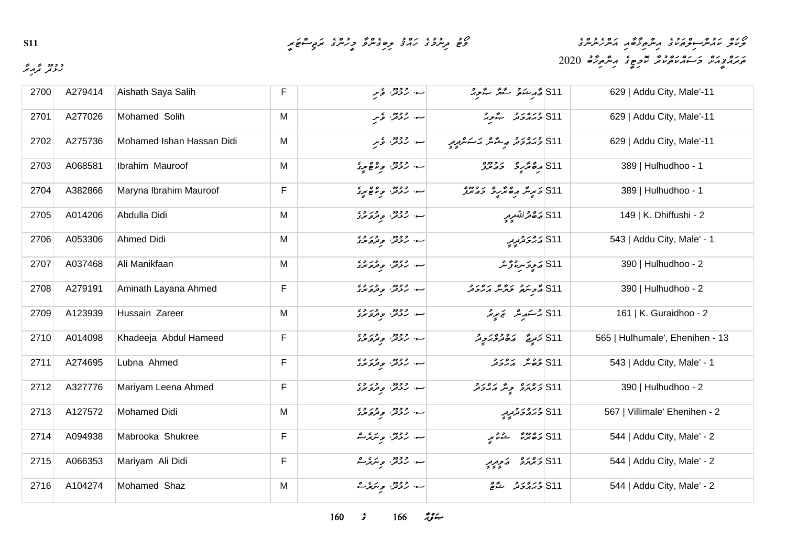*sCw7q7s5w7m< o<n9nOoAw7o< sCq;mAwBoEw7q<m; wBm;vB* م من المسجد المسجد المسجد المسجد المسجد العام 2020<br>مسجد المسجد المسجد المسجد المسجد المسجد المسجد المسجد المسجد ال

| 2700 | A279414 | Aishath Saya Salih        | F | سەس رودون ئى بىر                                                                                               | S11 مەم شىم ئىش جۇمر                               | 629   Addu City, Male'-11       |
|------|---------|---------------------------|---|----------------------------------------------------------------------------------------------------------------|----------------------------------------------------|---------------------------------|
| 2701 | A277026 | Mohamed Solih             | M | سە رودو، ئەير                                                                                                  |                                                    | 629   Addu City, Male'-11       |
| 2702 | A275736 | Mohamed Ishan Hassan Didi | M | سە رودو ، ئ                                                                                                    | S11 <i>وبروبر و م</i> یگر ټکر <i>موب</i> رم        | 629   Addu City, Male'-11       |
| 2703 | A068581 | Ibrahim Mauroof           | M | ب- دودو و۵۰۰ ور                                                                                                | S11 مەھمەر <i>2 دەھەر</i>                          | 389   Hulhudhoo - 1             |
| 2704 | A382866 | Maryna Ibrahim Mauroof    | F | ے رودو ورام مرد                                                                                                | S11 كَمَرِينَز مِرْهَ مَرْرِدْ نَامَ مَرْدِهِ مِنْ | 389   Hulhudhoo - 1             |
| 2705 | A014206 | Abdulla Didi              | M | ر د دود و د د د د د<br>سه رندس و ترومرد                                                                        | S11 كەڭداللەم <sub>ىي</sub> ىر                     | 149   K. Dhiffushi - 2          |
| 2706 | A053306 | <b>Ahmed Didi</b>         | M | ر د ودو.<br>ر روتر، ج <sup>و</sup> رو <i>و</i>                                                                 | S11  كەنزى ئۇيوپو                                  | 543   Addu City, Male' - 1      |
| 2707 | A037468 | Ali Manikfaan             | M | د و دود.<br>سه رنوتر، ج <sup>و</sup> رو بر                                                                     | S11 كەمپەئەس <i>بە</i> دۇنىڭر                      | 390   Hulhudhoo - 2             |
| 2708 | A279191 | Aminath Layana Ahmed      | F | ر د دود د د د د د د د د د کار د د کار د د کار د د د کار د د د کار د د د کار د د د کار د د د د د کار د د د د کا | S11 مُر <i>ْحِسَة خِيرْسُ مُ</i> بِرْدَتْر         | 390   Hulhudhoo - 2             |
| 2709 | A123939 | Hussain Zareer            | M | ر د دود و د د د د د د د کار د د کار د د د کار د د د کار د د د کار د د د کار د د د کار د د د کار د د د کار د د  | S11 پرڪ <i>مب</i> پڻ سي سيگر                       | 161   K. Guraidhoo - 2          |
| 2710 | A014098 | Khadeeja Abdul Hameed     | F | د و دود.<br>سه رنوتر، ج <sup>و</sup> رو بر                                                                     | S11 زَمِرِيَّ     رَەھىرْتَرْ بِرْرْ               | 565   Hulhumale', Ehenihen - 13 |
| 2711 | A274695 | Lubna Ahmed               | F | ر د دود.<br>سه رنوس و ترومرد                                                                                   | S11 تۇ <i>ھىگە بەيبۇت</i> ر                        | 543   Addu City, Male' - 1      |
| 2712 | A327776 | Mariyam Leena Ahmed       | F | ر د دود و د د د د د<br>سه رندس و ترومرد                                                                        | S11 كەنگەندى ب <sub>و</sub> يىگە ئ <i>ەند</i> ەتلە | 390   Hulhudhoo - 2             |
| 2713 | A127572 | Mohamed Didi              | M | ر د دود.<br>سه رنوش و مرومرد                                                                                   | S11 <i>ڈیز پر ڈیوپر</i> یر                         | 567   Villimale' Ehenihen - 2   |
| 2714 | A094938 | Mabrooka Shukree          | F | ے رودو ویکریم                                                                                                  | S11 ئەھىرت <sub>ى</sub> شەمئىيە                    | 544   Addu City, Male' - 2      |
| 2715 | A066353 | Mariyam Ali Didi          | F | ے رودو ویئرمنگ                                                                                                 | S11  <i>وَجُهُوَدُ - مَ</i> وِسِيرِ                | 544   Addu City, Male' - 2      |
| 2716 | A104274 | Mohamed Shaz              | M | ے رودو ویکریٹ                                                                                                  | S11 <i>5222 مَدَّمَّ</i> ع                         | 544   Addu City, Male' - 2      |

*n*<sub>60</sub> *s 166*  $\frac{2}{\sqrt{5}}$ 

*n8o<n@ r@q:q5*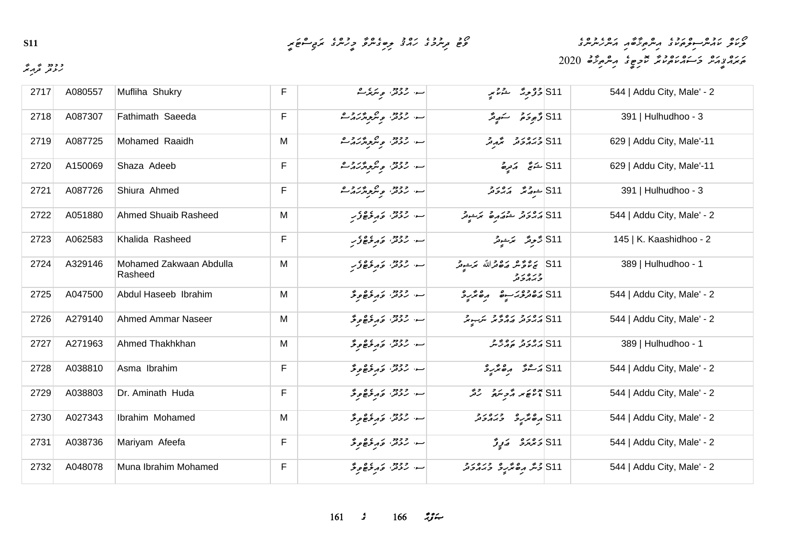*sCw7q7s5w7m< o<n9nOoAw7o< sCq;mAwBoEw7q<m; wBm;vB* م من المرة المرة المرة المرجع المرجع في المركبة 2020<br>مجم*د المريض المربوط المربع المرجع في المراجع المركبة* 

| د دود به برگر<br>رنزفر ترم <i>ب</i> گر |         |                  |   |                      |
|----------------------------------------|---------|------------------|---|----------------------|
| 2717                                   | A080557 | Mufliha Shukry   | F | ے رودو پر مگر کے     |
| 2718                                   | A087307 | Fathimath Saeeda | F | ے رودہ ویکرورمنگ     |
| 2719                                   | A087725 | Mohamed Raaidh   | М | ے رودہ ویکرورمنگ     |
| 2720                                   | A150069 | Shaza Adeeb      | F | ے رودہ ویکرورگرم     |
| 2721                                   | A087726 | Shiura Ahmed     | F | سه پروژه و شرورترو ه |

| 2717 | A080557 | Mufliha Shukry                     | $\mathsf F$ | ے رودو وسر کرے                         | S11 ۇۋىرى <sup>م</sup> ش <sup>ەي</sup> دى <sub>م</sub>                     | 544   Addu City, Male' - 2 |
|------|---------|------------------------------------|-------------|----------------------------------------|----------------------------------------------------------------------------|----------------------------|
| 2718 | A087307 | Fathimath Saeeda                   | F           | ے رودو <sub>و</sub> شر <i>و مرکز م</i> | S11 وَّجِرَةَ حَصَّرَتَهُ مِنْ                                             | 391   Hulhudhoo - 3        |
| 2719 | A087725 | Mohamed Raaidh                     | M           | ے رودو و <i>مرکز مرکز م</i>            | S11  <i>وبروبروتر بمگ</i> رش                                               | 629   Addu City, Male'-11  |
| 2720 | A150069 | Shaza Adeeb                        | $\mathsf F$ |                                        | S11 ڪئي گرم <i>وھ</i>                                                      | 629   Addu City, Male'-11  |
| 2721 | A087726 | Shiura Ahmed                       | F           | ے رودو و عرو پر دھ                     | S11 حو <i>م پر پر پرو</i> تر                                               | 391   Hulhudhoo - 3        |
| 2722 | A051880 | <b>Ahmed Shuaib Rasheed</b>        | M           | - رودو عمد عدد ا                       | S11 كەشكەت شە <i>مەم قىمىش</i> وتر                                         | 544   Addu City, Male' - 2 |
| 2723 | A062583 | Khalida Rasheed                    | F           | ے رودو تمہر محافرت                     | S11 گرموٹر کرش <sub>و</sub> ٹر                                             | 145   K. Kaashidhoo - 2    |
| 2724 | A329146 | Mohamed Zakwaan Abdulla<br>Rasheed | M           | ے رودو تمہر محافرت                     | S11 ى <i>ج ئا قۇيىل مەھەتر</i> اللە مەنبەتە<br>و رە ر د<br><i>د بر</i> رىر | 389   Hulhudhoo - 1        |
| 2725 | A047500 | Abdul Haseeb Ibrahim               | M           | ب رودو کردگاه گر                       | S11 رُەرْوْرَىبْرە مەمَرىر <sup>ى</sup>                                    | 544   Addu City, Male' - 2 |
| 2726 | A279140 | <b>Ahmed Ammar Naseer</b>          | M           | ب رودو تهریخ ویژ                       | S11 ג' <i>ביב ג' פיצי תה</i> קיב                                           | 544   Addu City, Male' - 2 |
| 2727 | A271963 | Ahmed Thakhkhan                    | M           | سە رودو ئەرتخ ھ                        | S11 كەبرو تەرەپىرىگەر                                                      | 389   Hulhudhoo - 1        |
| 2728 | A038810 | Asma Ibrahim                       | F           | سە رودو ئەركەھ ئۇ                      | S11 كەشىر <i>ى مەھترى</i> رى                                               | 544   Addu City, Male' - 2 |
| 2729 | A038803 | Dr. Aminath Huda                   | F           | سە رودو ئەركەھ ئۇ                      | S11 پېرو توپه مختلفې مرتگر                                                 | 544   Addu City, Male' - 2 |
| 2730 | A027343 | Ibrahim Mohamed                    | M           | ب رودو زړو عوام                        | S11 مەھمەر 2 مەمدىر                                                        | 544   Addu City, Male' - 2 |
| 2731 | A038736 | Mariyam Afeefa                     | F           | ب رودو زړو عوو ځ                       | S11 كەبىر <i>كەن ئە</i> ر                                                  | 544   Addu City, Male' - 2 |
| 2732 | A048078 | Muna Ibrahim Mohamed               | F           | ب رودو ئەركەھ ئۇ                       | S11 څنگه پر <i>هغرب</i> و او <i>ج</i> ر پرونر                              | 544   Addu City, Male' - 2 |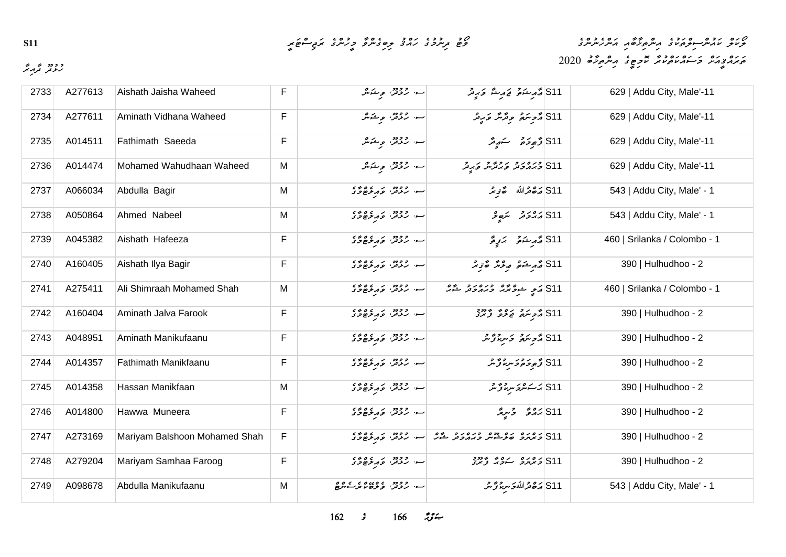*sCw7q7s5w7m< o<n9nOoAw7o< sCq;mAwBoEw7q<m; wBm;vB* م من المرة المرة المرة المرجع المرجع في المركبة 2020<br>مجم*د المريض المربوط المربع المرجع في المراجع المركبة* 

| 2733 | A277613 | Aishath Jaisha Waheed         | $\mathsf F$ | ے۔ رووی جنگور      | S11 مُدْرِسْنَة وَرِسْهُ وَرِيْر               | 629   Addu City, Male'-11    |
|------|---------|-------------------------------|-------------|--------------------|------------------------------------------------|------------------------------|
| 2734 | A277611 | Aminath Vidhana Waheed        | $\mathsf F$ | سه رودون جا مشکل   | S11 مُرْحِسَمَ وِمُرْسَّر وَرِمْرُ             | 629   Addu City, Male'-11    |
| 2735 | A014511 | Fathimath Saeeda              | F           | سه رودو په شوش     | S11 ز <sub>گ</sub> وِدَهْ سَهِ مَّ             | 629   Addu City, Male'-11    |
| 2736 | A014474 | Mohamed Wahudhaan Waheed      | M           | سە زىرتىق جەشكەنگە | S11 <i>ڈیزورو روووو ترب</i> ڑ                  | 629   Addu City, Male'-11    |
| 2737 | A066034 | Abdulla Bagir                 | М           | - رودو ری ده ده    | S11 كَەشقىراللە ھۇمىر                          | 543   Addu City, Male' - 1   |
| 2738 | A050864 | Ahmed Nabeel                  | M           | - رودو در ۱۶۵۶     | S11 كەبرى قىر سى <i>ھ</i> و ئىل                | 543   Addu City, Male' - 1   |
| 2739 | A045382 | Aishath Hafeeza               | $\mathsf F$ | - دود در ۱۶۵۵      | S11 مَگْرِسْتَمْ کَرِیْتَی                     | 460   Srilanka / Colombo - 1 |
| 2740 | A160405 | Aishath Ilya Bagir            | F           | در دود در ۱۶۵۵     | S11 مُەمِسْمَى مِرْحَمَّ ھُوْمَہ               | 390   Hulhudhoo - 2          |
| 2741 | A275411 | Ali Shimraah Mohamed Shah     | M           |                    | S11  كەمچە شو <i>ەبەر دەرەرە شەرە</i>          | 460   Srilanka / Colombo - 1 |
| 2742 | A160404 | Aminath Jalva Farook          | $\mathsf F$ | - رودو ری ده ده    | S11 تُرْمِ سَمَّةَ ۖ وَحَرَّةً ۖ وَسَمَّةً     | 390   Hulhudhoo - 2          |
| 2743 | A048951 | Aminath Manikufaanu           | F           | - رودو در ۱۶۵۶     | S11 مَّ مِ سَمَّدٍ   دَ سِرْ مَوْ سَر          | 390   Hulhudhoo - 2          |
| 2744 | A014357 | Fathimath Manikfaanu          | $\mathsf F$ | در دود در ۲۵۵۰     | S11 ۇ <sub>ج</sub> و <i>خۇ خىرىدۇ</i> تىر      | 390   Hulhudhoo - 2          |
| 2745 | A014358 | Hassan Manikfaan              | M           | دودو د ده وه       | S11 ئەسەمگەنگە <i>بىرىدۇ</i> تىر               | 390   Hulhudhoo - 2          |
| 2746 | A014800 | Hawwa Muneera                 | $\mathsf F$ | - رودو ری ده ده    | S11 كەمگە قى توپىگە                            | 390   Hulhudhoo - 2          |
| 2747 | A273169 | Mariyam Balshoon Mohamed Shah | $\mathsf F$ |                    | S11 رەرە رە دەە درەرد بەھ كەسەر دەھ رەھ دە     | 390   Hulhudhoo - 2          |
| 2748 | A279204 | Mariyam Samhaa Faroog         | F           | سه رودو که دی دی   | S11 كەبىر بىر بىر بىر ئەھدىيە بىر ئەسىر ئىس    | 390   Hulhudhoo - 2          |
| 2749 | A098678 | Abdulla Manikufaanu           | M           |                    | S11 كەھەقراللە <del>ك</del> س <i>رىزۇ تى</i> ر | 543   Addu City, Male' - 1   |

*n8o<n@ r@q:q5*

 $162$  *s*  $166$  *n***<sub>3</sub>** *n*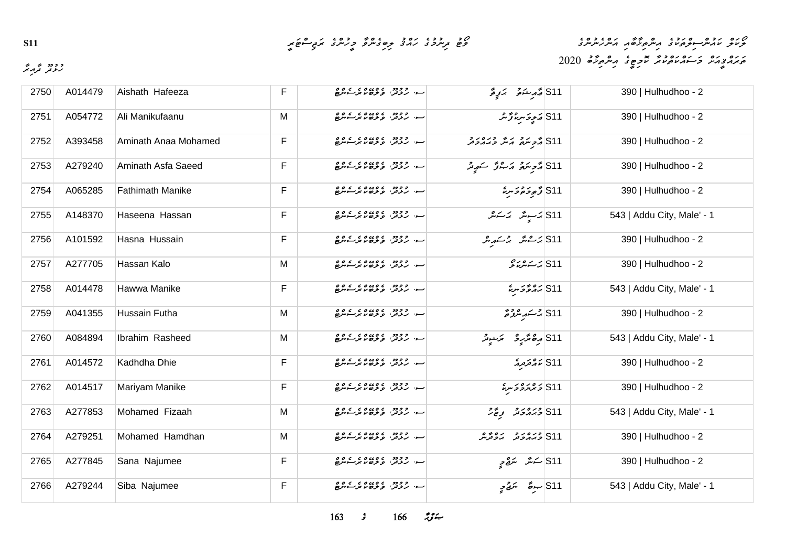*sCw7q7s5w7m< o<n9nOoAw7o< sCq;mAwBoEw7q<m; wBm;vB* م من المرة المرة المرة المرجع المرجع في المركبة 2020<br>مجم*د المريض المربوط المربع المرجع في المراجع المركبة* 

| 2750 | A014479 | Aishath Hafeeza         | F |                                                                | S11 ۾ پرڪ <i>يھ بزو</i> ءَ                        | 390   Hulhudhoo - 2        |
|------|---------|-------------------------|---|----------------------------------------------------------------|---------------------------------------------------|----------------------------|
| 2751 | A054772 | Ali Manikufaanu         | M |                                                                | S11 كەمرىي ئىرىدۇ ئەشر                            | 390   Hulhudhoo - 2        |
| 2752 | A393458 | Aminath Anaa Mohamed    | F | د دود ده ده ده ده ده<br>سه روتر، و ژه لا بر سه سر              | S11 أَمُّ مِسْمَعٍ أَمَسٌ مِسَدَّمَةٍ مِنْ        | 390   Hulhudhoo - 2        |
| 2753 | A279240 | Aminath Asfa Saeed      | F |                                                                | S11 مٌ <i>جِينمُ مُ</i> بِكُورٌ سَم <i>وِيْرُ</i> | 390   Hulhudhoo - 2        |
| 2754 | A065285 | <b>Fathimath Manike</b> | F |                                                                | S11 ۇ <sub>ھ</sub> و <i>خو</i> خرىبرىد            | 390   Hulhudhoo - 2        |
| 2755 | A148370 | Haseena Hassan          | F |                                                                | S11 پرسی پر بر تر پر                              | 543   Addu City, Male' - 1 |
| 2756 | A101592 | Hasna Hussain           | F | د دود ده ده ده ده ده<br>سه رود و و ده لا پرسه                  | S11 كەشقە ئەسكەرىگە                               | 390   Hulhudhoo - 2        |
| 2757 | A277705 | Hassan Kalo             | M | د دود ده ده ده ده ده.<br>سه روتر، و ژه لا بر سه سر             | S11 ئەستەنلەي                                     | 390   Hulhudhoo - 2        |
| 2758 | A014478 | Hawwa Manike            | F | ر - 1999 - 2010 2010 2010<br>سوء برنوس و بو حام موسومبر        | S11 ئەرمۇ <del>ك</del> سرىئا                      | 543   Addu City, Male' - 1 |
| 2759 | A041355 | <b>Hussain Futha</b>    | M |                                                                | S11 برسىر مىردۇ.                                  | 390   Hulhudhoo - 2        |
| 2760 | A084894 | Ibrahim Rasheed         | M | د دود ده ده ده ده ده<br>سه رود و ده لا پرسه                    | S11 ب <i>ر&amp;ټرپ5 - بَرَحو</i> تر               | 543   Addu City, Male' - 1 |
| 2761 | A014572 | Kadhdha Dhie            | F |                                                                | S11 كەچرىرى <i>گ</i>                              | 390   Hulhudhoo - 2        |
| 2762 | A014517 | Mariyam Manike          | F | ر د دود و ده ده ده ده ده<br>سوسر روس و و هامور سوسر            | S11 كەبىر <i>ھەكە</i> سەنگە                       | 390   Hulhudhoo - 2        |
| 2763 | A277853 | Mohamed Fizaah          | M | د دود ده ده ده ده ده<br>سه رود و و ده لا پرسه سر               | S11  <i>3223 وچ</i> ح                             | 543   Addu City, Male' - 1 |
| 2764 | A279251 | Mohamed Hamdhan         | M | ر در دود و ده ده ده ده<br>سه روس ووه در سرچ                    | S11 <i>دېزونو پرونز</i> تر                        | 390   Hulhudhoo - 2        |
| 2765 | A277845 | Sana Najumee            | F | ر - 1999 - 2010 2010 2010<br>سوء برنوس و بو حام موسومبر        | S11 سەنئر ئىزق <sub>ە</sub> ر                     | 390   Hulhudhoo - 2        |
| 2766 | A279244 | Siba Najumee            | F | ر در دود و ده ده ده ده ده<br>سوا بروتر، و و <i>ه لا بر</i> سوس | S11 سوٹھ سکھ <sup>ت</sup> و                       | 543   Addu City, Male' - 1 |
|      |         |                         |   |                                                                |                                                   |                            |

 $163$  *s*  $166$  *n***<sub>3</sub>** *n* 

*n8o<n@ r@q:q5*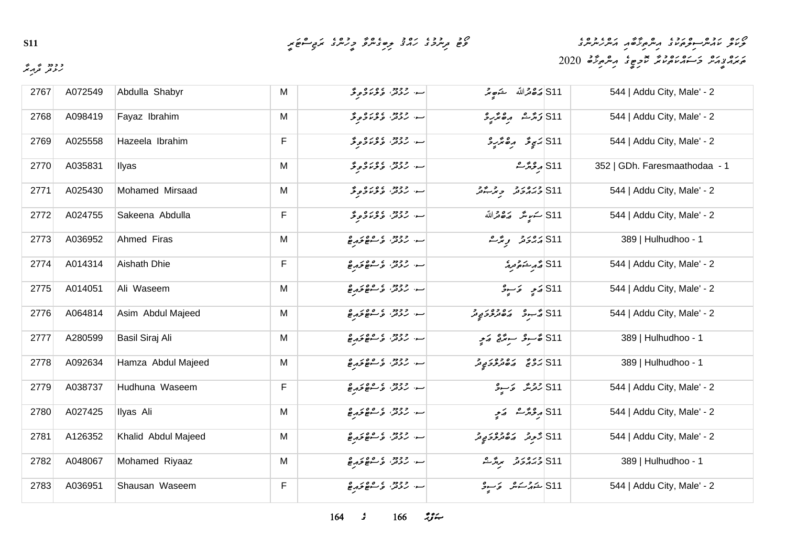*sCw7q7s5w7m< o<n9nOoAw7o< sCq;mAwBoEw7q<m; wBm;vB* م من المرة المرة المرة المرجع المرجع في المركبة 2020<br>مجم*د المريض المربوط المربع المرجع في المراجع المركبة* 

| 2767 | A072549 | Abdulla Shabyr      | M | - د دود ع وړه وگ                         | S11 كَەڭداللە خەھ ئىر                          | 544   Addu City, Male' - 2    |
|------|---------|---------------------|---|------------------------------------------|------------------------------------------------|-------------------------------|
| 2768 | A098419 | Fayaz Ibrahim       | M | سه رودو ، ۱۵۷۵ وگ                        | S11 زَيَّرْ شَهْ مِرْجَمْرِدْ                  | 544   Addu City, Male' - 2    |
| 2769 | A025558 | Hazeela Ibrahim     | F | - رودو ، ه وړه وگ                        | S11 كىي قەم مەمگە <i>ر</i> 3                   | 544   Addu City, Male' - 2    |
| 2770 | A035831 | <b>Ilyas</b>        | M | سه رودو الماده و در محمد به س            | S11 <sub>مر</sub> وپڑے                         | 352   GDh. Faresmaathodaa - 1 |
| 2771 | A025430 | Mohamed Mirsaad     | M | ر د دود ۱۵۷۵ و نو<br>ر د رونز، و و رو نو | S11 <i>ڈیزودو ویز ب</i> نور                    | 544   Addu City, Male' - 2    |
| 2772 | A024755 | Sakeena Abdulla     | F | ر درود ۱۵۷۵ ورو نو<br>روز و درود کار     | S11 سَمَٰرِ مَثَرَ مَدَّدَ اللّه               | 544   Addu City, Male' - 2    |
| 2773 | A036952 | Ahmed Firas         | M | در دود ، ده دوره                         | S11  پرچرىقر بوبى <i>گە</i>                    | 389   Hulhudhoo - 1           |
| 2774 | A014314 | <b>Aishath Dhie</b> | F | $e_1, e_2, e_3, e_4, e_5, e_6, e_7$      | S11 مَ <i>دْم</i> ِ شَ <sub>م</sub> ْوِيرِ مَ  | 544   Addu City, Male' - 2    |
| 2775 | A014051 | Ali Waseem          | M | سه رودد ، وه دوه                         | S11  رَمِ - ءَ-دِرْ                            | 544   Addu City, Male' - 2    |
| 2776 | A064814 | Asim Abdul Majeed   | M | سه رودو ، وه د وه                        | S11 م <sup>ۇ</sup> سىر <i>ۇ مەھەردە تې</i> رىر | 544   Addu City, Male' - 2    |
| 2777 | A280599 | Basil Siraj Ali     | M | سوادوده وسمع وره                         | S11 صَّ-عِ – سِمَّةٍ صَعِ                      | 389   Hulhudhoo - 1           |
| 2778 | A092634 | Hamza Abdul Majeed  | M | سوادود وسمع ودمع                         | S11 ټرنځ په <i>ه وور</i> په د                  | 389   Hulhudhoo - 1           |
| 2779 | A038737 | Hudhuna Waseem      | F |                                          | S11 ژنژنٹر <sub>قریبو</sub> و                  | 544   Addu City, Male' - 2    |
| 2780 | A027425 | Ilyas Ali           | M | سه رودو ، مصروره                         | S11 م <i>وڤر شهو</i>                           | 544   Addu City, Male' - 2    |
| 2781 | A126352 | Khalid Abdul Majeed | M | سوادود وسمع توريع                        | S11 گرونر - رەۋرى <i>ۋە يې تر</i>              | 544   Addu City, Male' - 2    |
| 2782 | A048067 | Mohamed Riyaaz      | M | - دود ، ده دوه و                         | S11 <i>ۋېزودى بى</i> رگە                       | 389   Hulhudhoo - 1           |
| 2783 | A036951 | Shausan Waseem      | F | - رودوس و عصوره                          | S11 خەرجىقى   ئەسبى                            | 544   Addu City, Male' - 2    |

 $164$  *s*  $166$  *z*  $\frac{2}{3}$  *k* 

*n8o<n@ r@q:q5*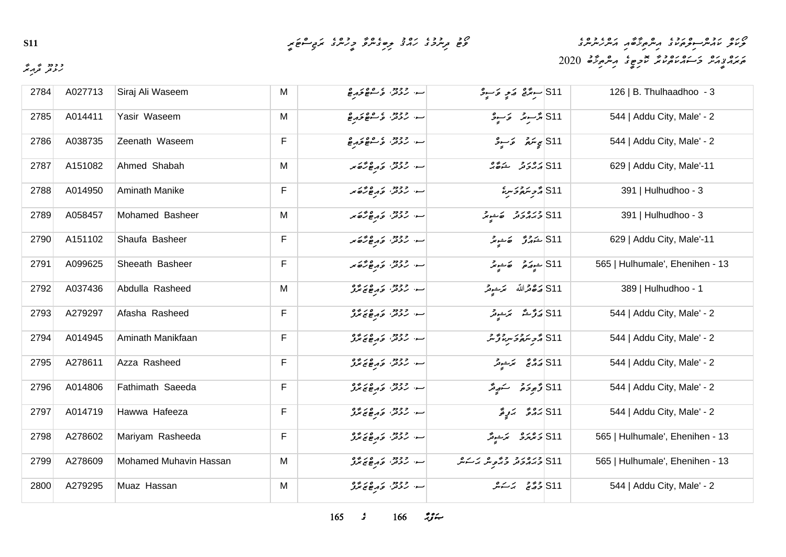*sCw7q7s5w7m< o<n9nOoAw7o< sCq;mAwBoEw7q<m; wBm;vB* م من المرة المرة المرة المرجع المرجع في المركبة 2020<br>مجم*د المريض المربوط المربع المرجع في المراجع المركبة* 

|  | د دود به پر<br>رنز تر ترمه تر |  |
|--|-------------------------------|--|
|  |                               |  |

| 2784 | A027713 | Siraj Ali Waseem       | M | - دوده عاموه عام                                | S11 سو <i>مَرَّةِ <sub>م</sub>َ</i> مِو مَسوِرَ | 126   B. Thulhaadhoo - 3        |
|------|---------|------------------------|---|-------------------------------------------------|-------------------------------------------------|---------------------------------|
| 2785 | A014411 | Yasir Waseem           | M | سوادوده وسمع توريع                              | S11 پژسېټر     ټرسوژ                            | 544   Addu City, Male' - 2      |
| 2786 | A038735 | Zeenath Waseem         | F | سه رودو ، مصروره                                | S11 <sub>مج</sub> سَع <sub>ة ع</sub> َ سوڤر     | 544   Addu City, Male' - 2      |
| 2787 | A151082 | Ahmed Shabah           | M | $x \circ z \circ z$ , $z \circ z$ , $z \circ z$ | S11 كەبروتر ش <i>ەھ</i> ەر                      | 629   Addu City, Male'-11       |
| 2788 | A014950 | Aminath Manike         | F | ٢٠٠٠٠٠٠٠٠٠٠٠٠٠٠                                 | S11 مَّ مِ سَهْرَ مَ سِرْءَ                     | 391   Hulhudhoo - 3             |
| 2789 | A058457 | Mohamed Basheer        | M | سوا رودو د ۱۶۵۵                                 | S11 <i>\$نەۋەقى ھىنبى</i> گە                    | 391   Hulhudhoo - 3             |
| 2790 | A151102 | Shaufa Basheer         | F | $x \circ z \circ z$ , $y \circ z$ , -           | S11 ينت <i>م ترقى خانى</i> تىر                  | 629   Addu City, Male'-11       |
| 2791 | A099625 | Sheeath Basheer        | F | ٢٠٠٠٠٠٠٠٠٠٠٠٠٠٠                                 | S11 س <i>ې<sub>و</sub>نه ئې</i> توپر            | 565   Hulhumale', Ehenihen - 13 |
| 2792 | A037436 | Abdulla Rasheed        | M | - دودو كروه دوه                                 | S11  رَجْعَةْ اللَّهُ - مَرْشِوْتْر             | 389   Hulhudhoo - 1             |
| 2793 | A279297 | Afasha Rasheed         | F | ر د دود د ده د ده.<br>سه روند، و د هم مرو       | S11   پَرُرُّٹَہ کَرَشِیْرُ                     | 544   Addu City, Male' - 2      |
| 2794 | A014945 | Aminath Manikfaan      | F | ٢٠٠٠٠٠٠٠٠٠٠٠٠                                   | S11 مَرْجِ سَهْوَ حَسِبْ تَوَسَّرَ              | 544   Addu City, Male' - 2      |
| 2795 | A278611 | Azza Rasheed           | F | - رودو در ۲۵ دره                                | S11 <i>مَمَّامٌ</i> مَمَّسِوِمً                 | 544   Addu City, Male' - 2      |
| 2796 | A014806 | Fathimath Saeeda       | F | سة الرودو المروح مروا                           | S11 ۇ <sub>جو</sub> رَة <sub>ۇس</sub> ىگر       | 544   Addu City, Male' - 2      |
| 2797 | A014719 | Hawwa Hafeeza          | F | - رودو در ٥٠٠٥                                  | S11 بَرْدُمَّ تَرَمِّ مَ                        | 544   Addu City, Male' - 2      |
| 2798 | A278602 | Mariyam Rasheeda       | F | - رودو مروم مروه                                | S11  <i>وَبُرْمَرُوْ بَرَحْبِيْرُ</i>           | 565   Hulhumale', Ehenihen - 13 |
| 2799 | A278609 | Mohamed Muhavin Hassan | M | - رودو مره مروه                                 | S11  <i>دېم</i> ددور وگړې تر ټکه                | 565   Hulhumale', Ehenihen - 13 |
| 2800 | A279295 | Muaz Hassan            | M | ے دود عمر کام کام                               | S11  جۇيج ئەسكىلىر                              | 544   Addu City, Male' - 2      |